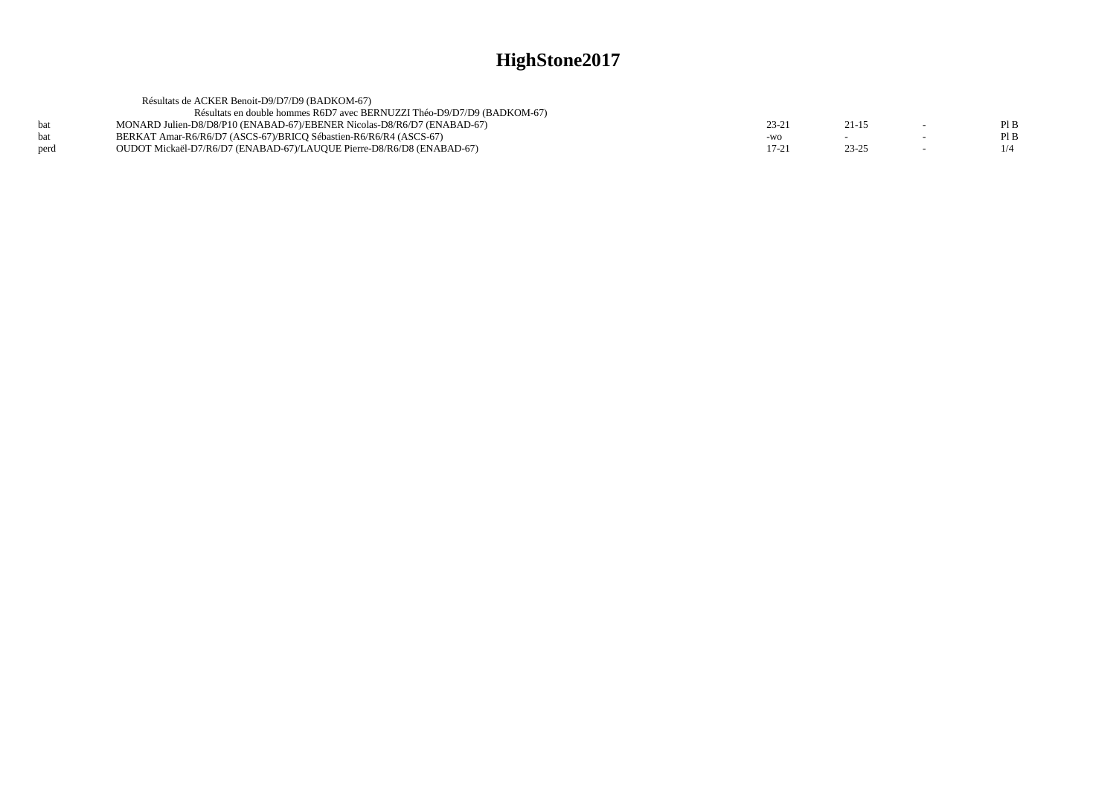|      | Résultats de ACKER Benoit-D9/D7/D9 (BADKOM-67)                          |         |           |        |      |
|------|-------------------------------------------------------------------------|---------|-----------|--------|------|
|      | Résultats en double hommes R6D7 avec BERNUZZI Théo-D9/D7/D9 (BADKOM-67) |         |           |        |      |
| bat  | MONARD Julien-D8/D8/P10 (ENABAD-67)/EBENER Nicolas-D8/R6/D7 (ENABAD-67) | 23-2    | $21 - 15$ |        | PI B |
| bat  | BERKAT Amar-R6/R6/D7 (ASCS-67)/BRICO Sébastien-R6/R6/R4 (ASCS-67)       | $-WO$   |           | $\sim$ | Pl B |
| perd | OUDOT Mickaël-D7/R6/D7 (ENABAD-67)/LAUQUE Pierre-D8/R6/D8 (ENABAD-67)   | $17-21$ | $23 - 25$ |        | 1/4  |
|      |                                                                         |         |           |        |      |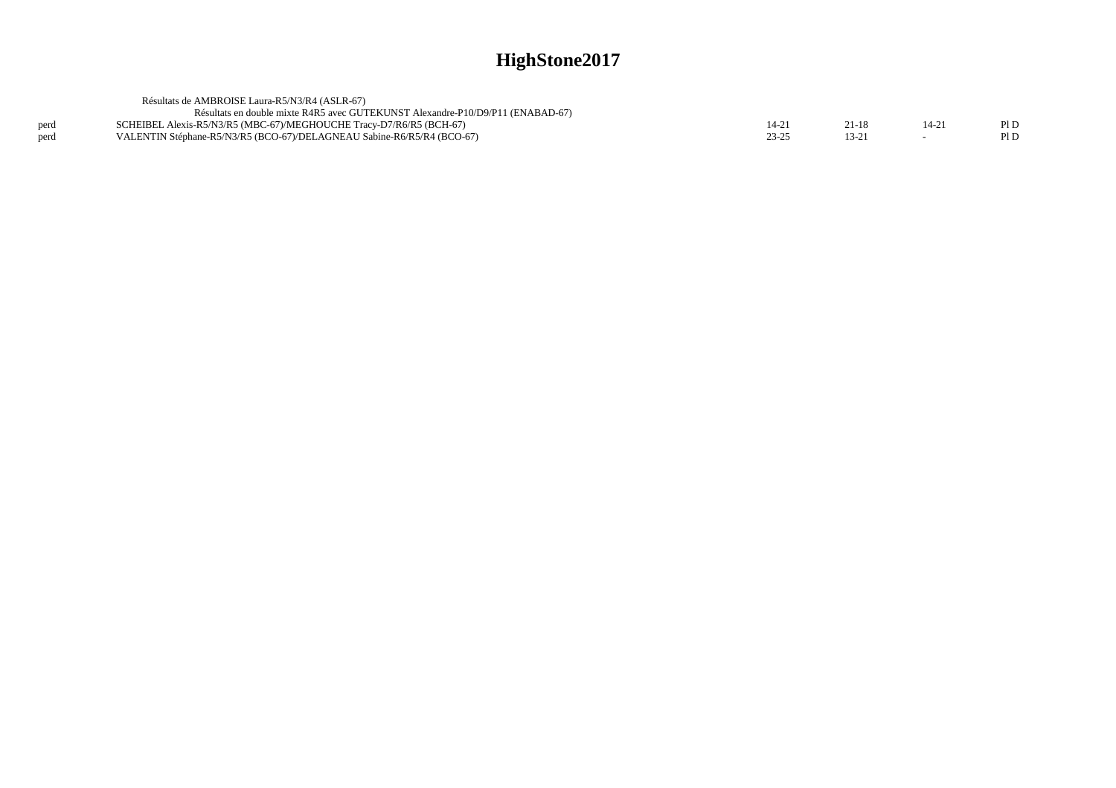|      | Résultats de AMBROISE Laura-R5/N3/R4 (ASLR-67)                                 |           |          |       |      |
|------|--------------------------------------------------------------------------------|-----------|----------|-------|------|
|      | Résultats en double mixte R4R5 avec GUTEKUNST Alexandre-P10/D9/P11 (ENABAD-67) |           |          |       |      |
| perd | SCHEIBEL Alexis-R5/N3/R5 (MBC-67)/MEGHOUCHE Tracy-D7/R6/R5 (BCH-67)            | $14 - 21$ | 21-18    | 14-21 | P1D  |
| perd | VALENTIN Stéphane-R5/N3/R5 (BCO-67)/DELAGNEAU Sabine-R6/R5/R4 (BCO-67)         | $23 - 25$ | $13 - 2$ |       | Pl D |
|      |                                                                                |           |          |       |      |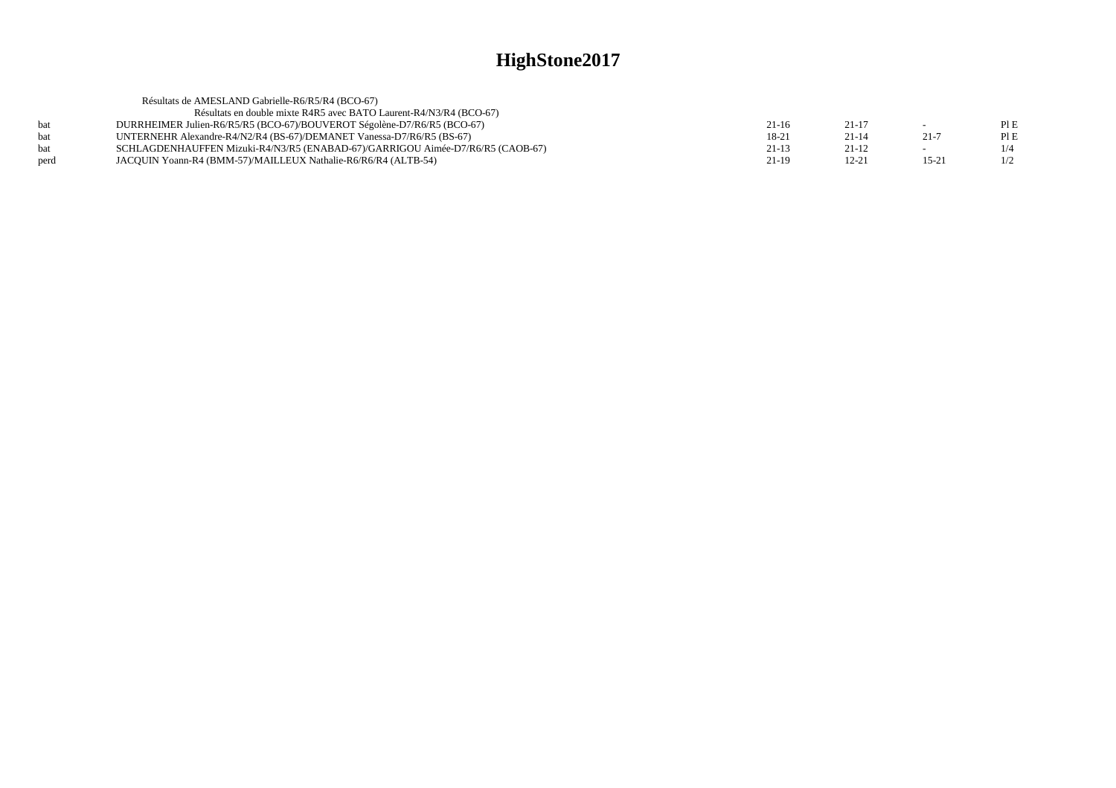|            | Résultats de AMESLAND Gabrielle-R6/R5/R4 (BCO-67)                              |         |           |           |     |
|------------|--------------------------------------------------------------------------------|---------|-----------|-----------|-----|
|            | Résultats en double mixte R4R5 avec BATO Laurent-R4/N3/R4 (BCO-67)             |         |           |           |     |
| bat        | DURRHEIMER Julien-R6/R5/R5 (BCO-67)/BOUVEROT Ségolène-D7/R6/R5 (BCO-67)        | 21-16   | $21 - 17$ |           | PIE |
| <b>bat</b> | UNTERNEHR Alexandre-R4/N2/R4 (BS-67)/DEMANET Vanessa-D7/R6/R5 (BS-67)          | 18-21   | $21 - 14$ | $21 - 7$  | PIE |
| bat        | SCHLAGDENHAUFFEN Mizuki-R4/N3/R5 (ENABAD-67)/GARRIGOU Aimée-D7/R6/R5 (CAOB-67) | $21-13$ | $21 - 12$ |           | 1/4 |
| perd       | JACQUIN Yoann-R4 (BMM-57)/MAILLEUX Nathalie-R6/R6/R4 (ALTB-54)                 | 21-19   | $12 - 21$ | $15 - 21$ | 1/2 |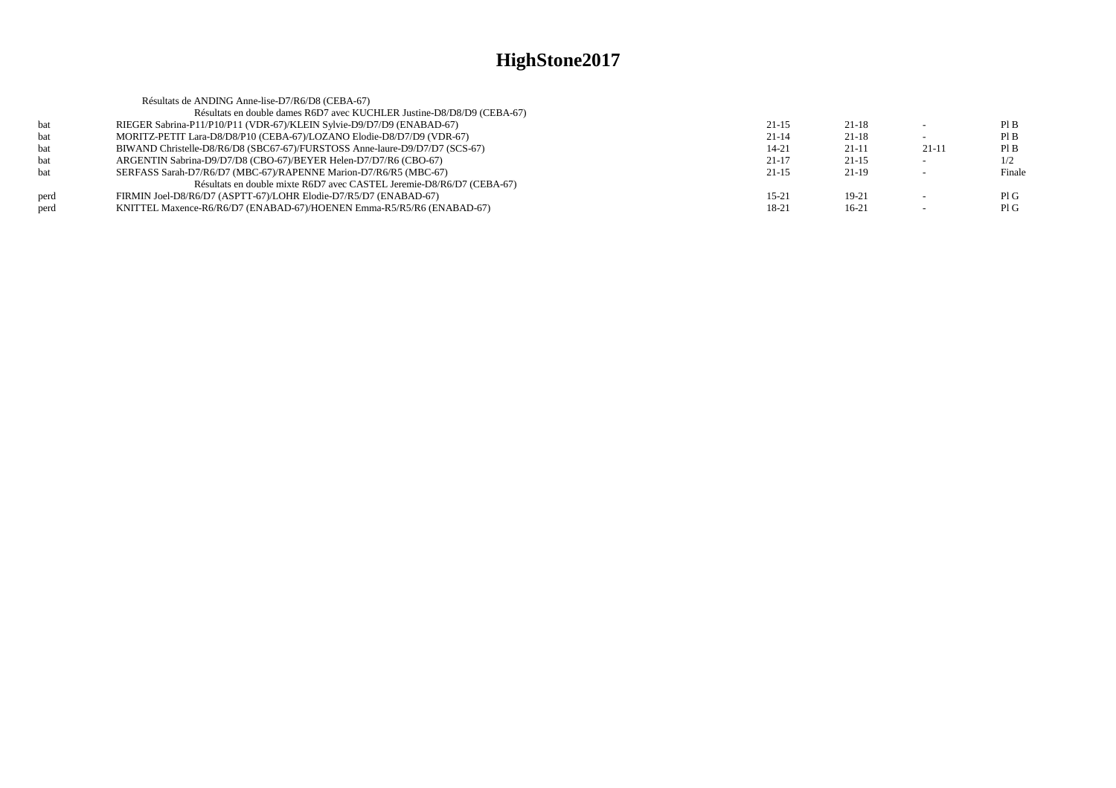|      | Résultats de ANDING Anne-lise-D7/R6/D8 (CEBA-67)                            |           |           |                          |        |
|------|-----------------------------------------------------------------------------|-----------|-----------|--------------------------|--------|
|      | Résultats en double dames R6D7 avec KUCHLER Justine-D8/D8/D9 (CEBA-67)      |           |           |                          |        |
| bat  | RIEGER Sabrina-P11/P10/P11 (VDR-67)/KLEIN Sylvie-D9/D7/D9 (ENABAD-67)       | $21-15$   | $21-18$   |                          | PIB    |
| bat  | MORITZ-PETIT Lara-D8/D8/P10 (CEBA-67)/LOZANO Elodie-D8/D7/D9 (VDR-67)       | $21 - 14$ | $21-18$   |                          | PIB    |
| bat  | BIWAND Christelle-D8/R6/D8 (SBC67-67)/FURSTOSS Anne-laure-D9/D7/D7 (SCS-67) | 14-21     | $21 - 11$ | $21-11$                  | PIB    |
| bat  | ARGENTIN Sabrina-D9/D7/D8 (CBO-67)/BEYER Helen-D7/D7/R6 (CBO-67)            | $21-17$   | $21 - 15$ |                          | 1/2    |
| bat  | SERFASS Sarah-D7/R6/D7 (MBC-67)/RAPENNE Marion-D7/R6/R5 (MBC-67)            | $21 - 15$ | $21-19$   | $\overline{\phantom{a}}$ | Finale |
|      | Résultats en double mixte R6D7 avec CASTEL Jeremie-D8/R6/D7 (CEBA-67)       |           |           |                          |        |
| perd | FIRMIN Joel-D8/R6/D7 (ASPTT-67)/LOHR Elodie-D7/R5/D7 (ENABAD-67)            | $15-21$   | 19-21     | $\overline{\phantom{a}}$ | PIG    |
| perd | KNITTEL Maxence-R6/R6/D7 (ENABAD-67)/HOENEN Emma-R5/R5/R6 (ENABAD-67)       | 18-21     | $16-21$   |                          | PIG    |
|      |                                                                             |           |           |                          |        |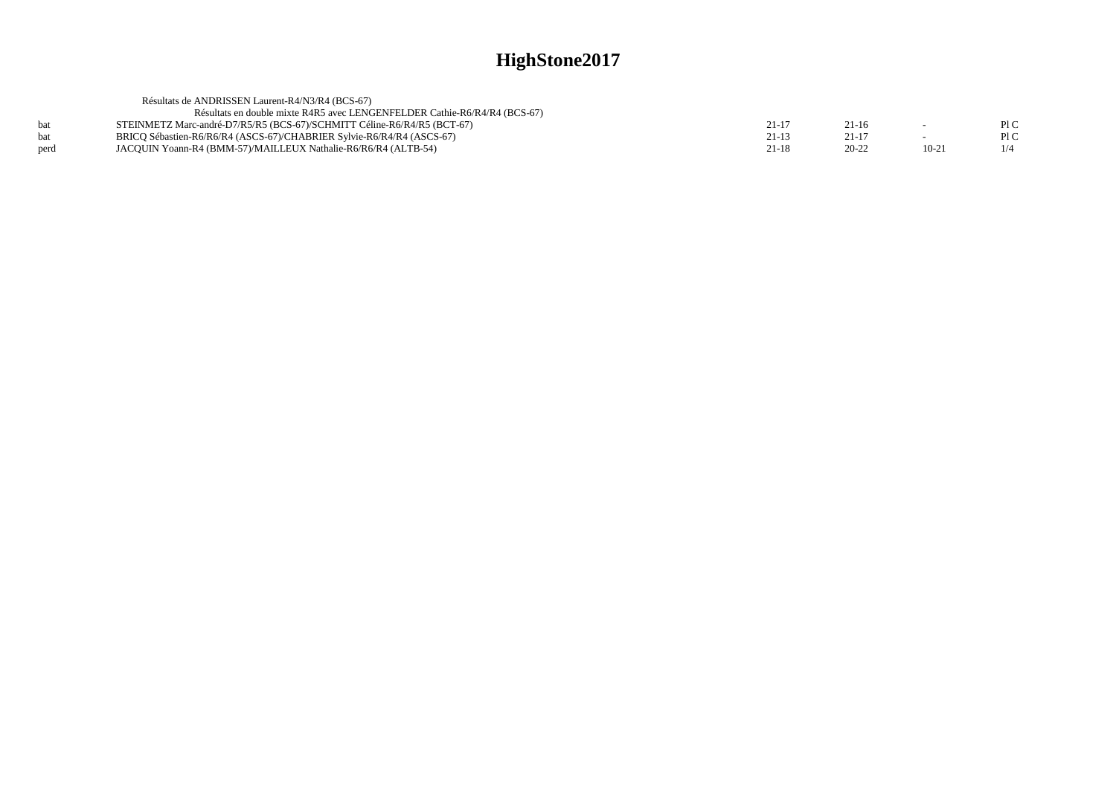|      | Résultats de ANDRISSEN Laurent-R4/N3/R4 (BCS-67)                          |       |           |           |     |
|------|---------------------------------------------------------------------------|-------|-----------|-----------|-----|
|      | Résultats en double mixte R4R5 avec LENGENFELDER Cathie-R6/R4/R4 (BCS-67) |       |           |           |     |
| bat  | STEINMETZ Marc-andré-D7/R5/R5 (BCS-67)/SCHMITT Céline-R6/R4/R5 (BCT-67)   | 21-17 | $21-16$   | $\sim$    | P1C |
| bat  | BRICO Sébastien-R6/R6/R4 (ASCS-67)/CHABRIER Sylvie-R6/R4/R4 (ASCS-67)     | 21-13 | 21-17     | $\sim$    | P1C |
| perd | JACOUIN Yoann-R4 (BMM-57)/MAILLEUX Nathalie-R6/R6/R4 (ALTB-54)            | 21-18 | $20 - 22$ | $10 - 21$ |     |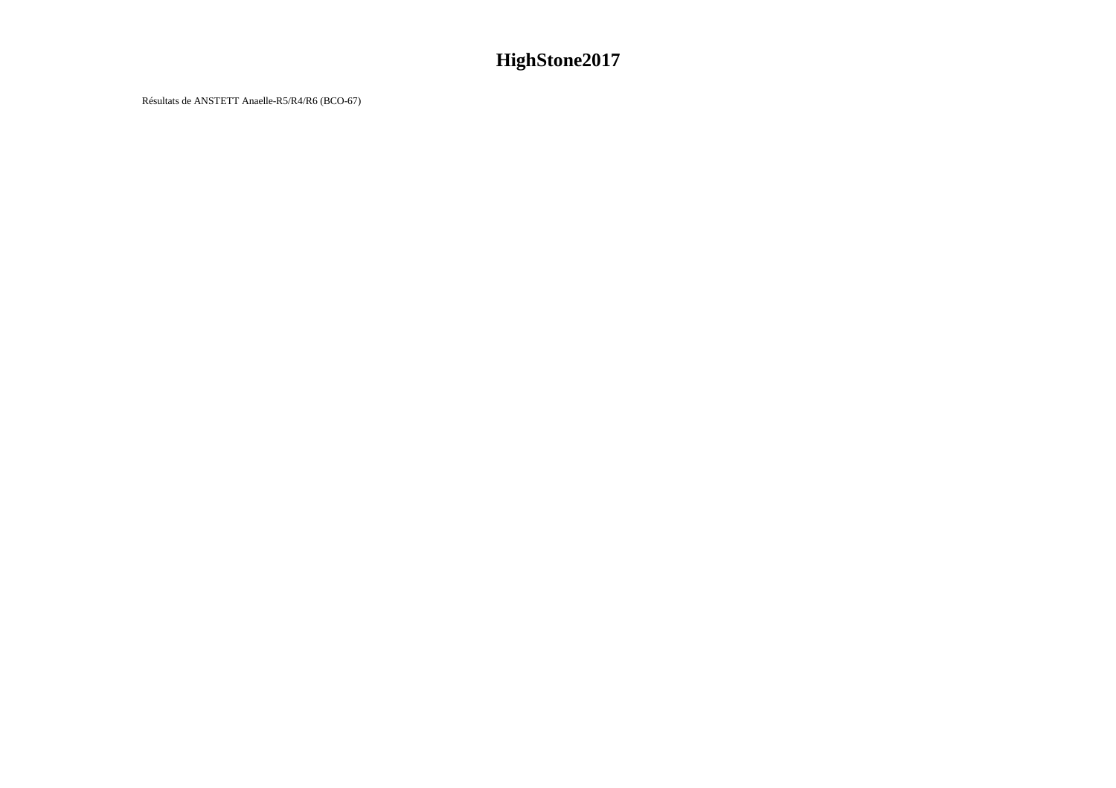Résultats de ANSTETT Anaelle-R5/R4/R6 (BCO-67)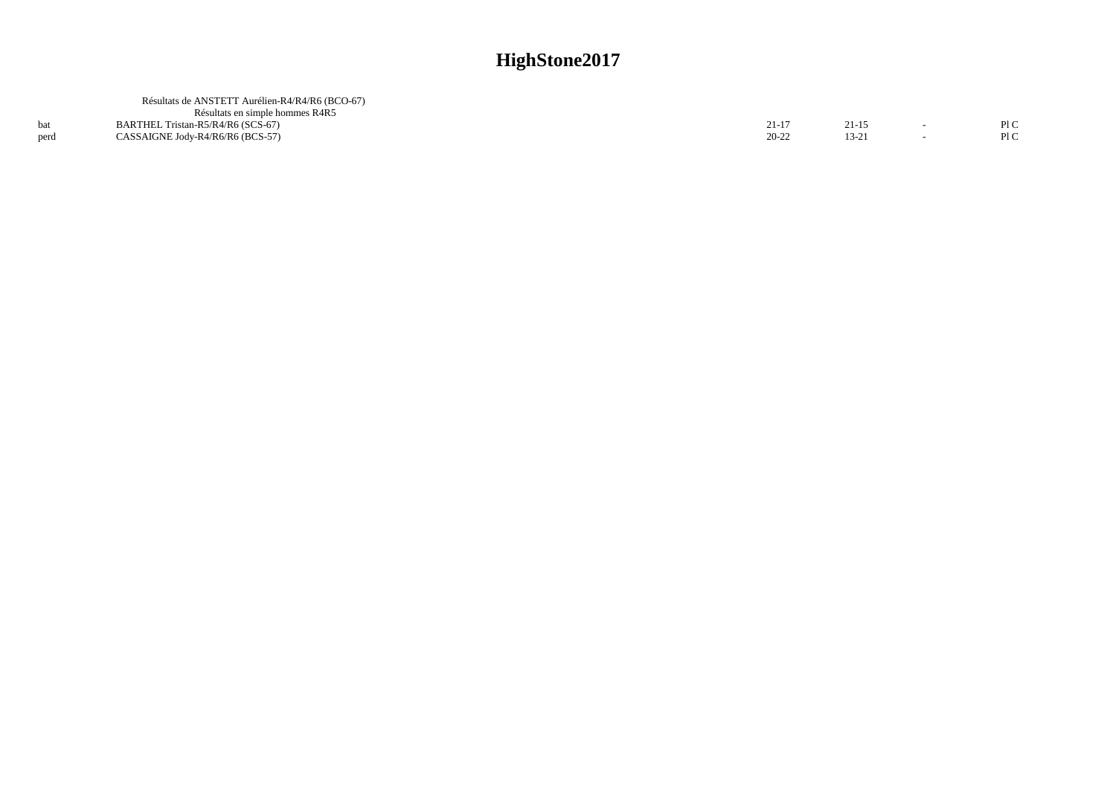|      | Résultats de ANSTETT Aurélien-R4/R4/R6 (BCO-67)<br>Résultats en simple hommes R4R5 |           |       |      |
|------|------------------------------------------------------------------------------------|-----------|-------|------|
|      | BARTHEL Tristan-R5/R4/R6 (SCS-67)                                                  | 21-17     | 21-15 | PI C |
| perd | CASSAIGNE Jody-R4/R6/R6 (BCS-57)                                                   | $20 - 22$ | 13-21 | P1C  |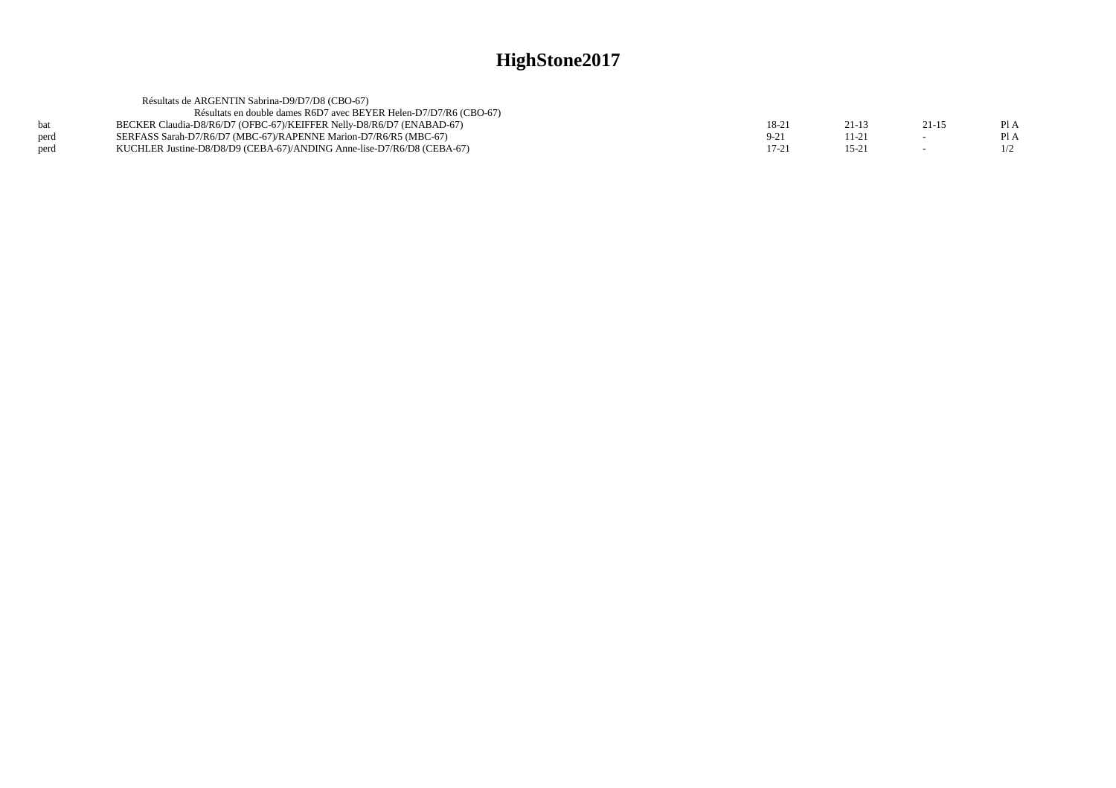| Résultats de ARGENTIN Sabrina-D9/D7/D8 (CBO-67)                        |          |       |           |      |
|------------------------------------------------------------------------|----------|-------|-----------|------|
| Résultats en double dames R6D7 avec BEYER Helen-D7/D7/R6 (CBO-67)      |          |       |           |      |
| BECKER Claudia-D8/R6/D7 (OFBC-67)/KEIFFER Nelly-D8/R6/D7 (ENABAD-67)   | 18-21    | 21-13 | $21 - 15$ | PIA  |
| SERFASS Sarah-D7/R6/D7 (MBC-67)/RAPENNE Marion-D7/R6/R5 (MBC-67)       | $9 - 21$ | 11-21 |           | Pl A |
| KUCHLER Justine-D8/D8/D9 (CEBA-67)/ANDING Anne-lise-D7/R6/D8 (CEBA-67) | 17-21    | 15-21 |           |      |
|                                                                        |          |       |           |      |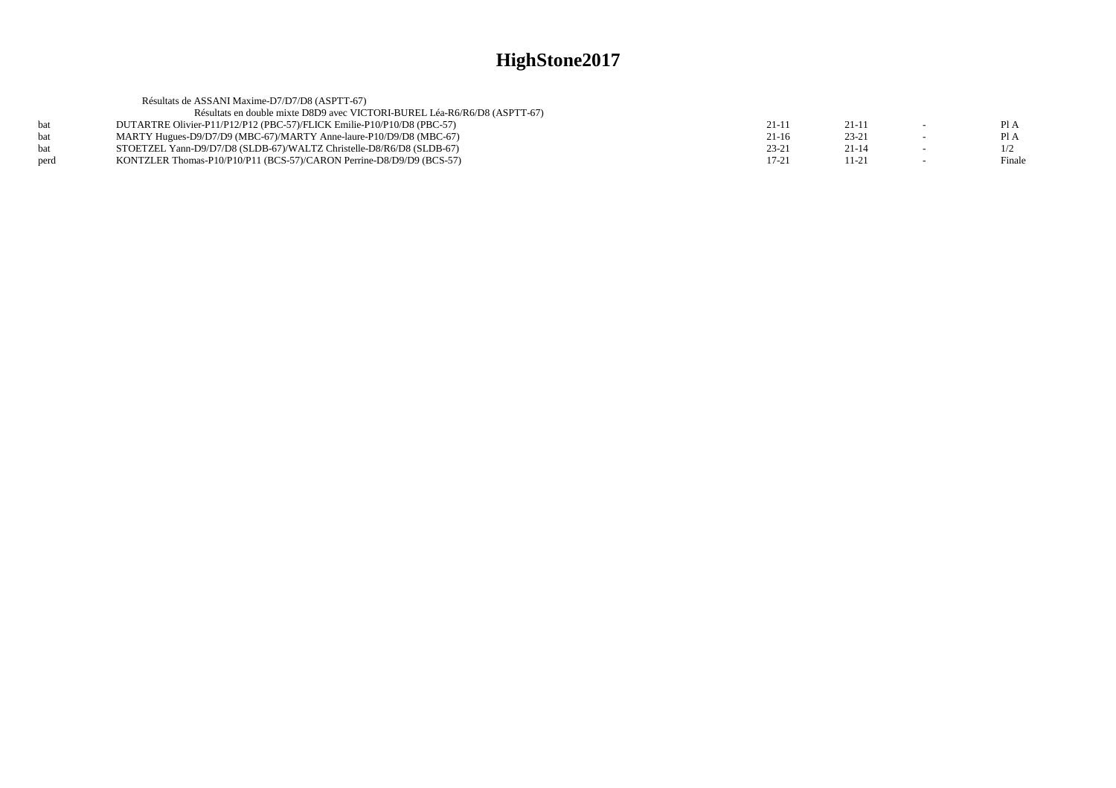|      | Résultats de ASSANI Maxime-D7/D7/D8 (ASPTT-67)                            |           |           |        |
|------|---------------------------------------------------------------------------|-----------|-----------|--------|
|      | Résultats en double mixte D8D9 avec VICTORI-BUREL Léa-R6/R6/D8 (ASPTT-67) |           |           |        |
| bat  | DUTARTRE Olivier-P11/P12/P12 (PBC-57)/FLICK Emilie-P10/P10/D8 (PBC-57)    | $21-1$    | $21 - 11$ | Pl A   |
| hat  | MARTY Hugues-D9/D7/D9 (MBC-67)/MARTY Anne-laure-P10/D9/D8 (MBC-67)        | $21-16$   | $23 - 21$ | Pl A   |
| bat  | STOETZEL Yann-D9/D7/D8 (SLDB-67)/WALTZ Christelle-D8/R6/D8 (SLDB-67)      | $23 - 21$ | $21 - 14$ |        |
| perd | KONTZLER Thomas-P10/P10/P11 (BCS-57)/CARON Perrine-D8/D9/D9 (BCS-57)      | $17 - 21$ | $11 - 21$ | Finale |
|      |                                                                           |           |           |        |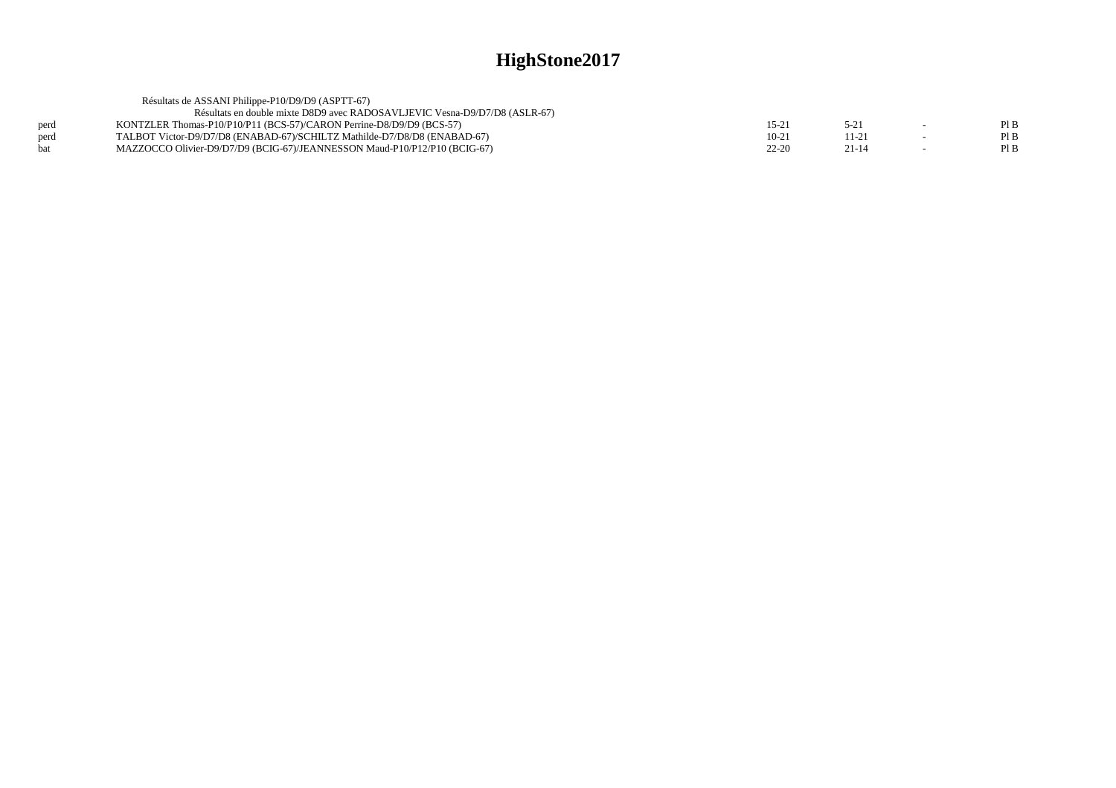|      | Résultats de ASSANI Philippe-P10/D9/D9 (ASPTT-67)                          |           |           |        |      |
|------|----------------------------------------------------------------------------|-----------|-----------|--------|------|
|      | Résultats en double mixte D8D9 avec RADOSAVLJEVIC Vesna-D9/D7/D8 (ASLR-67) |           |           |        |      |
| perd | KONTZLER Thomas-P10/P10/P11 (BCS-57)/CARON Perrine-D8/D9/D9 (BCS-57)       | 15-2      | $5 - 21$  | $\sim$ | Pl B |
| perd | TALBOT Victor-D9/D7/D8 (ENABAD-67)/SCHILTZ Mathilde-D7/D8/D8 (ENABAD-67)   | $10-21$   | 11-21     | $\sim$ | Pl B |
| hat  | MAZZOCCO Olivier-D9/D7/D9 (BCIG-67)/JEANNESSON Maud-P10/P12/P10 (BCIG-67)  | $22 - 20$ | $21 - 14$ |        | Pl B |
|      |                                                                            |           |           |        |      |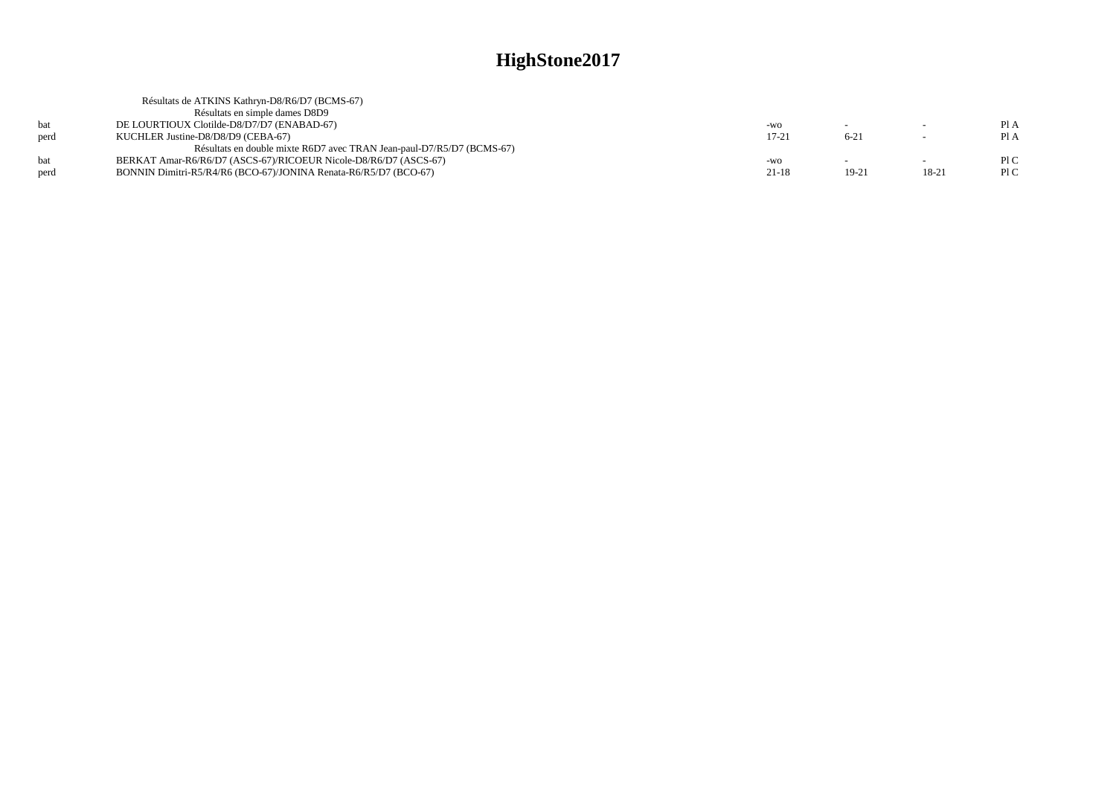|      | Résultats de ATKINS Kathryn-D8/R6/D7 (BCMS-67)                        |           |           |           |      |
|------|-----------------------------------------------------------------------|-----------|-----------|-----------|------|
|      | Résultats en simple dames D8D9                                        |           |           |           |      |
| hat  | DE LOURTIOUX Clotilde-D8/D7/D7 (ENABAD-67)                            | -WO       |           |           | Pl A |
| perd | KUCHLER Justine-D8/D8/D9 (CEBA-67)                                    | $17 - 21$ | $6 - 21$  |           | PIA  |
|      | Résultats en double mixte R6D7 avec TRAN Jean-paul-D7/R5/D7 (BCMS-67) |           |           |           |      |
| hat  | BERKAT Amar-R6/R6/D7 (ASCS-67)/RICOEUR Nicole-D8/R6/D7 (ASCS-67)      | $-WO$     |           |           | P1C  |
| perd | BONNIN Dimitri-R5/R4/R6 (BCO-67)/JONINA Renata-R6/R5/D7 (BCO-67)      | $21 - 18$ | $19 - 21$ | $18 - 21$ | PIC  |
|      |                                                                       |           |           |           |      |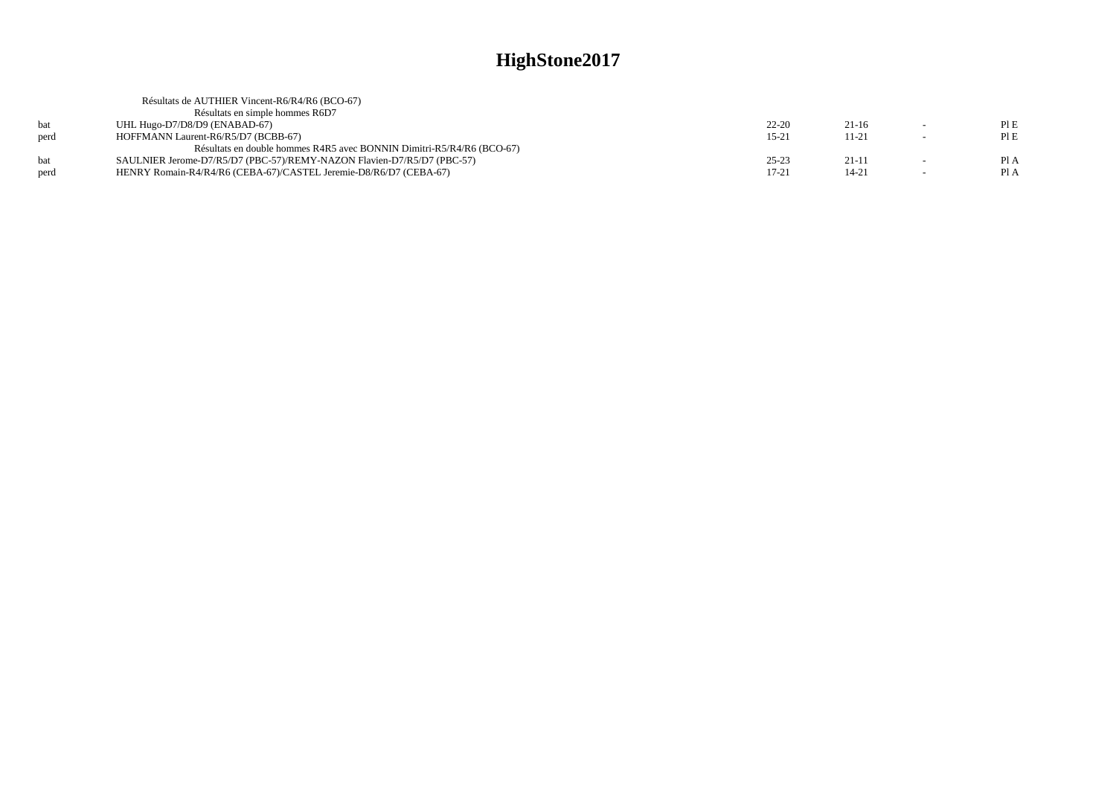|      | Résultats de AUTHIER Vincent-R6/R4/R6 (BCO-67)                         |           |           |        |      |
|------|------------------------------------------------------------------------|-----------|-----------|--------|------|
|      | Résultats en simple hommes R6D7                                        |           |           |        |      |
| bat  | UHL Hugo-D7/D8/D9 (ENABAD-67)                                          | $22 - 20$ | $21-16$   | $\sim$ | PIE  |
| perd | HOFFMANN Laurent-R6/R5/D7 (BCBB-67)                                    | $15 - 21$ | $11 - 21$ | $\sim$ | PIE  |
|      | Résultats en double hommes R4R5 avec BONNIN Dimitri-R5/R4/R6 (BCO-67)  |           |           |        |      |
| hat  | SAULNIER Jerome-D7/R5/D7 (PBC-57)/REMY-NAZON Flavien-D7/R5/D7 (PBC-57) | $25 - 23$ | $21-11$   |        | Pl A |
| perd | HENRY Romain-R4/R4/R6 (CEBA-67)/CASTEL Jeremie-D8/R6/D7 (CEBA-67)      | $17 - 21$ | $14 - 21$ | $\sim$ | Pl A |
|      |                                                                        |           |           |        |      |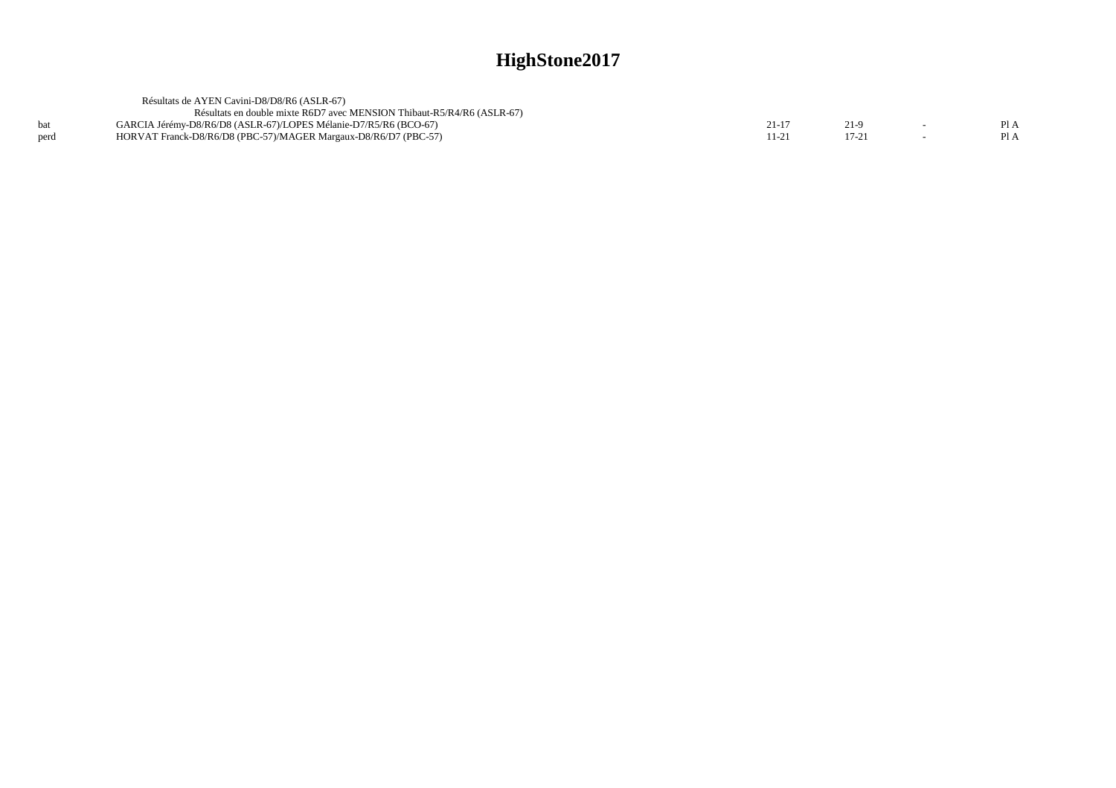|      | Résultats de AYEN Cavini-D8/D8/R6 (ASLR-67)                            |  |  |
|------|------------------------------------------------------------------------|--|--|
|      | Résultats en double mixte R6D7 avec MENSION Thibaut-R5/R4/R6 (ASLR-67) |  |  |
|      | GARCIA Jérémy-D8/R6/D8 (ASLR-67)/LOPES Mélanie-D7/R5/R6 (BCO-67)       |  |  |
| perd | HORVAT Franck-D8/R6/D8 (PBC-57)/MAGER Margaux-D8/R6/D7 (PBC-57)        |  |  |
|      |                                                                        |  |  |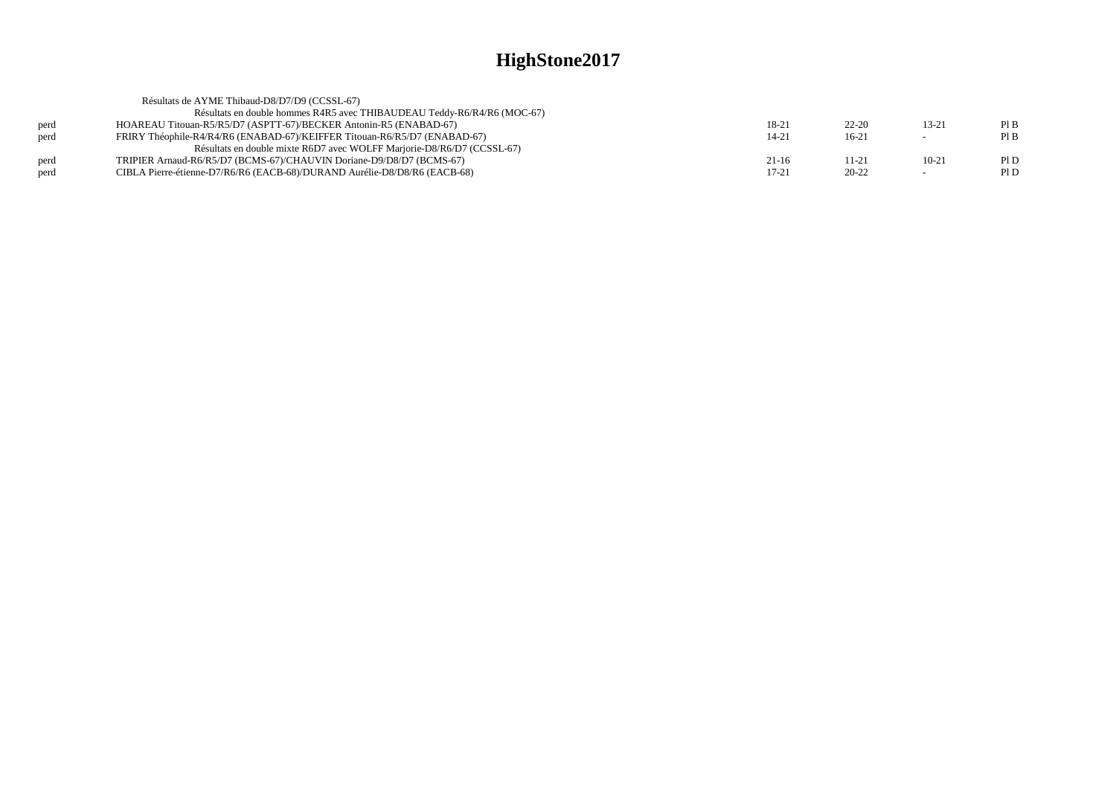| Résultats de AYME Thibaud-D8/D7/D9 (CCSSL-67)                             |           |           |                          |     |
|---------------------------------------------------------------------------|-----------|-----------|--------------------------|-----|
| Résultats en double hommes R4R5 avec THIBAUDEAU Teddy-R6/R4/R6 (MOC-67)   |           |           |                          |     |
| HOAREAU Titouan-R5/R5/D7 (ASPTT-67)/BECKER Antonin-R5 (ENABAD-67)         | 18-21     | $22 - 20$ | $13 - 21$                | PIB |
| FRIRY Théophile-R4/R4/R6 (ENABAD-67)/KEIFFER Titouan-R6/R5/D7 (ENABAD-67) | $14 - 21$ | $16-21$   | $\overline{\phantom{a}}$ | PIB |
| Résultats en double mixte R6D7 avec WOLFF Marjorie-D8/R6/D7 (CCSSL-67)    |           |           |                          |     |
| TRIPIER Arnaud-R6/R5/D7 (BCMS-67)/CHAUVIN Doriane-D9/D8/D7 (BCMS-67)      | 21-16     | 11-21     | $10 - 21$                | P1D |
| CIBLA Pierre-étienne-D7/R6/R6 (EACB-68)/DURAND Aurélie-D8/D8/R6 (EACB-68) | $17 - 21$ | $20 - 22$ | $\overline{\phantom{0}}$ | P1D |
|                                                                           |           |           |                          |     |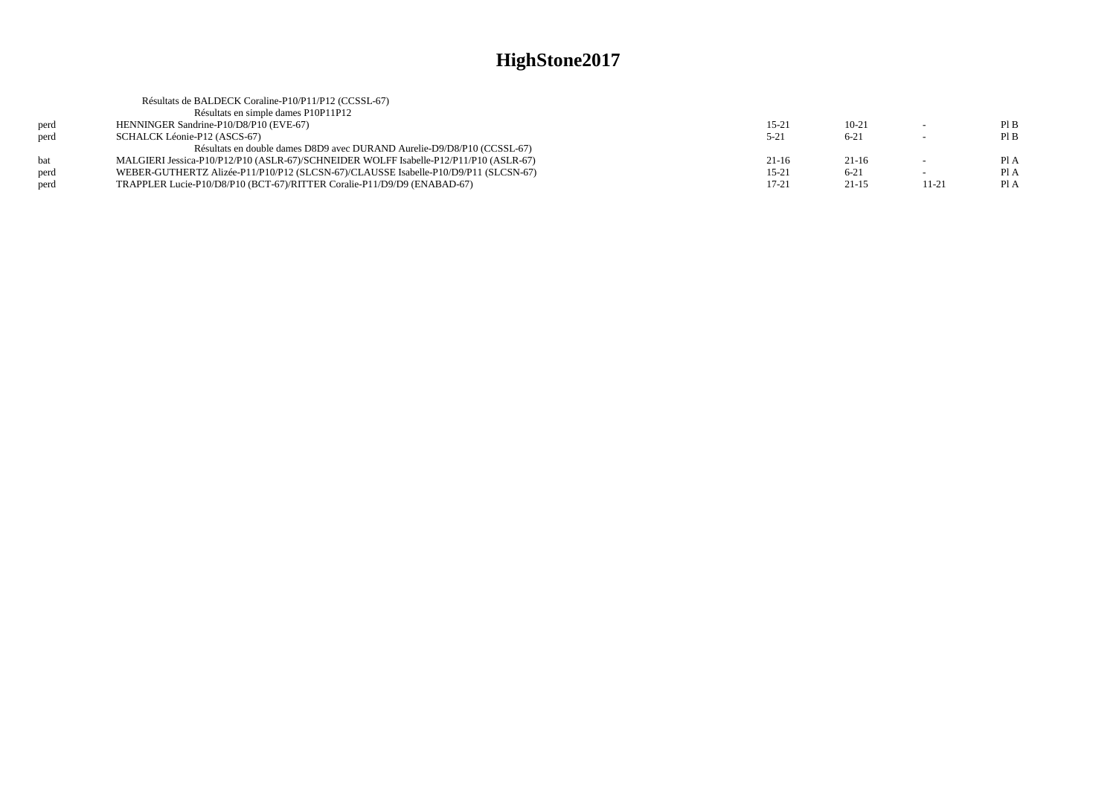|      | Résultats de BALDECK Coraline-P10/P11/P12 (CCSSL-67)                                  |           |           |       |      |
|------|---------------------------------------------------------------------------------------|-----------|-----------|-------|------|
|      | Résultats en simple dames P10P11P12                                                   |           |           |       |      |
| perd | HENNINGER Sandrine-P10/D8/P10 (EVE-67)                                                | $15 - 21$ | $10 - 21$ |       | PIB  |
| perd | SCHALCK Léonie-P12 (ASCS-67)                                                          | $5 - 21$  | $6 - 21$  |       | PIB  |
|      | Résultats en double dames D8D9 avec DURAND Aurelie-D9/D8/P10 (CCSSL-67)               |           |           |       |      |
| hat  | MALGIERI Jessica-P10/P12/P10 (ASLR-67)/SCHNEIDER WOLFF Isabelle-P12/P11/P10 (ASLR-67) | $21-16$   | $21-16$   |       | Pl A |
| perd | WEBER-GUTHERTZ Alizée-P11/P10/P12 (SLCSN-67)/CLAUSSE Isabelle-P10/D9/P11 (SLCSN-67)   | $15-21$   | $6 - 21$  |       | Pl A |
| perd | TRAPPLER Lucie-P10/D8/P10 (BCT-67)/RITTER Coralie-P11/D9/D9 (ENABAD-67)               | $17 - 21$ | $21 - 15$ | 11-21 | Pl A |
|      |                                                                                       |           |           |       |      |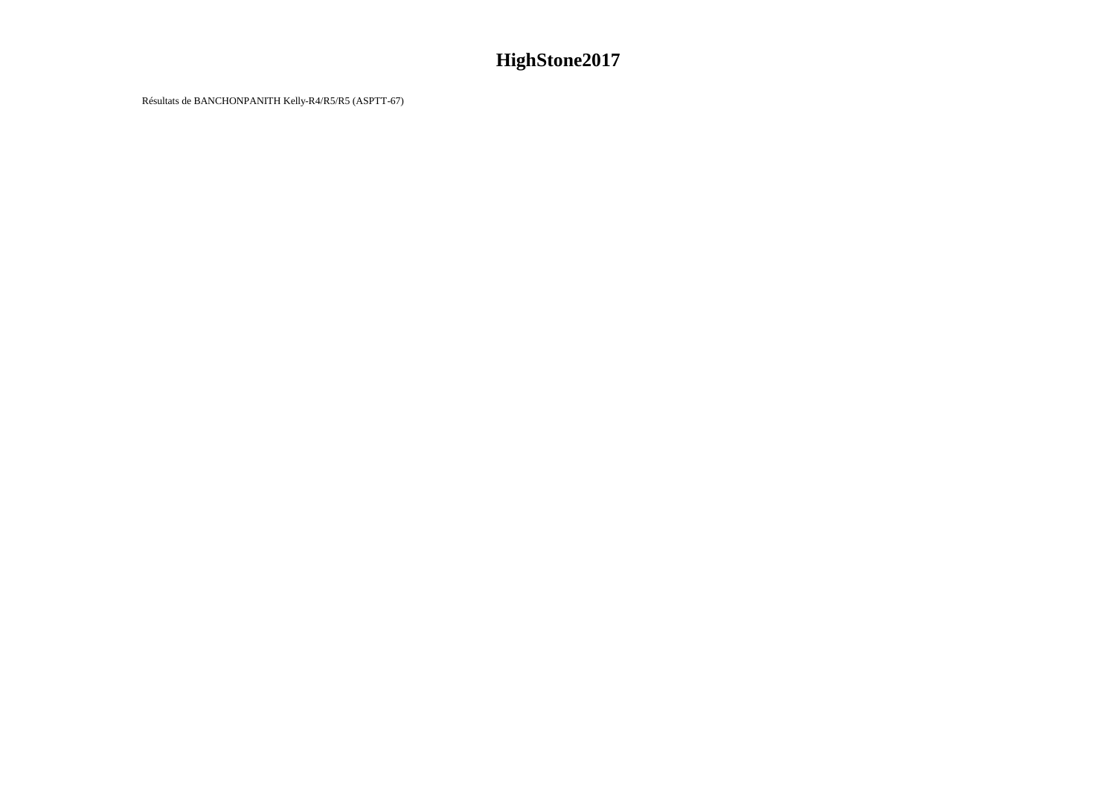Résultats de BANCHONPANITH Kelly-R4/R5/R5 (ASPTT-67)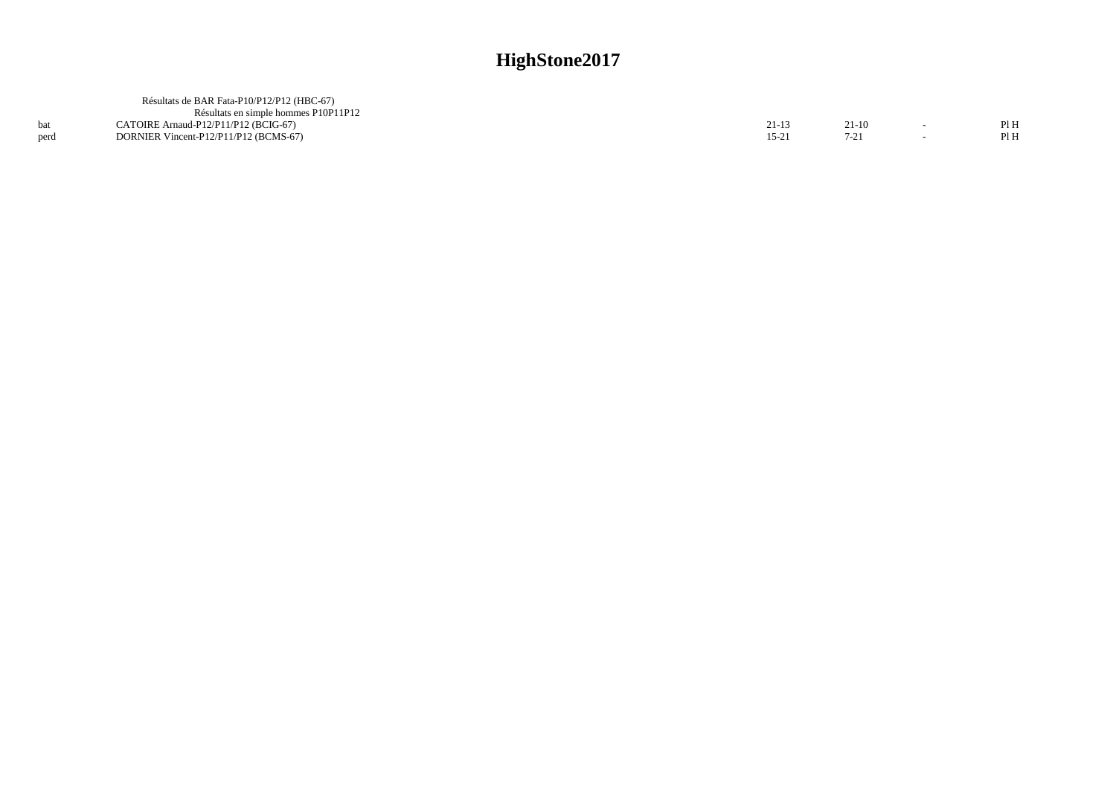|      | Résultats de BAR Fata-P10/P12/P12 (HBC-67) |      |         |      |
|------|--------------------------------------------|------|---------|------|
|      | Résultats en simple hommes P10P11P12       |      |         |      |
|      | CATOIRE Arnaud-P12/P11/P12 (BCIG-67)       |      | $21-10$ | Pl H |
| perd | DORNIER Vincent-P12/P11/P12 (BCMS-67)      | 15-2 |         | Pl H |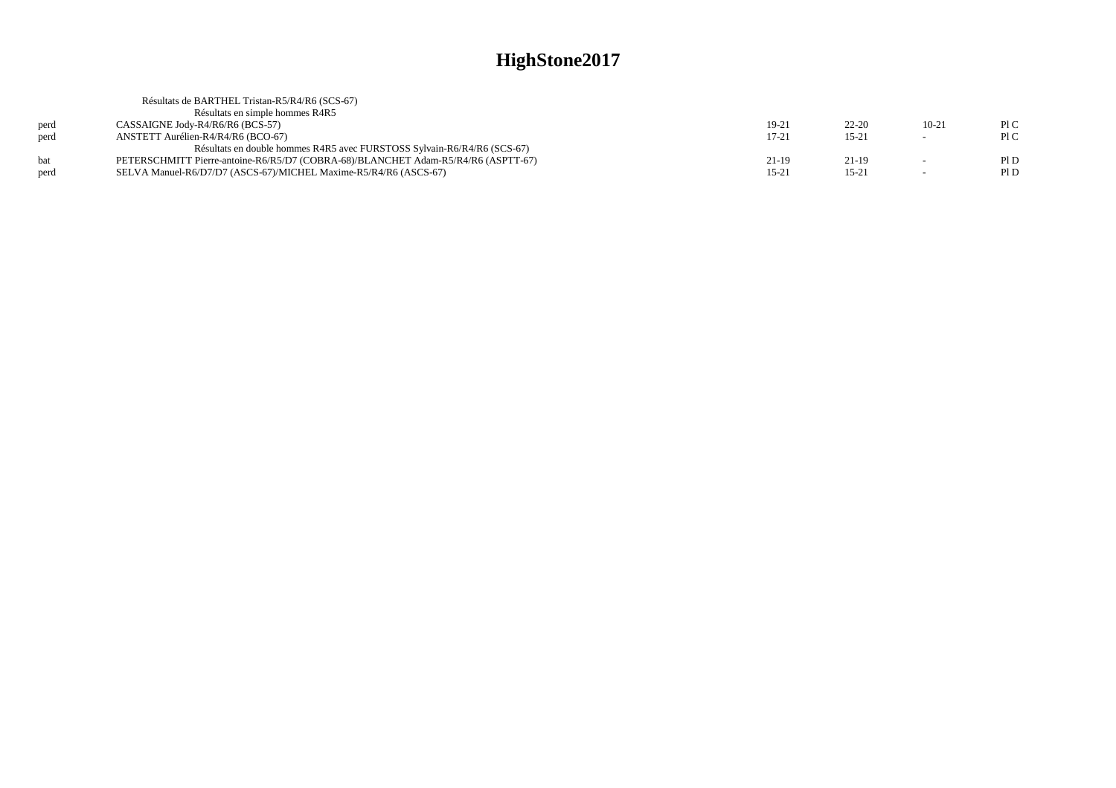| Résultats de BARTHEL Tristan-R5/R4/R6 (SCS-67)                                    |           |           |         |      |
|-----------------------------------------------------------------------------------|-----------|-----------|---------|------|
| Résultats en simple hommes R4R5                                                   |           |           |         |      |
| CASSAIGNE Jody-R4/R6/R6 (BCS-57)                                                  | 19-21     | $22 - 20$ | $10-21$ | PLC  |
| ANSTETT Aurélien-R4/R4/R6 (BCO-67)                                                | $17 - 21$ | $15 - 21$ | $\sim$  | PLC  |
| Résultats en double hommes R4R5 avec FURSTOSS Sylvain-R6/R4/R6 (SCS-67)           |           |           |         |      |
| PETERSCHMITT Pierre-antoine-R6/R5/D7 (COBRA-68)/BLANCHET Adam-R5/R4/R6 (ASPTT-67) | $21-19$   | 21-19     | $\sim$  | Pl D |
| SELVA Manuel-R6/D7/D7 (ASCS-67)/MICHEL Maxime-R5/R4/R6 (ASCS-67)                  | $15 - 21$ | $15 - 21$ | $\sim$  | P1D  |
|                                                                                   |           |           |         |      |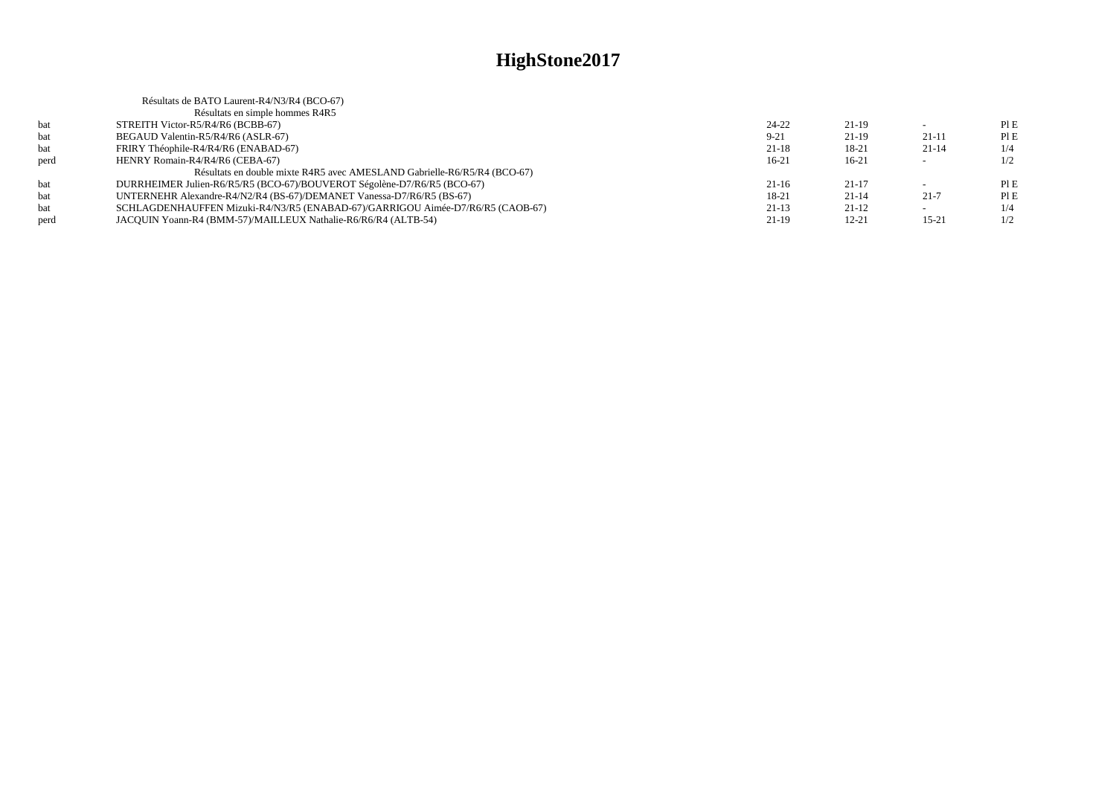|      | Résultats de BATO Laurent-R4/N3/R4 (BCO-67)                                    |           |           |                          |     |
|------|--------------------------------------------------------------------------------|-----------|-----------|--------------------------|-----|
|      | Résultats en simple hommes R4R5                                                |           |           |                          |     |
| bat  | STREITH Victor-R5/R4/R6 (BCBB-67)                                              | 24-22     | $21-19$   |                          | PIE |
| bat  | BEGAUD Valentin-R5/R4/R6 (ASLR-67)                                             | $9 - 21$  | $21-19$   | $21-11$                  | PIE |
| bat  | FRIRY Théophile-R4/R4/R6 (ENABAD-67)                                           | $21 - 18$ | 18-21     | $21-14$                  | 1/4 |
| perd | HENRY Romain-R4/R4/R6 (CEBA-67)                                                | $16-21$   | $16-21$   | $\overline{\phantom{0}}$ | 1/2 |
|      | Résultats en double mixte R4R5 avec AMESLAND Gabrielle-R6/R5/R4 (BCO-67)       |           |           |                          |     |
| bat  | DURRHEIMER Julien-R6/R5/R5 (BCO-67)/BOUVEROT Ségolène-D7/R6/R5 (BCO-67)        | $21-16$   | $21 - 17$ |                          | PIE |
| bat  | UNTERNEHR Alexandre-R4/N2/R4 (BS-67)/DEMANET Vanessa-D7/R6/R5 (BS-67)          | 18-21     | $21 - 14$ | $21 - 7$                 | PIE |
| bat  | SCHLAGDENHAUFFEN Mizuki-R4/N3/R5 (ENABAD-67)/GARRIGOU Aimée-D7/R6/R5 (CAOB-67) | $21-13$   | $21-12$   |                          | 1/4 |
| perd | JACOUIN Yoann-R4 (BMM-57)/MAILLEUX Nathalie-R6/R6/R4 (ALTB-54)                 | 21-19     | $12 - 21$ | $15 - 21$                | 1/2 |
|      |                                                                                |           |           |                          |     |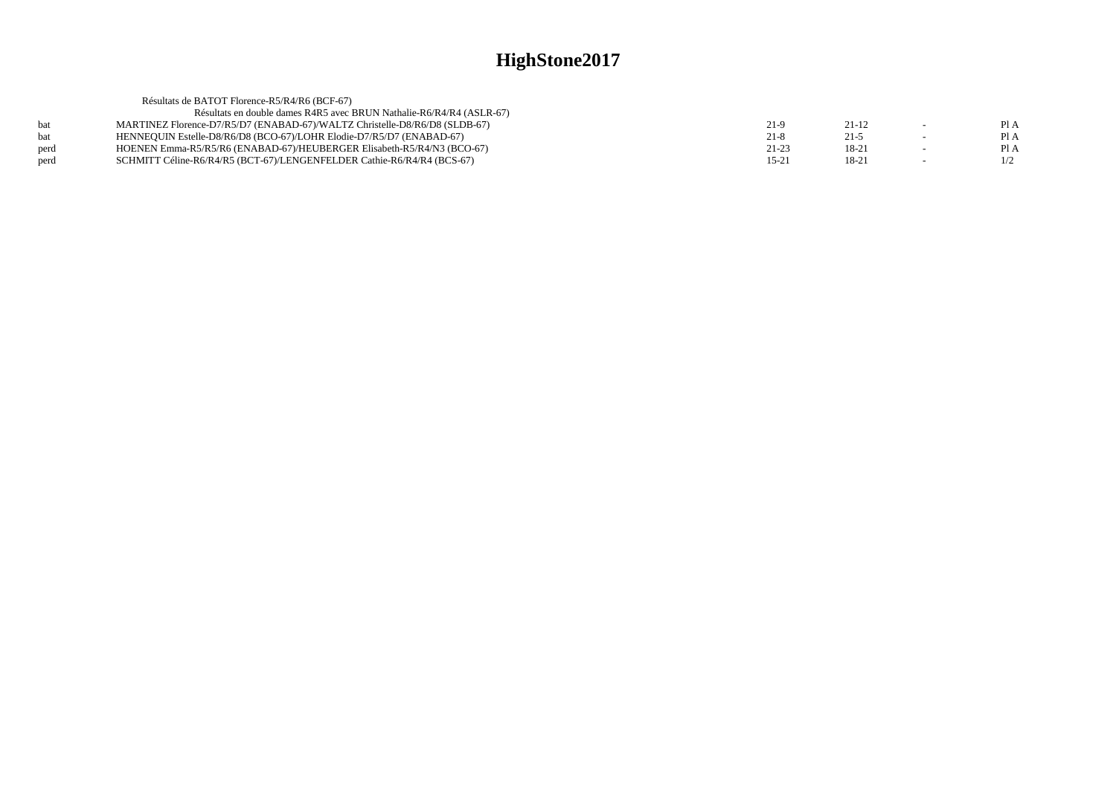|      | Résultats de BATOT Florence-R5/R4/R6 (BCF-67)                              |           |           |                          |      |
|------|----------------------------------------------------------------------------|-----------|-----------|--------------------------|------|
|      | Résultats en double dames R4R5 avec BRUN Nathalie-R6/R4/R4 (ASLR-67)       |           |           |                          |      |
| hat  | MARTINEZ Florence-D7/R5/D7 (ENABAD-67)/WALTZ Christelle-D8/R6/D8 (SLDB-67) | 21-9      | $21 - 12$ | $\overline{\phantom{0}}$ | Pl A |
| bat  | HENNEQUIN Estelle-D8/R6/D8 (BCO-67)/LOHR Elodie-D7/R5/D7 (ENABAD-67)       | $21 - 8$  | $21 - 5$  |                          | Pl A |
| perd | HOENEN Emma-R5/R5/R6 (ENABAD-67)/HEUBERGER Elisabeth-R5/R4/N3 (BCO-67)     | $21 - 23$ | 18-21     |                          | Pl A |
| perd | SCHMITT Céline-R6/R4/R5 (BCT-67)/LENGENFELDER Cathie-R6/R4/R4 (BCS-67)     | $15 - 21$ | 18-21     | $\overline{\phantom{0}}$ | 1/2  |
|      |                                                                            |           |           |                          |      |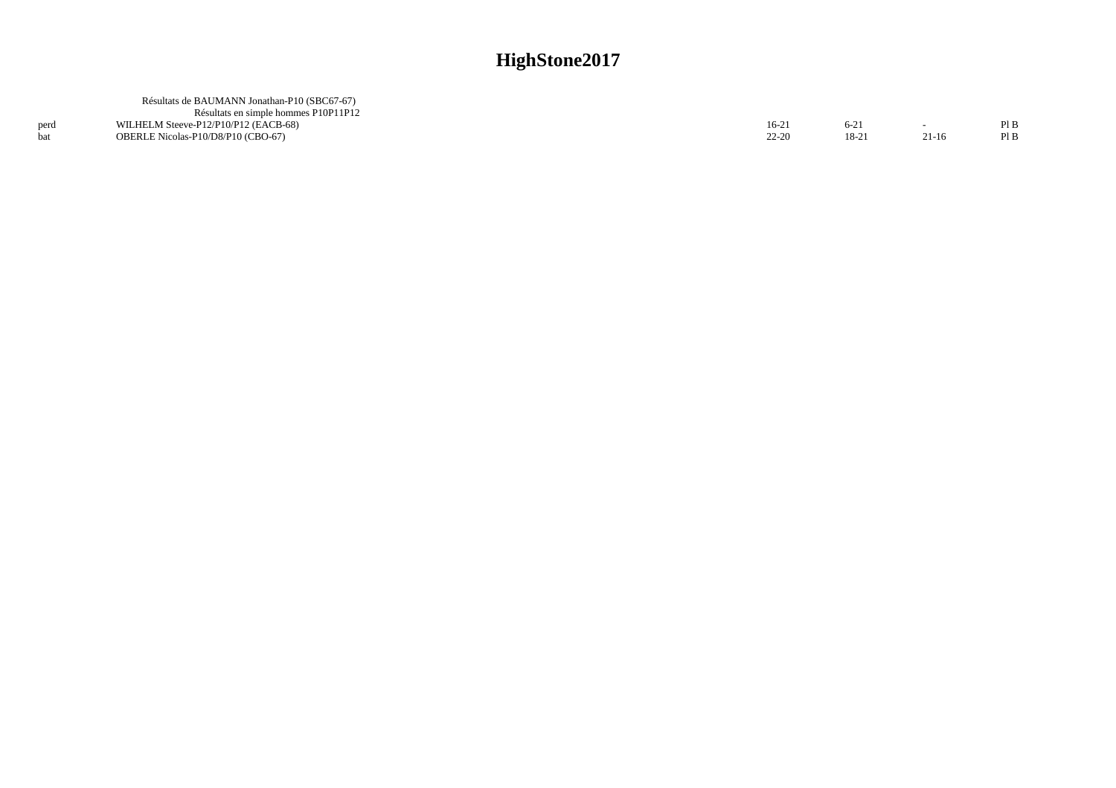|      | Résultats de BAUMANN Jonathan-P10 (SBC67-67) |           |          |         |  |
|------|----------------------------------------------|-----------|----------|---------|--|
|      | Résultats en simple hommes P10P11P12         |           |          |         |  |
| perd | WILHELM Steeve-P12/P10/P12 (EACB-68)         | $16-2$    | $6 - 21$ |         |  |
|      | OBERLE Nicolas-P10/D8/P10 (CBO-67)           | $22 - 20$ | 18-21    | $21-16$ |  |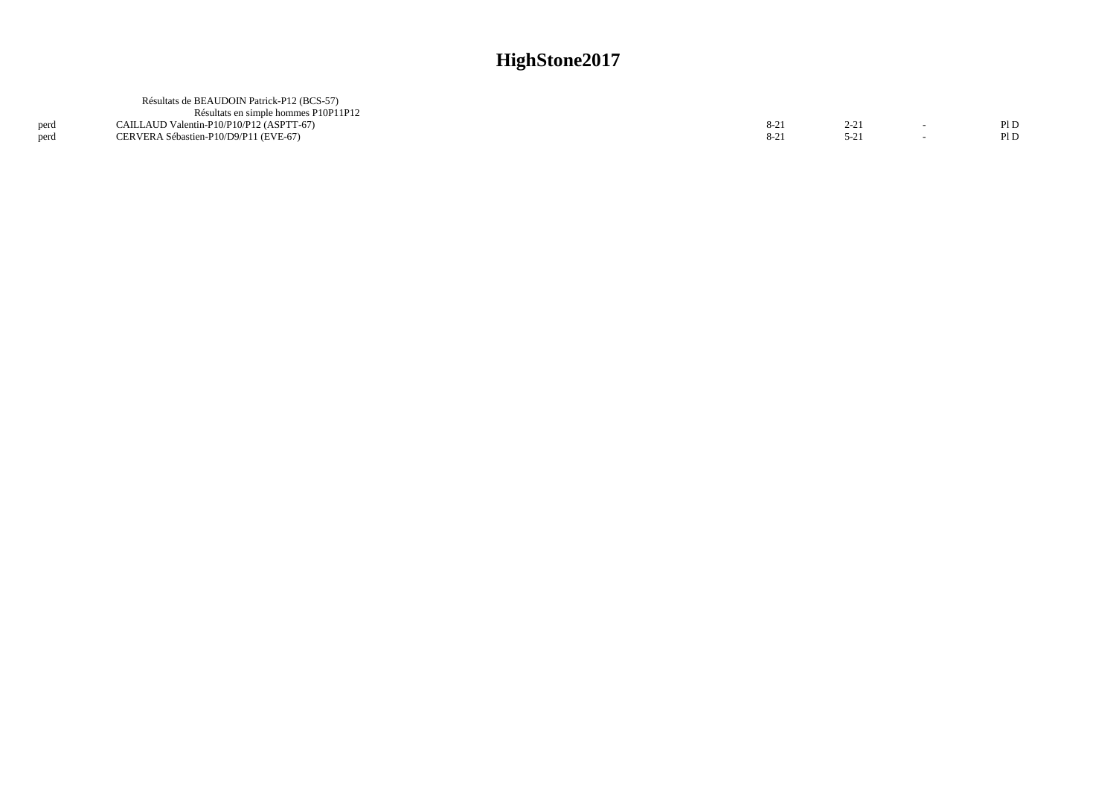|              | Résultats de BEAUDOIN Patrick-P12 (BCS-57)<br>Résultats en simple hommes P10P11P12 |        |      |        |              |
|--------------|------------------------------------------------------------------------------------|--------|------|--------|--------------|
| perd<br>nerd | CAILLAUD Valentin-P10/P10/P12 (ASPTT-67)<br>CERVERA Sébastien-P10/D9/P11 (EVE-67)  | $8-21$ | 2.21 | $\sim$ | Pl D<br>Pl D |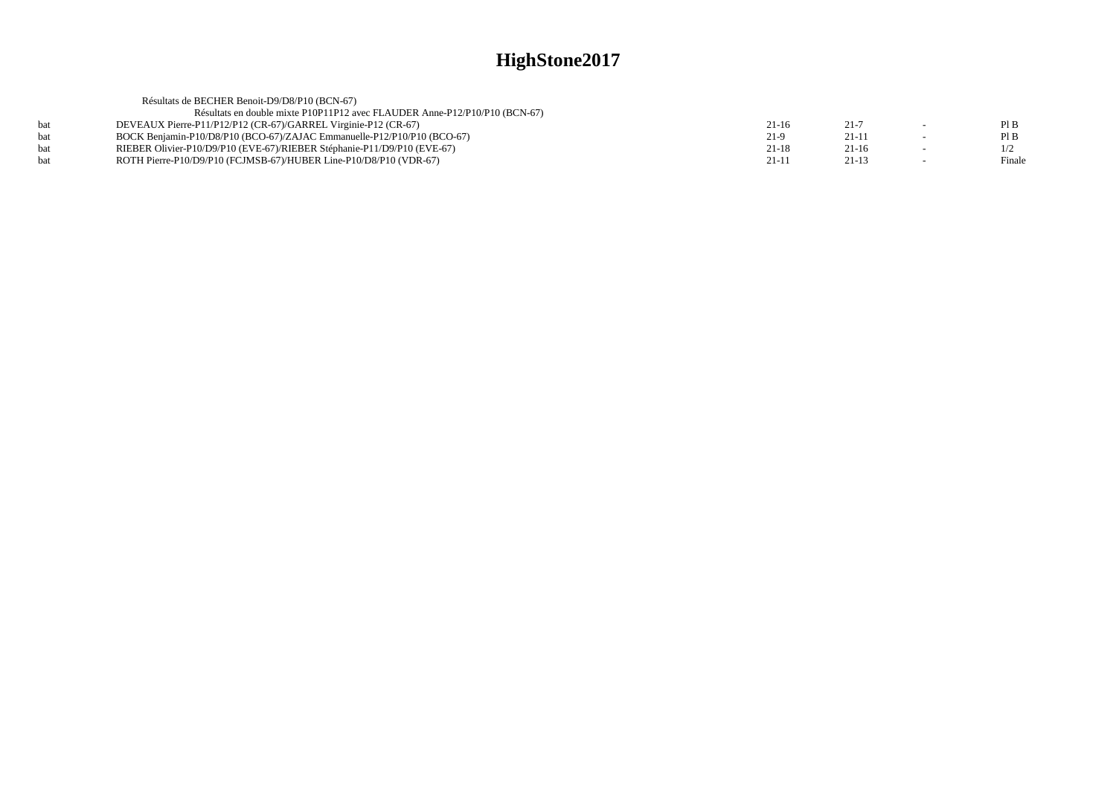|     | Résultats de BECHER Benoit-D9/D8/P10 (BCN-67)                              |         |          |        |
|-----|----------------------------------------------------------------------------|---------|----------|--------|
|     | Résultats en double mixte P10P11P12 avec FLAUDER Anne-P12/P10/P10 (BCN-67) |         |          |        |
| hat | DEVEAUX Pierre-P11/P12/P12 (CR-67)/GARREL Virginie-P12 (CR-67)             | $21-16$ | $21 - 7$ | PIB    |
| bat | BOCK Benjamin-P10/D8/P10 (BCO-67)/ZAJAC Emmanuelle-P12/P10/P10 (BCO-67)    | 21-9    | 21-11    | PIB    |
| hat | RIEBER Olivier-P10/D9/P10 (EVE-67)/RIEBER Stéphanie-P11/D9/P10 (EVE-67)    | $21-18$ | $21-16$  | 1/2    |
| hat | ROTH Pierre-P10/D9/P10 (FCJMSB-67)/HUBER Line-P10/D8/P10 (VDR-67)          | $21-11$ | $21-13$  | Finale |
|     |                                                                            |         |          |        |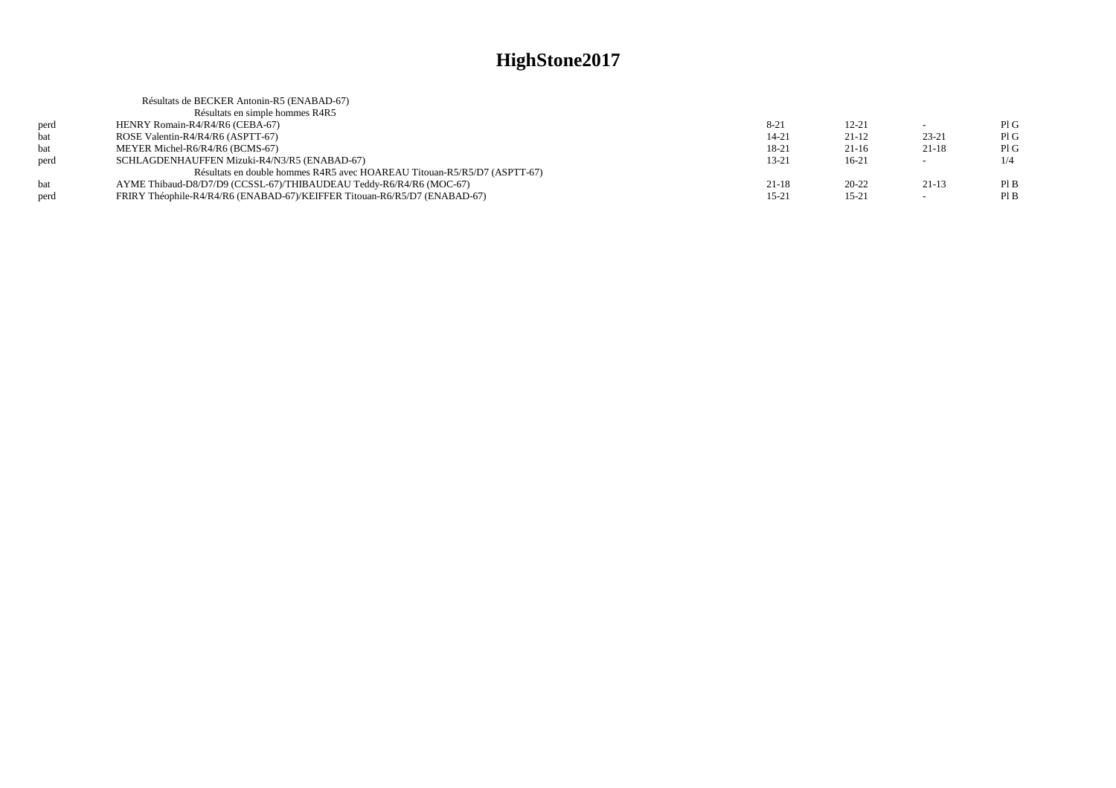|      | Résultats de BECKER Antonin-R5 (ENABAD-67)                                |           |           |                          |     |
|------|---------------------------------------------------------------------------|-----------|-----------|--------------------------|-----|
|      | Résultats en simple hommes R4R5                                           |           |           |                          |     |
| perd | HENRY Romain-R4/R4/R6 (CEBA-67)                                           | $8-21$    | $12 - 21$ |                          | PIG |
| bat  | ROSE Valentin-R4/R4/R6 (ASPTT-67)                                         | $14 - 21$ | $21-12$   | $23 - 21$                | PIG |
| bat  | MEYER Michel-R6/R4/R6 (BCMS-67)                                           | 18-21     | $21-16$   | $21-18$                  | PIG |
| perd | SCHLAGDENHAUFFEN Mizuki-R4/N3/R5 (ENABAD-67)                              | $13 - 21$ | $16-21$   | $\sim$                   | 1/4 |
|      | Résultats en double hommes R4R5 avec HOAREAU Titouan-R5/R5/D7 (ASPTT-67)  |           |           |                          |     |
| bat  | AYME Thibaud-D8/D7/D9 (CCSSL-67)/THIBAUDEAU Teddy-R6/R4/R6 (MOC-67)       | $21 - 18$ | $20 - 22$ | $21-13$                  | PIB |
| perd | FRIRY Théophile-R4/R4/R6 (ENABAD-67)/KEIFFER Titouan-R6/R5/D7 (ENABAD-67) | $15-21$   | $15 - 21$ | $\overline{\phantom{a}}$ | PIB |
|      |                                                                           |           |           |                          |     |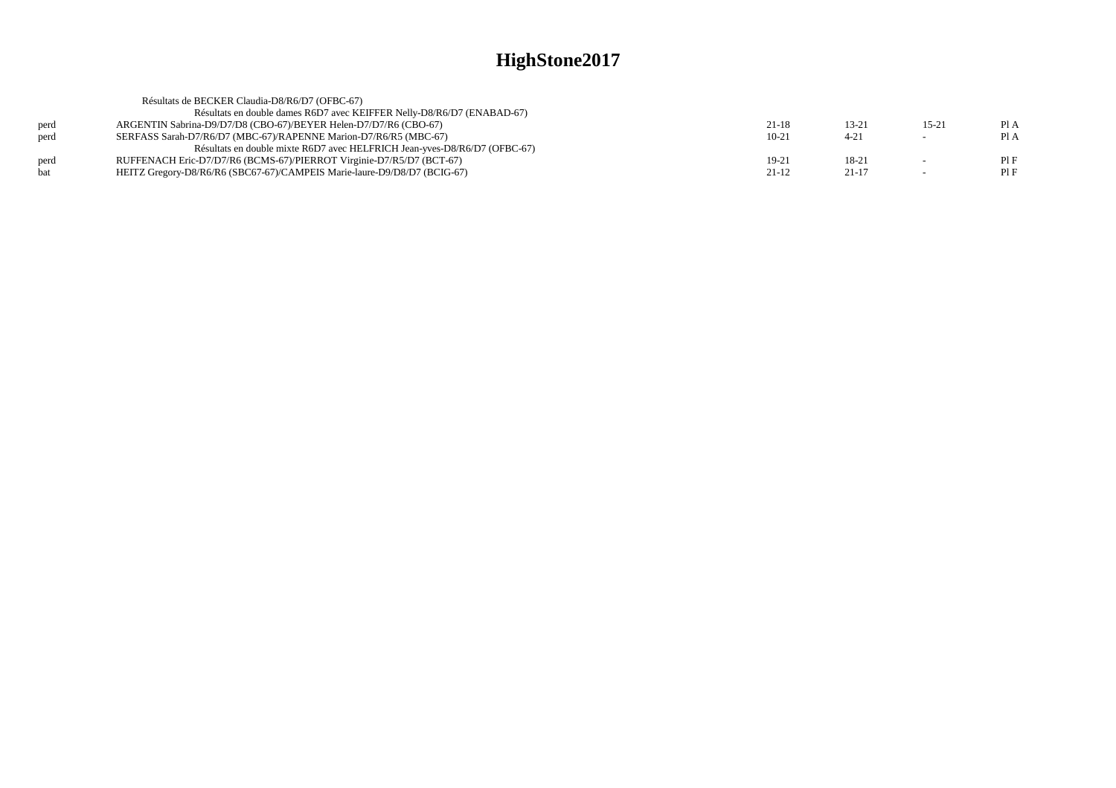|      | Résultats de BECKER Claudia-D8/R6/D7 (OFBC-67)                            |           |           |           |      |
|------|---------------------------------------------------------------------------|-----------|-----------|-----------|------|
|      | Résultats en double dames R6D7 avec KEIFFER Nelly-D8/R6/D7 (ENABAD-67)    |           |           |           |      |
| perd | ARGENTIN Sabrina-D9/D7/D8 (CBO-67)/BEYER Helen-D7/D7/R6 (CBO-67)          | 21-18     | 13-21     | $15 - 21$ | PIA  |
| perd | SERFASS Sarah-D7/R6/D7 (MBC-67)/RAPENNE Marion-D7/R6/R5 (MBC-67)          | $10 - 21$ | $4 - 21$  | $\sim$    | Pl A |
|      | Résultats en double mixte R6D7 avec HELFRICH Jean-yves-D8/R6/D7 (OFBC-67) |           |           |           |      |
| perd | RUFFENACH Eric-D7/D7/R6 (BCMS-67)/PIERROT Virginie-D7/R5/D7 (BCT-67)      | 19-21     | 18-21     |           | PIF  |
| hat  | HEITZ Gregory-D8/R6/R6 (SBC67-67)/CAMPEIS Marie-laure-D9/D8/D7 (BCIG-67)  | $21-12$   | $21 - 17$ | $\sim$    | PIF  |
|      |                                                                           |           |           |           |      |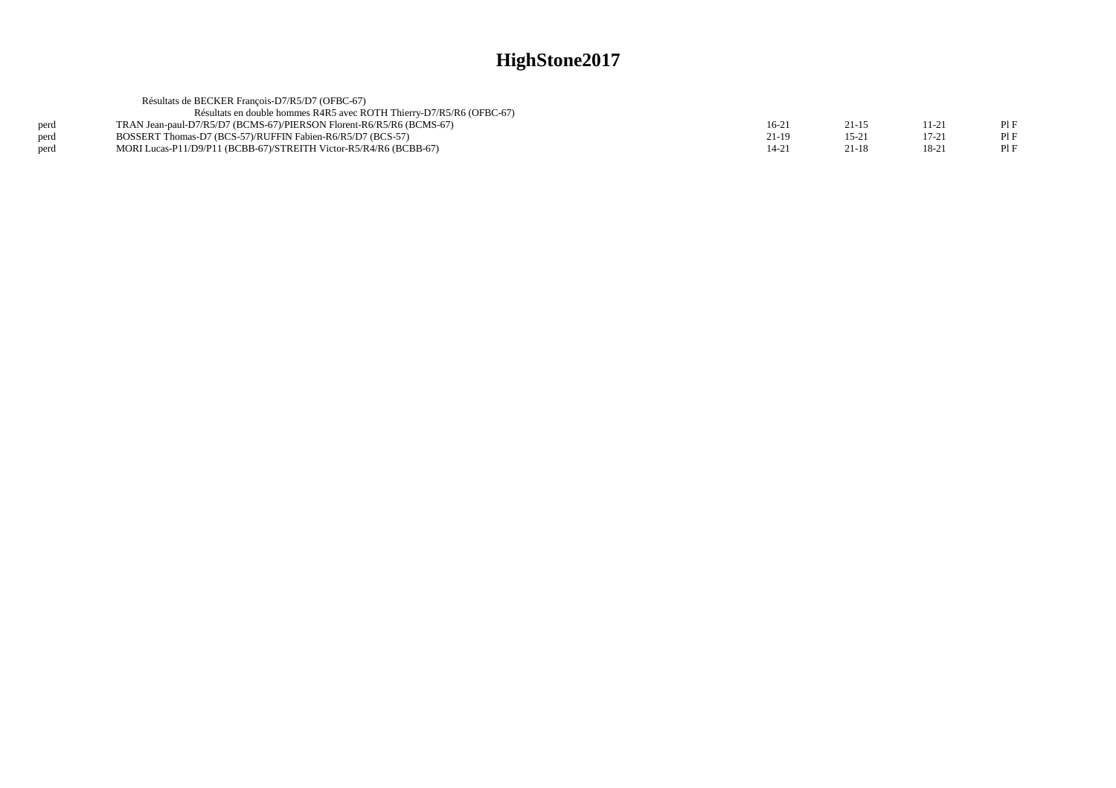|      | Résultats de BECKER François-D7/R5/D7 (OFBC-67)                      |         |          |       |     |
|------|----------------------------------------------------------------------|---------|----------|-------|-----|
|      | Résultats en double hommes R4R5 avec ROTH Thierry-D7/R5/R6 (OFBC-67) |         |          |       |     |
| perd | TRAN Jean-paul-D7/R5/D7 (BCMS-67)/PIERSON Florent-R6/R5/R6 (BCMS-67) | $16-21$ | 21-15    | 11-21 | PIF |
| perd | BOSSERT Thomas-D7 (BCS-57)/RUFFIN Fabien-R6/R5/D7 (BCS-57)           | 21-19   | $15 - 2$ | 17-21 | PIF |
| perd | MORI Lucas-P11/D9/P11 (BCBB-67)/STREITH Victor-R5/R4/R6 (BCBB-67)    | 14-21   | $21-18$  | 18-21 | PIF |
|      |                                                                      |         |          |       |     |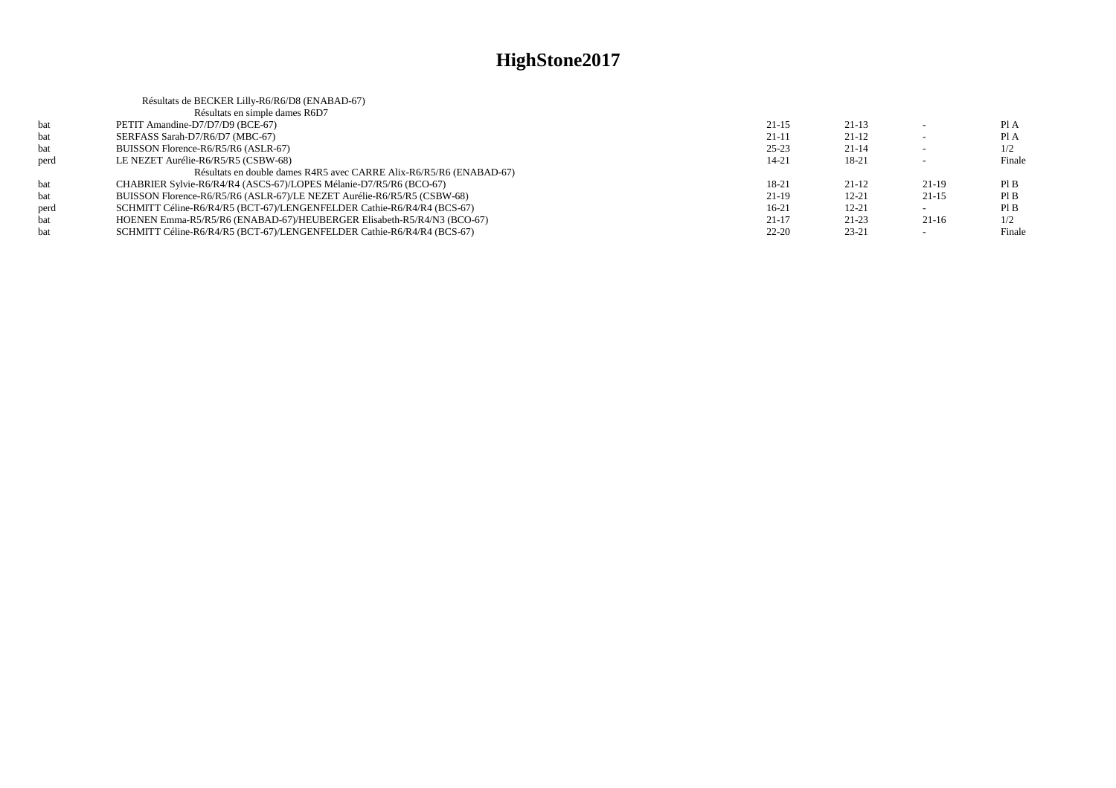|      | Résultats de BECKER Lilly-R6/R6/D8 (ENABAD-67)                          |           |           |         |        |
|------|-------------------------------------------------------------------------|-----------|-----------|---------|--------|
|      | Résultats en simple dames R6D7                                          |           |           |         |        |
| bat  | PETIT Amandine-D7/D7/D9 (BCE-67)                                        | $21 - 15$ | $21-13$   |         | PI A   |
| bat  | SERFASS Sarah-D7/R6/D7 (MBC-67)                                         | $21-11$   | $21-12$   |         | PI A   |
| bat  | BUISSON Florence-R6/R5/R6 (ASLR-67)                                     | $25 - 23$ | $21 - 14$ |         | 1/2    |
| perd | LE NEZET Aurélie-R6/R5/R5 (CSBW-68)                                     | 14-21     | 18-21     |         | Finale |
|      | Résultats en double dames R4R5 avec CARRE Alix-R6/R5/R6 (ENABAD-67)     |           |           |         |        |
| bat  | CHABRIER Sylvie-R6/R4/R4 (ASCS-67)/LOPES Mélanie-D7/R5/R6 (BCO-67)      | 18-21     | $21-12$   | 21-19   | PI B   |
| bat  | BUISSON Florence-R6/R5/R6 (ASLR-67)/LE NEZET Aurélie-R6/R5/R5 (CSBW-68) | $21-19$   | $12 - 21$ | $21-15$ | PI B   |
| perd | SCHMITT Céline-R6/R4/R5 (BCT-67)/LENGENFELDER Cathie-R6/R4/R4 (BCS-67)  | $16-21$   | $12 - 21$ |         | PI B   |
| bat  | HOENEN Emma-R5/R5/R6 (ENABAD-67)/HEUBERGER Elisabeth-R5/R4/N3 (BCO-67)  | $21-17$   | $21 - 23$ | $21-16$ | 1/2    |
| bat  | SCHMITT Céline-R6/R4/R5 (BCT-67)/LENGENFELDER Cathie-R6/R4/R4 (BCS-67)  | $22 - 20$ | $23 - 21$ |         | Finale |
|      |                                                                         |           |           |         |        |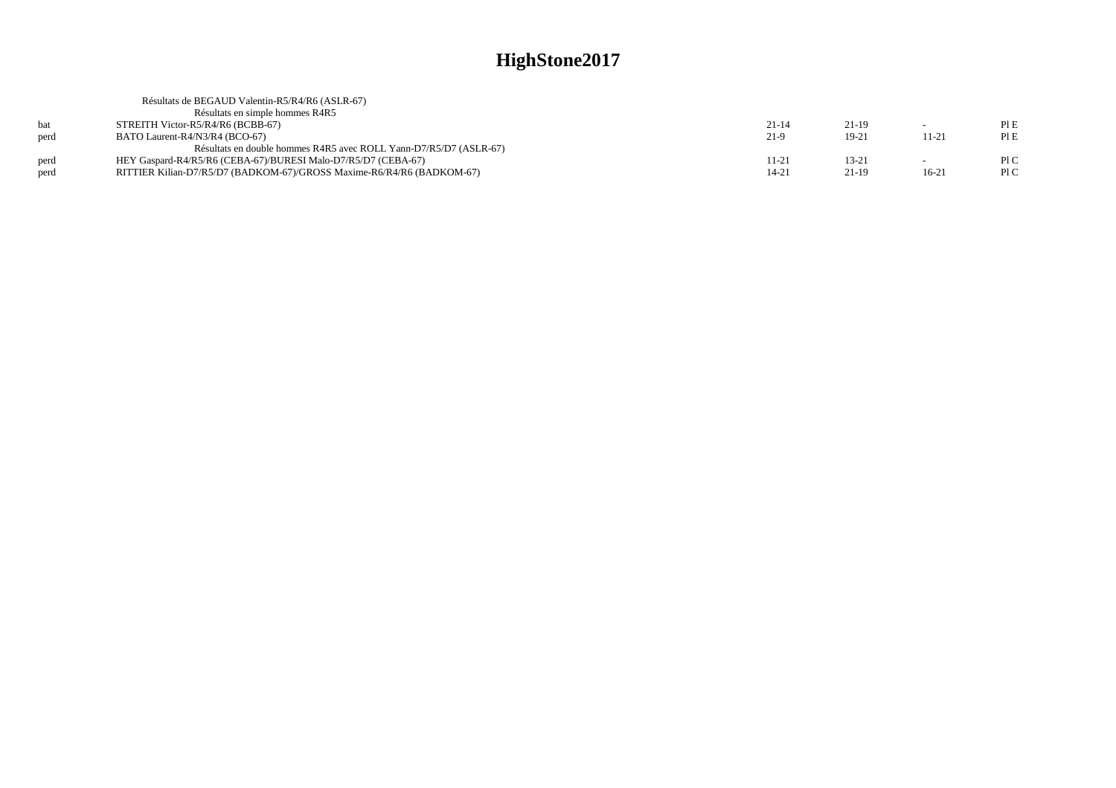|      | Résultats de BEGAUD Valentin-R5/R4/R6 (ASLR-67)                       |           |           |         |     |
|------|-----------------------------------------------------------------------|-----------|-----------|---------|-----|
|      | Résultats en simple hommes R4R5                                       |           |           |         |     |
|      | STREITH Victor-R5/R4/R6 (BCBB-67)                                     | $21 - 14$ | $21-19$   |         | PIE |
| perd | BATO Laurent-R4/N3/R4 (BCO-67)                                        | 21-9      | $19-21$   | 11-21   | PIE |
|      | Résultats en double hommes R4R5 avec ROLL Yann-D7/R5/D7 (ASLR-67)     |           |           |         |     |
| perd | HEY Gaspard-R4/R5/R6 (CEBA-67)/BURESI Malo-D7/R5/D7 (CEBA-67)         | 11-21     | $13 - 21$ |         | PLC |
| perd | RITTIER Kilian-D7/R5/D7 (BADKOM-67)/GROSS Maxime-R6/R4/R6 (BADKOM-67) | $14 - 21$ | $21-19$   | $16-21$ | P1C |
|      |                                                                       |           |           |         |     |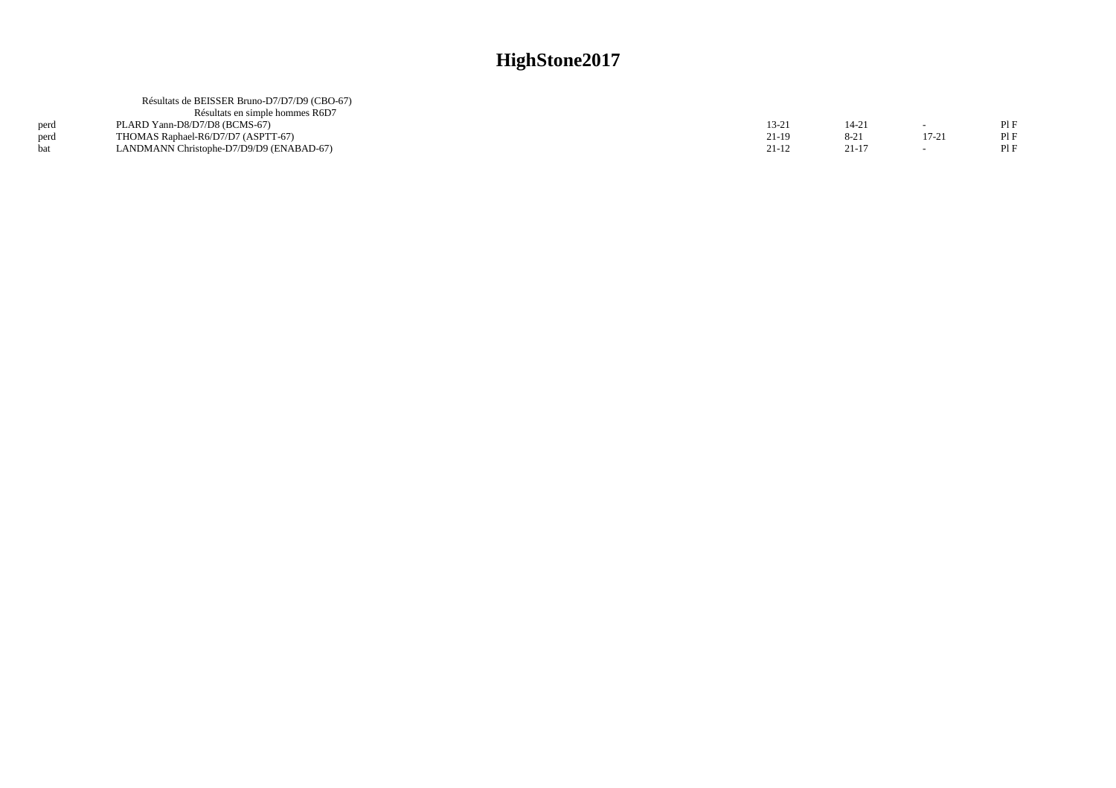| 14-21     |       | PIF |
|-----------|-------|-----|
| $8-21$    | 17-21 | PIF |
| $21 - 17$ |       | PIF |
|           |       |     |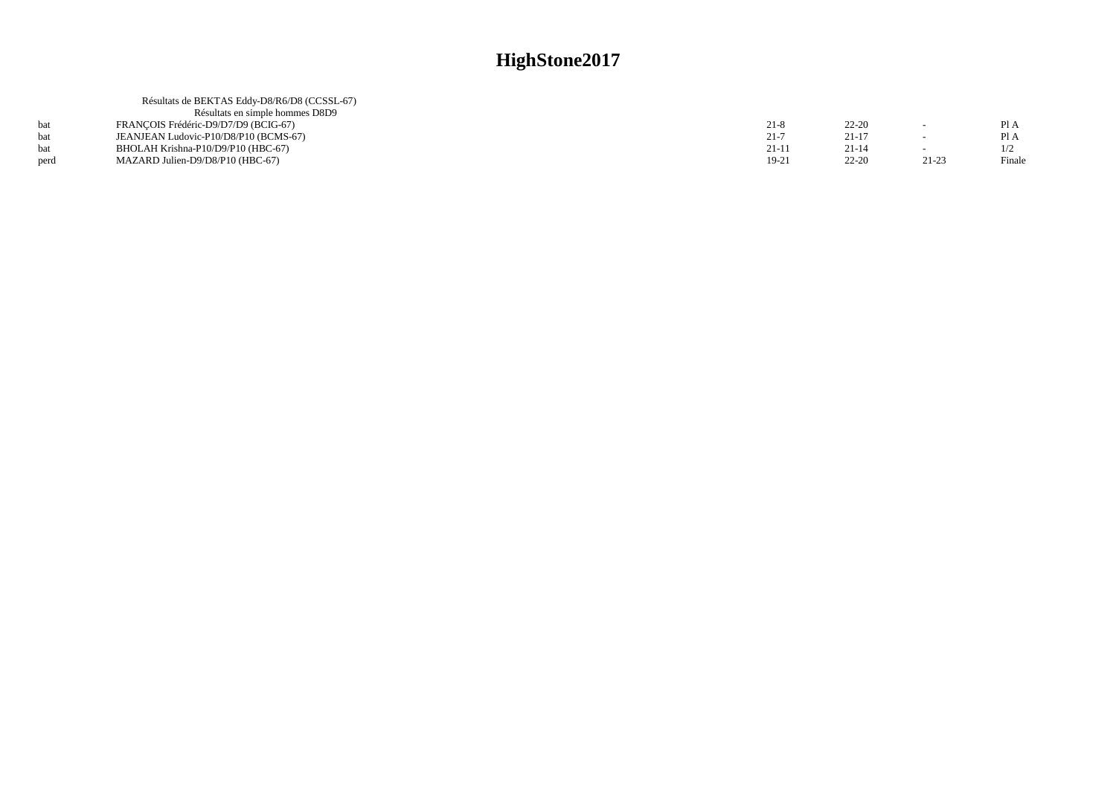|      | Résultats de BEKTAS Eddy-D8/R6/D8 (CCSSL-67) |           |           |           |        |
|------|----------------------------------------------|-----------|-----------|-----------|--------|
|      | Résultats en simple hommes D8D9              |           |           |           |        |
|      | FRANCOIS Frédéric-D9/D7/D9 (BCIG-67)         | $21 - 8$  | $22 - 20$ |           | Pl A   |
|      | JEANJEAN Ludovic-P10/D8/P10 (BCMS-67)        | $21 - 7$  | $21 - 17$ |           | Pl A   |
|      | BHOLAH Krishna-P10/D9/P10 (HBC-67)           | $21 - 11$ | $21 - 14$ |           |        |
| perd | MAZARD Julien-D9/D8/P10 (HBC-67)             | $19-21$   | $22 - 20$ | $21 - 23$ | Finale |
|      |                                              |           |           |           |        |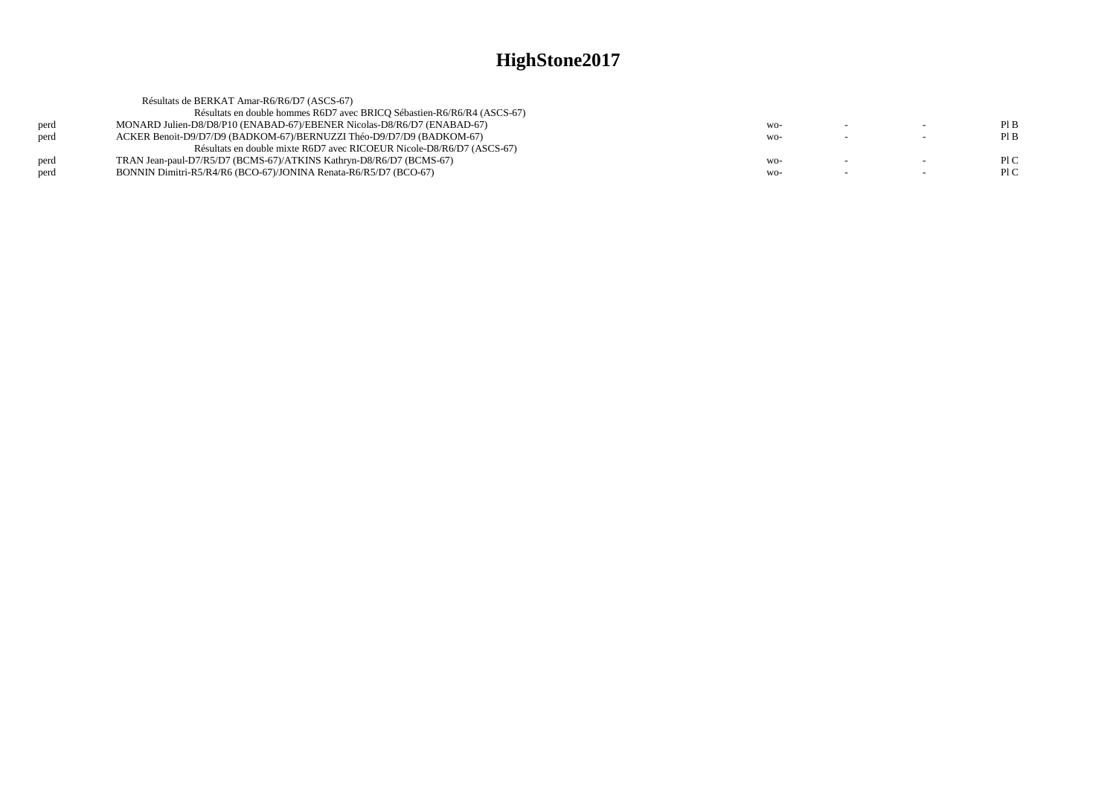|      | Résultats de BERKAT Amar-R6/R6/D7 (ASCS-67)                             |       |        |     |
|------|-------------------------------------------------------------------------|-------|--------|-----|
|      | Résultats en double hommes R6D7 avec BRICO Sébastien-R6/R6/R4 (ASCS-67) |       |        |     |
| perd | MONARD Julien-D8/D8/P10 (ENABAD-67)/EBENER Nicolas-D8/R6/D7 (ENABAD-67) | $WO-$ | $\sim$ | PIB |
| perd | ACKER Benoit-D9/D7/D9 (BADKOM-67)/BERNUZZI Théo-D9/D7/D9 (BADKOM-67)    | WO-   | $\sim$ | PIB |
|      | Résultats en double mixte R6D7 avec RICOEUR Nicole-D8/R6/D7 (ASCS-67)   |       |        |     |
| perd | TRAN Jean-paul-D7/R5/D7 (BCMS-67)/ATKINS Kathryn-D8/R6/D7 (BCMS-67)     | $WO-$ |        | PLC |
| perd | BONNIN Dimitri-R5/R4/R6 (BCO-67)/JONINA Renata-R6/R5/D7 (BCO-67)        | WO-   | $\sim$ | P1C |
|      |                                                                         |       |        |     |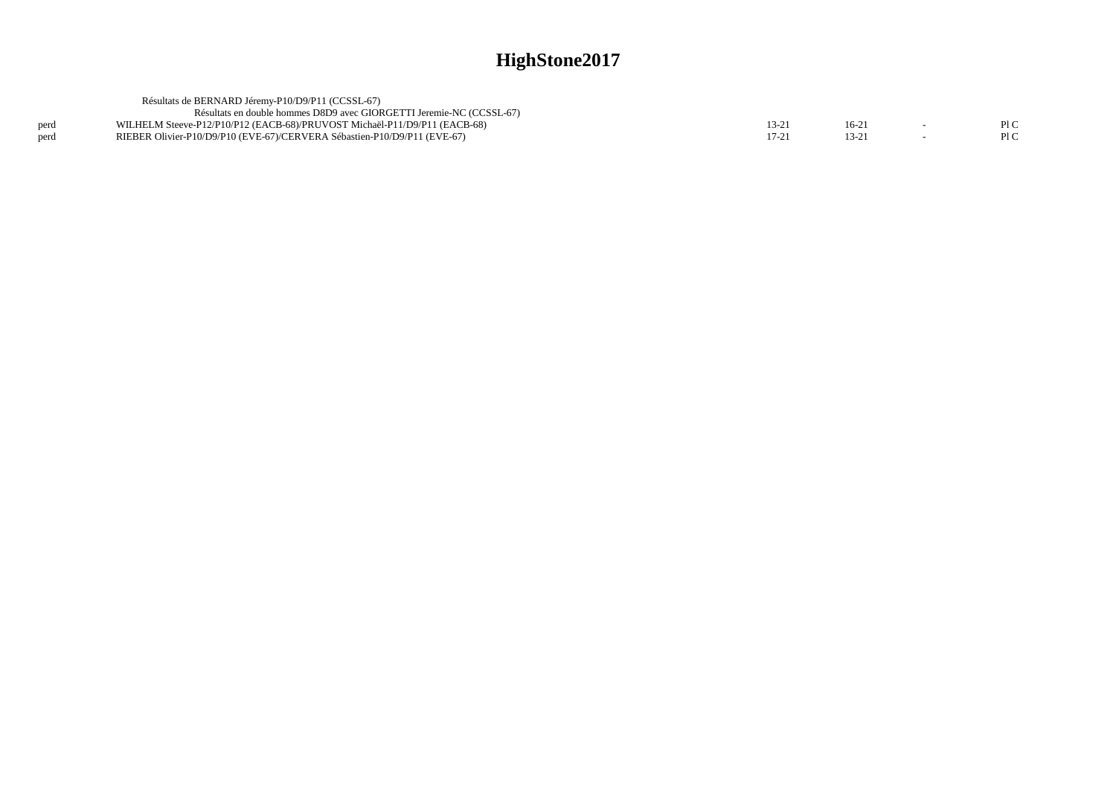|      | Résultats de BERNARD Jéremy-P10/D9/P11 (CCSSL-67)                         |  |     |
|------|---------------------------------------------------------------------------|--|-----|
|      | Résultats en double hommes D8D9 avec GIORGETTI Jeremie-NC (CCSSL-67)      |  |     |
|      | WILHELM Steeve-P12/P10/P12 (EACB-68)/PRUVOST Michaël-P11/D9/P11 (EACB-68) |  | PLC |
| perd | RIEBER Olivier-P10/D9/P10 (EVE-67)/CERVERA Sébastien-P10/D9/P11 (EVE-67)  |  |     |
|      |                                                                           |  |     |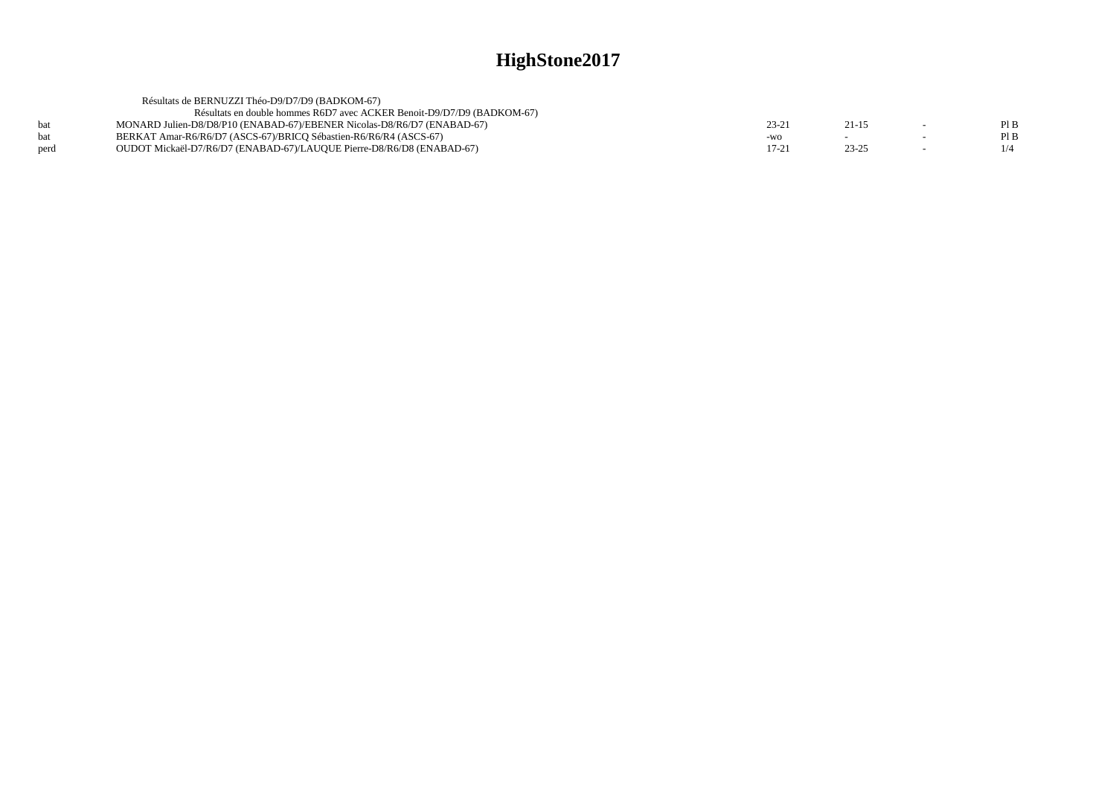|      | Résultats de BERNUZZI Théo-D9/D7/D9 (BADKOM-67)                         |           |           |        |      |
|------|-------------------------------------------------------------------------|-----------|-----------|--------|------|
|      | Résultats en double hommes R6D7 avec ACKER Benoit-D9/D7/D9 (BADKOM-67)  |           |           |        |      |
| bat  | MONARD Julien-D8/D8/P10 (ENABAD-67)/EBENER Nicolas-D8/R6/D7 (ENABAD-67) | 23-2      | $21 - 15$ |        | PIB  |
| bat  | BERKAT Amar-R6/R6/D7 (ASCS-67)/BRICO Sébastien-R6/R6/R4 (ASCS-67)       | $-WO$     |           | $\sim$ | Pl B |
| perd | OUDOT Mickaël-D7/R6/D7 (ENABAD-67)/LAUQUE Pierre-D8/R6/D8 (ENABAD-67)   | $17 - 21$ | 23-25     |        | 1/4  |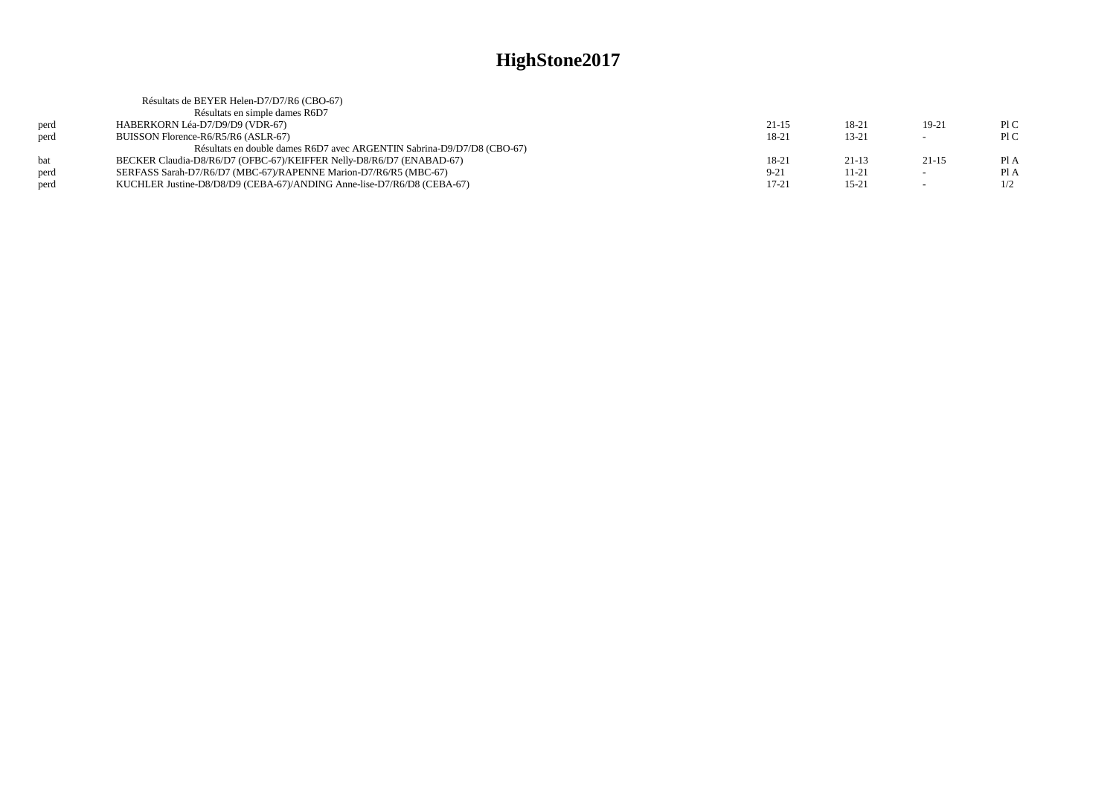|      | Résultats de BEYER Helen-D7/D7/R6 (CBO-67)                             |           |           |         |      |
|------|------------------------------------------------------------------------|-----------|-----------|---------|------|
|      | Résultats en simple dames R6D7                                         |           |           |         |      |
| perd | HABERKORN Léa-D7/D9/D9 (VDR-67)                                        | $21 - 15$ | 18-21     | 19-21   | P1C  |
| perd | BUISSON Florence-R6/R5/R6 (ASLR-67)                                    | 18-21     | $13 - 21$ | $\sim$  | P1C  |
|      | Résultats en double dames R6D7 avec ARGENTIN Sabrina-D9/D7/D8 (CBO-67) |           |           |         |      |
| hat  | BECKER Claudia-D8/R6/D7 (OFBC-67)/KEIFFER Nelly-D8/R6/D7 (ENABAD-67)   | 18-21     | $21-13$   | $21-15$ | Pl A |
| perd | SERFASS Sarah-D7/R6/D7 (MBC-67)/RAPENNE Marion-D7/R6/R5 (MBC-67)       | $9-21$    | 11-21     |         | Pl A |
| nerd | KUCHLER Justine-D8/D8/D9 (CEBA-67)/ANDING Anne-lise-D7/R6/D8 (CEBA-67) | $17 - 21$ | $15 - 21$ |         | 1/2  |
|      |                                                                        |           |           |         |      |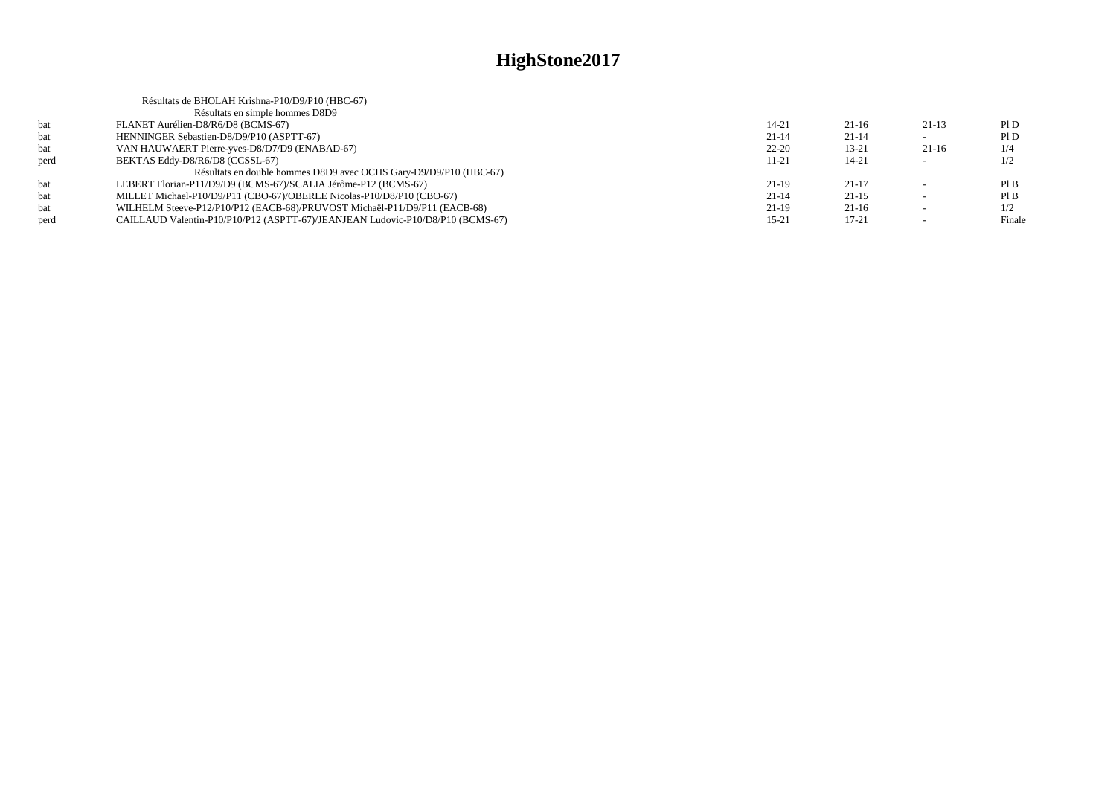|      | Résultats de BHOLAH Krishna-P10/D9/P10 (HBC-67)                                |           |           |                          |        |
|------|--------------------------------------------------------------------------------|-----------|-----------|--------------------------|--------|
|      | Résultats en simple hommes D8D9                                                |           |           |                          |        |
| bat  | FLANET Aurélien-D8/R6/D8 (BCMS-67)                                             | $14 - 21$ | $21-16$   | $21-13$                  | P1D    |
| bat  | HENNINGER Sebastien-D8/D9/P10 (ASPTT-67)                                       | $21 - 14$ | $21 - 14$ |                          | P1D    |
| bat  | VAN HAUWAERT Pierre-yves-D8/D7/D9 (ENABAD-67)                                  | $22 - 20$ | $13 - 21$ | $21-16$                  | 1/4    |
| perd | BEKTAS Eddy-D8/R6/D8 (CCSSL-67)                                                | $11 - 21$ | $14 - 21$ | $\sim$                   | 1/2    |
|      | Résultats en double hommes D8D9 avec OCHS Gary-D9/D9/P10 (HBC-67)              |           |           |                          |        |
| bat  | LEBERT Florian-P11/D9/D9 (BCMS-67)/SCALIA Jérôme-P12 (BCMS-67)                 | $21-19$   | $21-17$   |                          | PIB    |
| bat  | MILLET Michael-P10/D9/P11 (CBO-67)/OBERLE Nicolas-P10/D8/P10 (CBO-67)          | $21 - 14$ | $21-15$   | $\overline{\phantom{0}}$ | PIB    |
| bat  | WILHELM Steeve-P12/P10/P12 (EACB-68)/PRUVOST Michaël-P11/D9/P11 (EACB-68)      | $21-19$   | $21-16$   |                          | 1/2    |
| perd | CAILLAUD Valentin-P10/P10/P12 (ASPTT-67)/JEANJEAN Ludovic-P10/D8/P10 (BCMS-67) | $15 - 21$ | $17 - 21$ | $\overline{\phantom{0}}$ | Finale |
|      |                                                                                |           |           |                          |        |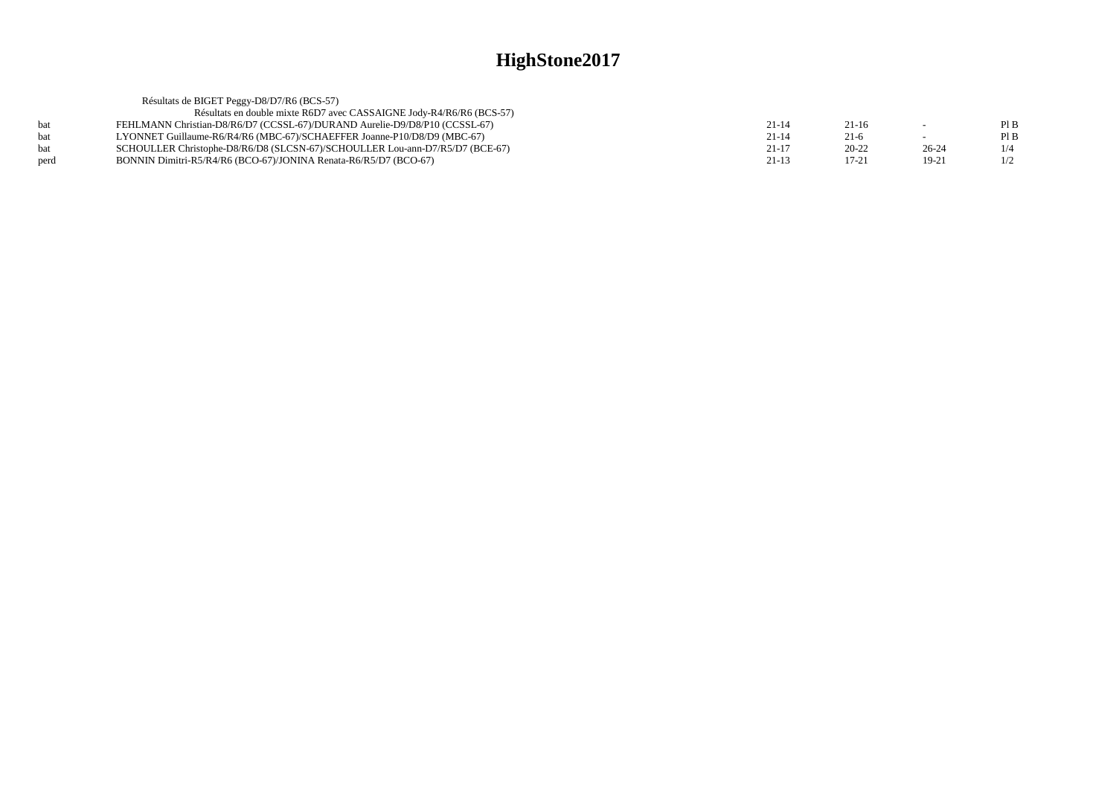|            | Résultats de BIGET Peggy-D8/D7/R6 (BCS-57)                                   |           |           |           |      |
|------------|------------------------------------------------------------------------------|-----------|-----------|-----------|------|
|            | Résultats en double mixte R6D7 avec CASSAIGNE Jody-R4/R6/R6 (BCS-57)         |           |           |           |      |
| hat        | FEHLMANN Christian-D8/R6/D7 (CCSSL-67)/DURAND Aurelie-D9/D8/P10 (CCSSL-67)   | $21 - 14$ | $21-16$   | $\sim$    | PI B |
| <b>bat</b> | LYONNET Guillaume-R6/R4/R6 (MBC-67)/SCHAEFFER Joanne-P10/D8/D9 (MBC-67)      | $21 - 14$ | $21-6$    |           | PI B |
| hat        | SCHOULLER Christophe-D8/R6/D8 (SLCSN-67)/SCHOULLER Lou-ann-D7/R5/D7 (BCE-67) | $21 - 17$ | $20 - 22$ | $26 - 24$ | 1/4  |
| perd       | BONNIN Dimitri-R5/R4/R6 (BCO-67)/JONINA Renata-R6/R5/D7 (BCO-67)             | 21-13     | $17 - 21$ | 19-21     | 1/2  |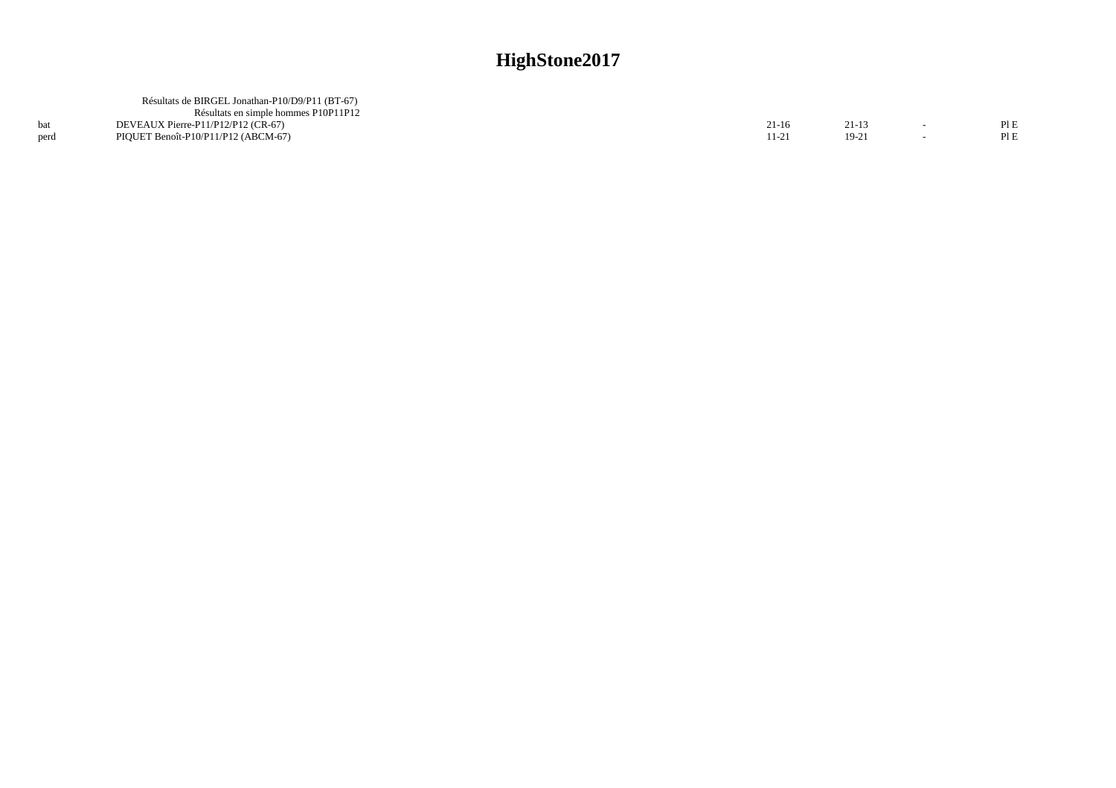|      | Résultats de BIRGEL Jonathan-P10/D9/P11 (BT-67) |           |        |        |     |
|------|-------------------------------------------------|-----------|--------|--------|-----|
|      | Résultats en simple hommes P10P11P12            |           |        |        |     |
|      | DEVEAUX Pierre-P11/P12/P12 (CR-67)              | $21 - 16$ | 21-13  | $\sim$ | PIE |
| perd | PIQUET Benoît-P10/P11/P12 (ABCM-67)             |           | $19-2$ |        | PIE |
|      |                                                 |           |        |        |     |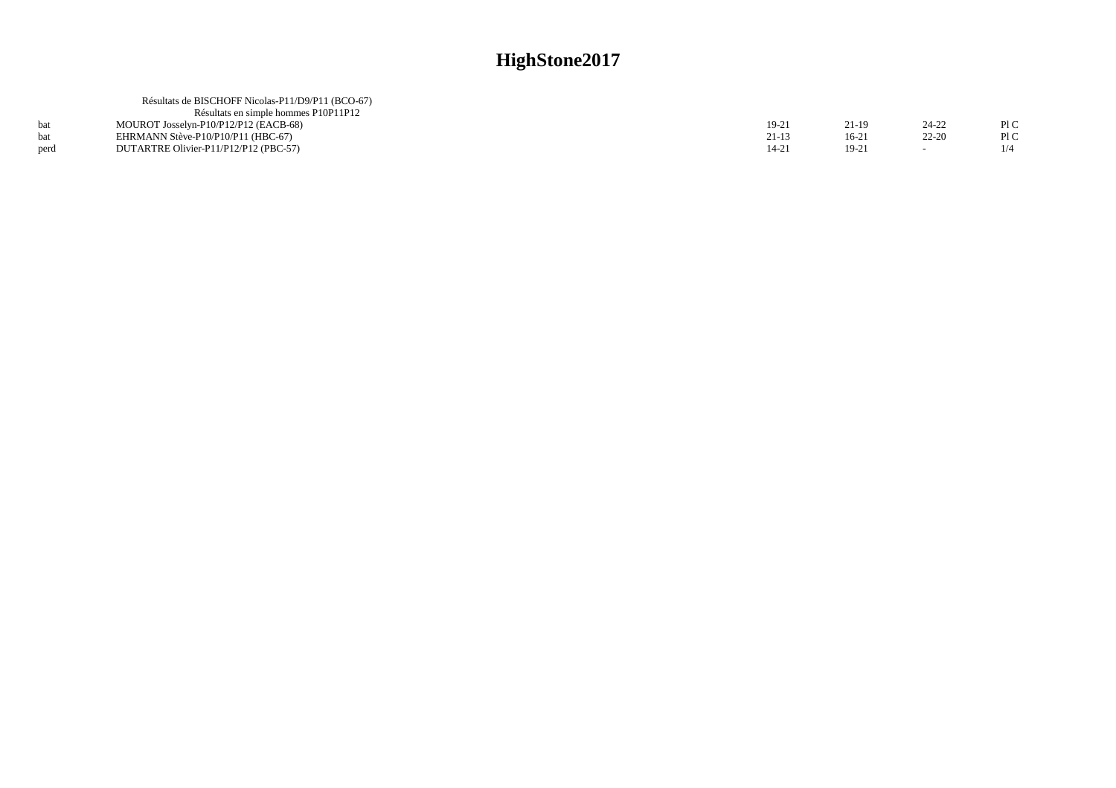| Résultats de BISCHOFF Nicolas-P11/D9/P11 (BCO-67) |         |         |           |      |
|---------------------------------------------------|---------|---------|-----------|------|
| Résultats en simple hommes P10P11P12              |         |         |           |      |
| MOUROT Josselyn-P10/P12/P12 (EACB-68)             | $19-21$ | 1.19    | 24-22     | PIC  |
| EHRMANN Stève-P10/P10/P11 (HBC-67)                | 21-13   | $16-21$ | $22 - 20$ | PI C |
| DUTARTRE Olivier-P11/P12/P12 (PBC-57)             | 14-21   | $19-21$ |           |      |
|                                                   |         |         |           |      |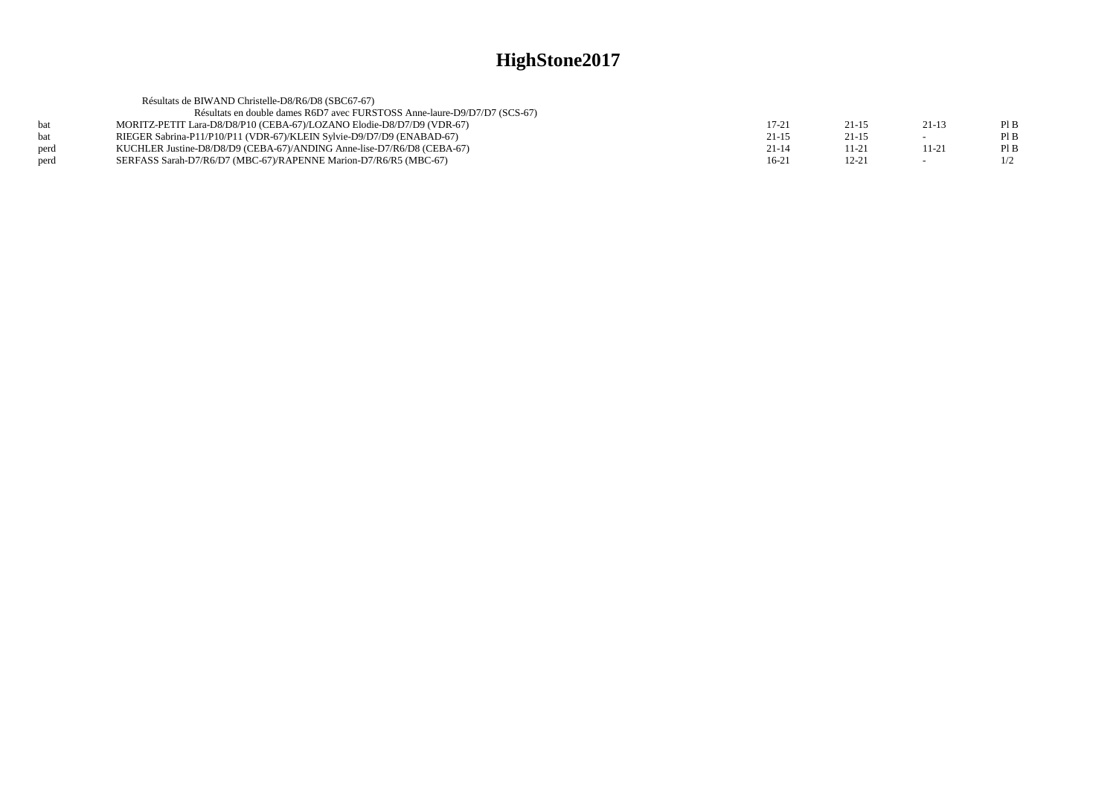|            | Résultats de BIWAND Christelle-D8/R6/D8 (SBC67-67)                        |           |           |                          |     |
|------------|---------------------------------------------------------------------------|-----------|-----------|--------------------------|-----|
|            | Résultats en double dames R6D7 avec FURSTOSS Anne-laure-D9/D7/D7 (SCS-67) |           |           |                          |     |
| <b>bat</b> | MORITZ-PETIT Lara-D8/D8/P10 (CEBA-67)/LOZANO Elodie-D8/D7/D9 (VDR-67)     | 17-21     | $21 - 15$ | $21-13$                  | PIB |
| <b>bat</b> | RIEGER Sabrina-P11/P10/P11 (VDR-67)/KLEIN Sylvie-D9/D7/D9 (ENABAD-67)     | $21 - 15$ | $21 - 15$ | $\overline{\phantom{a}}$ | PIB |
| perd       | KUCHLER Justine-D8/D8/D9 (CEBA-67)/ANDING Anne-lise-D7/R6/D8 (CEBA-67)    | $21 - 14$ | 11-21     | $11 - 21$                | PIB |
| perd       | SERFASS Sarah-D7/R6/D7 (MBC-67)/RAPENNE Marion-D7/R6/R5 (MBC-67)          | $16-21$   | $12 - 21$ | $\sim$                   | 1/2 |
|            |                                                                           |           |           |                          |     |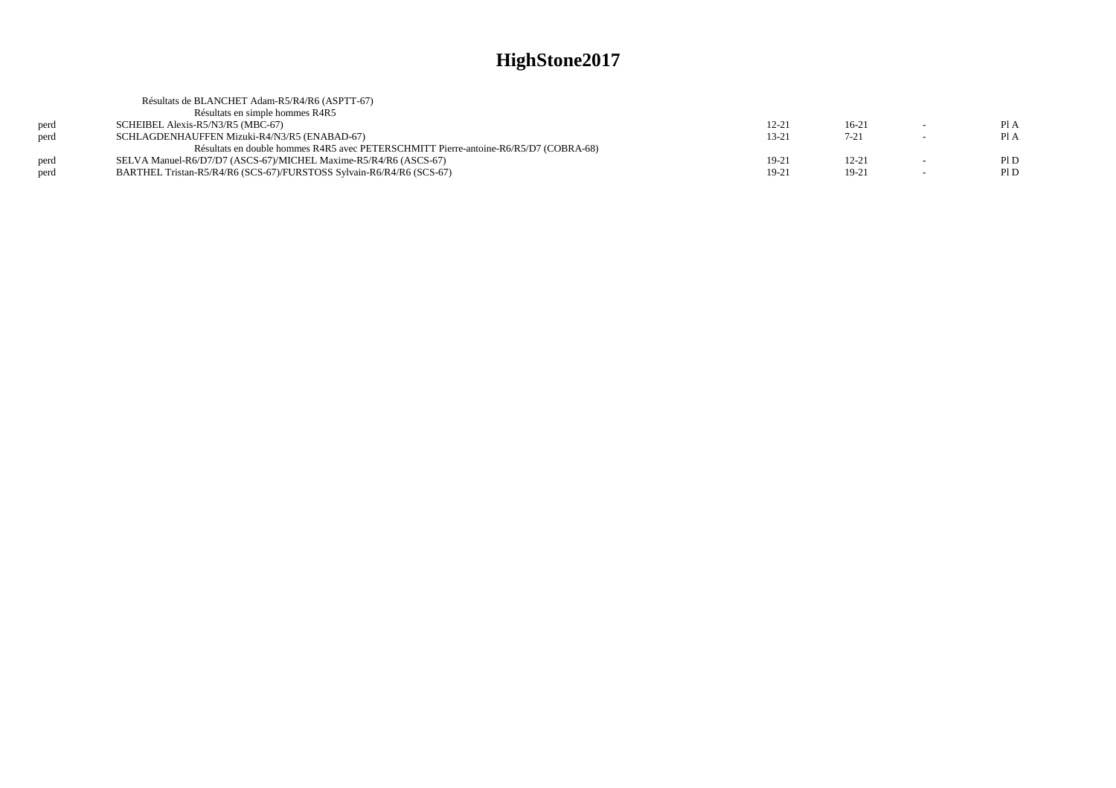|      | Résultats de BLANCHET Adam-R5/R4/R6 (ASPTT-67)                                       |           |           |                          |      |
|------|--------------------------------------------------------------------------------------|-----------|-----------|--------------------------|------|
|      | Résultats en simple hommes R4R5                                                      |           |           |                          |      |
| perd | SCHEIBEL Alexis-R5/N3/R5 (MBC-67)                                                    | $12 - 21$ | $16-21$   | $\sim$                   | Pl A |
| perd | SCHLAGDENHAUFFEN Mizuki-R4/N3/R5 (ENABAD-67)                                         | $13 - 21$ | $7 - 21$  | $\sim$                   | Pl A |
|      | Résultats en double hommes R4R5 avec PETERSCHMITT Pierre-antoine-R6/R5/D7 (COBRA-68) |           |           |                          |      |
| perd | SELVA Manuel-R6/D7/D7 (ASCS-67)/MICHEL Maxime-R5/R4/R6 (ASCS-67)                     | $19-21$   | $12 - 21$ | -                        | Pl D |
| perd | BARTHEL Tristan-R5/R4/R6 (SCS-67)/FURSTOSS Sylvain-R6/R4/R6 (SCS-67)                 | $19-21$   | 19-21     | $\overline{\phantom{a}}$ | P1D  |
|      |                                                                                      |           |           |                          |      |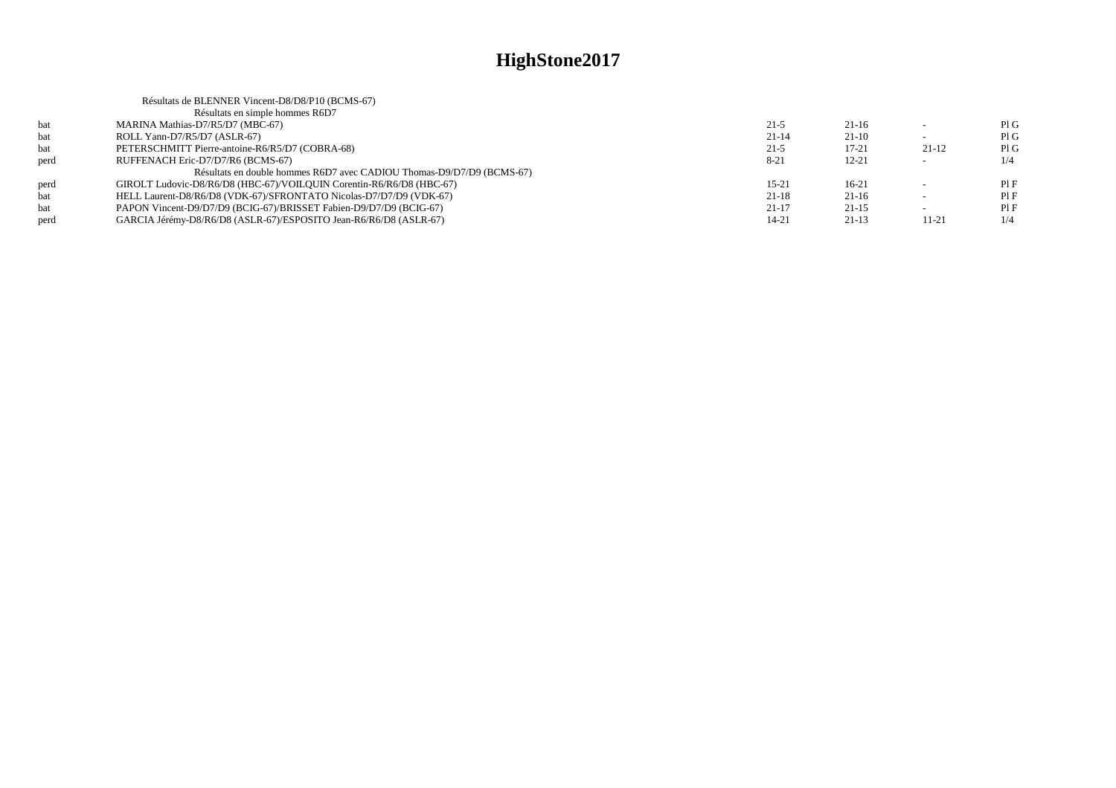|      | Résultats de BLENNER Vincent-D8/D8/P10 (BCMS-67)                      |           |           |         |     |
|------|-----------------------------------------------------------------------|-----------|-----------|---------|-----|
|      | Résultats en simple hommes R6D7                                       |           |           |         |     |
| bat  | MARINA Mathias-D7/R5/D7 (MBC-67)                                      | $21-5$    | $21-16$   |         | PIG |
| bat  | ROLL Yann-D7/R5/D7 (ASLR-67)                                          | $21 - 14$ | $21-10$   |         | PIG |
| bat  | PETERSCHMITT Pierre-antoine-R6/R5/D7 (COBRA-68)                       | $21-5$    | $17 - 21$ | $21-12$ | PIG |
| perd | RUFFENACH Eric-D7/D7/R6 (BCMS-67)                                     | $8 - 21$  | $12 - 21$ |         | 1/4 |
|      | Résultats en double hommes R6D7 avec CADIOU Thomas-D9/D7/D9 (BCMS-67) |           |           |         |     |
| perd | GIROLT Ludovic-D8/R6/D8 (HBC-67)/VOILOUIN Corentin-R6/R6/D8 (HBC-67)  | $15-21$   | $16-21$   |         | PIF |
| bat  | HELL Laurent-D8/R6/D8 (VDK-67)/SFRONTATO Nicolas-D7/D7/D9 (VDK-67)    | $21-18$   | $21-16$   |         | PIF |
| bat  | PAPON Vincent-D9/D7/D9 (BCIG-67)/BRISSET Fabien-D9/D7/D9 (BCIG-67)    | $21-17$   | $21-15$   |         | PIF |
| perd | GARCIA Jérémy-D8/R6/D8 (ASLR-67)/ESPOSITO Jean-R6/R6/D8 (ASLR-67)     | 14-21     | $21-13$   | 11-21   | 1/4 |
|      |                                                                       |           |           |         |     |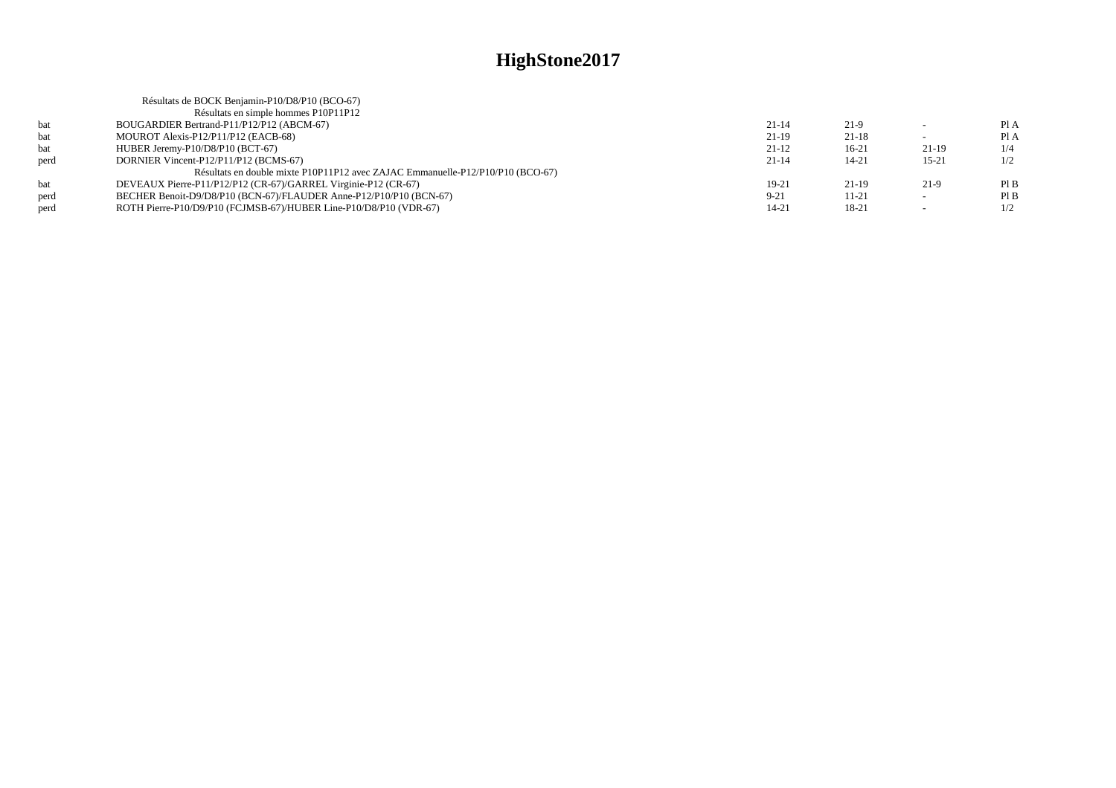|      | Résultats de BOCK Benjamin-P10/D8/P10 (BCO-67)                                 |           |           |           |      |
|------|--------------------------------------------------------------------------------|-----------|-----------|-----------|------|
|      | Résultats en simple hommes P10P11P12                                           |           |           |           |      |
| bat  | BOUGARDIER Bertrand-P11/P12/P12 (ABCM-67)                                      | $21 - 14$ | $21-9$    |           | Pl A |
| bat  | MOUROT Alexis-P12/P11/P12 (EACB-68)                                            | $21-19$   | $21-18$   |           | Pl A |
| bat  | HUBER Jeremy-P10/D8/P10 (BCT-67)                                               | $21-12$   | $16-21$   | $21-19$   | 1/4  |
| perd | DORNIER Vincent-P12/P11/P12 (BCMS-67)                                          | $21 - 14$ | $14 - 21$ | $15 - 21$ | 1/2  |
|      | Résultats en double mixte P10P11P12 avec ZAJAC Emmanuelle-P12/P10/P10 (BCO-67) |           |           |           |      |
| bat  | DEVEAUX Pierre-P11/P12/P12 (CR-67)/GARREL Virginie-P12 (CR-67)                 | 19-21     | $21-19$   | 21-9      | PIB  |
| perd | BECHER Benoit-D9/D8/P10 (BCN-67)/FLAUDER Anne-P12/P10/P10 (BCN-67)             | $9 - 21$  | $11 - 21$ | $\sim$    | PIB  |
| perd | ROTH Pierre-P10/D9/P10 (FCJMSB-67)/HUBER Line-P10/D8/P10 (VDR-67)              | 14-21     | 18-21     |           | 1/2  |
|      |                                                                                |           |           |           |      |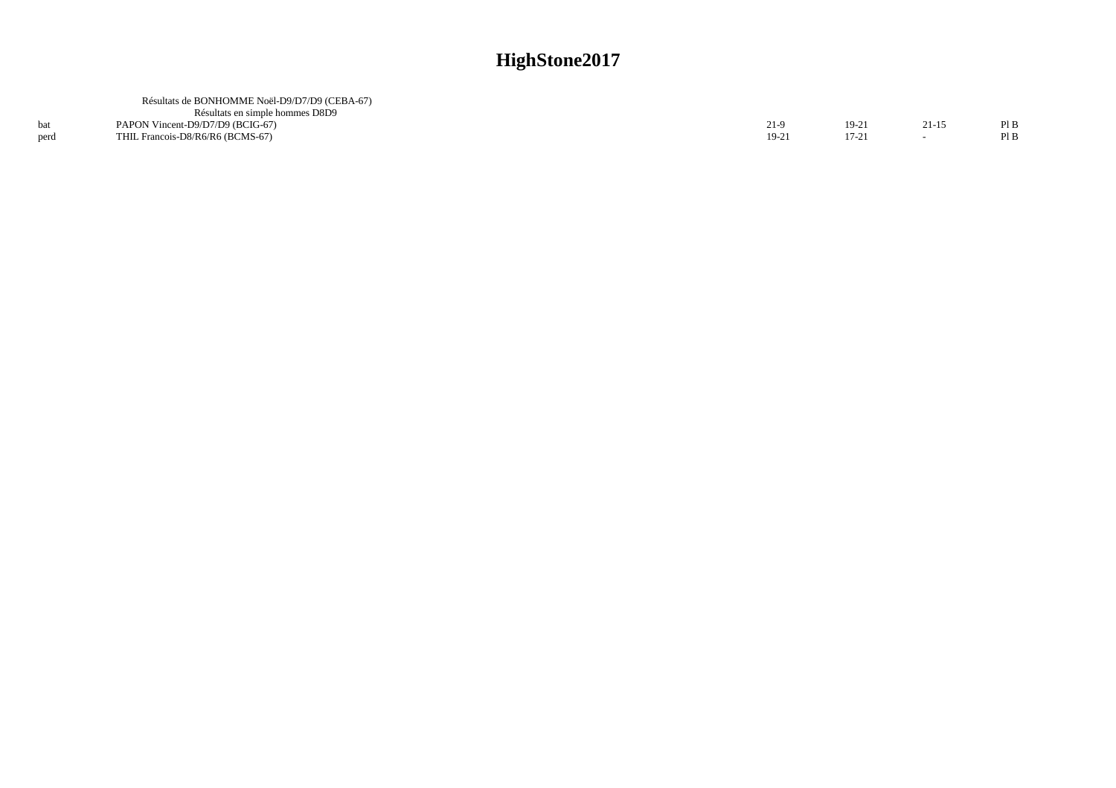|      | Résultats de BONHOMME Noël-D9/D7/D9 (CEBA-67)<br>Résultats en simple hommes D8D9 |        |           |       |      |
|------|----------------------------------------------------------------------------------|--------|-----------|-------|------|
|      | PAPON Vincent-D9/D7/D9 (BCIG-67)                                                 | $21-9$ | $19 - 21$ | 21-15 | Pl B |
| nerd | THIL Francois-D8/R6/R6 (BCMS-67)                                                 | 19-21  | $17 - 21$ |       | PIB  |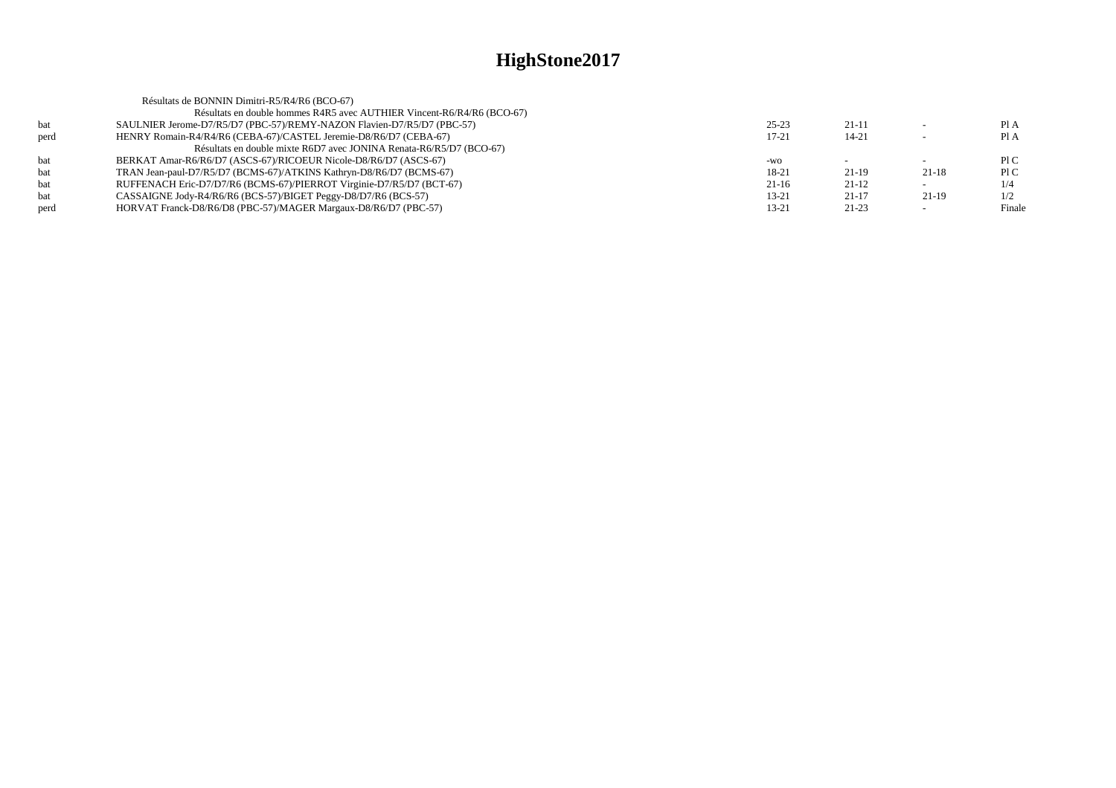| Pl A<br>Pl A |
|--------------|
|              |
|              |
|              |
|              |
| P1C          |
| P1C          |
| 1/4          |
| 1/2          |
| Finale       |
|              |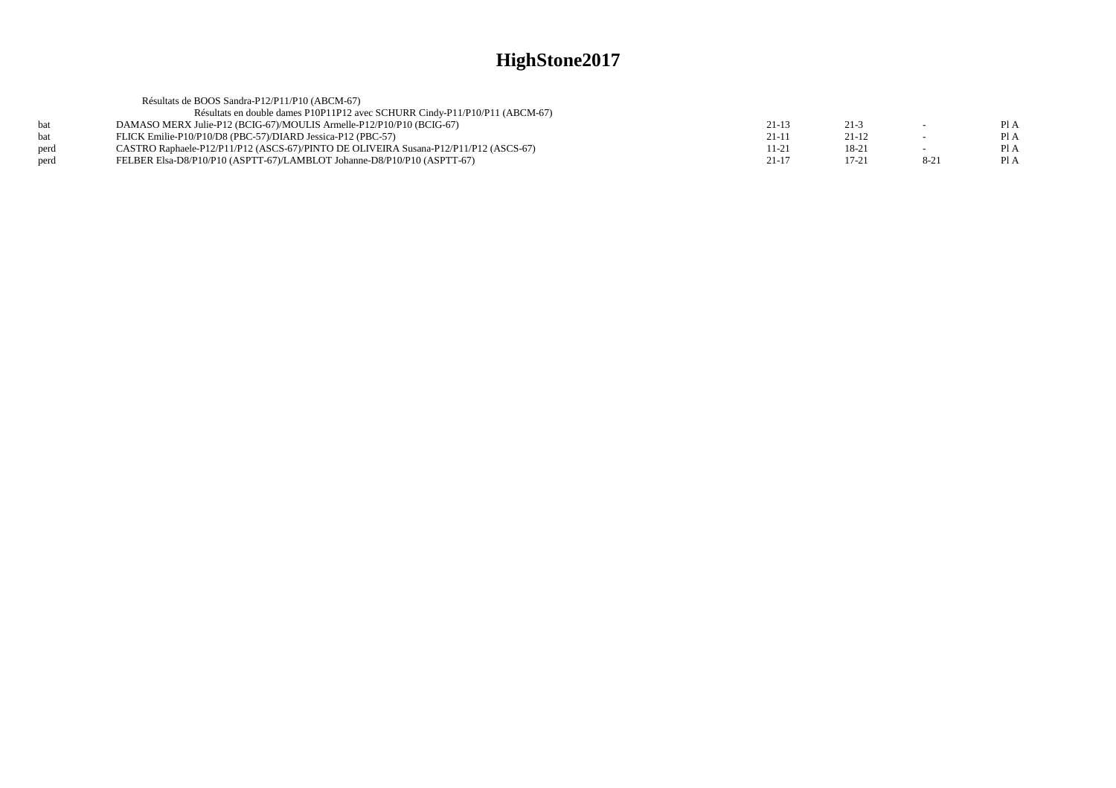|      | Résultats de BOOS Sandra-P12/P11/P10 (ABCM-67)                                       |           |           |          |      |
|------|--------------------------------------------------------------------------------------|-----------|-----------|----------|------|
|      | Résultats en double dames P10P11P12 avec SCHURR Cindy-P11/P10/P11 (ABCM-67)          |           |           |          |      |
| hat  | DAMASO MERX Julie-P12 (BCIG-67)/MOULIS Armelle-P12/P10/P10 (BCIG-67)                 | $21-13$   | $21-3$    | $\sim$   | Pl A |
| hat  | FLICK Emilie-P10/P10/D8 (PBC-57)/DIARD Jessica-P12 (PBC-57)                          | $21 - 11$ | $21 - 12$ |          | Pl A |
| perd | CASTRO Raphaele-P12/P11/P12 (ASCS-67)/PINTO DE OLIVEIRA Susana-P12/P11/P12 (ASCS-67) | 11-21     | 18-21     |          | Pl A |
| perd | FELBER Elsa-D8/P10/P10 (ASPTT-67)/LAMBLOT Johanne-D8/P10/P10 (ASPTT-67)              | $21 - 17$ | 17-21     | $8 - 21$ | Pl A |
|      |                                                                                      |           |           |          |      |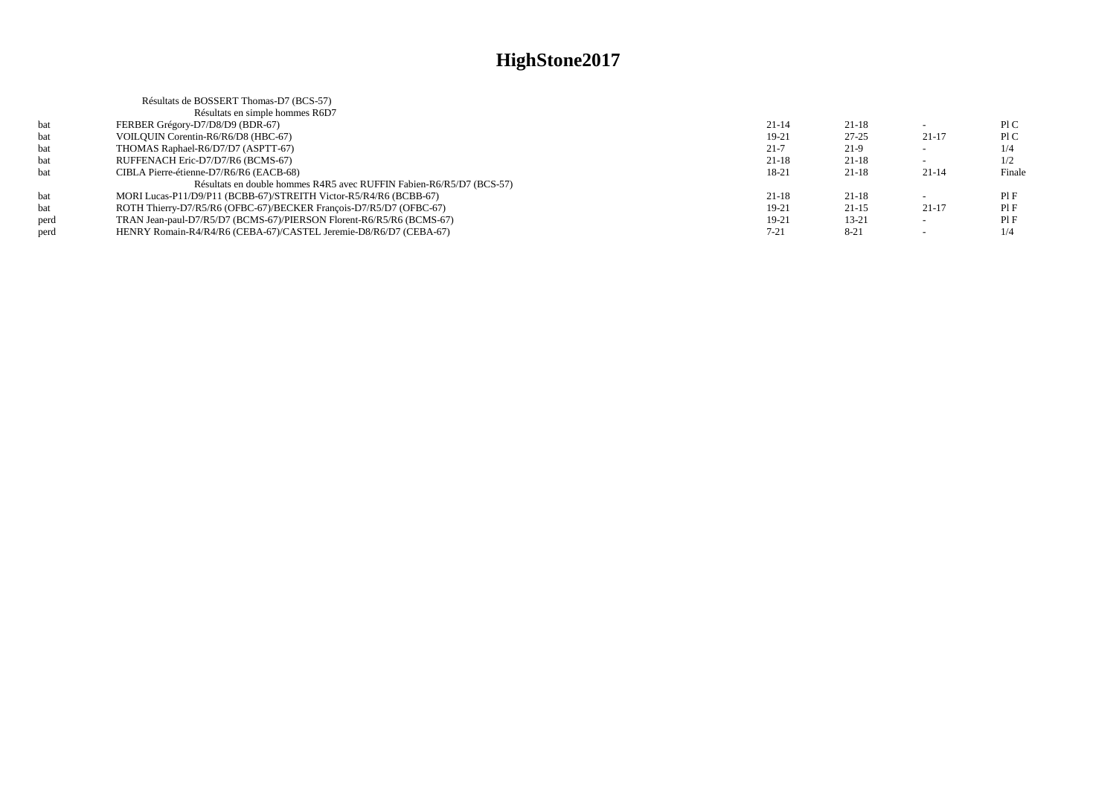|      | Résultats de BOSSERT Thomas-D7 (BCS-57)                              |          |           |           |        |
|------|----------------------------------------------------------------------|----------|-----------|-----------|--------|
|      | Résultats en simple hommes R6D7                                      |          |           |           |        |
| bat  | FERBER Grégory-D7/D8/D9 (BDR-67)                                     | $21-14$  | $21 - 18$ |           | P1C    |
| bat  | VOILOUIN Corentin-R6/R6/D8 (HBC-67)                                  | 19-21    | $27 - 25$ | $21-17$   | P1C    |
| bat  | THOMAS Raphael-R6/D7/D7 (ASPTT-67)                                   | $21 - 7$ | $21-9$    |           | 1/4    |
| bat  | RUFFENACH Eric-D7/D7/R6 (BCMS-67)                                    | 21-18    | $21 - 18$ |           | 1/2    |
| hat  | CIBLA Pierre-étienne-D7/R6/R6 (EACB-68)                              | 18-21    | $21 - 18$ | $21 - 14$ | Finale |
|      | Résultats en double hommes R4R5 avec RUFFIN Fabien-R6/R5/D7 (BCS-57) |          |           |           |        |
| bat  | MORI Lucas-P11/D9/P11 (BCBB-67)/STREITH Victor-R5/R4/R6 (BCBB-67)    | $21-18$  | $21 - 18$ |           | PIF    |
| bat  | ROTH Thierry-D7/R5/R6 (OFBC-67)/BECKER Francois-D7/R5/D7 (OFBC-67)   | 19-21    | $21 - 15$ | $21-17$   | PIF    |
| perd | TRAN Jean-paul-D7/R5/D7 (BCMS-67)/PIERSON Florent-R6/R5/R6 (BCMS-67) | 19-21    | $13 - 21$ |           | PIF    |
| perd | HENRY Romain-R4/R4/R6 (CEBA-67)/CASTEL Jeremie-D8/R6/D7 (CEBA-67)    | $7 - 21$ | $8 - 21$  |           | 1/4    |
|      |                                                                      |          |           |           |        |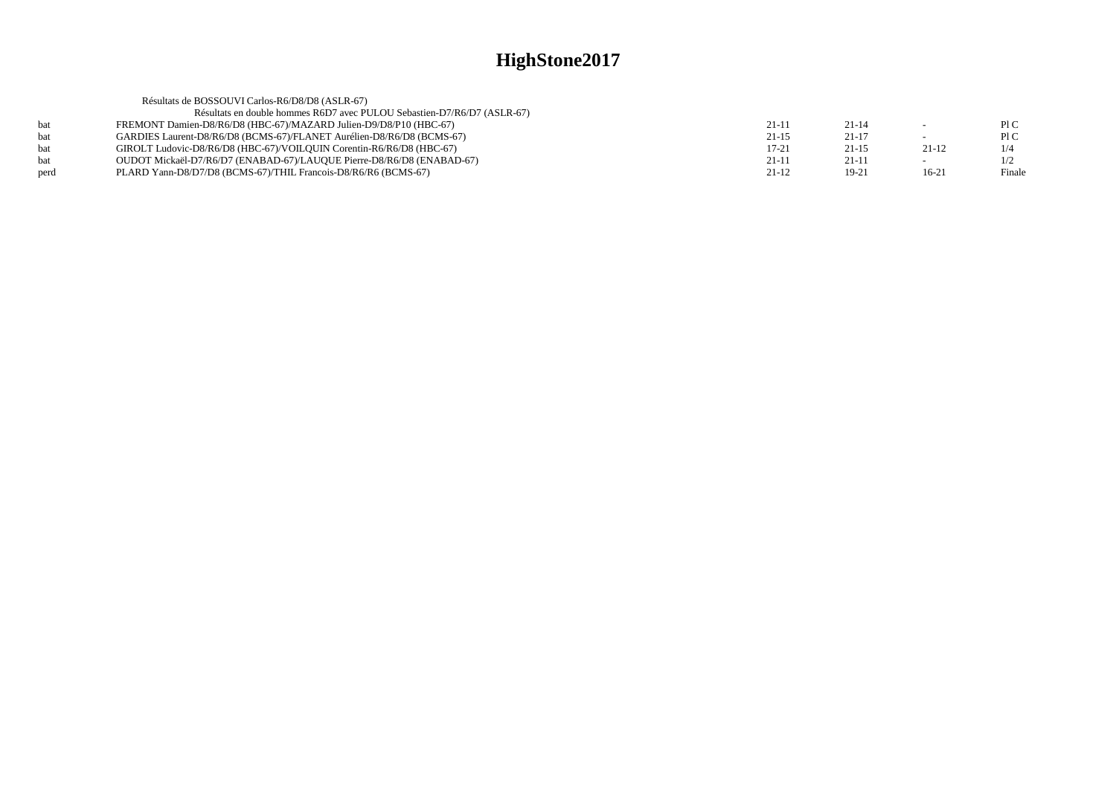|      | Résultats de BOSSOUVI Carlos-R6/D8/D8 (ASLR-67)                         |         |           |         |        |
|------|-------------------------------------------------------------------------|---------|-----------|---------|--------|
|      | Résultats en double hommes R6D7 avec PULOU Sebastien-D7/R6/D7 (ASLR-67) |         |           |         |        |
| bat  | FREMONT Damien-D8/R6/D8 (HBC-67)/MAZARD Julien-D9/D8/P10 (HBC-67)       | $21-11$ | $21 - 14$ |         | PIC    |
| hat  | GARDIES Laurent-D8/R6/D8 (BCMS-67)/FLANET Aurélien-D8/R6/D8 (BCMS-67)   | $21-15$ | $21-17$   |         | PIC    |
| hat  | GIROLT Ludovic-D8/R6/D8 (HBC-67)/VOILOUIN Corentin-R6/R6/D8 (HBC-67)    | $17-21$ | $21 - 15$ | 21-12   | 1/4    |
| bat  | OUDOT Mickaël-D7/R6/D7 (ENABAD-67)/LAUQUE Pierre-D8/R6/D8 (ENABAD-67)   | $21-11$ | 21-11     |         | 1/2    |
| perd | PLARD Yann-D8/D7/D8 (BCMS-67)/THIL Francois-D8/R6/R6 (BCMS-67)          | $21-12$ | $19-21$   | $16-21$ | Finale |
|      |                                                                         |         |           |         |        |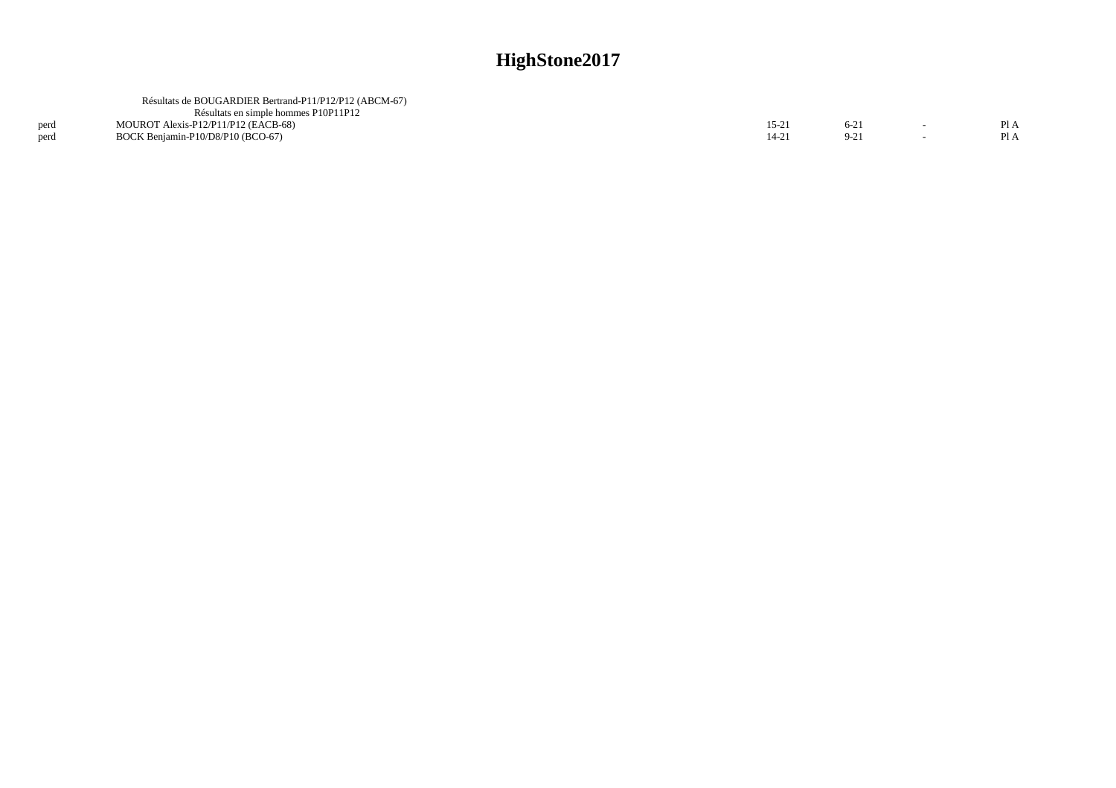|      | Résultats de BOUGARDIER Bertrand-P11/P12/P12 (ABCM-67) |       |        |  |
|------|--------------------------------------------------------|-------|--------|--|
|      | Résultats en simple hommes P10P11P12                   |       |        |  |
| perd | MOUROT Alexis-P12/P11/P12 (EACB-68)                    | 15-21 | $6-21$ |  |
| erd  | BOCK Beniamin-P10/D8/P10 (BCO-67)                      |       |        |  |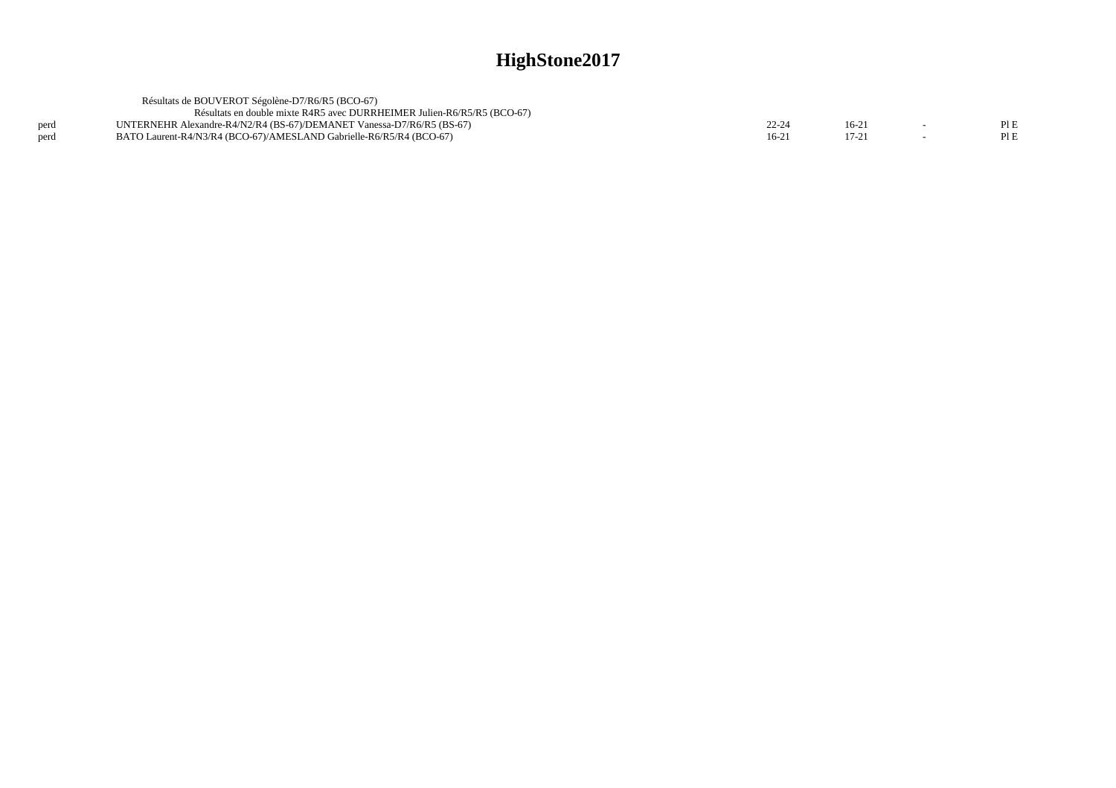|      | Résultats de BOUVEROT Ségolène-D7/R6/R5 (BCO-67)                        |         |         |     |
|------|-------------------------------------------------------------------------|---------|---------|-----|
|      | Résultats en double mixte R4R5 avec DURRHEIMER Julien-R6/R5/R5 (BCO-67) |         |         |     |
| perd | UNTERNEHR Alexandre-R4/N2/R4 (BS-67)/DEMANET Vanessa-D7/R6/R5 (BS-67)   | 22-24   | $16-21$ | PLE |
| perd | BATO Laurent-R4/N3/R4 (BCO-67)/AMESLAND Gabrielle-R6/R5/R4 (BCO-67)     | $16-2'$ | $17-21$ | PLE |
|      |                                                                         |         |         |     |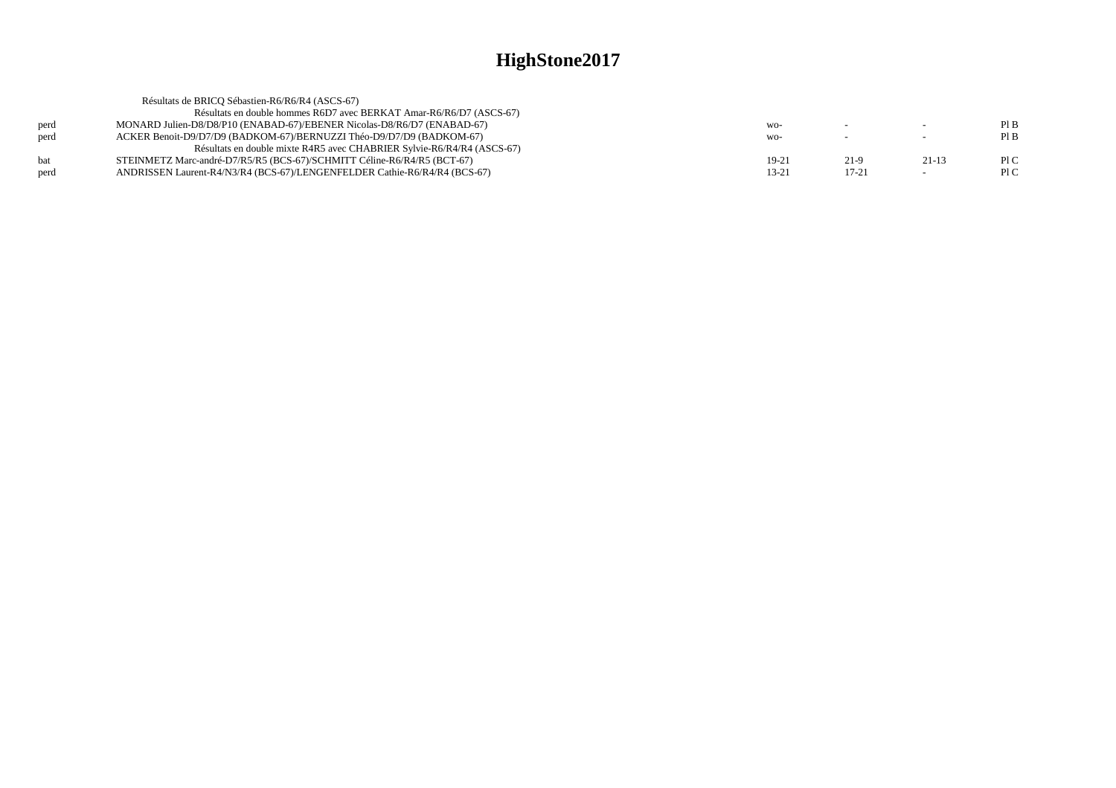| PIB                        |
|----------------------------|
| PIB<br>$\sim$              |
|                            |
| PLC<br>$21-13$<br>$21-9$   |
| PLC<br>$17 - 21$<br>$\sim$ |
|                            |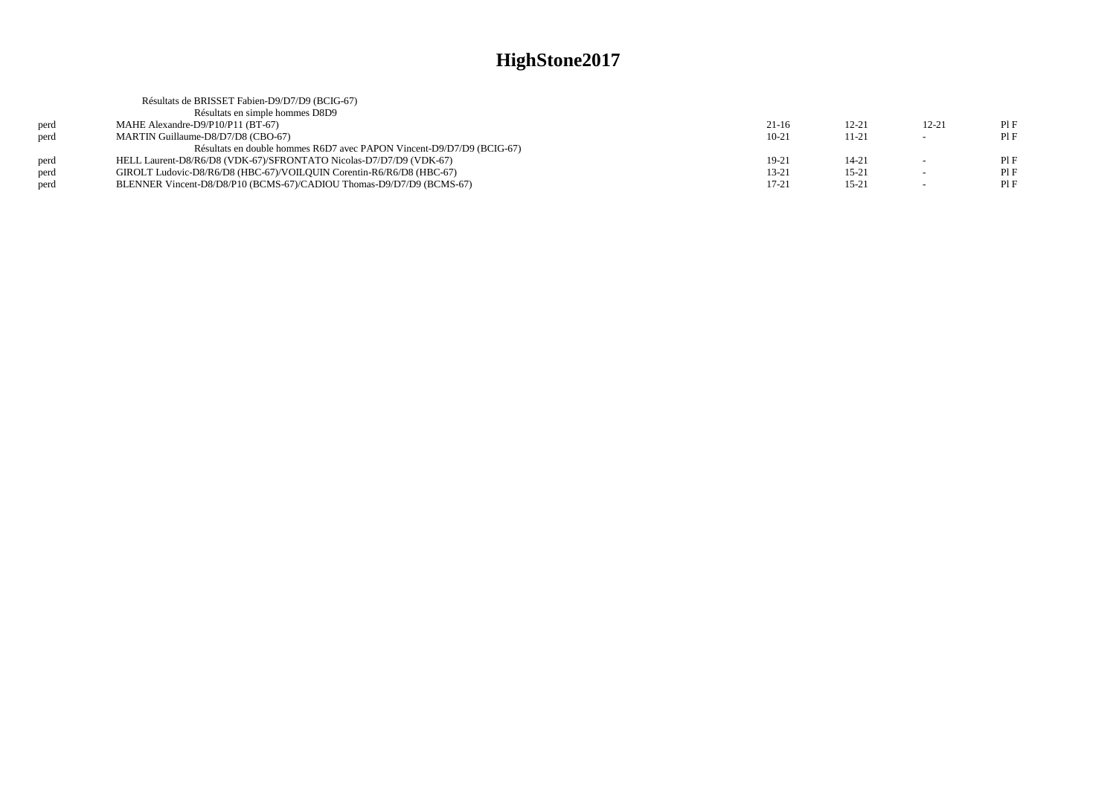|      | Résultats de BRISSET Fabien-D9/D7/D9 (BCIG-67)                        |           |           |                          |      |
|------|-----------------------------------------------------------------------|-----------|-----------|--------------------------|------|
|      | Résultats en simple hommes D8D9                                       |           |           |                          |      |
| perd | MAHE Alexandre-D9/P10/P11 (BT-67)                                     | $21-16$   | $12 - 21$ | $12 - 21$                | Pl F |
| perd | MARTIN Guillaume-D8/D7/D8 (CBO-67)                                    | $10-21$   | $11 - 21$ |                          | PIF  |
|      | Résultats en double hommes R6D7 avec PAPON Vincent-D9/D7/D9 (BCIG-67) |           |           |                          |      |
| perd | HELL Laurent-D8/R6/D8 (VDK-67)/SFRONTATO Nicolas-D7/D7/D9 (VDK-67)    | 19-21     | $14 - 21$ |                          | PIF  |
| perd | GIROLT Ludovic-D8/R6/D8 (HBC-67)/VOILOUIN Corentin-R6/R6/D8 (HBC-67)  | $13 - 21$ | $15 - 21$ | $\overline{\phantom{a}}$ | PIF  |
| perd | BLENNER Vincent-D8/D8/P10 (BCMS-67)/CADIOU Thomas-D9/D7/D9 (BCMS-67)  | $17 - 21$ | $15 - 21$ | $\overline{\phantom{a}}$ | PIF  |
|      |                                                                       |           |           |                          |      |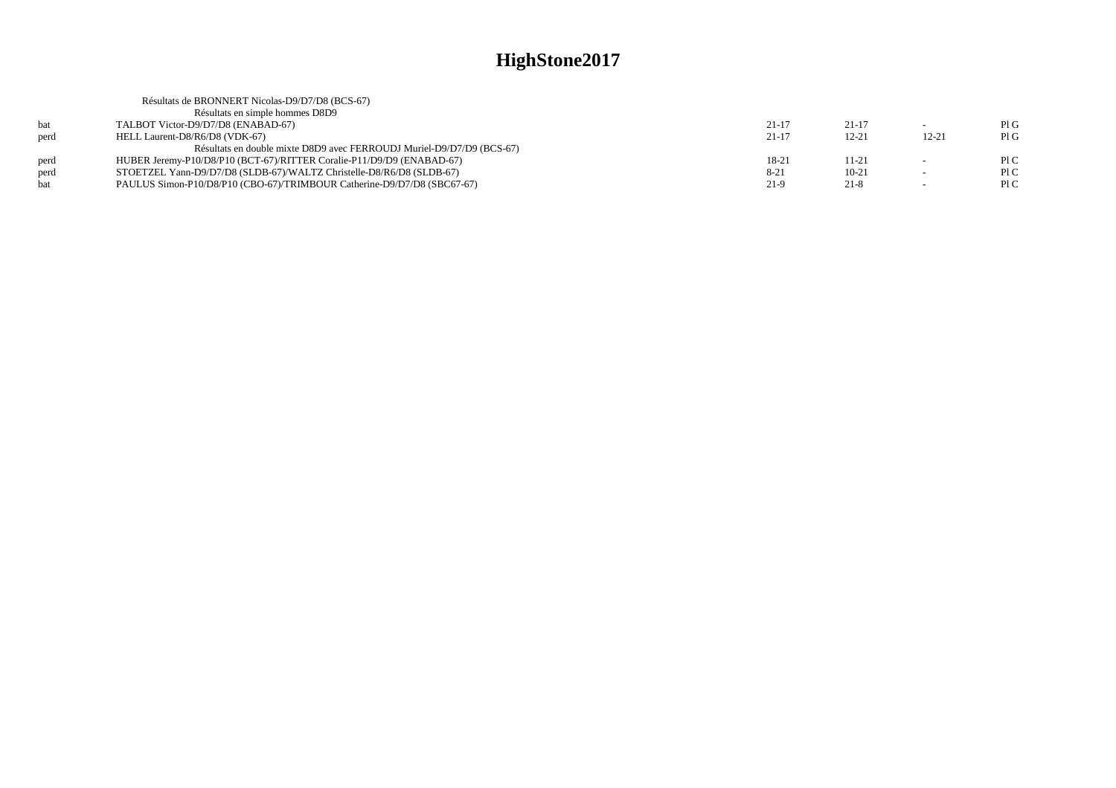|      | Résultats de BRONNERT Nicolas-D9/D7/D8 (BCS-67)                         |           |           |           |     |
|------|-------------------------------------------------------------------------|-----------|-----------|-----------|-----|
|      | Résultats en simple hommes D8D9                                         |           |           |           |     |
| bat  | TALBOT Victor-D9/D7/D8 (ENABAD-67)                                      | 21-17     | $21 - 17$ |           | PIG |
| perd | HELL Laurent-D8/R6/D8 (VDK-67)                                          | $21 - 17$ | $12 - 21$ | $12 - 21$ | PIG |
|      | Résultats en double mixte D8D9 avec FERROUDJ Muriel-D9/D7/D9 (BCS-67)   |           |           |           |     |
| perd | HUBER Jeremy-P10/D8/P10 (BCT-67)/RITTER Coralie-P11/D9/D9 (ENABAD-67)   | 18-21     | 11-21     |           | P1C |
| perd | STOETZEL Yann-D9/D7/D8 (SLDB-67)/WALTZ Christelle-D8/R6/D8 (SLDB-67)    | $8-21$    | $10-21$   |           | P1C |
|      | PAULUS Simon-P10/D8/P10 (CBO-67)/TRIMBOUR Catherine-D9/D7/D8 (SBC67-67) | $21-9$    | $21 - 8$  |           | P1C |
|      |                                                                         |           |           |           |     |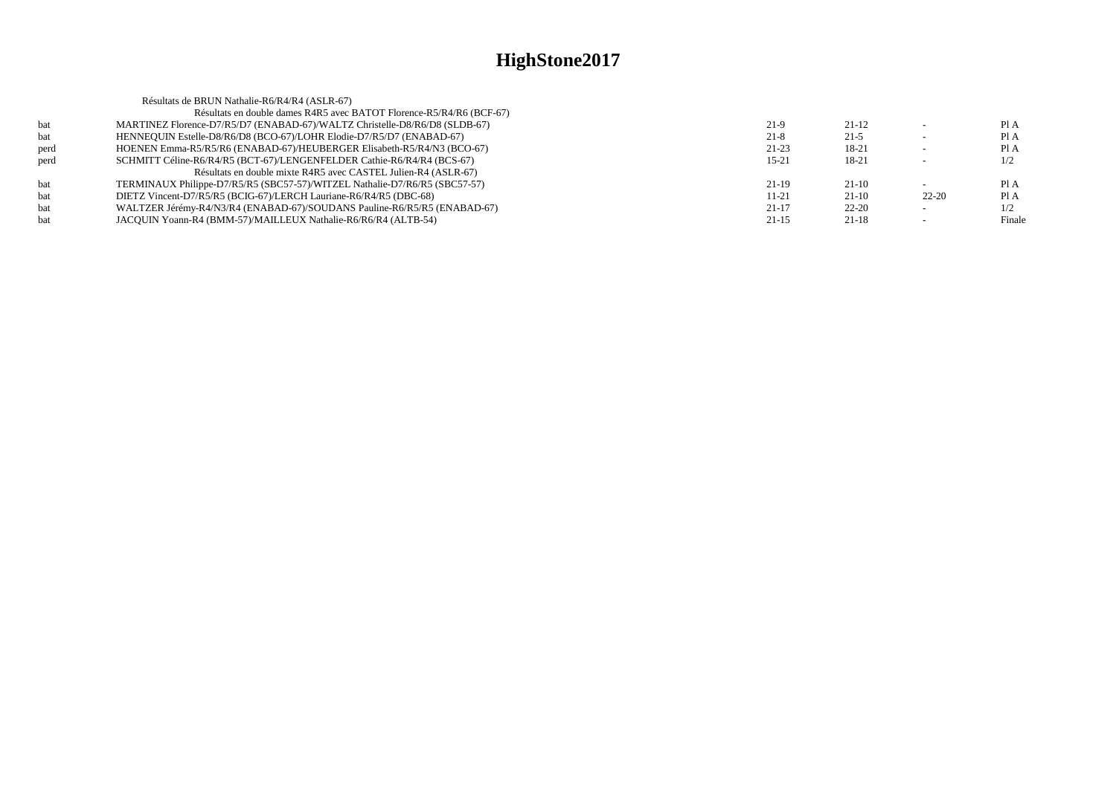|      | Résultats de BRUN Nathalie-R6/R4/R4 (ASLR-67)                              |           |           |           |        |
|------|----------------------------------------------------------------------------|-----------|-----------|-----------|--------|
|      | Résultats en double dames R4R5 avec BATOT Florence-R5/R4/R6 (BCF-67)       |           |           |           |        |
| bat  | MARTINEZ Florence-D7/R5/D7 (ENABAD-67)/WALTZ Christelle-D8/R6/D8 (SLDB-67) | $21-9$    | $21 - 12$ |           | PIA    |
| bat  | HENNEQUIN Estelle-D8/R6/D8 (BCO-67)/LOHR Elodie-D7/R5/D7 (ENABAD-67)       | $21-8$    | $21-5$    |           | Pl A   |
| perd | HOENEN Emma-R5/R5/R6 (ENABAD-67)/HEUBERGER Elisabeth-R5/R4/N3 (BCO-67)     | $21-23$   | 18-21     |           | Pl A   |
| perd | SCHMITT Céline-R6/R4/R5 (BCT-67)/LENGENFELDER Cathie-R6/R4/R4 (BCS-67)     | $15 - 21$ | 18-21     |           | 1/2    |
|      | Résultats en double mixte R4R5 avec CASTEL Julien-R4 (ASLR-67)             |           |           |           |        |
| bat  | TERMINAUX Philippe-D7/R5/R5 (SBC57-57)/WITZEL Nathalie-D7/R6/R5 (SBC57-57) | $21-19$   | $21-10$   |           | PI A   |
| bat  | DIETZ Vincent-D7/R5/R5 (BCIG-67)/LERCH Lauriane-R6/R4/R5 (DBC-68)          | $11 - 21$ | $21-10$   | $22 - 20$ | Pl A   |
| bat  | WALTZER Jérémy-R4/N3/R4 (ENABAD-67)/SOUDANS Pauline-R6/R5/R5 (ENABAD-67)   | $21 - 17$ | $22 - 20$ |           | 1/2    |
| bat  | JACOUIN Yoann-R4 (BMM-57)/MAILLEUX Nathalie-R6/R6/R4 (ALTB-54)             | $21 - 15$ | $21-18$   |           | Finale |
|      |                                                                            |           |           |           |        |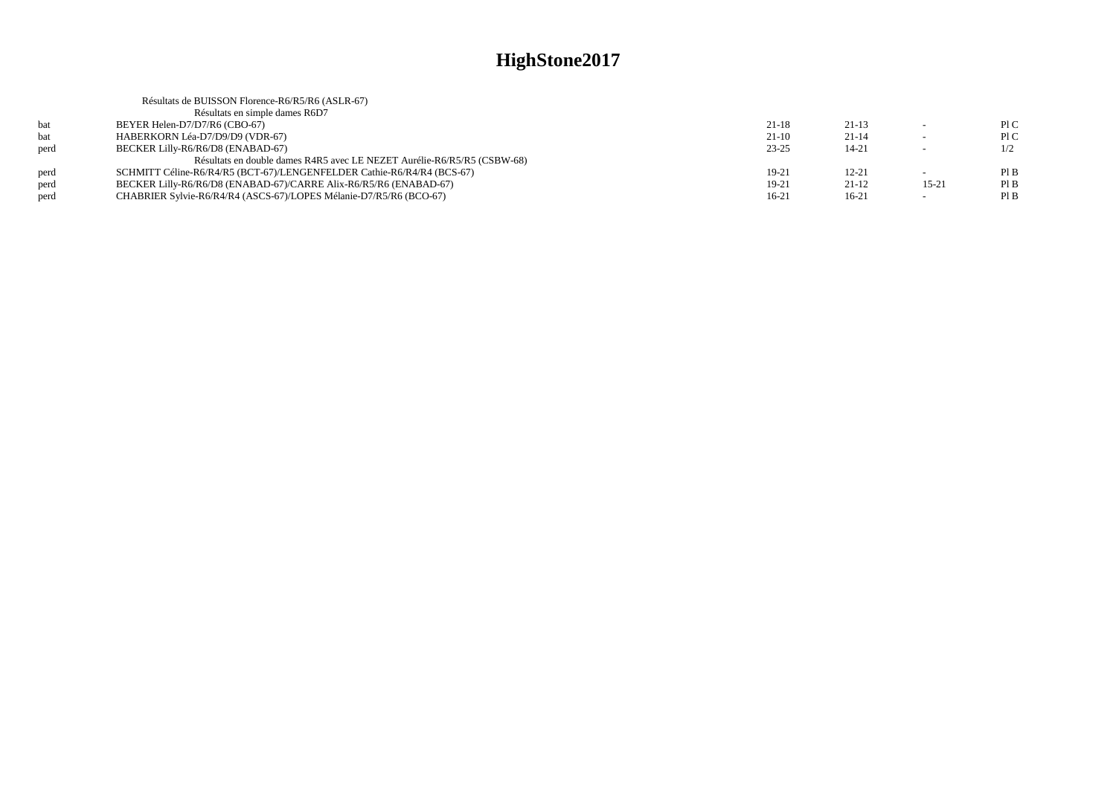|      | Résultats de BUISSON Florence-R6/R5/R6 (ASLR-67)                        |           |           |           |     |
|------|-------------------------------------------------------------------------|-----------|-----------|-----------|-----|
|      | Résultats en simple dames R6D7                                          |           |           |           |     |
| bat  | BEYER Helen-D7/D7/R6 (CBO-67)                                           | $21 - 18$ | $21 - 13$ |           | P1C |
| bat  | HABERKORN Léa-D7/D9/D9 (VDR-67)                                         | $21-10$   | $21 - 14$ | $\sim$    | P1C |
| perd | BECKER Lilly-R6/R6/D8 (ENABAD-67)                                       | $23 - 25$ | $14 - 21$ |           | 1/2 |
|      | Résultats en double dames R4R5 avec LE NEZET Aurélie-R6/R5/R5 (CSBW-68) |           |           |           |     |
| perd | SCHMITT Céline-R6/R4/R5 (BCT-67)/LENGENFELDER Cathie-R6/R4/R4 (BCS-67)  | 19-21     | $12 - 21$ |           | PIB |
| perd | BECKER Lilly-R6/R6/D8 (ENABAD-67)/CARRE Alix-R6/R5/R6 (ENABAD-67)       | 19-21     | $21-12$   | $15 - 21$ | PIB |
| perd | CHABRIER Sylvie-R6/R4/R4 (ASCS-67)/LOPES Mélanie-D7/R5/R6 (BCO-67)      | 16-21     | $16-21$   |           | PIB |
|      |                                                                         |           |           |           |     |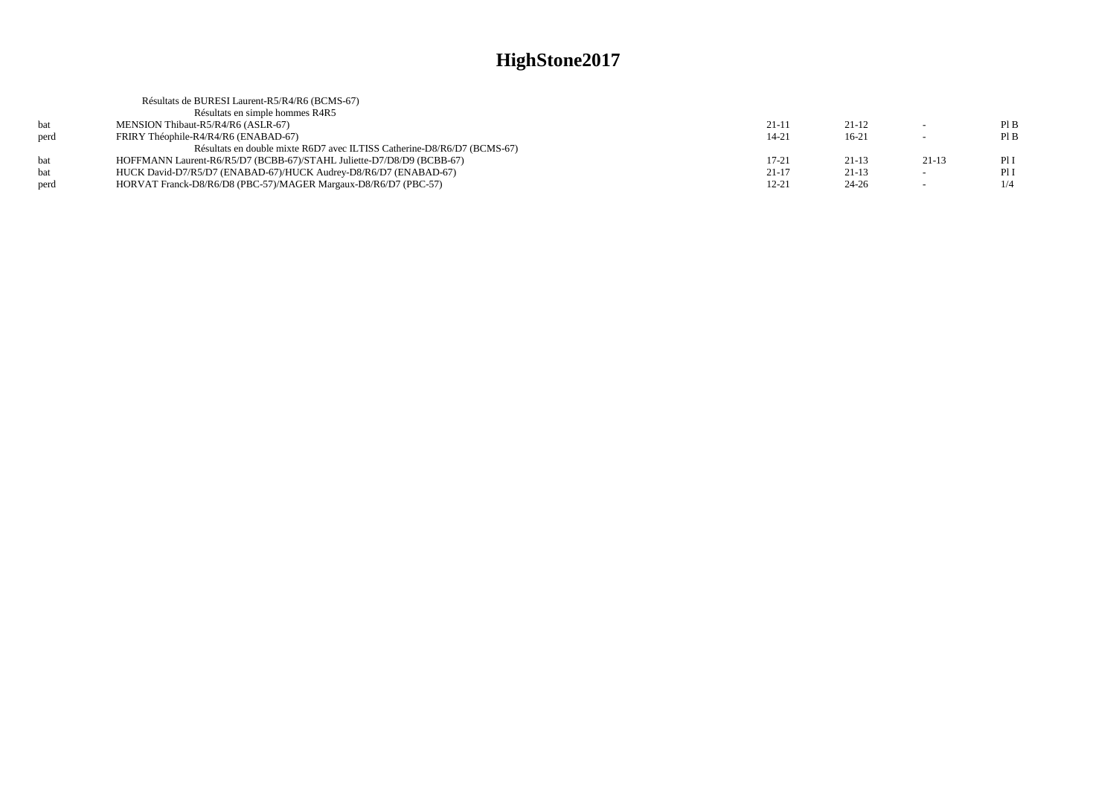|      | Résultats de BURESI Laurent-R5/R4/R6 (BCMS-67)                          |           |           |                          |      |
|------|-------------------------------------------------------------------------|-----------|-----------|--------------------------|------|
|      | Résultats en simple hommes R4R5                                         |           |           |                          |      |
| bat  | MENSION Thibaut-R5/R4/R6 (ASLR-67)                                      | $21 - 11$ | $21-12$   | $\sim$                   | PIB  |
| perd | FRIRY Théophile-R4/R4/R6 (ENABAD-67)                                    | $14 - 21$ | $16-21$   | $\overline{\phantom{a}}$ | PIB  |
|      | Résultats en double mixte R6D7 avec ILTISS Catherine-D8/R6/D7 (BCMS-67) |           |           |                          |      |
| hat  | HOFFMANN Laurent-R6/R5/D7 (BCBB-67)/STAHL Juliette-D7/D8/D9 (BCBB-67)   | 17-21     | $21 - 13$ | $21-13$                  | PII  |
|      | HUCK David-D7/R5/D7 (ENABAD-67)/HUCK Audrey-D8/R6/D7 (ENABAD-67)        | $21 - 17$ | $21-13$   | $\sim$                   | Pl I |
| perd | HORVAT Franck-D8/R6/D8 (PBC-57)/MAGER Margaux-D8/R6/D7 (PBC-57)         | $12 - 21$ | $24 - 26$ | $\overline{\phantom{a}}$ | 1/4  |
|      |                                                                         |           |           |                          |      |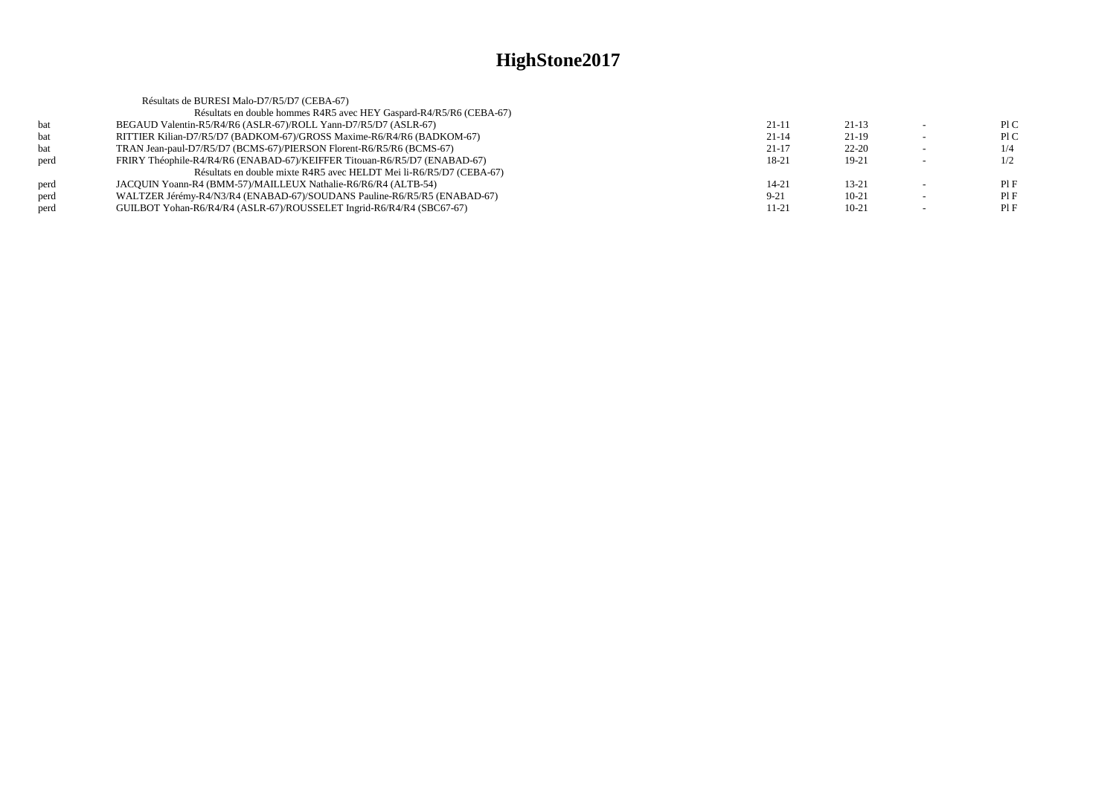|      | Résultats de BURESI Malo-D7/R5/D7 (CEBA-67)                               |           |           |     |
|------|---------------------------------------------------------------------------|-----------|-----------|-----|
|      | Résultats en double hommes R4R5 avec HEY Gaspard-R4/R5/R6 (CEBA-67)       |           |           |     |
| bat  | BEGAUD Valentin-R5/R4/R6 (ASLR-67)/ROLL Yann-D7/R5/D7 (ASLR-67)           | $21 - 11$ | $21-13$   | P1C |
| bat  | RITTIER Kilian-D7/R5/D7 (BADKOM-67)/GROSS Maxime-R6/R4/R6 (BADKOM-67)     | $21 - 14$ | $21-19$   | P1C |
| bat  | TRAN Jean-paul-D7/R5/D7 (BCMS-67)/PIERSON Florent-R6/R5/R6 (BCMS-67)      | $21 - 17$ | $22 - 20$ |     |
| perd | FRIRY Théophile-R4/R4/R6 (ENABAD-67)/KEIFFER Titouan-R6/R5/D7 (ENABAD-67) | 18-21     | $19-21$   | 1/2 |
|      | Résultats en double mixte R4R5 avec HELDT Mei li-R6/R5/D7 (CEBA-67)       |           |           |     |
| perd | JACOUIN Yoann-R4 (BMM-57)/MAILLEUX Nathalie-R6/R6/R4 (ALTB-54)            | $14 - 21$ | $13 - 21$ | PIF |
| perd | WALTZER Jérémy-R4/N3/R4 (ENABAD-67)/SOUDANS Pauline-R6/R5/R5 (ENABAD-67)  | $9 - 21$  | $10 - 21$ | PIF |
| perd | GUILBOT Yohan-R6/R4/R4 (ASLR-67)/ROUSSELET Ingrid-R6/R4/R4 (SBC67-67)     | 11-21     | $10 - 21$ | PIF |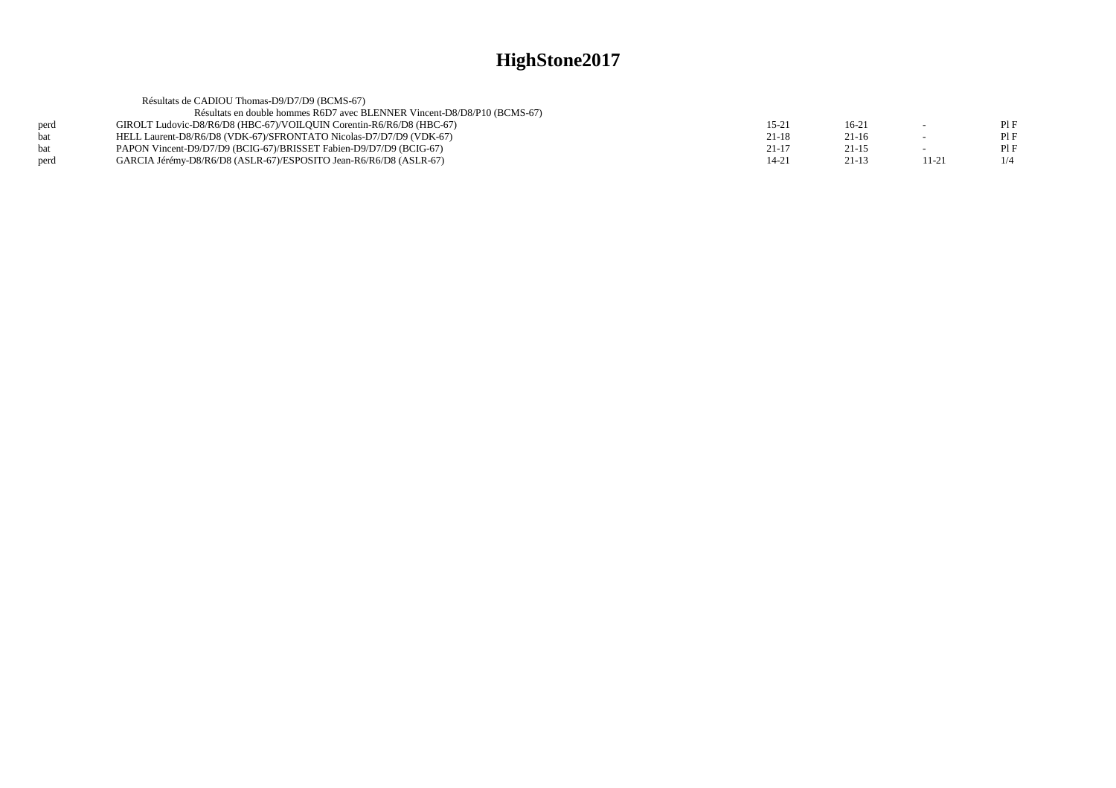|      | Résultats de CADIOU Thomas-D9/D7/D9 (BCMS-67)                            |           |           |       |     |
|------|--------------------------------------------------------------------------|-----------|-----------|-------|-----|
|      | Résultats en double hommes R6D7 avec BLENNER Vincent-D8/D8/P10 (BCMS-67) |           |           |       |     |
| perd | GIROLT Ludovic-D8/R6/D8 (HBC-67)/VOILOUIN Corentin-R6/R6/D8 (HBC-67)     | 15-21     | $16-2$    |       | PIF |
| hat  | HELL Laurent-D8/R6/D8 (VDK-67)/SFRONTATO Nicolas-D7/D7/D9 (VDK-67)       | $21 - 18$ | $21-16$   |       | PIF |
| bat  | PAPON Vincent-D9/D7/D9 (BCIG-67)/BRISSET Fabien-D9/D7/D9 (BCIG-67)       | $21 - 17$ | $21 - 15$ |       | PIF |
| perd | GARCIA Jérémy-D8/R6/D8 (ASLR-67)/ESPOSITO Jean-R6/R6/D8 (ASLR-67)        | 14-21     | $21-13$   | 11-21 | 1/4 |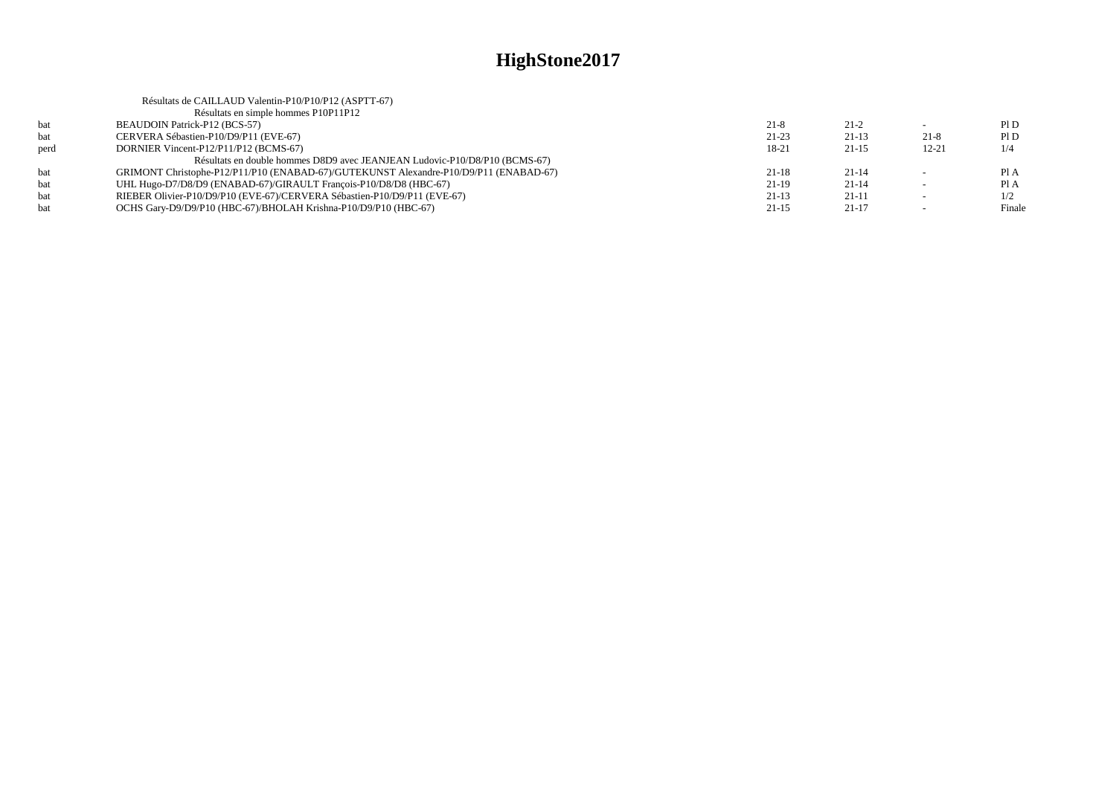|      | Résultats de CAILLAUD Valentin-P10/P10/P12 (ASPTT-67)                                 |           |           |           |        |
|------|---------------------------------------------------------------------------------------|-----------|-----------|-----------|--------|
|      | Résultats en simple hommes P10P11P12                                                  |           |           |           |        |
| bat  | <b>BEAUDOIN Patrick-P12 (BCS-57)</b>                                                  | $21 - 8$  | $21-2$    |           | P1D    |
| bat  | CERVERA Sébastien-P10/D9/P11 (EVE-67)                                                 | $21-23$   | $21-13$   | $21-8$    | PID    |
| perd | DORNIER Vincent-P12/P11/P12 (BCMS-67)                                                 | 18-21     | $21-15$   | $12 - 21$ | 1/4    |
|      | Résultats en double hommes D8D9 avec JEANJEAN Ludovic-P10/D8/P10 (BCMS-67)            |           |           |           |        |
| hat  | GRIMONT Christophe-P12/P11/P10 (ENABAD-67)/GUTEKUNST Alexandre-P10/D9/P11 (ENABAD-67) | $21-18$   | $21 - 14$ |           | Pl A   |
| bat  | UHL Hugo-D7/D8/D9 (ENABAD-67)/GIRAULT Francois-P10/D8/D8 (HBC-67)                     | $21-19$   | $21 - 14$ |           | Pl A   |
| bat  | RIEBER Olivier-P10/D9/P10 (EVE-67)/CERVERA Sébastien-P10/D9/P11 (EVE-67)              | $21-13$   | 21-11     | $\sim$    | 1/2    |
| hat  | OCHS Gary-D9/D9/P10 (HBC-67)/BHOLAH Krishna-P10/D9/P10 (HBC-67)                       | $21 - 15$ | $21-17$   |           | Finale |
|      |                                                                                       |           |           |           |        |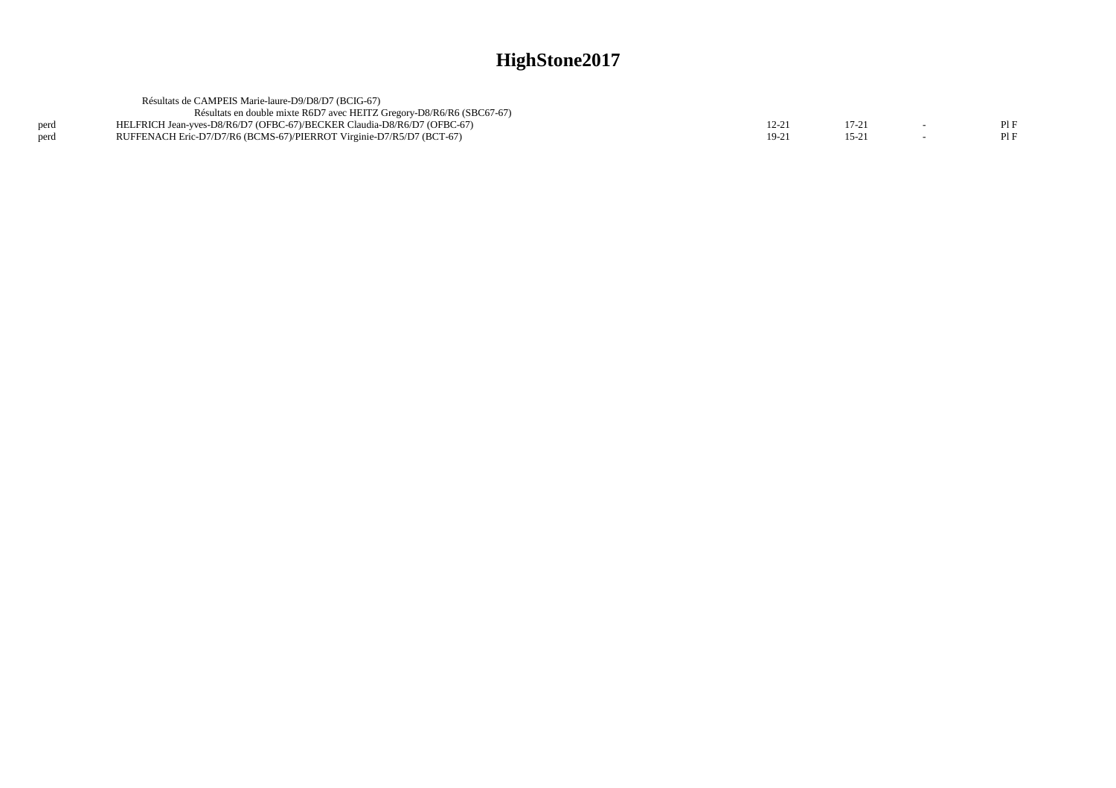|      | Résultats de CAMPEIS Marie-laure-D9/D8/D7 (BCIG-67)                     |         |        |     |
|------|-------------------------------------------------------------------------|---------|--------|-----|
|      | Résultats en double mixte R6D7 avec HEITZ Gregory-D8/R6/R6 (SBC67-67)   |         |        |     |
| perd | HELFRICH Jean-yves-D8/R6/D7 (OFBC-67)/BECKER Claudia-D8/R6/D7 (OFBC-67) | 12-21   |        | PIF |
| perd | RUFFENACH Eric-D7/D7/R6 (BCMS-67)/PIERROT Virginie-D7/R5/D7 (BCT-67)    | $19-2!$ | $15-2$ | PIF |
|      |                                                                         |         |        |     |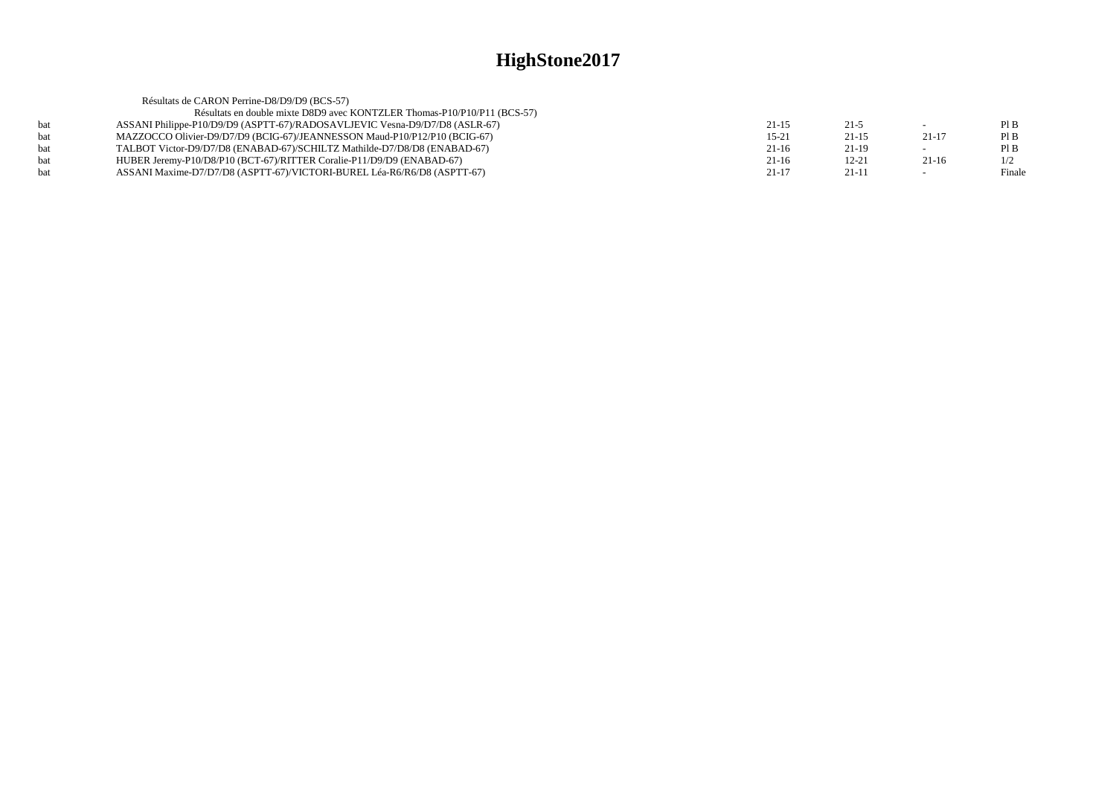|     | Résultats de CARON Perrine-D8/D9/D9 (BCS-57)                                |           |           |                          |        |
|-----|-----------------------------------------------------------------------------|-----------|-----------|--------------------------|--------|
|     | Résultats en double mixte D8D9 avec KONTZLER Thomas-P10/P10/P11 (BCS-57)    |           |           |                          |        |
| hat | ASSANI Philippe-P10/D9/D9 (ASPTT-67)/RADOSAVLJEVIC Vesna-D9/D7/D8 (ASLR-67) | $21 - 15$ | $21 - 5$  |                          | PIB    |
|     | MAZZOCCO Olivier-D9/D7/D9 (BCIG-67)/JEANNESSON Maud-P10/P12/P10 (BCIG-67)   | $15 - 21$ | $21 - 15$ | $21 - 17$                | PIB    |
| hat | TALBOT Victor-D9/D7/D8 (ENABAD-67)/SCHILTZ Mathilde-D7/D8/D8 (ENABAD-67)    | $21-16$   | 21-19     |                          | PIB    |
|     | HUBER Jeremy-P10/D8/P10 (BCT-67)/RITTER Coralie-P11/D9/D9 (ENABAD-67)       | $21-16$   | $12 - 21$ | $21-16$                  | 1/2    |
|     | ASSANI Maxime-D7/D7/D8 (ASPTT-67)/VICTORI-BUREL Léa-R6/R6/D8 (ASPTT-67)     | $21 - 17$ | $21-11$   | $\overline{\phantom{0}}$ | Finale |
|     |                                                                             |           |           |                          |        |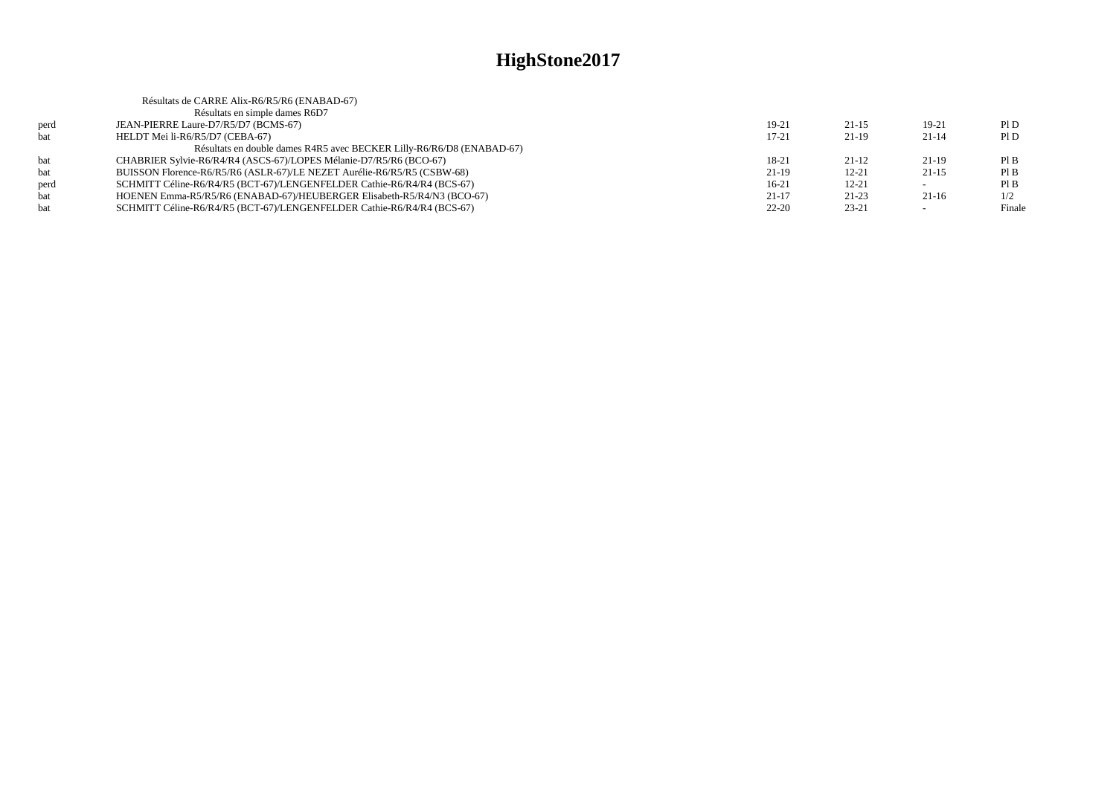|            | Résultats de CARRE Alix-R6/R5/R6 (ENABAD-67)                            |           |           |                          |        |
|------------|-------------------------------------------------------------------------|-----------|-----------|--------------------------|--------|
|            | Résultats en simple dames R6D7                                          |           |           |                          |        |
| perd       | JEAN-PIERRE Laure-D7/R5/D7 (BCMS-67)                                    | 19-21     | $21-15$   | $19-21$                  | P1D    |
| <b>bat</b> | HELDT Mei li-R6/R5/D7 (CEBA-67)                                         | $17 - 21$ | $21-19$   | 21-14                    | PID    |
|            | Résultats en double dames R4R5 avec BECKER Lilly-R6/R6/D8 (ENABAD-67)   |           |           |                          |        |
| bat        | CHABRIER Sylvie-R6/R4/R4 (ASCS-67)/LOPES Mélanie-D7/R5/R6 (BCO-67)      | 18-21     | $21-12$   | 21-19                    | PIB    |
| bat        | BUISSON Florence-R6/R5/R6 (ASLR-67)/LE NEZET Aurélie-R6/R5/R5 (CSBW-68) | $21-19$   | $12 - 21$ | $21-15$                  | PIB    |
| perd       | SCHMITT Céline-R6/R4/R5 (BCT-67)/LENGENFELDER Cathie-R6/R4/R4 (BCS-67)  | $16-21$   | $12 - 21$ | $\sim$                   | PIB    |
| bat        | HOENEN Emma-R5/R5/R6 (ENABAD-67)/HEUBERGER Elisabeth-R5/R4/N3 (BCO-67)  | $21 - 17$ | 21-23     | $21-16$                  | 1/2    |
| bat        | SCHMITT Céline-R6/R4/R5 (BCT-67)/LENGENFELDER Cathie-R6/R4/R4 (BCS-67)  | $22 - 20$ | $23 - 21$ | $\overline{\phantom{0}}$ | Finale |
|            |                                                                         |           |           |                          |        |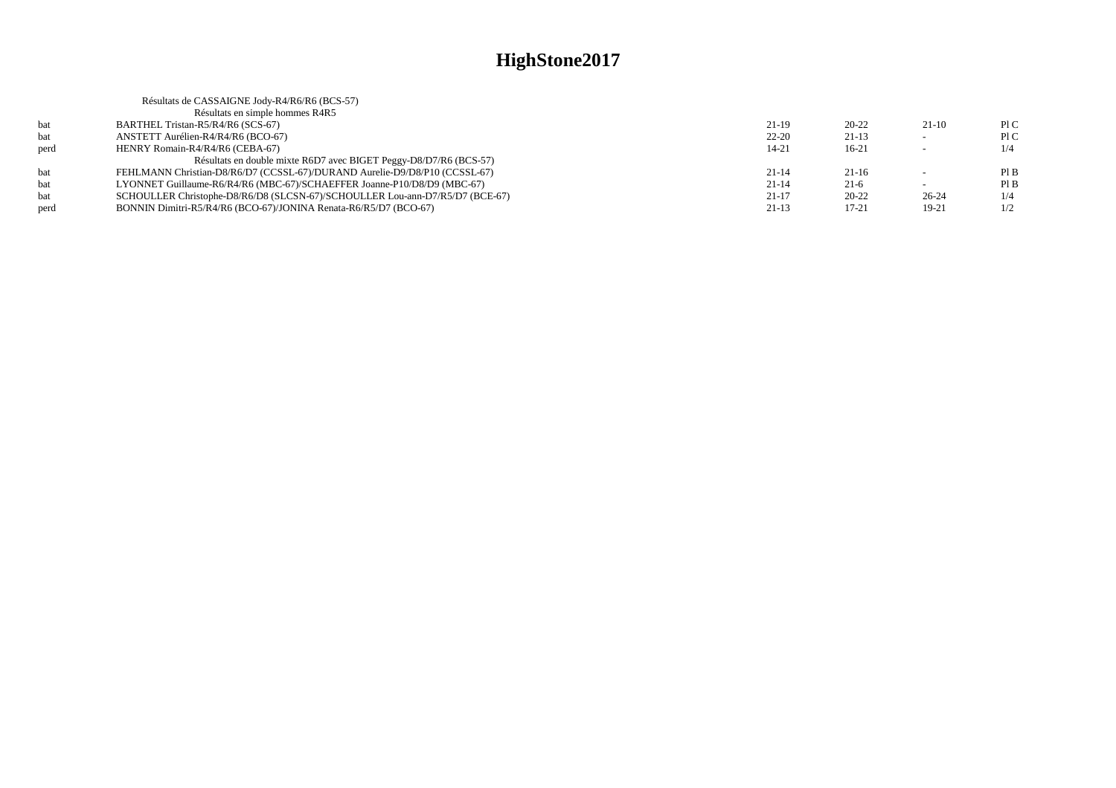|      | Résultats de CASSAIGNE Jody-R4/R6/R6 (BCS-57)                                |           |           |           |     |
|------|------------------------------------------------------------------------------|-----------|-----------|-----------|-----|
|      | Résultats en simple hommes R4R5                                              |           |           |           |     |
| bat  | BARTHEL Tristan-R5/R4/R6 (SCS-67)                                            | $21-19$   | $20 - 22$ | $21-10$   | P1C |
| bat  | ANSTETT Aurélien-R4/R4/R6 (BCO-67)                                           | $22 - 20$ | $21-13$   |           | P1C |
| perd | HENRY Romain-R4/R4/R6 (CEBA-67)                                              | $14 - 21$ | $16-21$   |           | 1/4 |
|      | Résultats en double mixte R6D7 avec BIGET Peggy-D8/D7/R6 (BCS-57)            |           |           |           |     |
| bat  | FEHLMANN Christian-D8/R6/D7 (CCSSL-67)/DURAND Aurelie-D9/D8/P10 (CCSSL-67)   | $21 - 14$ | $21-16$   |           | PIB |
| bat  | LYONNET Guillaume-R6/R4/R6 (MBC-67)/SCHAEFFER Joanne-P10/D8/D9 (MBC-67)      | $21 - 14$ | $21-6$    |           | PIB |
| bat  | SCHOULLER Christophe-D8/R6/D8 (SLCSN-67)/SCHOULLER Lou-ann-D7/R5/D7 (BCE-67) | $21 - 17$ | $20 - 22$ | $26 - 24$ | 1/4 |
| perd | BONNIN Dimitri-R5/R4/R6 (BCO-67)/JONINA Renata-R6/R5/D7 (BCO-67)             | $21-13$   | $17 - 21$ | 19-21     | 1/2 |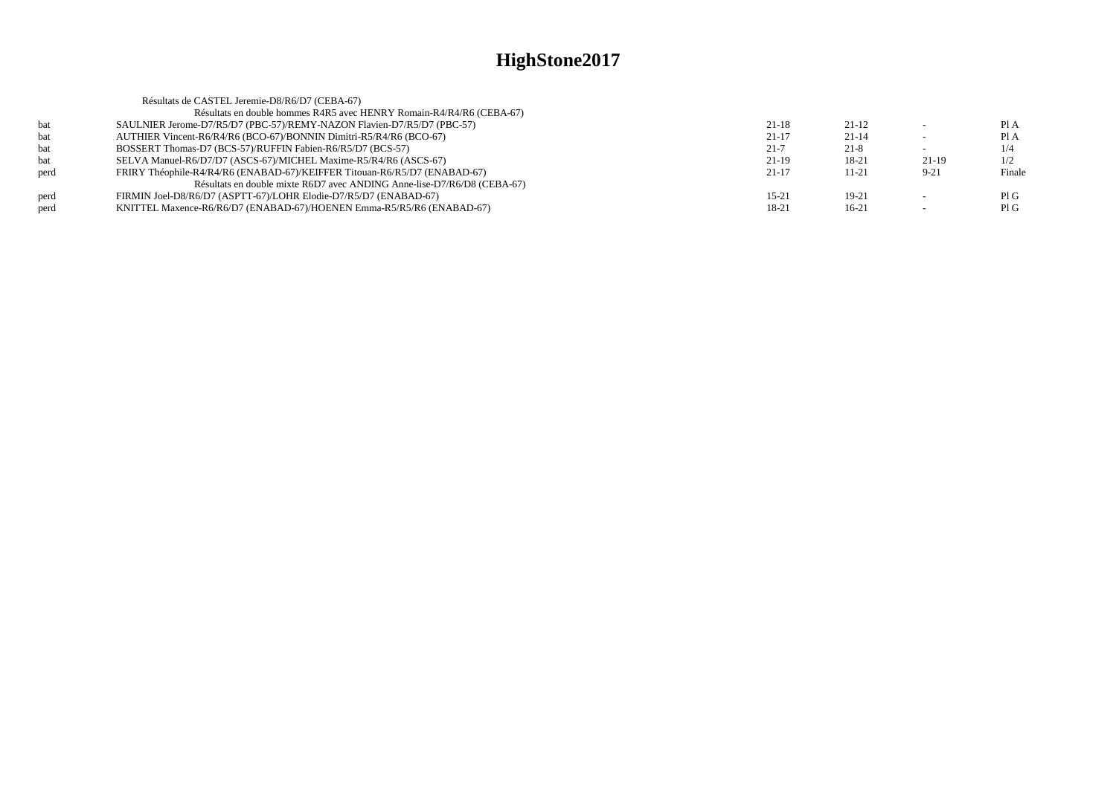| Résultats en double hommes R4R5 avec HENRY Romain-R4/R4/R6 (CEBA-67)<br>bat<br>SAULNIER Jerome-D7/R5/D7 (PBC-57)/REMY-NAZON Flavien-D7/R5/D7 (PBC-57)<br>$21-18$<br>$21-12$<br>AUTHIER Vincent-R6/R4/R6 (BCO-67)/BONNIN Dimitri-R5/R4/R6 (BCO-67)<br>$21-17$<br>$21 - 14$<br>bat |        |
|----------------------------------------------------------------------------------------------------------------------------------------------------------------------------------------------------------------------------------------------------------------------------------|--------|
|                                                                                                                                                                                                                                                                                  |        |
|                                                                                                                                                                                                                                                                                  | PIA    |
|                                                                                                                                                                                                                                                                                  | Pl A   |
| $21 - 7$<br>$21 - 8$<br>BOSSERT Thomas-D7 (BCS-57)/RUFFIN Fabien-R6/R5/D7 (BCS-57)<br>bat                                                                                                                                                                                        | 1/4    |
| SELVA Manuel-R6/D7/D7 (ASCS-67)/MICHEL Maxime-R5/R4/R6 (ASCS-67)<br>$21-19$<br>18-21<br>21-19<br>bat                                                                                                                                                                             | 1/2    |
| FRIRY Théophile-R4/R4/R6 (ENABAD-67)/KEIFFER Titouan-R6/R5/D7 (ENABAD-67)<br>$21 - 17$<br>$9 - 21$<br>perd<br>$11 - 21$                                                                                                                                                          | Finale |
| Résultats en double mixte R6D7 avec ANDING Anne-lise-D7/R6/D8 (CEBA-67)                                                                                                                                                                                                          |        |
| $15 - 21$<br>perd<br>FIRMIN Joel-D8/R6/D7 (ASPTT-67)/LOHR Elodie-D7/R5/D7 (ENABAD-67)<br>$19-21$<br>$\overline{\phantom{a}}$                                                                                                                                                     | PIG    |
| 18-21<br>KNITTEL Maxence-R6/R6/D7 (ENABAD-67)/HOENEN Emma-R5/R5/R6 (ENABAD-67)<br>$16-21$<br>perd                                                                                                                                                                                | PIG    |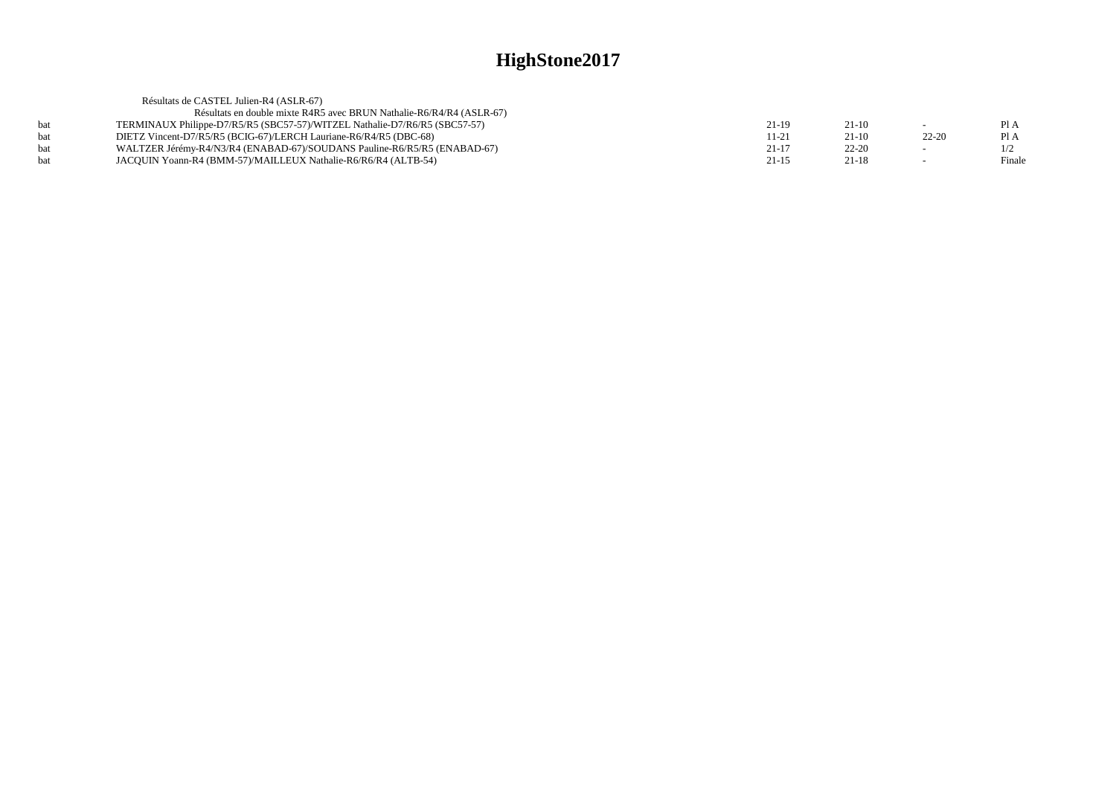|     | Résultats de CASTEL Julien-R4 (ASLR-67)                                    |           |           |           |        |
|-----|----------------------------------------------------------------------------|-----------|-----------|-----------|--------|
|     | Résultats en double mixte R4R5 avec BRUN Nathalie-R6/R4/R4 (ASLR-67)       |           |           |           |        |
| hat | TERMINAUX Philippe-D7/R5/R5 (SBC57-57)/WITZEL Nathalie-D7/R6/R5 (SBC57-57) | $21-19$   | $21-10$   |           | PIA    |
| bat | DIETZ Vincent-D7/R5/R5 (BCIG-67)/LERCH Lauriane-R6/R4/R5 (DBC-68)          | 11-21     | $21-10$   | $22 - 20$ | Pl A   |
| bat | WALTZER Jérémy-R4/N3/R4 (ENABAD-67)/SOUDANS Pauline-R6/R5/R5 (ENABAD-67)   | $21-17$   | $22 - 20$ |           | 1/2    |
| hat | JACOUIN Yoann-R4 (BMM-57)/MAILLEUX Nathalie-R6/R6/R4 (ALTB-54)             | $21 - 15$ | $21-18$   |           | Finale |
|     |                                                                            |           |           |           |        |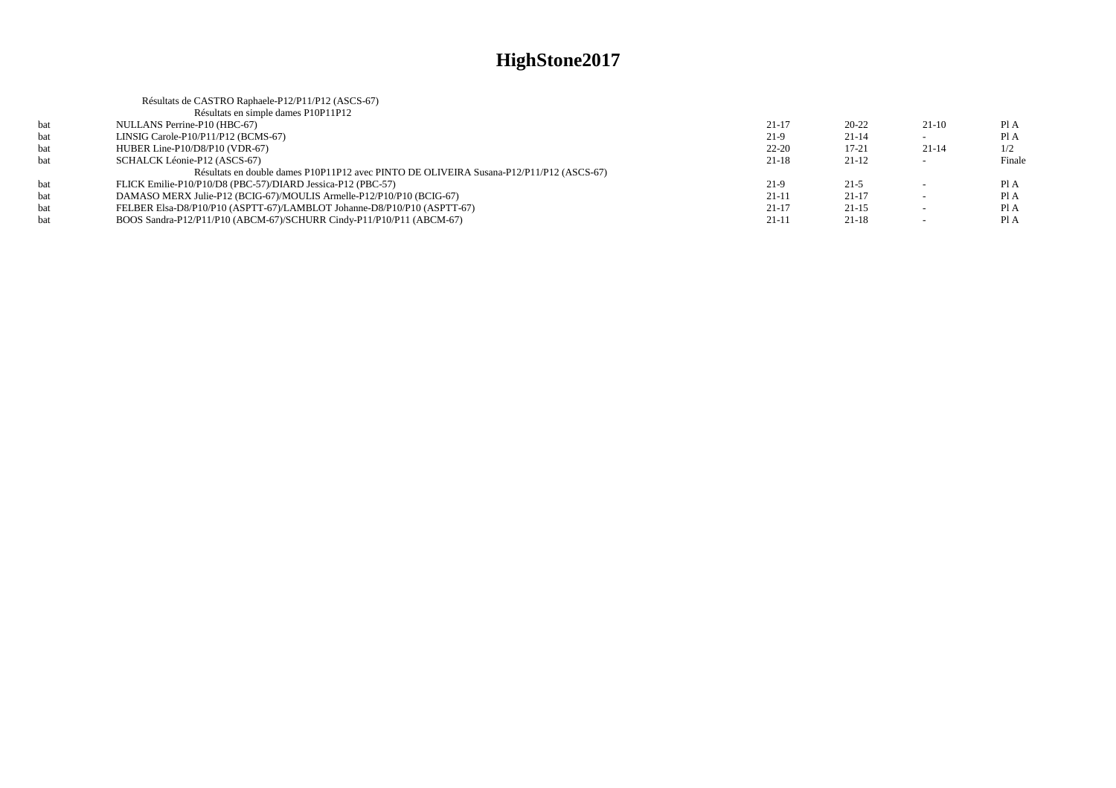|     | Résultats de CASTRO Raphaele-P12/P11/P12 (ASCS-67)                                      |           |           |                          |        |
|-----|-----------------------------------------------------------------------------------------|-----------|-----------|--------------------------|--------|
|     | Résultats en simple dames P10P11P12                                                     |           |           |                          |        |
| bat | NULLANS Perrine-P10 (HBC-67)                                                            | $21 - 17$ | $20 - 22$ | $21-10$                  | Pl A   |
| bat | LINSIG Carole-P10/P11/P12 (BCMS-67)                                                     | $21-9$    | $21 - 14$ |                          | Pl A   |
| bat | HUBER Line-P10/D8/P10 (VDR-67)                                                          | $22 - 20$ | $17 - 21$ | $21 - 14$                | 1/2    |
| hat | SCHALCK Léonie-P12 (ASCS-67)                                                            | $21-18$   | $21-12$   |                          | Finale |
|     | Résultats en double dames P10P11P12 avec PINTO DE OLIVEIRA Susana-P12/P11/P12 (ASCS-67) |           |           |                          |        |
| hat | FLICK Emilie-P10/P10/D8 (PBC-57)/DIARD Jessica-P12 (PBC-57)                             | $21-9$    | $21 - 5$  | $\overline{\phantom{a}}$ | PIA    |
| bat | DAMASO MERX Julie-P12 (BCIG-67)/MOULIS Armelle-P12/P10/P10 (BCIG-67)                    | $21 - 11$ | $21-17$   |                          | Pl A   |
| bat | FELBER Elsa-D8/P10/P10 (ASPTT-67)/LAMBLOT Johanne-D8/P10/P10 (ASPTT-67)                 | $21 - 17$ | $21-15$   |                          | Pl A   |
| bat | BOOS Sandra-P12/P11/P10 (ABCM-67)/SCHURR Cindy-P11/P10/P11 (ABCM-67)                    | $21 - 11$ | $21-18$   |                          | Pl A   |
|     |                                                                                         |           |           |                          |        |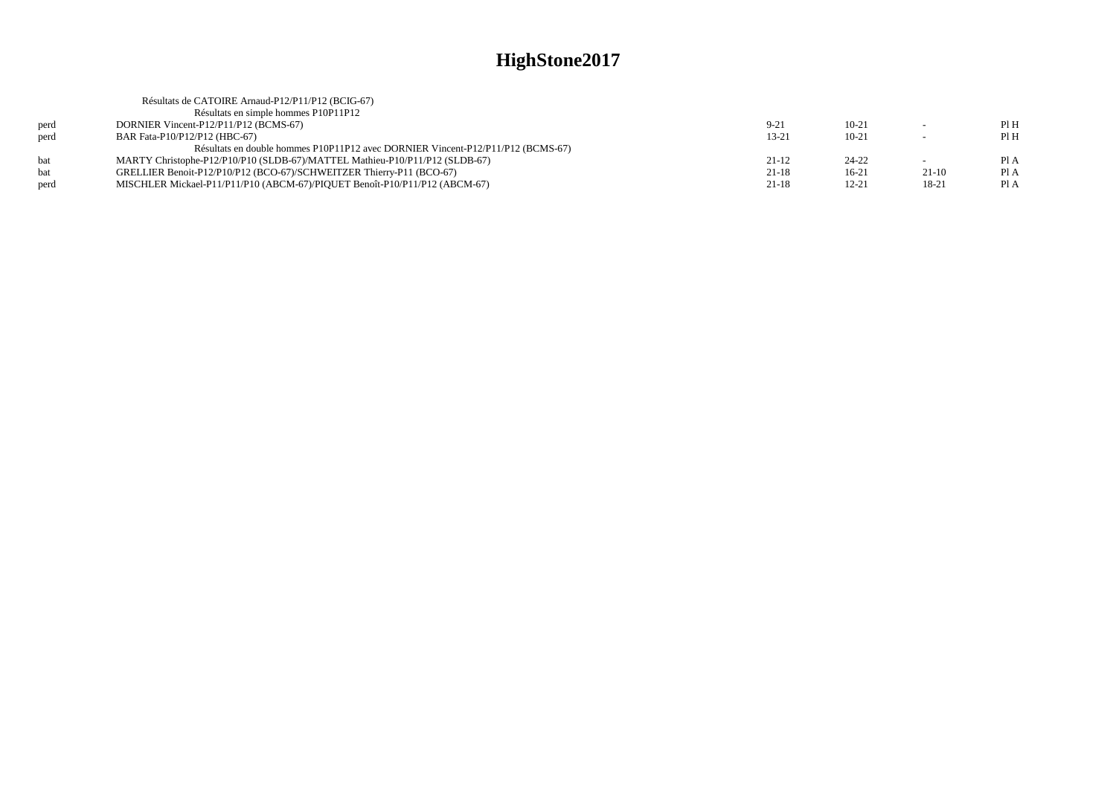|      | Résultats de CATOIRE Arnaud-P12/P11/P12 (BCIG-67)                               |           |           |         |      |
|------|---------------------------------------------------------------------------------|-----------|-----------|---------|------|
|      | Résultats en simple hommes P10P11P12                                            |           |           |         |      |
| perd | DORNIER Vincent-P12/P11/P12 (BCMS-67)                                           | $9 - 21$  | $10-21$   |         | PIH  |
| perd | BAR Fata-P10/P12/P12 (HBC-67)                                                   | $13 - 21$ | $10 - 21$ |         | Pl H |
|      | Résultats en double hommes P10P11P12 avec DORNIER Vincent-P12/P11/P12 (BCMS-67) |           |           |         |      |
| bat  | MARTY Christophe-P12/P10/P10 (SLDB-67)/MATTEL Mathieu-P10/P11/P12 (SLDB-67)     | $21-12$   | 24-22     |         | PI A |
| hat  | GRELLIER Benoit-P12/P10/P12 (BCO-67)/SCHWEITZER Thierry-P11 (BCO-67)            | $21 - 18$ | $16-21$   | $21-10$ | Pl A |
| perd | MISCHLER Mickael-P11/P11/P10 (ABCM-67)/PIOUET Benoît-P10/P11/P12 (ABCM-67)      | $21-18$   | $12 - 21$ | 18-21   | PI A |
|      |                                                                                 |           |           |         |      |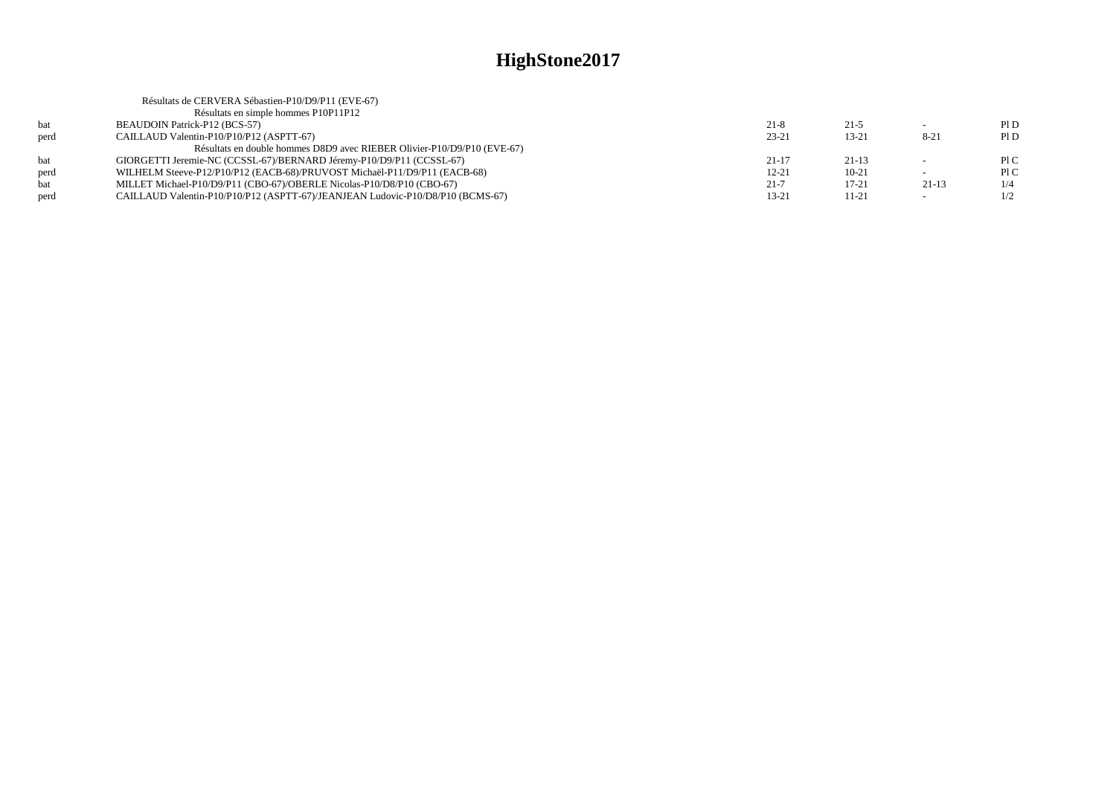|      | Résultats de CERVERA Sébastien-P10/D9/P11 (EVE-67)                             |           |           |          |     |
|------|--------------------------------------------------------------------------------|-----------|-----------|----------|-----|
|      | Résultats en simple hommes P10P11P12                                           |           |           |          |     |
| bat  | BEAUDOIN Patrick-P12 (BCS-57)                                                  | $21-8$    | $21-5$    |          | PID |
| perd | CAILLAUD Valentin-P10/P10/P12 (ASPTT-67)                                       | $23 - 21$ | $13 - 21$ | $8 - 21$ | PID |
|      | Résultats en double hommes D8D9 avec RIEBER Olivier-P10/D9/P10 (EVE-67)        |           |           |          |     |
| bat  | GIORGETTI Jeremie-NC (CCSSL-67)/BERNARD Jéremy-P10/D9/P11 (CCSSL-67)           | $21 - 17$ | $21 - 13$ |          | P1C |
| perd | WILHELM Steeve-P12/P10/P12 (EACB-68)/PRUVOST Michaël-P11/D9/P11 (EACB-68)      | $12 - 21$ | $10-21$   |          | P1C |
| bat  | MILLET Michael-P10/D9/P11 (CBO-67)/OBERLE Nicolas-P10/D8/P10 (CBO-67)          | $21 - 7$  | $17 - 21$ | $21-13$  | 1/4 |
| perd | CAILLAUD Valentin-P10/P10/P12 (ASPTT-67)/JEANJEAN Ludovic-P10/D8/P10 (BCMS-67) | $13 - 21$ | 11-21     |          | 1/2 |
|      |                                                                                |           |           |          |     |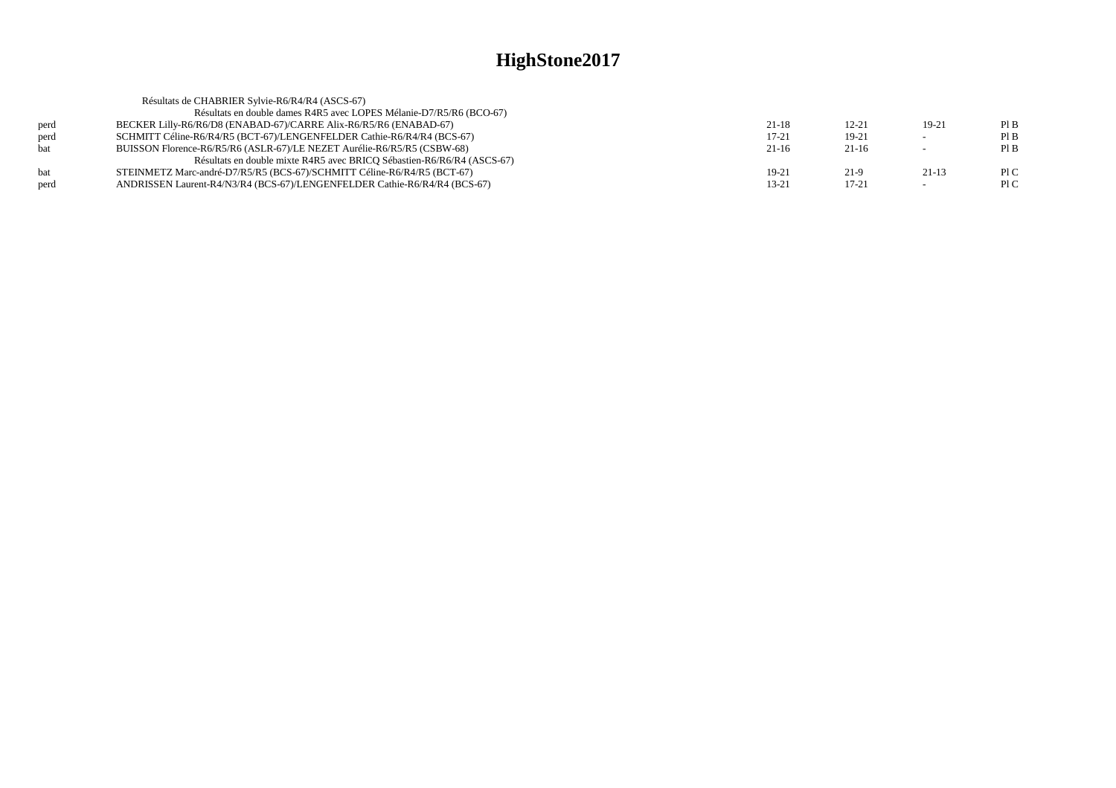|            | Résultats de CHABRIER Sylvie-R6/R4/R4 (ASCS-67)                           |           |           |         |     |
|------------|---------------------------------------------------------------------------|-----------|-----------|---------|-----|
|            | Résultats en double dames R4R5 avec LOPES Mélanie-D7/R5/R6 (BCO-67)       |           |           |         |     |
| perd       | BECKER Lilly-R6/R6/D8 (ENABAD-67)/CARRE Alix-R6/R5/R6 (ENABAD-67)         | $21-18$   | $12 - 21$ | 19-21   | PIB |
| perd       | SCHMITT Céline-R6/R4/R5 (BCT-67)/LENGENFELDER Cathie-R6/R4/R4 (BCS-67)    | $17 - 21$ | $19-21$   |         | PIB |
| <b>bat</b> | BUISSON Florence-R6/R5/R6 (ASLR-67)/LE NEZET Aurélie-R6/R5/R5 (CSBW-68)   | $21-16$   | $21-16$   | $\sim$  | PIB |
|            | Résultats en double mixte R4R5 avec BRICQ Sébastien-R6/R6/R4 (ASCS-67)    |           |           |         |     |
| <b>bat</b> | STEINMETZ Marc-andré-D7/R5/R5 (BCS-67)/SCHMITT Céline-R6/R4/R5 (BCT-67)   | 19-21     | 21-9      | $21-13$ | P1C |
| perd       | ANDRISSEN Laurent-R4/N3/R4 (BCS-67)/LENGENFELDER Cathie-R6/R4/R4 (BCS-67) | 13-21     | $17 - 21$ |         | P1C |
|            |                                                                           |           |           |         |     |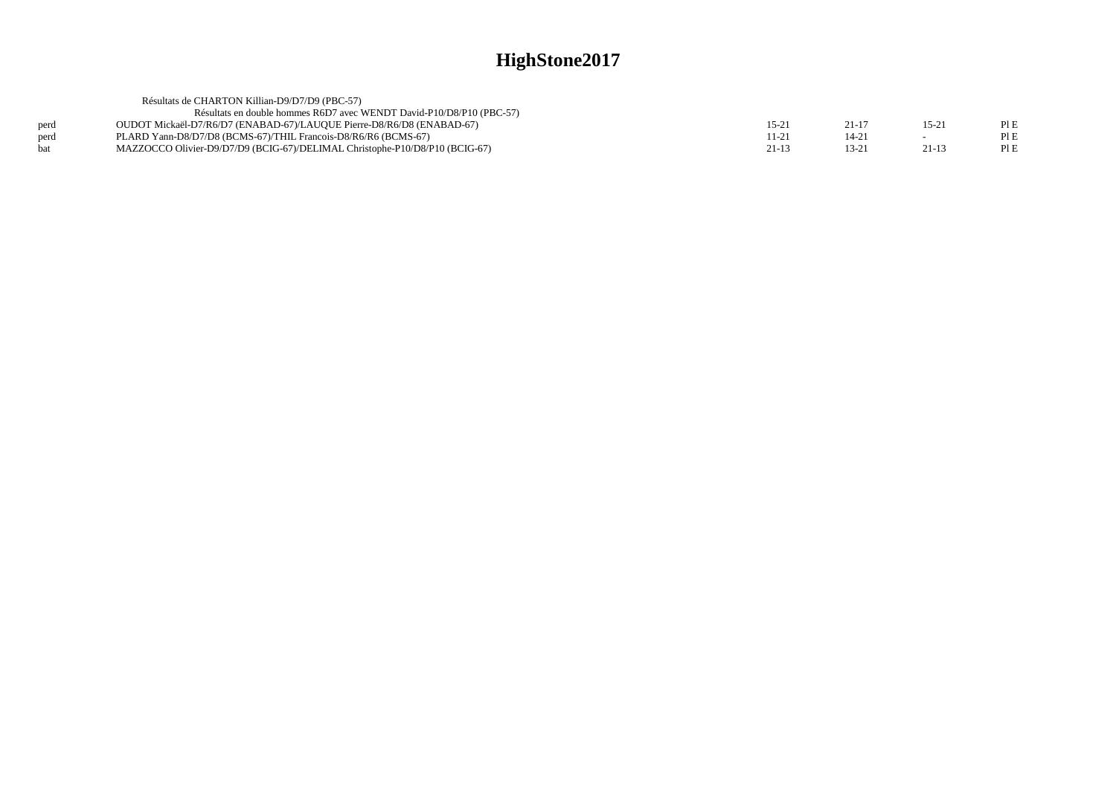|      | Résultats de CHARTON Killian-D9/D7/D9 (PBC-57)                              |           |        |           |      |
|------|-----------------------------------------------------------------------------|-----------|--------|-----------|------|
|      | Résultats en double hommes R6D7 avec WENDT David-P10/D8/P10 (PBC-57)        |           |        |           |      |
| perd | OUDOT Mickaël-D7/R6/D7 (ENABAD-67)/LAUQUE Pierre-D8/R6/D8 (ENABAD-67)       | $15-2$    | 21-11  | $15 - 21$ | PI E |
| perd | PLARD Yann-D8/D7/D8 (BCMS-67)/THIL Francois-D8/R6/R6 (BCMS-67)              | 11-21     | $14-2$ |           |      |
| hat  | MAZZOCCO Olivier-D9/D7/D9 (BCIG-67)/DELIMAL Christophe-P10/D8/P10 (BCIG-67) | $21 - 13$ | $13-2$ | 21-13     |      |
|      |                                                                             |           |        |           |      |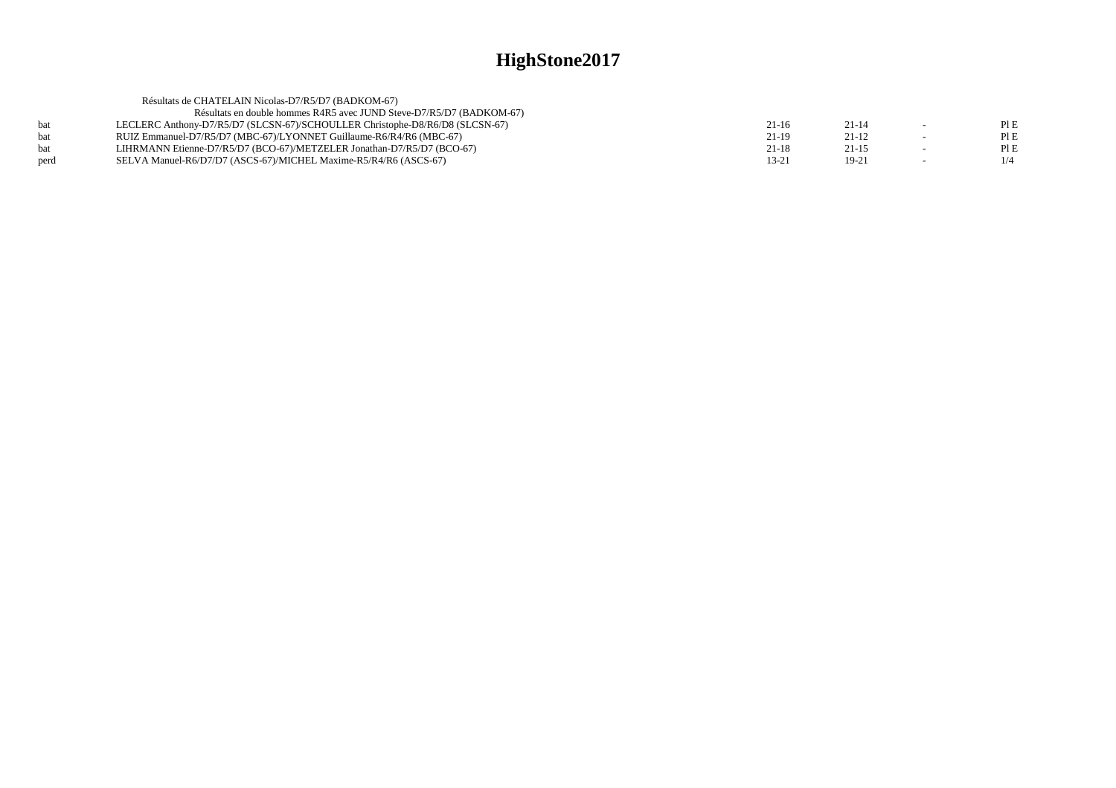|            | Résultats de CHATELAIN Nicolas-D7/R5/D7 (BADKOM-67)                          |       |           |        |      |
|------------|------------------------------------------------------------------------------|-------|-----------|--------|------|
|            | Résultats en double hommes R4R5 avec JUND Steve-D7/R5/D7 (BADKOM-67)         |       |           |        |      |
| <b>bat</b> | LECLERC Anthony-D7/R5/D7 (SLCSN-67)/SCHOULLER Christophe-D8/R6/D8 (SLCSN-67) | 21-16 | $21 - 14$ | $\sim$ | PLE  |
| hat        | RUIZ Emmanuel-D7/R5/D7 (MBC-67)/LYONNET Guillaume-R6/R4/R6 (MBC-67)          | 21-19 | $21-12$   |        | PI E |
| hat        | LIHRMANN Etienne-D7/R5/D7 (BCO-67)/METZELER Jonathan-D7/R5/D7 (BCO-67)       | 21-18 | $21 - 15$ |        | PI E |
| perd       | SELVA Manuel-R6/D7/D7 (ASCS-67)/MICHEL Maxime-R5/R4/R6 (ASCS-67)             | 13-21 | $19-21$   |        | 1/4  |
|            |                                                                              |       |           |        |      |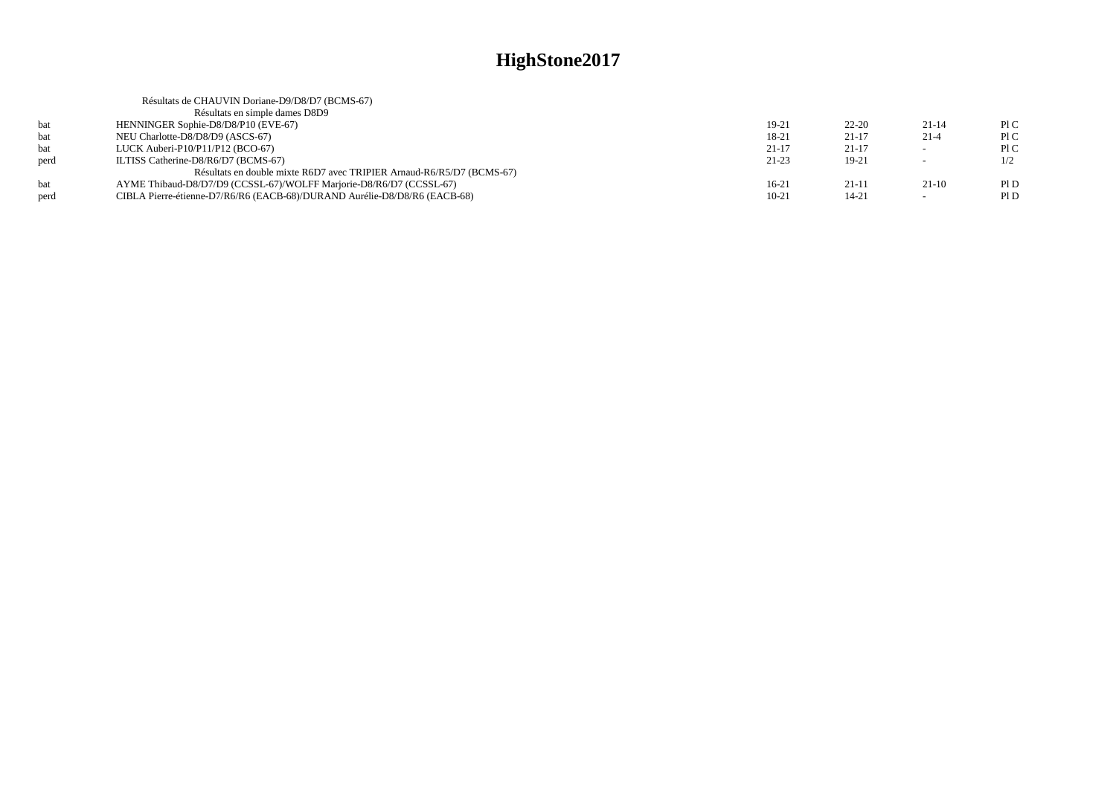|      | Résultats de CHAUVIN Doriane-D9/D8/D7 (BCMS-67)                           |           |           |                          |      |
|------|---------------------------------------------------------------------------|-----------|-----------|--------------------------|------|
|      | Résultats en simple dames D8D9                                            |           |           |                          |      |
| bat  | HENNINGER Sophie-D8/D8/P10 (EVE-67)                                       | 19-21     | $22 - 20$ | $21 - 14$                | PLC  |
| bat  | NEU Charlotte-D8/D8/D9 (ASCS-67)                                          | 18-21     | $21 - 17$ | $21-4$                   | P1C  |
| bat  | LUCK Auberi-P $10/P11/P12$ (BCO-67)                                       | $21 - 17$ | $21 - 17$ | $\sim$                   | P1C  |
| perd | ILTISS Catherine-D8/R6/D7 (BCMS-67)                                       | $21-23$   | $19-21$   | $\overline{\phantom{a}}$ | 1/2  |
|      | Résultats en double mixte R6D7 avec TRIPIER Arnaud-R6/R5/D7 (BCMS-67)     |           |           |                          |      |
| bat  | AYME Thibaud-D8/D7/D9 (CCSSL-67)/WOLFF Marjorie-D8/R6/D7 (CCSSL-67)       | $16-21$   | 21-11     | $21-10$                  | Pl D |
| perd | CIBLA Pierre-étienne-D7/R6/R6 (EACB-68)/DURAND Aurélie-D8/D8/R6 (EACB-68) | $10-21$   | $14 - 21$ | $\overline{\phantom{a}}$ | P1D  |
|      |                                                                           |           |           |                          |      |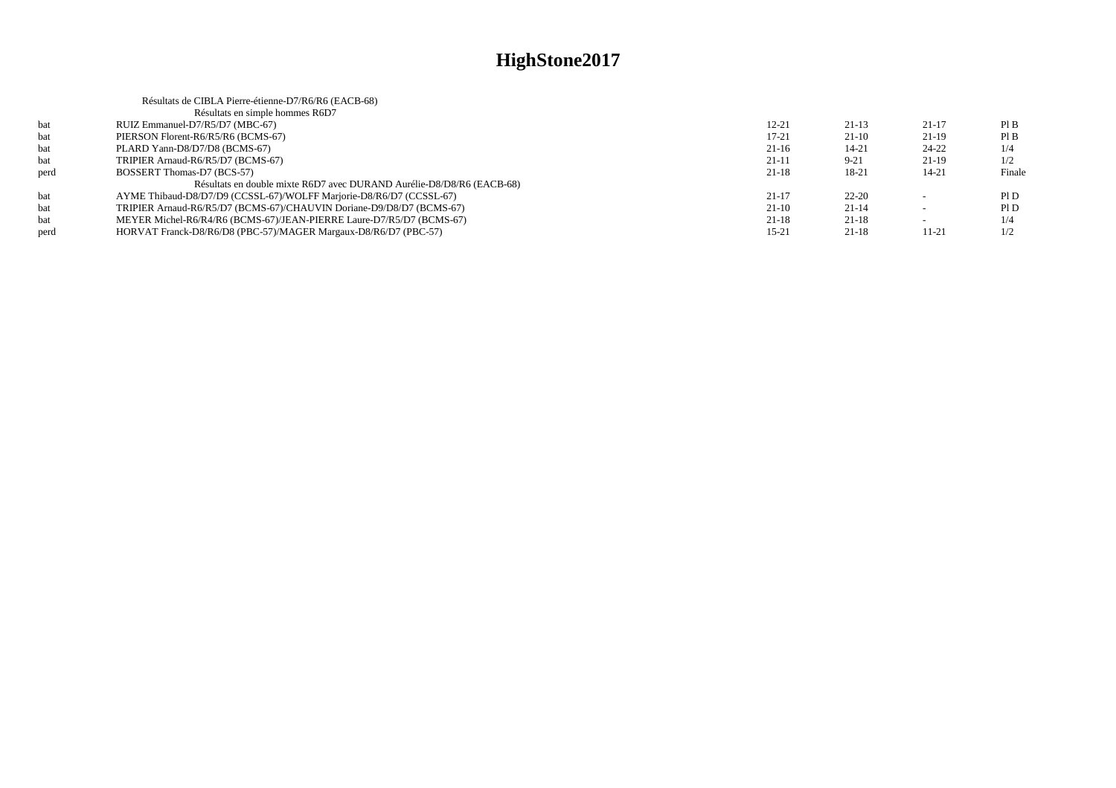|      | Résultats de CIBLA Pierre-étienne-D7/R6/R6 (EACB-68)                  |           |           |                          |        |
|------|-----------------------------------------------------------------------|-----------|-----------|--------------------------|--------|
|      | Résultats en simple hommes R6D7                                       |           |           |                          |        |
| bat  | RUIZ Emmanuel-D7/R5/D7 (MBC-67)                                       | $12 - 21$ | $21-13$   | $21-17$                  | PIB    |
| bat  | PIERSON Florent-R6/R5/R6 (BCMS-67)                                    | $17 - 21$ | $21-10$   | 21-19                    | PIB    |
| bat  | PLARD Yann-D8/D7/D8 (BCMS-67)                                         | $21-16$   | $14 - 21$ | 24-22                    | 1/4    |
| bat  | TRIPIER Arnaud-R6/R5/D7 (BCMS-67)                                     | $21-11$   | $9 - 21$  | 21-19                    | 1/2    |
| perd | BOSSERT Thomas-D7 (BCS-57)                                            | $21 - 18$ | 18-21     | $14 - 21$                | Finale |
|      | Résultats en double mixte R6D7 avec DURAND Aurélie-D8/D8/R6 (EACB-68) |           |           |                          |        |
| bat  | AYME Thibaud-D8/D7/D9 (CCSSL-67)/WOLFF Marjorie-D8/R6/D7 (CCSSL-67)   | $21 - 17$ | $22 - 20$ | $\overline{\phantom{0}}$ | PID    |
| bat  | TRIPIER Arnaud-R6/R5/D7 (BCMS-67)/CHAUVIN Doriane-D9/D8/D7 (BCMS-67)  | $21-10$   | $21-14$   |                          | PID    |
| bat  | MEYER Michel-R6/R4/R6 (BCMS-67)/JEAN-PIERRE Laure-D7/R5/D7 (BCMS-67)  | $21 - 18$ | $21-18$   | $\overline{\phantom{a}}$ | 1/4    |
| perd | HORVAT Franck-D8/R6/D8 (PBC-57)/MAGER Margaux-D8/R6/D7 (PBC-57)       | $15 - 21$ | $21-18$   | $11-21$                  | 1/2    |
|      |                                                                       |           |           |                          |        |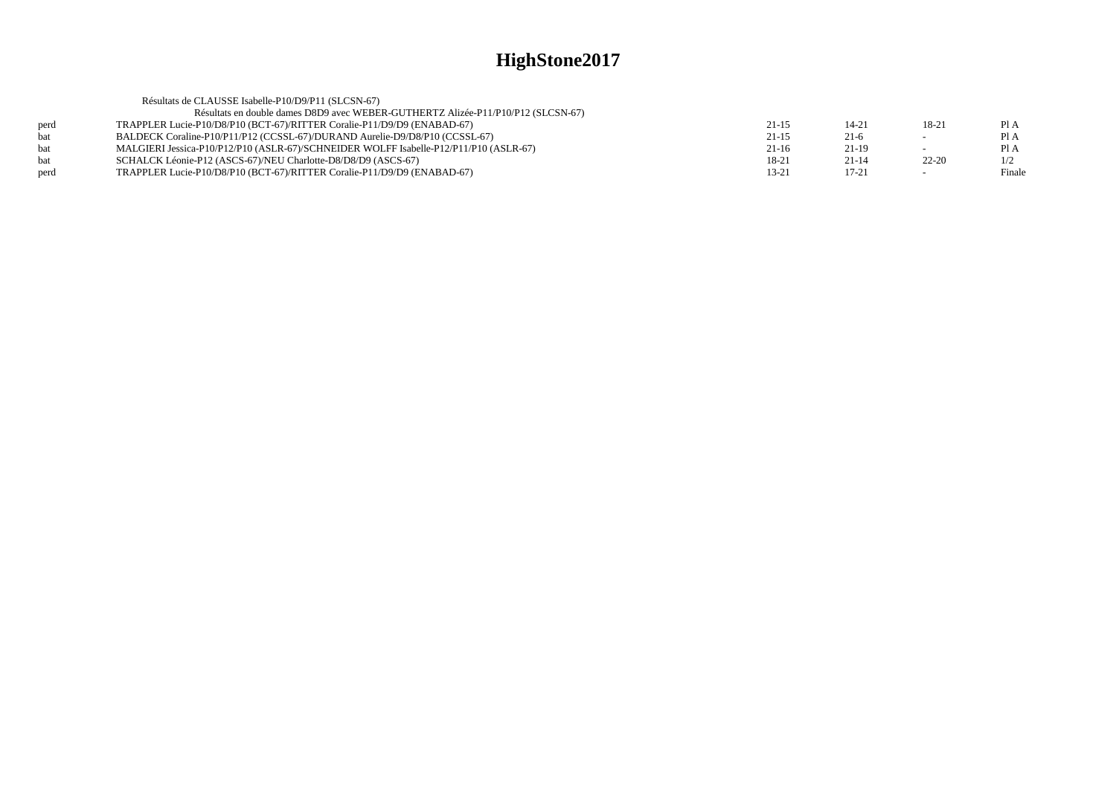|      | Résultats de CLAUSSE Isabelle-P10/D9/P11 (SLCSN-67)                                   |           |           |                          |        |
|------|---------------------------------------------------------------------------------------|-----------|-----------|--------------------------|--------|
|      | Résultats en double dames D8D9 avec WEBER-GUTHERTZ Alizée-P11/P10/P12 (SLCSN-67)      |           |           |                          |        |
| perd | TRAPPLER Lucie-P10/D8/P10 (BCT-67)/RITTER Coralie-P11/D9/D9 (ENABAD-67)               | $21 - 15$ | $14 - 21$ | 18-21                    | Pl A   |
| hat  | BALDECK Coraline-P10/P11/P12 (CCSSL-67)/DURAND Aurelie-D9/D8/P10 (CCSSL-67)           | $21 - 15$ | $21-6$    | $\overline{\phantom{0}}$ | Pl A   |
| hat  | MALGIERI Jessica-P10/P12/P10 (ASLR-67)/SCHNEIDER WOLFF Isabelle-P12/P11/P10 (ASLR-67) | $21-16$   | $21-19$   |                          | Pl A   |
|      | SCHALCK Léonie-P12 (ASCS-67)/NEU Charlotte-D8/D8/D9 (ASCS-67)                         | 18-21     | $21 - 14$ | $22 - 20$                | 1/2    |
| perd | TRAPPLER Lucie-P10/D8/P10 (BCT-67)/RITTER Coralie-P11/D9/D9 (ENABAD-67)               | $13 - 21$ | $17 - 21$ | $\overline{\phantom{0}}$ | Finale |
|      |                                                                                       |           |           |                          |        |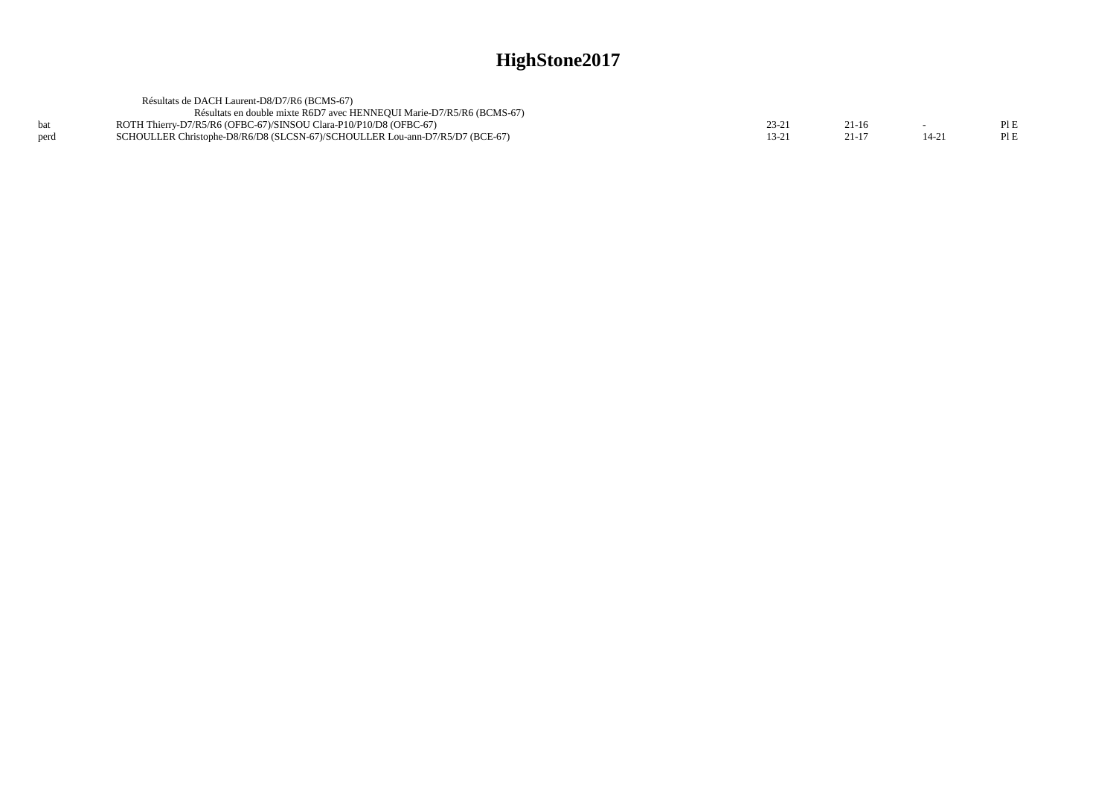|      | Résultats de DACH Laurent-D8/D7/R6 (BCMS-67)                                 |        |         |       |      |
|------|------------------------------------------------------------------------------|--------|---------|-------|------|
|      | Résultats en double mixte R6D7 avec HENNEOUI Marie-D7/R5/R6 (BCMS-67)        |        |         |       |      |
|      | ROTH Thierry-D7/R5/R6 (OFBC-67)/SINSOU Clara-P10/P10/D8 (OFBC-67)            | 23-21  | $21-16$ |       | PLE  |
| perd | SCHOULLER Christophe-D8/R6/D8 (SLCSN-67)/SCHOULLER Lou-ann-D7/R5/D7 (BCE-67) | $3-21$ | 21-13   | 14-21 | PI E |
|      |                                                                              |        |         |       |      |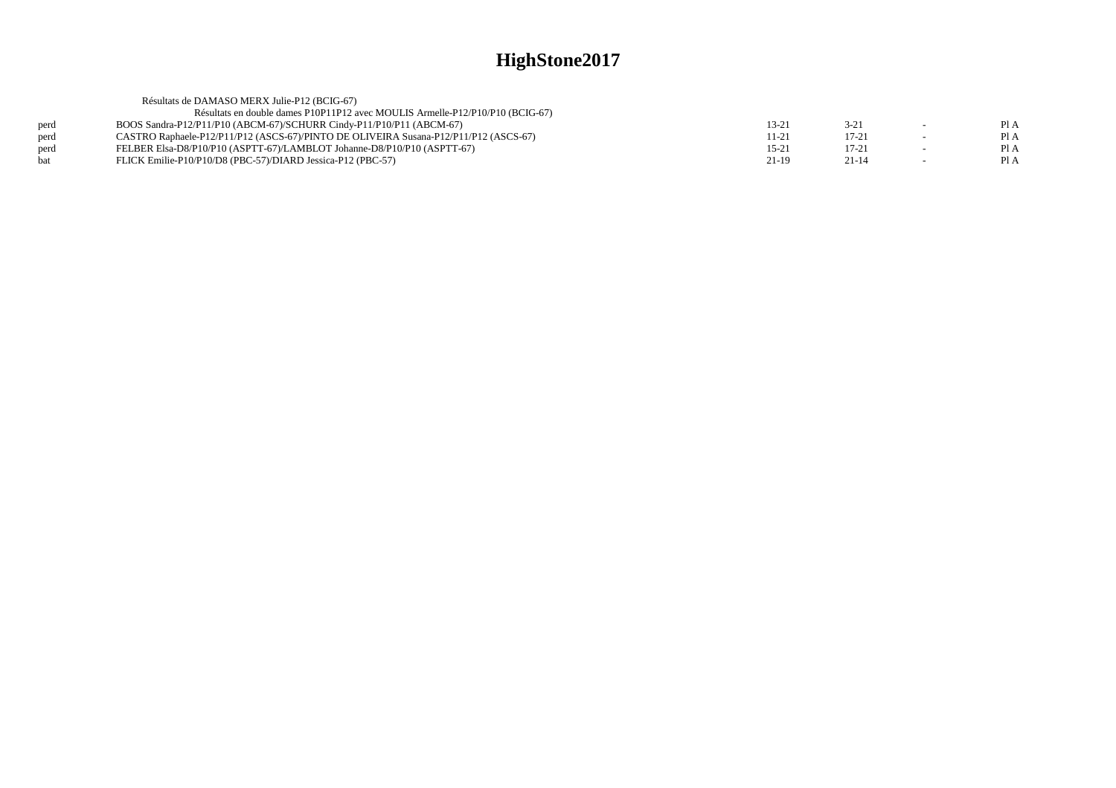|      | Résultats de DAMASO MERX Julie-P12 (BCIG-67)                                         |           |           |                          |      |
|------|--------------------------------------------------------------------------------------|-----------|-----------|--------------------------|------|
|      | Résultats en double dames P10P11P12 avec MOULIS Armelle-P12/P10/P10 (BCIG-67)        |           |           |                          |      |
| perd | BOOS Sandra-P12/P11/P10 (ABCM-67)/SCHURR Cindy-P11/P10/P11 (ABCM-67)                 | 13-21     | $3 - 21$  | $\sim$                   | Pl A |
| perd | CASTRO Raphaele-P12/P11/P12 (ASCS-67)/PINTO DE OLIVEIRA Susana-P12/P11/P12 (ASCS-67) | 11-21     | $17 - 21$ | $\overline{\phantom{0}}$ | Pl A |
| perd | FELBER Elsa-D8/P10/P10 (ASPTT-67)/LAMBLOT Johanne-D8/P10/P10 (ASPTT-67)              | $15 - 21$ | 17-21     | $\sim$                   | Pl A |
| bat  | FLICK Emilie-P10/P10/D8 (PBC-57)/DIARD Jessica-P12 (PBC-57)                          | 21-19     | $21 - 14$ | $\sim$                   | Pl A |
|      |                                                                                      |           |           |                          |      |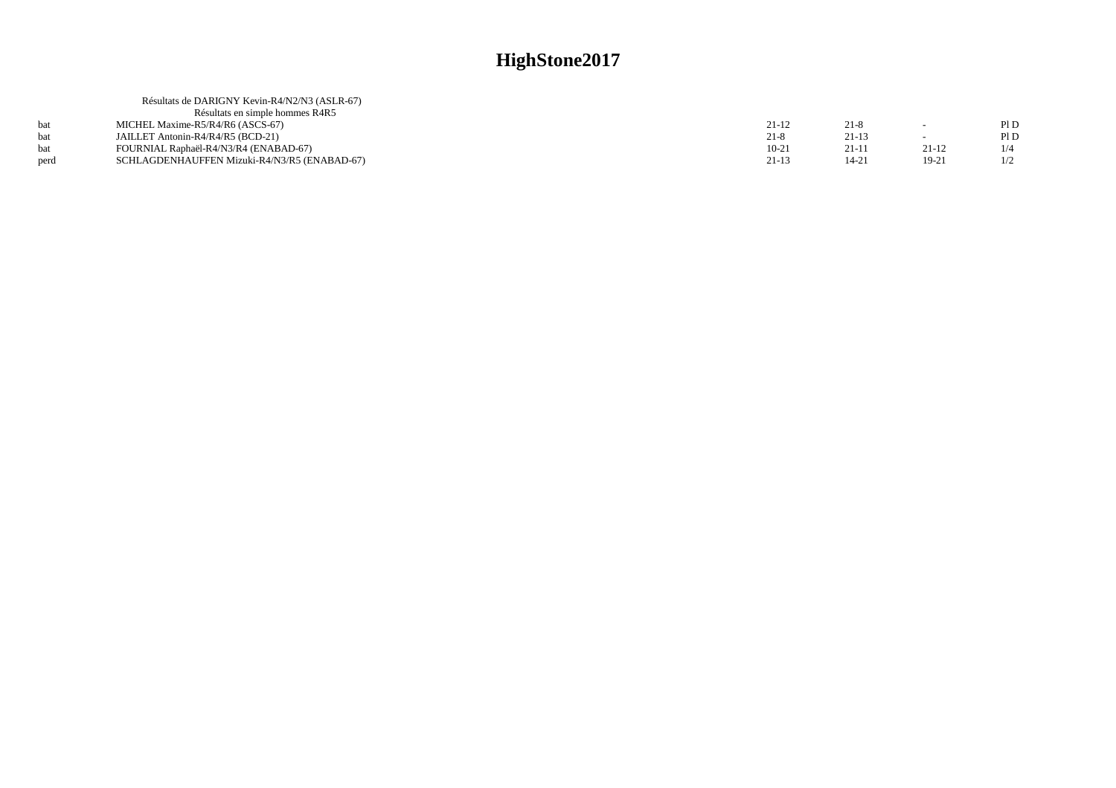|      | Résultats de DARIGNY Kevin-R4/N2/N3 (ASLR-67) |           |         |         |      |
|------|-----------------------------------------------|-----------|---------|---------|------|
|      | Résultats en simple hommes R4R5               |           |         |         |      |
|      | MICHEL Maxime-R5/R4/R6 (ASCS-67)              | $21 - 12$ | $21-8$  | $\sim$  | Pl D |
|      | JAILLET Antonin-R4/R4/R5 (BCD-21)             | $21-8$    | $21-13$ |         | P1D  |
|      | FOURNIAL Raphaël-R4/N3/R4 (ENABAD-67)         | $10-21$   | 21-11   | $21-12$ |      |
| perd | SCHLAGDENHAUFFEN Mizuki-R4/N3/R5 (ENABAD-67)  | 21-13     | 14-21   | 19-21   |      |
|      |                                               |           |         |         |      |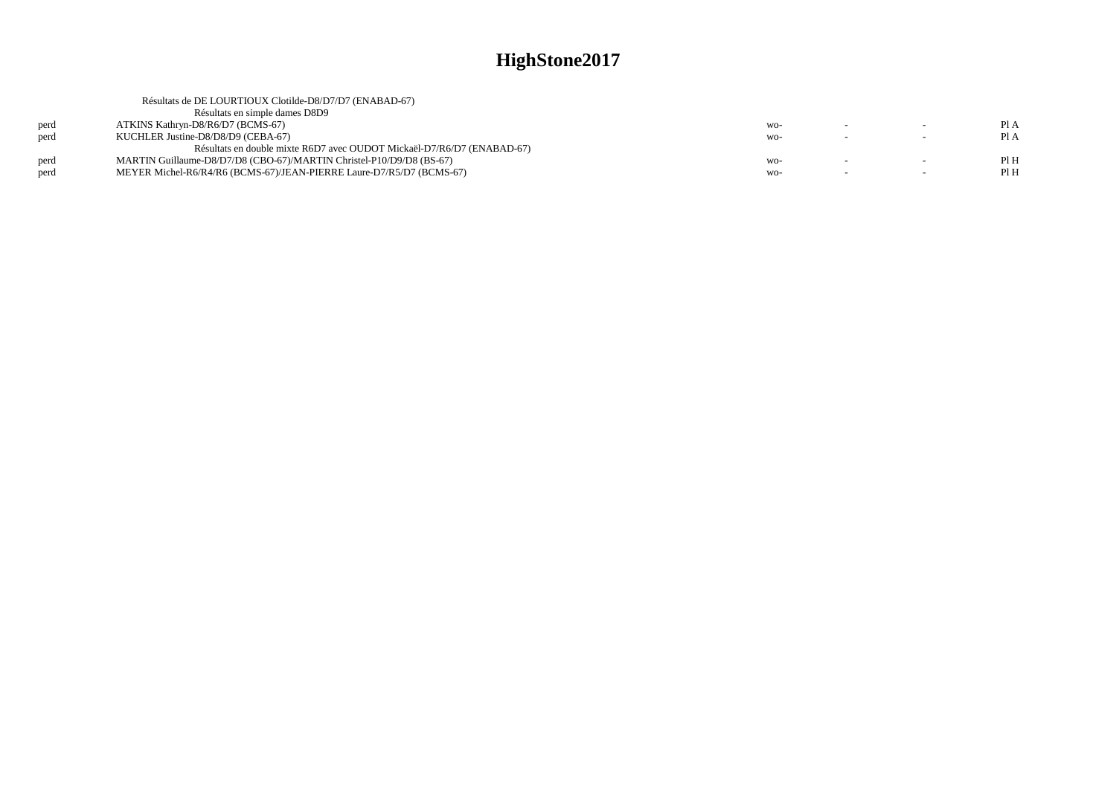|      | Résultats de DE LOURTIOUX Clotilde-D8/D7/D7 (ENABAD-67)                |       |  |      |
|------|------------------------------------------------------------------------|-------|--|------|
|      | Résultats en simple dames D8D9                                         |       |  |      |
| perd | ATKINS Kathryn-D8/R6/D7 (BCMS-67)                                      | $WO-$ |  | PI A |
| perd | KUCHLER Justine-D8/D8/D9 (CEBA-67)                                     | WO-   |  | PI A |
|      | Résultats en double mixte R6D7 avec OUDOT Mickaël-D7/R6/D7 (ENABAD-67) |       |  |      |
| perd | MARTIN Guillaume-D8/D7/D8 (CBO-67)/MARTIN Christel-P10/D9/D8 (BS-67)   | $WO-$ |  | PIH  |
| perd | MEYER Michel-R6/R4/R6 (BCMS-67)/JEAN-PIERRE Laure-D7/R5/D7 (BCMS-67)   | $WO-$ |  | Pl H |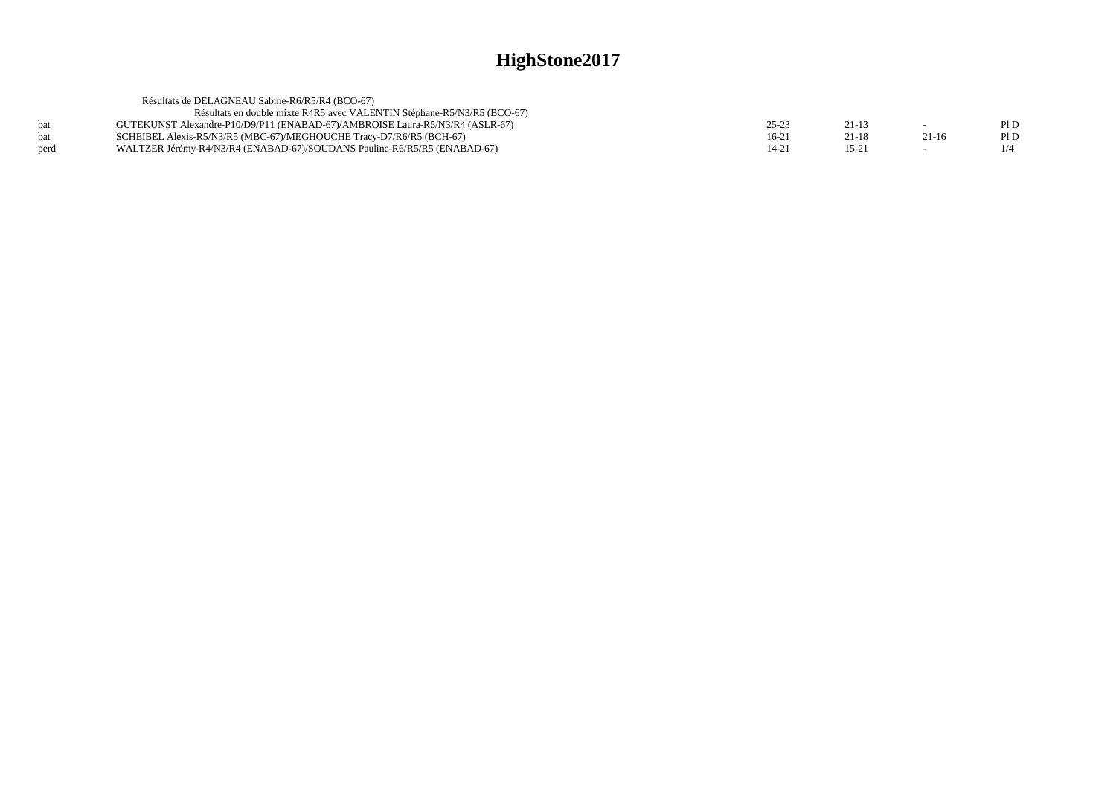|      | Résultats de DELAGNEAU Sabine-R6/R5/R4 (BCO-67)                              |        |           |         |      |
|------|------------------------------------------------------------------------------|--------|-----------|---------|------|
|      | Résultats en double mixte R4R5 avec VALENTIN Stéphane-R5/N3/R5 (BCO-67)      |        |           |         |      |
| bat  | GUTEKUNST Alexandre-P10/D9/P11 (ENABAD-67)/AMBROISE Laura-R5/N3/R4 (ASLR-67) | 25-23  | $21 - 13$ |         | PI D |
| bat  | SCHEIBEL Alexis-R5/N3/R5 (MBC-67)/MEGHOUCHE Tracy-D7/R6/R5 (BCH-67)          | $16-2$ | 21-18     | $21-16$ | PI D |
| perd | WALTZER Jérémy-R4/N3/R4 (ENABAD-67)/SOUDANS Pauline-R6/R5/R5 (ENABAD-67)     | 14-21  | $15 - 21$ |         |      |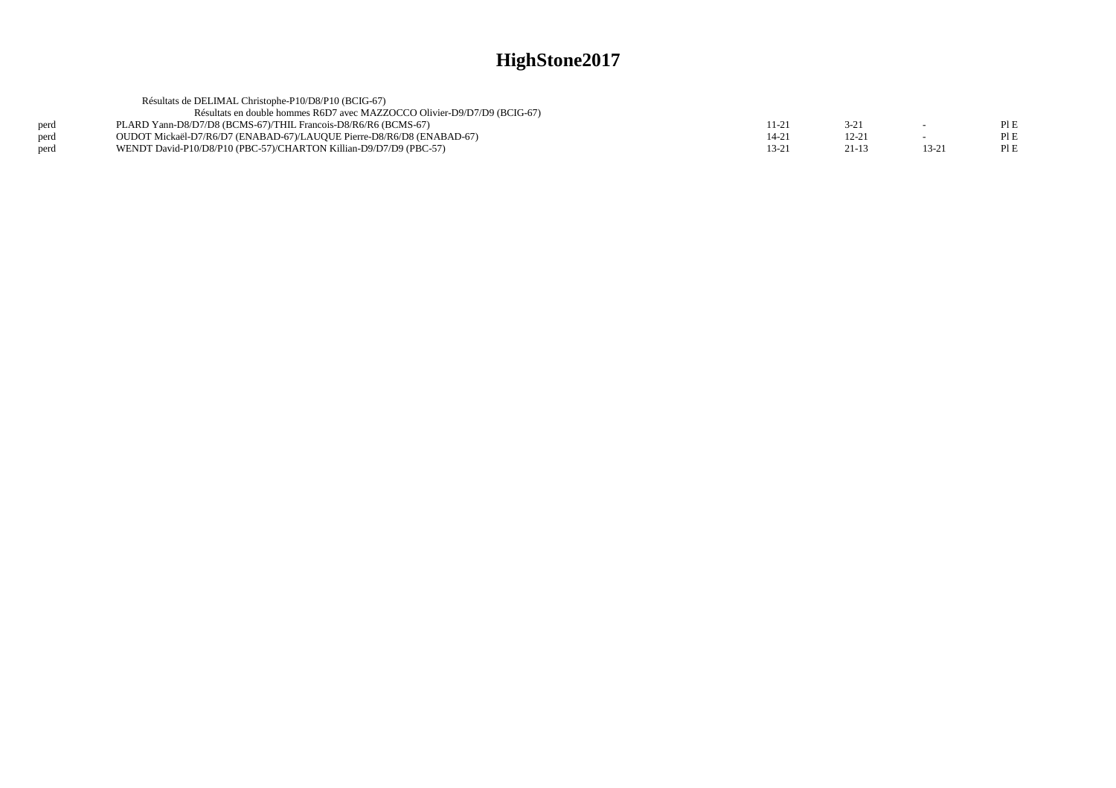|      | Résultats de DELIMAL Christophe-P10/D8/P10 (BCIG-67)                     |      |           |        |      |
|------|--------------------------------------------------------------------------|------|-----------|--------|------|
|      | Résultats en double hommes R6D7 avec MAZZOCCO Olivier-D9/D7/D9 (BCIG-67) |      |           |        |      |
| perd | PLARD Yann-D8/D7/D8 (BCMS-67)/THIL Francois-D8/R6/R6 (BCMS-67)           | 11-2 | 3-21      |        | PLE  |
| perd | OUDOT Mickaël-D7/R6/D7 (ENABAD-67)/LAUQUE Pierre-D8/R6/D8 (ENABAD-67)    | 14-2 | $12 - 21$ |        | Pl E |
| perd | WENDT David-P10/D8/P10 (PBC-57)/CHARTON Killian-D9/D7/D9 (PBC-57)        | 13-2 | $21 - 13$ | $13-2$ | PI E |
|      |                                                                          |      |           |        |      |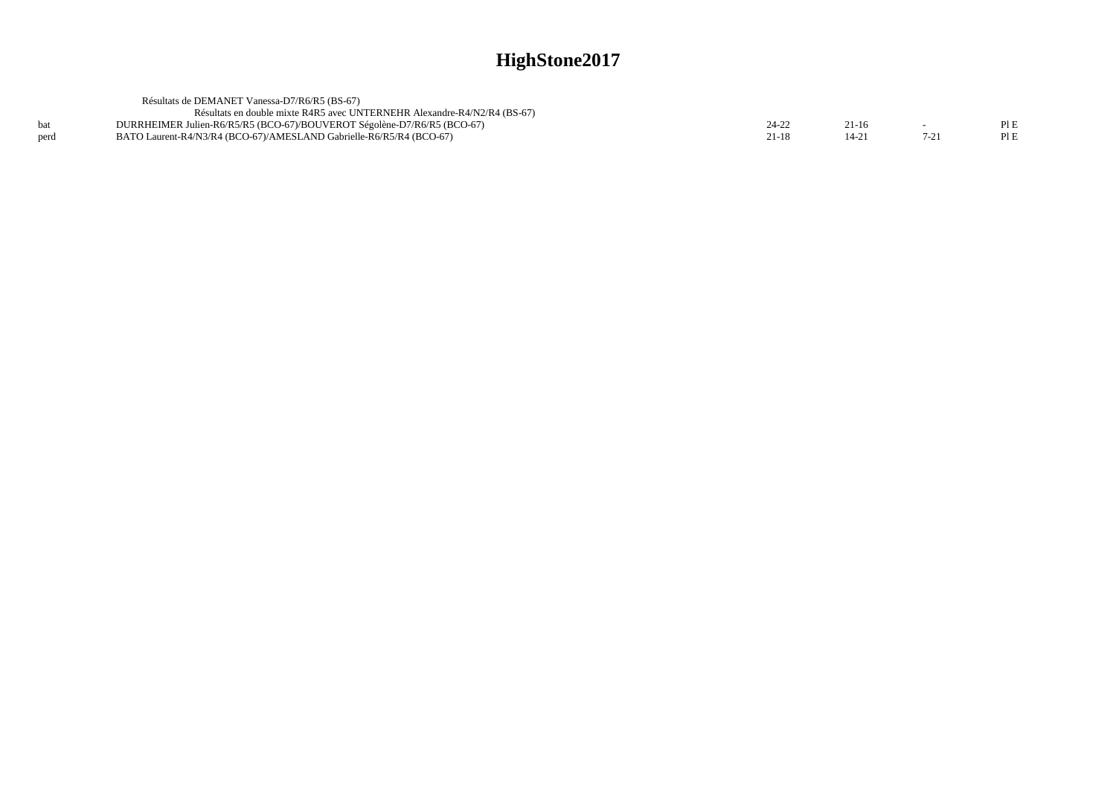|      | Résultats de DEMANET Vanessa-D7/R6/R5 (BS-67)                            |           |  |
|------|--------------------------------------------------------------------------|-----------|--|
|      | Résultats en double mixte R4R5 avec UNTERNEHR Alexandre-R4/N2/R4 (BS-67) |           |  |
| hat  | DURRHEIMER Julien-R6/R5/R5 (BCO-67)/BOUVEROT Ségolène-D7/R6/R5 (BCO-67)  | $21 - 16$ |  |
| perd | BATO Laurent-R4/N3/R4 (BCO-67)/AMESLAND Gabrielle-R6/R5/R4 (BCO-67)      |           |  |
|      |                                                                          |           |  |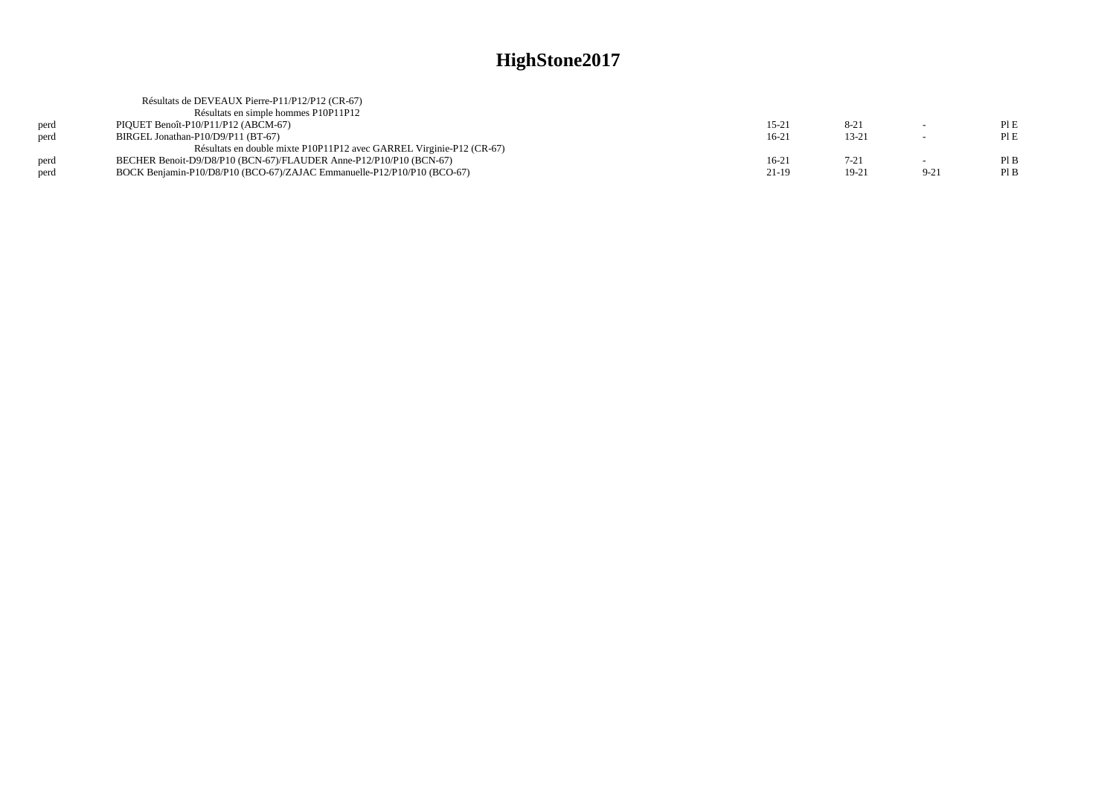|      | Résultats de DEVEAUX Pierre-P11/P12/P12 (CR-67)                         |         |           |        |      |
|------|-------------------------------------------------------------------------|---------|-----------|--------|------|
|      | Résultats en simple hommes P10P11P12                                    |         |           |        |      |
| perd | PIQUET Benoît-P10/P11/P12 (ABCM-67)                                     | 15-21   | $8 - 21$  | $\sim$ | PLE  |
| perd | BIRGEL Jonathan-P10/D9/P11 (BT-67)                                      | $16-21$ | $13 - 21$ | $\sim$ | PLE  |
|      | Résultats en double mixte P10P11P12 avec GARREL Virginie-P12 (CR-67)    |         |           |        |      |
| perd | BECHER Benoit-D9/D8/P10 (BCN-67)/FLAUDER Anne-P12/P10/P10 (BCN-67)      | 16-21   | $7 - 21$  |        | PIB  |
| perd | BOCK Benjamin-P10/D8/P10 (BCO-67)/ZAJAC Emmanuelle-P12/P10/P10 (BCO-67) | 21-19   | $19-21$   | $9-21$ | Pl B |
|      |                                                                         |         |           |        |      |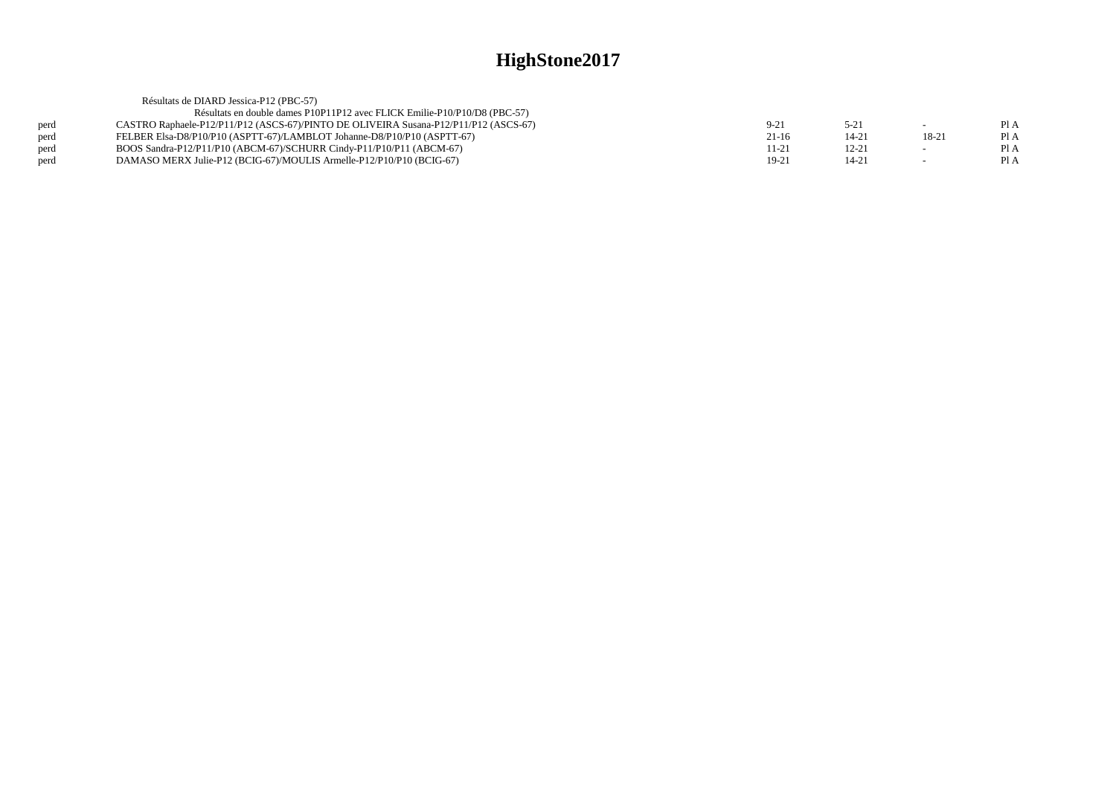|      | Résultats de DIARD Jessica-P12 (PBC-57)                                              |           |           |         |      |
|------|--------------------------------------------------------------------------------------|-----------|-----------|---------|------|
|      | Résultats en double dames P10P11P12 avec FLICK Emilie-P10/P10/D8 (PBC-57)            |           |           |         |      |
| perd | CASTRO Raphaele-P12/P11/P12 (ASCS-67)/PINTO DE OLIVEIRA Susana-P12/P11/P12 (ASCS-67) | $9-21$    | $5-21$    | $\sim$  | Pl A |
| perd | FELBER Elsa-D8/P10/P10 (ASPTT-67)/LAMBLOT Johanne-D8/P10/P10 (ASPTT-67)              | $21-16$   | 14-21     | $18-21$ | PI A |
| perd | BOOS Sandra-P12/P11/P10 (ABCM-67)/SCHURR Cindy-P11/P10/P11 (ABCM-67)                 | $11 - 21$ | $12 - 21$ | $\sim$  | Pl A |
| perd | DAMASO MERX Julie-P12 (BCIG-67)/MOULIS Armelle-P12/P10/P10 (BCIG-67)                 | $19-21$   | 14-21     | $\sim$  | Pl A |
|      |                                                                                      |           |           |         |      |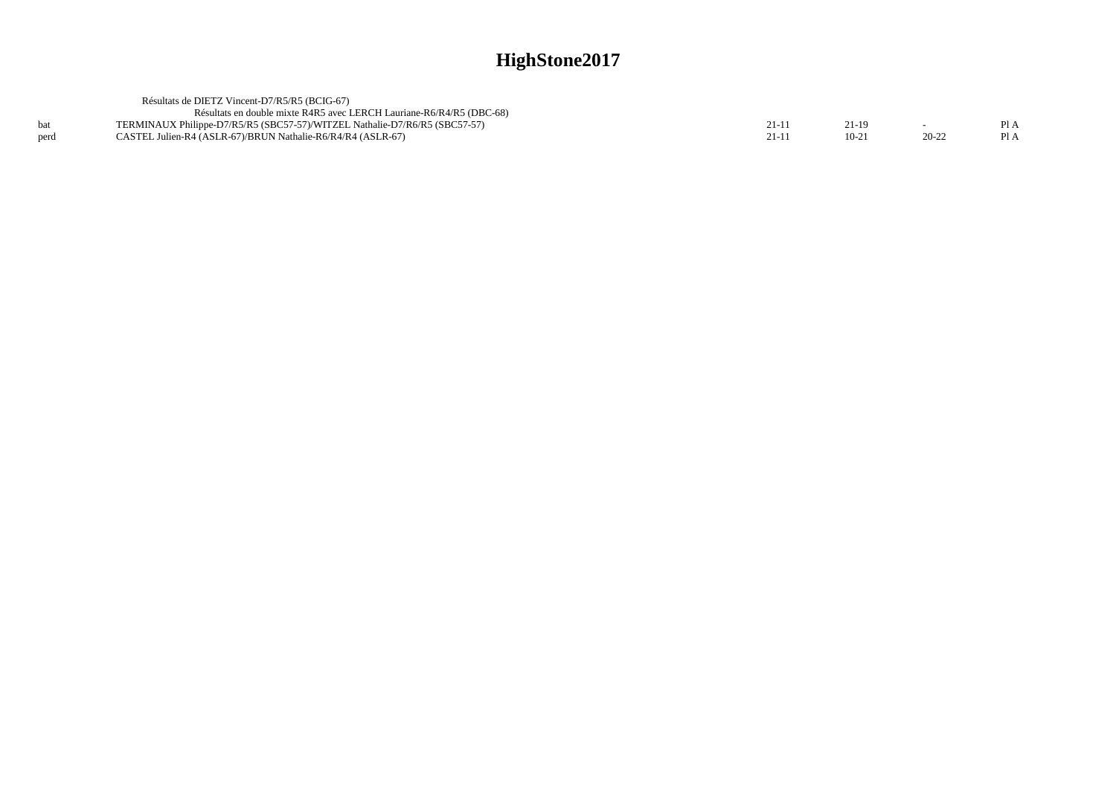|      | Résultats de DIETZ Vincent-D7/R5/R5 (BCIG-67)                              |        |         |           |      |
|------|----------------------------------------------------------------------------|--------|---------|-----------|------|
|      | Résultats en double mixte R4R5 avec LERCH Lauriane-R6/R4/R5 (DBC-68)       |        |         |           |      |
| hat  | TERMINAUX Philippe-D7/R5/R5 (SBC57-57)/WITZEL Nathalie-D7/R6/R5 (SBC57-57) | $21-1$ | 21-19   |           | Pl A |
| perd | CASTEL Julien-R4 (ASLR-67)/BRUN Nathalie-R6/R4/R4 (ASLR-67)                | $21-1$ | $10-21$ | $20 - 22$ | PI A |
|      |                                                                            |        |         |           |      |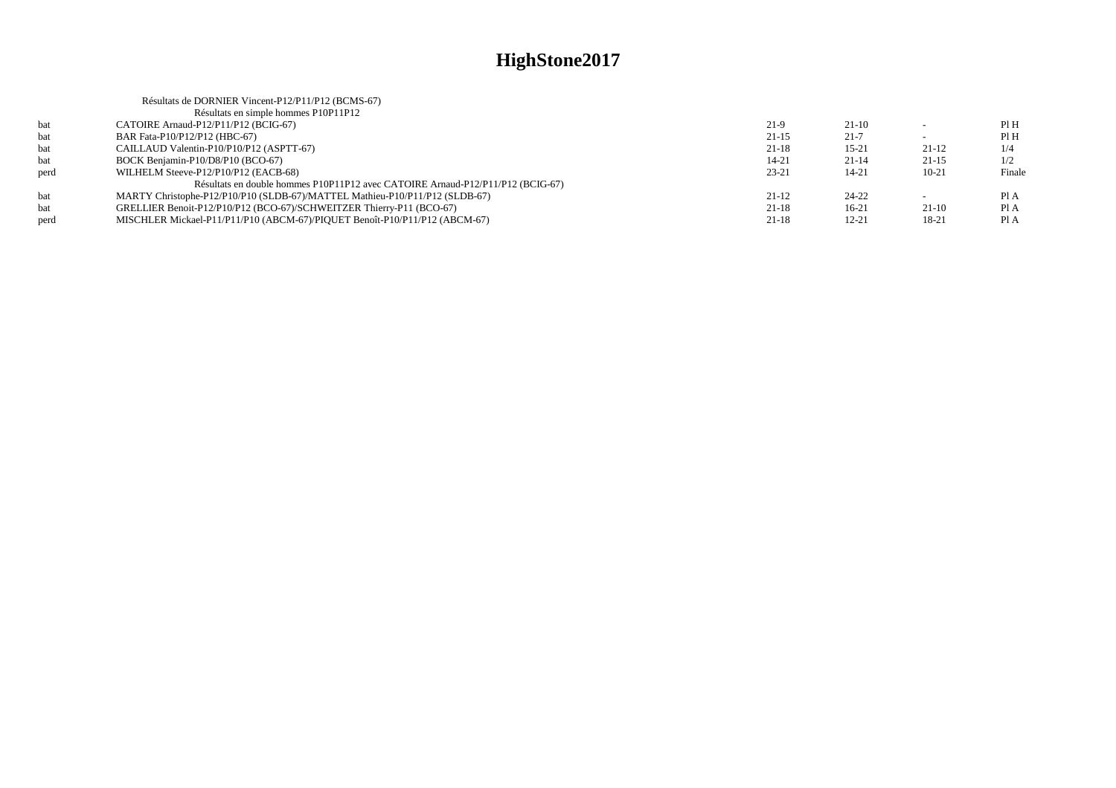|      | Résultats de DORNIER Vincent-P12/P11/P12 (BCMS-67)                             |           |           |           |        |
|------|--------------------------------------------------------------------------------|-----------|-----------|-----------|--------|
|      | Résultats en simple hommes P10P11P12                                           |           |           |           |        |
| bat  | CATOIRE Arnaud-P12/P11/P12 (BCIG-67)                                           | $21-9$    | $21-10$   |           | PIH    |
| bat  | BAR Fata-P10/P12/P12 (HBC-67)                                                  | $21 - 15$ | $21 - 7$  |           | PIH    |
| bat  | CAILLAUD Valentin-P10/P10/P12 (ASPTT-67)                                       | $21 - 18$ | $15 - 21$ | 21-12     | 1/4    |
| bat  | BOCK Benjamin-P10/D8/P10 (BCO-67)                                              | $14 - 21$ | $21 - 14$ | $21-15$   | 1/2    |
| perd | WILHELM Steeve-P12/P10/P12 (EACB-68)                                           | $23 - 21$ | 14-21     | $10 - 21$ | Finale |
|      | Résultats en double hommes P10P11P12 avec CATOIRE Arnaud-P12/P11/P12 (BCIG-67) |           |           |           |        |
| bat  | MARTY Christophe-P12/P10/P10 (SLDB-67)/MATTEL Mathieu-P10/P11/P12 (SLDB-67)    | $21-12$   | $24 - 22$ |           | Pl A   |
| bat  | GRELLIER Benoit-P12/P10/P12 (BCO-67)/SCHWEITZER Thierry-P11 (BCO-67)           | $21 - 18$ | $16-21$   | $21-10$   | Pl A   |
| perd | MISCHLER Mickael-P11/P11/P10 (ABCM-67)/PIOUET Benoît-P10/P11/P12 (ABCM-67)     | $21 - 18$ | $12 - 21$ | $18-21$   | Pl A   |
|      |                                                                                |           |           |           |        |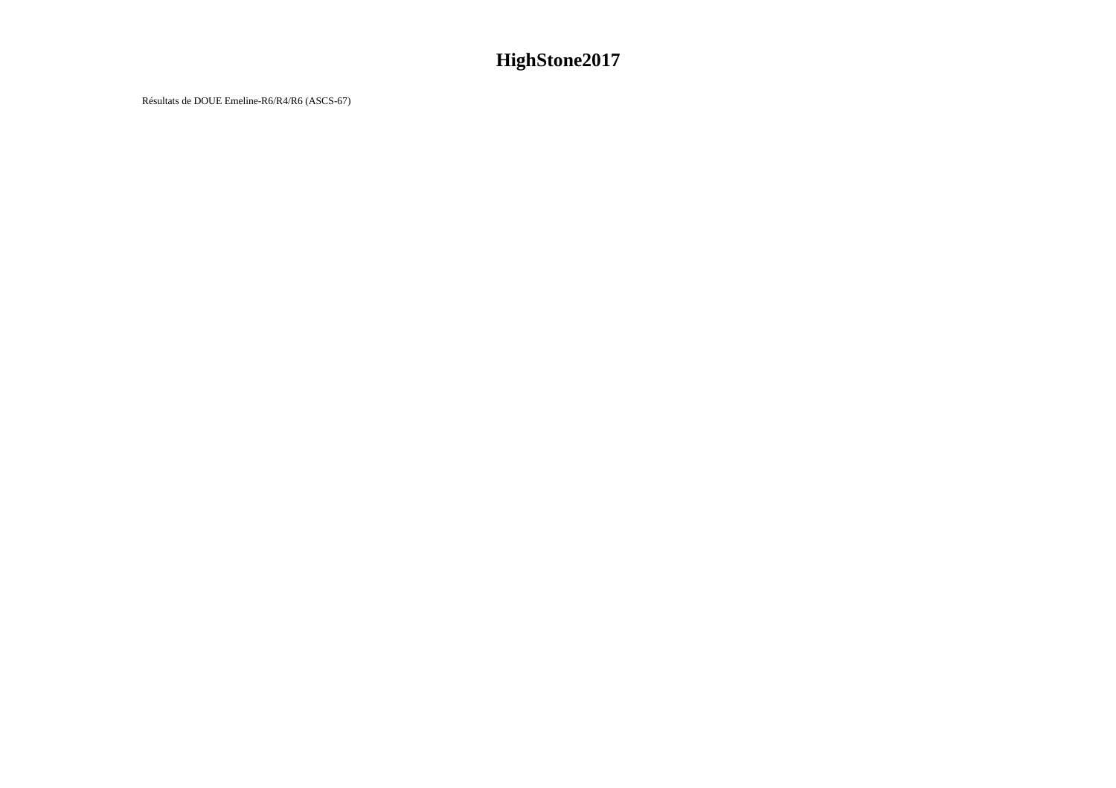Résultats de DOUE Emeline-R6/R4/R6 (ASCS-67)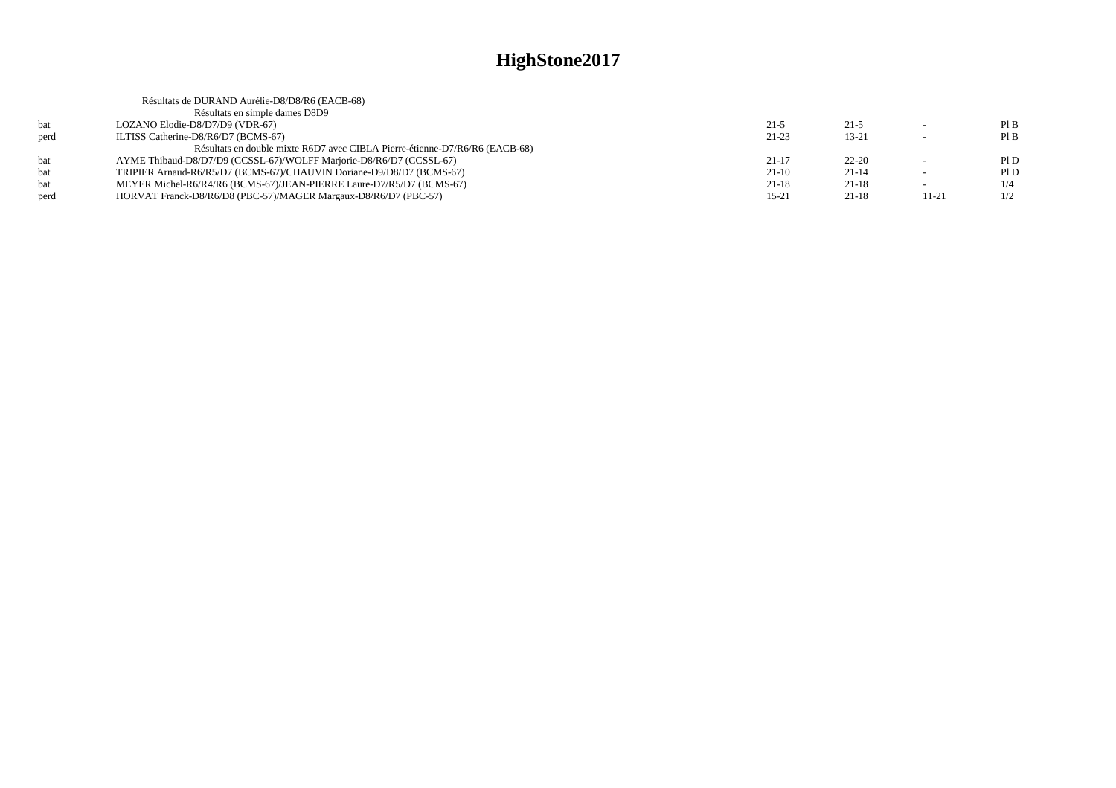|      | Résultats de DURAND Aurélie-D8/D8/R6 (EACB-68)                              |           |           |                          |     |
|------|-----------------------------------------------------------------------------|-----------|-----------|--------------------------|-----|
|      | Résultats en simple dames D8D9                                              |           |           |                          |     |
| bat  | LOZANO Elodie-D8/D7/D9 (VDR-67)                                             | $21-5$    | $21 - 5$  | $\overline{\phantom{a}}$ | PIB |
| perd | ILTISS Catherine-D8/R6/D7 (BCMS-67)                                         | $21 - 23$ | $13 - 21$ |                          | PIB |
|      | Résultats en double mixte R6D7 avec CIBLA Pierre-étienne-D7/R6/R6 (EACB-68) |           |           |                          |     |
| bat  | AYME Thibaud-D8/D7/D9 (CCSSL-67)/WOLFF Marjorie-D8/R6/D7 (CCSSL-67)         | $21 - 17$ | $22 - 20$ |                          | PID |
| bat  | TRIPIER Arnaud-R6/R5/D7 (BCMS-67)/CHAUVIN Doriane-D9/D8/D7 (BCMS-67)        | $21-10$   | $21 - 14$ | $\sim$                   | P1D |
| bat  | MEYER Michel-R6/R4/R6 (BCMS-67)/JEAN-PIERRE Laure-D7/R5/D7 (BCMS-67)        | 21-18     | $21-18$   | $\overline{\phantom{a}}$ | 1/4 |
| perd | HORVAT Franck-D8/R6/D8 (PBC-57)/MAGER Margaux-D8/R6/D7 (PBC-57)             | $15 - 21$ | $21 - 18$ | 11-21                    | 1/2 |
|      |                                                                             |           |           |                          |     |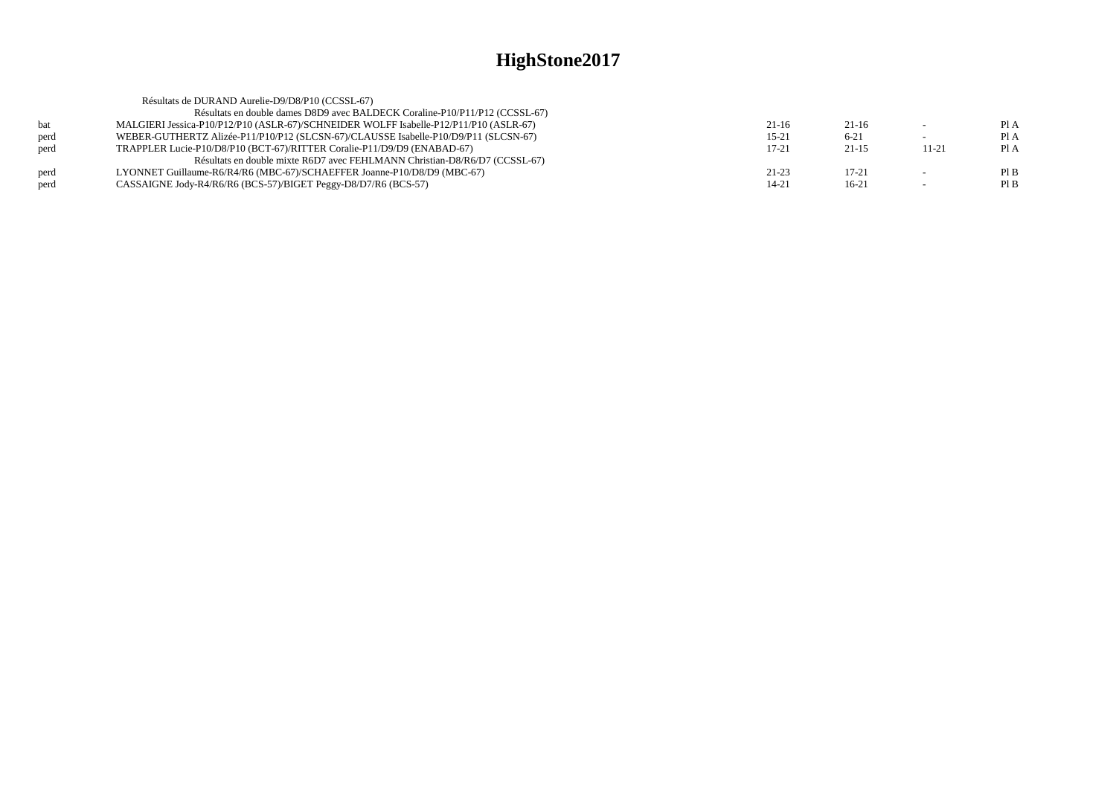|      | Résultats de DURAND Aurelie-D9/D8/P10 (CCSSL-67)                                      |           |           |           |      |
|------|---------------------------------------------------------------------------------------|-----------|-----------|-----------|------|
|      | Résultats en double dames D8D9 avec BALDECK Coraline-P10/P11/P12 (CCSSL-67)           |           |           |           |      |
| bat  | MALGIERI Jessica-P10/P12/P10 (ASLR-67)/SCHNEIDER WOLFF Isabelle-P12/P11/P10 (ASLR-67) | $21-16$   | $21-16$   | $\sim$    | PIA  |
| perd | WEBER-GUTHERTZ Alizée-P11/P10/P12 (SLCSN-67)/CLAUSSE Isabelle-P10/D9/P11 (SLCSN-67)   | $15 - 21$ | $6 - 21$  |           | PI A |
| perd | TRAPPLER Lucie-P10/D8/P10 (BCT-67)/RITTER Coralie-P11/D9/D9 (ENABAD-67)               | $17 - 21$ | $21 - 15$ | $11 - 21$ | Pl A |
|      | Résultats en double mixte R6D7 avec FEHLMANN Christian-D8/R6/D7 (CCSSL-67)            |           |           |           |      |
| perd | LYONNET Guillaume-R6/R4/R6 (MBC-67)/SCHAEFFER Joanne-P10/D8/D9 (MBC-67)               | $21 - 23$ | $17 - 21$ |           | PIB  |
| perd | CASSAIGNE Jody-R4/R6/R6 (BCS-57)/BIGET Peggy-D8/D7/R6 (BCS-57)                        | 14-21     | $16-21$   |           | PIB  |
|      |                                                                                       |           |           |           |      |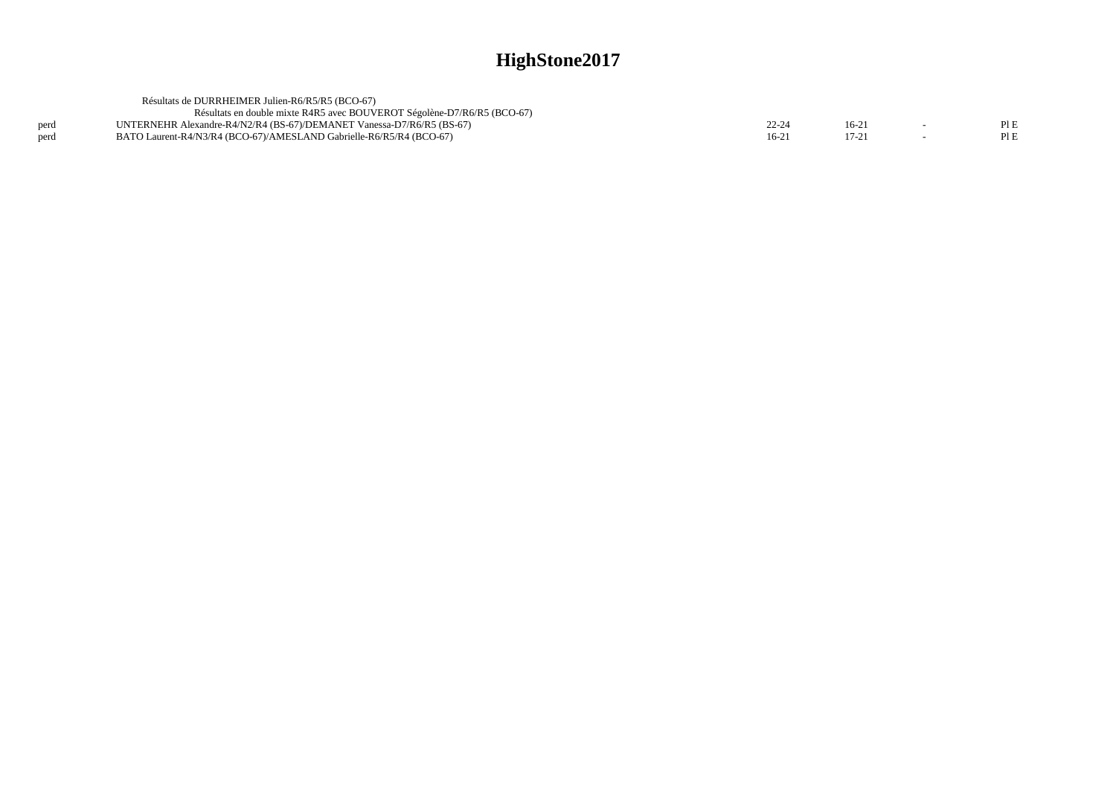|      | Résultats de DURRHEIMER Julien-R6/R5/R5 (BCO-67)                        |         |         |      |
|------|-------------------------------------------------------------------------|---------|---------|------|
|      | Résultats en double mixte R4R5 avec BOUVEROT Ségolène-D7/R6/R5 (BCO-67) |         |         |      |
| perd | UNTERNEHR Alexandre-R4/N2/R4 (BS-67)/DEMANET Vanessa-D7/R6/R5 (BS-67)   | 22-24   | $16-2.$ | PIE  |
| nerd | BATO Laurent-R4/N3/R4 (BCO-67)/AMESLAND Gabrielle-R6/R5/R4 (BCO-67)     | $16-21$ |         | Pl E |
|      |                                                                         |         |         |      |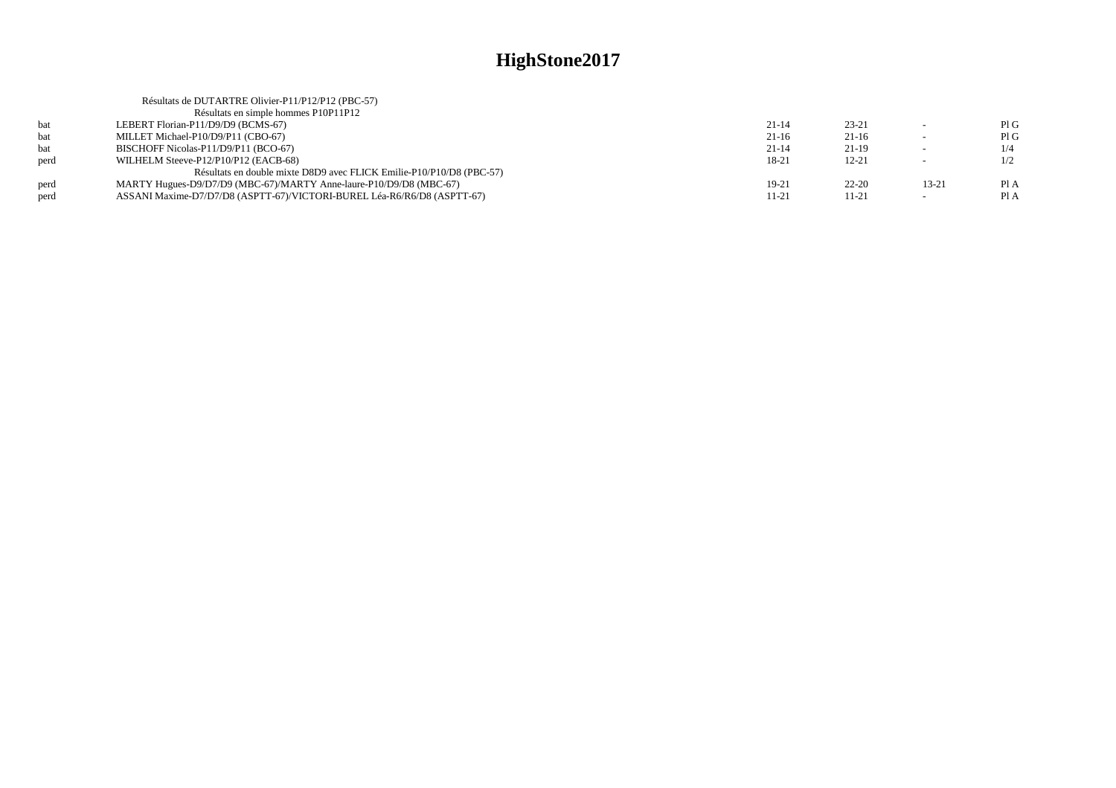|      | Résultats de DUTARTRE Olivier-P11/P12/P12 (PBC-57)                      |           |           |                          |      |
|------|-------------------------------------------------------------------------|-----------|-----------|--------------------------|------|
|      | Résultats en simple hommes P10P11P12                                    |           |           |                          |      |
| bat  | LEBERT Florian-P11/D9/D9 (BCMS-67)                                      | $21 - 14$ | $23 - 21$ |                          | PIG  |
| bat  | MILLET Michael-P10/D9/P11 (CBO-67)                                      | $21-16$   | $21-16$   |                          | PIG  |
| bat  | BISCHOFF Nicolas-P11/D9/P11 (BCO-67)                                    | $21 - 14$ | $21-19$   | $\sim$                   | 1/4  |
| perd | WILHELM Steeve-P12/P10/P12 (EACB-68)                                    | 18-21     | $12 - 21$ | $\overline{\phantom{a}}$ | 1/2  |
|      | Résultats en double mixte D8D9 avec FLICK Emilie-P10/P10/D8 (PBC-57)    |           |           |                          |      |
| perd | MARTY Hugues-D9/D7/D9 (MBC-67)/MARTY Anne-laure-P10/D9/D8 (MBC-67)      | 19-21     | $22 - 20$ | 13-21                    | Pl A |
| perd | ASSANI Maxime-D7/D7/D8 (ASPTT-67)/VICTORI-BUREL Léa-R6/R6/D8 (ASPTT-67) | 11-21     | 11-21     | $\sim$                   | Pl A |
|      |                                                                         |           |           |                          |      |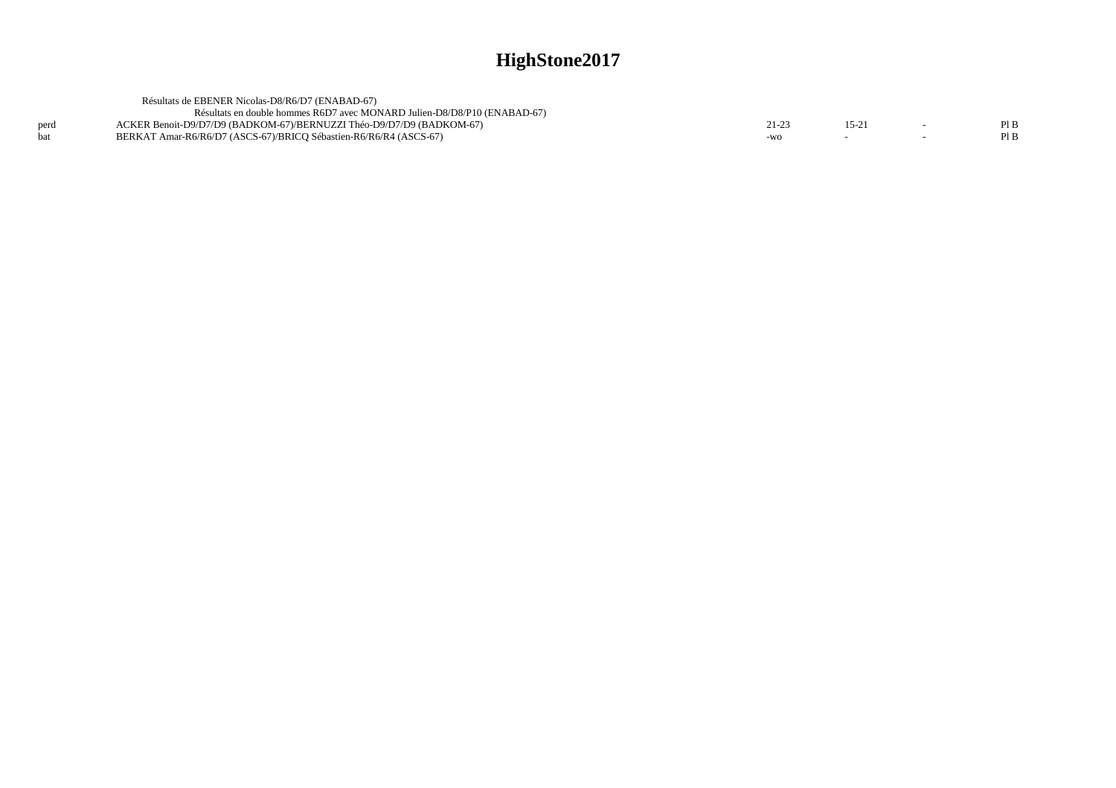|      | Résultats de EBENER Nicolas-D8/R6/D7 (ENABAD-67)<br>Résultats en double hommes R6D7 avec MONARD Julien-D8/D8/P10 (ENABAD-67) |         |       |      |
|------|------------------------------------------------------------------------------------------------------------------------------|---------|-------|------|
| perd | ACKER Benoit-D9/D7/D9 (BADKOM-67)/BERNUZZI Théo-D9/D7/D9 (BADKOM-67)                                                         | $21-23$ | 15-21 | Pl B |
|      | BERKAT Amar-R6/R6/D7 (ASCS-67)/BRICO Sébastien-R6/R6/R4 (ASCS-67)                                                            | $-WO$   |       | Pl B |
|      |                                                                                                                              |         |       |      |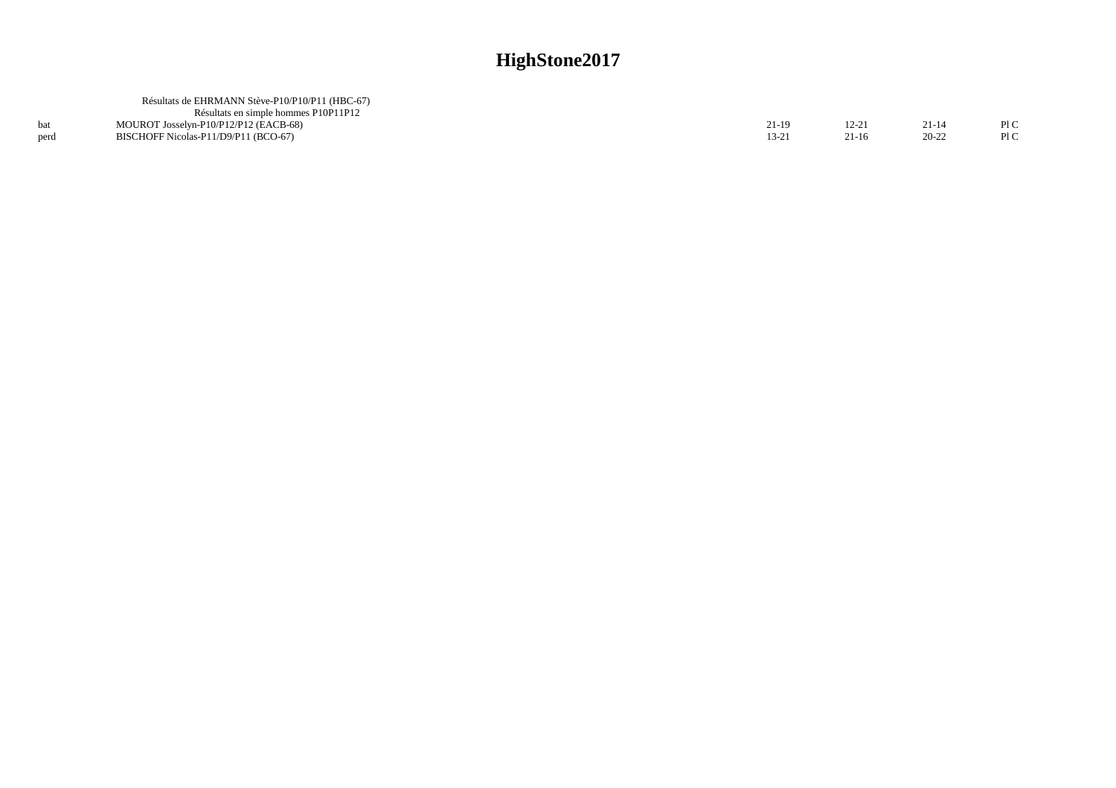|      | Résultats de EHRMANN Stève-P10/P10/P11 (HBC-67) |       |           |           |     |
|------|-------------------------------------------------|-------|-----------|-----------|-----|
|      | Résultats en simple hommes P10P11P12            |       |           |           |     |
|      | MOUROT Josselyn-P10/P12/P12 (EACB-68)           | 21-19 | $12 - 21$ | $21 - 14$ | P1C |
| perd | BISCHOFF Nicolas-P11/D9/P11 (BCO-67)            | 13-21 | 21-16     | $20 - 22$ | P1C |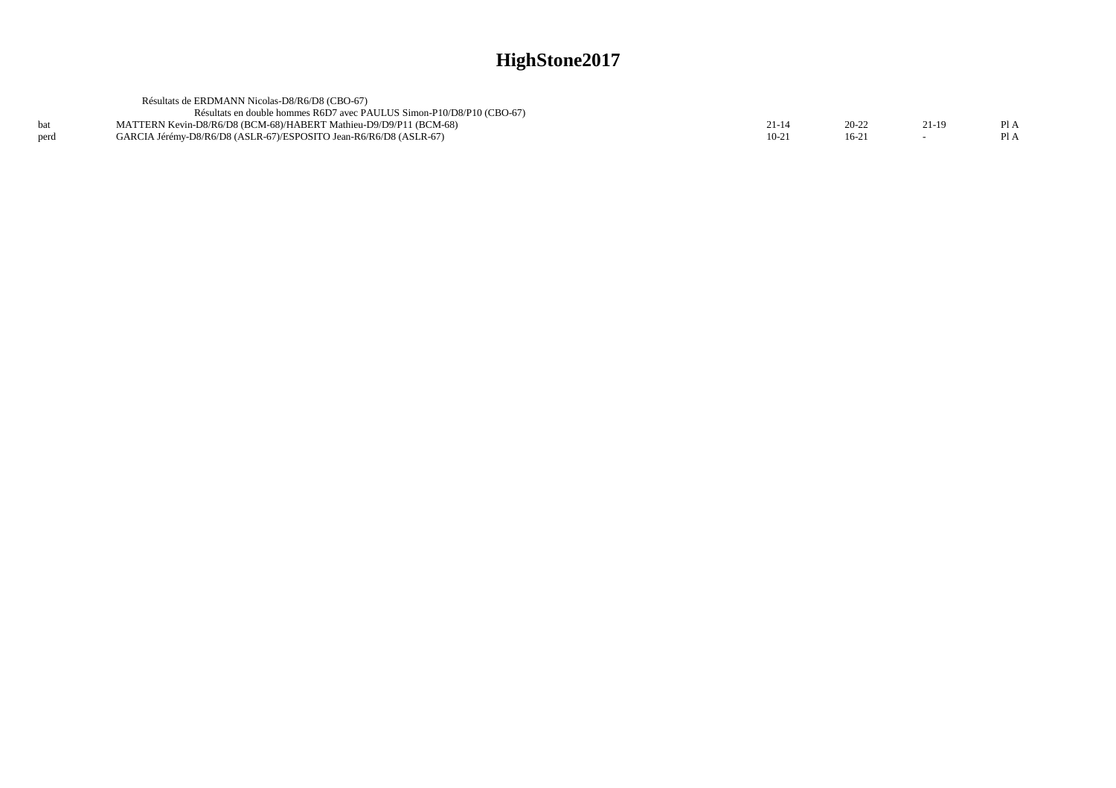|      | Résultats de ERDMANN Nicolas-D8/R6/D8 (CBO-67)                        |        |                |     |
|------|-----------------------------------------------------------------------|--------|----------------|-----|
|      | Résultats en double hommes R6D7 avec PAULUS Simon-P10/D8/P10 (CBO-67) |        |                |     |
|      | MATTERN Kevin-D8/R6/D8 (BCM-68)/HABERT Mathieu-D9/D9/P11 (BCM-68)     |        |                | P1A |
| perd | GARCIA Jérémy-D8/R6/D8 (ASLR-67)/ESPOSITO Jean-R6/R6/D8 (ASLR-67)     | $10-2$ | $16-2^{\circ}$ | P1A |
|      |                                                                       |        |                |     |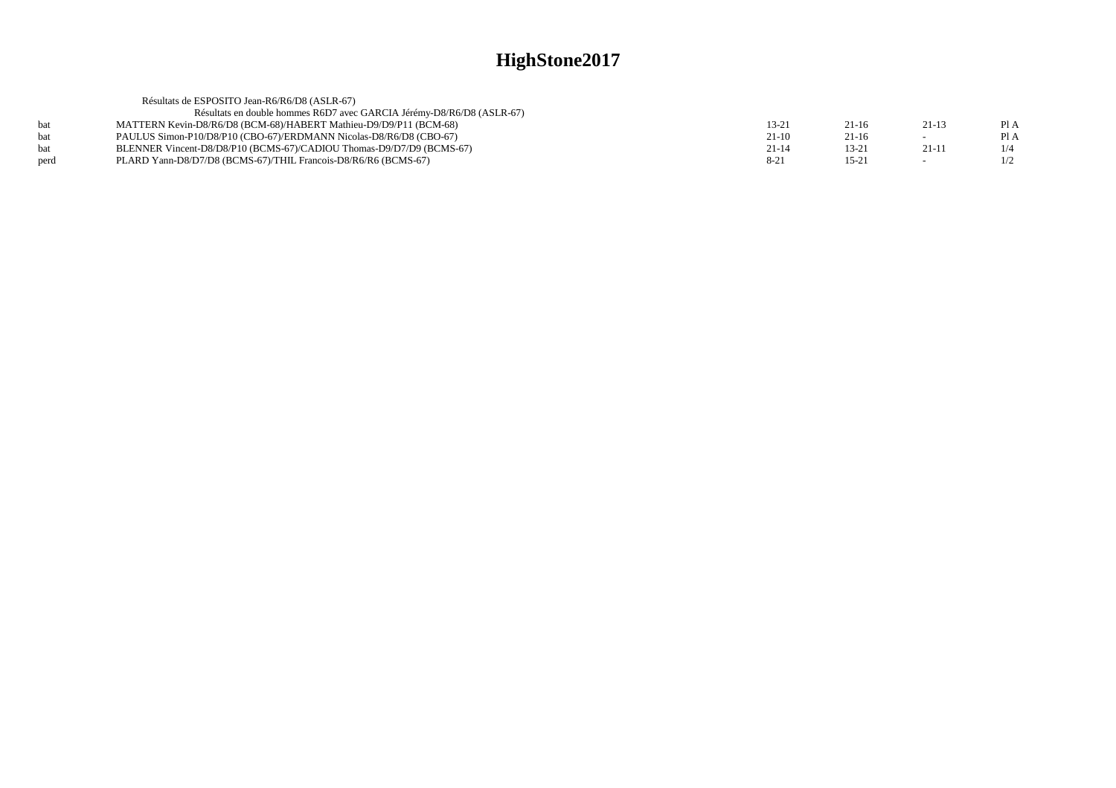|      | Résultats de ESPOSITO Jean-R6/R6/D8 (ASLR-67)                         |           |           |         |      |
|------|-----------------------------------------------------------------------|-----------|-----------|---------|------|
|      | Résultats en double hommes R6D7 avec GARCIA Jérémy-D8/R6/D8 (ASLR-67) |           |           |         |      |
| hat  | MATTERN Kevin-D8/R6/D8 (BCM-68)/HABERT Mathieu-D9/D9/P11 (BCM-68)     | 13-21     | $21-16$   | $21-13$ | Pl A |
| hat  | PAULUS Simon-P10/D8/P10 (CBO-67)/ERDMANN Nicolas-D8/R6/D8 (CBO-67)    | $21-10$   | 21-16     |         | Pl A |
|      | BLENNER Vincent-D8/D8/P10 (BCMS-67)/CADIOU Thomas-D9/D7/D9 (BCMS-67)  | $21 - 14$ | $13 - 21$ | $21-11$ | 1/4  |
| perd | PLARD Yann-D8/D7/D8 (BCMS-67)/THIL Francois-D8/R6/R6 (BCMS-67)        | $8-21$    | $15 - 21$ |         | 1/2  |
|      |                                                                       |           |           |         |      |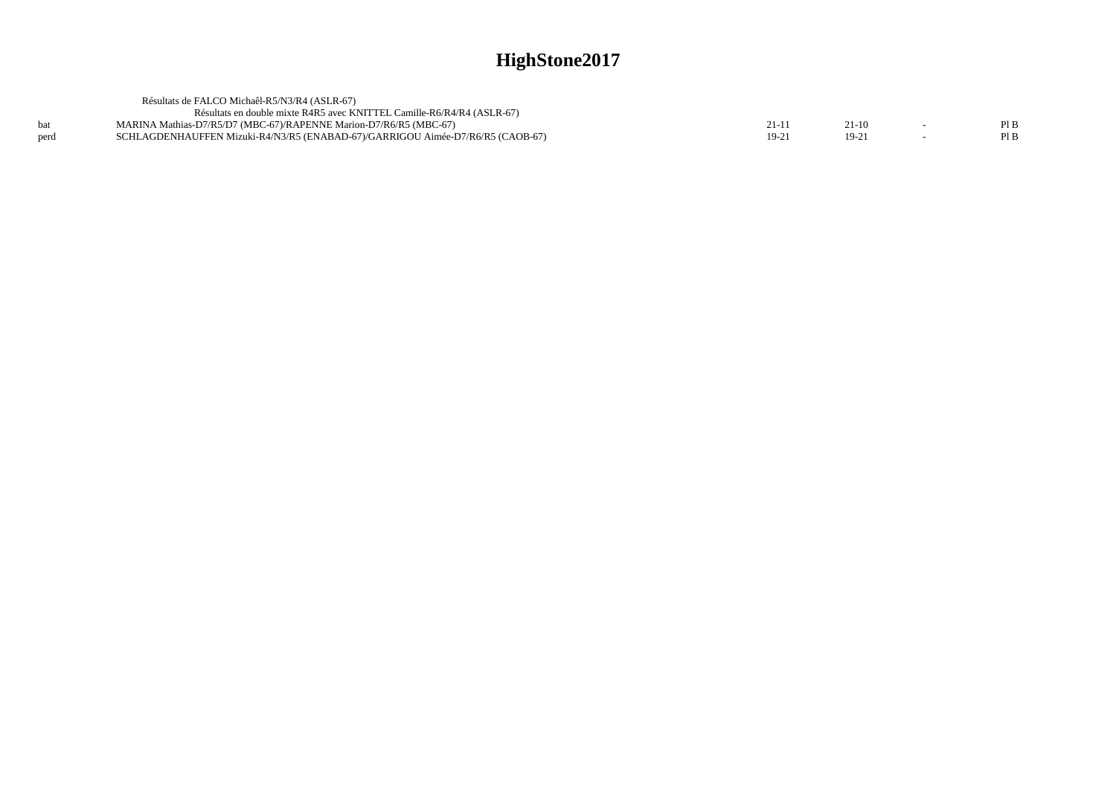|      | Résultats de FALCO Michaêl-R5/N3/R4 (ASLR-67)                                  |        |        |      |
|------|--------------------------------------------------------------------------------|--------|--------|------|
|      | Résultats en double mixte R4R5 avec KNITTEL Camille-R6/R4/R4 (ASLR-67)         |        |        |      |
|      | MARINA Mathias-D7/R5/D7 (MBC-67)/RAPENNE Marion-D7/R6/R5 (MBC-67)              |        | 21-10  | PIB  |
| perd | SCHLAGDENHAUFFEN Mizuki-R4/N3/R5 (ENABAD-67)/GARRIGOU Aimée-D7/R6/R5 (CAOB-67) | $19-2$ | $19-2$ | Pl B |
|      |                                                                                |        |        |      |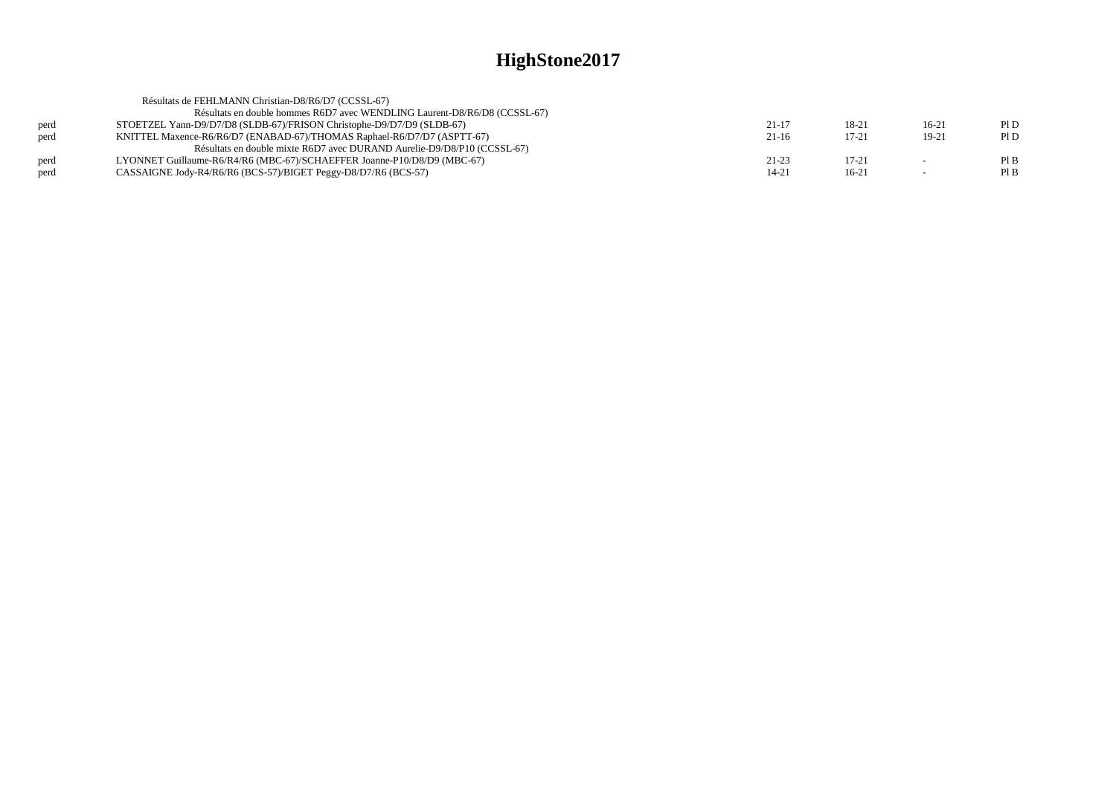| Résultats de FEHLMANN Christian-D8/R6/D7 (CCSSL-67)                       |           |           |         |      |
|---------------------------------------------------------------------------|-----------|-----------|---------|------|
| Résultats en double hommes R6D7 avec WENDLING Laurent-D8/R6/D8 (CCSSL-67) |           |           |         |      |
| STOETZEL Yann-D9/D7/D8 (SLDB-67)/FRISON Christophe-D9/D7/D9 (SLDB-67)     | $21 - 17$ | 18-21     | $16-21$ | PI D |
| KNITTEL Maxence-R6/R6/D7 (ENABAD-67)/THOMAS Raphael-R6/D7/D7 (ASPTT-67)   | $21-16$   | $17 - 21$ | 19-21   | PID  |
| Résultats en double mixte R6D7 avec DURAND Aurelie-D9/D8/P10 (CCSSL-67)   |           |           |         |      |
| LYONNET Guillaume-R6/R4/R6 (MBC-67)/SCHAEFFER Joanne-P10/D8/D9 (MBC-67)   | $21 - 23$ | $17 - 21$ | $\sim$  | PIB  |
| CASSAIGNE Jody-R4/R6/R6 (BCS-57)/BIGET Peggy-D8/D7/R6 (BCS-57)            | 14-21     | $16-21$   | $\sim$  | Pl B |
|                                                                           |           |           |         |      |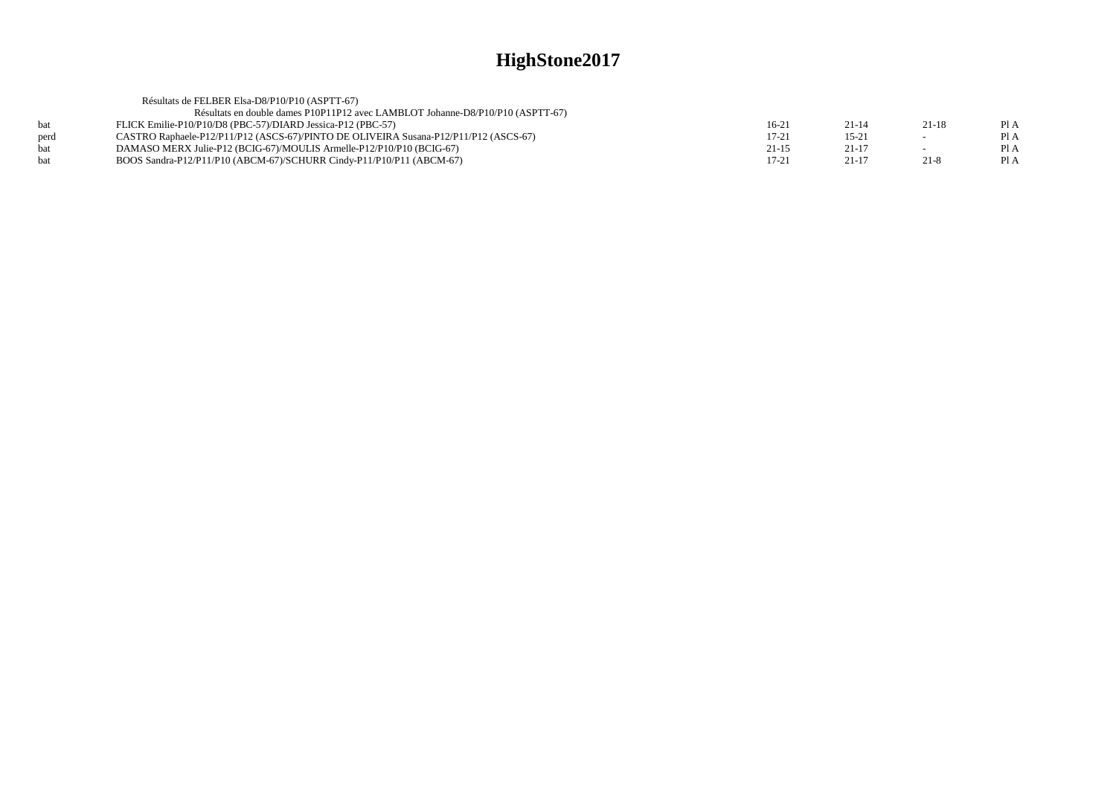|            | Résultats de FELBER Elsa-D8/P10/P10 (ASPTT-67)                                       |           |           |         |      |
|------------|--------------------------------------------------------------------------------------|-----------|-----------|---------|------|
|            | Résultats en double dames P10P11P12 avec LAMBLOT Johanne-D8/P10/P10 (ASPTT-67)       |           |           |         |      |
| <b>bat</b> | FLICK Emilie-P10/P10/D8 (PBC-57)/DIARD Jessica-P12 (PBC-57)                          | $16-21$   | $21 - 14$ | $21-18$ | Pl A |
| perd       | CASTRO Raphaele-P12/P11/P12 (ASCS-67)/PINTO DE OLIVEIRA Susana-P12/P11/P12 (ASCS-67) | $17 - 21$ | $15 - 21$ | $\sim$  | Pl A |
| <b>bat</b> | DAMASO MERX Julie-P12 (BCIG-67)/MOULIS Armelle-P12/P10/P10 (BCIG-67)                 | $21 - 15$ | $21-17$   | $\sim$  | PI A |
| <b>bat</b> | BOOS Sandra-P12/P11/P10 (ABCM-67)/SCHURR Cindy-P11/P10/P11 (ABCM-67)                 | $17 - 21$ | 21-17     | 21-8    | PI A |
|            |                                                                                      |           |           |         |      |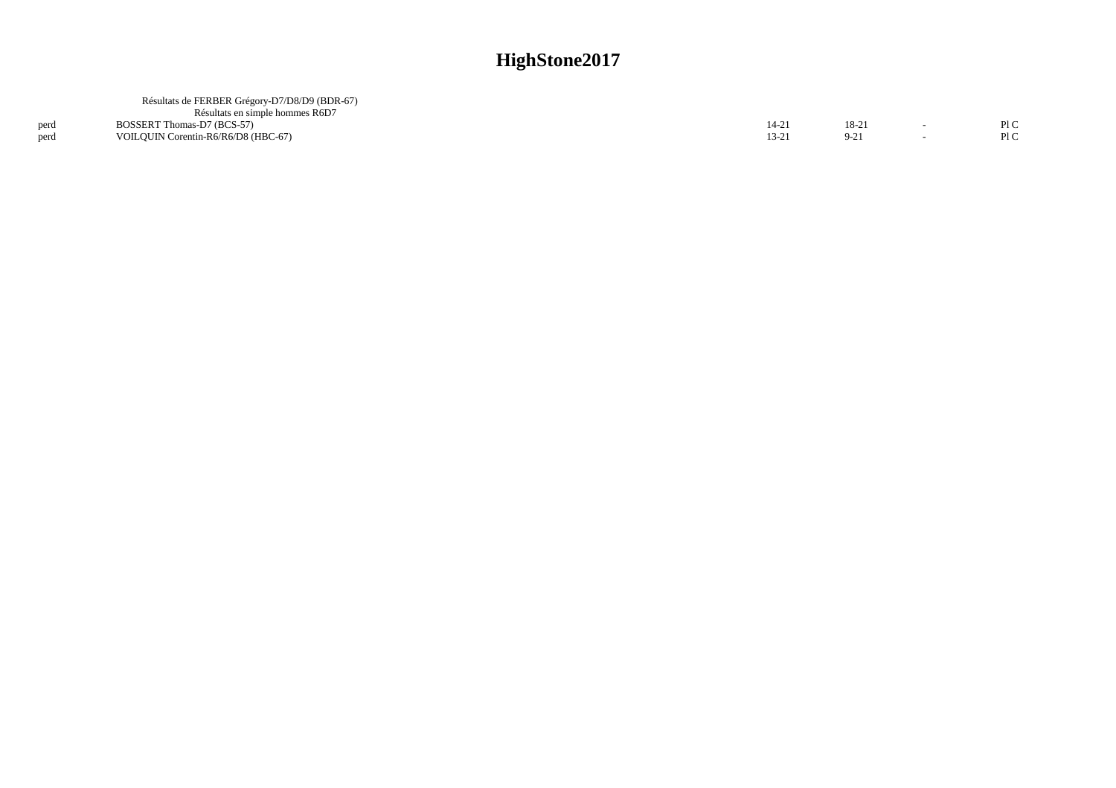|      | Résultats de FERBER Grégory-D7/D8/D9 (BDR-67)<br>Résultats en simple hommes R6D7 |       |         |     |
|------|----------------------------------------------------------------------------------|-------|---------|-----|
| perd | BOSSERT Thomas-D7 (BCS-57)                                                       | 14-21 | $18-21$ | P1C |
| perd | VOILOUIN Corentin-R6/R6/D8 (HBC-67)                                              | 13-21 |         | P1C |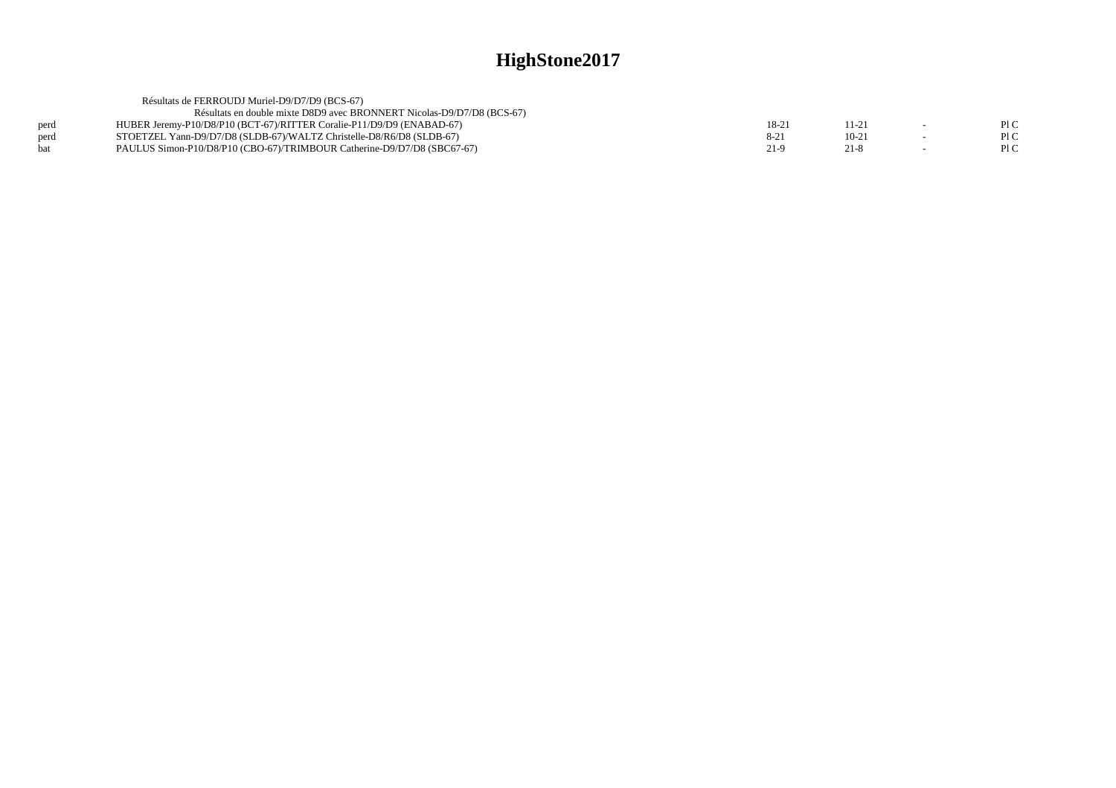|      | Résultats de FERROUDJ Muriel-D9/D7/D9 (BCS-67)                          |          |         |      |
|------|-------------------------------------------------------------------------|----------|---------|------|
|      | Résultats en double mixte D8D9 avec BRONNERT Nicolas-D9/D7/D8 (BCS-67)  |          |         |      |
| perd | HUBER Jeremy-P10/D8/P10 (BCT-67)/RITTER Coralie-P11/D9/D9 (ENABAD-67)   | 18-21    | 11-2.   | P1C  |
| perd | STOETZEL Yann-D9/D7/D8 (SLDB-67)/WALTZ Christelle-D8/R6/D8 (SLDB-67)    | $8 - 21$ | $10-21$ | P1C  |
| hat  | PAULUS Simon-P10/D8/P10 (CBO-67)/TRIMBOUR Catherine-D9/D7/D8 (SBC67-67) | 21-9     | 21-8    | Pl C |
|      |                                                                         |          |         |      |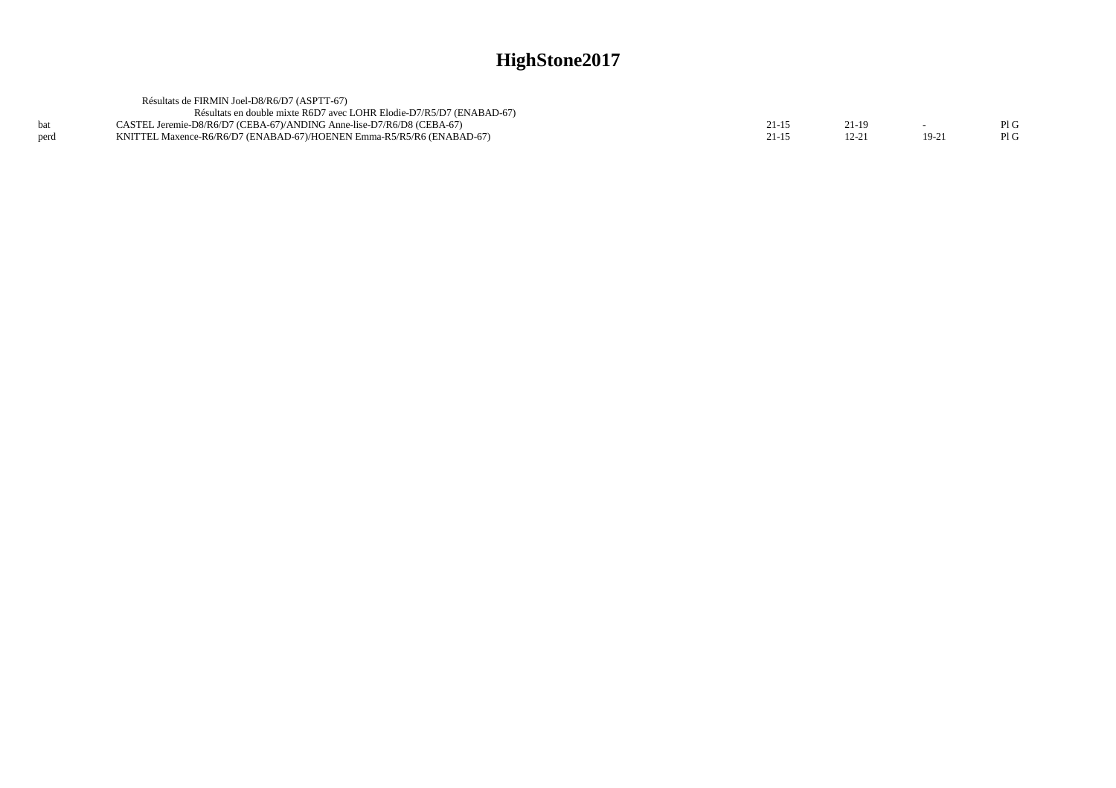|      | Résultats de FIRMIN Joel-D8/R6/D7 (ASPTT-67)                          |       |         |     |
|------|-----------------------------------------------------------------------|-------|---------|-----|
|      | Résultats en double mixte R6D7 avec LOHR Elodie-D7/R5/D7 (ENABAD-67)  |       |         |     |
|      | CASTEL Jeremie-D8/R6/D7 (CEBA-67)/ANDING Anne-lise-D7/R6/D8 (CEBA-67) | 21-19 |         | PIG |
| nerd | KNITTEL Maxence-R6/R6/D7 (ENABAD-67)/HOENEN Emma-R5/R5/R6 (ENABAD-67) |       | $19-2'$ | PIG |
|      |                                                                       |       |         |     |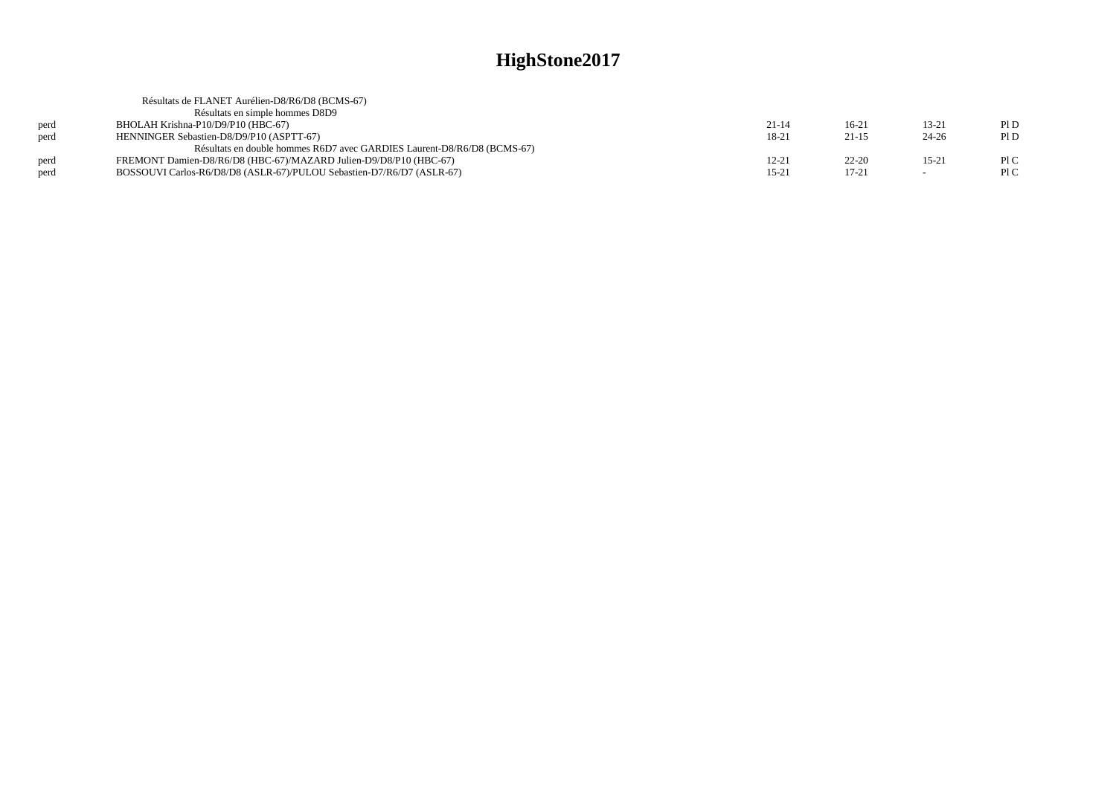|      | Résultats de FLANET Aurélien-D8/R6/D8 (BCMS-67)                         |           |           |                          |      |
|------|-------------------------------------------------------------------------|-----------|-----------|--------------------------|------|
|      | Résultats en simple hommes D8D9                                         |           |           |                          |      |
| perd | BHOLAH Krishna-P10/D9/P10 (HBC-67)                                      | $21 - 14$ | $16-21$   | $13 - 21$                | PID  |
| perd | HENNINGER Sebastien-D8/D9/P10 (ASPTT-67)                                | 18-21     | $21 - 15$ | $24 - 26$                | P1D  |
|      | Résultats en double hommes R6D7 avec GARDIES Laurent-D8/R6/D8 (BCMS-67) |           |           |                          |      |
| perd | FREMONT Damien-D8/R6/D8 (HBC-67)/MAZARD Julien-D9/D8/P10 (HBC-67)       | $12 - 21$ | $22 - 20$ | $15 - 21$                | P1C  |
| perd | BOSSOUVI Carlos-R6/D8/D8 (ASLR-67)/PULOU Sebastien-D7/R6/D7 (ASLR-67)   | $15 - 21$ | $17 - 21$ | $\overline{\phantom{a}}$ | Pl C |
|      |                                                                         |           |           |                          |      |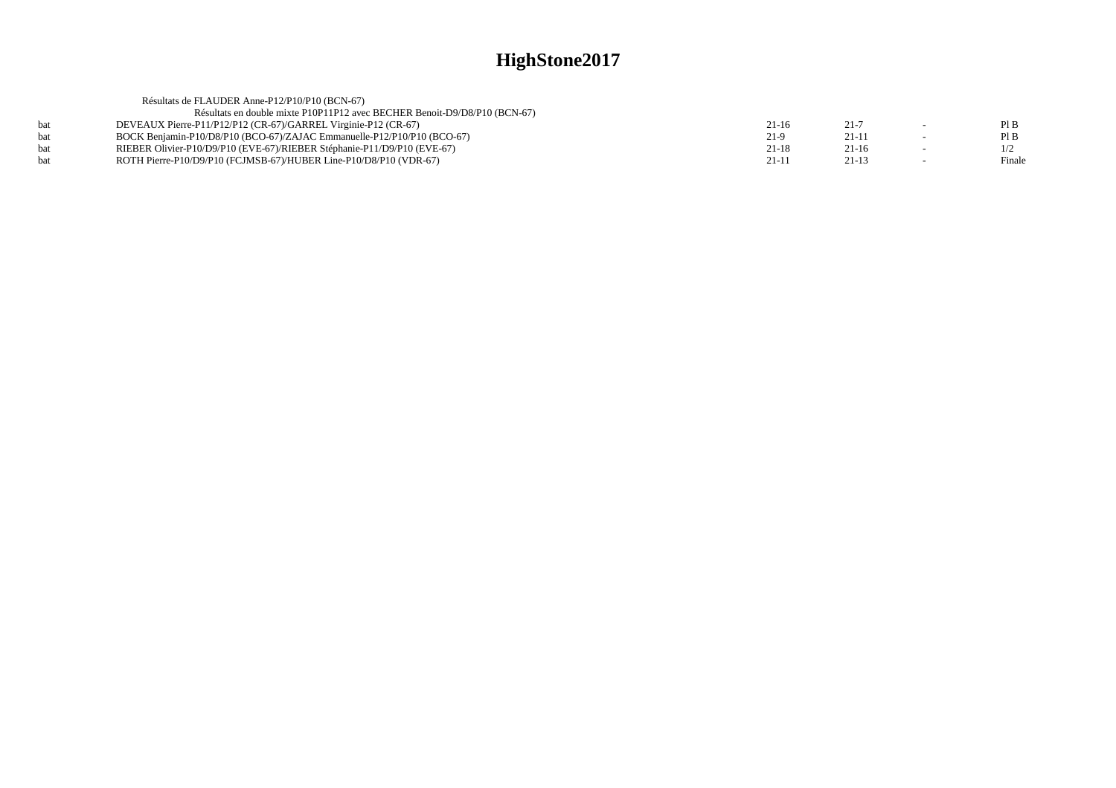|     | Résultats de FLAUDER Anne-P12/P10/P10 (BCN-67)                            |         |           |        |
|-----|---------------------------------------------------------------------------|---------|-----------|--------|
|     | Résultats en double mixte P10P11P12 avec BECHER Benoit-D9/D8/P10 (BCN-67) |         |           |        |
| hat | DEVEAUX Pierre-P11/P12/P12 (CR-67)/GARREL Virginie-P12 (CR-67)            | $21-16$ | $21 - 7$  | PIB    |
| hat | BOCK Benjamin-P10/D8/P10 (BCO-67)/ZAJAC Emmanuelle-P12/P10/P10 (BCO-67)   | $21-9$  | $21 - 11$ | PIB    |
| hat | RIEBER Olivier-P10/D9/P10 (EVE-67)/RIEBER Stéphanie-P11/D9/P10 (EVE-67)   | $21-18$ | $21-16$   |        |
| hat | ROTH Pierre-P10/D9/P10 (FCJMSB-67)/HUBER Line-P10/D8/P10 (VDR-67)         | $21-11$ | $21-13$   | Finale |
|     |                                                                           |         |           |        |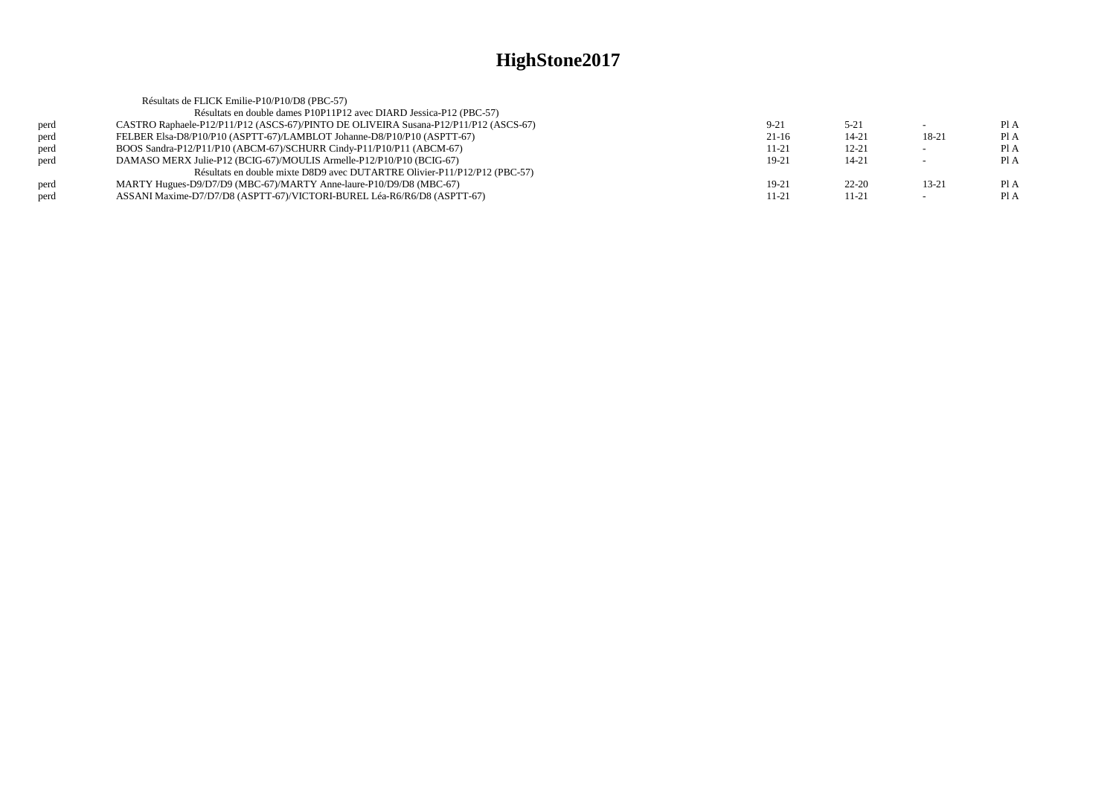|      | Résultats de FLICK Emilie-P10/P10/D8 (PBC-57)                                        |          |           |           |      |
|------|--------------------------------------------------------------------------------------|----------|-----------|-----------|------|
|      | Résultats en double dames P10P11P12 avec DIARD Jessica-P12 (PBC-57)                  |          |           |           |      |
| perd | CASTRO Raphaele-P12/P11/P12 (ASCS-67)/PINTO DE OLIVEIRA Susana-P12/P11/P12 (ASCS-67) | $9 - 21$ | $5 - 21$  |           | Pl A |
| perd | FELBER Elsa-D8/P10/P10 (ASPTT-67)/LAMBLOT Johanne-D8/P10/P10 (ASPTT-67)              | $21-16$  | 14-21     | 18-21     | Pl A |
| perd | BOOS Sandra-P12/P11/P10 (ABCM-67)/SCHURR Cindy-P11/P10/P11 (ABCM-67)                 | 11-21    | $12 - 21$ |           | Pl A |
| perd | DAMASO MERX Julie-P12 (BCIG-67)/MOULIS Armelle-P12/P10/P10 (BCIG-67)                 | 19-21    | $14 - 21$ |           | Pl A |
|      | Résultats en double mixte D8D9 avec DUTARTRE Olivier-P11/P12/P12 (PBC-57)            |          |           |           |      |
| perd | MARTY Hugues-D9/D7/D9 (MBC-67)/MARTY Anne-laure-P10/D9/D8 (MBC-67)                   | $19-21$  | $22 - 20$ | $13 - 21$ | Pl A |
| perd | ASSANI Maxime-D7/D7/D8 (ASPTT-67)/VICTORI-BUREL Léa-R6/R6/D8 (ASPTT-67)              | 11-21    | 11-21     |           | Pl A |
|      |                                                                                      |          |           |           |      |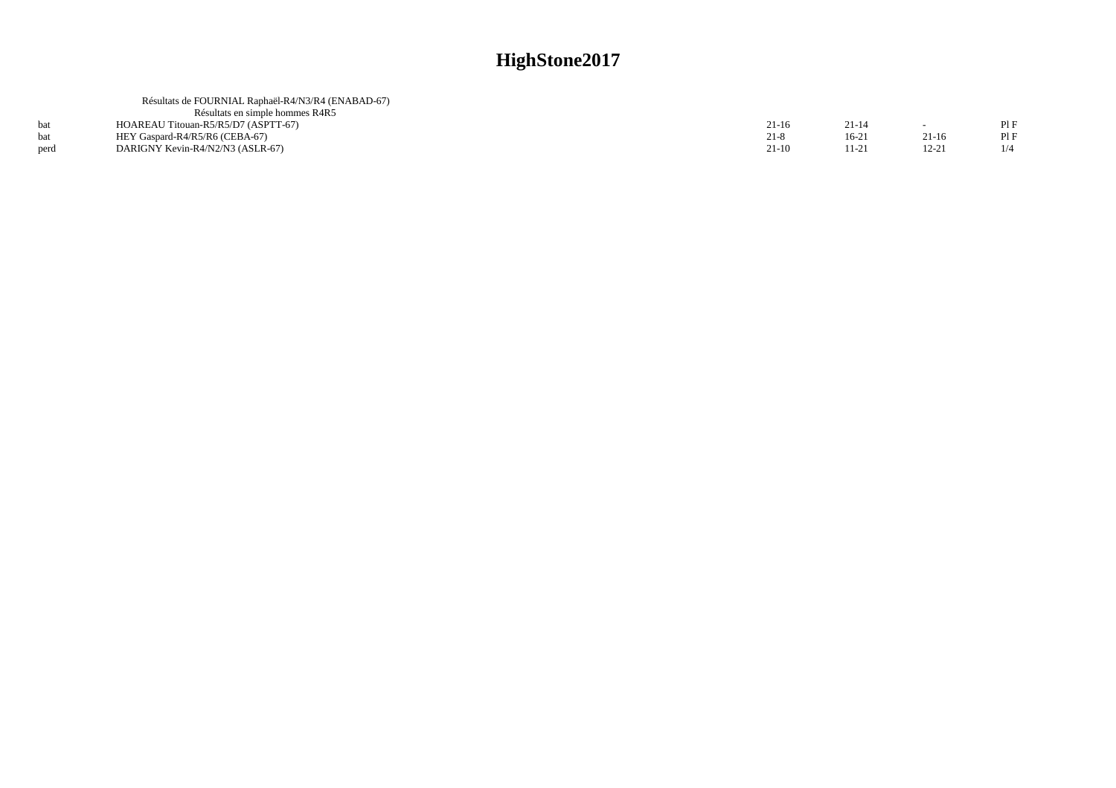|      | Résultats de FOURNIAL Raphaël-R4/N3/R4 (ENABAD-67) |         |           |           |     |
|------|----------------------------------------------------|---------|-----------|-----------|-----|
|      | Résultats en simple hommes R4R5                    |         |           |           |     |
|      | HOAREAU Titouan-R5/R5/D7 (ASPTT-67)                | $21-16$ | $21 - 14$ | $\sim$    |     |
|      | HEY Gaspard-R4/R5/R6 (CEBA-67)                     | $21-8$  | $16 - 21$ | $21-16$   |     |
| perd | DARIGNY Kevin-R4/N2/N3 (ASLR-67)                   | $21-10$ | 11-21     | $12 - 21$ | 1/4 |
|      |                                                    |         |           |           |     |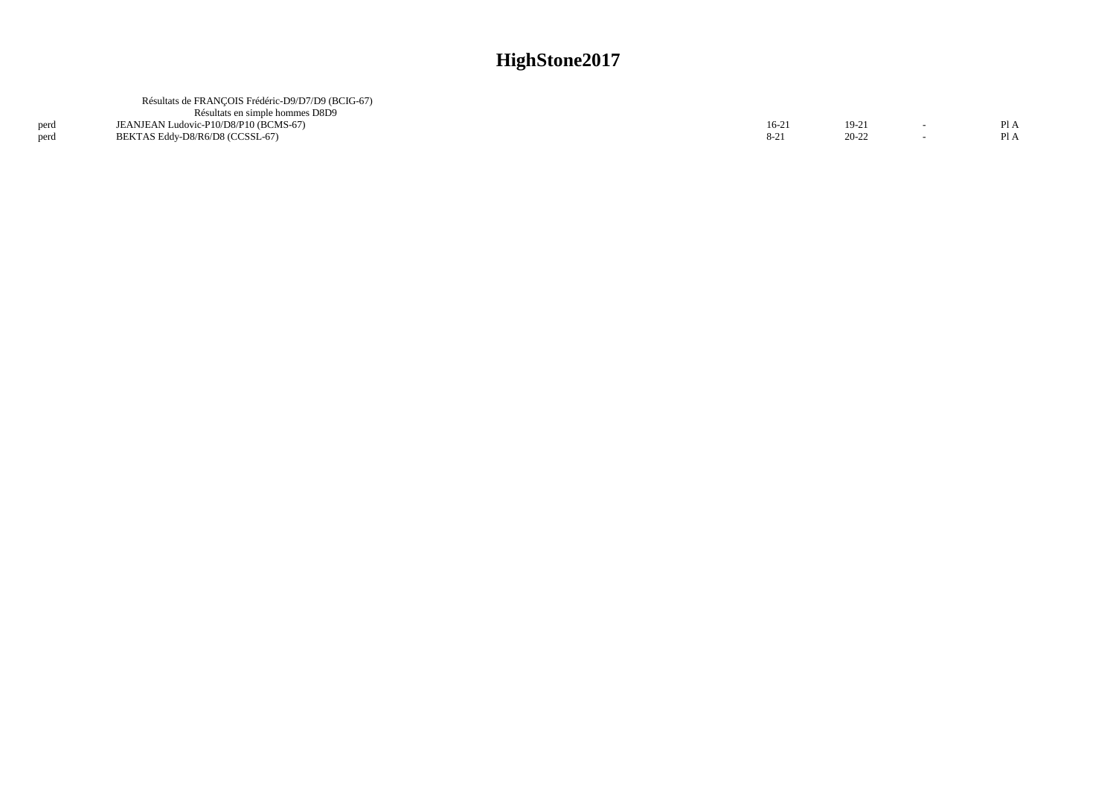|              | Résultats de FRANCOIS Frédéric-D9/D7/D9 (BCIG-67)<br>Résultats en simple hommes D8D9 |                |                      |            |
|--------------|--------------------------------------------------------------------------------------|----------------|----------------------|------------|
| perd<br>perd | JEANJEAN Ludovic-P10/D8/P10 (BCMS-67)<br>BEKTAS Eddy-D8/R6/D8 (CCSSL-67)             | $16-2$<br>8-21 | $19-21$<br>$20 - 22$ | P1A<br>PIA |
|              |                                                                                      |                |                      |            |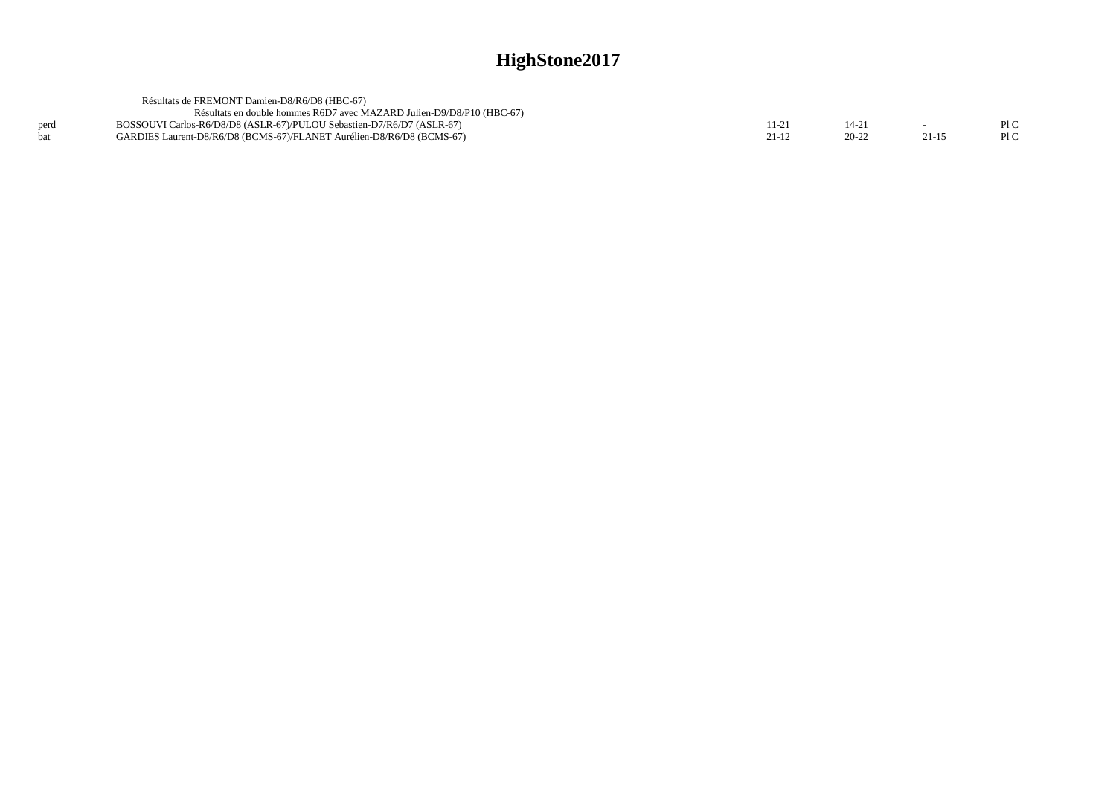|      | Résultats de FREMONT Damien-D8/R6/D8 (HBC-67)                         |       |         |         |     |
|------|-----------------------------------------------------------------------|-------|---------|---------|-----|
|      | Résultats en double hommes R6D7 avec MAZARD Julien-D9/D8/P10 (HBC-67) |       |         |         |     |
| perd | BOSSOUVI Carlos-R6/D8/D8 (ASLR-67)/PULOU Sebastien-D7/R6/D7 (ASLR-67) | 11-21 |         |         | PIC |
|      | GARDIES Laurent-D8/R6/D8 (BCMS-67)/FLANET Aurélien-D8/R6/D8 (BCMS-67) | 21-12 | $20-22$ | $21-15$ | PLC |
|      |                                                                       |       |         |         |     |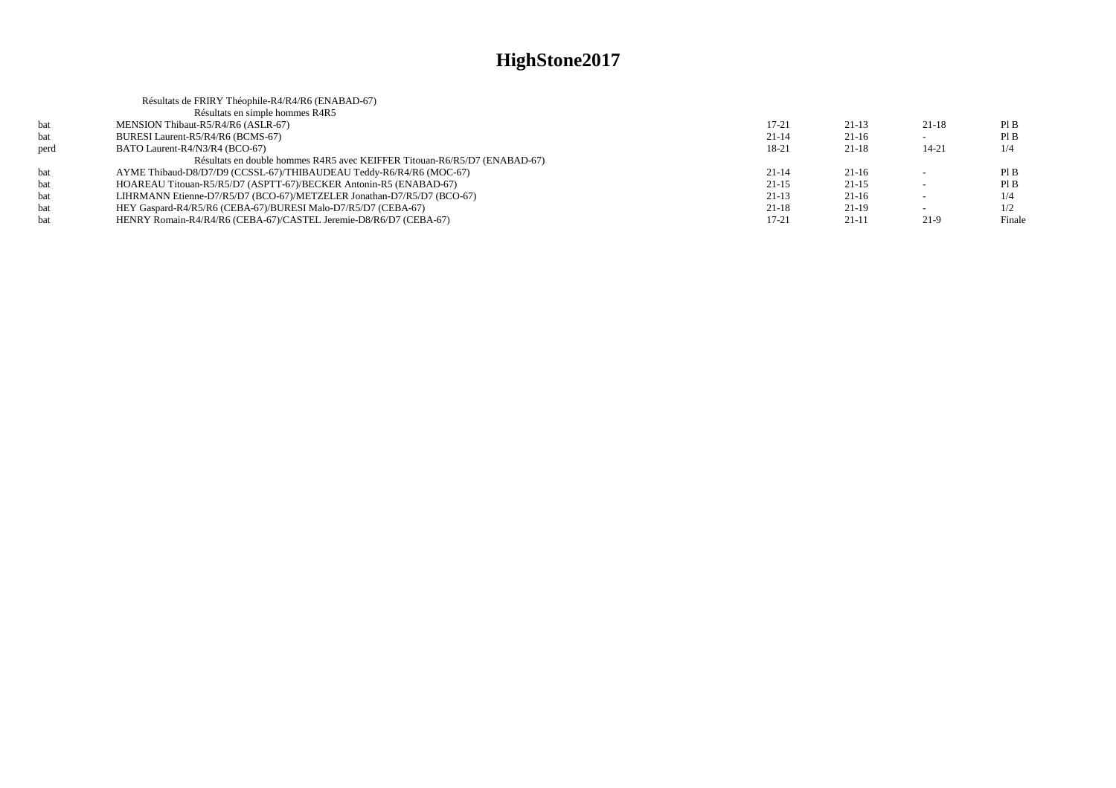|      | Résultats de FRIRY Théophile-R4/R4/R6 (ENABAD-67)                         |           |           |                          |        |
|------|---------------------------------------------------------------------------|-----------|-----------|--------------------------|--------|
|      | Résultats en simple hommes R4R5                                           |           |           |                          |        |
| bat  | MENSION Thibaut-R5/R4/R6 (ASLR-67)                                        | $17 - 21$ | $21-13$   | $21-18$                  | PIB    |
| bat  | BURESI Laurent-R5/R4/R6 (BCMS-67)                                         | $21 - 14$ | $21-16$   |                          | PIB    |
| perd | BATO Laurent-R4/N3/R4 (BCO-67)                                            | 18-21     | $21 - 18$ | $14 - 21$                | 1/4    |
|      | Résultats en double hommes R4R5 avec KEIFFER Titouan-R6/R5/D7 (ENABAD-67) |           |           |                          |        |
| bat  | AYME Thibaud-D8/D7/D9 (CCSSL-67)/THIBAUDEAU Teddy-R6/R4/R6 (MOC-67)       | $21 - 14$ | $21-16$   |                          | PIB    |
| bat  | HOAREAU Titouan-R5/R5/D7 (ASPTT-67)/BECKER Antonin-R5 (ENABAD-67)         | $21-15$   | $21-15$   | $\sim$                   | PIB    |
| bat  | LIHRMANN Etienne-D7/R5/D7 (BCO-67)/METZELER Jonathan-D7/R5/D7 (BCO-67)    | $21-13$   | $21-16$   |                          | 1/4    |
| bat  | HEY Gaspard-R4/R5/R6 (CEBA-67)/BURESI Malo-D7/R5/D7 (CEBA-67)             | $21-18$   | $21-19$   | $\overline{\phantom{0}}$ | 1/2    |
| bat  | HENRY Romain-R4/R4/R6 (CEBA-67)/CASTEL Jeremie-D8/R6/D7 (CEBA-67)         | 17-21     | $21-11$   | 21-9                     | Finale |
|      |                                                                           |           |           |                          |        |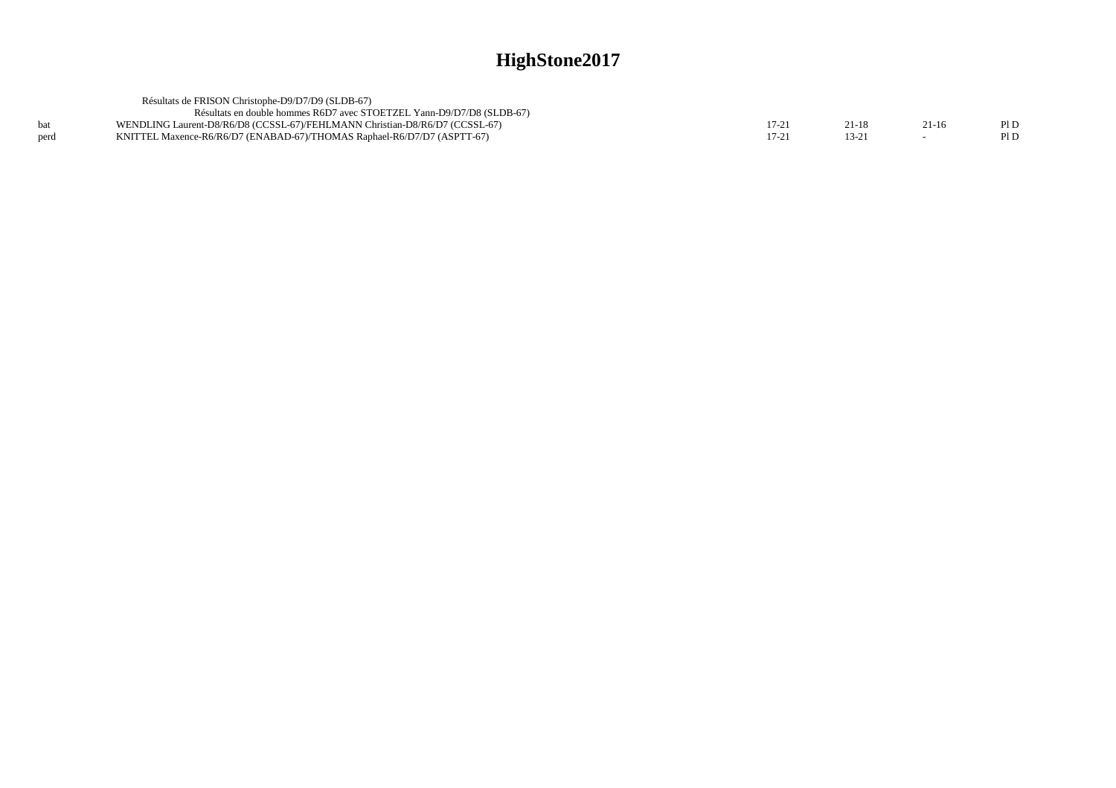|      | Résultats de FRISON Christophe-D9/D7/D9 (SLDB-67)                           |       |       |         |      |
|------|-----------------------------------------------------------------------------|-------|-------|---------|------|
|      | Résultats en double hommes R6D7 avec STOETZEL Yann-D9/D7/D8 (SLDB-67)       |       |       |         |      |
|      | WENDLING Laurent-D8/R6/D8 (CCSSL-67)/FEHLMANN Christian-D8/R6/D7 (CCSSL-67) | 17-21 | 21-18 | $21-16$ | PI D |
| perd | KNITTEL Maxence-R6/R6/D7 (ENABAD-67)/THOMAS Raphael-R6/D7/D7 (ASPTT-67)     |       | 13-21 |         | PI D |
|      |                                                                             |       |       |         |      |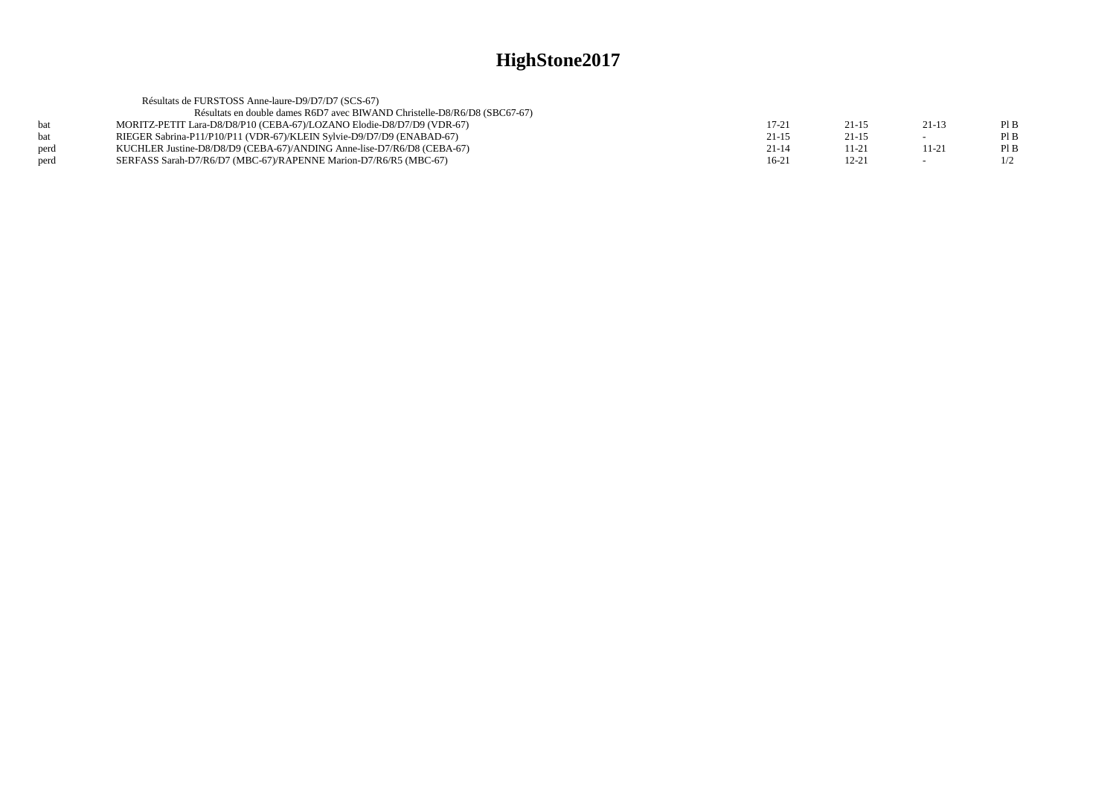|      | Résultats de FURSTOSS Anne-laure-D9/D7/D7 (SCS-67)                        |           |           |                          |     |
|------|---------------------------------------------------------------------------|-----------|-----------|--------------------------|-----|
|      | Résultats en double dames R6D7 avec BIWAND Christelle-D8/R6/D8 (SBC67-67) |           |           |                          |     |
| hat  | MORITZ-PETIT Lara-D8/D8/P10 (CEBA-67)/LOZANO Elodie-D8/D7/D9 (VDR-67)     | 17-21     | 21-15     | $21-13$                  | PIB |
| hat  | RIEGER Sabrina-P11/P10/P11 (VDR-67)/KLEIN Sylvie-D9/D7/D9 (ENABAD-67)     | $21 - 15$ | $21-15$   | $\overline{\phantom{0}}$ | PIB |
| perd | KUCHLER Justine-D8/D8/D9 (CEBA-67)/ANDING Anne-lise-D7/R6/D8 (CEBA-67)    | $21 - 14$ | $11-21$   | $11 - 21$                | PIB |
| perd | SERFASS Sarah-D7/R6/D7 (MBC-67)/RAPENNE Marion-D7/R6/R5 (MBC-67)          | $16-21$   | $12 - 21$ | $\overline{\phantom{a}}$ | 1/2 |
|      |                                                                           |           |           |                          |     |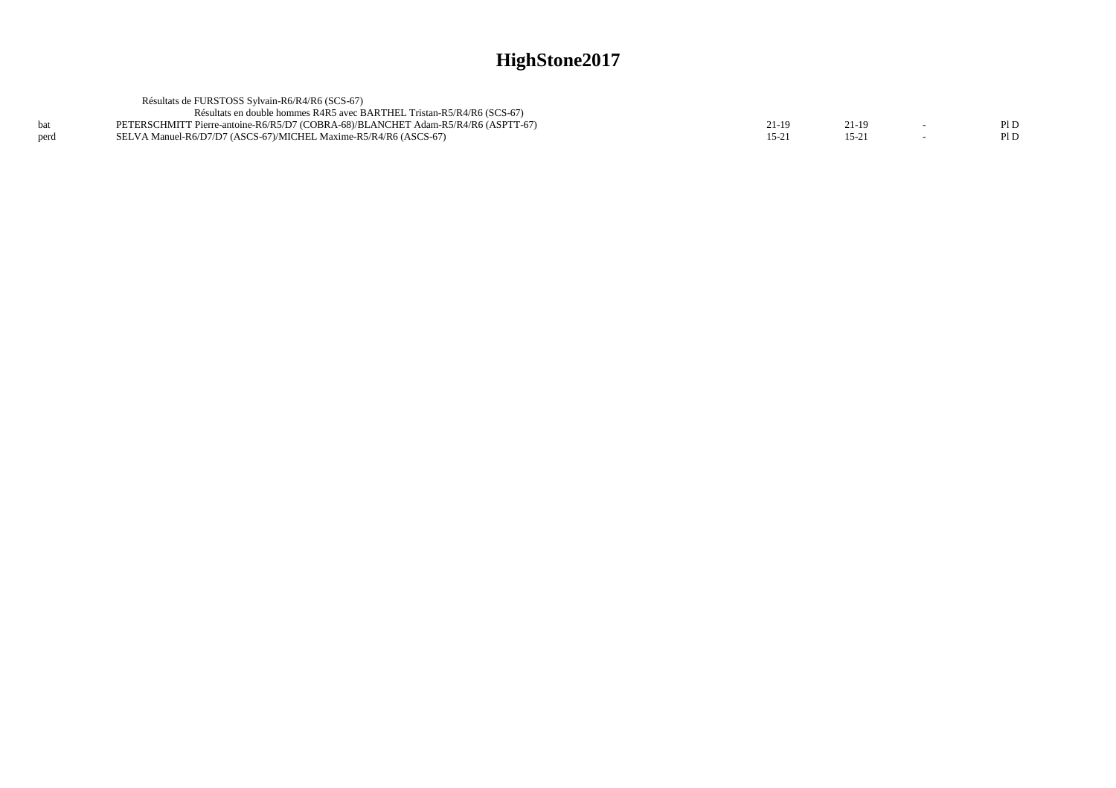|      | Résultats de FURSTOSS Sylvain-R6/R4/R6 (SCS-67)                                   |         |      |  |
|------|-----------------------------------------------------------------------------------|---------|------|--|
|      | Résultats en double hommes R4R5 avec BARTHEL Tristan-R5/R4/R6 (SCS-67)            |         |      |  |
|      | PETERSCHMITT Pierre-antoine-R6/R5/D7 (COBRA-68)/BLANCHET Adam-R5/R4/R6 (ASPTT-67) | 21-19   |      |  |
| perd | SELVA Manuel-R6/D7/D7 (ASCS-67)/MICHEL Maxime-R5/R4/R6 (ASCS-67)                  | $15-2.$ | 15-2 |  |
|      |                                                                                   |         |      |  |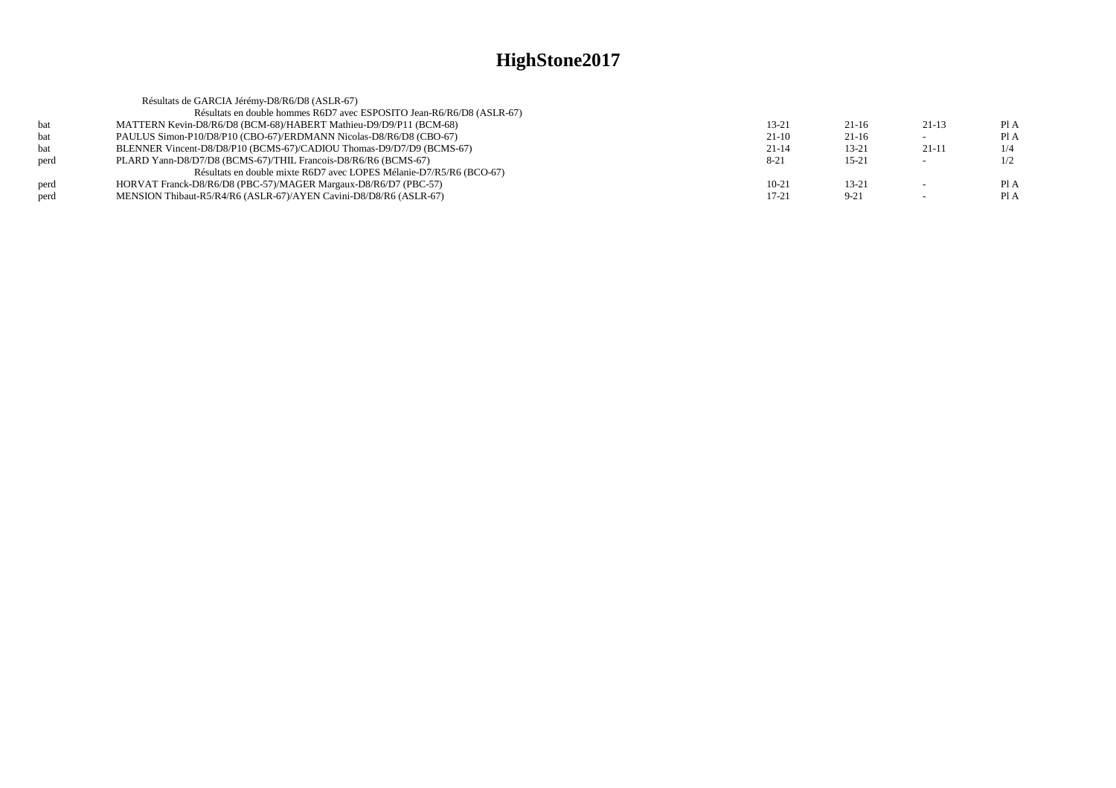|            | Résultats de GARCIA Jérémy-D8/R6/D8 (ASLR-67)                         |          |           |         |      |
|------------|-----------------------------------------------------------------------|----------|-----------|---------|------|
|            | Résultats en double hommes R6D7 avec ESPOSITO Jean-R6/R6/D8 (ASLR-67) |          |           |         |      |
| <b>bat</b> | MATTERN Kevin-D8/R6/D8 (BCM-68)/HABERT Mathieu-D9/D9/P11 (BCM-68)     | 13-21    | $21-16$   | $21-13$ | Pl A |
| bat        | PAULUS Simon-P10/D8/P10 (CBO-67)/ERDMANN Nicolas-D8/R6/D8 (CBO-67)    | $21-10$  | $21-16$   |         | Pl A |
| bat        | BLENNER Vincent-D8/D8/P10 (BCMS-67)/CADIOU Thomas-D9/D7/D9 (BCMS-67)  | $21-14$  | $13 - 21$ | 21-11   |      |
| perd       | PLARD Yann-D8/D7/D8 (BCMS-67)/THIL Francois-D8/R6/R6 (BCMS-67)        | $8 - 21$ | $15 - 21$ |         | 1/2  |
|            | Résultats en double mixte R6D7 avec LOPES Mélanie-D7/R5/R6 (BCO-67)   |          |           |         |      |
| perd       | HORVAT Franck-D8/R6/D8 (PBC-57)/MAGER Margaux-D8/R6/D7 (PBC-57)       | $10-21$  | $13 - 21$ |         | PIA  |
| perd       | MENSION Thibaut-R5/R4/R6 (ASLR-67)/AYEN Cavini-D8/D8/R6 (ASLR-67)     | 17-21    | $9 - 21$  |         | Pl A |
|            |                                                                       |          |           |         |      |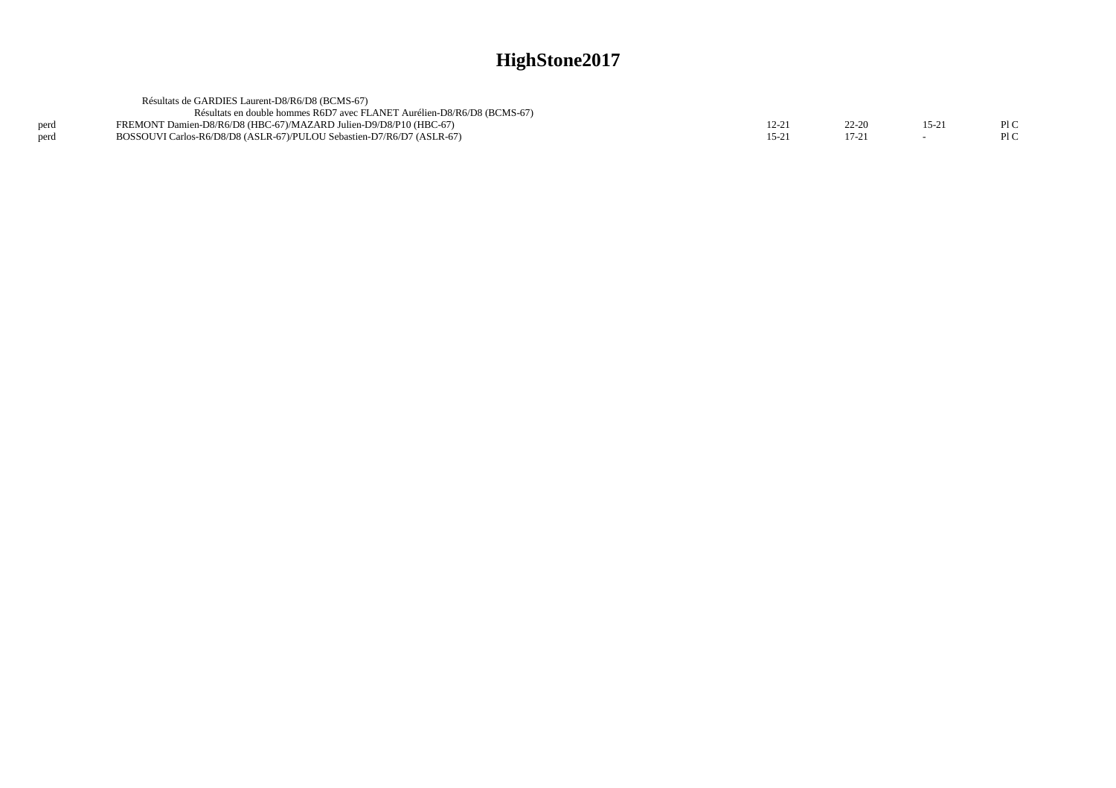|      | Résultats de GARDIES Laurent-D8/R6/D8 (BCMS-67)                         |          |       |        |     |
|------|-------------------------------------------------------------------------|----------|-------|--------|-----|
|      | Résultats en double hommes R6D7 avec FLANET Aurélien-D8/R6/D8 (BCMS-67) |          |       |        |     |
| perd | FREMONT Damien-D8/R6/D8 (HBC-67)/MAZARD Julien-D9/D8/P10 (HBC-67)       | $2 - 21$ | 22-20 | $15-2$ | P1C |
| perd | BOSSOUVI Carlos-R6/D8/D8 (ASLR-67)/PULOU Sebastien-D7/R6/D7 (ASLR-67)   | 15-2     |       |        | PLC |
|      |                                                                         |          |       |        |     |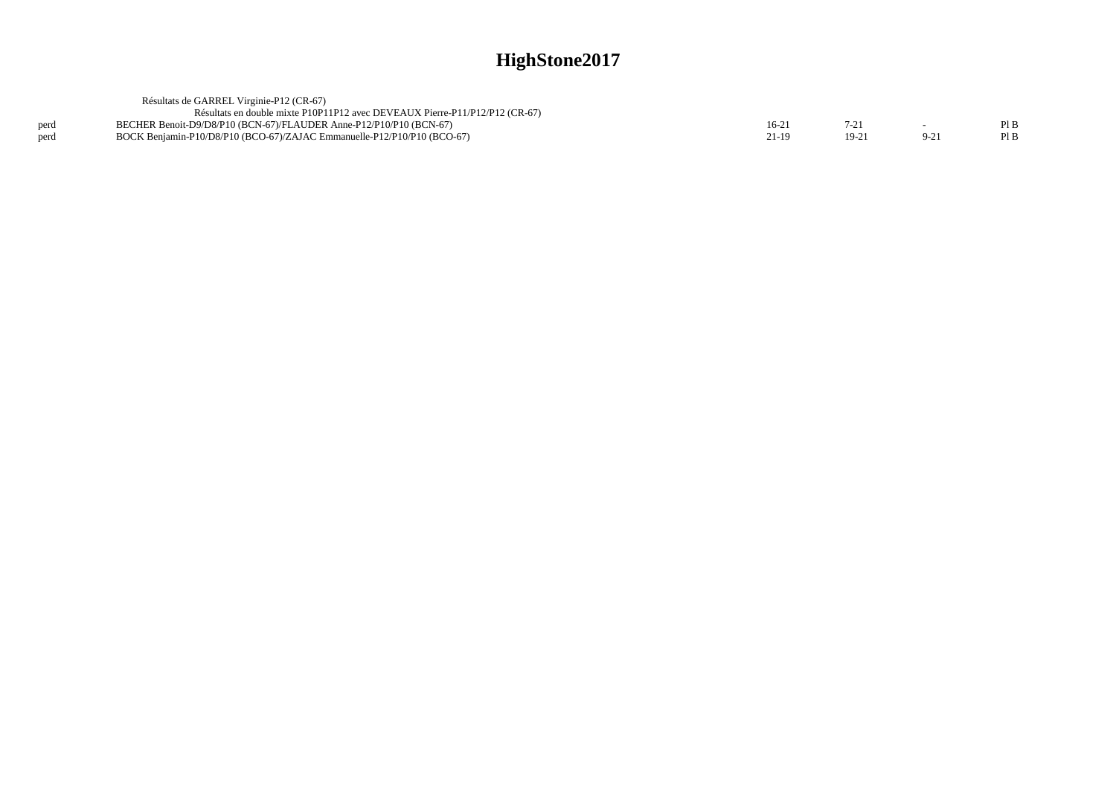|      | Résultats de GARREL Virginie-P12 (CR-67)                                    |         |         |       |     |
|------|-----------------------------------------------------------------------------|---------|---------|-------|-----|
|      | Résultats en double mixte P10P11P12 avec DEVEAUX Pierre-P11/P12/P12 (CR-67) |         |         |       |     |
| perd | BECHER Benoit-D9/D8/P10 (BCN-67)/FLAUDER Anne-P12/P10/P10 (BCN-67)          | $16-2'$ |         |       | PIB |
| perd | BOCK Benjamin-P10/D8/P10 (BCO-67)/ZAJAC Emmanuelle-P12/P10/P10 (BCO-67)     | 21-19   | $19-21$ | $9-2$ | PIB |
|      |                                                                             |         |         |       |     |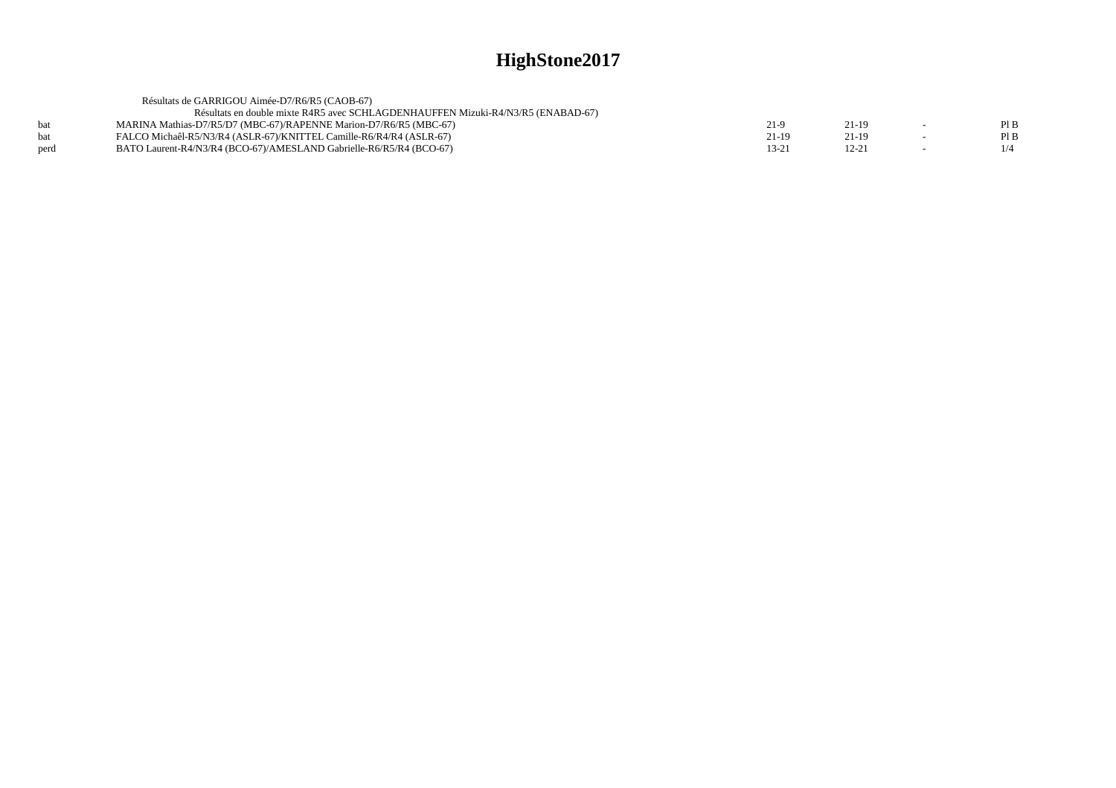|            | Résultats de GARRIGOU Aimée-D7/R6/R5 (CAOB-67)                                   |       |           |     |
|------------|----------------------------------------------------------------------------------|-------|-----------|-----|
|            | Résultats en double mixte R4R5 avec SCHLAGDENHAUFFEN Mizuki-R4/N3/R5 (ENABAD-67) |       |           |     |
| <b>bat</b> | MARINA Mathias-D7/R5/D7 (MBC-67)/RAPENNE Marion-D7/R6/R5 (MBC-67)                | 21-9  | 21-19     | PIB |
| bat        | FALCO Michaêl-R5/N3/R4 (ASLR-67)/KNITTEL Camille-R6/R4/R4 (ASLR-67)              | 21-19 | 21-19     | PIB |
| perd       | BATO Laurent-R4/N3/R4 (BCO-67)/AMESLAND Gabrielle-R6/R5/R4 (BCO-67)              | 13-21 | $12 - 21$ | 1/4 |
|            |                                                                                  |       |           |     |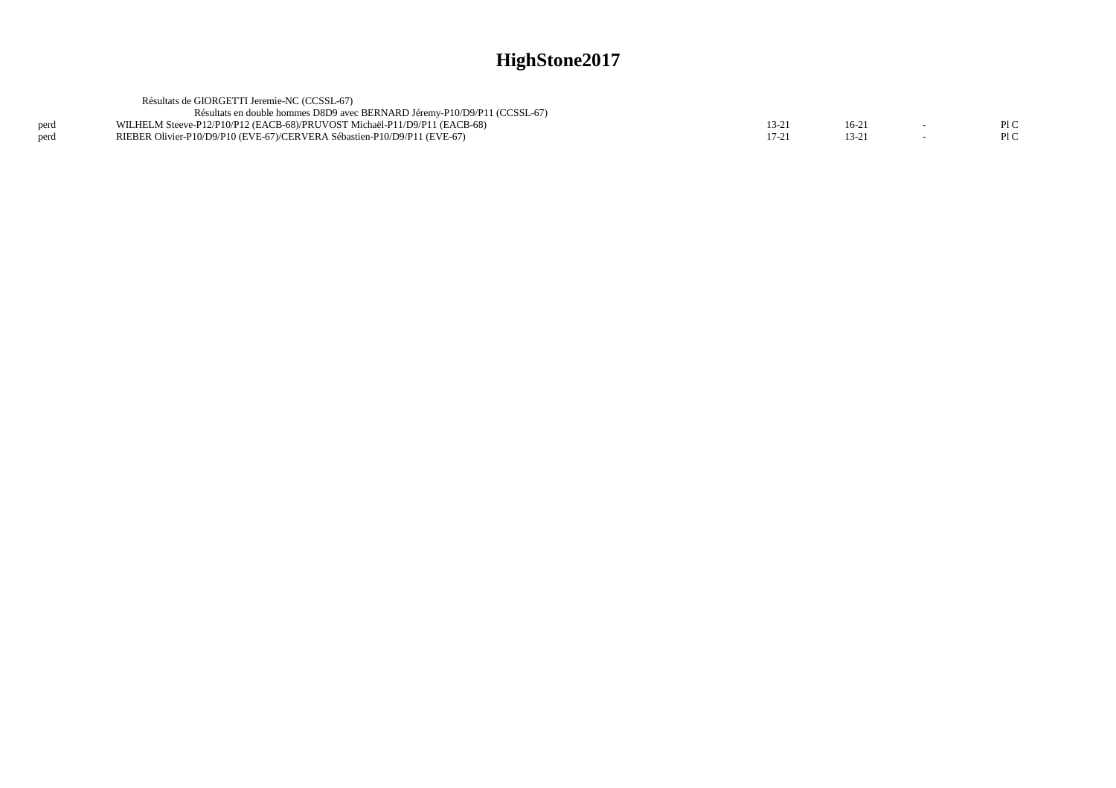|      | Résultats de GIORGETTI Jeremie-NC (CCSSL-67)                              |       |  |      |
|------|---------------------------------------------------------------------------|-------|--|------|
|      | Résultats en double hommes D8D9 avec BERNARD Jéremy-P10/D9/P11 (CCSSL-67) |       |  |      |
| perd | WILHELM Steeve-P12/P10/P12 (EACB-68)/PRUVOST Michaël-P11/D9/P11 (EACB-68) | .J-4. |  | PI C |
| perd | RIEBER Olivier-P10/D9/P10 (EVE-67)/CERVERA Sébastien-P10/D9/P11 (EVE-67)  |       |  | PLC  |
|      |                                                                           |       |  |      |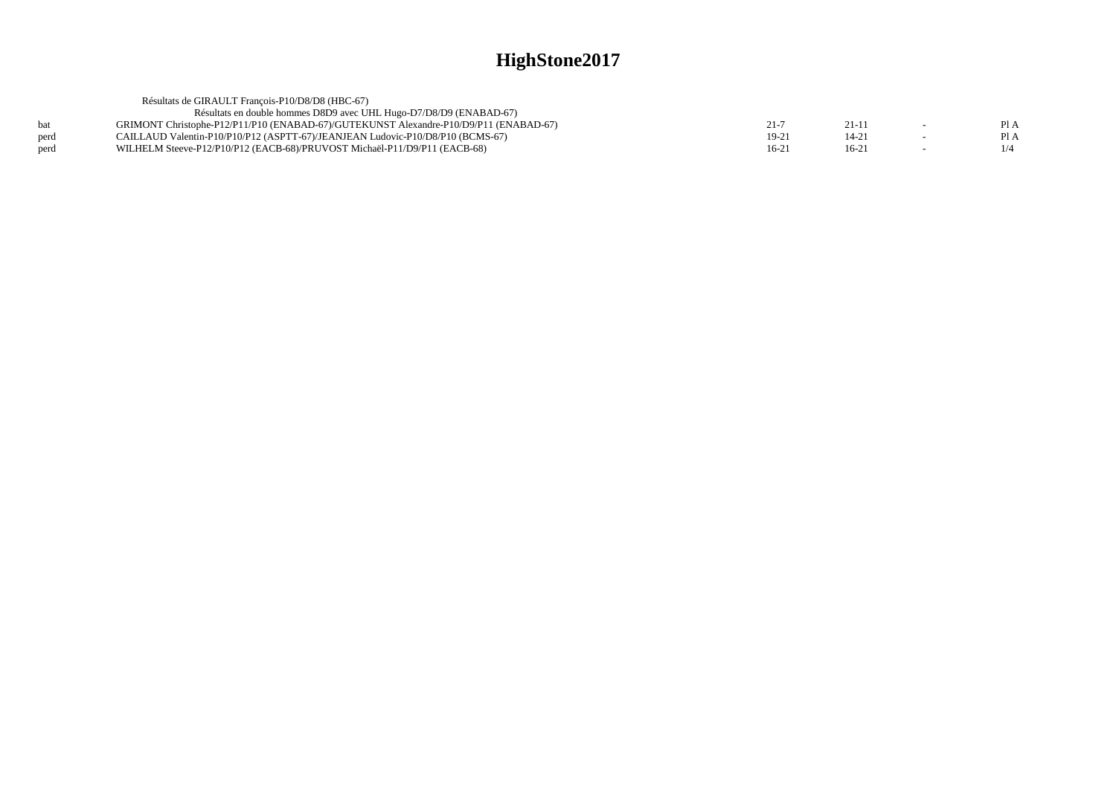|      | Résultats de GIRAULT Francois-P10/D8/D8 (HBC-67)                                      |       |           |      |
|------|---------------------------------------------------------------------------------------|-------|-----------|------|
|      | Résultats en double hommes D8D9 avec UHL Hugo-D7/D8/D9 (ENABAD-67)                    |       |           |      |
| bat  | GRIMONT Christophe-P12/P11/P10 (ENABAD-67)/GUTEKUNST Alexandre-P10/D9/P11 (ENABAD-67) | 21-7  | $21 - 11$ | PI A |
| perd | CAILLAUD Valentin-P10/P10/P12 (ASPTT-67)/JEANJEAN Ludovic-P10/D8/P10 (BCMS-67)        | 19-21 | 14-21     | Pl A |
| perd | WILHELM Steeve-P12/P10/P12 (EACB-68)/PRUVOST Michaël-P11/D9/P11 (EACB-68)             | 16-21 | $16-21$   |      |
|      |                                                                                       |       |           |      |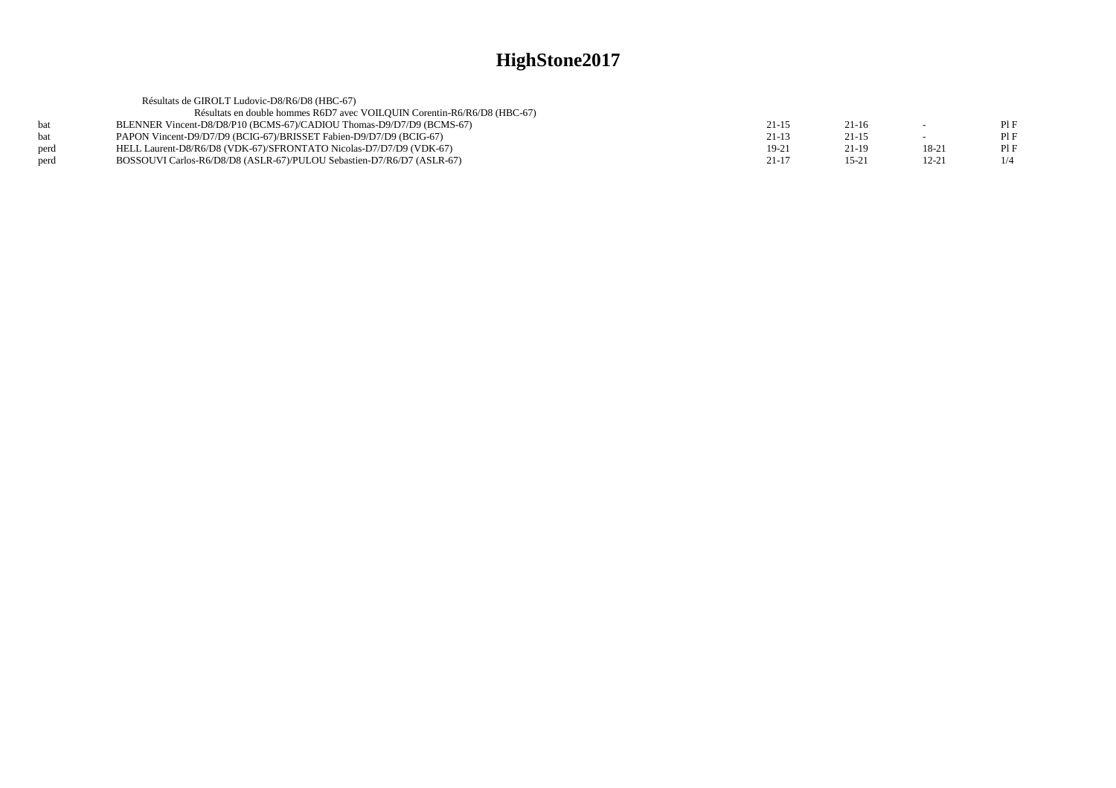|      | Résultats de GIROLT Ludovic-D8/R6/D8 (HBC-67)                            |           |           |           |     |
|------|--------------------------------------------------------------------------|-----------|-----------|-----------|-----|
|      | Résultats en double hommes R6D7 avec VOILQUIN Corentin-R6/R6/D8 (HBC-67) |           |           |           |     |
|      | BLENNER Vincent-D8/D8/P10 (BCMS-67)/CADIOU Thomas-D9/D7/D9 (BCMS-67)     | 21-15     | $21-16$   |           | PIF |
| hat  | PAPON Vincent-D9/D7/D9 (BCIG-67)/BRISSET Fabien-D9/D7/D9 (BCIG-67)       | $21-13$   | $21 - 15$ |           | PIF |
| perd | HELL Laurent-D8/R6/D8 (VDK-67)/SFRONTATO Nicolas-D7/D7/D9 (VDK-67)       | 19-21     | $21-19$   | 18-21     | PIF |
| perd | BOSSOUVI Carlos-R6/D8/D8 (ASLR-67)/PULOU Sebastien-D7/R6/D7 (ASLR-67)    | $21 - 17$ | $15-2$    | $12 - 21$ | 1/4 |
|      |                                                                          |           |           |           |     |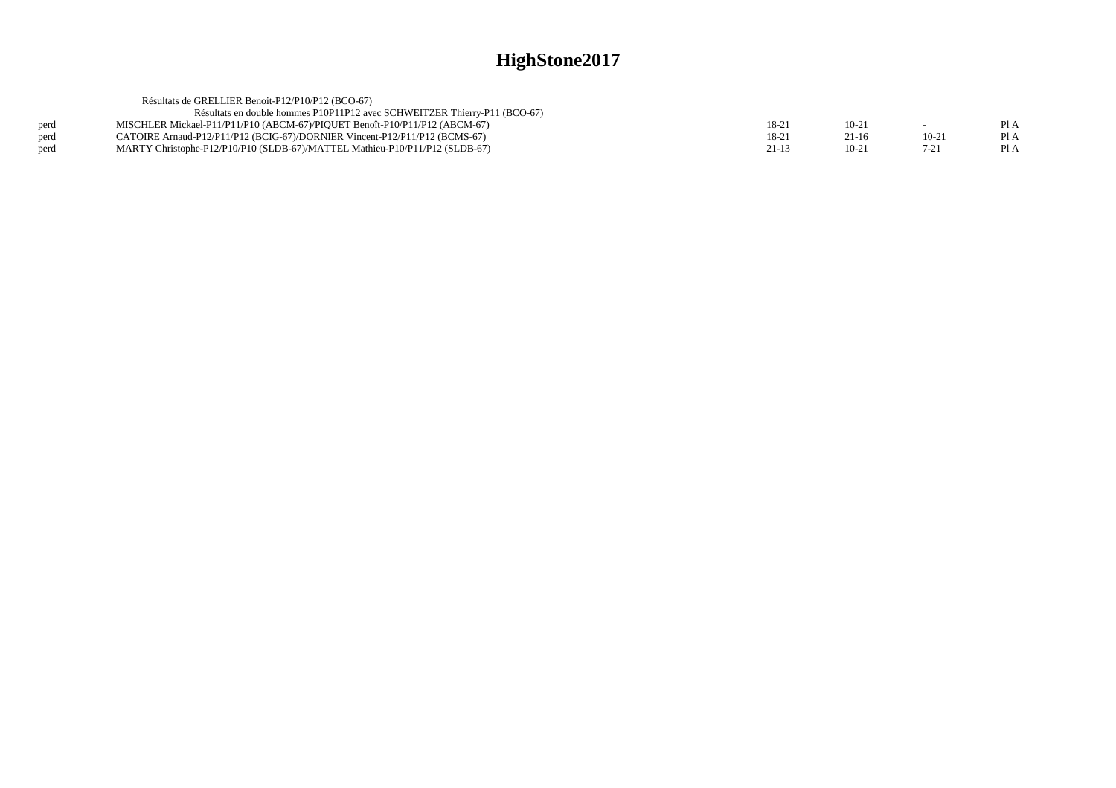| Résultats de GRELLIER Benoit-P12/P10/P12 (BCO-67)                           |           |           |          |      |
|-----------------------------------------------------------------------------|-----------|-----------|----------|------|
| Résultats en double hommes P10P11P12 avec SCHWEITZER Thierry-P11 (BCO-67)   |           |           |          |      |
| MISCHLER Mickael-P11/P11/P10 (ABCM-67)/PIOUET Benoît-P10/P11/P12 (ABCM-67)  | 18-21     | $10 - 21$ |          | Pl A |
| CATOIRE Arnaud-P12/P11/P12 (BCIG-67)/DORNIER Vincent-P12/P11/P12 (BCMS-67)  | 18-21     | $21-16$   | $10-2$   | Pl A |
| MARTY Christophe-P12/P10/P10 (SLDB-67)/MATTEL Mathieu-P10/P11/P12 (SLDB-67) | $21 - 13$ | $10 - 21$ | $7 - 21$ | PIA  |
|                                                                             |           |           |          |      |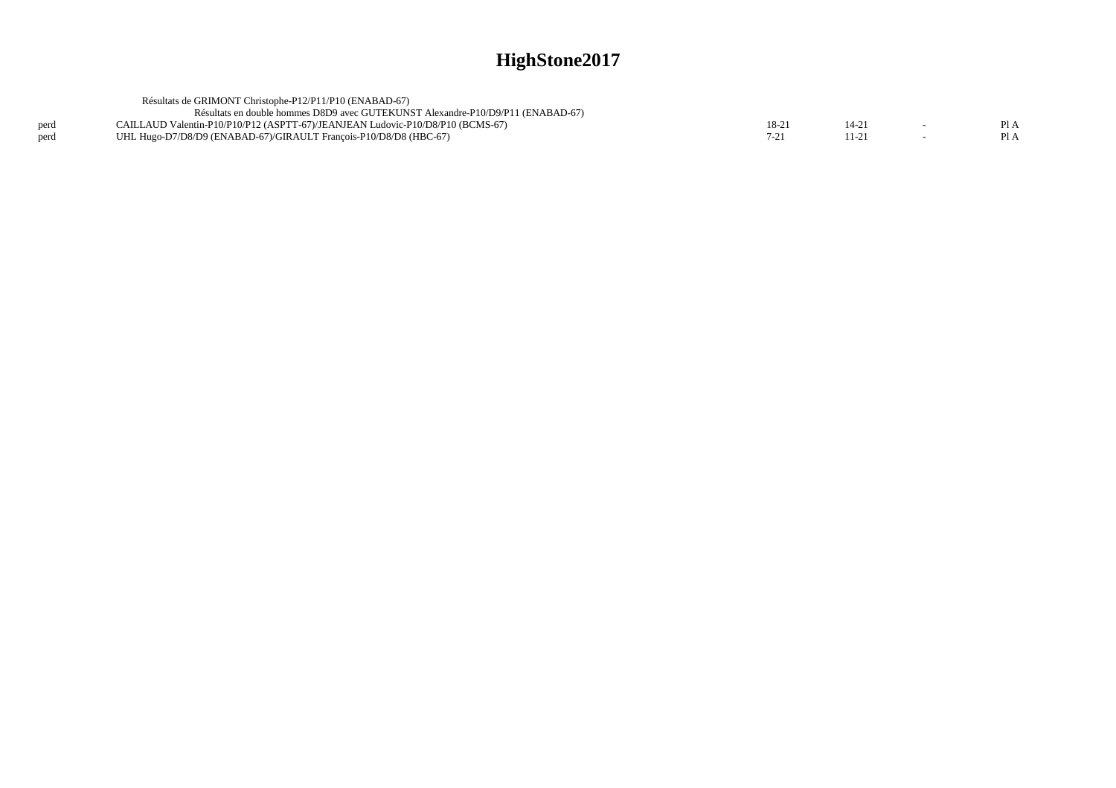|      | Résultats de GRIMONT Christophe-P12/P11/P10 (ENABAD-67)                         |         |  |      |
|------|---------------------------------------------------------------------------------|---------|--|------|
|      | Résultats en double hommes D8D9 avec GUTEKUNST Alexandre-P10/D9/P11 (ENABAD-67) |         |  |      |
| perd | CAILLAUD Valentin-P10/P10/P12 (ASPTT-67)/JEANJEAN Ludovic-P10/D8/P10 (BCMS-67)  | $18-21$ |  | PI A |
| perd | UHL Hugo-D7/D8/D9 (ENABAD-67)/GIRAULT Francois-P10/D8/D8 (HBC-67)               |         |  | Pl A |
|      |                                                                                 |         |  |      |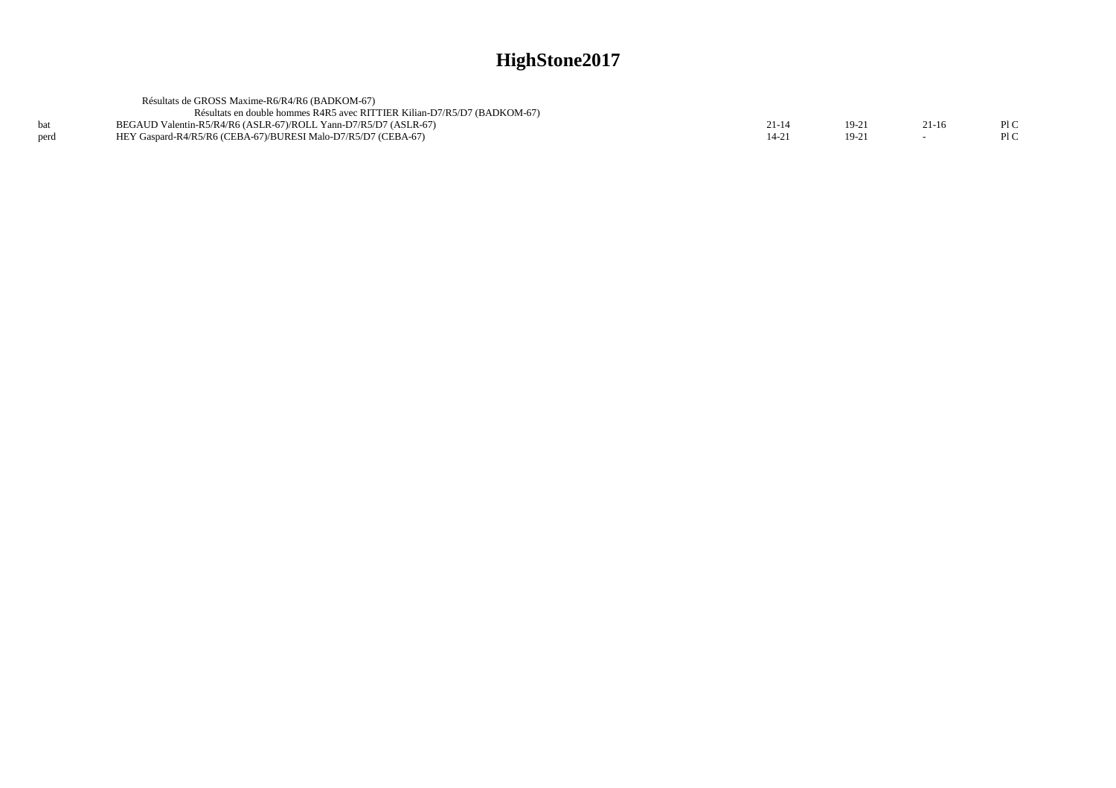|      | Résultats de GROSS Maxime-R6/R4/R6 (BADKOM-67)                           |       |           |         |      |
|------|--------------------------------------------------------------------------|-------|-----------|---------|------|
|      | Résultats en double hommes R4R5 avec RITTIER Kilian-D7/R5/D7 (BADKOM-67) |       |           |         |      |
|      | BEGAUD Valentin-R5/R4/R6 (ASLR-67)/ROLL Yann-D7/R5/D7 (ASLR-67)          | 21-14 | $19-2'$   | $21-16$ | Pl C |
| perd | HEY Gaspard-R4/R5/R6 (CEBA-67)/BURESI Malo-D7/R5/D7 (CEBA-67)            | 14-21 | $19 - 21$ |         |      |
|      |                                                                          |       |           |         |      |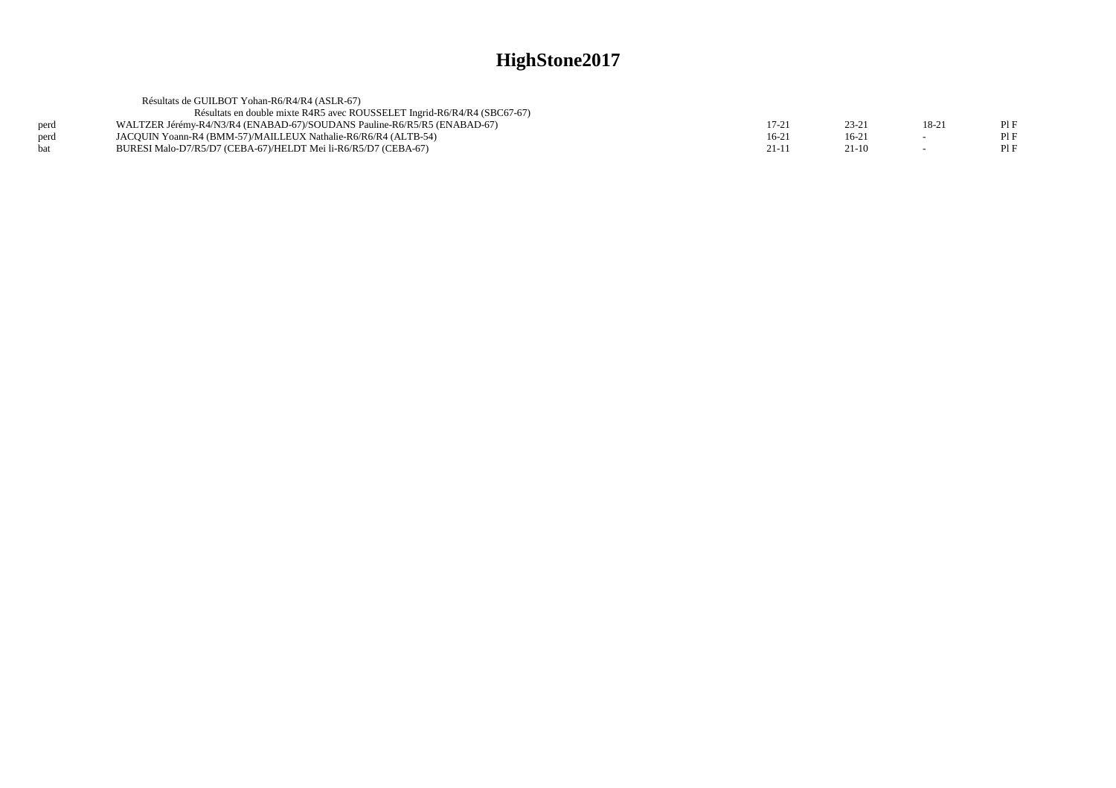|      | Résultats de GUILBOT Yohan-R6/R4/R4 (ASLR-67)                            |         |          |       |  |
|------|--------------------------------------------------------------------------|---------|----------|-------|--|
|      | Résultats en double mixte R4R5 avec ROUSSELET Ingrid-R6/R4/R4 (SBC67-67) |         |          |       |  |
| perd | WALTZER Jérémy-R4/N3/R4 (ENABAD-67)/SOUDANS Pauline-R6/R5/R5 (ENABAD-67) | 17-21   | $23 - 2$ | 18-21 |  |
| perd | JACOUIN Yoann-R4 (BMM-57)/MAILLEUX Nathalie-R6/R6/R4 (ALTB-54)           | $16-21$ | $16-2$   |       |  |
| hat  | BURESI Malo-D7/R5/D7 (CEBA-67)/HELDT Mei li-R6/R5/D7 (CEBA-67)           | $21-11$ | $21-10$  |       |  |
|      |                                                                          |         |          |       |  |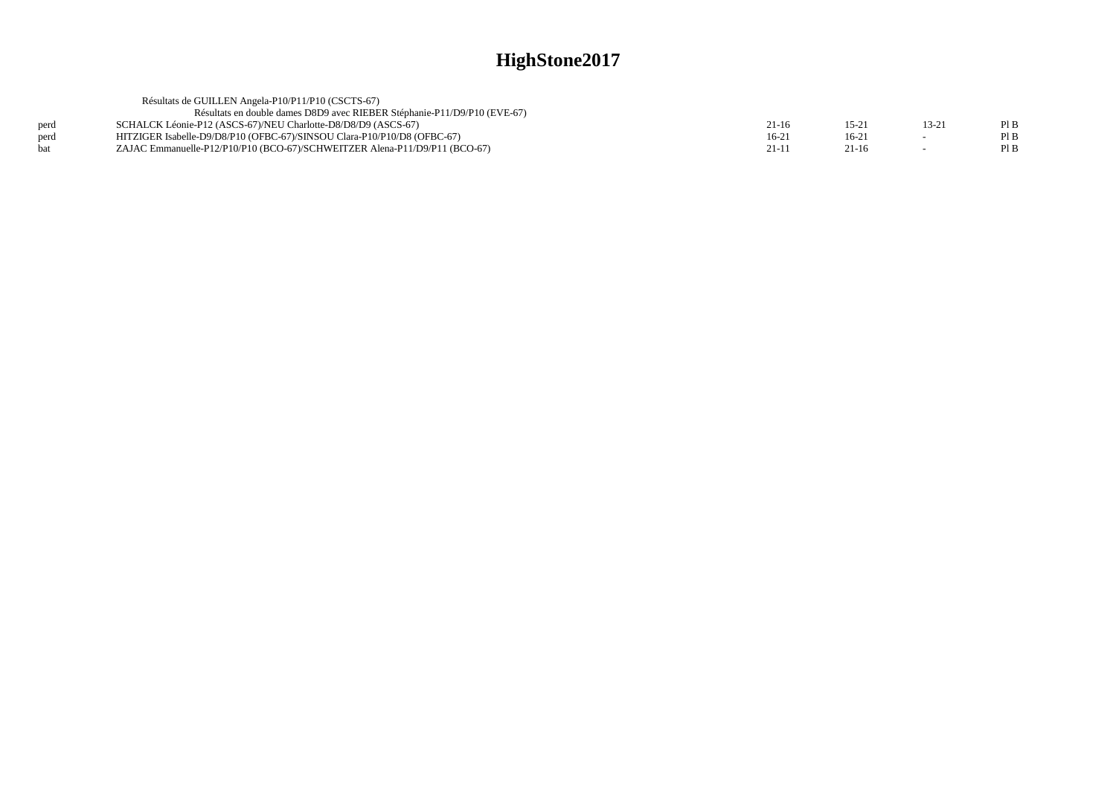|            | Résultats de GUILLEN Angela-P10/P11/P10 (CSCTS-67)                         |         |           |        |      |
|------------|----------------------------------------------------------------------------|---------|-----------|--------|------|
|            | Résultats en double dames D8D9 avec RIEBER Stéphanie-P11/D9/P10 (EVE-67)   |         |           |        |      |
| perd       | SCHALCK Léonie-P12 (ASCS-67)/NEU Charlotte-D8/D8/D9 (ASCS-67)              | 21-16   | $15 - 21$ | 13-21  | Pl B |
| perd       | HITZIGER Isabelle-D9/D8/P10 (OFBC-67)/SINSOU Clara-P10/P10/D8 (OFBC-67)    | $16-21$ | $16-21$   | $\sim$ | Pl B |
| <b>bat</b> | ZAJAC Emmanuelle-P12/P10/P10 (BCO-67)/SCHWEITZER Alena-P11/D9/P11 (BCO-67) | $21-1$  | $21-16$   |        | Pl B |
|            |                                                                            |         |           |        |      |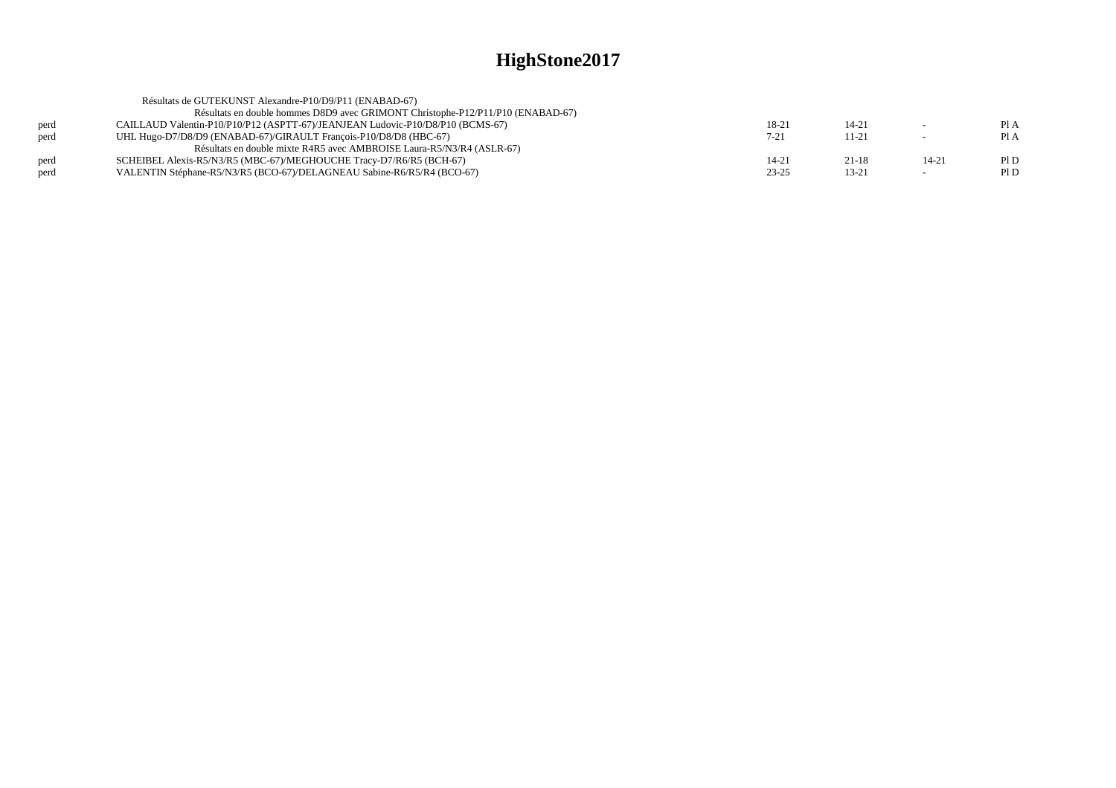| Pl A |
|------|
| Pl A |
|      |
| PID  |
| P1D  |
|      |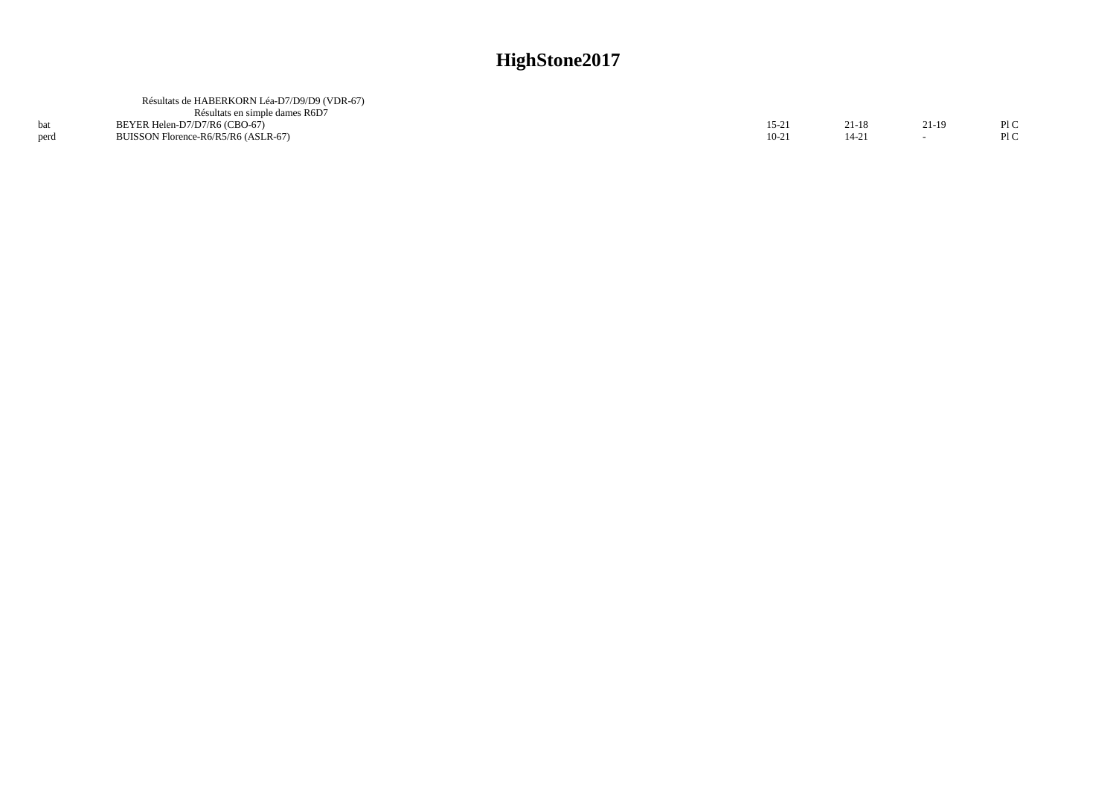|      | Résultats de HABERKORN Léa-D7/D9/D9 (VDR-67)<br>Résultats en simple dames R6D7 |         |           |        |      |
|------|--------------------------------------------------------------------------------|---------|-----------|--------|------|
|      | BEYER Helen-D7/D7/R6 (CBO-67)                                                  | $15-21$ | 21-18     | $21-1$ | Pl C |
| perd | BUISSON Florence-R6/R5/R6 (ASLR-67)                                            | $10-21$ | $\lambda$ |        | Pl C |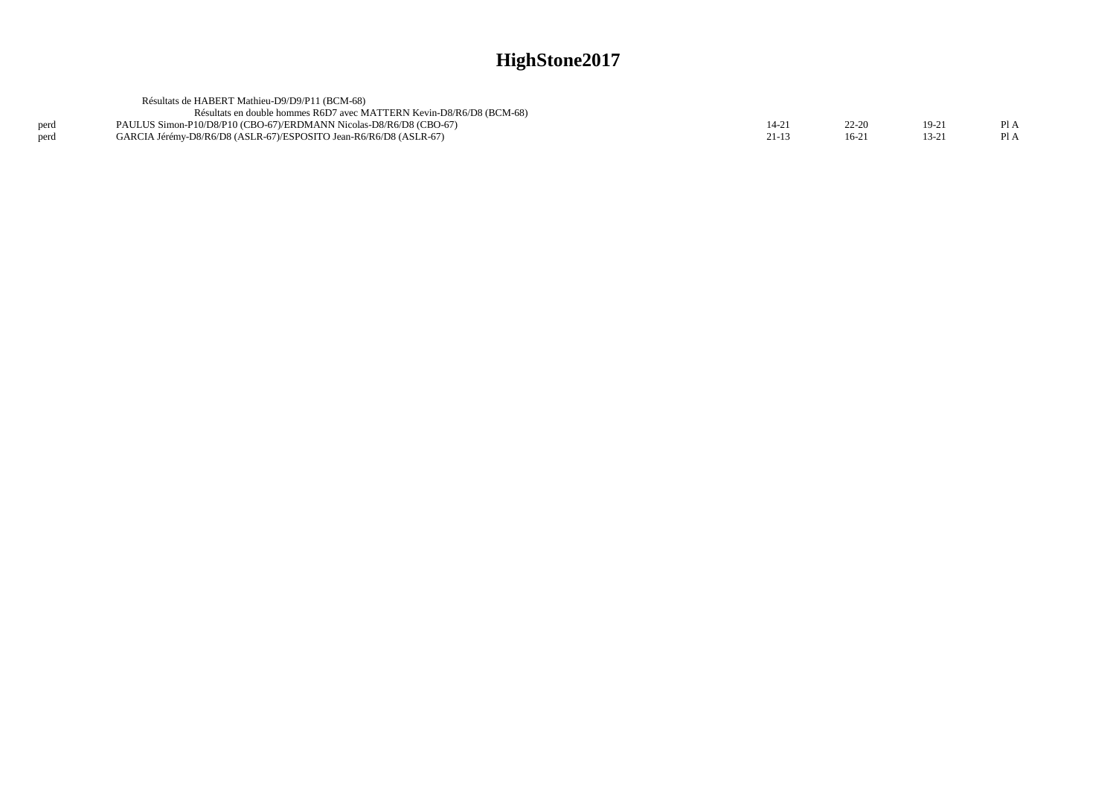|      | Résultats de HABERT Mathieu-D9/D9/P11 (BCM-68)                       |           |           |         |      |
|------|----------------------------------------------------------------------|-----------|-----------|---------|------|
|      | Résultats en double hommes R6D7 avec MATTERN Kevin-D8/R6/D8 (BCM-68) |           |           |         |      |
| perd | PAULUS Simon-P10/D8/P10 (CBO-67)/ERDMANN Nicolas-D8/R6/D8 (CBO-67)   | 14-21     | $22 - 20$ | $19-21$ | Pl A |
| perd | GARCIA Jérémy-D8/R6/D8 (ASLR-67)/ESPOSITO Jean-R6/R6/D8 (ASLR-67)    | $21 - 13$ | 16-21     | 13-21   | Pl A |
|      |                                                                      |           |           |         |      |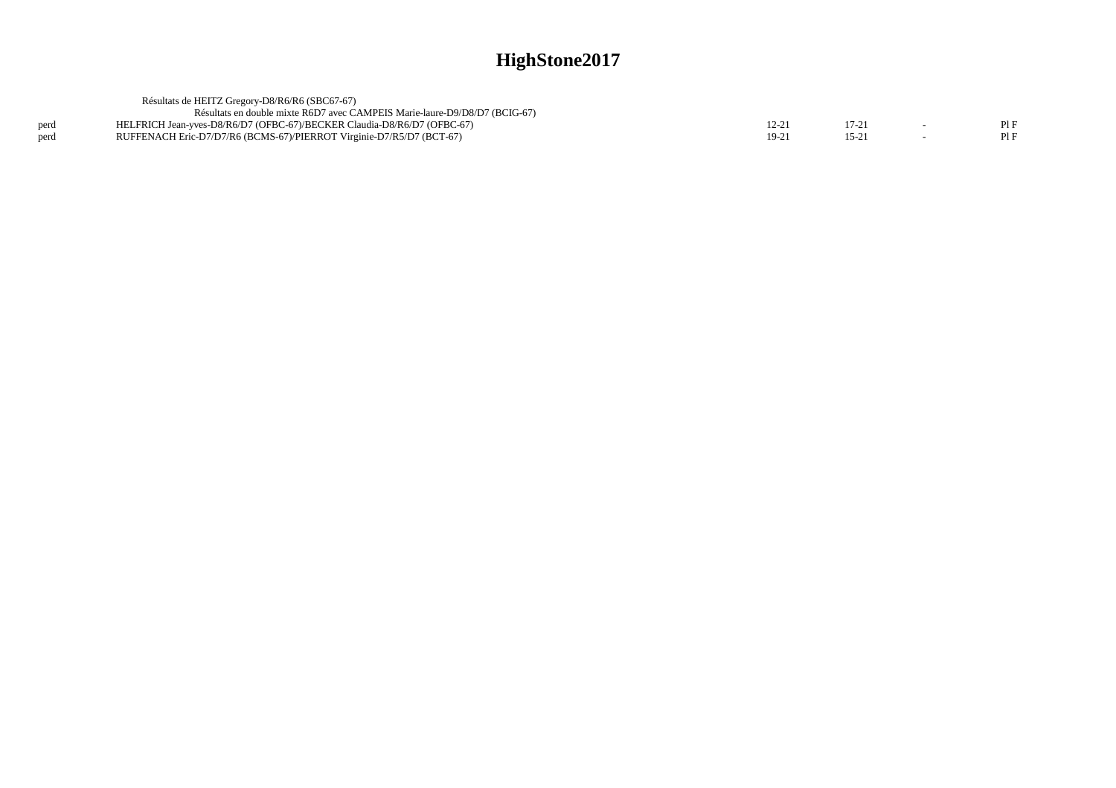|      | Résultats de HEITZ Gregory-D8/R6/R6 (SBC67-67)                             |       |          |     |
|------|----------------------------------------------------------------------------|-------|----------|-----|
|      | Résultats en double mixte R6D7 avec CAMPEIS Marie-laure-D9/D8/D7 (BCIG-67) |       |          |     |
| perd | HELFRICH Jean-vves-D8/R6/D7 (OFBC-67)/BECKER Claudia-D8/R6/D7 (OFBC-67)    | 12-21 |          | PIF |
| perd | RUFFENACH Eric-D7/D7/R6 (BCMS-67)/PIERROT Virginie-D7/R5/D7 (BCT-67)       | 19-21 | $15 - 2$ | PIF |
|      |                                                                            |       |          |     |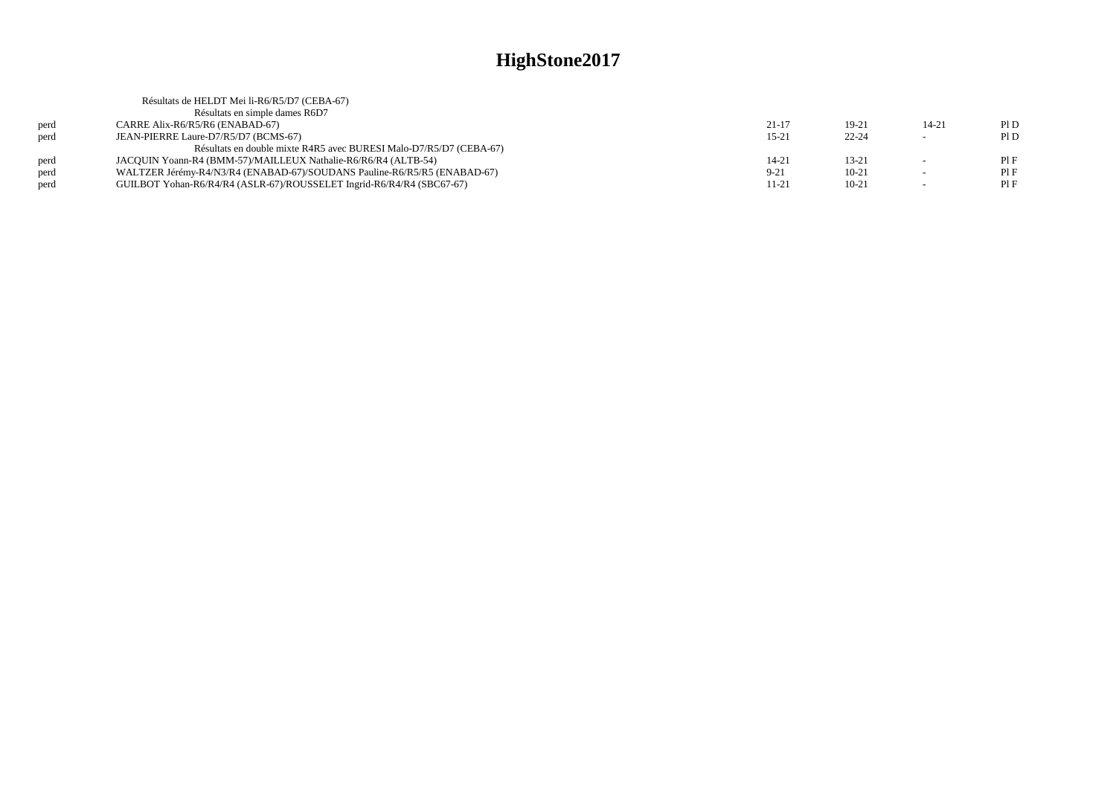|      | Résultats de HELDT Mei li-R6/R5/D7 (CEBA-67)                             |           |           |           |     |
|------|--------------------------------------------------------------------------|-----------|-----------|-----------|-----|
|      | Résultats en simple dames R6D7                                           |           |           |           |     |
| perd | CARRE Alix-R6/R5/R6 (ENABAD-67)                                          | $21 - 17$ | $19-21$   | $14 - 21$ | P1D |
| perd | JEAN-PIERRE Laure-D7/R5/D7 (BCMS-67)                                     | $15-21$   | $22 - 24$ | $\sim$    | PID |
|      | Résultats en double mixte R4R5 avec BURESI Malo-D7/R5/D7 (CEBA-67)       |           |           |           |     |
| nerd | JACOUIN Yoann-R4 (BMM-57)/MAILLEUX Nathalie-R6/R6/R4 (ALTB-54)           | $14 - 21$ | $13 - 21$ |           | PIF |
| perd | WALTZER Jérémy-R4/N3/R4 (ENABAD-67)/SOUDANS Pauline-R6/R5/R5 (ENABAD-67) | $9 - 21$  | $10 - 21$ |           | PIF |
| perd | GUILBOT Yohan-R6/R4/R4 (ASLR-67)/ROUSSELET Ingrid-R6/R4/R4 (SBC67-67)    | 11-21     | $10 - 21$ |           | PIF |
|      |                                                                          |           |           |           |     |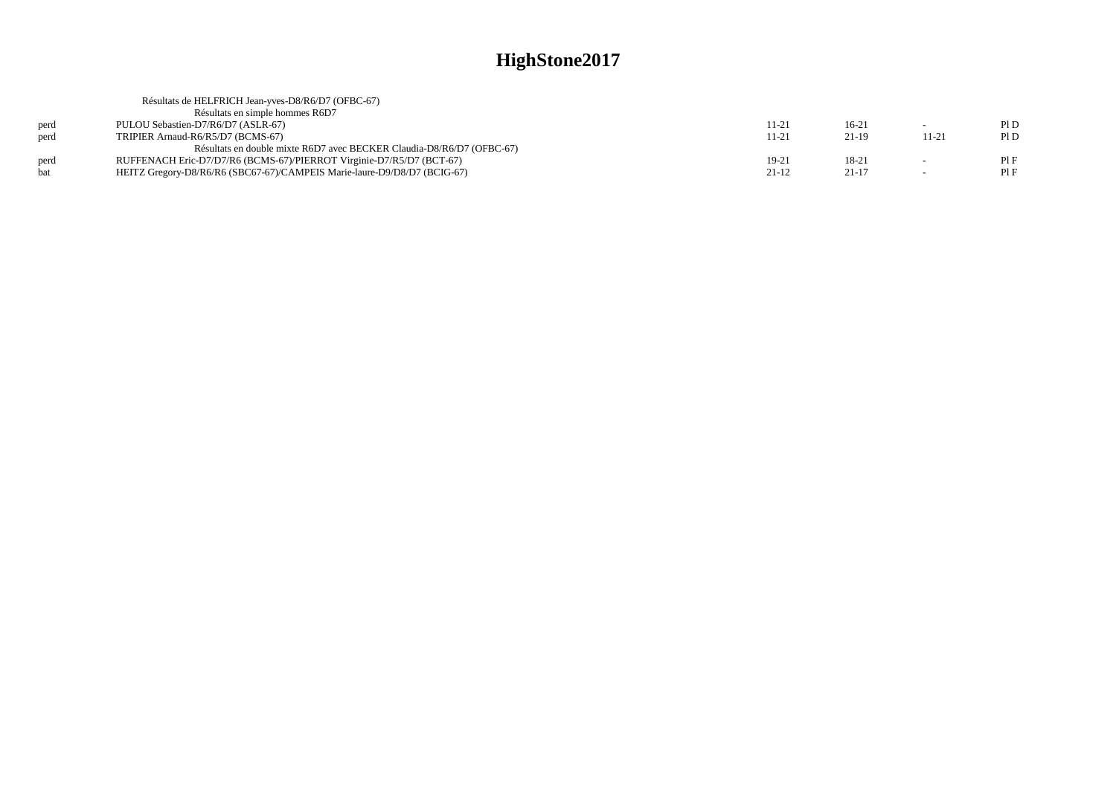|      | Résultats de HELFRICH Jean-yves-D8/R6/D7 (OFBC-67)                       |           |           |        |     |
|------|--------------------------------------------------------------------------|-----------|-----------|--------|-----|
|      | Résultats en simple hommes R6D7                                          |           |           |        |     |
| perd | PULOU Sebastien-D7/R6/D7 (ASLR-67)                                       | 11-21     | $16-21$   | $\sim$ | P1D |
| perd | TRIPIER Arnaud-R6/R5/D7 (BCMS-67)                                        | $11 - 21$ | 21-19     | 11-21  | P1D |
|      | Résultats en double mixte R6D7 avec BECKER Claudia-D8/R6/D7 (OFBC-67)    |           |           |        |     |
| perd | RUFFENACH Eric-D7/D7/R6 (BCMS-67)/PIERROT Virginie-D7/R5/D7 (BCT-67)     | 19-21     | 18-21     |        | PIF |
| hat  | HEITZ Gregory-D8/R6/R6 (SBC67-67)/CAMPEIS Marie-laure-D9/D8/D7 (BCIG-67) | $21-12$   | $21 - 17$ | $\sim$ | PIF |
|      |                                                                          |           |           |        |     |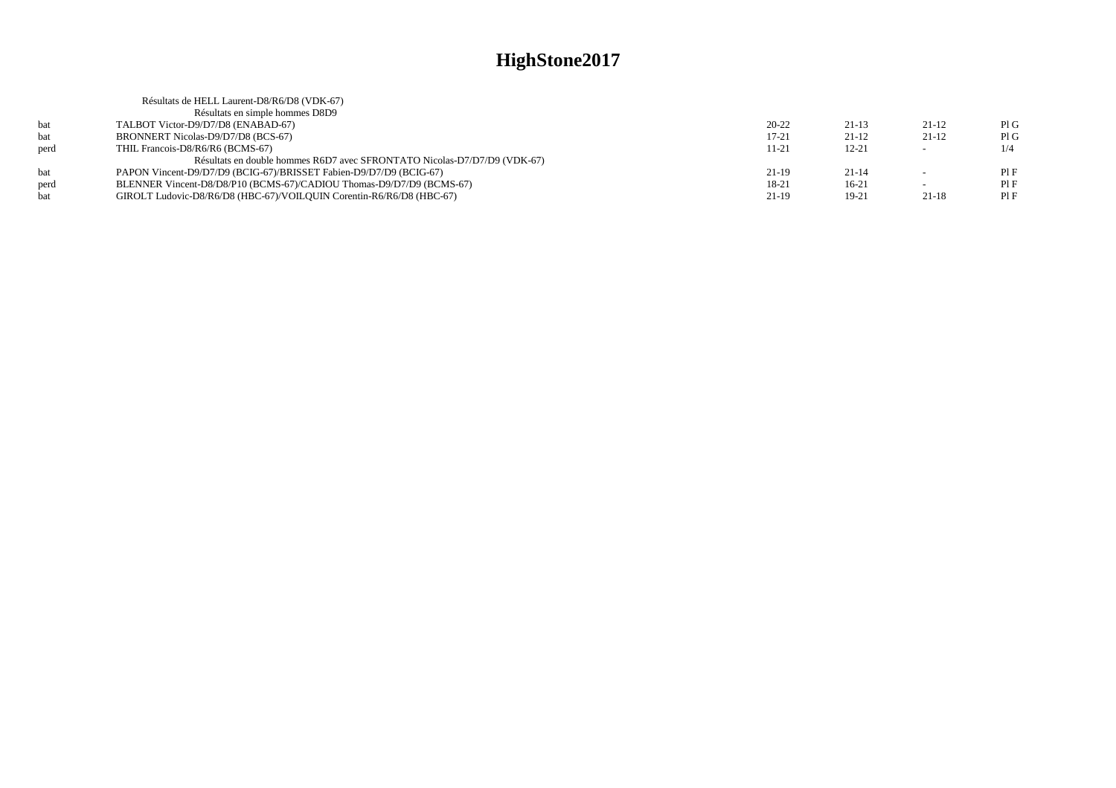|      | Résultats de HELL Laurent-D8/R6/D8 (VDK-67)                              |           |           |         |     |
|------|--------------------------------------------------------------------------|-----------|-----------|---------|-----|
|      | Résultats en simple hommes D8D9                                          |           |           |         |     |
| hat  | TALBOT Victor-D9/D7/D8 (ENABAD-67)                                       | $20 - 22$ | $21-13$   | $21-12$ | PIG |
| bat  | BRONNERT Nicolas-D9/D7/D8 (BCS-67)                                       | $17 - 21$ | $21-12$   | 21-12   | PIG |
| perd | THIL Francois-D8/R6/R6 (BCMS-67)                                         | 11-21     | $12 - 21$ | $\sim$  | 1/4 |
|      | Résultats en double hommes R6D7 avec SFRONTATO Nicolas-D7/D7/D9 (VDK-67) |           |           |         |     |
| hat  | PAPON Vincent-D9/D7/D9 (BCIG-67)/BRISSET Fabien-D9/D7/D9 (BCIG-67)       | $21-19$   | $21 - 14$ | $\sim$  | PIF |
| perd | BLENNER Vincent-D8/D8/P10 (BCMS-67)/CADIOU Thomas-D9/D7/D9 (BCMS-67)     | 18-21     | $16-21$   | $\sim$  | PIF |
| bat  | GIROLT Ludovic-D8/R6/D8 (HBC-67)/VOILOUIN Corentin-R6/R6/D8 (HBC-67)     | $21-19$   | 19-21     | $21-18$ | PIF |
|      |                                                                          |           |           |         |     |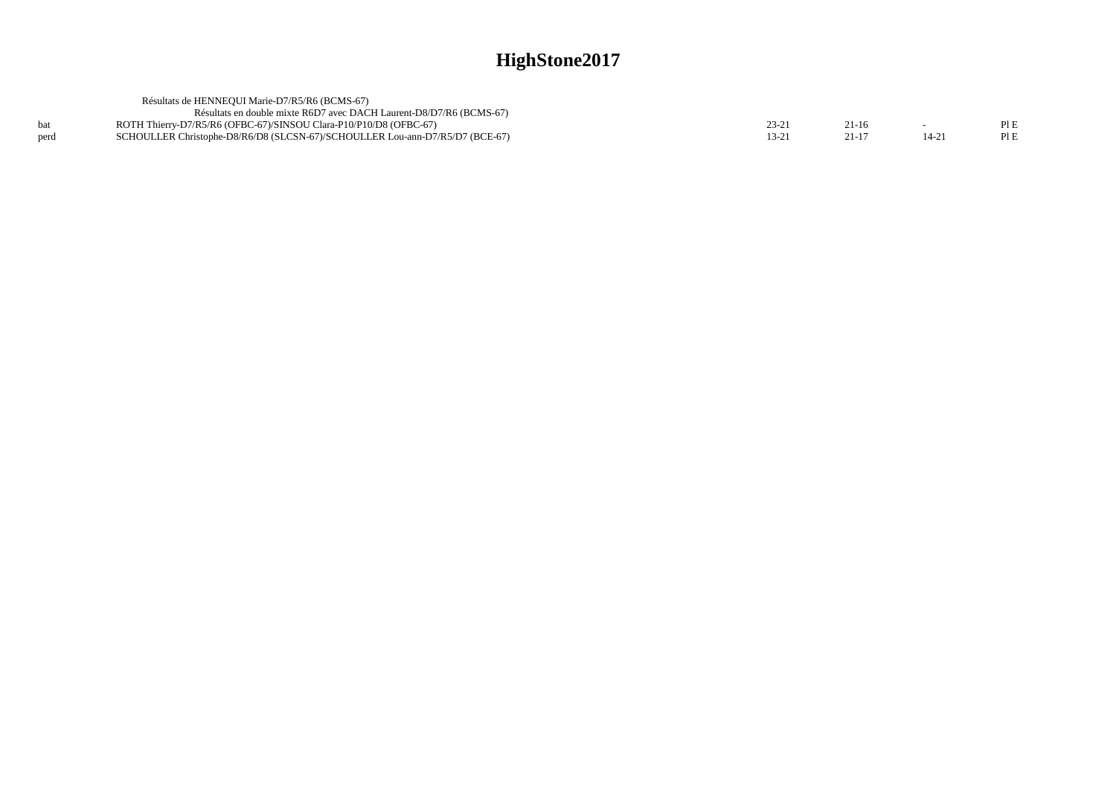|      | Résultats de HENNEOUI Marie-D7/R5/R6 (BCMS-67)                               |  |          |      |
|------|------------------------------------------------------------------------------|--|----------|------|
|      | Résultats en double mixte R6D7 avec DACH Laurent-D8/D7/R6 (BCMS-67)          |  |          |      |
|      | ROTH Thierry-D7/R5/R6 (OFBC-67)/SINSOU Clara-P10/P10/D8 (OFBC-67)            |  |          | PLE  |
| perd | SCHOULLER Christophe-D8/R6/D8 (SLCSN-67)/SCHOULLER Lou-ann-D7/R5/D7 (BCE-67) |  | $14 - 2$ | PI E |
|      |                                                                              |  |          |      |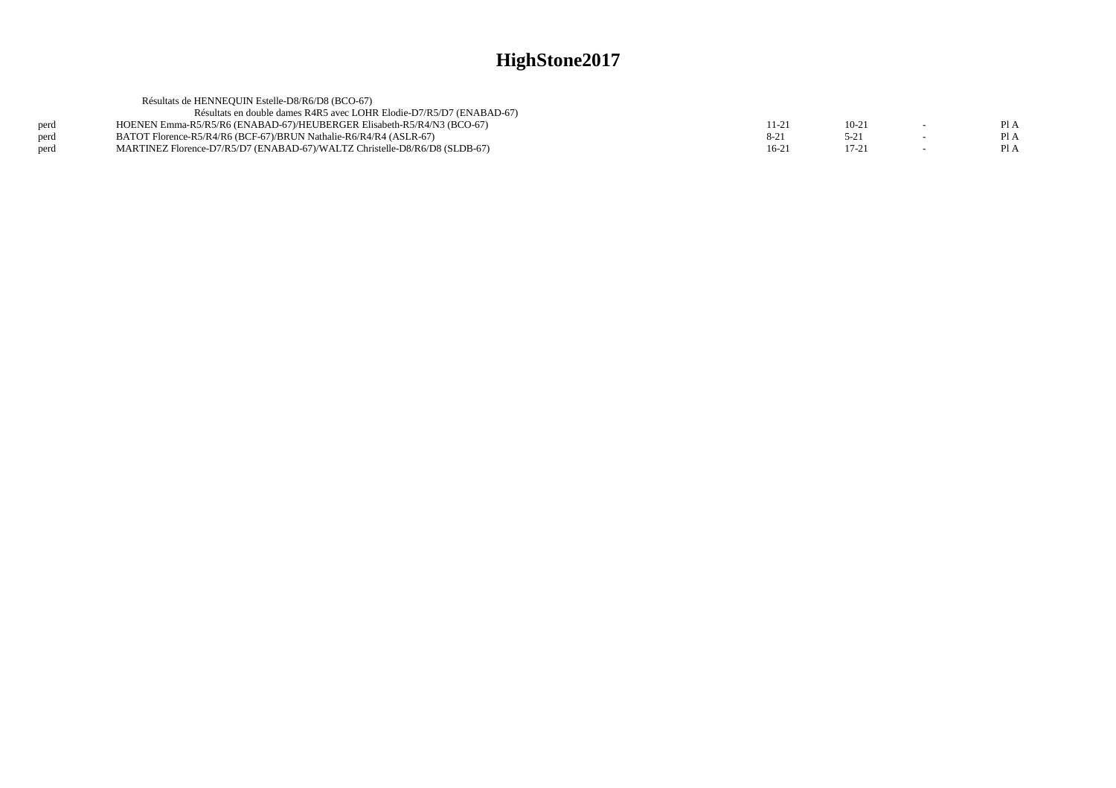| Résultats de HENNEQUIN Estelle-D8/R6/D8 (BCO-67)                           |          |          |      |
|----------------------------------------------------------------------------|----------|----------|------|
| Résultats en double dames R4R5 avec LOHR Elodie-D7/R5/D7 (ENABAD-67)       |          |          |      |
| HOENEN Emma-R5/R5/R6 (ENABAD-67)/HEUBERGER Elisabeth-R5/R4/N3 (BCO-67)     | 11-21    | $10-2$   | Pl A |
| BATOT Florence-R5/R4/R6 (BCF-67)/BRUN Nathalie-R6/R4/R4 (ASLR-67)          | $8 - 21$ | $5 - 21$ | PI A |
| MARTINEZ Florence-D7/R5/D7 (ENABAD-67)/WALTZ Christelle-D8/R6/D8 (SLDB-67) | $16-21$  | $17-21$  | Pl A |
|                                                                            |          |          |      |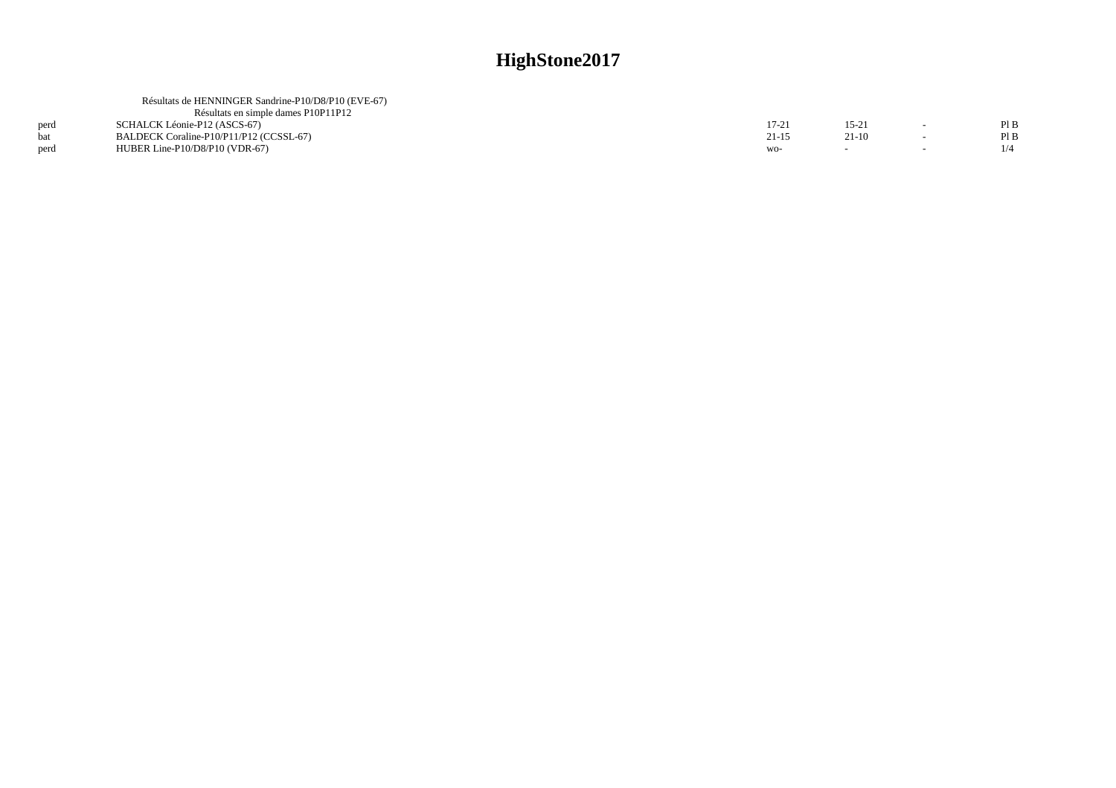| Résultats de HENNINGER Sandrine-P10/D8/P10 (EVE-67) |       |         |        |      |
|-----------------------------------------------------|-------|---------|--------|------|
| Résultats en simple dames P10P11P12                 |       |         |        |      |
| SCHALCK Léonie-P12 (ASCS-67)                        | 17-21 | 15-21   |        | Pl B |
| BALDECK Coraline-P10/P11/P12 (CCSSL-67)             | 21-15 | $21-10$ | $\sim$ | PIB  |
| HUBER Line- $P10/D8/P10$ (VDR-67)                   | WO-   |         |        |      |
|                                                     |       |         |        |      |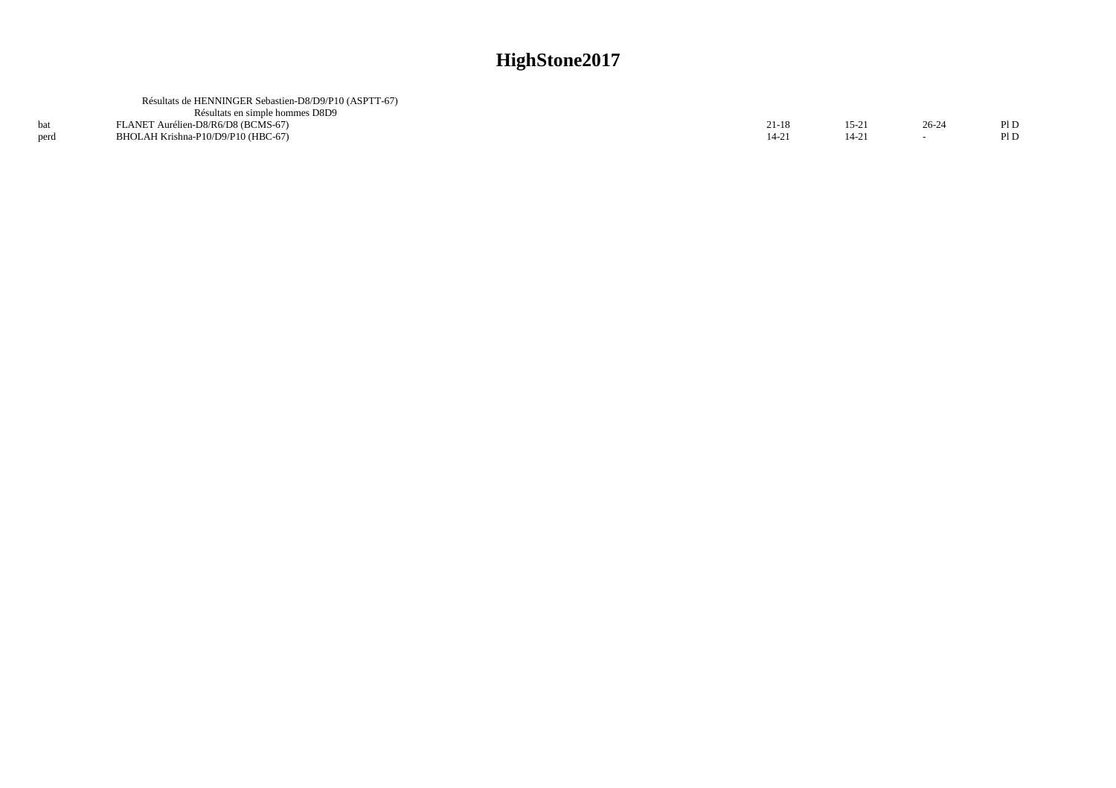| Résultats de HENNINGER Sebastien-D8/D9/P10 (ASPTT-67) |  |      |
|-------------------------------------------------------|--|------|
| Résultats en simple hommes D8D9                       |  |      |
| FLANET Aurélien-D8/R6/D8 (BCMS-67)                    |  | PI D |
| BHOLAH Krishna-P10/D9/P10 (HBC-67)                    |  | Pl D |
|                                                       |  |      |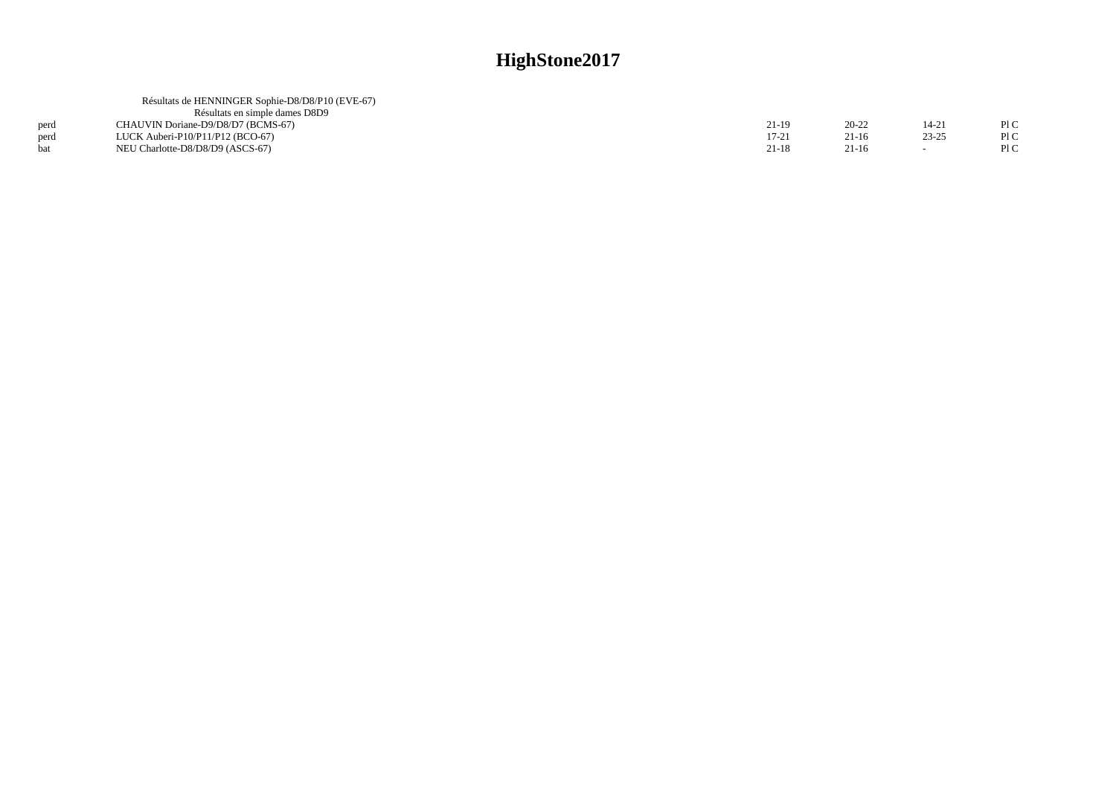|      | Résultats de HENNINGER Sophie-D8/D8/P10 (EVE-67) |           |           |           |     |
|------|--------------------------------------------------|-----------|-----------|-----------|-----|
|      | Résultats en simple dames D8D9                   |           |           |           |     |
| perd | CHAUVIN Doriane-D9/D8/D7 (BCMS-67)               | 21-19     | $20 - 22$ | $14 - 21$ | PIC |
| perd | LUCK Auberi-P10/P11/P12 (BCO-67)                 | $17 - 21$ | 21-16     | $23 - 25$ | P1C |
|      | NEU Charlotte-D8/D8/D9 (ASCS-67)                 | 21-18     | $21-16$   |           | P1C |
|      |                                                  |           |           |           |     |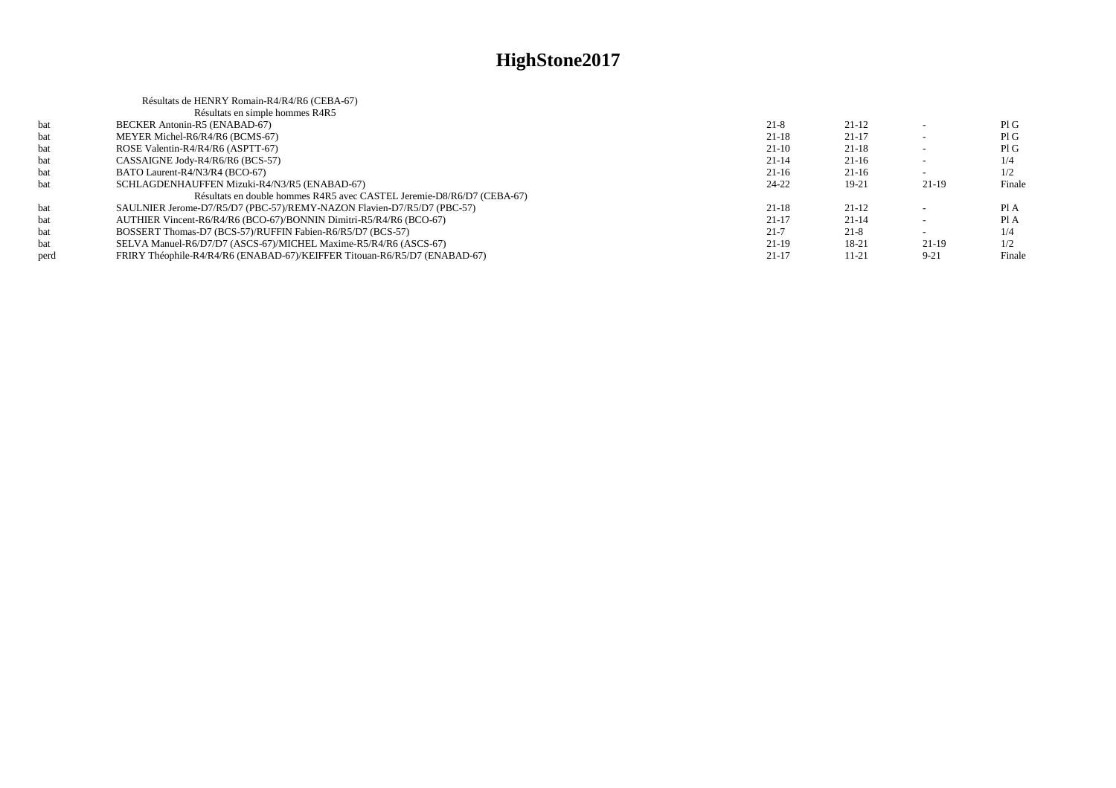|      | Résultats de HENRY Romain-R4/R4/R6 (CEBA-67)                              |           |           |          |        |
|------|---------------------------------------------------------------------------|-----------|-----------|----------|--------|
|      | Résultats en simple hommes R4R5                                           |           |           |          |        |
| bat  | BECKER Antonin-R5 (ENABAD-67)                                             | $21 - 8$  | $21-12$   |          | PIG    |
| bat  | MEYER Michel-R6/R4/R6 (BCMS-67)                                           | $21-18$   | $21 - 17$ |          | PIG    |
| bat  | ROSE Valentin-R4/R4/R6 (ASPTT-67)                                         | $21-10$   | $21-18$   |          | PIG    |
| bat  | CASSAIGNE Jody-R4/R6/R6 (BCS-57)                                          | $21 - 14$ | $21-16$   |          | 1/4    |
| bat  | BATO Laurent-R4/N3/R4 (BCO-67)                                            | $21-16$   | $21-16$   |          | 1/2    |
| hat  | SCHLAGDENHAUFFEN Mizuki-R4/N3/R5 (ENABAD-67)                              | $24 - 22$ | $19-21$   | $21-19$  | Finale |
|      | Résultats en double hommes R4R5 avec CASTEL Jeremie-D8/R6/D7 (CEBA-67)    |           |           |          |        |
| bat  | SAULNIER Jerome-D7/R5/D7 (PBC-57)/REMY-NAZON Flavien-D7/R5/D7 (PBC-57)    | $21-18$   | $21-12$   |          | PI A   |
| bat  | AUTHIER Vincent-R6/R4/R6 (BCO-67)/BONNIN Dimitri-R5/R4/R6 (BCO-67)        | $21 - 17$ | $21 - 14$ |          | Pl A   |
| bat  | BOSSERT Thomas-D7 (BCS-57)/RUFFIN Fabien-R6/R5/D7 (BCS-57)                | $21 - 7$  | $21 - 8$  |          | 1/4    |
| bat  | SELVA Manuel-R6/D7/D7 (ASCS-67)/MICHEL Maxime-R5/R4/R6 (ASCS-67)          | $21-19$   | 18-21     | 21-19    | 1/2    |
| perd | FRIRY Théophile-R4/R4/R6 (ENABAD-67)/KEIFFER Titouan-R6/R5/D7 (ENABAD-67) | $21 - 17$ | $11 - 21$ | $9 - 21$ | Finale |
|      |                                                                           |           |           |          |        |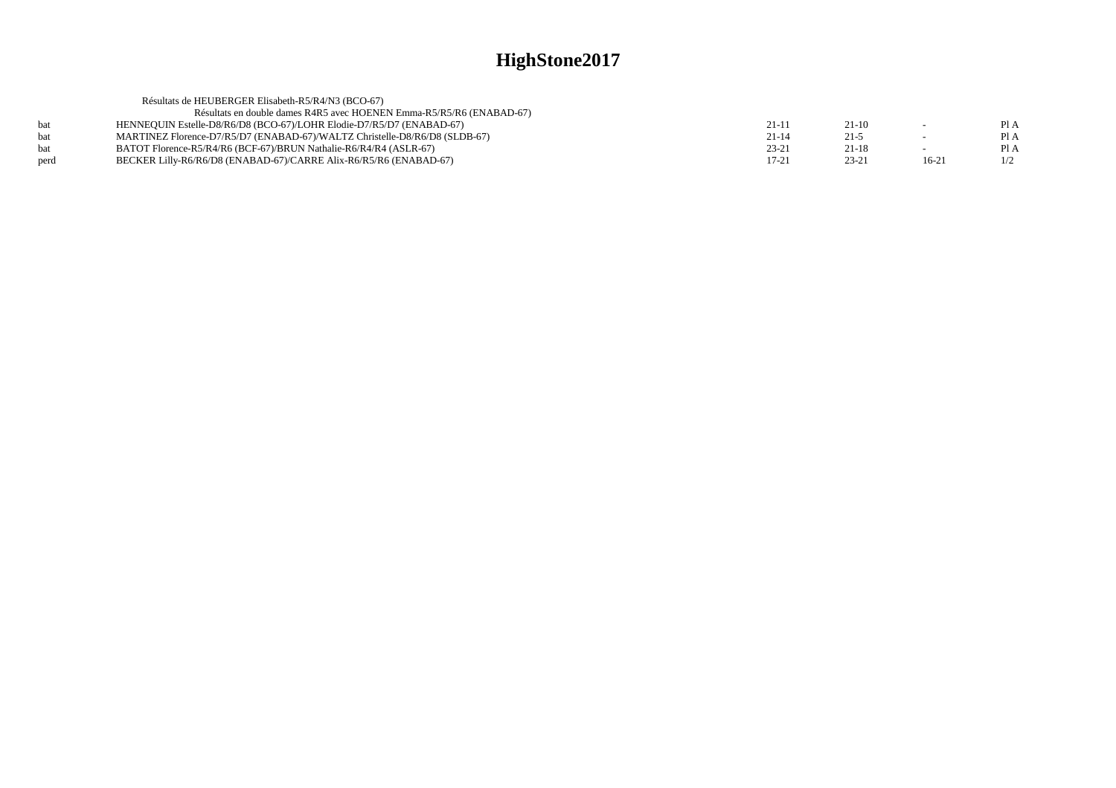|            | Résultats de HEUBERGER Elisabeth-R5/R4/N3 (BCO-67)                         |           |           |         |      |
|------------|----------------------------------------------------------------------------|-----------|-----------|---------|------|
|            | Résultats en double dames R4R5 avec HOENEN Emma-R5/R5/R6 (ENABAD-67)       |           |           |         |      |
| <b>bat</b> | HENNEQUIN Estelle-D8/R6/D8 (BCO-67)/LOHR Elodie-D7/R5/D7 (ENABAD-67)       | $21-11$   | $21-10$   |         | Pl A |
| <b>bat</b> | MARTINEZ Florence-D7/R5/D7 (ENABAD-67)/WALTZ Christelle-D8/R6/D8 (SLDB-67) | $21 - 14$ | $21 - 5$  | $\sim$  | Pl A |
| <b>bat</b> | BATOT Florence-R5/R4/R6 (BCF-67)/BRUN Nathalie-R6/R4/R4 (ASLR-67)          | $23 - 21$ | $21 - 18$ |         | Pl A |
| perd       | BECKER Lilly-R6/R6/D8 (ENABAD-67)/CARRE Alix-R6/R5/R6 (ENABAD-67)          | $17 - 21$ | $23 - 21$ | $16-21$ | 1/2  |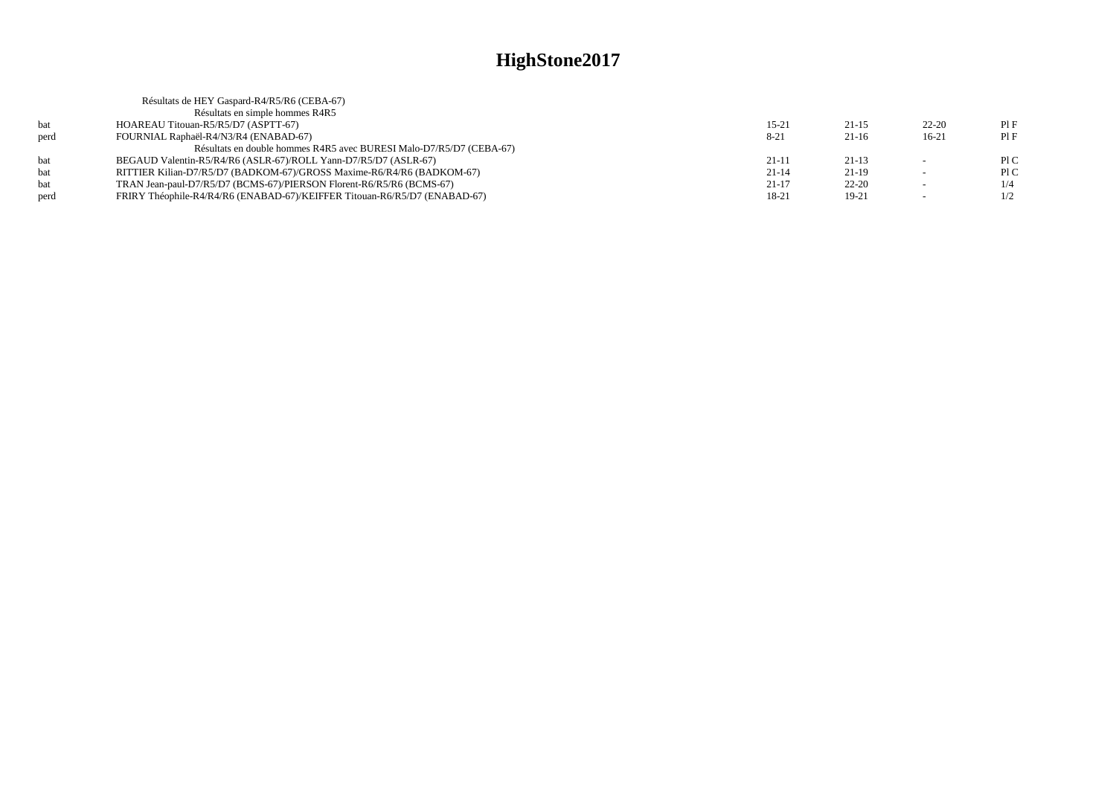|      | Résultats de HEY Gaspard-R4/R5/R6 (CEBA-67)                               |           |           |                          |     |
|------|---------------------------------------------------------------------------|-----------|-----------|--------------------------|-----|
|      | Résultats en simple hommes R4R5                                           |           |           |                          |     |
| bat  | HOAREAU Titouan-R5/R5/D7 (ASPTT-67)                                       | $15 - 21$ | $21 - 15$ | $22 - 20$                | PIF |
| perd | FOURNIAL Raphaël-R4/N3/R4 (ENABAD-67)                                     | $8 - 21$  | $21-16$   | $16-21$                  | PIF |
|      | Résultats en double hommes R4R5 avec BURESI Malo-D7/R5/D7 (CEBA-67)       |           |           |                          |     |
| bat  | BEGAUD Valentin-R5/R4/R6 (ASLR-67)/ROLL Yann-D7/R5/D7 (ASLR-67)           | $21 - 11$ | $21-13$   | $\overline{\phantom{a}}$ | P1C |
| bat  | RITTIER Kilian-D7/R5/D7 (BADKOM-67)/GROSS Maxime-R6/R4/R6 (BADKOM-67)     | $21 - 14$ | $21-19$   |                          | P1C |
| bat  | TRAN Jean-paul-D7/R5/D7 (BCMS-67)/PIERSON Florent-R6/R5/R6 (BCMS-67)      | $21 - 17$ | $22 - 20$ | $\overline{\phantom{a}}$ | 1/4 |
| perd | FRIRY Théophile-R4/R4/R6 (ENABAD-67)/KEIFFER Titouan-R6/R5/D7 (ENABAD-67) | 18-21     | $19-21$   | $\overline{\phantom{0}}$ | 1/2 |
|      |                                                                           |           |           |                          |     |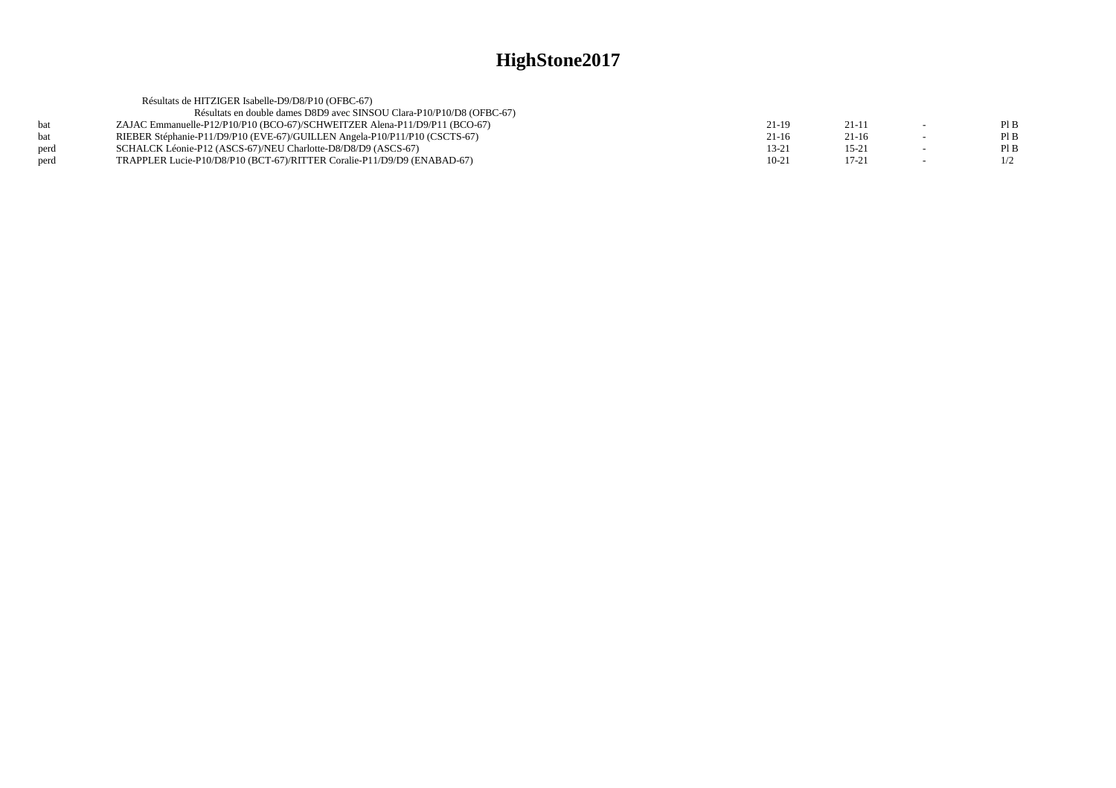| Résultats de HITZIGER Isabelle-D9/D8/P10 (OFBC-67)                    |                                                                                                                                                                                                                                                                                                      |           |        |      |
|-----------------------------------------------------------------------|------------------------------------------------------------------------------------------------------------------------------------------------------------------------------------------------------------------------------------------------------------------------------------------------------|-----------|--------|------|
| Résultats en double dames D8D9 avec SINSOU Clara-P10/P10/D8 (OFBC-67) |                                                                                                                                                                                                                                                                                                      |           |        |      |
|                                                                       | 21-19                                                                                                                                                                                                                                                                                                | $21-11$   | $\sim$ | Pl B |
|                                                                       | 21-16                                                                                                                                                                                                                                                                                                | 21-16     |        | Pl B |
|                                                                       | 13-21                                                                                                                                                                                                                                                                                                | $15 - 21$ |        | Pl B |
|                                                                       | $10-21$                                                                                                                                                                                                                                                                                              | $17 - 21$ |        | 1/2  |
|                                                                       | ZAJAC Emmanuelle-P12/P10/P10 (BCO-67)/SCHWEITZER Alena-P11/D9/P11 (BCO-67)<br>RIEBER Stéphanie-P11/D9/P10 (EVE-67)/GUILLEN Angela-P10/P11/P10 (CSCTS-67)<br>SCHALCK Léonie-P12 (ASCS-67)/NEU Charlotte-D8/D8/D9 (ASCS-67)<br>TRAPPLER Lucie-P10/D8/P10 (BCT-67)/RITTER Coralie-P11/D9/D9 (ENABAD-67) |           |        |      |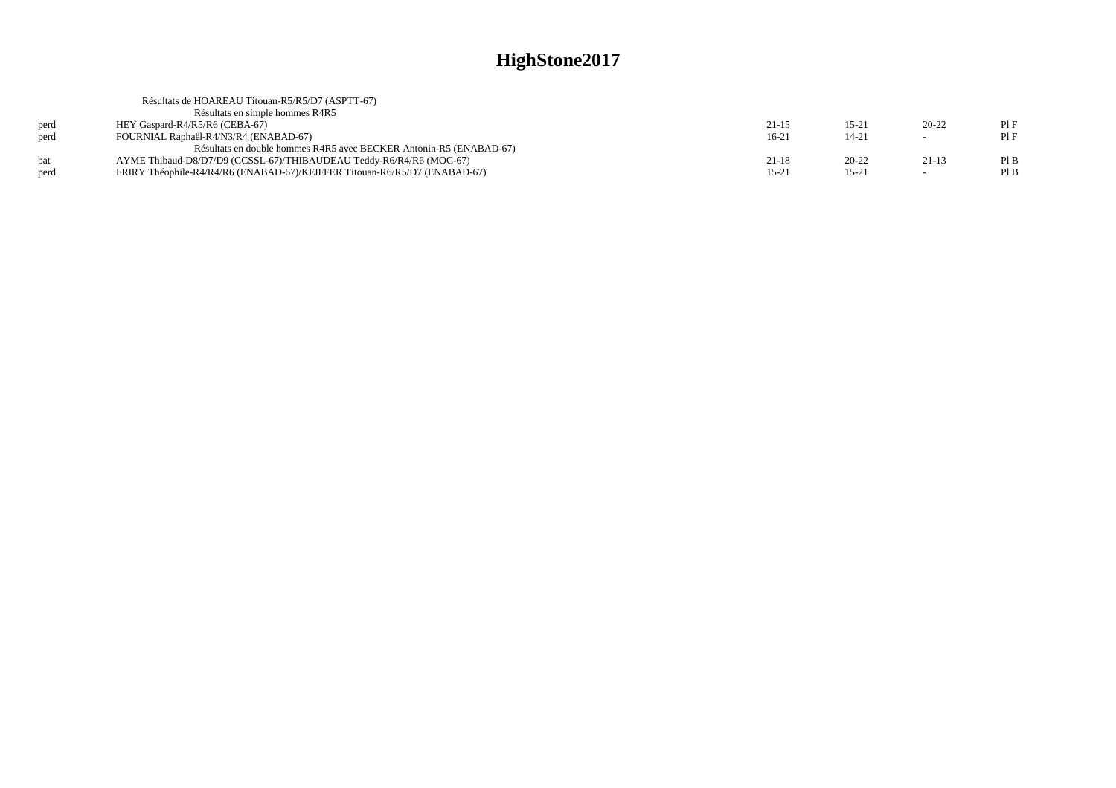|      | Résultats de HOAREAU Titouan-R5/R5/D7 (ASPTT-67)                          |           |           |           |      |
|------|---------------------------------------------------------------------------|-----------|-----------|-----------|------|
|      | Résultats en simple hommes R4R5                                           |           |           |           |      |
| perd | HEY Gaspard-R4/R5/R6 (CEBA-67)                                            | 21-15     | $15 - 21$ | $20 - 22$ | PIF  |
| perd | FOURNIAL Raphaël-R4/N3/R4 (ENABAD-67)                                     | $16-21$   | $14 - 21$ | $\sim$    | PIF  |
|      | Résultats en double hommes R4R5 avec BECKER Antonin-R5 (ENABAD-67)        |           |           |           |      |
| hat  | AYME Thibaud-D8/D7/D9 (CCSSL-67)/THIBAUDEAU Teddy-R6/R4/R6 (MOC-67)       | 21-18     | $20 - 22$ | $21-13$   | PIB  |
| perd | FRIRY Théophile-R4/R4/R6 (ENABAD-67)/KEIFFER Titouan-R6/R5/D7 (ENABAD-67) | $15 - 21$ | $15-21$   | $\sim$    | Pl B |
|      |                                                                           |           |           |           |      |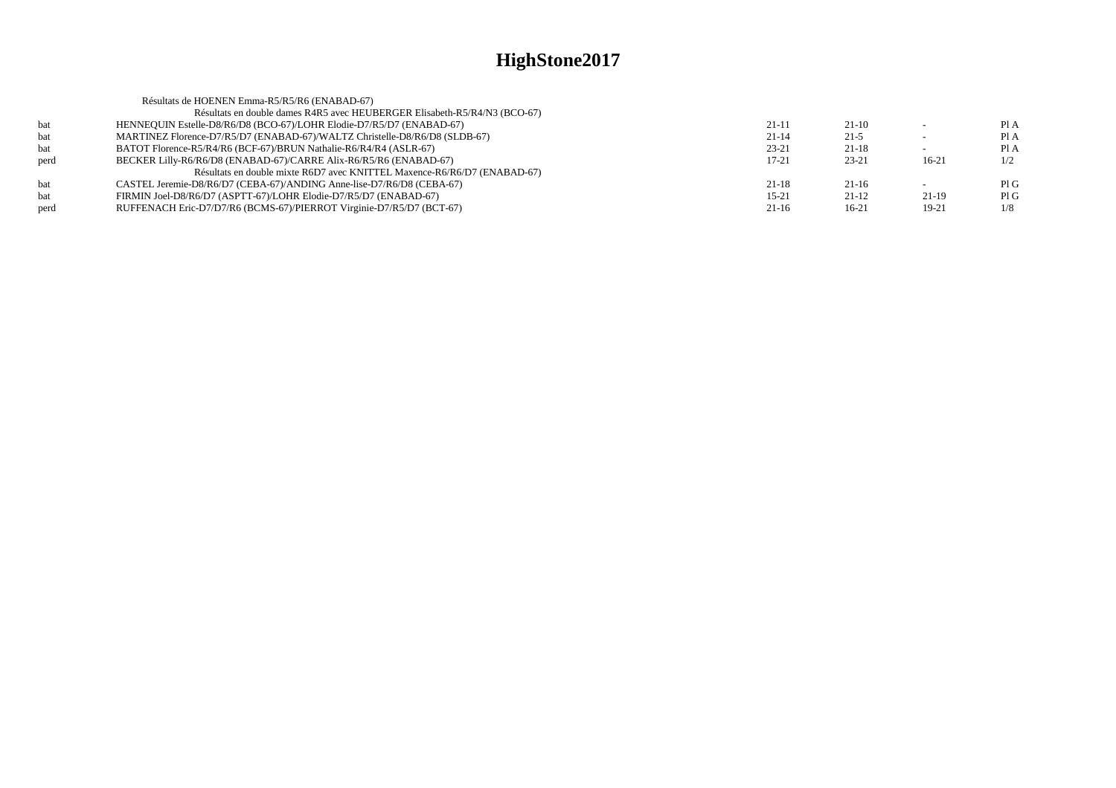|             | Résultats de HOENEN Emma-R5/R5/R6 (ENABAD-67)                              |           |           |         |      |
|-------------|----------------------------------------------------------------------------|-----------|-----------|---------|------|
|             | Résultats en double dames R4R5 avec HEUBERGER Elisabeth-R5/R4/N3 (BCO-67)  |           |           |         |      |
| bat         | HENNEQUIN Estelle-D8/R6/D8 (BCO-67)/LOHR Elodie-D7/R5/D7 (ENABAD-67)       | $21-11$   | $21-10$   |         | PI A |
| bat         | MARTINEZ Florence-D7/R5/D7 (ENABAD-67)/WALTZ Christelle-D8/R6/D8 (SLDB-67) | $21 - 14$ | $21-5$    |         | PI A |
| bat         | BATOT Florence-R5/R4/R6 (BCF-67)/BRUN Nathalie-R6/R4/R4 (ASLR-67)          | $23 - 21$ | $21-18$   |         | Pl A |
| perd        | BECKER Lilly-R6/R6/D8 (ENABAD-67)/CARRE Alix-R6/R5/R6 (ENABAD-67)          | $17 - 21$ | $23 - 21$ | $16-21$ | 1/2  |
|             | Résultats en double mixte R6D7 avec KNITTEL Maxence-R6/R6/D7 (ENABAD-67)   |           |           |         |      |
| <b>b</b> at | CASTEL Jeremie-D8/R6/D7 (CEBA-67)/ANDING Anne-lise-D7/R6/D8 (CEBA-67)      | $21 - 18$ | $21-16$   |         | PIG  |
| bat         | FIRMIN Joel-D8/R6/D7 (ASPTT-67)/LOHR Elodie-D7/R5/D7 (ENABAD-67)           | $15 - 21$ | $21-12$   | $21-19$ | PIG  |
| perd        | RUFFENACH Eric-D7/D7/R6 (BCMS-67)/PIERROT Virginie-D7/R5/D7 (BCT-67)       | $21-16$   | $16-21$   | 19-21   | 1/8  |
|             |                                                                            |           |           |         |      |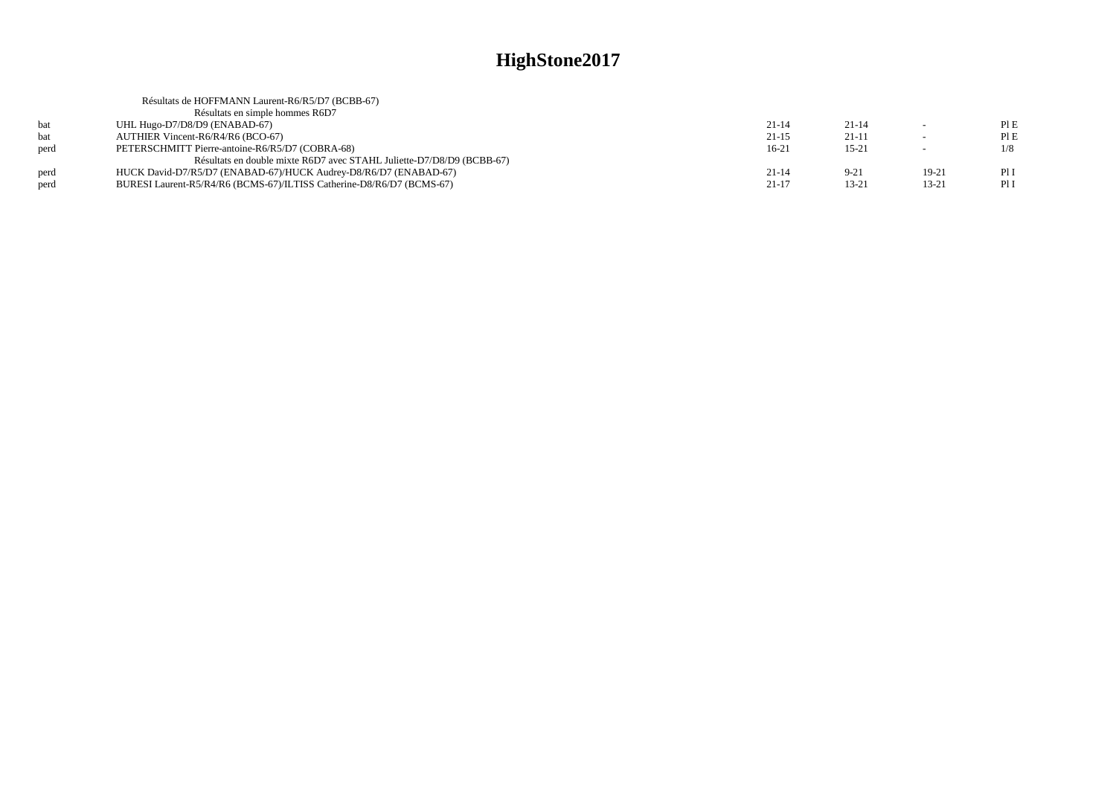|      | Résultats de HOFFMANN Laurent-R6/R5/D7 (BCBB-67)                      |           |           |                          |      |
|------|-----------------------------------------------------------------------|-----------|-----------|--------------------------|------|
|      | Résultats en simple hommes R6D7                                       |           |           |                          |      |
| bat  | UHL Hugo-D7/D8/D9 (ENABAD-67)                                         | $21 - 14$ | $21 - 14$ | $\sim$                   | PIE  |
| bat  | AUTHIER Vincent-R6/R4/R6 (BCO-67)                                     | $21-15$   | $21-11$   |                          | PIE  |
| nerd | PETERSCHMITT Pierre-antoine-R6/R5/D7 (COBRA-68)                       | $16-21$   | $15 - 21$ | $\overline{\phantom{a}}$ | 1/8  |
|      | Résultats en double mixte R6D7 avec STAHL Juliette-D7/D8/D9 (BCBB-67) |           |           |                          |      |
| perd | HUCK David-D7/R5/D7 (ENABAD-67)/HUCK Audrey-D8/R6/D7 (ENABAD-67)      | $21 - 14$ | $9 - 21$  | 19-21                    | PI I |
| perd | BURESI Laurent-R5/R4/R6 (BCMS-67)/ILTISS Catherine-D8/R6/D7 (BCMS-67) | $21 - 17$ | $13 - 21$ | 13-21                    | Pl I |
|      |                                                                       |           |           |                          |      |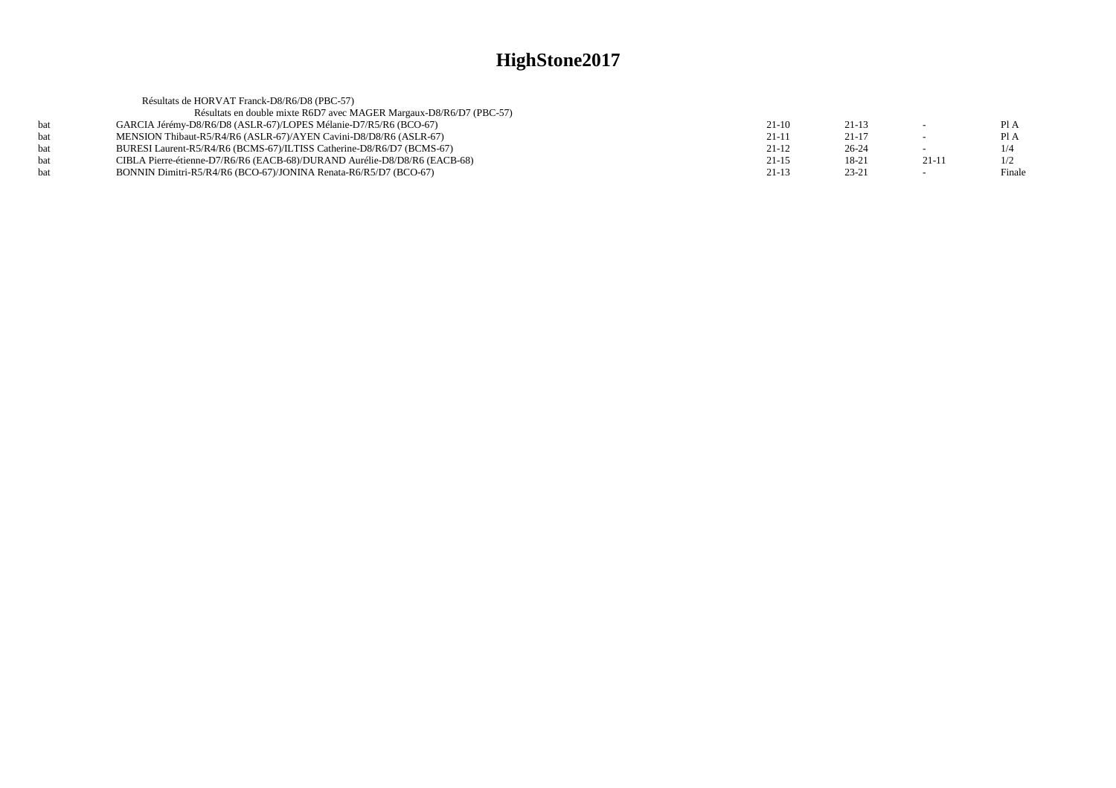|     | Résultats de HORVAT Franck-D8/R6/D8 (PBC-57)                              |           |           |         |        |
|-----|---------------------------------------------------------------------------|-----------|-----------|---------|--------|
|     | Résultats en double mixte R6D7 avec MAGER Margaux-D8/R6/D7 (PBC-57)       |           |           |         |        |
|     | GARCIA Jérémy-D8/R6/D8 (ASLR-67)/LOPES Mélanie-D7/R5/R6 (BCO-67)          | $21-10$   | $21-13$   |         | Pl A   |
|     | MENSION Thibaut-R5/R4/R6 (ASLR-67)/AYEN Cavini-D8/D8/R6 (ASLR-67)         | $21 - 11$ | $21 - 17$ |         | Pl A   |
| hat | BURESI Laurent-R5/R4/R6 (BCMS-67)/ILTISS Catherine-D8/R6/D7 (BCMS-67)     | $21-12$   | $26-24$   |         | 1/4    |
|     | CIBLA Pierre-étienne-D7/R6/R6 (EACB-68)/DURAND Aurélie-D8/D8/R6 (EACB-68) | $21 - 15$ | 18-21     | $21-11$ | 1/2    |
|     | BONNIN Dimitri-R5/R4/R6 (BCO-67)/JONINA Renata-R6/R5/D7 (BCO-67)          | $21-13$   | $23 - 21$ |         | Finale |
|     |                                                                           |           |           |         |        |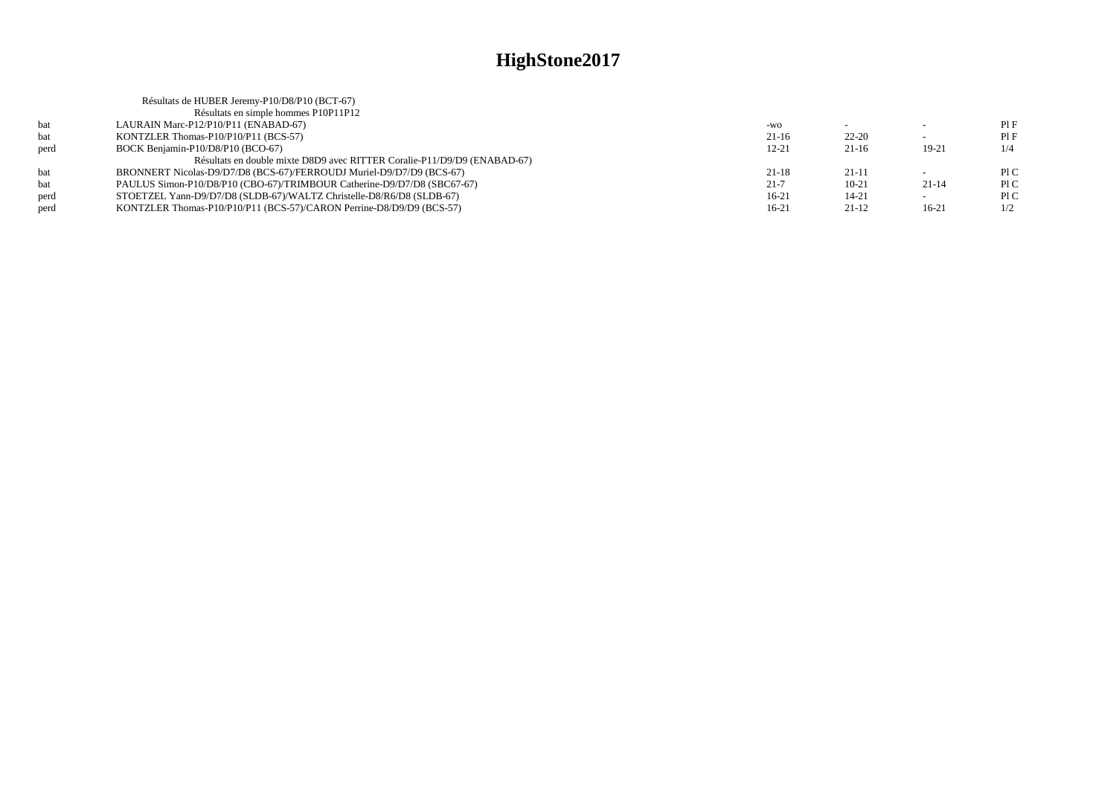|      | Résultats de HUBER Jeremy-P10/D8/P10 (BCT-67)                            |          |           |                          |     |
|------|--------------------------------------------------------------------------|----------|-----------|--------------------------|-----|
|      | Résultats en simple hommes P10P11P12                                     |          |           |                          |     |
| bat  | LAURAIN Marc-P12/P10/P11 (ENABAD-67)                                     | $-WO$    |           |                          | PIF |
| bat  | KONTZLER Thomas-P10/P10/P11 (BCS-57)                                     | $21-16$  | $22 - 20$ | $\overline{\phantom{0}}$ | PIF |
| perd | BOCK Benjamin-P10/D8/P10 (BCO-67)                                        | 12-21    | $21-16$   | 19-21                    | 1/4 |
|      | Résultats en double mixte D8D9 avec RITTER Coralie-P11/D9/D9 (ENABAD-67) |          |           |                          |     |
| bat  | BRONNERT Nicolas-D9/D7/D8 (BCS-67)/FERROUDJ Muriel-D9/D7/D9 (BCS-67)     | $21-18$  | $21-11$   |                          | P1C |
| hat  | PAULUS Simon-P10/D8/P10 (CBO-67)/TRIMBOUR Catherine-D9/D7/D8 (SBC67-67)  | $21 - 7$ | $10-21$   | $21 - 14$                | P1C |
| perd | STOETZEL Yann-D9/D7/D8 (SLDB-67)/WALTZ Christelle-D8/R6/D8 (SLDB-67)     | $16-21$  | $14 - 21$ | $\overline{\phantom{0}}$ | P1C |
| perd | KONTZLER Thomas-P10/P10/P11 (BCS-57)/CARON Perrine-D8/D9/D9 (BCS-57)     | $16-21$  | $21-12$   | 16-21                    | 1/2 |
|      |                                                                          |          |           |                          |     |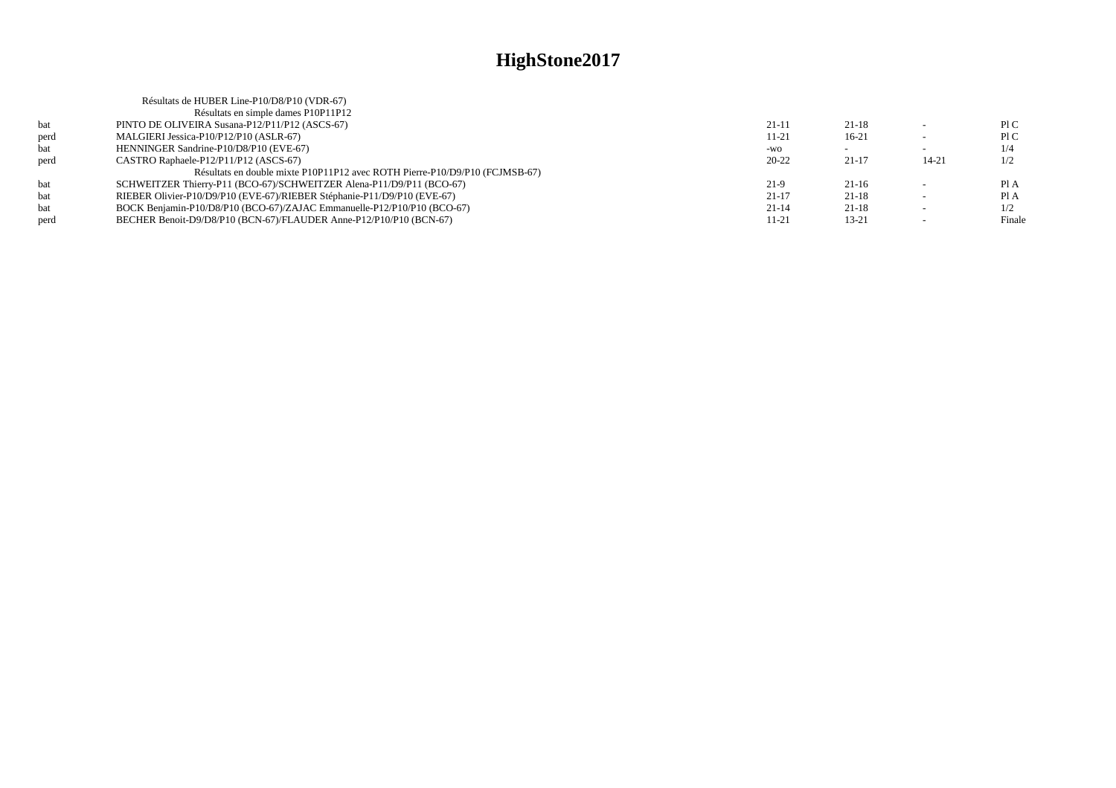|      | Résultats de HUBER Line-P10/D8/P10 (VDR-67)                                 |           |           |                          |        |
|------|-----------------------------------------------------------------------------|-----------|-----------|--------------------------|--------|
|      | Résultats en simple dames P10P11P12                                         |           |           |                          |        |
| bat  | PINTO DE OLIVEIRA Susana-P12/P11/P12 (ASCS-67)                              | $21 - 11$ | $21-18$   |                          | P1C    |
| perd | MALGIERI Jessica-P10/P12/P10 (ASLR-67)                                      | 11-21     | $16-21$   | $\sim$                   | P1C    |
| bat  | HENNINGER Sandrine-P10/D8/P10 (EVE-67)                                      | $-WO$     |           | -                        | 1/4    |
| perd | CASTRO Raphaele-P12/P11/P12 (ASCS-67)                                       | $20 - 22$ | $21-17$   | $14 - 21$                | 1/2    |
|      | Résultats en double mixte P10P11P12 avec ROTH Pierre-P10/D9/P10 (FCJMSB-67) |           |           |                          |        |
| bat  | SCHWEITZER Thierry-P11 (BCO-67)/SCHWEITZER Alena-P11/D9/P11 (BCO-67)        | $21-9$    | $21-16$   |                          | Pl A   |
| bat  | RIEBER Olivier-P10/D9/P10 (EVE-67)/RIEBER Stéphanie-P11/D9/P10 (EVE-67)     | $21-17$   | $21-18$   | $\overline{\phantom{a}}$ | PIA    |
| bat  | BOCK Benjamin-P10/D8/P10 (BCO-67)/ZAJAC Emmanuelle-P12/P10/P10 (BCO-67)     | $21-14$   | $21-18$   |                          | 1/2    |
| perd | BECHER Benoit-D9/D8/P10 (BCN-67)/FLAUDER Anne-P12/P10/P10 (BCN-67)          | 11-21     | $13 - 21$ |                          | Finale |
|      |                                                                             |           |           |                          |        |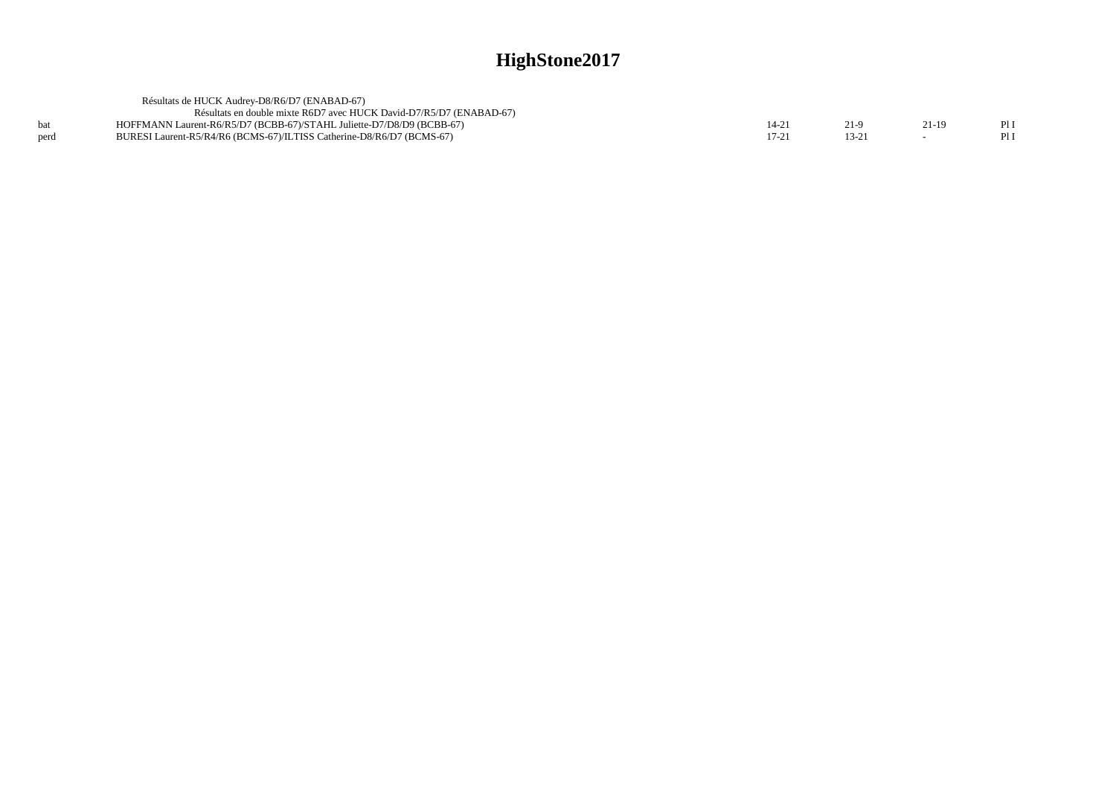|      | Résultats de HUCK Audrey-D8/R6/D7 (ENABAD-67)                         |         |         |     |
|------|-----------------------------------------------------------------------|---------|---------|-----|
|      | Résultats en double mixte R6D7 avec HUCK David-D7/R5/D7 (ENABAD-67)   |         |         |     |
|      | HOFFMANN Laurent-R6/R5/D7 (BCBB-67)/STAHL Juliette-D7/D8/D9 (BCBB-67) |         | $21-19$ | PII |
| perd | BURESI Laurent-R5/R4/R6 (BCMS-67)/ILTISS Catherine-D8/R6/D7 (BCMS-67) | $17-21$ |         | PII |
|      |                                                                       |         |         |     |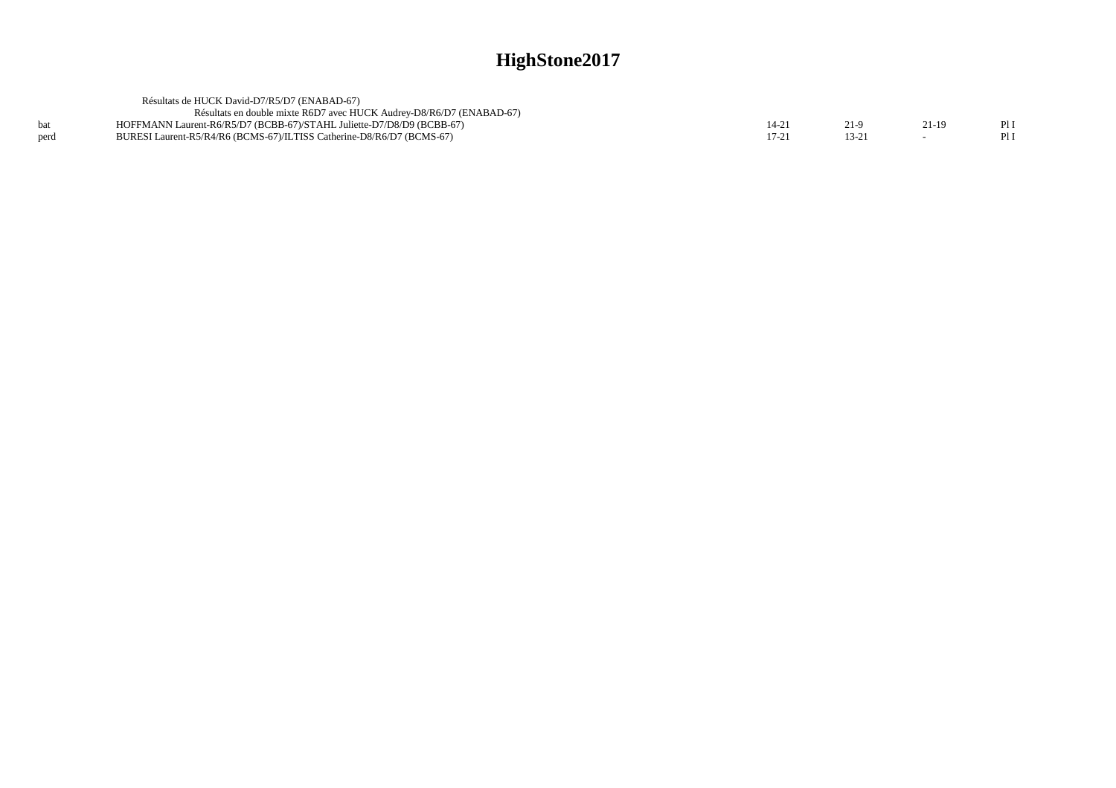|      | Résultats de HUCK David-D7/R5/D7 (ENABAD-67)                          |           |        |     |
|------|-----------------------------------------------------------------------|-----------|--------|-----|
|      | Résultats en double mixte R6D7 avec HUCK Audrey-D8/R6/D7 (ENABAD-67)  |           |        |     |
| bat  | HOFFMANN Laurent-R6/R5/D7 (BCBB-67)/STAHL Juliette-D7/D8/D9 (BCBB-67) | $14 - 2'$ | $21-1$ | PII |
| perd | BURESI Laurent-R5/R4/R6 (BCMS-67)/ILTISS Catherine-D8/R6/D7 (BCMS-67) |           |        | PII |
|      |                                                                       |           |        |     |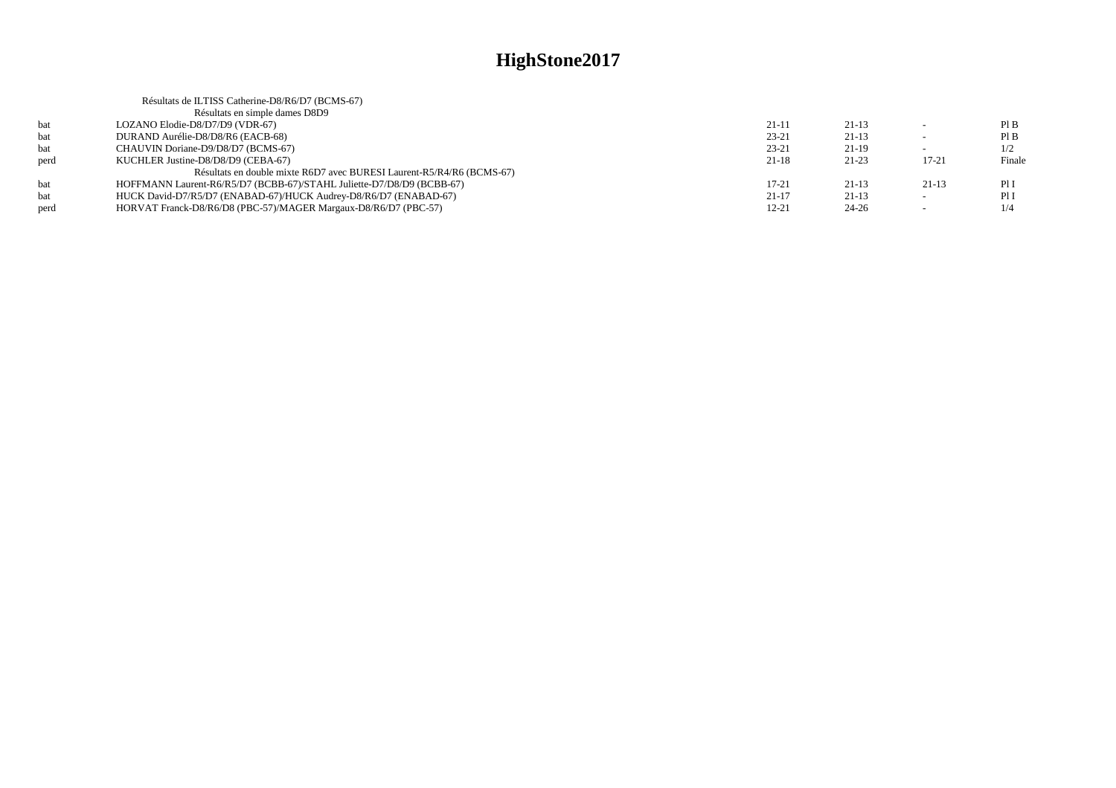|      | Résultats de ILTISS Catherine-D8/R6/D7 (BCMS-67)                      |           |           |           |        |
|------|-----------------------------------------------------------------------|-----------|-----------|-----------|--------|
|      | Résultats en simple dames D8D9                                        |           |           |           |        |
| bat  | LOZANO Elodie-D8/D7/D9 (VDR-67)                                       | $21 - 11$ | $21-13$   |           | PIB    |
| bat  | DURAND Aurélie-D8/D8/R6 (EACB-68)                                     | $23 - 21$ | $21-13$   |           | PIB    |
| bat  | CHAUVIN Doriane-D9/D8/D7 (BCMS-67)                                    | $23 - 21$ | $21-19$   |           | 1/2    |
| perd | KUCHLER Justine-D8/D8/D9 (CEBA-67)                                    | $21-18$   | $21 - 23$ | $17 - 21$ | Finale |
|      | Résultats en double mixte R6D7 avec BURESI Laurent-R5/R4/R6 (BCMS-67) |           |           |           |        |
| bat  | HOFFMANN Laurent-R6/R5/D7 (BCBB-67)/STAHL Juliette-D7/D8/D9 (BCBB-67) | $17-21$   | $21-13$   | $21-13$   | PII    |
| bat  | HUCK David-D7/R5/D7 (ENABAD-67)/HUCK Audrey-D8/R6/D7 (ENABAD-67)      | $21 - 17$ | $21-13$   |           | Pl I   |
| perd | HORVAT Franck-D8/R6/D8 (PBC-57)/MAGER Margaux-D8/R6/D7 (PBC-57)       | $12 - 21$ | $24 - 26$ |           | 1/4    |
|      |                                                                       |           |           |           |        |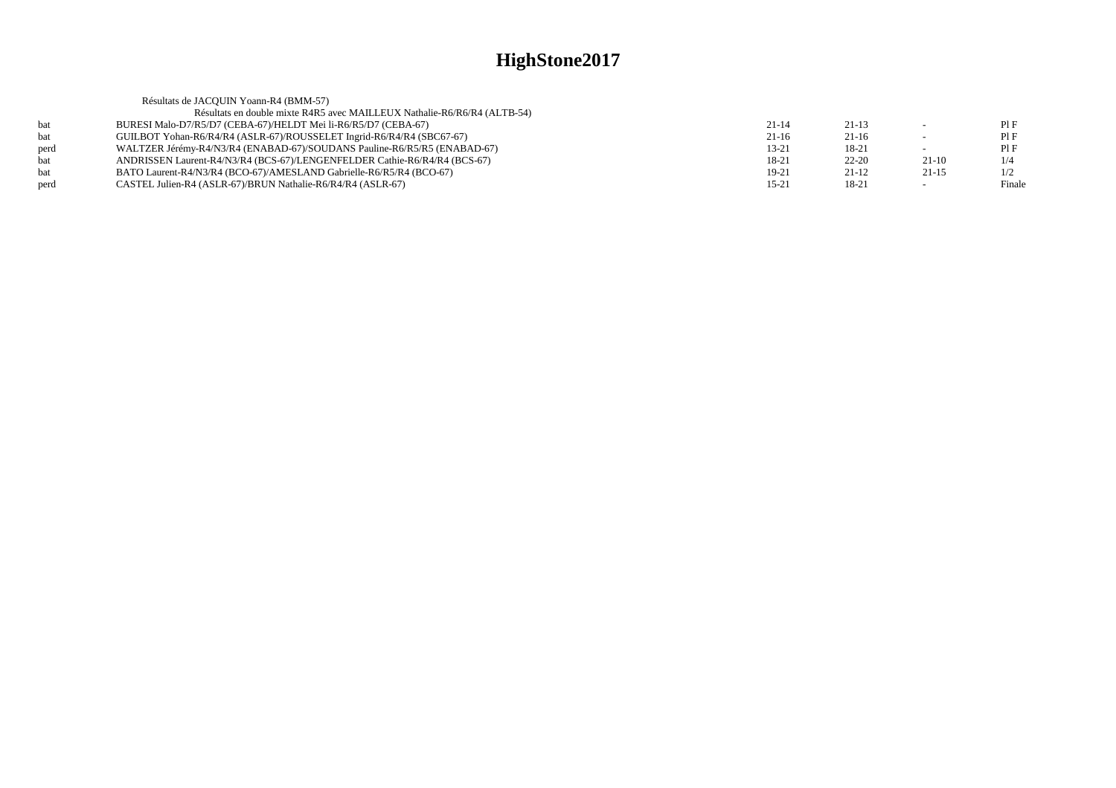|      | Résultats de JACQUIN Yoann-R4 (BMM-57)                                    |           |           |         |        |
|------|---------------------------------------------------------------------------|-----------|-----------|---------|--------|
|      | Résultats en double mixte R4R5 avec MAILLEUX Nathalie-R6/R6/R4 (ALTB-54)  |           |           |         |        |
| hat  | BURESI Malo-D7/R5/D7 (CEBA-67)/HELDT Mei li-R6/R5/D7 (CEBA-67)            | $21 - 14$ | $21-13$   |         | PIF    |
| bat  | GUILBOT Yohan-R6/R4/R4 (ASLR-67)/ROUSSELET Ingrid-R6/R4/R4 (SBC67-67)     | $21-16$   | $21-16$   |         | PIF    |
| nerd | WALTZER Jérémy-R4/N3/R4 (ENABAD-67)/SOUDANS Pauline-R6/R5/R5 (ENABAD-67)  | $13 - 21$ | 18-21     |         | PIF    |
| bat  | ANDRISSEN Laurent-R4/N3/R4 (BCS-67)/LENGENFELDER Cathie-R6/R4/R4 (BCS-67) | 18-21     | $22 - 20$ | $21-10$ | 1/4    |
| hat  | BATO Laurent-R4/N3/R4 (BCO-67)/AMESLAND Gabrielle-R6/R5/R4 (BCO-67)       | 19-21     | $21-12$   | $21-15$ | 1/2    |
| perd | CASTEL Julien-R4 (ASLR-67)/BRUN Nathalie-R6/R4/R4 (ASLR-67)               | $15 - 21$ | 18-21     |         | Finale |
|      |                                                                           |           |           |         |        |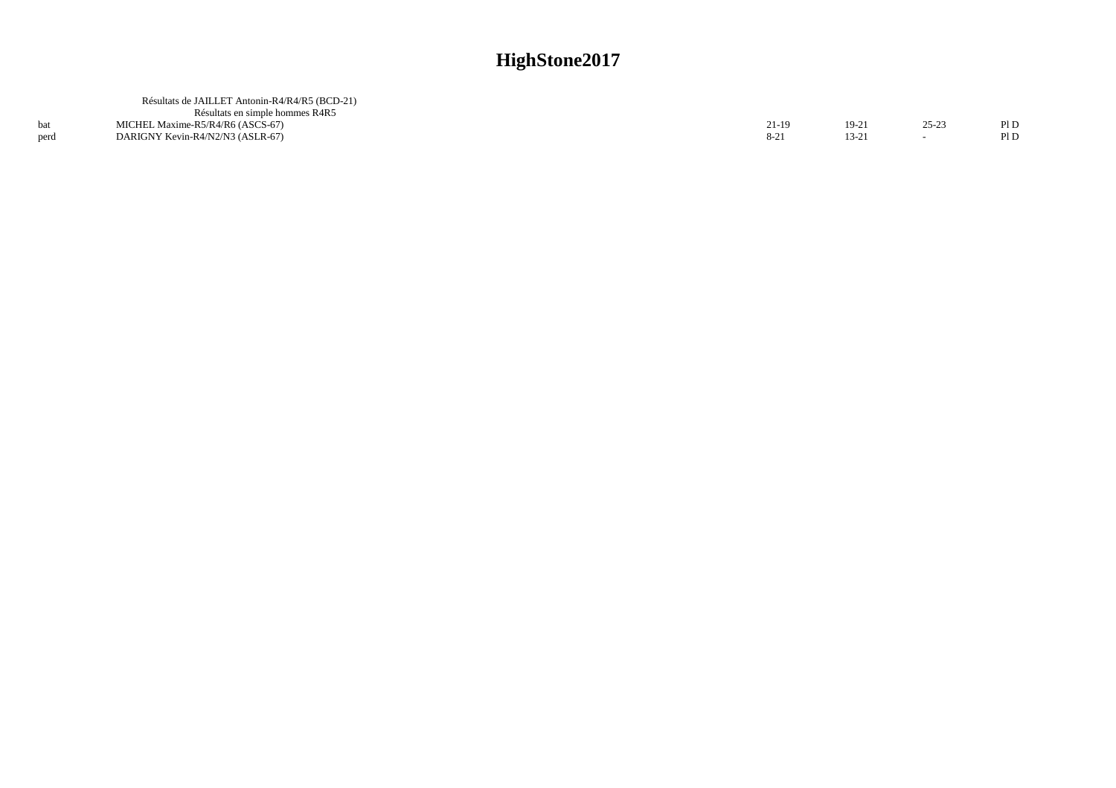|      | Résultats de JAILLET Antonin-R4/R4/R5 (BCD-21) |       |       |         |      |
|------|------------------------------------------------|-------|-------|---------|------|
|      | Résultats en simple hommes R4R5                |       |       |         |      |
|      | MICHEL Maxime-R5/R4/R6 (ASCS-67)               | 21-19 | 19-21 | $25-23$ | PI D |
| perd | DARIGNY Kevin-R4/N2/N3 (ASLR-67)               |       | 13-21 |         | Pl D |
|      |                                                |       |       |         |      |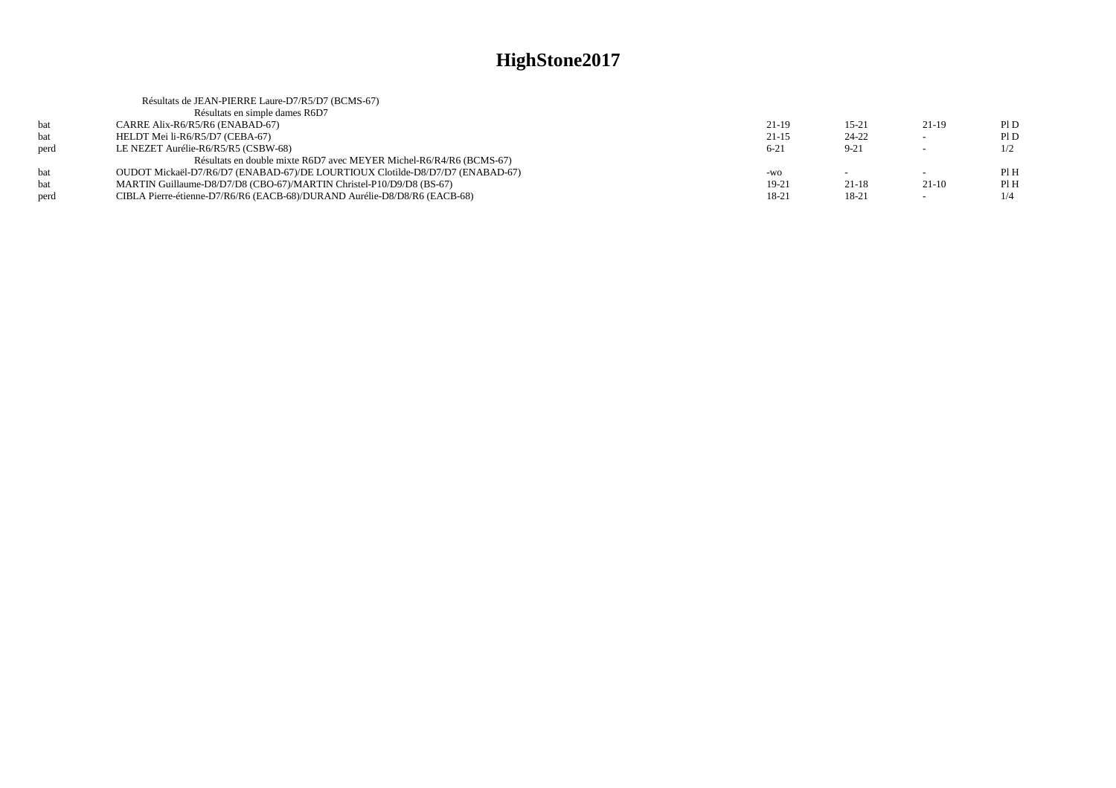|      | Résultats de JEAN-PIERRE Laure-D7/R5/D7 (BCMS-67)                             |           |           |         |      |
|------|-------------------------------------------------------------------------------|-----------|-----------|---------|------|
|      | Résultats en simple dames R6D7                                                |           |           |         |      |
| bat  | CARRE Alix-R6/R5/R6 (ENABAD-67)                                               | $21-19$   | $15 - 21$ | 21-19   | PID  |
| bat  | HELDT Mei li-R6/R5/D7 (CEBA-67)                                               | $21 - 15$ | $24 - 22$ |         | PID  |
| perd | LE NEZET Aurélie-R6/R5/R5 (CSBW-68)                                           | $6 - 21$  | $9 - 21$  |         | 1/2  |
|      | Résultats en double mixte R6D7 avec MEYER Michel-R6/R4/R6 (BCMS-67)           |           |           |         |      |
| hat  | OUDOT Mickaël-D7/R6/D7 (ENABAD-67)/DE LOURTIOUX Clotilde-D8/D7/D7 (ENABAD-67) | -WO       |           | $\sim$  | Pl H |
| bat  | MARTIN Guillaume-D8/D7/D8 (CBO-67)/MARTIN Christel-P10/D9/D8 (BS-67)          | 19-21     | $21 - 18$ | $21-10$ | PIH  |
| perd | CIBLA Pierre-étienne-D7/R6/R6 (EACB-68)/DURAND Aurélie-D8/D8/R6 (EACB-68)     | 18-21     | 18-21     | $\sim$  | 1/4  |
|      |                                                                               |           |           |         |      |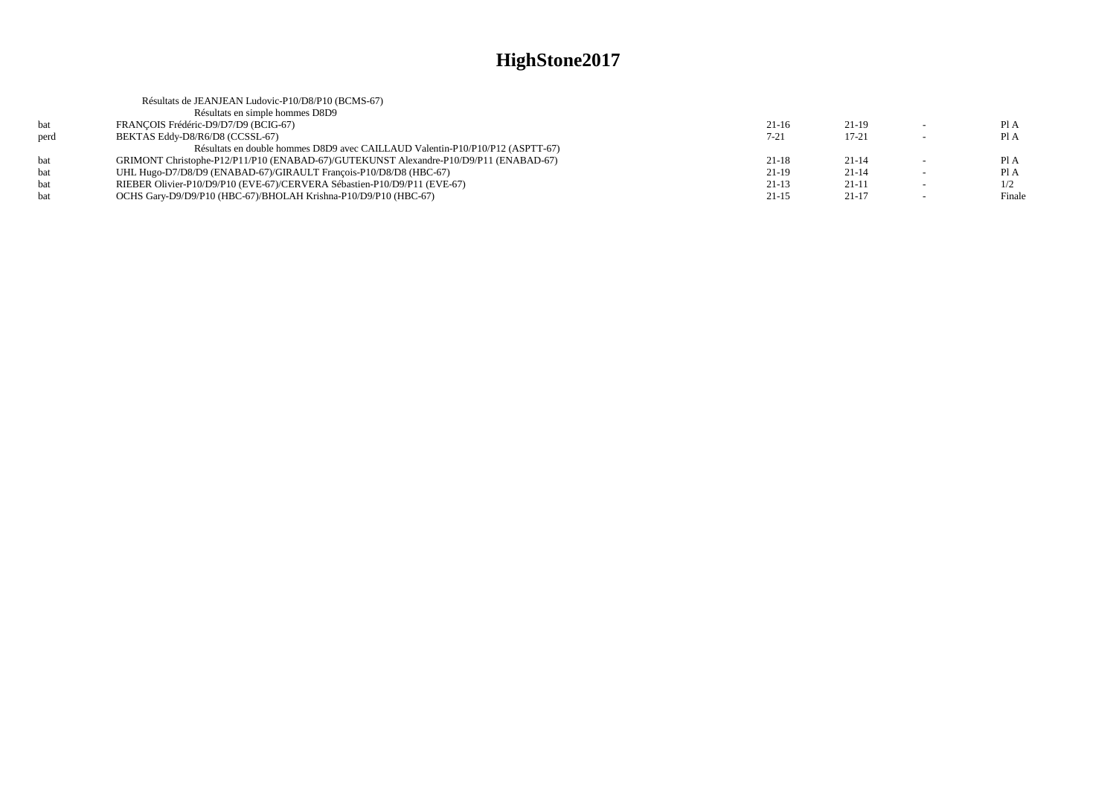|      | Résultats de JEANJEAN Ludovic-P10/D8/P10 (BCMS-67)                                    |           |           |                          |        |
|------|---------------------------------------------------------------------------------------|-----------|-----------|--------------------------|--------|
|      | Résultats en simple hommes D8D9                                                       |           |           |                          |        |
| hat  | FRANCOIS Frédéric-D9/D7/D9 (BCIG-67)                                                  | $21-16$   | $21-19$   | $\sim$                   | Pl A   |
| perd | BEKTAS Eddy-D8/R6/D8 (CCSSL-67)                                                       | $7 - 21$  | $17 - 21$ |                          | Pl A   |
|      | Résultats en double hommes D8D9 avec CAILLAUD Valentin-P10/P10/P12 (ASPTT-67)         |           |           |                          |        |
| hat  | GRIMONT Christophe-P12/P11/P10 (ENABAD-67)/GUTEKUNST Alexandre-P10/D9/P11 (ENABAD-67) | $21 - 18$ | $21 - 14$ |                          | Pl A   |
| bat  | UHL Hugo-D7/D8/D9 (ENABAD-67)/GIRAULT Francois-P10/D8/D8 (HBC-67)                     | $21-19$   | $21 - 14$ | $\overline{\phantom{0}}$ | Pl A   |
| hat  | RIEBER Olivier-P10/D9/P10 (EVE-67)/CERVERA Sébastien-P10/D9/P11 (EVE-67)              | $21-13$   | $21-11$   | $\overline{\phantom{0}}$ | 1/2    |
| hat  | OCHS Gary-D9/D9/P10 (HBC-67)/BHOLAH Krishna-P10/D9/P10 (HBC-67)                       | $21-15$   | $21-17$   |                          | Finale |
|      |                                                                                       |           |           |                          |        |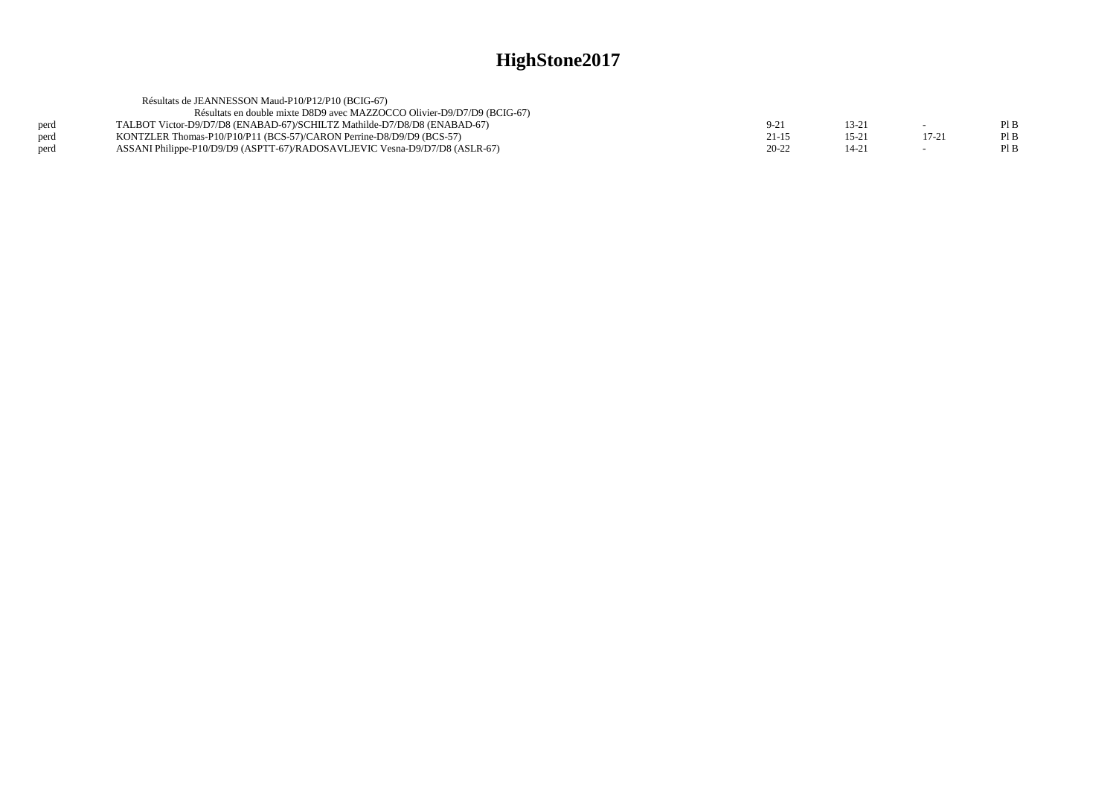| Résultats de JEANNESSON Maud-P10/P12/P10 (BCIG-67)                          |           |          |       |      |
|-----------------------------------------------------------------------------|-----------|----------|-------|------|
| Résultats en double mixte D8D9 avec MAZZOCCO Olivier-D9/D7/D9 (BCIG-67)     |           |          |       |      |
| TALBOT Victor-D9/D7/D8 (ENABAD-67)/SCHILTZ Mathilde-D7/D8/D8 (ENABAD-67)    | $9-21$    | $13-2$   |       | PI B |
| KONTZLER Thomas-P10/P10/P11 (BCS-57)/CARON Perrine-D8/D9/D9 (BCS-57)        | $21 - 15$ | $15 - 2$ | 17-21 | PI B |
| ASSANI Philippe-P10/D9/D9 (ASPTT-67)/RADOSAVLJEVIC Vesna-D9/D7/D8 (ASLR-67) | $20 - 22$ | 14-2     |       |      |
|                                                                             |           |          |       |      |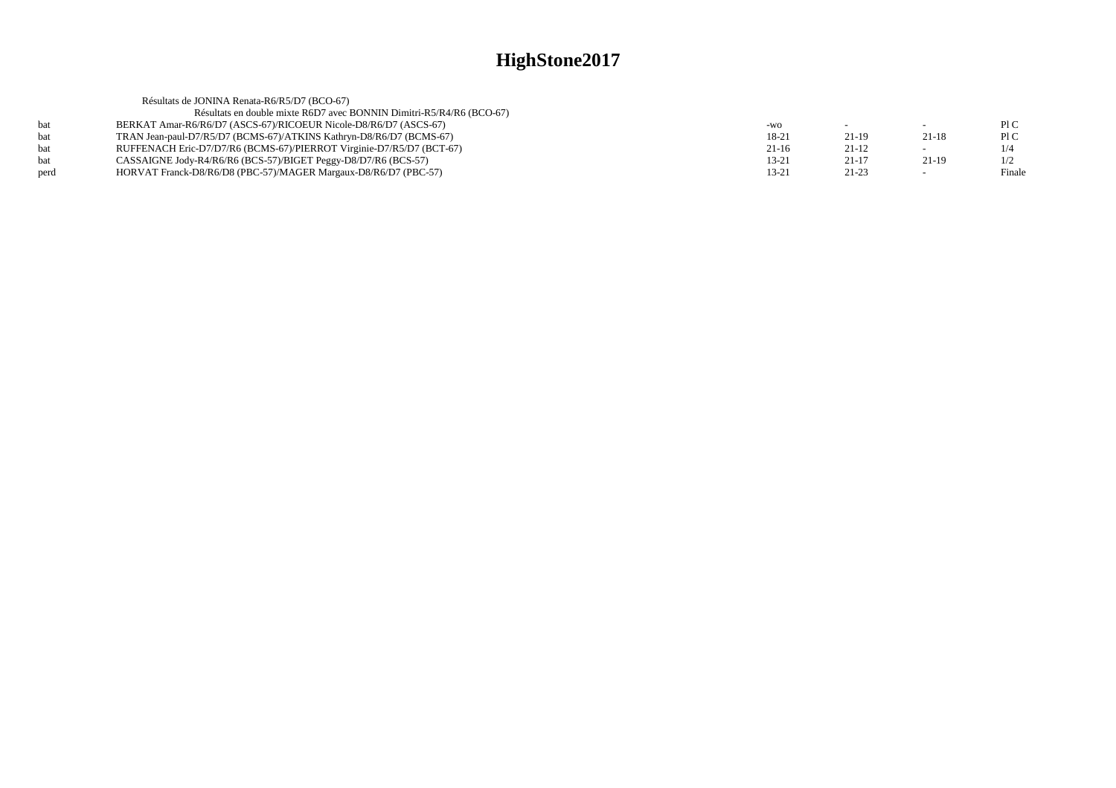|      | Résultats de JONINA Renata-R6/R5/D7 (BCO-67)                         |           |           |         |        |
|------|----------------------------------------------------------------------|-----------|-----------|---------|--------|
|      | Résultats en double mixte R6D7 avec BONNIN Dimitri-R5/R4/R6 (BCO-67) |           |           |         |        |
| hat  | BERKAT Amar-R6/R6/D7 (ASCS-67)/RICOEUR Nicole-D8/R6/D7 (ASCS-67)     | -WO       |           | $\sim$  | PIC    |
| hat  | TRAN Jean-paul-D7/R5/D7 (BCMS-67)/ATKINS Kathryn-D8/R6/D7 (BCMS-67)  | 18-21     | $21-19$   | $21-18$ | P1C    |
| bat  | RUFFENACH Eric-D7/D7/R6 (BCMS-67)/PIERROT Virginie-D7/R5/D7 (BCT-67) | $21-16$   | $21-12$   |         | 1/4    |
| hat  | CASSAIGNE Jody-R4/R6/R6 (BCS-57)/BIGET Peggy-D8/D7/R6 (BCS-57)       | $13 - 21$ | $21-17$   | $21-19$ | 1/2    |
| perd | HORVAT Franck-D8/R6/D8 (PBC-57)/MAGER Margaux-D8/R6/D7 (PBC-57)      | $13 - 21$ | $21 - 23$ |         | Finale |
|      |                                                                      |           |           |         |        |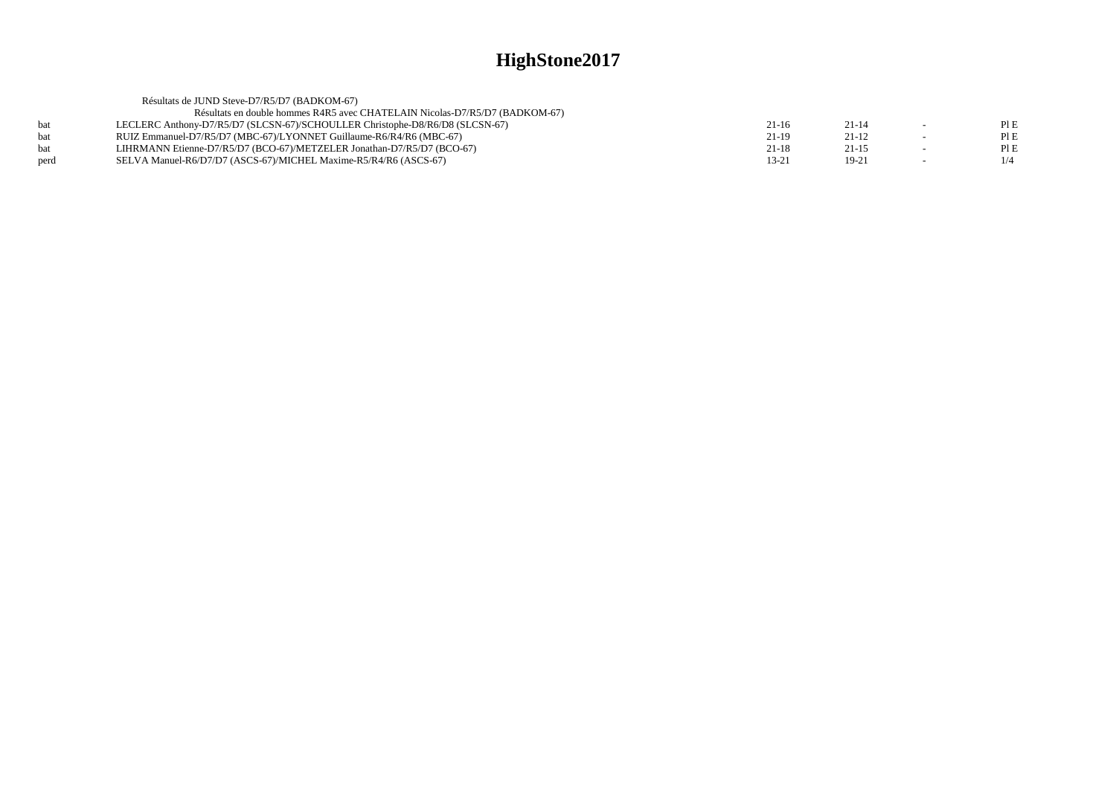|      | Résultats de JUND Steve-D7/R5/D7 (BADKOM-67)                                 |           |           |        |      |
|------|------------------------------------------------------------------------------|-----------|-----------|--------|------|
|      | Résultats en double hommes R4R5 avec CHATELAIN Nicolas-D7/R5/D7 (BADKOM-67)  |           |           |        |      |
|      | LECLERC Anthony-D7/R5/D7 (SLCSN-67)/SCHOULLER Christophe-D8/R6/D8 (SLCSN-67) | $21-16$   | $21 - 14$ | $\sim$ | PIE  |
|      | RUIZ Emmanuel-D7/R5/D7 (MBC-67)/LYONNET Guillaume-R6/R4/R6 (MBC-67)          | $21-19$   | $21 - 12$ |        | PI E |
|      | LIHRMANN Etienne-D7/R5/D7 (BCO-67)/METZELER Jonathan-D7/R5/D7 (BCO-67)       | $21 - 18$ | $21 - 15$ |        | PIE  |
| perd | SELVA Manuel-R6/D7/D7 (ASCS-67)/MICHEL Maxime-R5/R4/R6 (ASCS-67)             | 13-21     | $19-21$   |        | 1/4  |
|      |                                                                              |           |           |        |      |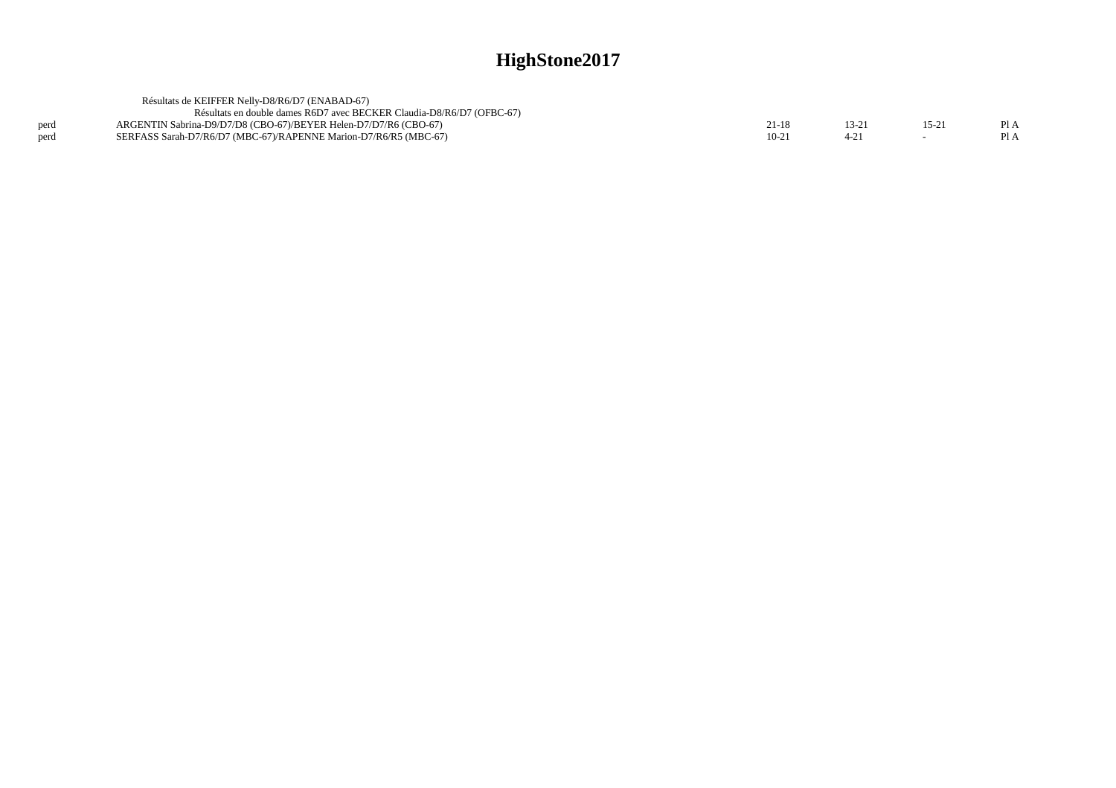|      | Résultats de KEIFFER Nelly-D8/R6/D7 (ENABAD-67)                       |       |       |       |      |
|------|-----------------------------------------------------------------------|-------|-------|-------|------|
|      | Résultats en double dames R6D7 avec BECKER Claudia-D8/R6/D7 (OFBC-67) |       |       |       |      |
| perd | ARGENTIN Sabrina-D9/D7/D8 (CBO-67)/BEYER Helen-D7/D7/R6 (CBO-67)      | 21-18 | 13-21 | 15-21 | Pl A |
| perd | SERFASS Sarah-D7/R6/D7 (MBC-67)/RAPENNE Marion-D7/R6/R5 (MBC-67)      | 10-21 |       |       |      |
|      |                                                                       |       |       |       |      |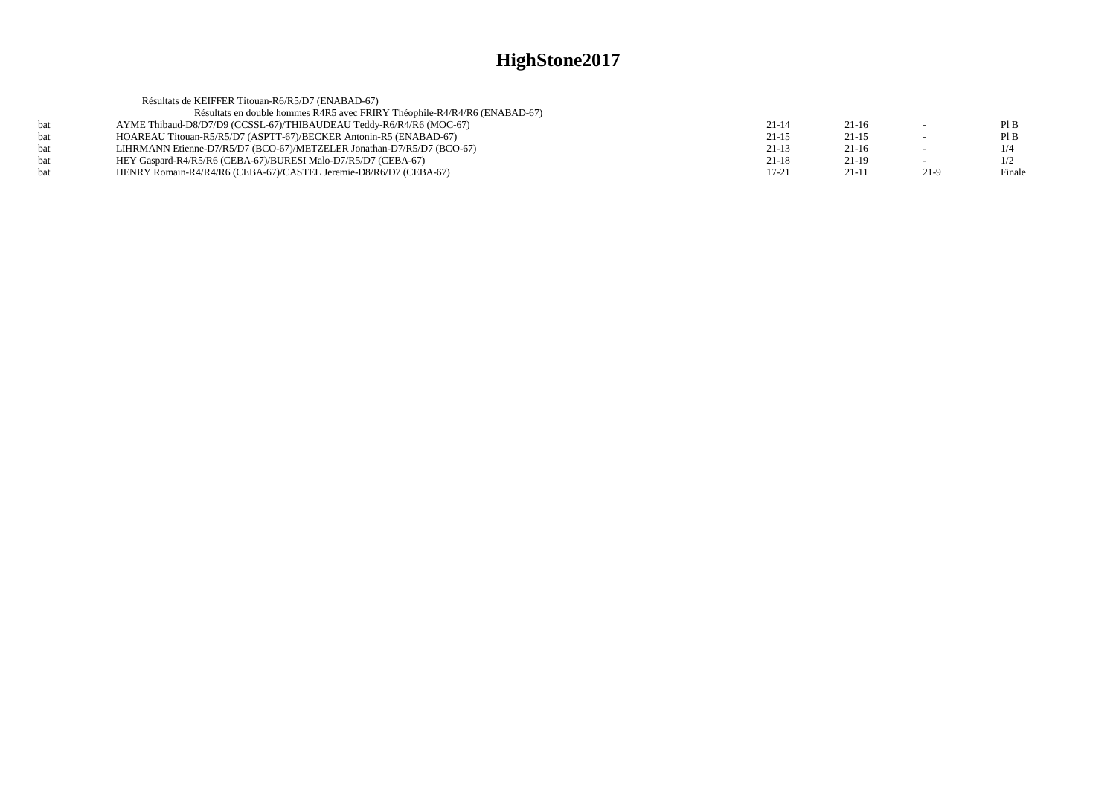|     | Résultats de KEIFFER Titouan-R6/R5/D7 (ENABAD-67)                         |           |         |      |        |
|-----|---------------------------------------------------------------------------|-----------|---------|------|--------|
|     | Résultats en double hommes R4R5 avec FRIRY Théophile-R4/R4/R6 (ENABAD-67) |           |         |      |        |
|     | AYME Thibaud-D8/D7/D9 (CCSSL-67)/THIBAUDEAU Teddy-R6/R4/R6 (MOC-67)       | $21 - 14$ | $21-16$ |      | PIB    |
| hat | HOAREAU Titouan-R5/R5/D7 (ASPTT-67)/BECKER Antonin-R5 (ENABAD-67)         | $21 - 15$ | $21-15$ |      | PIB    |
| hat | LIHRMANN Etienne-D7/R5/D7 (BCO-67)/METZELER Jonathan-D7/R5/D7 (BCO-67)    | $21-13$   | $21-16$ |      | 1/4    |
| hat | HEY Gaspard-R4/R5/R6 (CEBA-67)/BURESI Malo-D7/R5/D7 (CEBA-67)             | $21 - 18$ | 21-19   |      | 1/2    |
|     | HENRY Romain-R4/R4/R6 (CEBA-67)/CASTEL Jeremie-D8/R6/D7 (CEBA-67)         | $17 - 21$ | $21-11$ | 21-9 | Finale |
|     |                                                                           |           |         |      |        |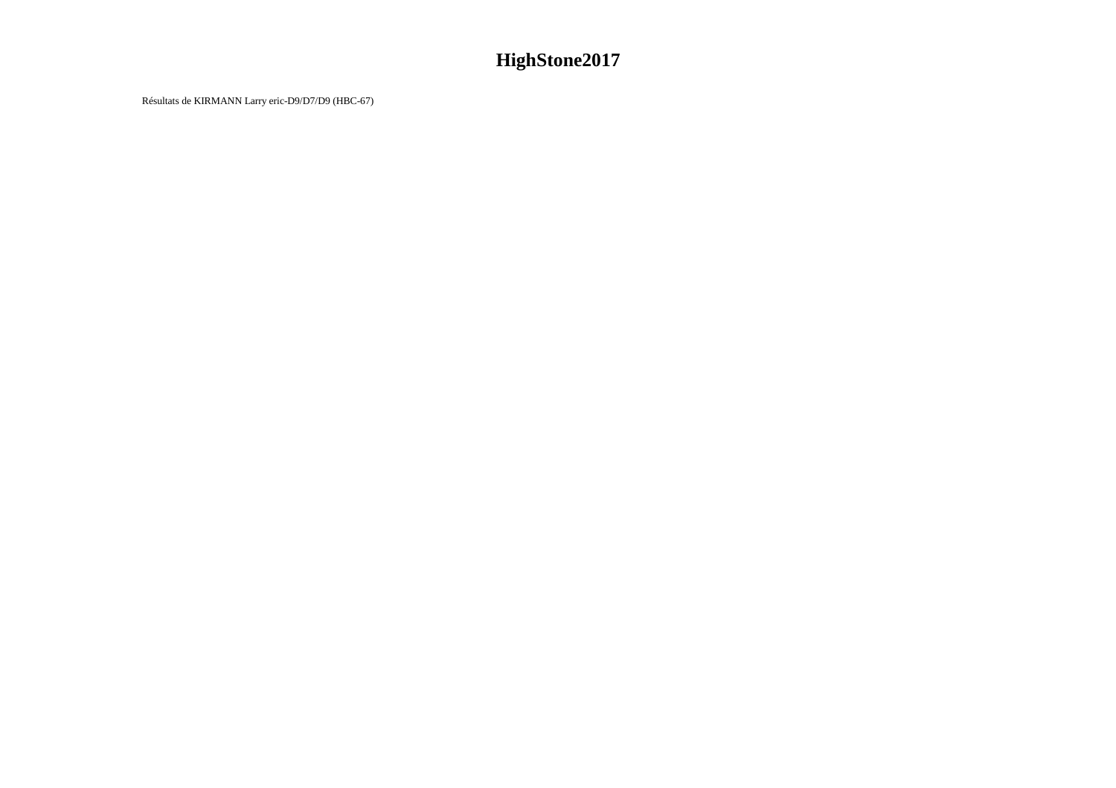Résultats de KIRMANN Larry eric-D9/D7/D9 (HBC-67)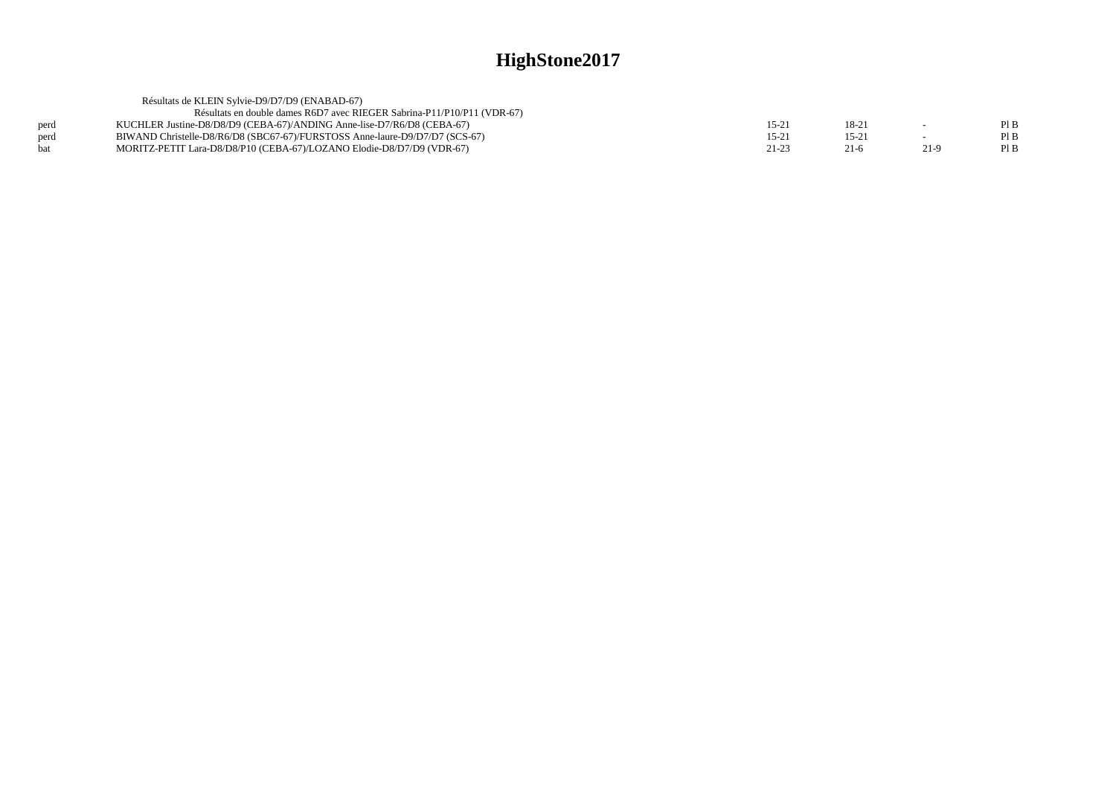|      | Résultats de KLEIN Sylvie-D9/D7/D9 (ENABAD-67)                              |           |          |      |      |
|------|-----------------------------------------------------------------------------|-----------|----------|------|------|
|      | Résultats en double dames R6D7 avec RIEGER Sabrina-P11/P10/P11 (VDR-67)     |           |          |      |      |
| perd | KUCHLER Justine-D8/D8/D9 (CEBA-67)/ANDING Anne-lise-D7/R6/D8 (CEBA-67)      | $15-2$    | $18-2$   |      | Pl B |
| perd | BIWAND Christelle-D8/R6/D8 (SBC67-67)/FURSTOSS Anne-laure-D9/D7/D7 (SCS-67) | $15-21$   | $15 - 2$ |      | Pl B |
| hat  | MORITZ-PETIT Lara-D8/D8/P10 (CEBA-67)/LOZANO Elodie-D8/D7/D9 (VDR-67)       | $21 - 23$ | $21-6$   | 21-9 | PI B |
|      |                                                                             |           |          |      |      |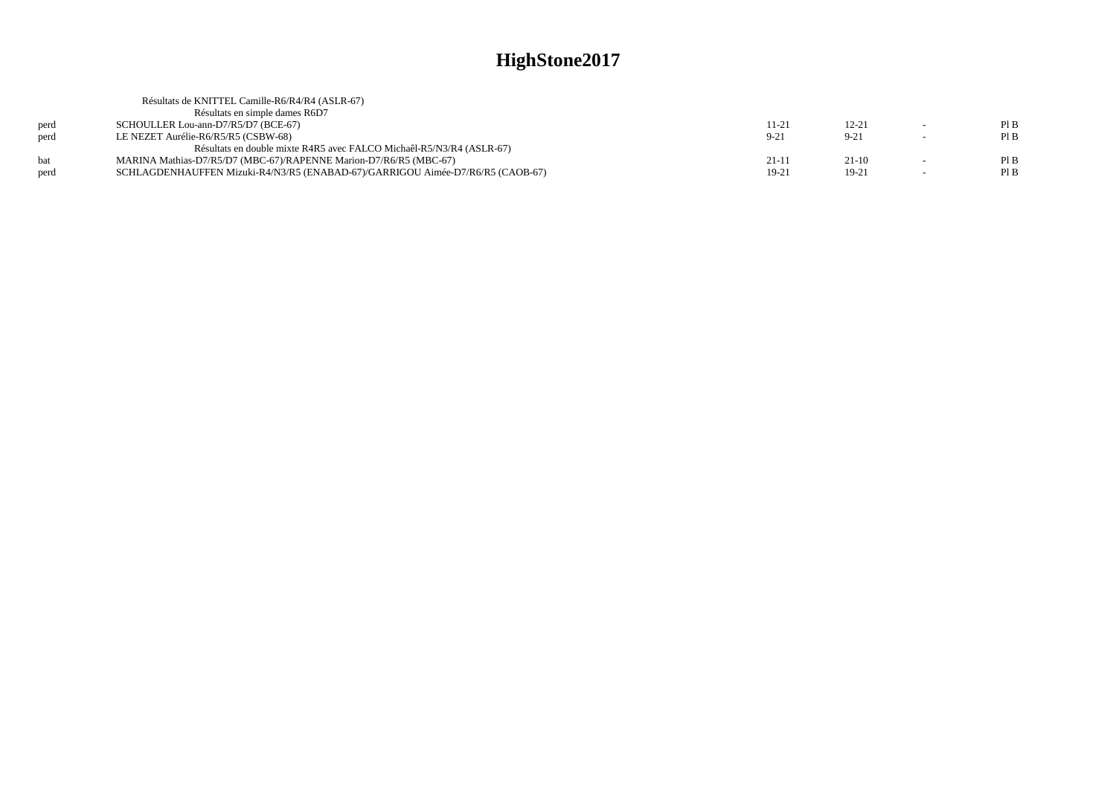|      | Résultats de KNITTEL Camille-R6/R4/R4 (ASLR-67)                                |          |           |        |      |
|------|--------------------------------------------------------------------------------|----------|-----------|--------|------|
|      | Résultats en simple dames R6D7                                                 |          |           |        |      |
| perd | SCHOULLER Lou-ann-D7/R5/D7 (BCE-67)                                            | 11-21    | $12 - 21$ |        | PIB  |
| perd | LE NEZET Aurélie-R6/R5/R5 (CSBW-68)                                            | $9 - 21$ | $9 - 21$  |        | PIB  |
|      | Résultats en double mixte R4R5 avec FALCO Michaêl-R5/N3/R4 (ASLR-67)           |          |           |        |      |
| hat  | MARINA Mathias-D7/R5/D7 (MBC-67)/RAPENNE Marion-D7/R6/R5 (MBC-67)              | $21-11$  | $21-10$   |        | PIB  |
| perd | SCHLAGDENHAUFFEN Mizuki-R4/N3/R5 (ENABAD-67)/GARRIGOU Aimée-D7/R6/R5 (CAOB-67) | 19-21    | $19-21$   | $\sim$ | Pl B |
|      |                                                                                |          |           |        |      |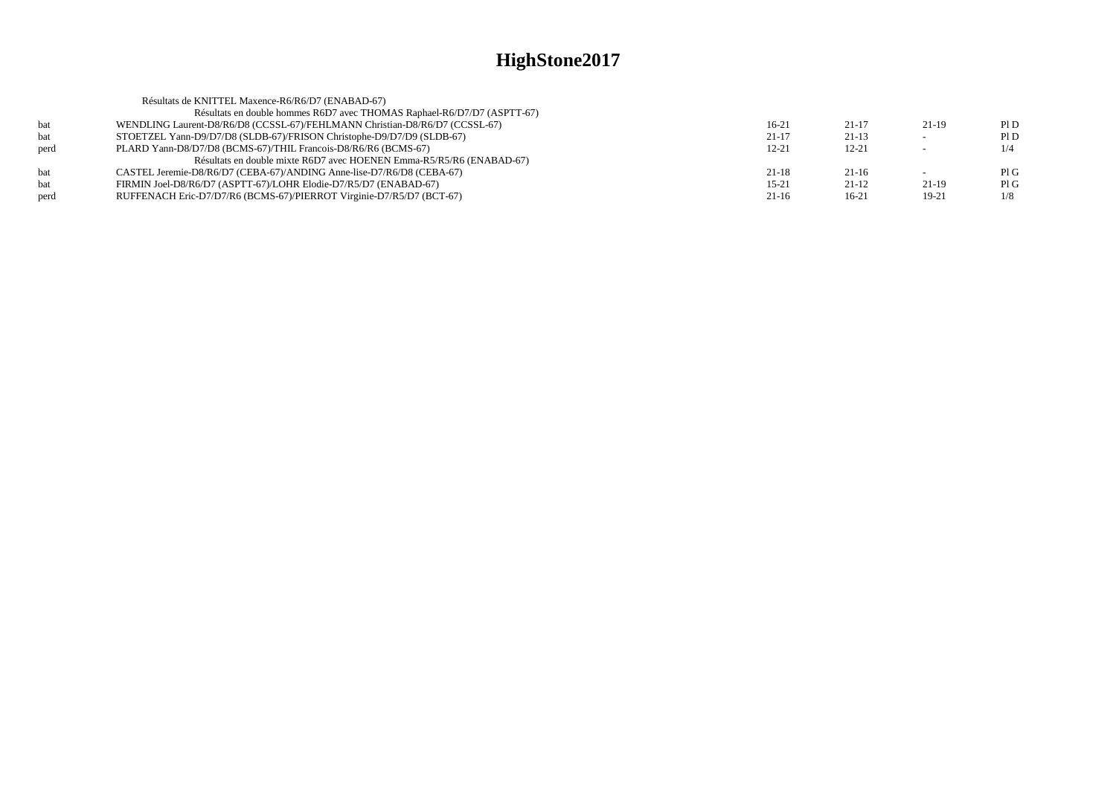| PID  |
|------|
| Pl D |
| 1/4  |
|      |
| PIG  |
| PIG  |
| 1/8  |
|      |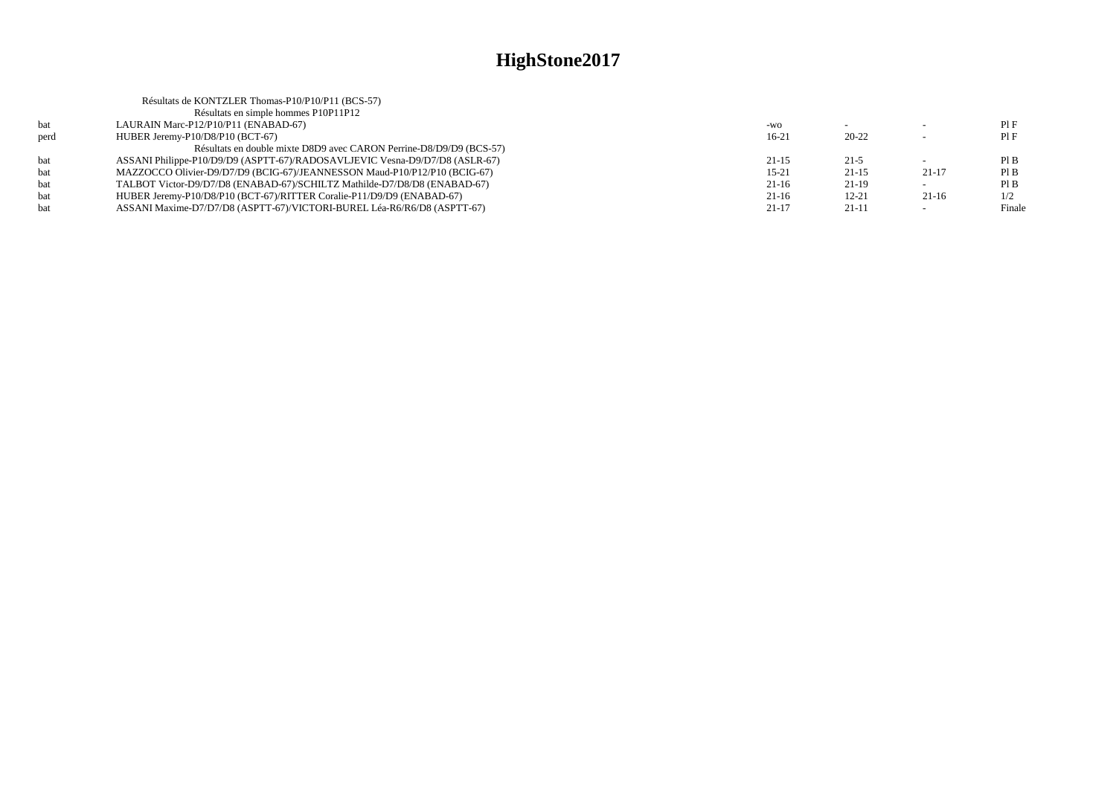| Résultats de KONTZLER Thomas-P10/P10/P11 (BCS-57)                           |           |           |         |        |
|-----------------------------------------------------------------------------|-----------|-----------|---------|--------|
| Résultats en simple hommes P10P11P12                                        |           |           |         |        |
| LAURAIN Marc-P12/P10/P11 (ENABAD-67)                                        | $-WO$     |           |         | PIF    |
| HUBER Jeremy-P10/D8/P10 (BCT-67)                                            | $16-21$   | $20 - 22$ |         | PIF    |
| Résultats en double mixte D8D9 avec CARON Perrine-D8/D9/D9 (BCS-57)         |           |           |         |        |
| ASSANI Philippe-P10/D9/D9 (ASPTT-67)/RADOSAVLJEVIC Vesna-D9/D7/D8 (ASLR-67) | $21 - 15$ | $21-5$    |         | PIB    |
| MAZZOCCO Olivier-D9/D7/D9 (BCIG-67)/JEANNESSON Maud-P10/P12/P10 (BCIG-67)   | $15 - 21$ | $21-15$   | 21-17   | PIB    |
| TALBOT Victor-D9/D7/D8 (ENABAD-67)/SCHILTZ Mathilde-D7/D8/D8 (ENABAD-67)    | $21-16$   | $21-19$   |         | PIB    |
| HUBER Jeremy-P10/D8/P10 (BCT-67)/RITTER Coralie-P11/D9/D9 (ENABAD-67)       | $21-16$   | $12 - 21$ | $21-16$ | 1/2    |
| ASSANI Maxime-D7/D7/D8 (ASPTT-67)/VICTORI-BUREL Léa-R6/R6/D8 (ASPTT-67)     | 21-17     | $21-11$   |         | Finale |
|                                                                             |           |           |         |        |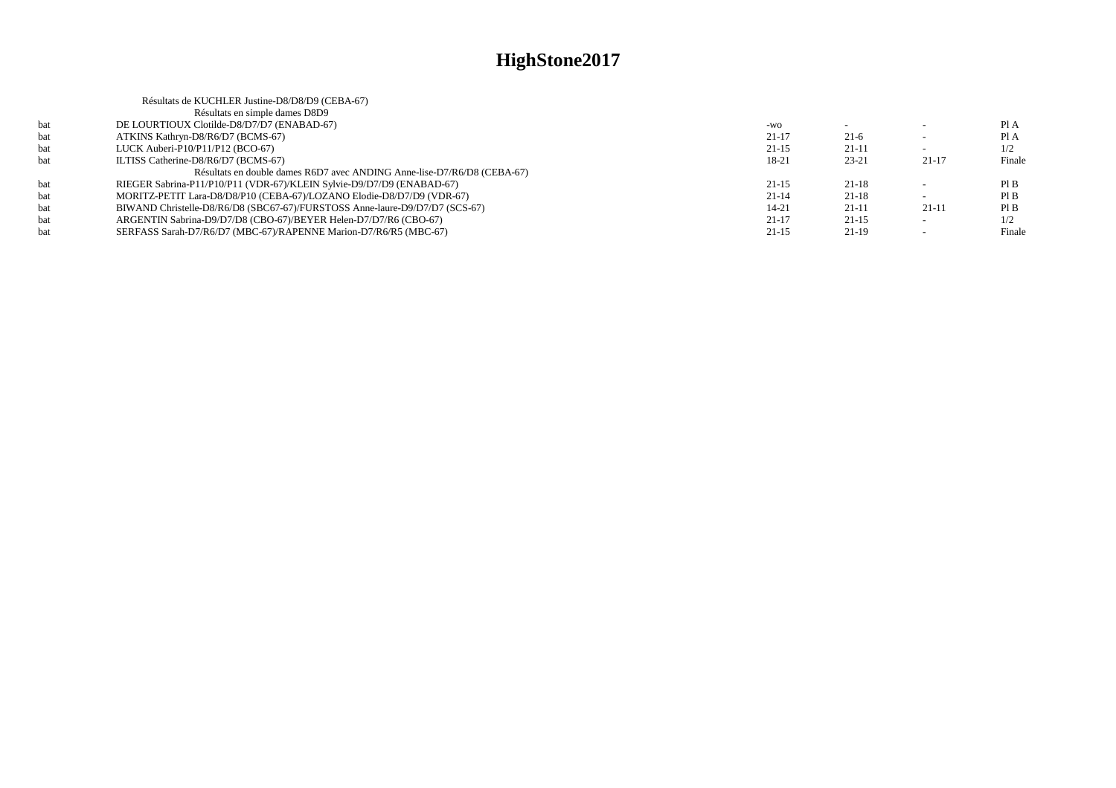|     | Résultats de KUCHLER Justine-D8/D8/D9 (CEBA-67)                             |           |           |           |        |
|-----|-----------------------------------------------------------------------------|-----------|-----------|-----------|--------|
|     | Résultats en simple dames D8D9                                              |           |           |           |        |
| bat | DE LOURTIOUX Clotilde-D8/D7/D7 (ENABAD-67)                                  | $-WO$     |           |           | Pl A   |
| bat | ATKINS Kathryn-D8/R6/D7 (BCMS-67)                                           | $21 - 17$ | $21-6$    |           | Pl A   |
| bat | LUCK Auberi-P10/P11/P12 (BCO-67)                                            | $21 - 15$ | $21-11$   |           | 1/2    |
| bat | ILTISS Catherine-D8/R6/D7 (BCMS-67)                                         | 18-21     | $23 - 21$ | $21-17$   | Finale |
|     | Résultats en double dames R6D7 avec ANDING Anne-lise-D7/R6/D8 (CEBA-67)     |           |           |           |        |
| bat | RIEGER Sabrina-P11/P10/P11 (VDR-67)/KLEIN Sylvie-D9/D7/D9 (ENABAD-67)       | $21 - 15$ | $21-18$   |           | PI B   |
| bat | MORITZ-PETIT Lara-D8/D8/P10 (CEBA-67)/LOZANO Elodie-D8/D7/D9 (VDR-67)       | $21 - 14$ | $21-18$   |           | PIB    |
| bat | BIWAND Christelle-D8/R6/D8 (SBC67-67)/FURSTOSS Anne-laure-D9/D7/D7 (SCS-67) | $14 - 21$ | $21-11$   | $21 - 11$ | Pl B   |
| bat | ARGENTIN Sabrina-D9/D7/D8 (CBO-67)/BEYER Helen-D7/D7/R6 (CBO-67)            | $21 - 17$ | $21-15$   |           | 1/2    |
| bat | SERFASS Sarah-D7/R6/D7 (MBC-67)/RAPENNE Marion-D7/R6/R5 (MBC-67)            | $21 - 15$ | $21-19$   |           | Finale |
|     |                                                                             |           |           |           |        |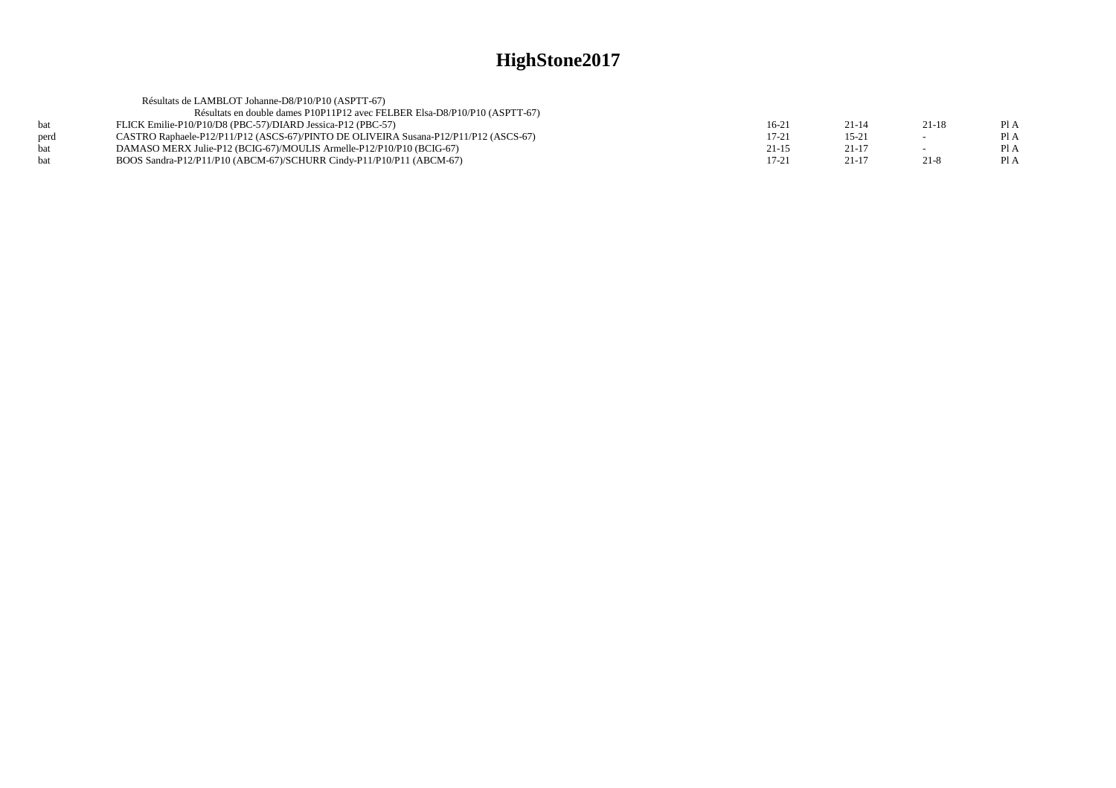|            | Résultats de LAMBLOT Johanne-D8/P10/P10 (ASPTT-67)                                   |           |           |          |      |
|------------|--------------------------------------------------------------------------------------|-----------|-----------|----------|------|
|            | Résultats en double dames P10P11P12 avec FELBER Elsa-D8/P10/P10 (ASPTT-67)           |           |           |          |      |
| bat        | FLICK Emilie-P10/P10/D8 (PBC-57)/DIARD Jessica-P12 (PBC-57)                          | $16-21$   | $21 - 14$ | 21-18    | Pl A |
| perd       | CASTRO Raphaele-P12/P11/P12 (ASCS-67)/PINTO DE OLIVEIRA Susana-P12/P11/P12 (ASCS-67) | $17 - 21$ | $15 - 21$ | $\sim$   | PI A |
| bat        | DAMASO MERX Julie-P12 (BCIG-67)/MOULIS Armelle-P12/P10/P10 (BCIG-67)                 | 21-15     | $21 - 17$ |          | PI A |
| <b>bat</b> | BOOS Sandra-P12/P11/P10 (ABCM-67)/SCHURR Cindy-P11/P10/P11 (ABCM-67)                 | $17 - 21$ | $21 - 17$ | $21 - 8$ | PI A |
|            |                                                                                      |           |           |          |      |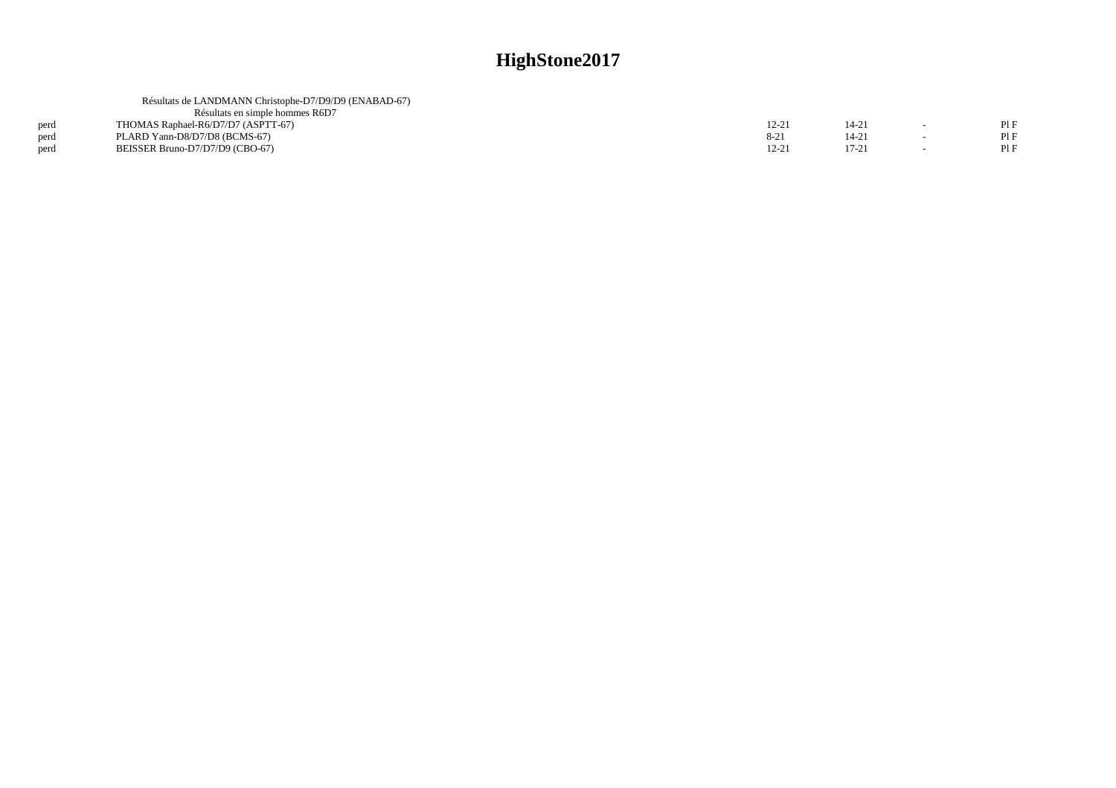|      | Résultats de LANDMANN Christophe-D7/D9/D9 (ENABAD-67) |          |           |     |
|------|-------------------------------------------------------|----------|-----------|-----|
|      | Résultats en simple hommes R6D7                       |          |           |     |
| perd | THOMAS Raphael-R6/D7/D7 (ASPTT-67)                    | 12-21    | $14 - 21$ | PIF |
| perd | PLARD Yann-D8/D7/D8 (BCMS-67)                         | $8 - 21$ | $14 - 21$ | PIF |
| perd | BEISSER Bruno-D7/D7/D9 (CBO-67)                       | 12-21    | $17-21$   | PIF |
|      |                                                       |          |           |     |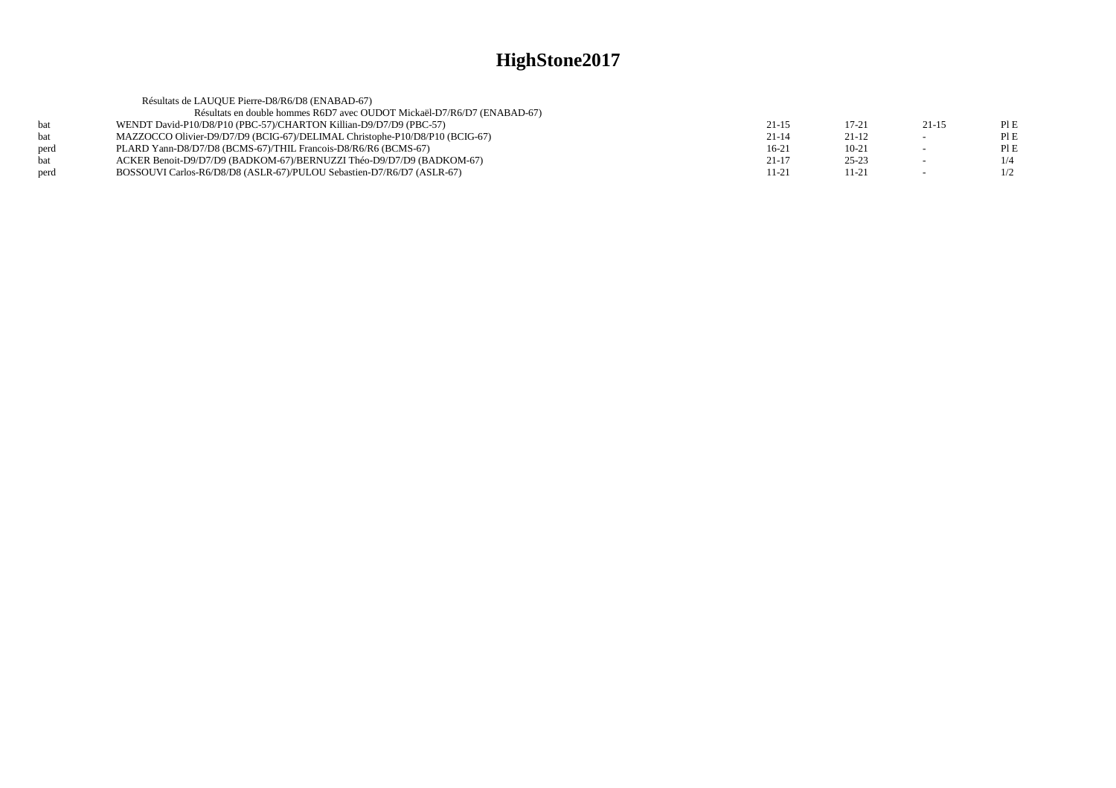|            | Résultats de LAUQUE Pierre-D8/R6/D8 (ENABAD-67)                             |           |           |         |     |
|------------|-----------------------------------------------------------------------------|-----------|-----------|---------|-----|
|            | Résultats en double hommes R6D7 avec OUDOT Mickaël-D7/R6/D7 (ENABAD-67)     |           |           |         |     |
| hat        | WENDT David-P10/D8/P10 (PBC-57)/CHARTON Killian-D9/D7/D9 (PBC-57)           | $21 - 15$ | $17 - 21$ | $21-15$ | PIE |
| <b>bat</b> | MAZZOCCO Olivier-D9/D7/D9 (BCIG-67)/DELIMAL Christophe-P10/D8/P10 (BCIG-67) | $21 - 14$ | $21-12$   |         | PIE |
| perd       | PLARD Yann-D8/D7/D8 (BCMS-67)/THIL Francois-D8/R6/R6 (BCMS-67)              | $16-21$   | $10 - 21$ |         | PIE |
| <b>bat</b> | ACKER Benoit-D9/D7/D9 (BADKOM-67)/BERNUZZI Théo-D9/D7/D9 (BADKOM-67)        | $21 - 17$ | $25 - 23$ |         | 1/4 |
| perd       | BOSSOUVI Carlos-R6/D8/D8 (ASLR-67)/PULOU Sebastien-D7/R6/D7 (ASLR-67)       | 11-21     | $11 - 21$ |         | 1/2 |
|            |                                                                             |           |           |         |     |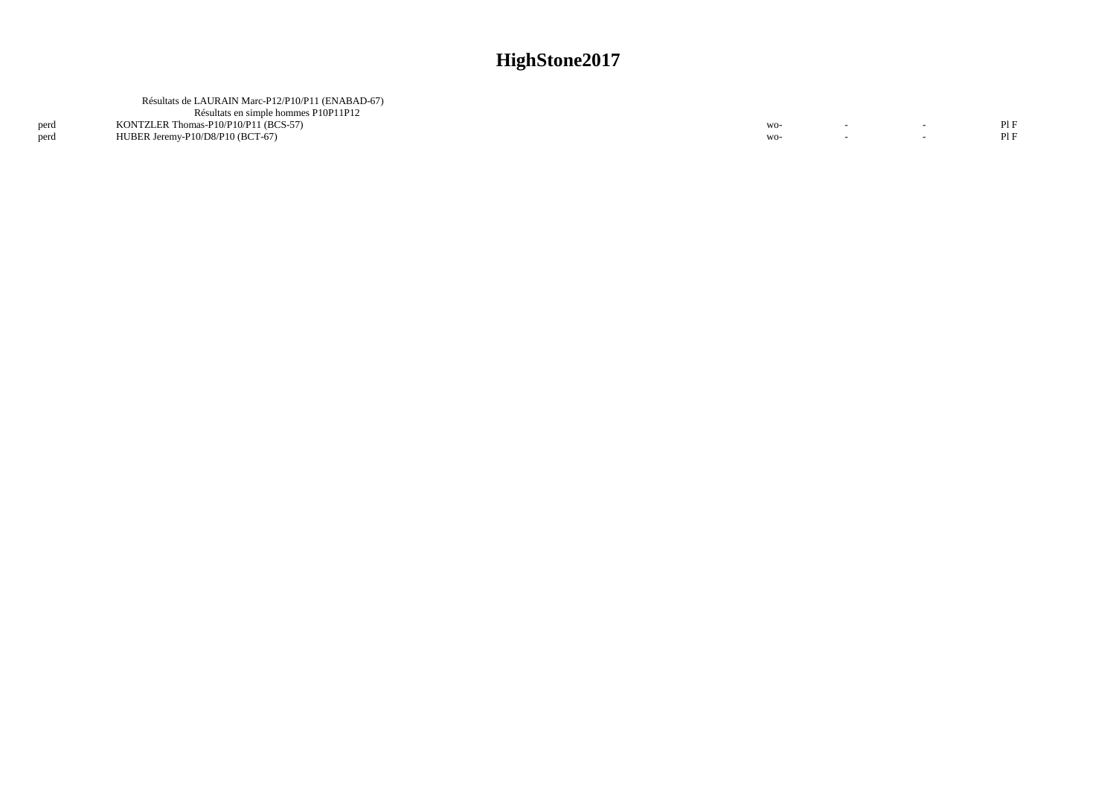|      | Résultats de LAURAIN Marc-P12/P10/P11 (ENABAD-67) |       |  |     |
|------|---------------------------------------------------|-------|--|-----|
|      | Résultats en simple hommes P10P11P12              |       |  |     |
| perd | KONTZLER Thomas-P10/P10/P11 (BCS-57)              | $WO-$ |  | PIE |
| perd | HUBER Jeremy-P10/D8/P10 (BCT-67)                  | $WO-$ |  |     |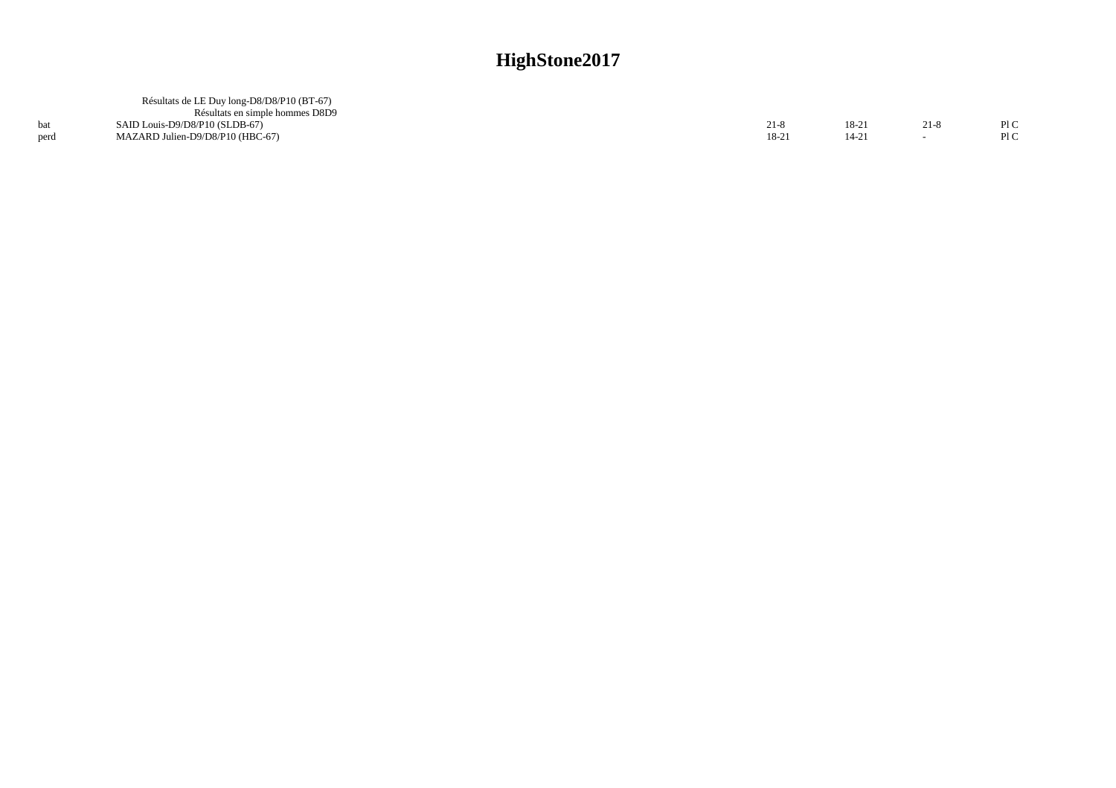|      | Résultats de LE Duy long-D8/D8/P10 (BT-67) |        |       |      |      |
|------|--------------------------------------------|--------|-------|------|------|
|      | Résultats en simple hommes D8D9            |        |       |      |      |
|      | SAID Louis-D9/D8/P10 (SLDB-67)             | 21-8   | 18-21 | 21-8 | PLC  |
| perd | MAZARD Julien-D9/D8/P10 (HBC-67)           | $18-2$ | 14-21 |      | Pl C |
|      |                                            |        |       |      |      |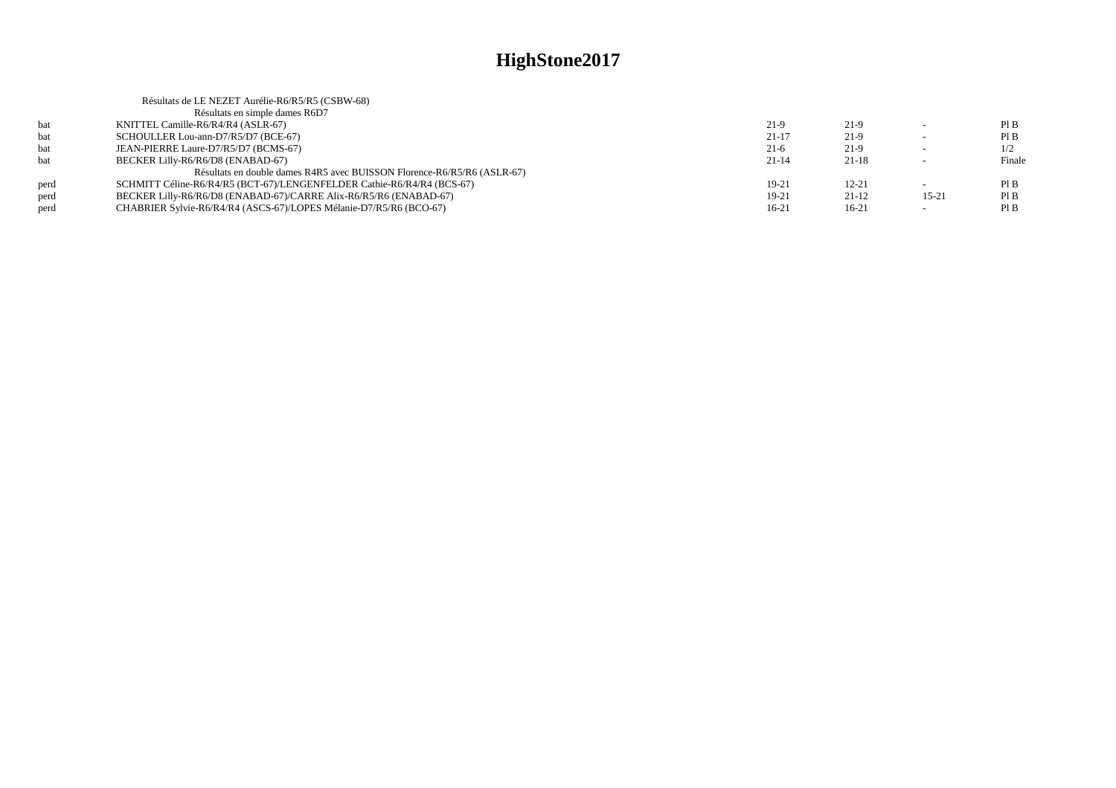|      | Résultats de LE NEZET Aurélie-R6/R5/R5 (CSBW-68)                        |           |           |                          |        |
|------|-------------------------------------------------------------------------|-----------|-----------|--------------------------|--------|
|      | Résultats en simple dames R6D7                                          |           |           |                          |        |
| bat  | KNITTEL Camille-R6/R4/R4 (ASLR-67)                                      | $21-9$    | $21-9$    | $\overline{\phantom{0}}$ | PIB    |
| bat  | SCHOULLER Lou-ann-D7/R5/D7 (BCE-67)                                     | $21 - 17$ | $21-9$    | $\sim$                   | PIB    |
| bat  | JEAN-PIERRE Laure-D7/R5/D7 (BCMS-67)                                    | $21-6$    | $21-9$    |                          | 1/2    |
| hat  | BECKER Lilly-R6/R6/D8 (ENABAD-67)                                       | $21 - 14$ | $21-18$   | $\sim$                   | Finale |
|      | Résultats en double dames R4R5 avec BUISSON Florence-R6/R5/R6 (ASLR-67) |           |           |                          |        |
| perd | SCHMITT Céline-R6/R4/R5 (BCT-67)/LENGENFELDER Cathie-R6/R4/R4 (BCS-67)  | $19-21$   | $12 - 21$ |                          | PIB    |
| perd | BECKER Lilly-R6/R6/D8 (ENABAD-67)/CARRE Alix-R6/R5/R6 (ENABAD-67)       | 19-21     | $21-12$   | $15 - 21$                | PIB    |
| perd | CHABRIER Sylvie-R6/R4/R4 (ASCS-67)/LOPES Mélanie-D7/R5/R6 (BCO-67)      | $16 - 21$ | $16-21$   |                          | PIB    |
|      |                                                                         |           |           |                          |        |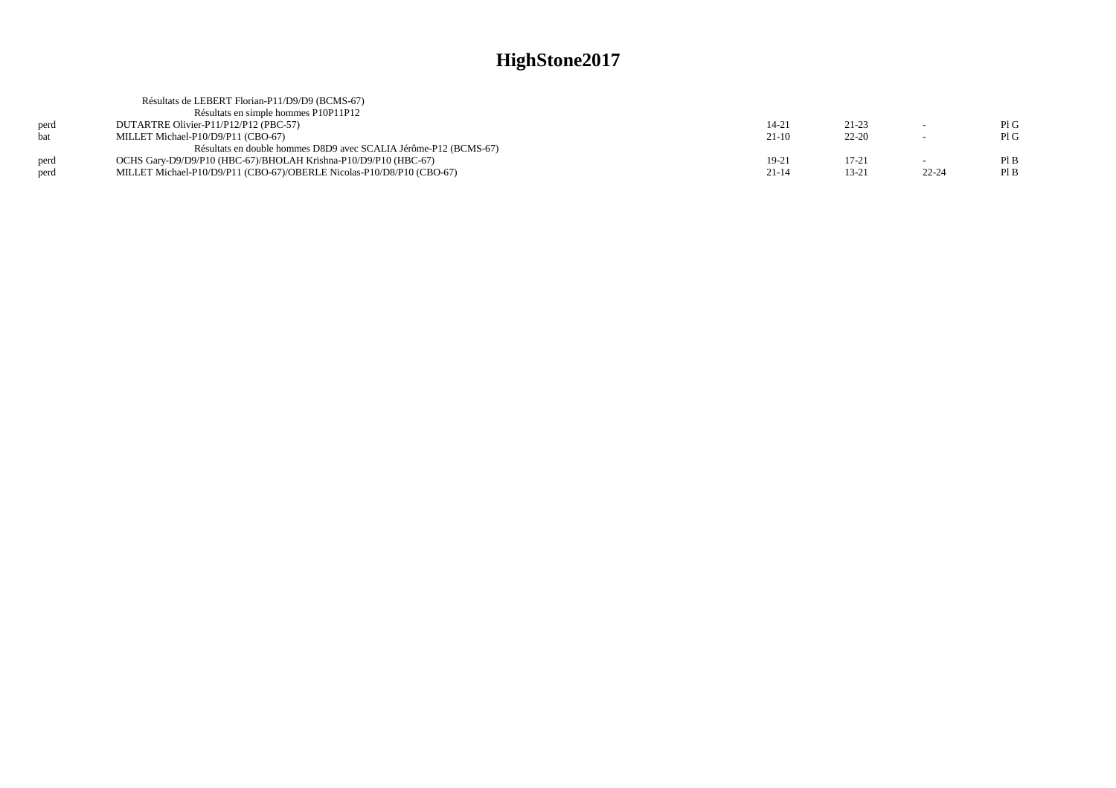|      | Résultats de LEBERT Florian-P11/D9/D9 (BCMS-67)                       |           |           |                          |      |
|------|-----------------------------------------------------------------------|-----------|-----------|--------------------------|------|
|      | Résultats en simple hommes P10P11P12                                  |           |           |                          |      |
| perd | DUTARTRE Olivier-P11/P12/P12 (PBC-57)                                 | $14 - 21$ | $21 - 23$ |                          | PIG  |
| hat  | MILLET Michael-P10/D9/P11 (CBO-67)                                    | $21-10$   | $22 - 20$ | $\overline{\phantom{0}}$ | PIG  |
|      | Résultats en double hommes D8D9 avec SCALIA Jérôme-P12 (BCMS-67)      |           |           |                          |      |
| perd | OCHS Gary-D9/D9/P10 (HBC-67)/BHOLAH Krishna-P10/D9/P10 (HBC-67)       | 19-21     | $17 - 21$ |                          | PIB  |
| perd | MILLET Michael-P10/D9/P11 (CBO-67)/OBERLE Nicolas-P10/D8/P10 (CBO-67) | $21 - 14$ | 13-21     | $22 - 24$                | Pl B |
|      |                                                                       |           |           |                          |      |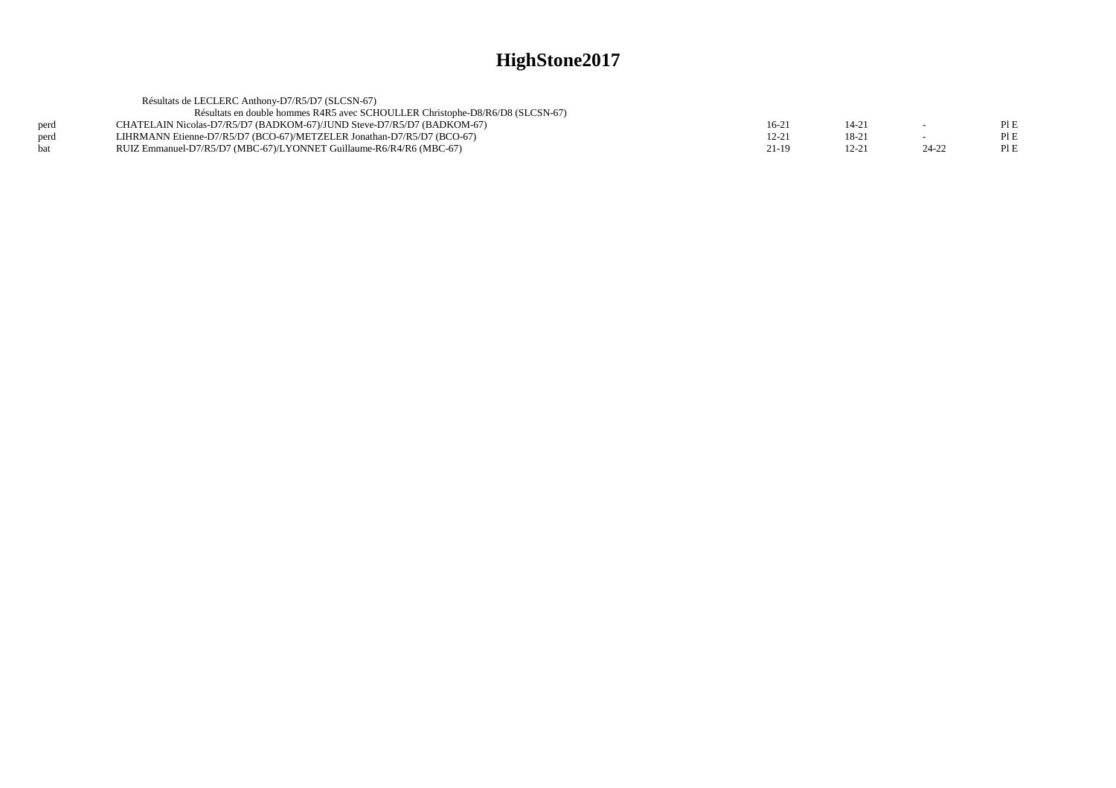|      | Résultats de LECLERC Anthony-D7/R5/D7 (SLCSN-67)                              |           |           |           |      |
|------|-------------------------------------------------------------------------------|-----------|-----------|-----------|------|
|      | Résultats en double hommes R4R5 avec SCHOULLER Christophe-D8/R6/D8 (SLCSN-67) |           |           |           |      |
| perd | CHATELAIN Nicolas-D7/R5/D7 (BADKOM-67)/JUND Steve-D7/R5/D7 (BADKOM-67)        | $16-21$   | 14-21     |           | PI E |
| perd | LIHRMANN Etienne-D7/R5/D7 (BCO-67)/METZELER Jonathan-D7/R5/D7 (BCO-67)        | $12 - 21$ | $18-2$    |           |      |
| bat  | RUIZ Emmanuel-D7/R5/D7 (MBC-67)/LYONNET Guillaume-R6/R4/R6 (MBC-67)           | 21-19     | $12 - 21$ | $24 - 22$ |      |
|      |                                                                               |           |           |           |      |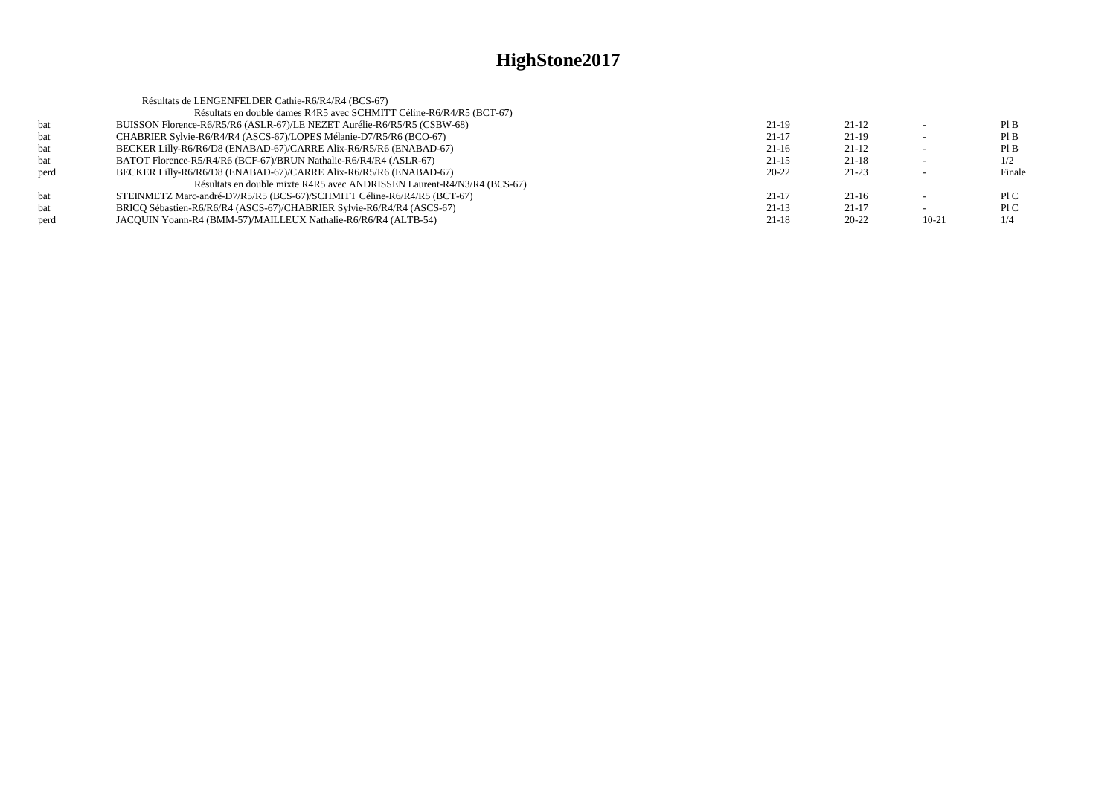|      | Résultats de LENGENFELDER Cathie-R6/R4/R4 (BCS-67)                      |           |           |         |        |
|------|-------------------------------------------------------------------------|-----------|-----------|---------|--------|
|      | Résultats en double dames R4R5 avec SCHMITT Céline-R6/R4/R5 (BCT-67)    |           |           |         |        |
| bat  | BUISSON Florence-R6/R5/R6 (ASLR-67)/LE NEZET Aurélie-R6/R5/R5 (CSBW-68) | $21-19$   | $21-12$   |         | PIB    |
| bat  | CHABRIER Sylvie-R6/R4/R4 (ASCS-67)/LOPES Mélanie-D7/R5/R6 (BCO-67)      | $21 - 17$ | $21-19$   |         | PIB    |
| bat  | BECKER Lilly-R6/R6/D8 (ENABAD-67)/CARRE Alix-R6/R5/R6 (ENABAD-67)       | $21-16$   | $21-12$   |         | PIB    |
| bat  | BATOT Florence-R5/R4/R6 (BCF-67)/BRUN Nathalie-R6/R4/R4 (ASLR-67)       | $21-15$   | $21 - 18$ |         | 1/2    |
| perd | BECKER Lilly-R6/R6/D8 (ENABAD-67)/CARRE Alix-R6/R5/R6 (ENABAD-67)       | $20 - 22$ | $21 - 23$ |         | Finale |
|      | Résultats en double mixte R4R5 avec ANDRISSEN Laurent-R4/N3/R4 (BCS-67) |           |           |         |        |
| bat  | STEINMETZ Marc-andré-D7/R5/R5 (BCS-67)/SCHMITT Céline-R6/R4/R5 (BCT-67) | $21 - 17$ | $21-16$   |         | P1C    |
| bat  | BRICO Sébastien-R6/R6/R4 (ASCS-67)/CHABRIER Sylvie-R6/R4/R4 (ASCS-67)   | $21-13$   | $21-17$   |         | P1C    |
| perd | JACQUIN Yoann-R4 (BMM-57)/MAILLEUX Nathalie-R6/R6/R4 (ALTB-54)          | $21 - 18$ | $20 - 22$ | $10-21$ | 1/4    |
|      |                                                                         |           |           |         |        |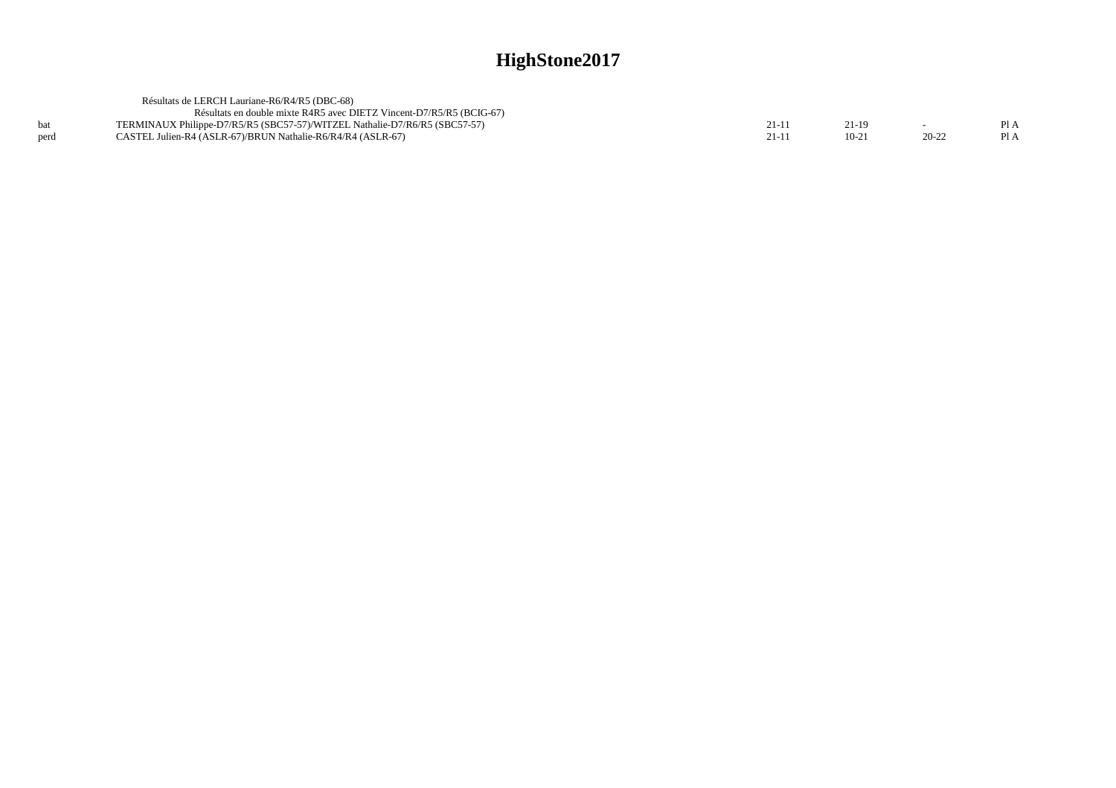|      | Résultats de LERCH Lauriane-R6/R4/R5 (DBC-68)                              |        |         |           |      |
|------|----------------------------------------------------------------------------|--------|---------|-----------|------|
|      | Résultats en double mixte R4R5 avec DIETZ Vincent-D7/R5/R5 (BCIG-67)       |        |         |           |      |
|      | TERMINAUX Philippe-D7/R5/R5 (SBC57-57)/WITZEL Nathalie-D7/R6/R5 (SBC57-57) | $21-1$ | 21-19   | $\sim$    | Pl A |
| perd | CASTEL Julien-R4 (ASLR-67)/BRUN Nathalie-R6/R4/R4 (ASLR-67)                | $21-1$ | $10-21$ | $20 - 22$ | PI A |
|      |                                                                            |        |         |           |      |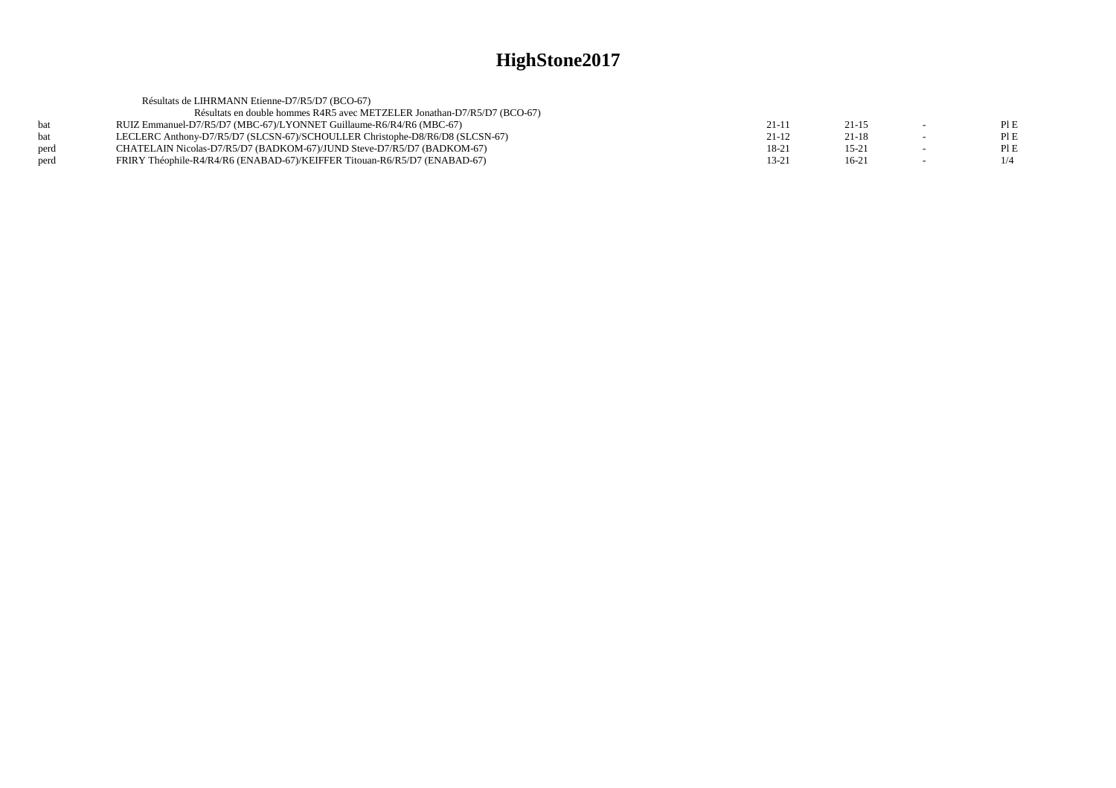|            | Résultats de LIHRMANN Etienne-D7/R5/D7 (BCO-67)                              |           |           |                          |     |
|------------|------------------------------------------------------------------------------|-----------|-----------|--------------------------|-----|
|            | Résultats en double hommes R4R5 avec METZELER Jonathan-D7/R5/D7 (BCO-67)     |           |           |                          |     |
| <b>bat</b> | RUIZ Emmanuel-D7/R5/D7 (MBC-67)/LYONNET Guillaume-R6/R4/R6 (MBC-67)          | $21-11$   | $21 - 15$ | $\sim$                   | PIE |
| <b>bat</b> | LECLERC Anthony-D7/R5/D7 (SLCSN-67)/SCHOULLER Christophe-D8/R6/D8 (SLCSN-67) | $21-12$   | $21 - 18$ | $\overline{\phantom{0}}$ | PIE |
| perd       | CHATELAIN Nicolas-D7/R5/D7 (BADKOM-67)/JUND Steve-D7/R5/D7 (BADKOM-67)       | 18-21     | $15 - 21$ | $\sim$                   | PIE |
| perd       | FRIRY Théophile-R4/R4/R6 (ENABAD-67)/KEIFFER Titouan-R6/R5/D7 (ENABAD-67)    | $13 - 21$ | $16-21$   | $\sim$                   | 1/4 |
|            |                                                                              |           |           |                          |     |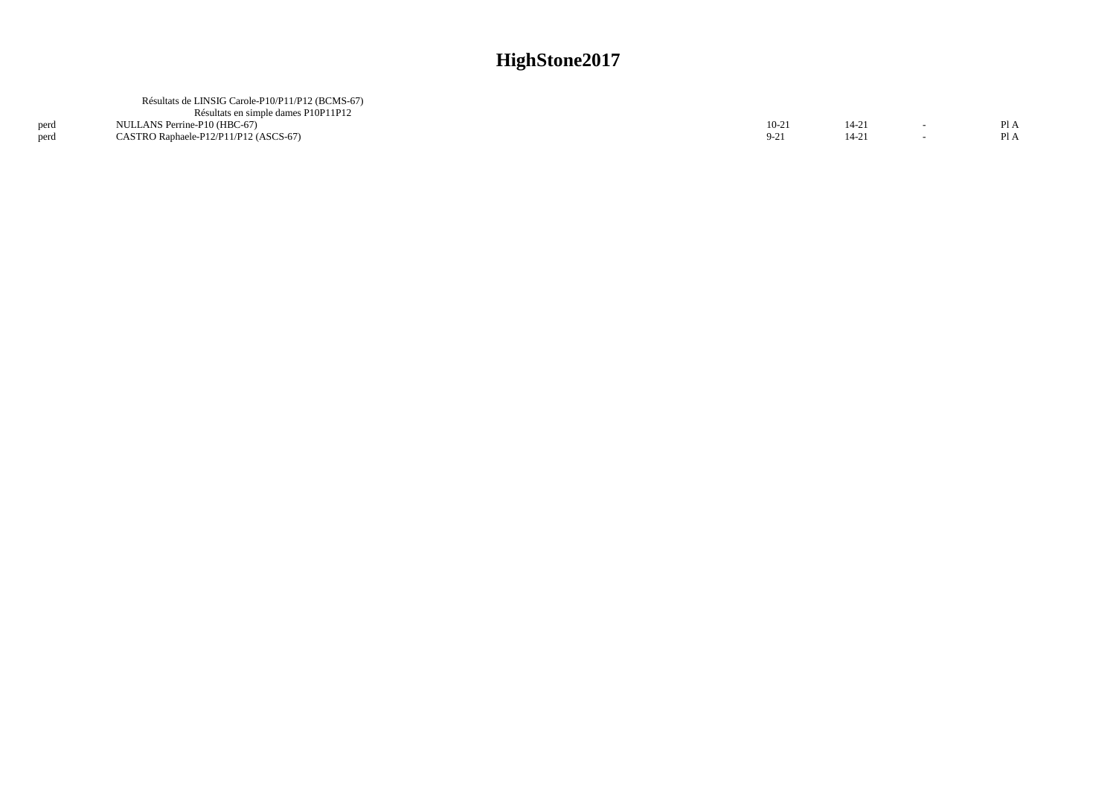|      | Résultats de LINSIG Carole-P10/P11/P12 (BCMS-67) |        |  |      |
|------|--------------------------------------------------|--------|--|------|
|      | Résultats en simple dames P10P11P12              |        |  |      |
| perd | NULLANS Perrine-P10 (HBC-67)                     | $10-2$ |  | Pl A |
| perd | CASTRO Raphaele-P12/P11/P12 (ASCS-67)            |        |  | PI A |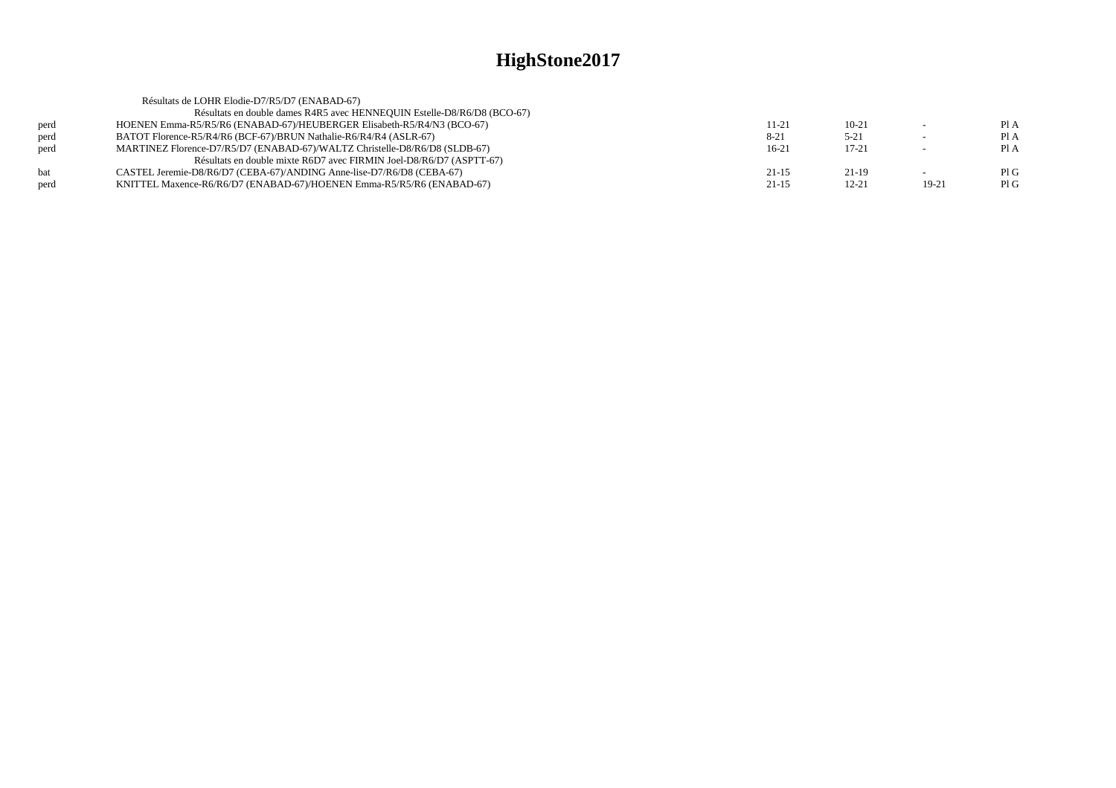|            | Résultats de LOHR Elodie-D7/R5/D7 (ENABAD-67)                              |           |           |        |      |
|------------|----------------------------------------------------------------------------|-----------|-----------|--------|------|
|            | Résultats en double dames R4R5 avec HENNEOUIN Estelle-D8/R6/D8 (BCO-67)    |           |           |        |      |
| perd       | HOENEN Emma-R5/R5/R6 (ENABAD-67)/HEUBERGER Elisabeth-R5/R4/N3 (BCO-67)     | 11-21     | $10 - 21$ |        | PI A |
| perd       | BATOT Florence-R5/R4/R6 (BCF-67)/BRUN Nathalie-R6/R4/R4 (ASLR-67)          | $8 - 21$  | $5 - 21$  | $\sim$ | Pl A |
| perd       | MARTINEZ Florence-D7/R5/D7 (ENABAD-67)/WALTZ Christelle-D8/R6/D8 (SLDB-67) | $16-21$   | $17 - 21$ |        | PI A |
|            | Résultats en double mixte R6D7 avec FIRMIN Joel-D8/R6/D7 (ASPTT-67)        |           |           |        |      |
| <b>bat</b> | CASTEL Jeremie-D8/R6/D7 (CEBA-67)/ANDING Anne-lise-D7/R6/D8 (CEBA-67)      | $21 - 15$ | $21-19$   |        | PIG  |
| perd       | KNITTEL Maxence-R6/R6/D7 (ENABAD-67)/HOENEN Emma-R5/R5/R6 (ENABAD-67)      | $21 - 15$ | $12 - 21$ | 19-21  | PIG  |
|            |                                                                            |           |           |        |      |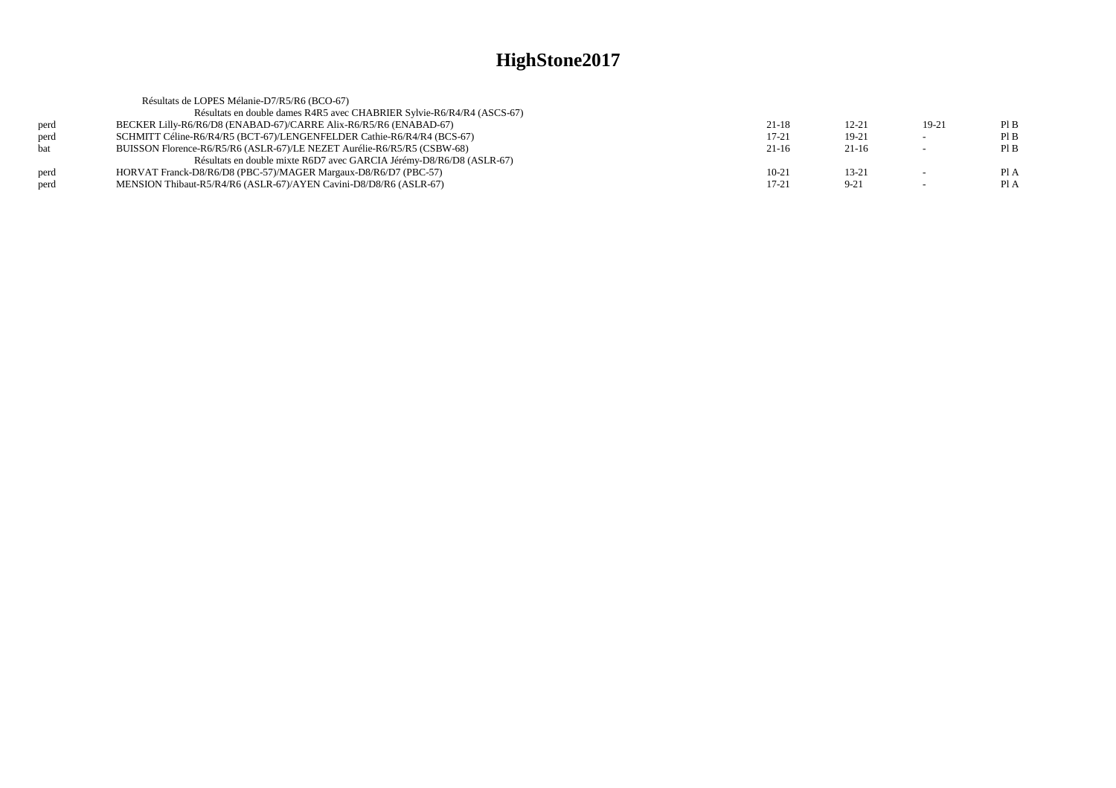|            | Résultats de LOPES Mélanie-D7/R5/R6 (BCO-67)                            |           |           |                          |      |
|------------|-------------------------------------------------------------------------|-----------|-----------|--------------------------|------|
|            | Résultats en double dames R4R5 avec CHABRIER Sylvie-R6/R4/R4 (ASCS-67)  |           |           |                          |      |
| perd       | BECKER Lilly-R6/R6/D8 (ENABAD-67)/CARRE Alix-R6/R5/R6 (ENABAD-67)       | $21-18$   | $12 - 21$ | 19-21                    | PIB  |
| perd       | SCHMITT Céline-R6/R4/R5 (BCT-67)/LENGENFELDER Cathie-R6/R4/R4 (BCS-67)  | $17 - 21$ | $19-21$   | $\sim$                   | PIB  |
| <b>bat</b> | BUISSON Florence-R6/R5/R6 (ASLR-67)/LE NEZET Aurélie-R6/R5/R5 (CSBW-68) | $21-16$   | $21-16$   | $\overline{\phantom{a}}$ | PIB  |
|            | Résultats en double mixte R6D7 avec GARCIA Jérémy-D8/R6/D8 (ASLR-67)    |           |           |                          |      |
| perd       | HORVAT Franck-D8/R6/D8 (PBC-57)/MAGER Margaux-D8/R6/D7 (PBC-57)         | $10-21$   | $13 - 21$ |                          | Pl A |
| perd       | MENSION Thibaut-R5/R4/R6 (ASLR-67)/AYEN Cavini-D8/D8/R6 (ASLR-67)       | 17-21     | $9 - 21$  |                          | Pl A |
|            |                                                                         |           |           |                          |      |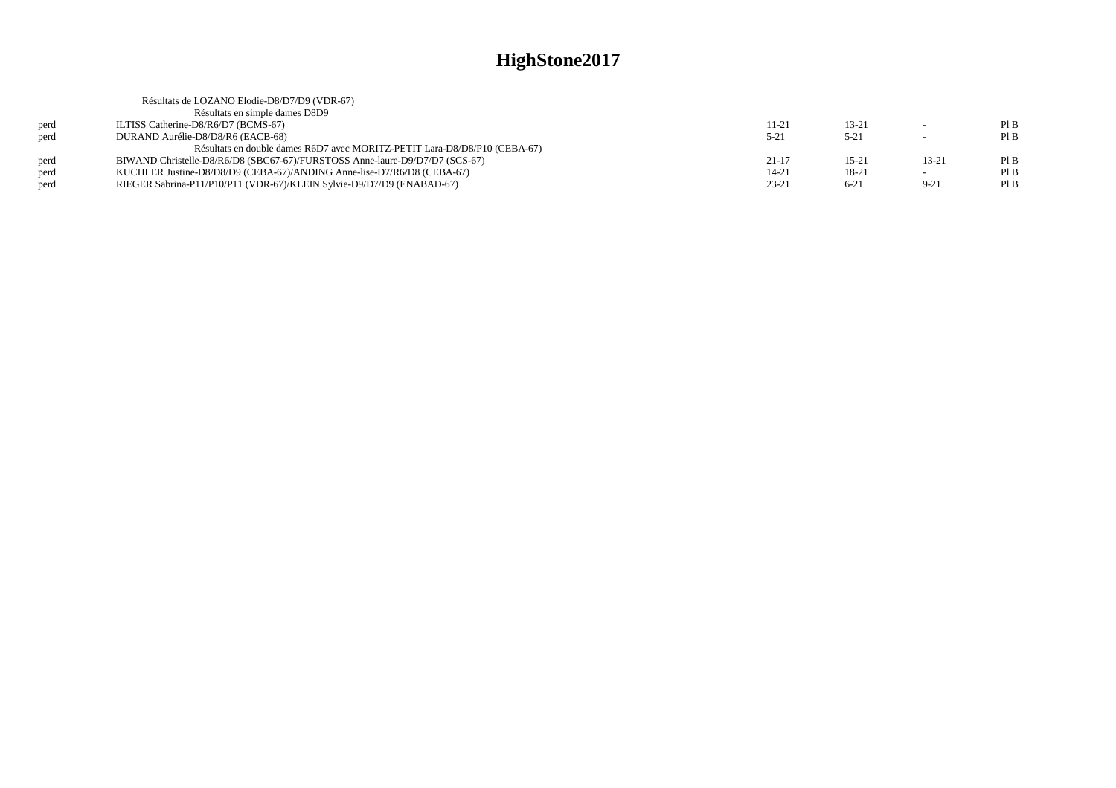|      | Résultats de LOZANO Elodie-D8/D7/D9 (VDR-67)                                |           |           |          |     |
|------|-----------------------------------------------------------------------------|-----------|-----------|----------|-----|
|      | Résultats en simple dames D8D9                                              |           |           |          |     |
| perd | ILTISS Catherine-D8/R6/D7 (BCMS-67)                                         | 11-21     | $13 - 21$ |          | PIB |
| perd | DURAND Aurélie-D8/D8/R6 (EACB-68)                                           | $5 - 21$  | $5 - 21$  |          | PIB |
|      | Résultats en double dames R6D7 avec MORITZ-PETIT Lara-D8/D8/P10 (CEBA-67)   |           |           |          |     |
| perd | BIWAND Christelle-D8/R6/D8 (SBC67-67)/FURSTOSS Anne-laure-D9/D7/D7 (SCS-67) | $21 - 17$ | $15 - 21$ | 13-21    | PIB |
| perd | KUCHLER Justine-D8/D8/D9 (CEBA-67)/ANDING Anne-lise-D7/R6/D8 (CEBA-67)      | $14 - 21$ | 18-21     |          | PIB |
| perd | RIEGER Sabrina-P11/P10/P11 (VDR-67)/KLEIN Sylvie-D9/D7/D9 (ENABAD-67)       | $23 - 21$ | $6 - 21$  | $9 - 21$ | PIB |
|      |                                                                             |           |           |          |     |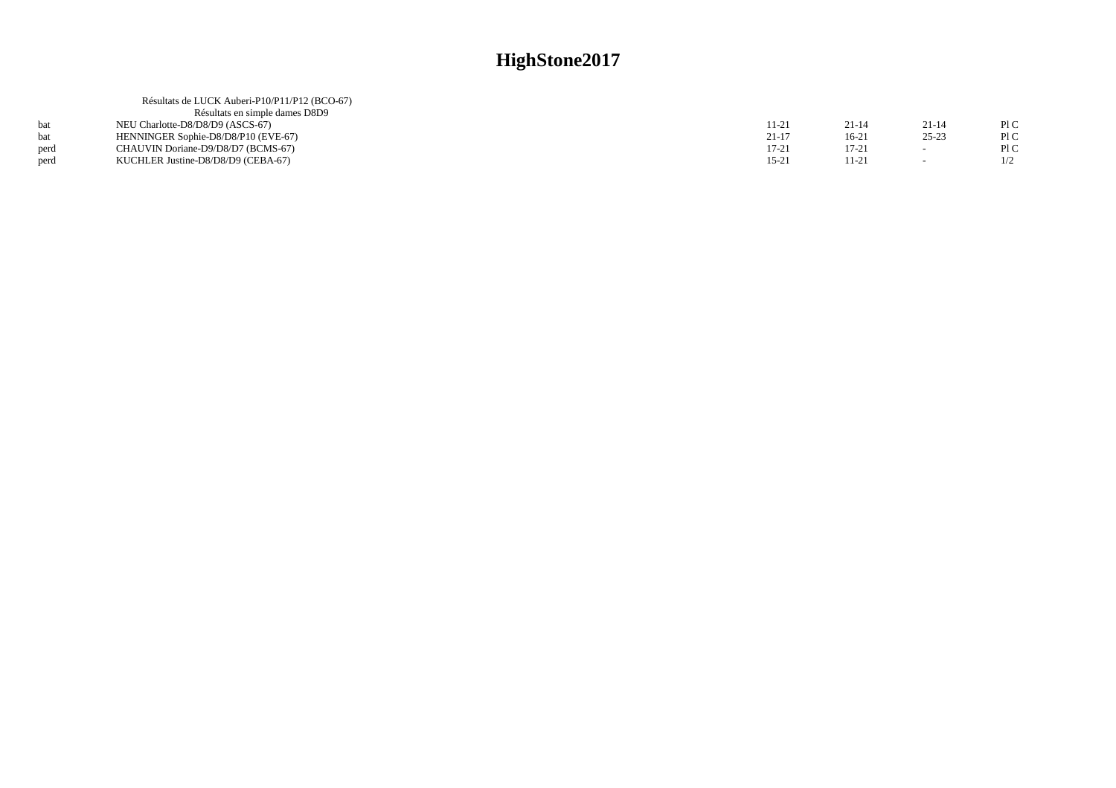|      | Résultats de LUCK Auberi-P10/P11/P12 (BCO-67) |           |           |           |     |
|------|-----------------------------------------------|-----------|-----------|-----------|-----|
|      | Résultats en simple dames D8D9                |           |           |           |     |
|      | NEU Charlotte-D8/D8/D9 (ASCS-67)              | 11-21     | 21-14     | $21 - 14$ | P1C |
|      | HENNINGER Sophie-D8/D8/P10 (EVE-67)           | $21 - 17$ | $16-21$   | $25 - 23$ | P1C |
| perd | CHAUVIN Doriane-D9/D8/D7 (BCMS-67)            | $17 - 21$ | $17 - 21$ |           | P1C |
| perd | KUCHLER Justine-D8/D8/D9 (CEBA-67)            | $15 - 21$ | 11-21     | $\sim$    |     |
|      |                                               |           |           |           |     |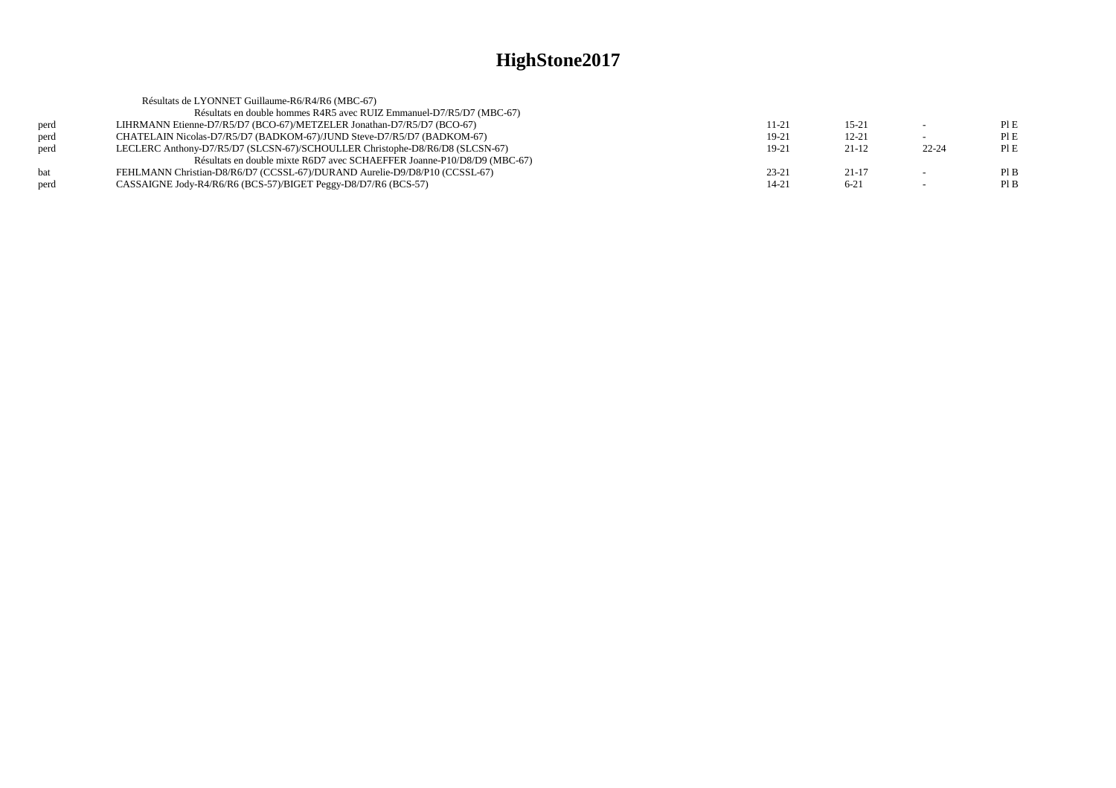|            | Résultats de LYONNET Guillaume-R6/R4/R6 (MBC-67)                             |           |           |           |      |
|------------|------------------------------------------------------------------------------|-----------|-----------|-----------|------|
|            | Résultats en double hommes R4R5 avec RUIZ Emmanuel-D7/R5/D7 (MBC-67)         |           |           |           |      |
| perd       | LIHRMANN Etienne-D7/R5/D7 (BCO-67)/METZELER Jonathan-D7/R5/D7 (BCO-67)       | $11 - 21$ | $15 - 21$ |           | PIE  |
| perd       | CHATELAIN Nicolas-D7/R5/D7 (BADKOM-67)/JUND Steve-D7/R5/D7 (BADKOM-67)       | 19-21     | $12 - 21$ | $\sim$    | PIE  |
| perd       | LECLERC Anthony-D7/R5/D7 (SLCSN-67)/SCHOULLER Christophe-D8/R6/D8 (SLCSN-67) | 19-21     | $21-12$   | $22 - 24$ | PI E |
|            | Résultats en double mixte R6D7 avec SCHAEFFER Joanne-P10/D8/D9 (MBC-67)      |           |           |           |      |
| <b>bat</b> | FEHLMANN Christian-D8/R6/D7 (CCSSL-67)/DURAND Aurelie-D9/D8/P10 (CCSSL-67)   | $23 - 21$ | $21-17$   |           | PIB  |
| perd       | CASSAIGNE Jody-R4/R6/R6 (BCS-57)/BIGET Peggy-D8/D7/R6 (BCS-57)               | $14 - 21$ | $6 - 21$  |           | Pl B |
|            |                                                                              |           |           |           |      |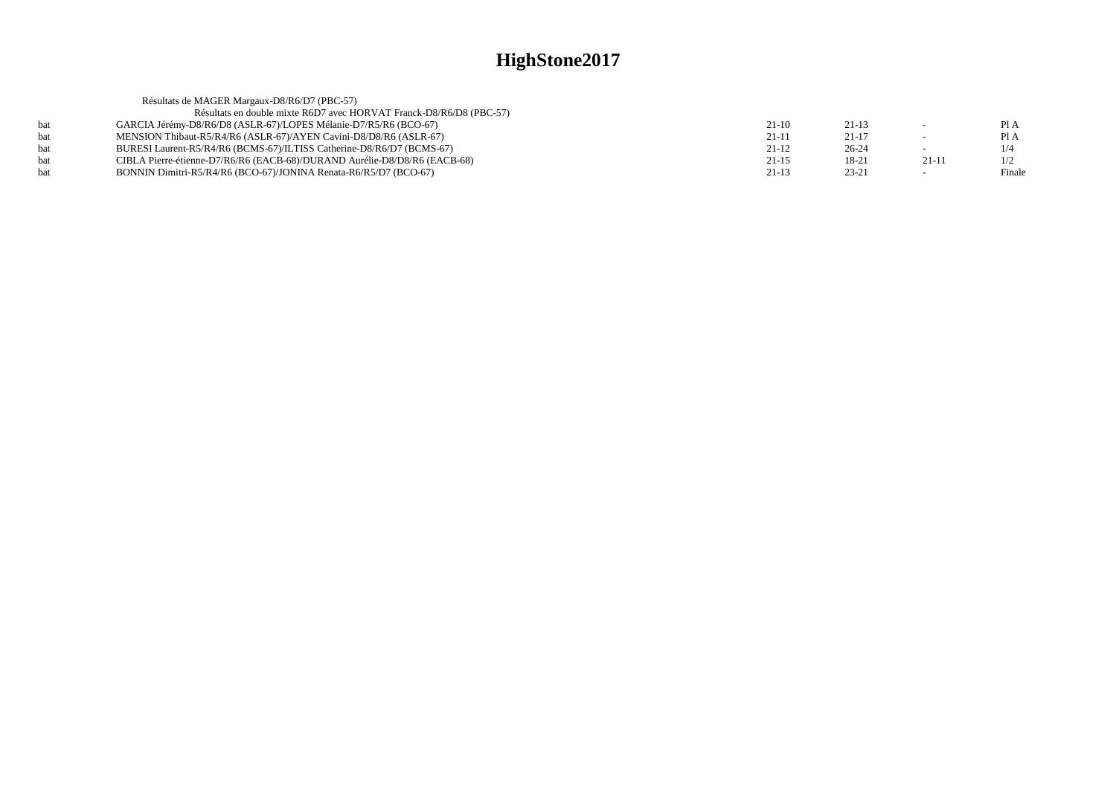|     | Résultats de MAGER Margaux-D8/R6/D7 (PBC-57)                              |         |           |         |        |
|-----|---------------------------------------------------------------------------|---------|-----------|---------|--------|
|     | Résultats en double mixte R6D7 avec HORVAT Franck-D8/R6/D8 (PBC-57)       |         |           |         |        |
| hat | GARCIA Jérémy-D8/R6/D8 (ASLR-67)/LOPES Mélanie-D7/R5/R6 (BCO-67)          | $21-10$ | $21-13$   |         | Pl A   |
| bat | MENSION Thibaut-R5/R4/R6 (ASLR-67)/AYEN Cavini-D8/D8/R6 (ASLR-67)         | $21-11$ | $21 - 17$ |         | Pl A   |
| hat | BURESI Laurent-R5/R4/R6 (BCMS-67)/ILTISS Catherine-D8/R6/D7 (BCMS-67)     | $21-12$ | $26 - 24$ |         | 1/4    |
|     | CIBLA Pierre-étienne-D7/R6/R6 (EACB-68)/DURAND Aurélie-D8/D8/R6 (EACB-68) | $21-15$ | 18-21     | $21-11$ | 1/2    |
|     | BONNIN Dimitri-R5/R4/R6 (BCO-67)/JONINA Renata-R6/R5/D7 (BCO-67)          | $21-13$ | $23 - 21$ |         | Finale |
|     |                                                                           |         |           |         |        |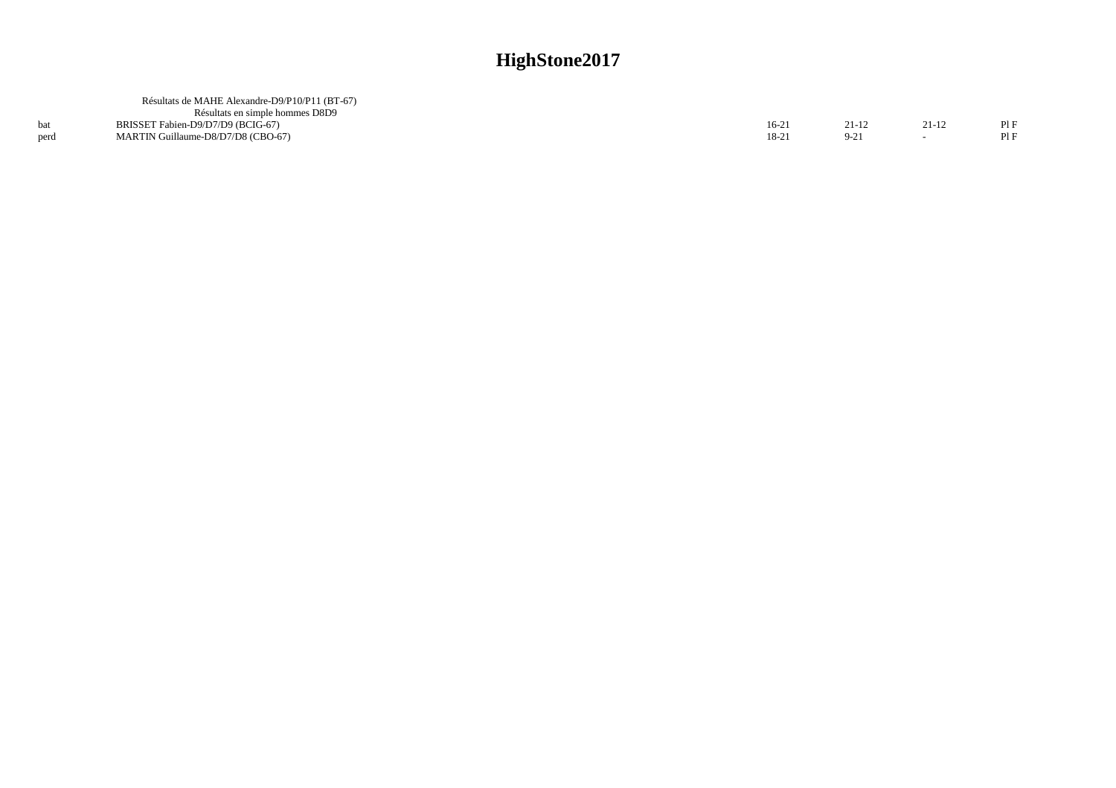|      | Résultats de MAHE Alexandre-D9/P10/P11 (BT-67) |           |        |       |     |
|------|------------------------------------------------|-----------|--------|-------|-----|
|      | Résultats en simple hommes D8D9                |           |        |       |     |
|      | BRISSET Fabien-D9/D7/D9 (BCIG-67)              | $16 - 21$ | 21-12  | 21-12 | PIF |
| perd | MARTIN Guillaume-D8/D7/D8 (CBO-67)             | 18-21     | $9-21$ |       | PIF |
|      |                                                |           |        |       |     |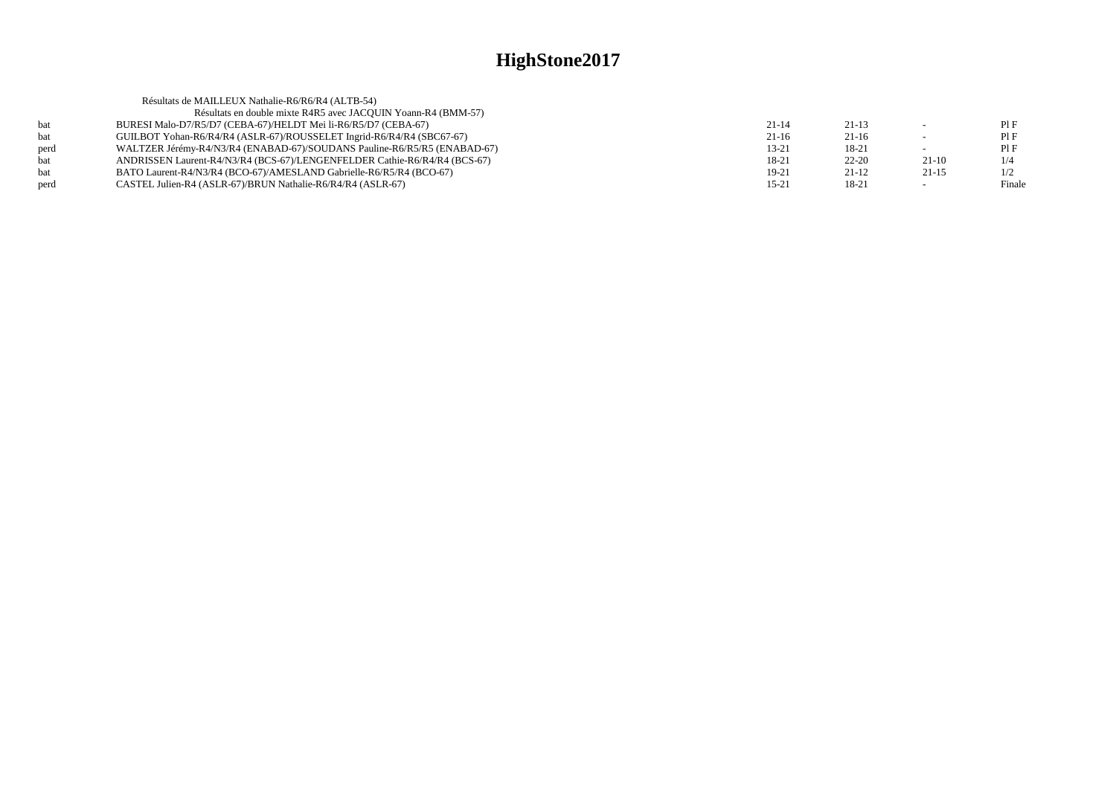|      | Résultats de MAILLEUX Nathalie-R6/R6/R4 (ALTB-54)                         |           |           |         |        |
|------|---------------------------------------------------------------------------|-----------|-----------|---------|--------|
|      | Résultats en double mixte R4R5 avec JACQUIN Yoann-R4 (BMM-57)             |           |           |         |        |
| hat  | BURESI Malo-D7/R5/D7 (CEBA-67)/HELDT Mei li-R6/R5/D7 (CEBA-67)            | $21 - 14$ | $21-13$   |         | PIF    |
| bat  | GUILBOT Yohan-R6/R4/R4 (ASLR-67)/ROUSSELET Ingrid-R6/R4/R4 (SBC67-67)     | $21-16$   | $21-16$   | $\sim$  | PIF    |
| perd | WALTZER Jérémy-R4/N3/R4 (ENABAD-67)/SOUDANS Pauline-R6/R5/R5 (ENABAD-67)  | $13 - 21$ | 18-21     |         | PIF    |
| bat  | ANDRISSEN Laurent-R4/N3/R4 (BCS-67)/LENGENFELDER Cathie-R6/R4/R4 (BCS-67) | 18-21     | $22 - 20$ | $21-10$ | 1/4    |
| bat  | BATO Laurent-R4/N3/R4 (BCO-67)/AMESLAND Gabrielle-R6/R5/R4 (BCO-67)       | 19-21     | $21-12$   | $21-15$ | 1/2    |
| perd | CASTEL Julien-R4 (ASLR-67)/BRUN Nathalie-R6/R4/R4 (ASLR-67)               | $15 - 21$ | 18-21     | $\sim$  | Finale |
|      |                                                                           |           |           |         |        |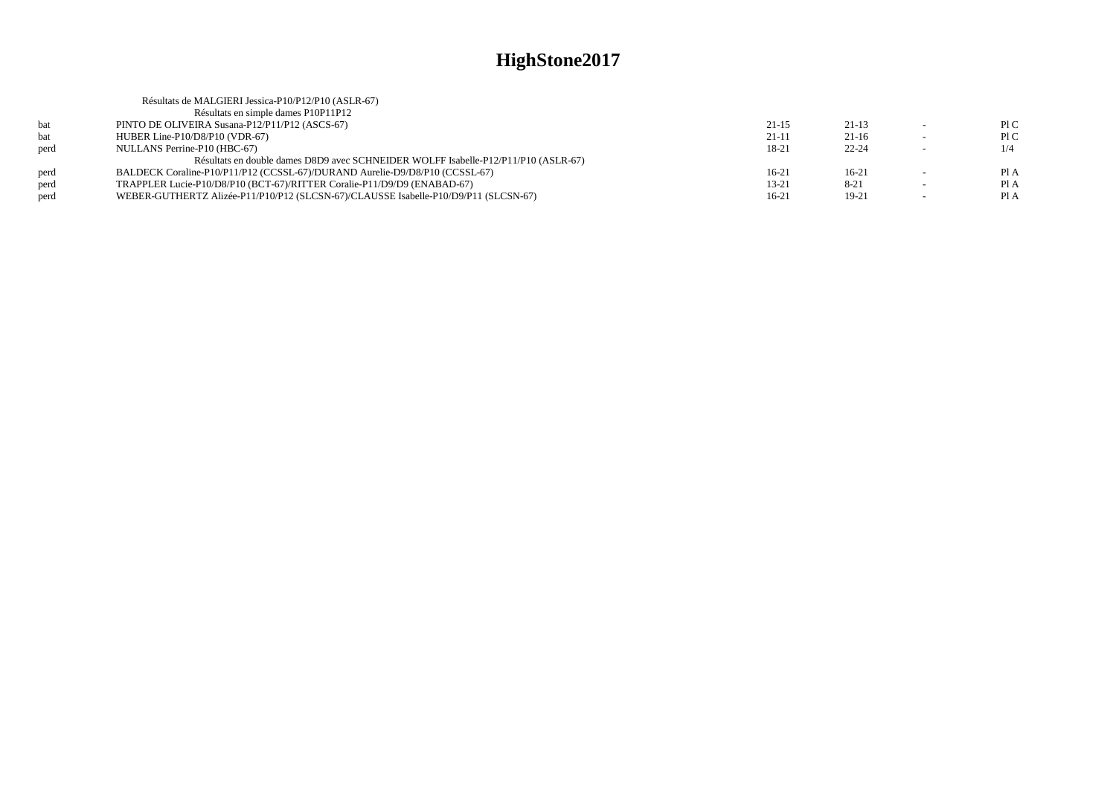|      | Résultats de MALGIERI Jessica-P10/P12/P10 (ASLR-67)                                 |           |           |        |      |
|------|-------------------------------------------------------------------------------------|-----------|-----------|--------|------|
|      | Résultats en simple dames P10P11P12                                                 |           |           |        |      |
| bat  | PINTO DE OLIVEIRA Susana-P12/P11/P12 (ASCS-67)                                      | $21 - 15$ | $21-13$   |        | P1C  |
| bat  | HUBER Line-P10/D8/P10 (VDR-67)                                                      | $21 - 11$ | $21-16$   | $\sim$ | P1C  |
| perd | NULLANS Perrine-P10 (HBC-67)                                                        | 18-21     | $22 - 24$ |        | 1/4  |
|      | Résultats en double dames D8D9 avec SCHNEIDER WOLFF Isabelle-P12/P11/P10 (ASLR-67)  |           |           |        |      |
| perd | BALDECK Coraline-P10/P11/P12 (CCSSL-67)/DURAND Aurelie-D9/D8/P10 (CCSSL-67)         | $16-21$   | $16-21$   |        | Pl A |
| perd | TRAPPLER Lucie-P10/D8/P10 (BCT-67)/RITTER Coralie-P11/D9/D9 (ENABAD-67)             | $13 - 21$ | $8-21$    | $\sim$ | Pl A |
| perd | WEBER-GUTHERTZ Alizée-P11/P10/P12 (SLCSN-67)/CLAUSSE Isabelle-P10/D9/P11 (SLCSN-67) | $16-21$   | $19-21$   |        | Pl A |
|      |                                                                                     |           |           |        |      |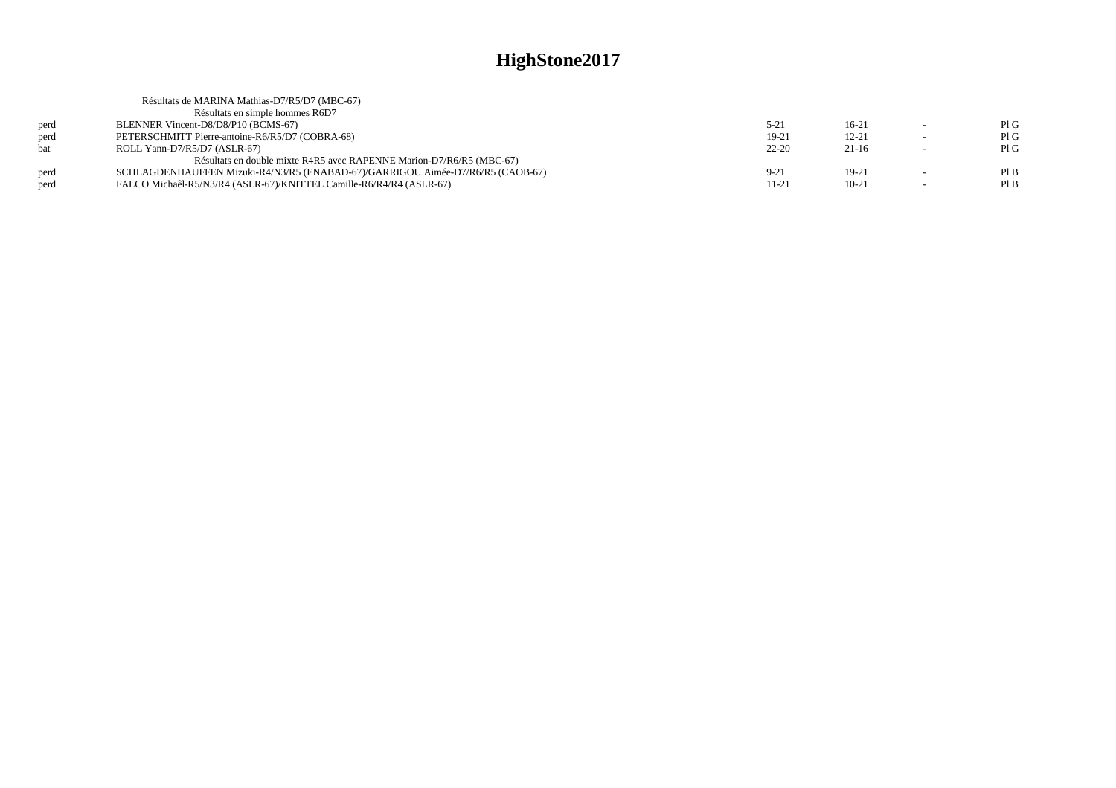|            | Résultats de MARINA Mathias-D7/R5/D7 (MBC-67)                                  |           |           |                          |     |
|------------|--------------------------------------------------------------------------------|-----------|-----------|--------------------------|-----|
|            | Résultats en simple hommes R6D7                                                |           |           |                          |     |
| perd       | BLENNER Vincent-D8/D8/P10 (BCMS-67)                                            | $5 - 21$  | $16-21$   |                          | PIG |
| perd       | PETERSCHMITT Pierre-antoine-R6/R5/D7 (COBRA-68)                                | 19-21     | $12 - 21$ | $\overline{\phantom{a}}$ | PIG |
| <b>bat</b> | ROLL Yann-D7/R5/D7 (ASLR-67)                                                   | $22 - 20$ | $21-16$   |                          | PIG |
|            | Résultats en double mixte R4R5 avec RAPENNE Marion-D7/R6/R5 (MBC-67)           |           |           |                          |     |
| perd       | SCHLAGDENHAUFFEN Mizuki-R4/N3/R5 (ENABAD-67)/GARRIGOU Aimée-D7/R6/R5 (CAOB-67) | $9 - 21$  | $19-21$   | $\sim$                   | PIB |
| perd       | FALCO Michaêl-R5/N3/R4 (ASLR-67)/KNITTEL Camille-R6/R4/R4 (ASLR-67)            | 11-21     | $10-21$   |                          | PIB |
|            |                                                                                |           |           |                          |     |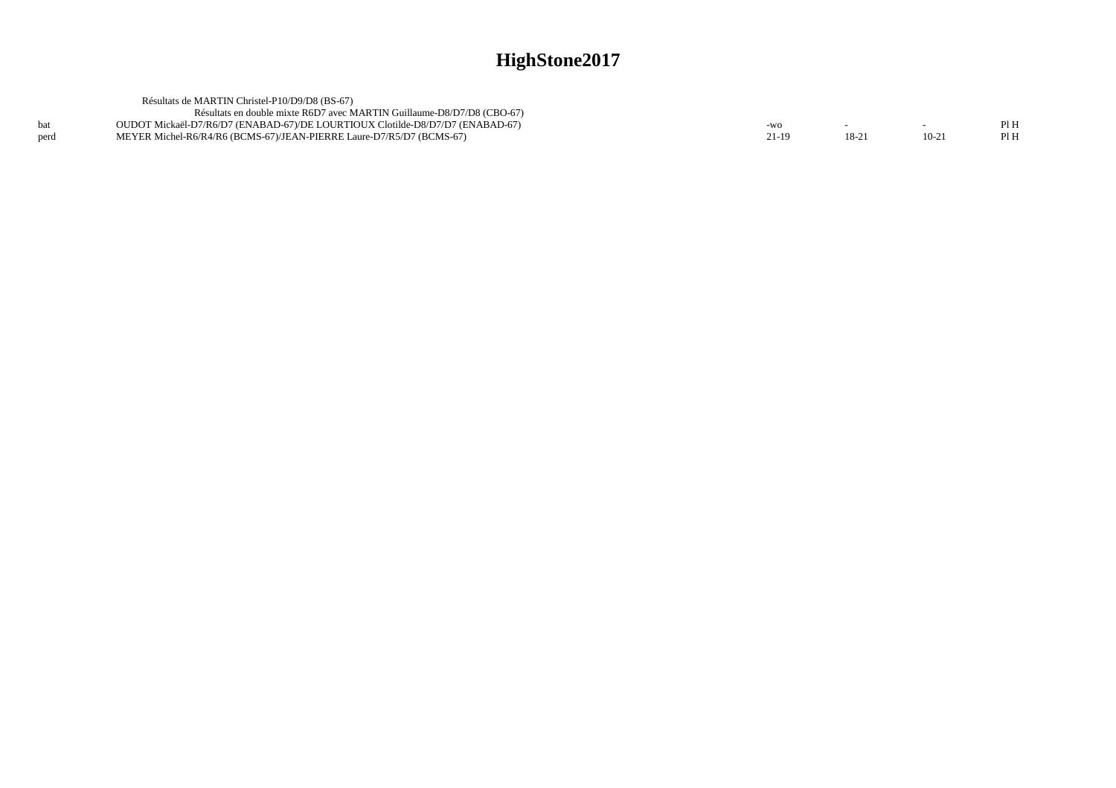|      | Résultats de MARTIN Christel-P10/D9/D8 (BS-67)                                |       |        |         |      |
|------|-------------------------------------------------------------------------------|-------|--------|---------|------|
|      | Résultats en double mixte R6D7 avec MARTIN Guillaume-D8/D7/D8 (CBO-67)        |       |        |         |      |
|      | OUDOT Mickaël-D7/R6/D7 (ENABAD-67)/DE LOURTIOUX Clotilde-D8/D7/D7 (ENABAD-67) | $-WO$ |        |         | PI H |
| perd | MEYER Michel-R6/R4/R6 (BCMS-67)/JEAN-PIERRE Laure-D7/R5/D7 (BCMS-67)          | 21-19 | $18-2$ | $10-21$ | Pl H |
|      |                                                                               |       |        |         |      |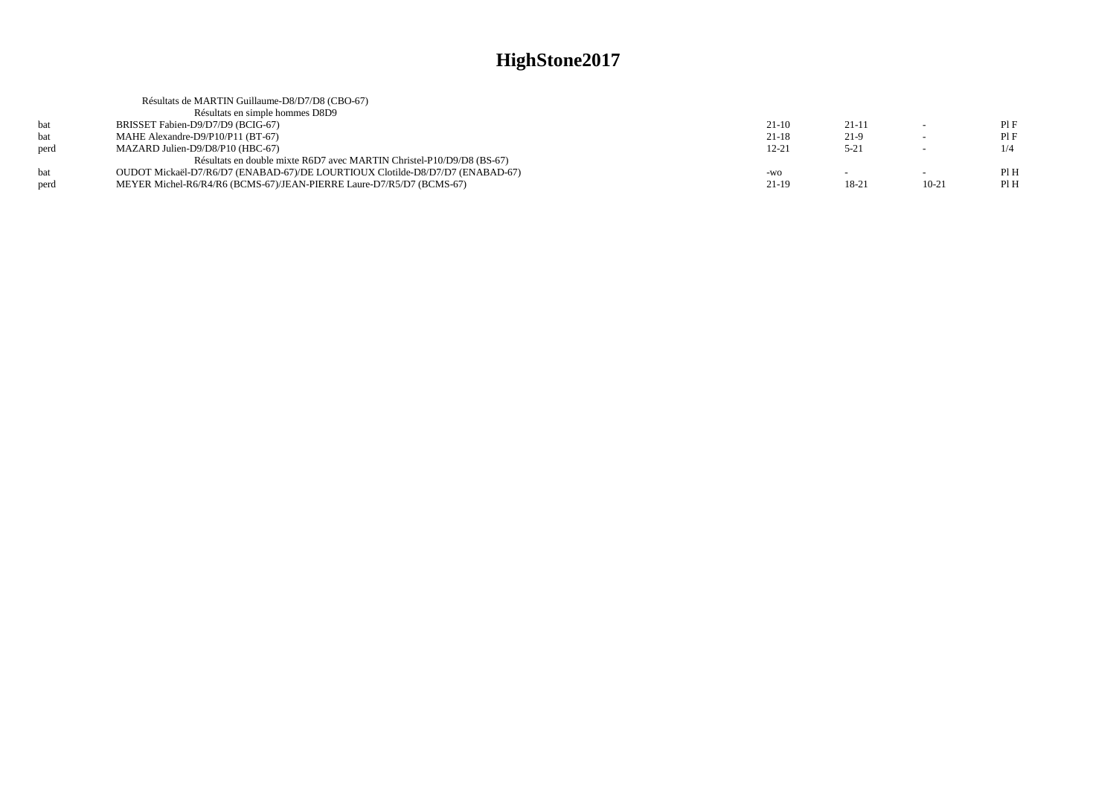|      | Résultats de MARTIN Guillaume-D8/D7/D8 (CBO-67)                               |           |          |                          |     |
|------|-------------------------------------------------------------------------------|-----------|----------|--------------------------|-----|
|      | Résultats en simple hommes D8D9                                               |           |          |                          |     |
| hat  | BRISSET Fabien-D9/D7/D9 (BCIG-67)                                             | $21-10$   | $21-11$  | $\sim$                   | PIF |
| bat  | MAHE Alexandre-D9/P10/P11 (BT-67)                                             | $21-18$   | $21-9$   | $\overline{\phantom{0}}$ | PIF |
| perd | MAZARD Julien-D9/D8/P10 (HBC-67)                                              | $12 - 21$ | $5 - 21$ | $\overline{\phantom{a}}$ | 1/4 |
|      | Résultats en double mixte R6D7 avec MARTIN Christel-P10/D9/D8 (BS-67)         |           |          |                          |     |
| hat  | OUDOT Mickaël-D7/R6/D7 (ENABAD-67)/DE LOURTIOUX Clotilde-D8/D7/D7 (ENABAD-67) | $-WO$     |          | $\overline{\phantom{0}}$ | PIH |
| perd | MEYER Michel-R6/R4/R6 (BCMS-67)/JEAN-PIERRE Laure-D7/R5/D7 (BCMS-67)          | $21-19$   | 18-21    | $10 - 21$                | PIH |
|      |                                                                               |           |          |                          |     |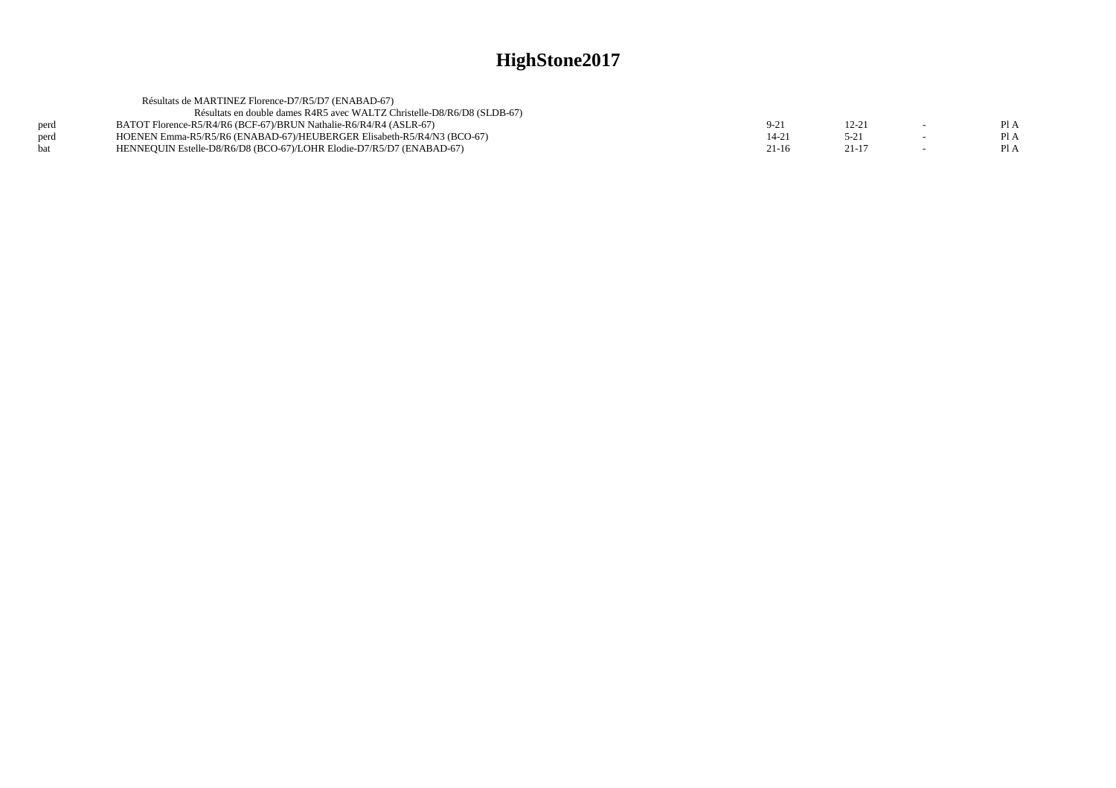|      | Résultats de MARTINEZ Florence-D7/R5/D7 (ENABAD-67)                     |        |           |      |
|------|-------------------------------------------------------------------------|--------|-----------|------|
|      | Résultats en double dames R4R5 avec WALTZ Christelle-D8/R6/D8 (SLDB-67) |        |           |      |
| perd | BATOT Florence-R5/R4/R6 (BCF-67)/BRUN Nathalie-R6/R4/R4 (ASLR-67)       | $9-21$ | 12-2      | Pl A |
| perd | HOENEN Emma-R5/R5/R6 (ENABAD-67)/HEUBERGER Elisabeth-R5/R4/N3 (BCO-67)  | 14-21  | $5-21$    | Pl A |
| bat  | HENNEQUIN Estelle-D8/R6/D8 (BCO-67)/LOHR Elodie-D7/R5/D7 (ENABAD-67)    | 21-16  | $21 - 17$ | PI A |
|      |                                                                         |        |           |      |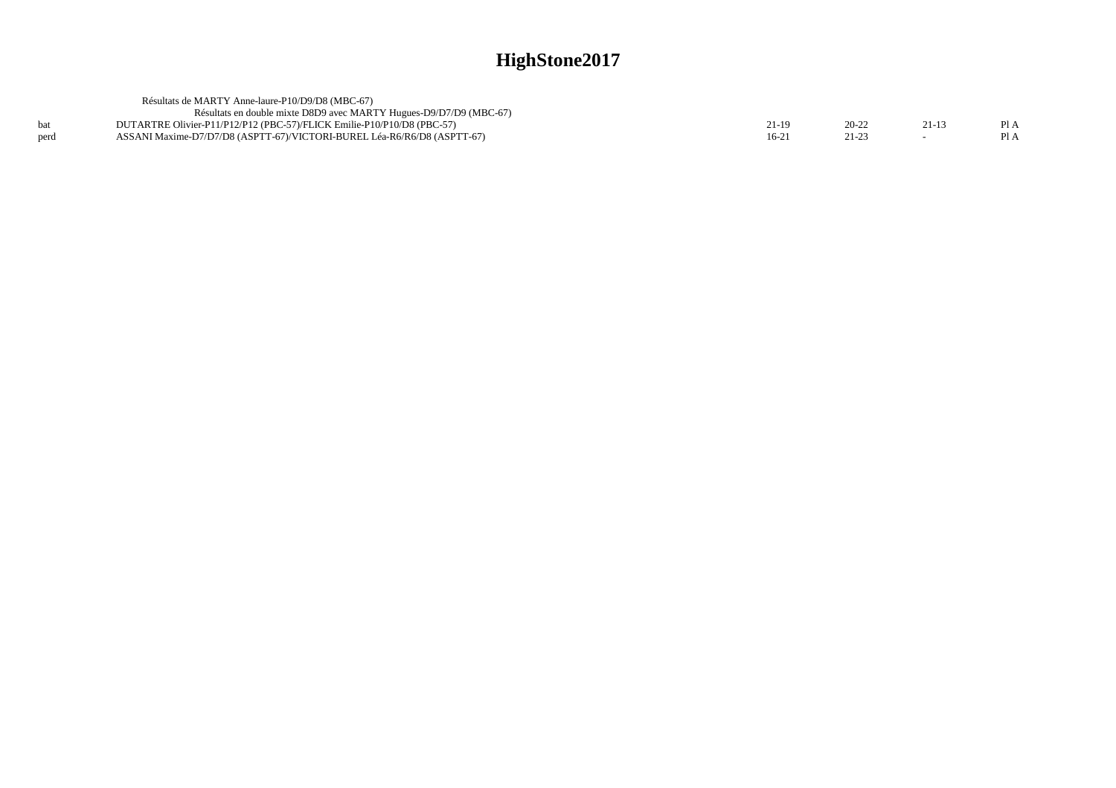|      | Résultats de MARTY Anne-laure-P10/D9/D8 (MBC-67)                        |       |       |         |
|------|-------------------------------------------------------------------------|-------|-------|---------|
|      | Résultats en double mixte D8D9 avec MARTY Hugues-D9/D7/D9 (MBC-67)      |       |       |         |
|      | DUTARTRE Olivier-P11/P12/P12 (PBC-57)/FLICK Emilie-P10/P10/D8 (PBC-57)  | ∠1-10 | 20-22 | $P_{A}$ |
| perd | ASSANI Maxime-D7/D7/D8 (ASPTT-67)/VICTORI-BUREL Léa-R6/R6/D8 (ASPTT-67) | 16-2  |       | P1A     |
|      |                                                                         |       |       |         |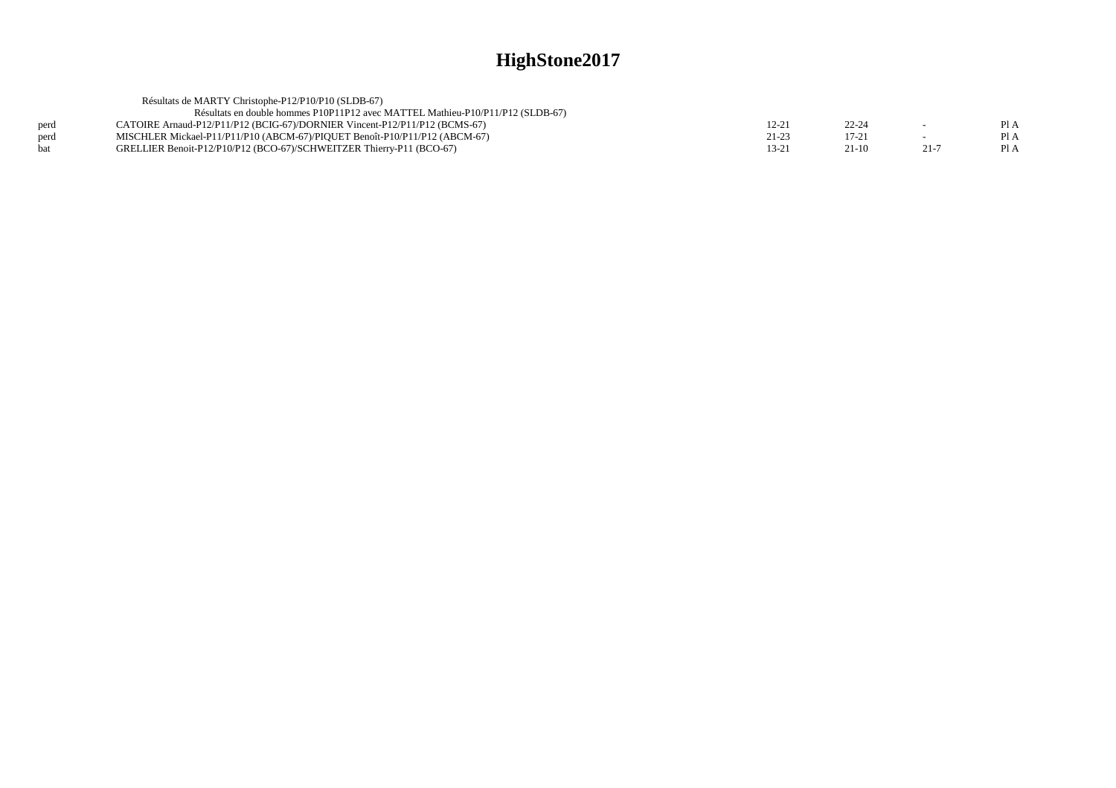|      | Résultats de MARTY Christophe-P12/P10/P10 (SLDB-67)                            |           |           |      |      |
|------|--------------------------------------------------------------------------------|-----------|-----------|------|------|
|      | Résultats en double hommes P10P11P12 avec MATTEL Mathieu-P10/P11/P12 (SLDB-67) |           |           |      |      |
| perd | CATOIRE Arnaud-P12/P11/P12 (BCIG-67)/DORNIER Vincent-P12/P11/P12 (BCMS-67)     | 12-21     | $22 - 24$ |      | Pl A |
| perd | MISCHLER Mickael-P11/P11/P10 (ABCM-67)/PIQUET Benoît-P10/P11/P12 (ABCM-67)     | $21 - 23$ | $17 - 21$ |      | PI A |
| hat  | GRELLIER Benoit-P12/P10/P12 (BCO-67)/SCHWEITZER Thierry-P11 (BCO-67)           | 13-21     | $21-10$   | 21-7 | PI A |
|      |                                                                                |           |           |      |      |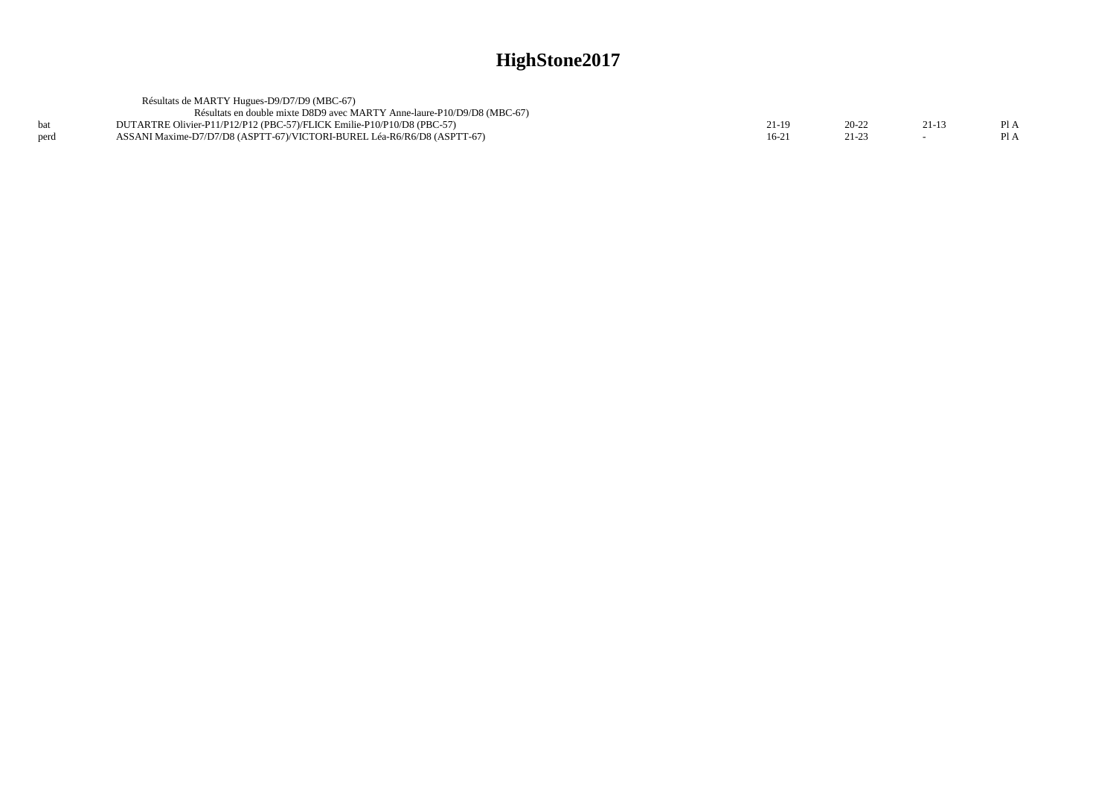|      | Résultats de MARTY Hugues-D9/D7/D9 (MBC-67)                             |       |           |     |
|------|-------------------------------------------------------------------------|-------|-----------|-----|
|      | Résultats en double mixte D8D9 avec MARTY Anne-laure-P10/D9/D8 (MBC-67) |       |           |     |
| hat  | DUTARTRE Olivier-P11/P12/P12 (PBC-57)/FLICK Emilie-P10/P10/D8 (PBC-57)  | 11-19 | $20 - 22$ | P1A |
| perd | ASSANI Maxime-D7/D7/D8 (ASPTT-67)/VICTORI-BUREL Léa-R6/R6/D8 (ASPTT-67) | 16-21 | 21-23     | P1A |
|      |                                                                         |       |           |     |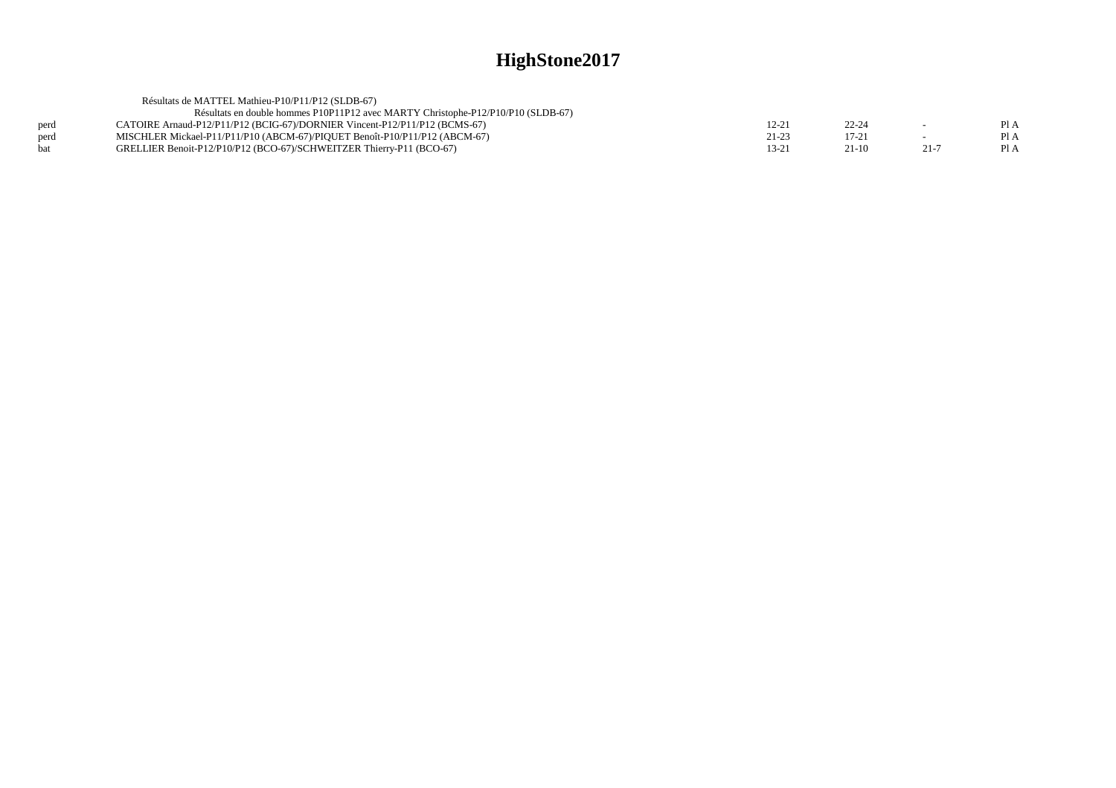|      | Résultats de MATTEL Mathieu-P10/P11/P12 (SLDB-67)                                |       |           |          |      |
|------|----------------------------------------------------------------------------------|-------|-----------|----------|------|
|      | Résultats en double hommes P10P11P12 avec MARTY Christophe-P12/P10/P10 (SLDB-67) |       |           |          |      |
| perd | CATOIRE Arnaud-P12/P11/P12 (BCIG-67)/DORNIER Vincent-P12/P11/P12 (BCMS-67)       | 12-21 | $22 - 24$ | $\sim$   | P1A  |
| perd | MISCHLER Mickael-P11/P11/P10 (ABCM-67)/PIOUET Benoît-P10/P11/P12 (ABCM-67)       | 21-23 | $17 - 21$ |          | PI A |
| hat  | GRELLIER Benoit-P12/P10/P12 (BCO-67)/SCHWEITZER Thierry-P11 (BCO-67)             | 13-21 | $21-10$   | $21 - 7$ | Pl A |
|      |                                                                                  |       |           |          |      |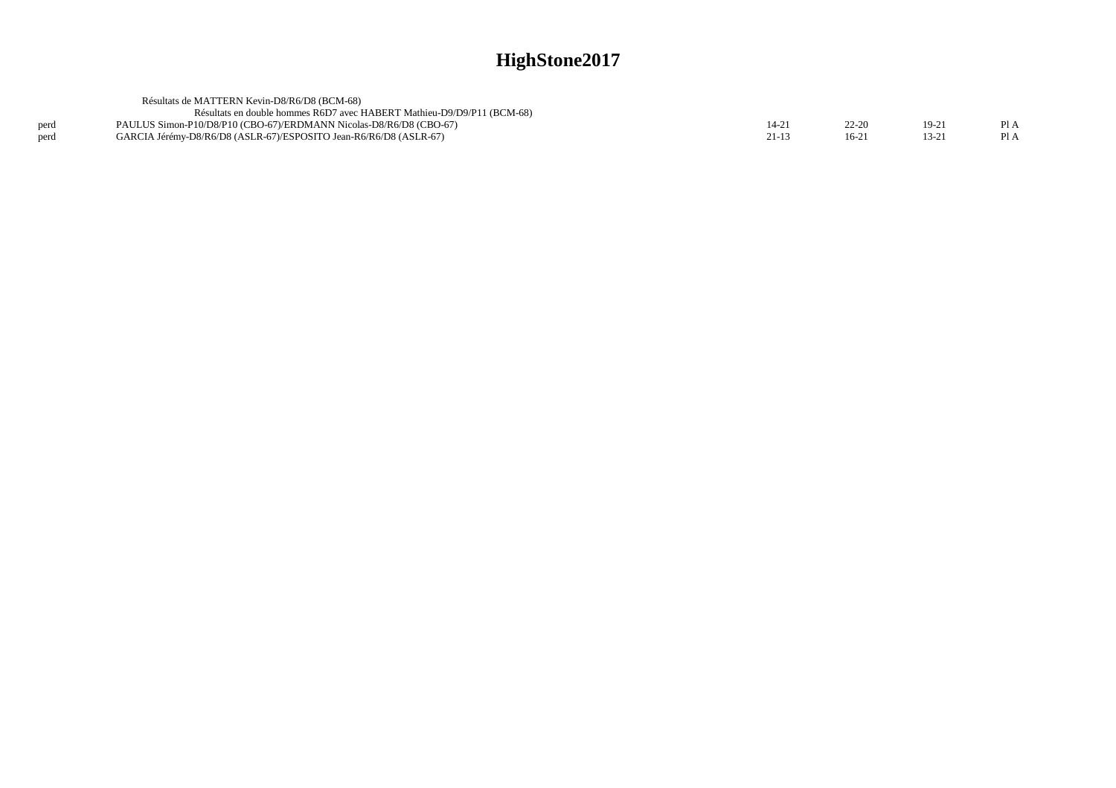|      | Résultats de MATTERN Kevin-D8/R6/D8 (BCM-68)                           |           |         |         |      |
|------|------------------------------------------------------------------------|-----------|---------|---------|------|
|      | Résultats en double hommes R6D7 avec HABERT Mathieu-D9/D9/P11 (BCM-68) |           |         |         |      |
| perd | PAULUS Simon-P10/D8/P10 (CBO-67)/ERDMANN Nicolas-D8/R6/D8 (CBO-67)     | 14-21     | 22-20   | $19-21$ | PI A |
| perd | GARCIA Jérémy-D8/R6/D8 (ASLR-67)/ESPOSITO Jean-R6/R6/D8 (ASLR-67)      | $21 - 13$ | $16-21$ | 13-21   | PI A |
|      |                                                                        |           |         |         |      |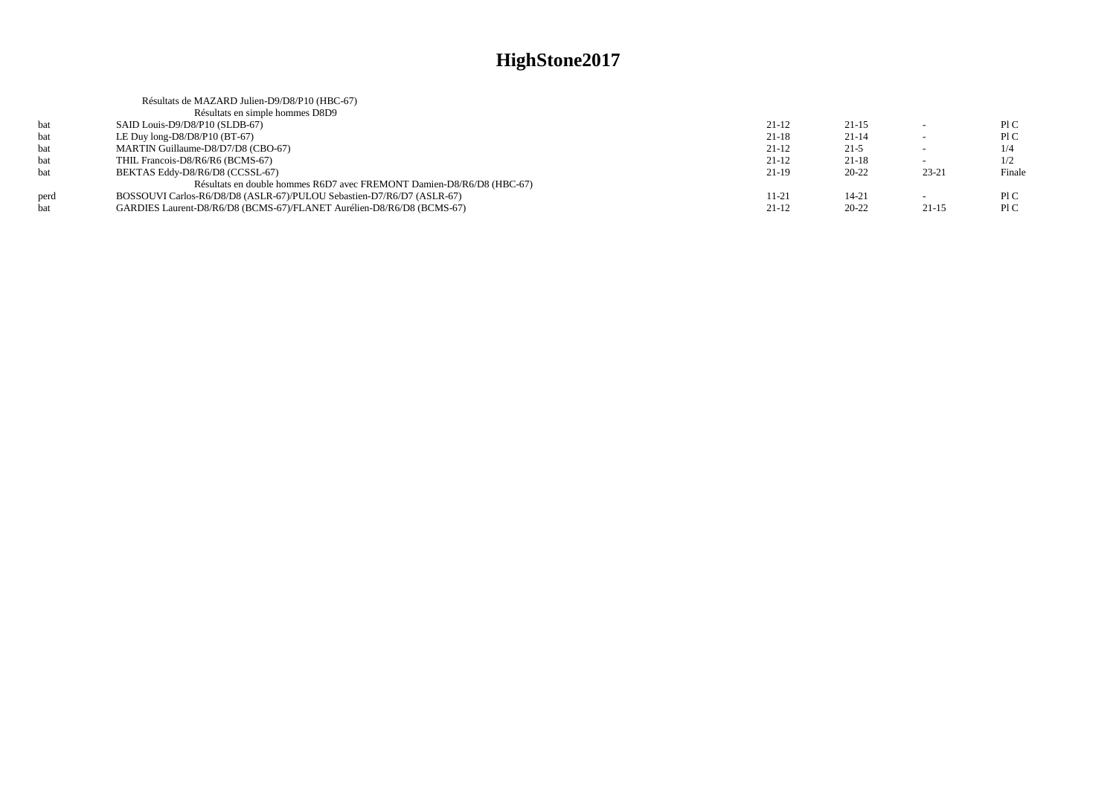|      | Résultats de MAZARD Julien-D9/D8/P10 (HBC-67)                         |           |           |                          |        |
|------|-----------------------------------------------------------------------|-----------|-----------|--------------------------|--------|
|      | Résultats en simple hommes D8D9                                       |           |           |                          |        |
| bat  | SAID Louis-D9/D8/P10 (SLDB-67)                                        | $21-12$   | $21 - 15$ |                          | P1C    |
| bat  | LE Duy $long-D8/D8/P10$ (BT-67)                                       | $21-18$   | $21 - 14$ | -                        | P1C    |
| bat  | MARTIN Guillaume-D8/D7/D8 (CBO-67)                                    | $21-12$   | $21-5$    | $\overline{\phantom{0}}$ | 1/4    |
| bat  | THIL Francois-D8/R6/R6 (BCMS-67)                                      | $21-12$   | $21 - 18$ |                          | 1/2    |
| bat  | BEKTAS Eddy-D8/R6/D8 (CCSSL-67)                                       | $21-19$   | $20 - 22$ | $23 - 21$                | Finale |
|      | Résultats en double hommes R6D7 avec FREMONT Damien-D8/R6/D8 (HBC-67) |           |           |                          |        |
| perd | BOSSOUVI Carlos-R6/D8/D8 (ASLR-67)/PULOU Sebastien-D7/R6/D7 (ASLR-67) | $11 - 21$ | $14 - 21$ | $\overline{\phantom{0}}$ | P1C    |
| bat  | GARDIES Laurent-D8/R6/D8 (BCMS-67)/FLANET Aurélien-D8/R6/D8 (BCMS-67) | $21-12$   | $20 - 22$ | $21-15$                  | P1C    |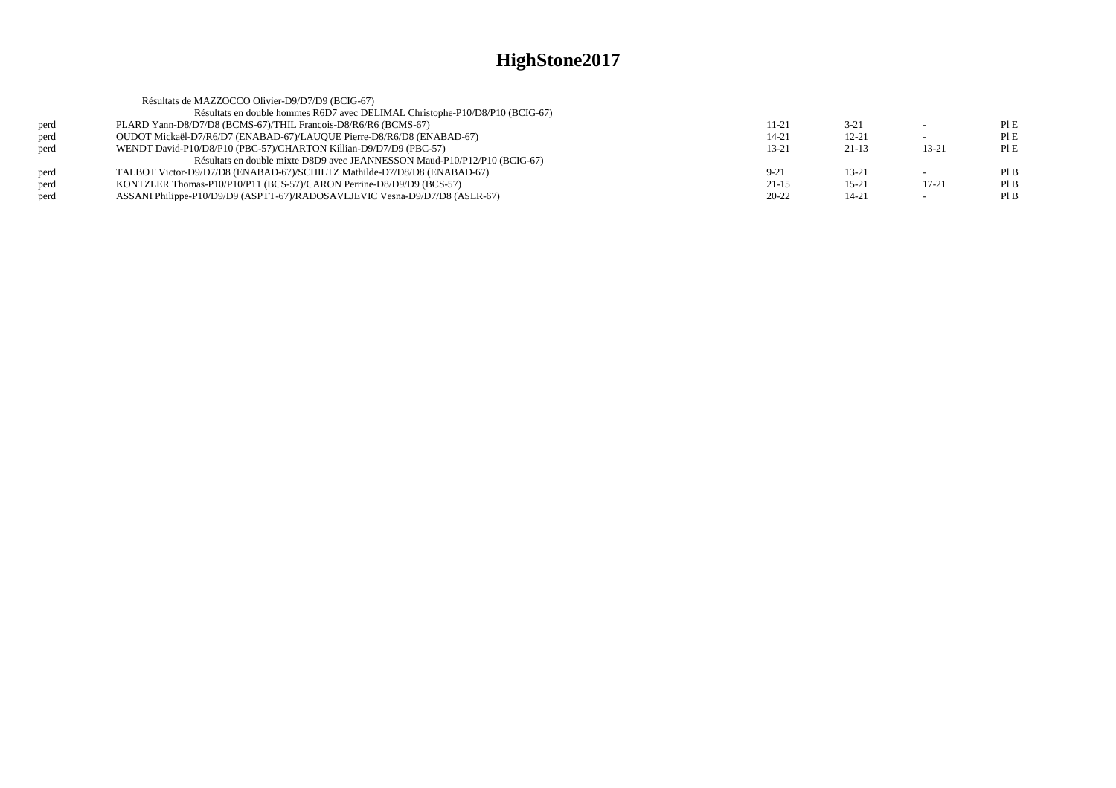|      | Résultats de MAZZOCCO Olivier-D9/D7/D9 (BCIG-67)                             |           |           |           |      |
|------|------------------------------------------------------------------------------|-----------|-----------|-----------|------|
|      | Résultats en double hommes R6D7 avec DELIMAL Christophe-P10/D8/P10 (BCIG-67) |           |           |           |      |
| perd | PLARD Yann-D8/D7/D8 (BCMS-67)/THIL Francois-D8/R6/R6 (BCMS-67)               | 11-21     | $3 - 21$  | $\sim$    | PIE  |
| perd | OUDOT Mickaël-D7/R6/D7 (ENABAD-67)/LAUQUE Pierre-D8/R6/D8 (ENABAD-67)        | 14-21     | $12 - 21$ |           | PIE  |
| perd | WENDT David-P10/D8/P10 (PBC-57)/CHARTON Killian-D9/D7/D9 (PBC-57)            | $13 - 21$ | $21-13$   | $13 - 21$ | PIE  |
|      | Résultats en double mixte D8D9 avec JEANNESSON Maud-P10/P12/P10 (BCIG-67)    |           |           |           |      |
| perd | TALBOT Victor-D9/D7/D8 (ENABAD-67)/SCHILTZ Mathilde-D7/D8/D8 (ENABAD-67)     | $9 - 21$  | $13 - 21$ |           | PIB  |
| perd | KONTZLER Thomas-P10/P10/P11 (BCS-57)/CARON Perrine-D8/D9/D9 (BCS-57)         | $21 - 15$ | $15 - 21$ | 17-21     | Pl B |
| perd | ASSANI Philippe-P10/D9/D9 (ASPTT-67)/RADOSAVLJEVIC Vesna-D9/D7/D8 (ASLR-67)  | $20 - 22$ | 14-21     |           | PIB  |
|      |                                                                              |           |           |           |      |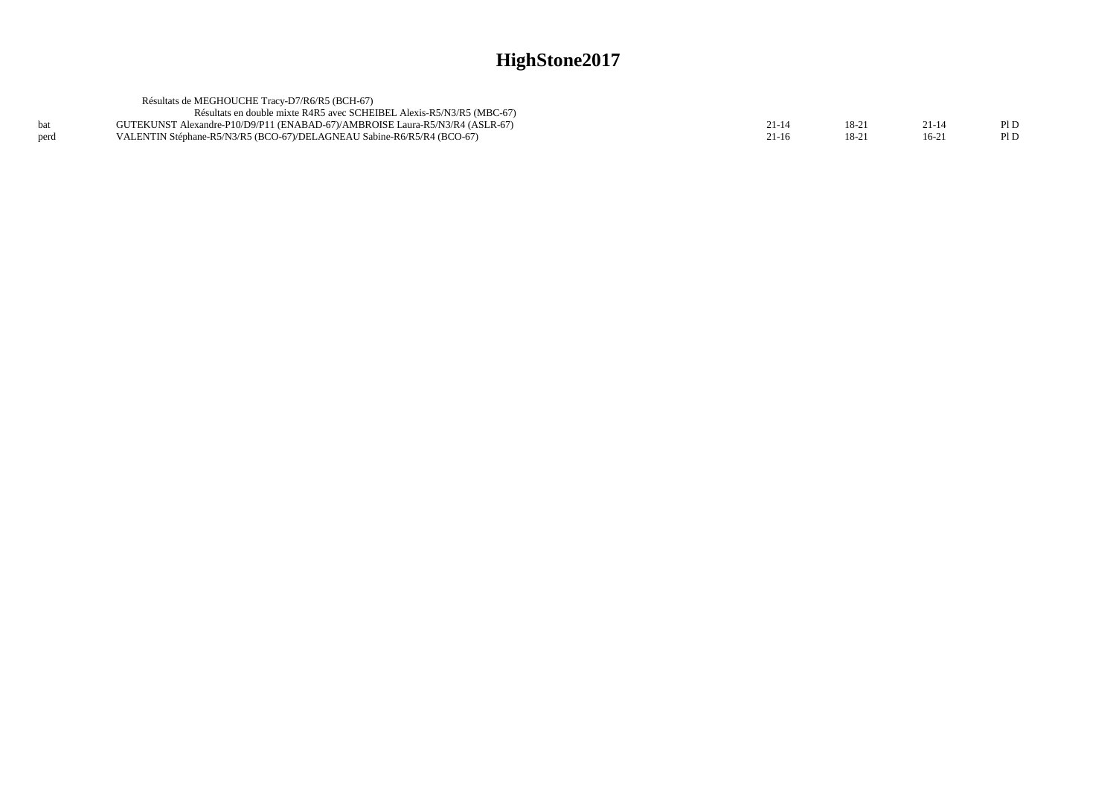|      | Résultats de MEGHOUCHE Tracy-D7/R6/R5 (BCH-67)                               |         |        |        |      |
|------|------------------------------------------------------------------------------|---------|--------|--------|------|
|      | Résultats en double mixte R4R5 avec SCHEIBEL Alexis-R5/N3/R5 (MBC-67)        |         |        |        |      |
|      | GUTEKUNST Alexandre-P10/D9/P11 (ENABAD-67)/AMBROISE Laura-R5/N3/R4 (ASLR-67) |         | $18-2$ |        | Pl D |
| perd | VALENTIN Stéphane-R5/N3/R5 (BCO-67)/DELAGNEAU Sabine-R6/R5/R4 (BCO-67)       | $21-16$ | $18-2$ | $16-2$ | Pl D |
|      |                                                                              |         |        |        |      |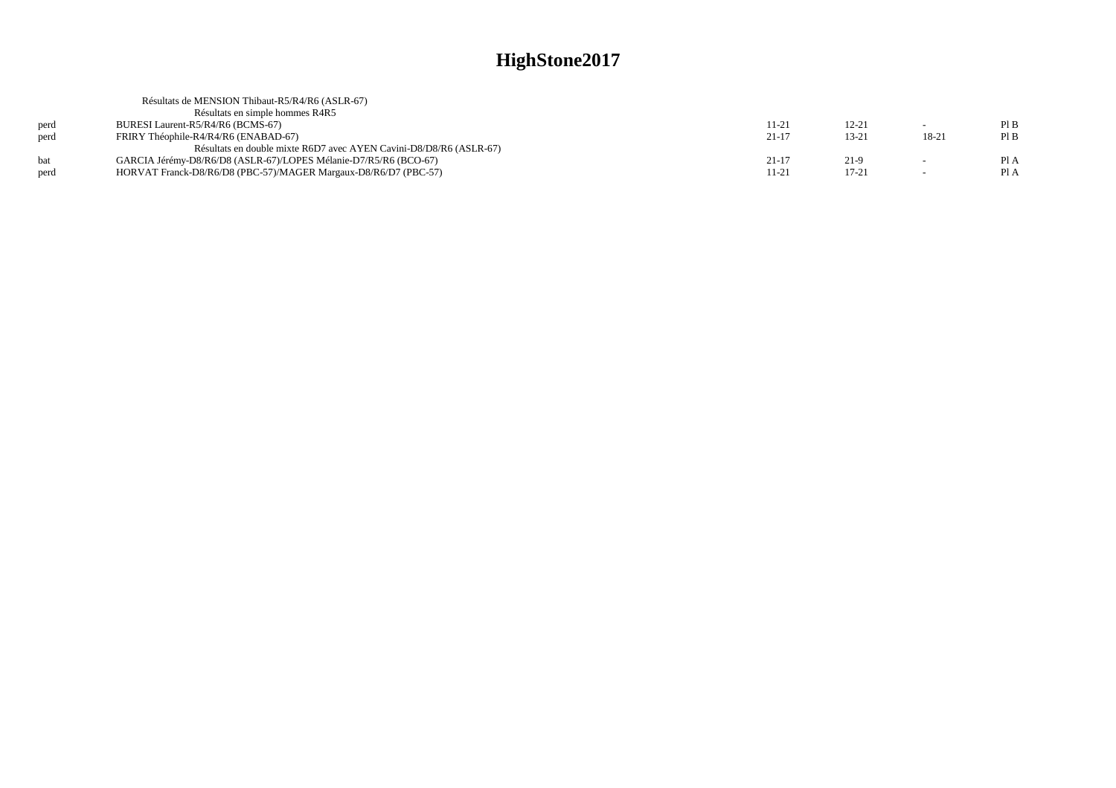|      | Résultats de MENSION Thibaut-R5/R4/R6 (ASLR-67)                    |           |           |        |      |
|------|--------------------------------------------------------------------|-----------|-----------|--------|------|
|      | Résultats en simple hommes R4R5                                    |           |           |        |      |
| perd | BURESI Laurent-R5/R4/R6 (BCMS-67)                                  | 11-21     | $12 - 21$ |        | PIB  |
| perd | FRIRY Théophile-R4/R4/R6 (ENABAD-67)                               | $21 - 17$ | $13 - 21$ | 18-21  | Pl B |
|      | Résultats en double mixte R6D7 avec AYEN Cavini-D8/D8/R6 (ASLR-67) |           |           |        |      |
| hat  | GARCIA Jérémy-D8/R6/D8 (ASLR-67)/LOPES Mélanie-D7/R5/R6 (BCO-67)   | $21 - 17$ | $21-9$    |        | Pl A |
| perd | HORVAT Franck-D8/R6/D8 (PBC-57)/MAGER Margaux-D8/R6/D7 (PBC-57)    | 11-21     | $17 - 21$ | $\sim$ | Pl A |
|      |                                                                    |           |           |        |      |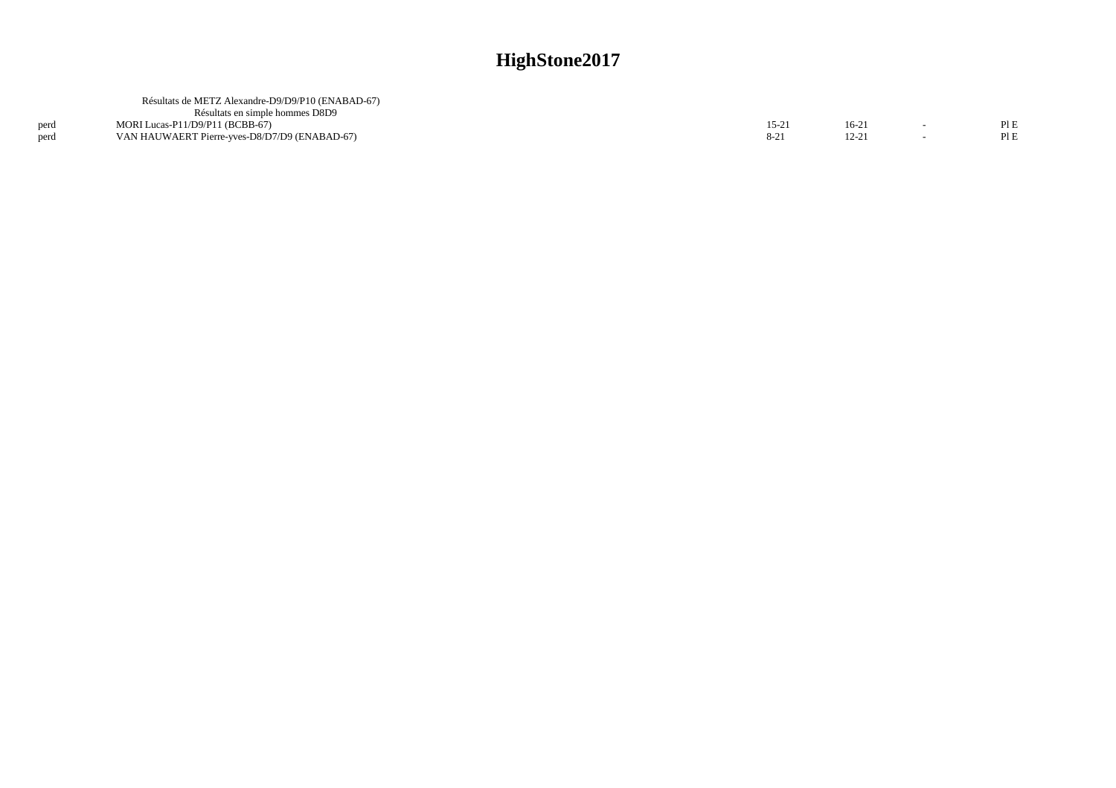|      | Résultats de METZ Alexandre-D9/D9/P10 (ENABAD-67) |       |          |     |
|------|---------------------------------------------------|-------|----------|-----|
|      | Résultats en simple hommes D8D9                   |       |          |     |
| perd | MORI Lucas-P11/D9/P11 (BCBB-67)                   | 15-21 | $16-2$   | PLE |
| perd | VAN HAUWAERT Pierre-yves-D8/D7/D9 (ENABAD-67)     |       | $12 - 2$ | PIE |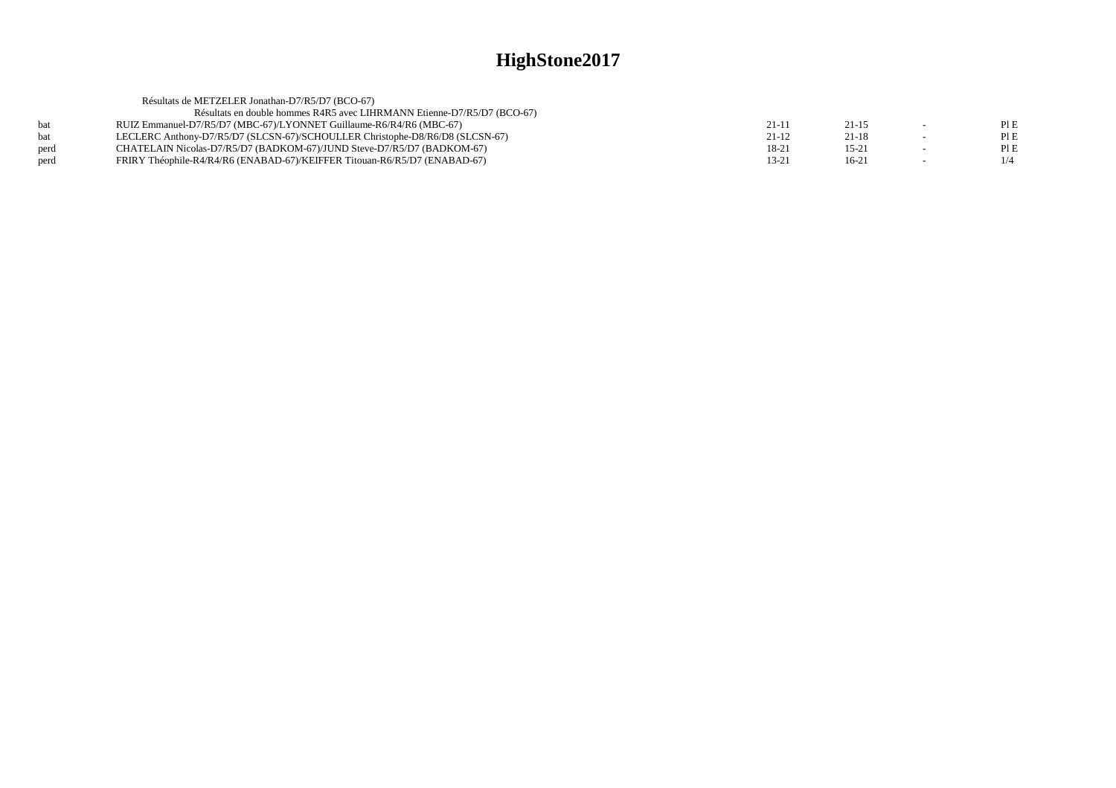| Résultats de METZELER Jonathan-D7/R5/D7 (BCO-67)                             |                                                                     |           |     |
|------------------------------------------------------------------------------|---------------------------------------------------------------------|-----------|-----|
| Résultats en double hommes R4R5 avec LIHRMANN Etienne-D7/R5/D7 (BCO-67)      |                                                                     |           |     |
|                                                                              | $21-1$                                                              | $21 - 15$ | PIE |
| LECLERC Anthony-D7/R5/D7 (SLCSN-67)/SCHOULLER Christophe-D8/R6/D8 (SLCSN-67) | $21-12$                                                             | $21 - 18$ | PIE |
| CHATELAIN Nicolas-D7/R5/D7 (BADKOM-67)/JUND Steve-D7/R5/D7 (BADKOM-67)       | $18-21$                                                             | $15 - 21$ | PIE |
| FRIRY Théophile-R4/R4/R6 (ENABAD-67)/KEIFFER Titouan-R6/R5/D7 (ENABAD-67)    | $13 - 21$                                                           | $16-21$   | 1/4 |
|                                                                              | RUIZ Emmanuel-D7/R5/D7 (MBC-67)/LYONNET Guillaume-R6/R4/R6 (MBC-67) |           |     |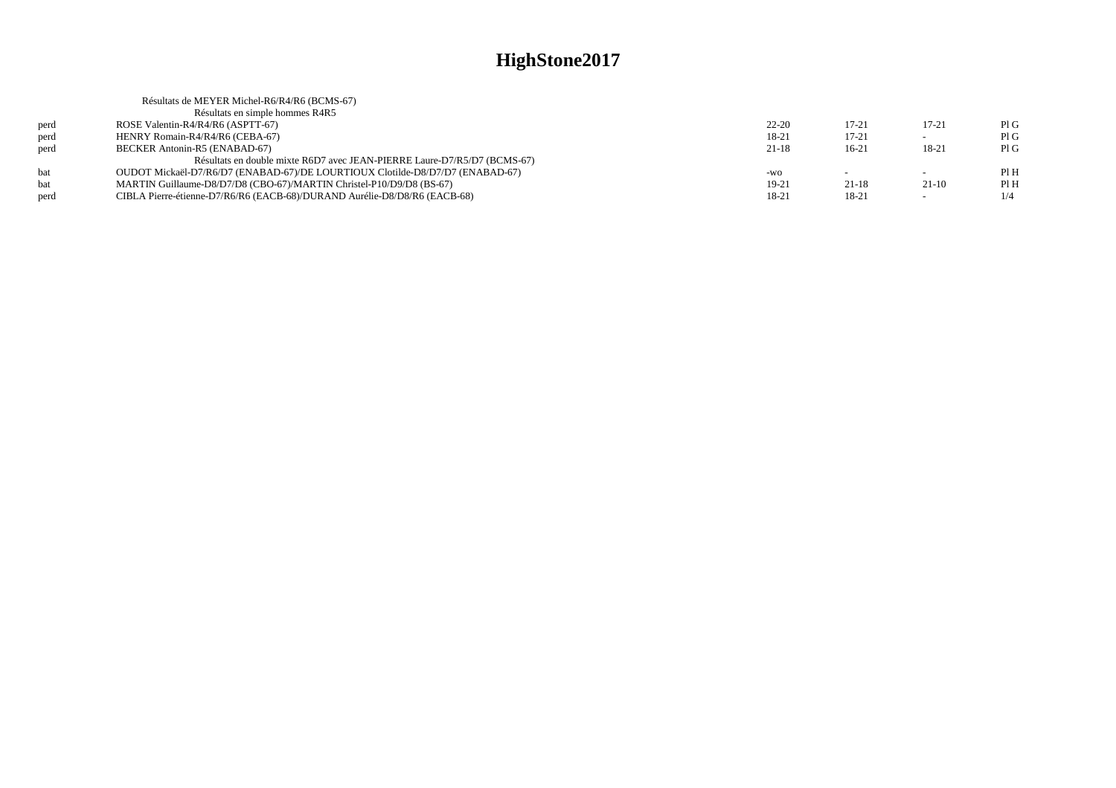|      | Résultats de MEYER Michel-R6/R4/R6 (BCMS-67)                                  |           |           |           |      |
|------|-------------------------------------------------------------------------------|-----------|-----------|-----------|------|
|      | Résultats en simple hommes R4R5                                               |           |           |           |      |
| perd | ROSE Valentin-R4/R4/R6 (ASPTT-67)                                             | $22 - 20$ | 17-21     | $17 - 21$ | PIG  |
| perd | HENRY Romain-R4/R4/R6 (CEBA-67)                                               | 18-21     | $17 - 21$ |           | PIG  |
| perd | BECKER Antonin-R5 (ENABAD-67)                                                 | $21-18$   | $16-21$   | 18-21     | PIG  |
|      | Résultats en double mixte R6D7 avec JEAN-PIERRE Laure-D7/R5/D7 (BCMS-67)      |           |           |           |      |
| hat  | OUDOT Mickaël-D7/R6/D7 (ENABAD-67)/DE LOURTIOUX Clotilde-D8/D7/D7 (ENABAD-67) | -WO       |           | $\sim$    | Pl H |
| bat  | MARTIN Guillaume-D8/D7/D8 (CBO-67)/MARTIN Christel-P10/D9/D8 (BS-67)          | 19-21     | $21 - 18$ | $21-10$   | PIH  |
| perd | CIBLA Pierre-étienne-D7/R6/R6 (EACB-68)/DURAND Aurélie-D8/D8/R6 (EACB-68)     | 18-21     | 18-21     | $\sim$    | 1/4  |
|      |                                                                               |           |           |           |      |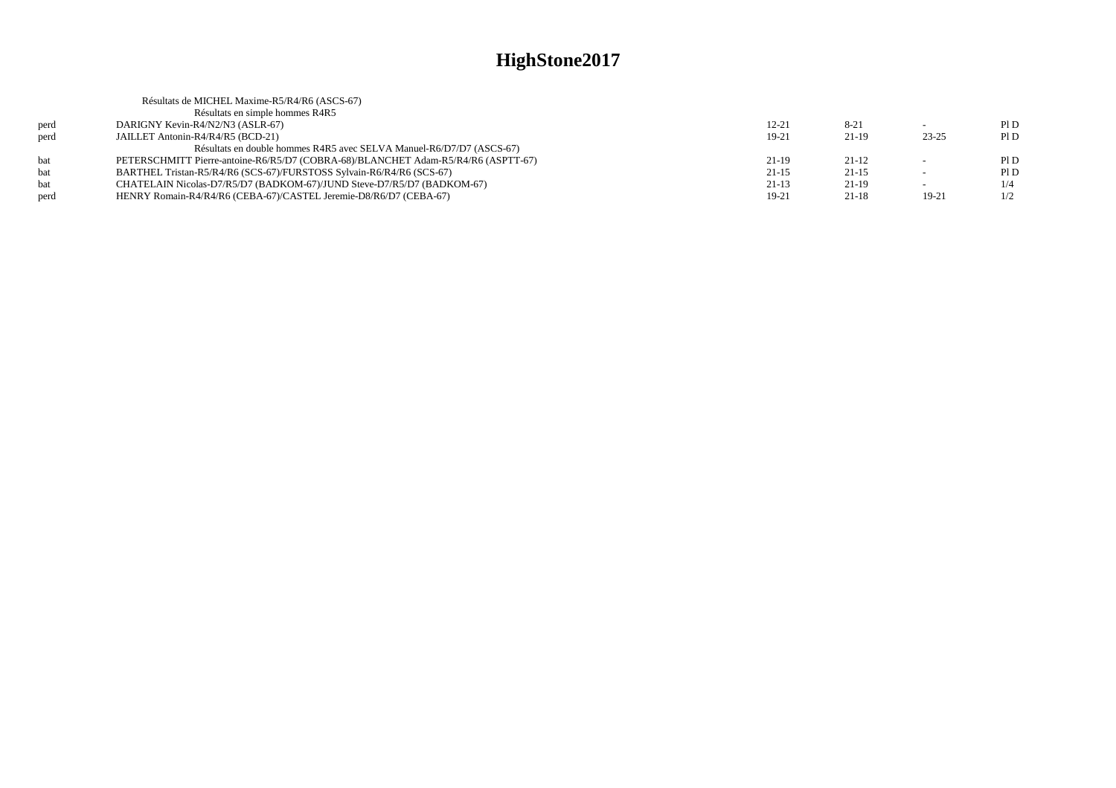|      | Résultats de MICHEL Maxime-R5/R4/R6 (ASCS-67)                                     |           |          |           |     |
|------|-----------------------------------------------------------------------------------|-----------|----------|-----------|-----|
|      | Résultats en simple hommes R4R5                                                   |           |          |           |     |
| perd | DARIGNY Kevin-R4/N2/N3 (ASLR-67)                                                  | 12-21     | $8 - 21$ |           | PID |
| perd | JAILLET Antonin-R4/R4/R5 (BCD-21)                                                 | 19-21     | $21-19$  | $23 - 25$ | PID |
|      | Résultats en double hommes R4R5 avec SELVA Manuel-R6/D7/D7 (ASCS-67)              |           |          |           |     |
| hat  | PETERSCHMITT Pierre-antoine-R6/R5/D7 (COBRA-68)/BLANCHET Adam-R5/R4/R6 (ASPTT-67) | $21-19$   | $21-12$  |           | PID |
| bat  | BARTHEL Tristan-R5/R4/R6 (SCS-67)/FURSTOSS Sylvain-R6/R4/R6 (SCS-67)              | $21 - 15$ | $21-15$  |           | PID |
| hat  | CHATELAIN Nicolas-D7/R5/D7 (BADKOM-67)/JUND Steve-D7/R5/D7 (BADKOM-67)            | $21-13$   | $21-19$  | $\sim$    | 1/4 |
| perd | HENRY Romain-R4/R4/R6 (CEBA-67)/CASTEL Jeremie-D8/R6/D7 (CEBA-67)                 | 19-21     | $21-18$  | $19-21$   | 1/2 |
|      |                                                                                   |           |          |           |     |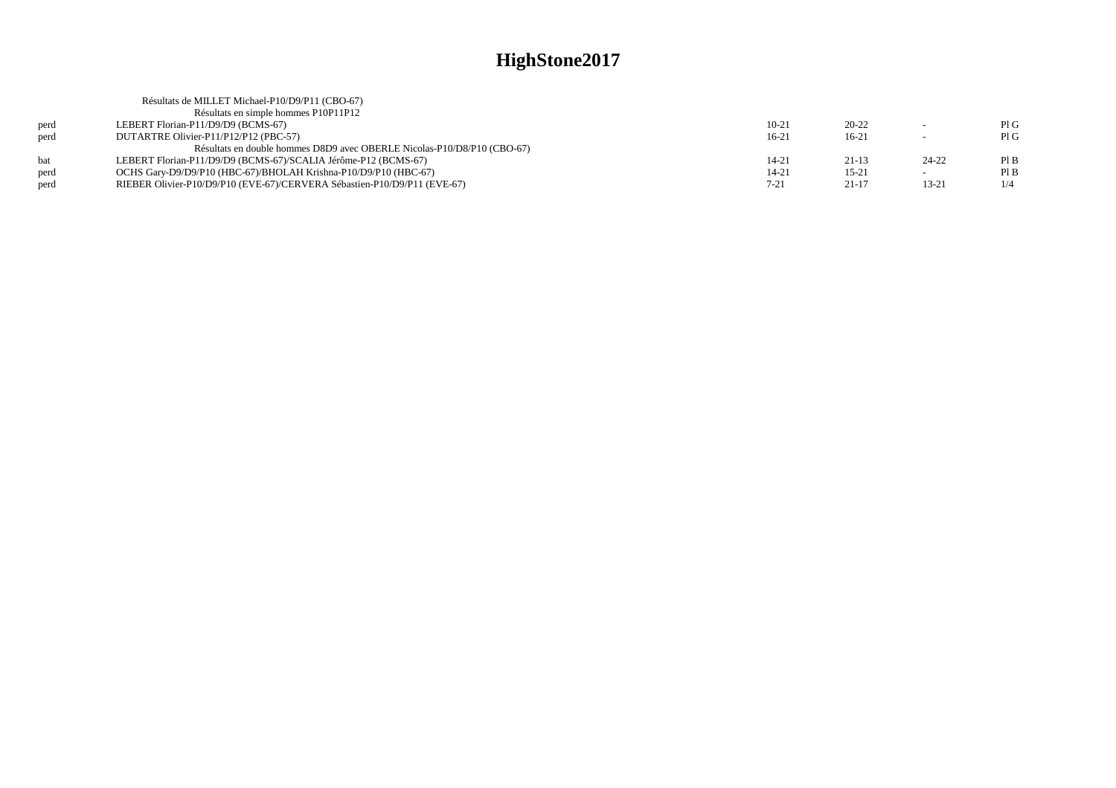|      | Résultats de MILLET Michael-P10/D9/P11 (CBO-67)                          |           |           |           |     |
|------|--------------------------------------------------------------------------|-----------|-----------|-----------|-----|
|      | Résultats en simple hommes P10P11P12                                     |           |           |           |     |
| perd | LEBERT Florian-P11/D9/D9 (BCMS-67)                                       | $10-21$   | $20 - 22$ |           | PIG |
| perd | DUTARTRE Olivier-P11/P12/P12 (PBC-57)                                    | $16-21$   | $16-21$   |           | PIG |
|      | Résultats en double hommes D8D9 avec OBERLE Nicolas-P10/D8/P10 (CBO-67)  |           |           |           |     |
| hat  | LEBERT Florian-P11/D9/D9 (BCMS-67)/SCALIA Jérôme-P12 (BCMS-67)           | $14 - 21$ | $21-13$   | $24 - 22$ | PIB |
| perd | OCHS Gary-D9/D9/P10 (HBC-67)/BHOLAH Krishna-P10/D9/P10 (HBC-67)          | 14-21     | $15 - 21$ |           | PIB |
| perd | RIEBER Olivier-P10/D9/P10 (EVE-67)/CERVERA Sébastien-P10/D9/P11 (EVE-67) | $7 - 21$  | $21 - 17$ | $13 - 21$ | 1/4 |
|      |                                                                          |           |           |           |     |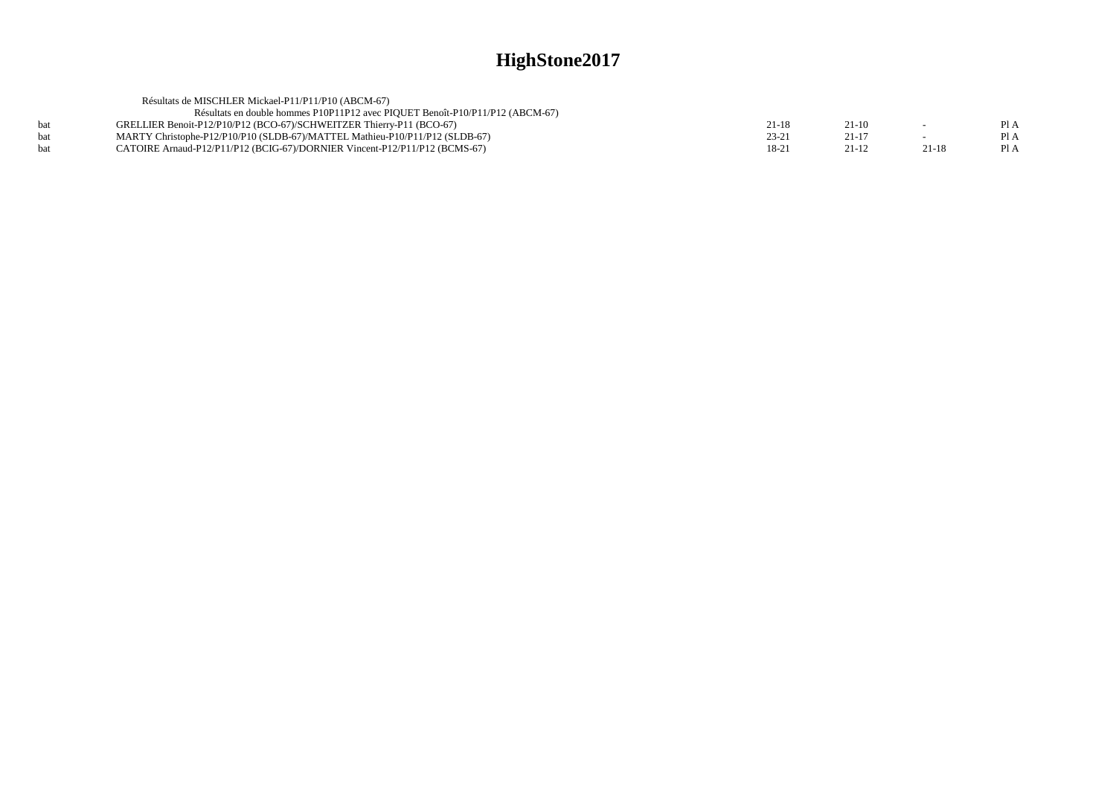|            | Résultats de MISCHLER Mickael-P11/P11/P10 (ABCM-67)                           |       |           |           |      |
|------------|-------------------------------------------------------------------------------|-------|-----------|-----------|------|
|            | Résultats en double hommes P10P11P12 avec PIQUET Benoît-P10/P11/P12 (ABCM-67) |       |           |           |      |
| <b>bat</b> | GRELLIER Benoit-P12/P10/P12 (BCO-67)/SCHWEITZER Thierry-P11 (BCO-67)          | 21-18 | $21-10$   | $\sim$    | Pl A |
| <b>bat</b> | MARTY Christophe-P12/P10/P10 (SLDB-67)/MATTEL Mathieu-P10/P11/P12 (SLDB-67)   | 23-21 | $21 - 17$ | $\sim$    | PI A |
| <b>bat</b> | CATOIRE Arnaud-P12/P11/P12 (BCIG-67)/DORNIER Vincent-P12/P11/P12 (BCMS-67)    | 18-21 | 21-12     | $21 - 18$ | Pl A |
|            |                                                                               |       |           |           |      |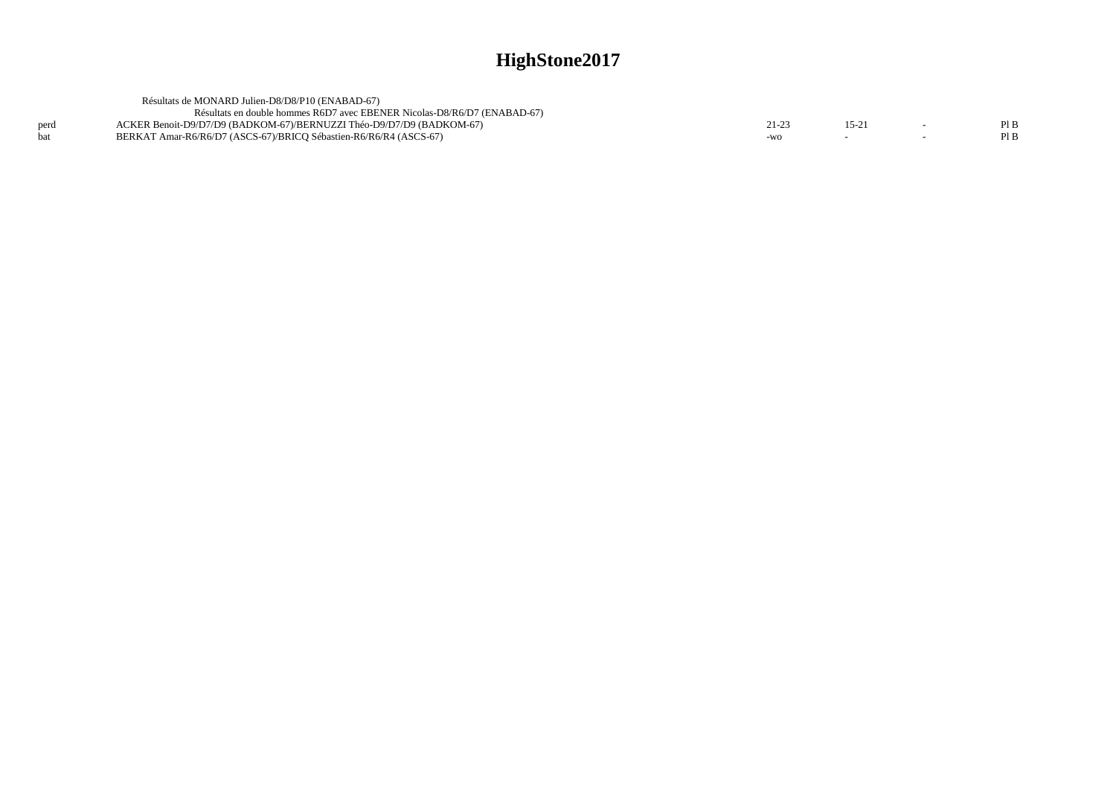|      | Résultats de MONARD Julien-D8/D8/P10 (ENABAD-67)                         |       |          |      |
|------|--------------------------------------------------------------------------|-------|----------|------|
|      | Résultats en double hommes R6D7 avec EBENER Nicolas-D8/R6/D7 (ENABAD-67) |       |          |      |
| perd | ACKER Benoit-D9/D7/D9 (BADKOM-67)/BERNUZZI Théo-D9/D7/D9 (BADKOM-67)     | 21-23 | $15 - 2$ | Pl B |
|      | BERKAT Amar-R6/R6/D7 (ASCS-67)/BRICO Sébastien-R6/R6/R4 (ASCS-67)        | -WO   |          | Pl B |
|      |                                                                          |       |          |      |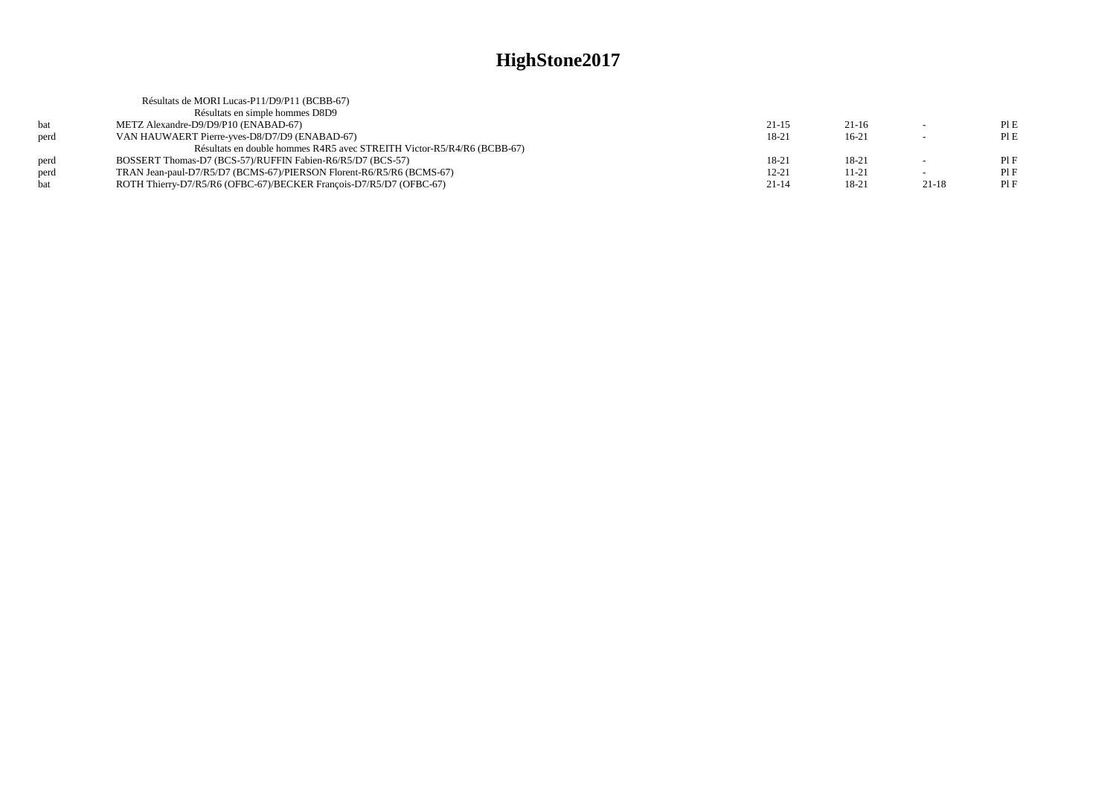|      | Résultats de MORI Lucas-P11/D9/P11 (BCBB-67)                           |           |           |           |      |
|------|------------------------------------------------------------------------|-----------|-----------|-----------|------|
|      | Résultats en simple hommes D8D9                                        |           |           |           |      |
| hat  | METZ Alexandre-D9/D9/P10 (ENABAD-67)                                   | $21 - 15$ | $21-16$   | $\sim$    | PIE  |
| perd | VAN HAUWAERT Pierre-yves-D8/D7/D9 (ENABAD-67)                          | 18-21     | $16-21$   |           | PI E |
|      | Résultats en double hommes R4R5 avec STREITH Victor-R5/R4/R6 (BCBB-67) |           |           |           |      |
| nerd | BOSSERT Thomas-D7 (BCS-57)/RUFFIN Fabien-R6/R5/D7 (BCS-57)             | 18-21     | 18-21     |           | PIF  |
| perd | TRAN Jean-paul-D7/R5/D7 (BCMS-67)/PIERSON Florent-R6/R5/R6 (BCMS-67)   | $12 - 21$ | 11-21     |           | PIF  |
|      | ROTH Thierry-D7/R5/R6 (OFBC-67)/BECKER François-D7/R5/D7 (OFBC-67)     | $21 - 14$ | $18 - 21$ | $21 - 18$ | PIF  |
|      |                                                                        |           |           |           |      |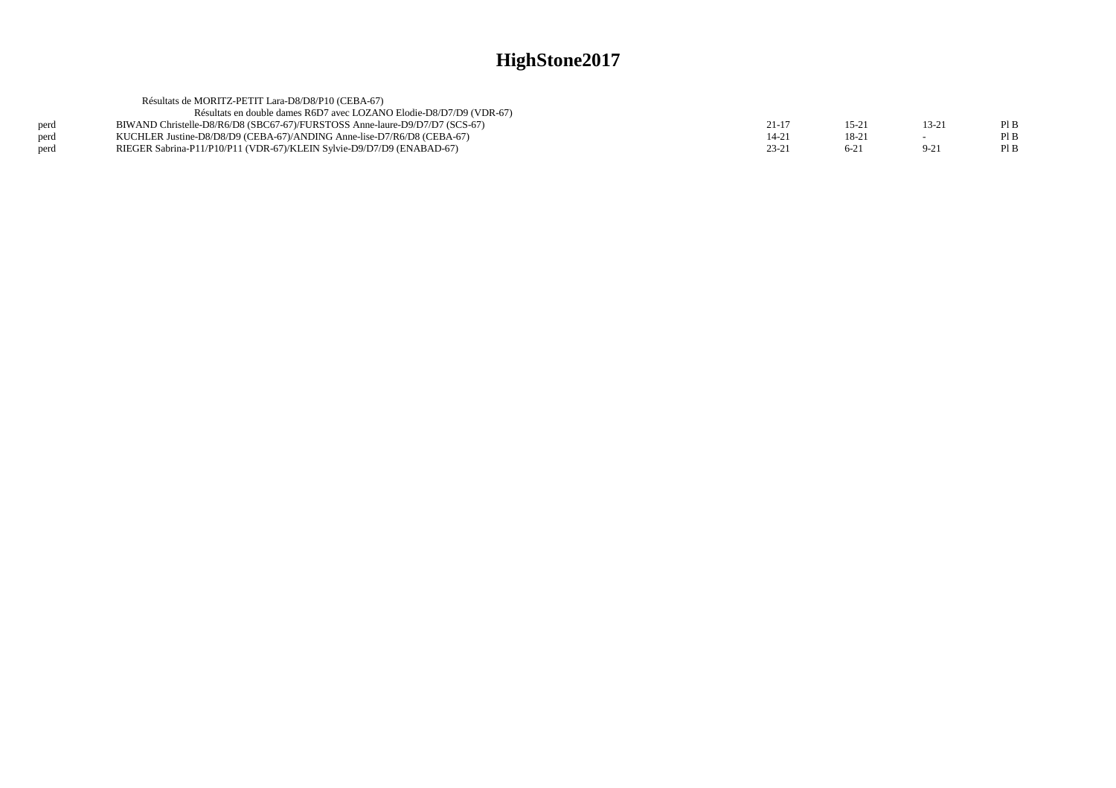|      | Résultats de MORITZ-PETIT Lara-D8/D8/P10 (CEBA-67)                          |           |         |          |      |
|------|-----------------------------------------------------------------------------|-----------|---------|----------|------|
|      | Résultats en double dames R6D7 avec LOZANO Elodie-D8/D7/D9 (VDR-67)         |           |         |          |      |
| perd | BIWAND Christelle-D8/R6/D8 (SBC67-67)/FURSTOSS Anne-laure-D9/D7/D7 (SCS-67) | $21 - 17$ | $15-2.$ | 13-21    | PIB  |
| perd | KUCHLER Justine-D8/D8/D9 (CEBA-67)/ANDING Anne-lise-D7/R6/D8 (CEBA-67)      | $14 - 2'$ | $18-2$  |          | Pl B |
| perd | RIEGER Sabrina-P11/P10/P11 (VDR-67)/KLEIN Sylvie-D9/D7/D9 (ENABAD-67)       | $23 - 21$ | 6-21    | $9 - 21$ | PIB  |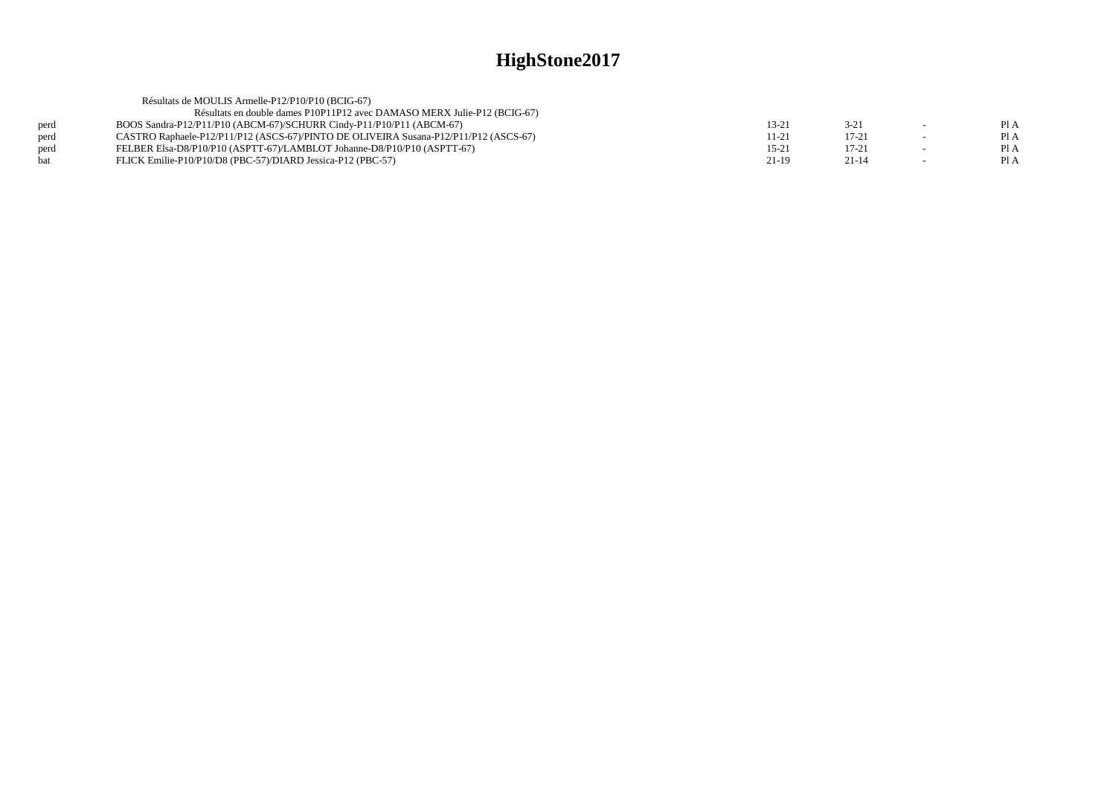|            | Résultats de MOULIS Armelle-P12/P10/P10 (BCIG-67)                                    |           |           |        |      |
|------------|--------------------------------------------------------------------------------------|-----------|-----------|--------|------|
|            | Résultats en double dames P10P11P12 avec DAMASO MERX Julie-P12 (BCIG-67)             |           |           |        |      |
| perd       | BOOS Sandra-P12/P11/P10 (ABCM-67)/SCHURR Cindy-P11/P10/P11 (ABCM-67)                 | 13-21     | $3 - 21$  | $\sim$ | Pl A |
| perd       | CASTRO Raphaele-P12/P11/P12 (ASCS-67)/PINTO DE OLIVEIRA Susana-P12/P11/P12 (ASCS-67) | 11-21     | $17 - 21$ |        | Pl A |
| perd       | FELBER Elsa-D8/P10/P10 (ASPTT-67)/LAMBLOT Johanne-D8/P10/P10 (ASPTT-67)              | $15 - 21$ | $17 - 21$ |        | Pl A |
| <b>bat</b> | FLICK Emilie-P10/P10/D8 (PBC-57)/DIARD Jessica-P12 (PBC-57)                          | $21-19$   | $21 - 14$ | $\sim$ | PI A |
|            |                                                                                      |           |           |        |      |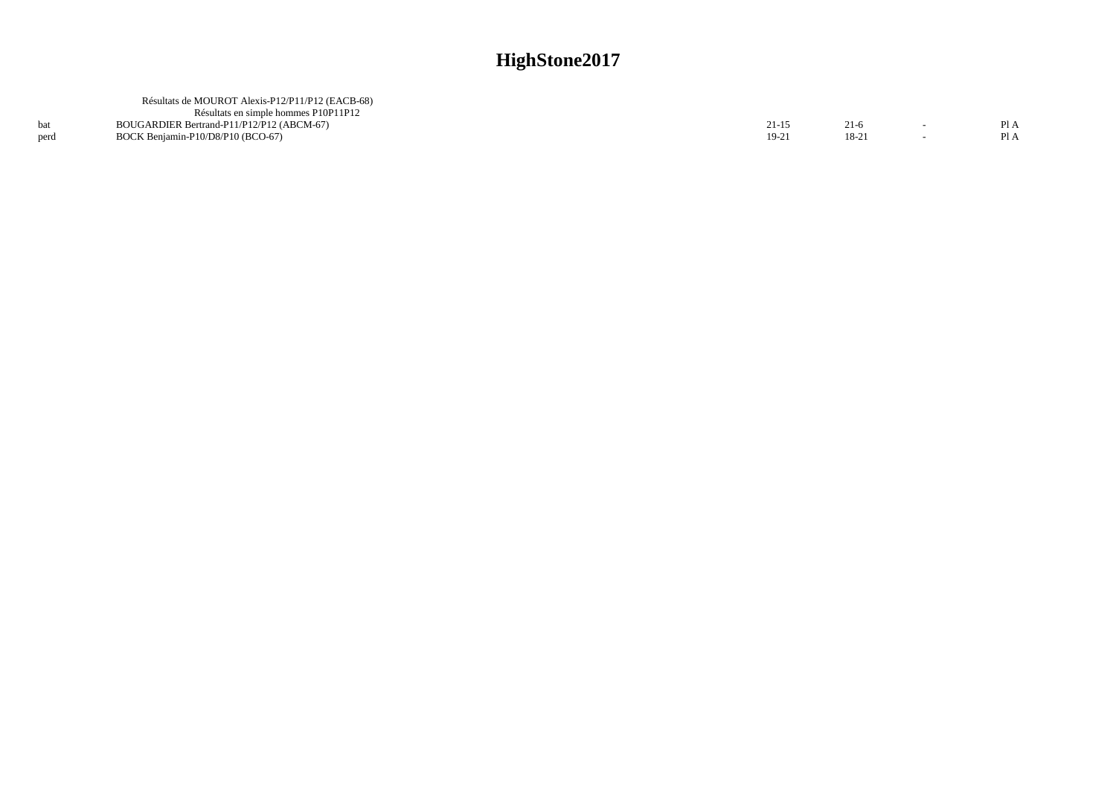|      | Résultats de MOUROT Alexis-P12/P11/P12 (EACB-68) |           |         |      |
|------|--------------------------------------------------|-----------|---------|------|
|      | Résultats en simple hommes P10P11P12             |           |         |      |
|      | BOUGARDIER Bertrand-P11/P12/P12 (ABCM-67)        | $21 - 15$ | 21-6    | Pl A |
| perd | BOCK Beniamin-P10/D8/P10 (BCO-67)                | 19-21     | $18-2.$ | Pl A |
|      |                                                  |           |         |      |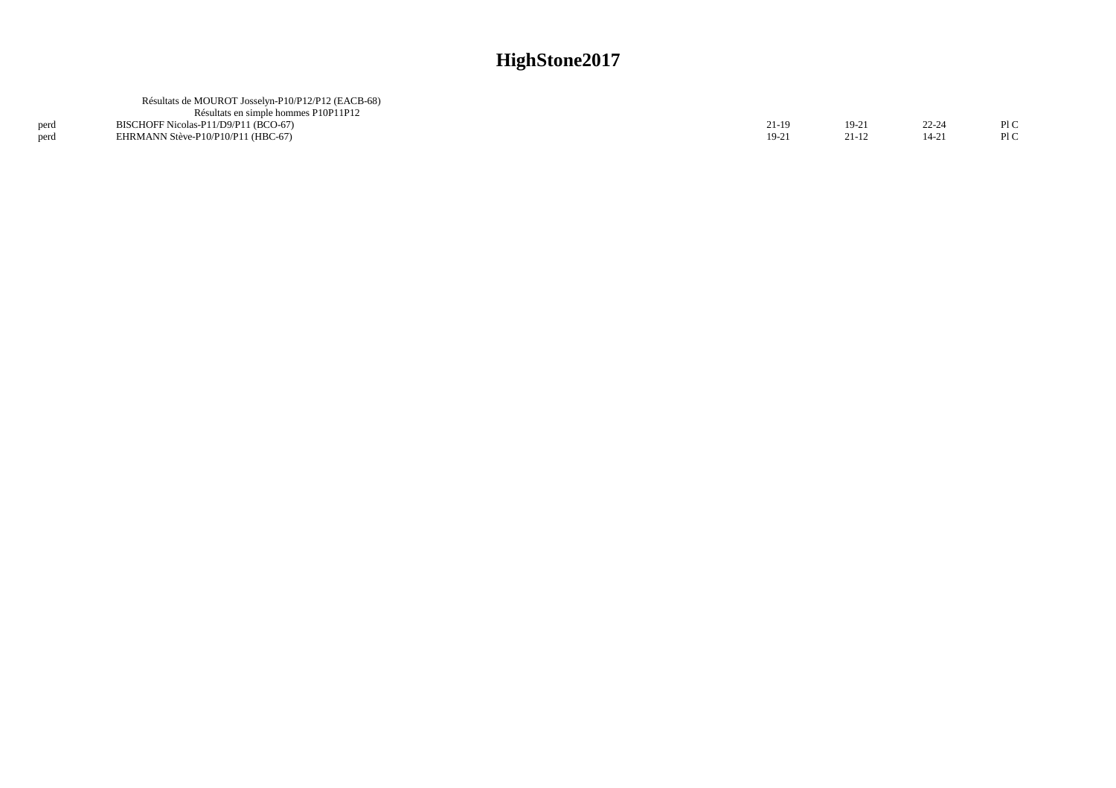|      | Résultats de MOUROT Josselyn-P10/P12/P12 (EACB-68) |       |         |           |     |
|------|----------------------------------------------------|-------|---------|-----------|-----|
|      | Résultats en simple hommes P10P11P12               |       |         |           |     |
| perd | BISCHOFF Nicolas-P11/D9/P11 (BCO-67)               | 21-19 | $19-21$ | $22 - 24$ | P1C |
| perd | EHRMANN Stève-P10/P10/P11 (HBC-67)                 | 19-21 | 21-12   | $14 - 2!$ | P1C |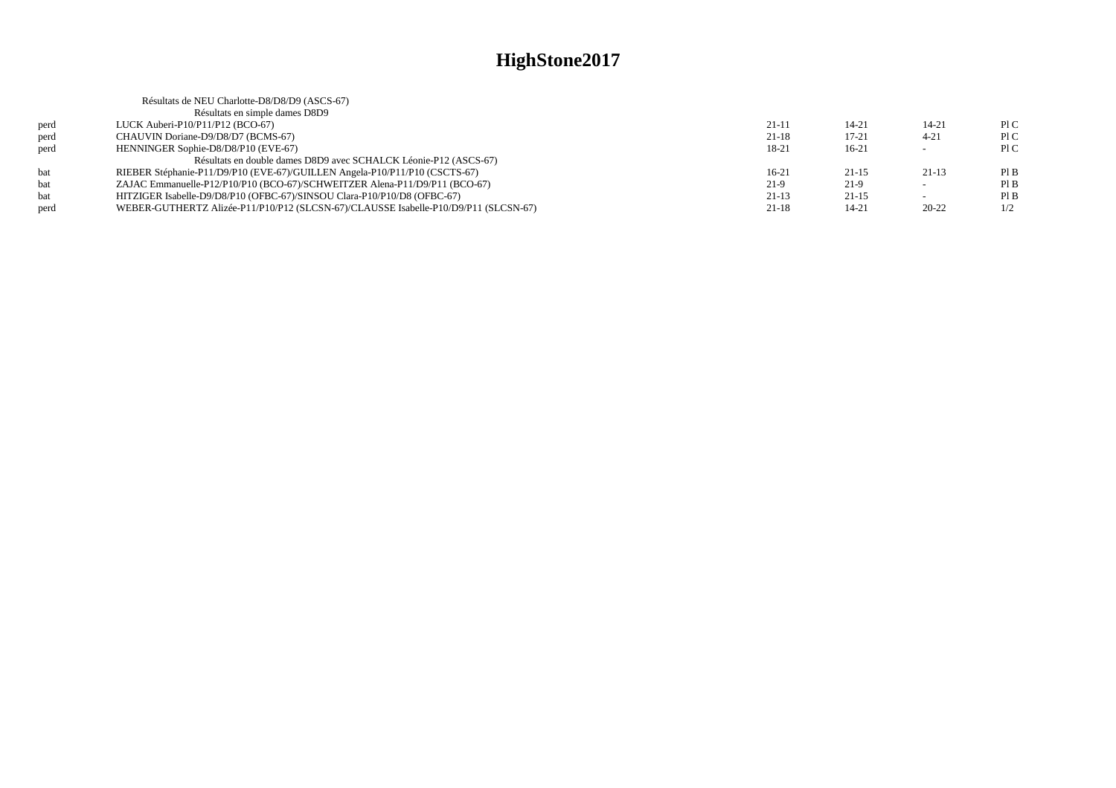|      | Résultats de NEU Charlotte-D8/D8/D9 (ASCS-67)                                       |           |           |                          |      |
|------|-------------------------------------------------------------------------------------|-----------|-----------|--------------------------|------|
|      | Résultats en simple dames D8D9                                                      |           |           |                          |      |
| perd | LUCK Auberi-P $10/P11/P12$ (BCO-67)                                                 | $21 - 11$ | $14 - 21$ | $14 - 21$                | P1C  |
| perd | CHAUVIN Doriane-D9/D8/D7 (BCMS-67)                                                  | $21 - 18$ | $17 - 21$ | $4 - 21$                 | P1C  |
| perd | HENNINGER Sophie-D8/D8/P10 (EVE-67)                                                 | 18-21     | $16-21$   |                          | P1C  |
|      | Résultats en double dames D8D9 avec SCHALCK Léonie-P12 (ASCS-67)                    |           |           |                          |      |
| bat  | RIEBER Stéphanie-P11/D9/P10 (EVE-67)/GUILLEN Angela-P10/P11/P10 (CSCTS-67)          | $16-21$   | $21 - 15$ | $21-13$                  | Pl B |
| bat  | ZAJAC Emmanuelle-P12/P10/P10 (BCO-67)/SCHWEITZER Alena-P11/D9/P11 (BCO-67)          | $21-9$    | $21-9$    | $\sim$                   | PIB  |
| bat  | HITZIGER Isabelle-D9/D8/P10 (OFBC-67)/SINSOU Clara-P10/P10/D8 (OFBC-67)             | $21-13$   | $21 - 15$ | $\overline{\phantom{0}}$ | PIB  |
| perd | WEBER-GUTHERTZ Alizée-P11/P10/P12 (SLCSN-67)/CLAUSSE Isabelle-P10/D9/P11 (SLCSN-67) | $21-18$   | 14-21     | $20 - 22$                | 1/2  |
|      |                                                                                     |           |           |                          |      |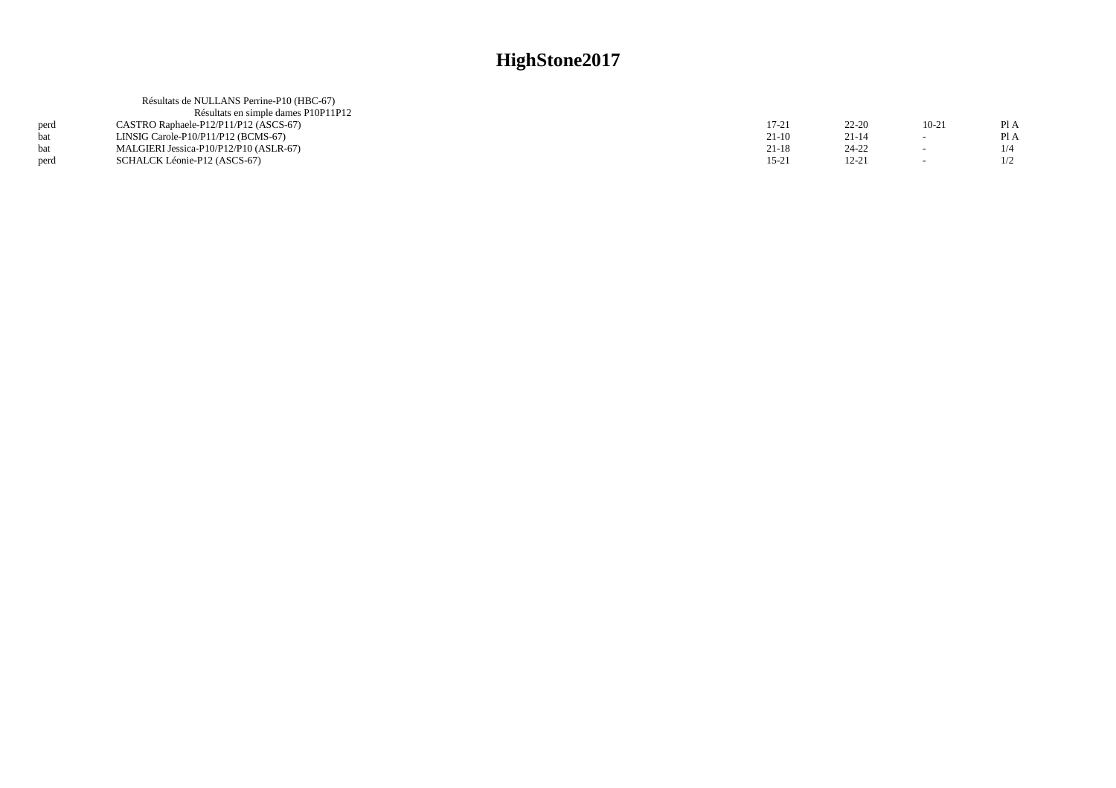|      | Résultats de NULLANS Perrine-P10 (HBC-67) |         |           |         |      |
|------|-------------------------------------------|---------|-----------|---------|------|
|      | Résultats en simple dames P10P11P12       |         |           |         |      |
| perd | CASTRO Raphaele-P12/P11/P12 (ASCS-67)     | 17-21   | $22 - 20$ | $10-21$ | Pl A |
| hat  | LINSIG Carole-P10/P11/P12 (BCMS-67)       | $21-10$ | $21 - 14$ | $\sim$  | Pl A |
| hat  | MALGIERI Jessica-P10/P12/P10 (ASLR-67)    | $21-18$ | 24-22     | $\sim$  | 1/4  |
| perd | SCHALCK Léonie-P12 (ASCS-67)              | 15-21   | $12 - 21$ |         | 1/2  |
|      |                                           |         |           |         |      |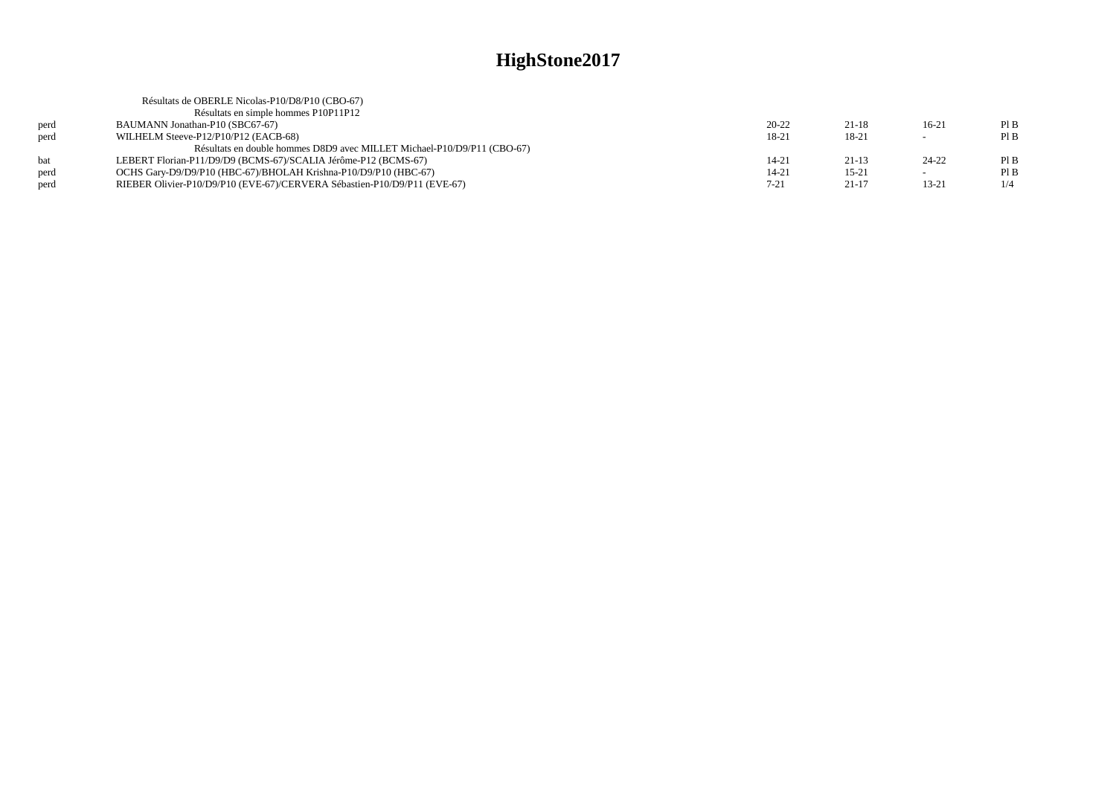|      | Résultats de OBERLE Nicolas-P10/D8/P10 (CBO-67)                          |           |           |                          |     |
|------|--------------------------------------------------------------------------|-----------|-----------|--------------------------|-----|
|      | Résultats en simple hommes P10P11P12                                     |           |           |                          |     |
| perd | BAUMANN Jonathan-P10 (SBC67-67)                                          | $20 - 22$ | $21 - 18$ | $16-21$                  | PIB |
| perd | WILHELM Steeve-P12/P10/P12 (EACB-68)                                     | 18-21     | 18-21     | $\overline{\phantom{0}}$ | PIB |
|      | Résultats en double hommes D8D9 avec MILLET Michael-P10/D9/P11 (CBO-67)  |           |           |                          |     |
| hat  | LEBERT Florian-P11/D9/D9 (BCMS-67)/SCALIA Jérôme-P12 (BCMS-67)           | $14 - 21$ | $21 - 13$ | $24 - 22$                | PIB |
| perd | OCHS Gary-D9/D9/P10 (HBC-67)/BHOLAH Krishna-P10/D9/P10 (HBC-67)          | $14 - 21$ | $15 - 21$ | $\overline{\phantom{0}}$ | PIB |
| perd | RIEBER Olivier-P10/D9/P10 (EVE-67)/CERVERA Sébastien-P10/D9/P11 (EVE-67) | $7 - 21$  | $21-17$   | $13 - 21$                | 1/4 |
|      |                                                                          |           |           |                          |     |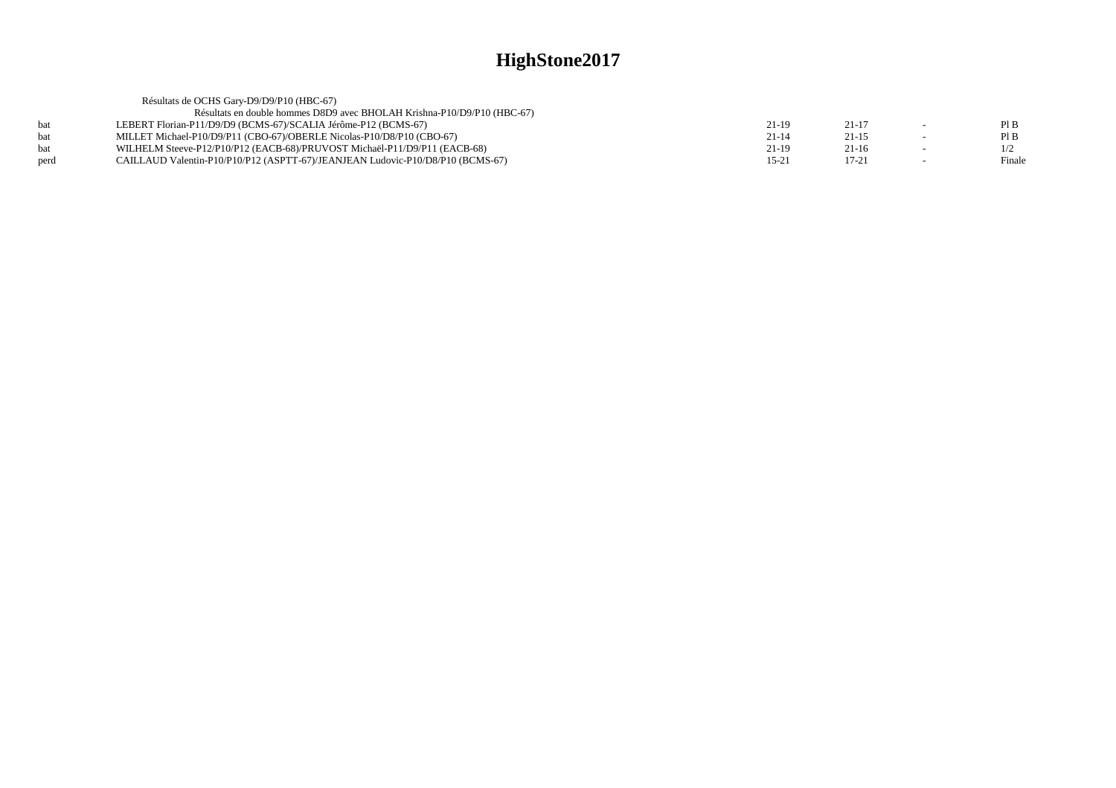|      | Résultats de OCHS Gary-D9/D9/P10 (HBC-67)                                      |           |           |        |
|------|--------------------------------------------------------------------------------|-----------|-----------|--------|
|      | Résultats en double hommes D8D9 avec BHOLAH Krishna-P10/D9/P10 (HBC-67)        |           |           |        |
|      | LEBERT Florian-P11/D9/D9 (BCMS-67)/SCALIA Jérôme-P12 (BCMS-67)                 | 21-19     | 21-17     | PIB    |
|      | MILLET Michael-P10/D9/P11 (CBO-67)/OBERLE Nicolas-P10/D8/P10 (CBO-67)          | $21-14$   | $21 - 15$ | PIB    |
|      | WILHELM Steeve-P12/P10/P12 (EACB-68)/PRUVOST Michaël-P11/D9/P11 (EACB-68)      | $21-19$   | $21-16$   | 1/2    |
| nerd | CAILLAUD Valentin-P10/P10/P12 (ASPTT-67)/JEANJEAN Ludovic-P10/D8/P10 (BCMS-67) | $15 - 21$ | $17 - 21$ | Finale |
|      |                                                                                |           |           |        |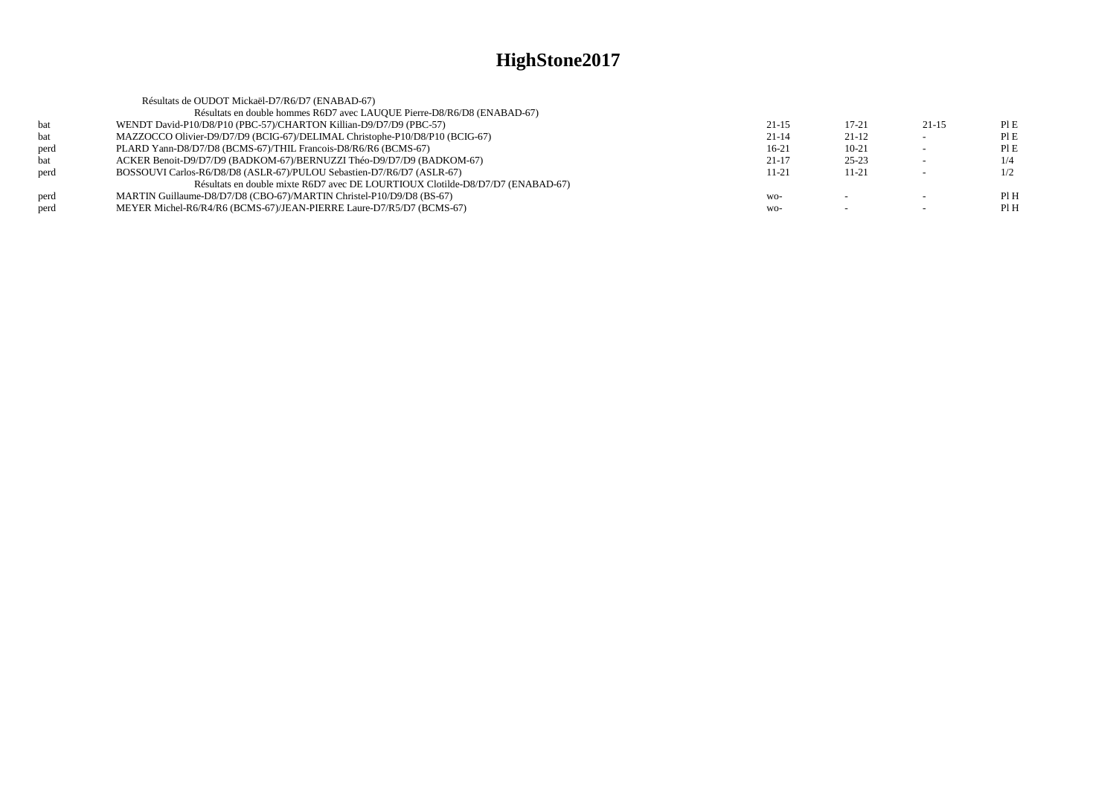|      | Résultats de OUDOT Mickaël-D7/R6/D7 (ENABAD-67)                                |           |           |         |      |
|------|--------------------------------------------------------------------------------|-----------|-----------|---------|------|
|      | Résultats en double hommes R6D7 avec LAUQUE Pierre-D8/R6/D8 (ENABAD-67)        |           |           |         |      |
| bat  | WENDT David-P10/D8/P10 (PBC-57)/CHARTON Killian-D9/D7/D9 (PBC-57)              | $21 - 15$ | $17 - 21$ | $21-15$ | PI E |
| bat  | MAZZOCCO Olivier-D9/D7/D9 (BCIG-67)/DELIMAL Christophe-P10/D8/P10 (BCIG-67)    | $21-14$   | $21 - 12$ |         | PIE  |
| perd | PLARD Yann-D8/D7/D8 (BCMS-67)/THIL Francois-D8/R6/R6 (BCMS-67)                 | $16-21$   | $10 - 21$ |         | PIE  |
| bat  | ACKER Benoit-D9/D7/D9 (BADKOM-67)/BERNUZZI Théo-D9/D7/D9 (BADKOM-67)           | $21-17$   | $25 - 23$ |         | 1/4  |
| perd | BOSSOUVI Carlos-R6/D8/D8 (ASLR-67)/PULOU Sebastien-D7/R6/D7 (ASLR-67)          | 11-21     | $11 - 21$ |         | 1/2  |
|      | Résultats en double mixte R6D7 avec DE LOURTIOUX Clotilde-D8/D7/D7 (ENABAD-67) |           |           |         |      |
| perd | MARTIN Guillaume-D8/D7/D8 (CBO-67)/MARTIN Christel-P10/D9/D8 (BS-67)           | WO-       |           |         | PIH  |
| perd | MEYER Michel-R6/R4/R6 (BCMS-67)/JEAN-PIERRE Laure-D7/R5/D7 (BCMS-67)           | $WO-$     |           |         | Pl H |
|      |                                                                                |           |           |         |      |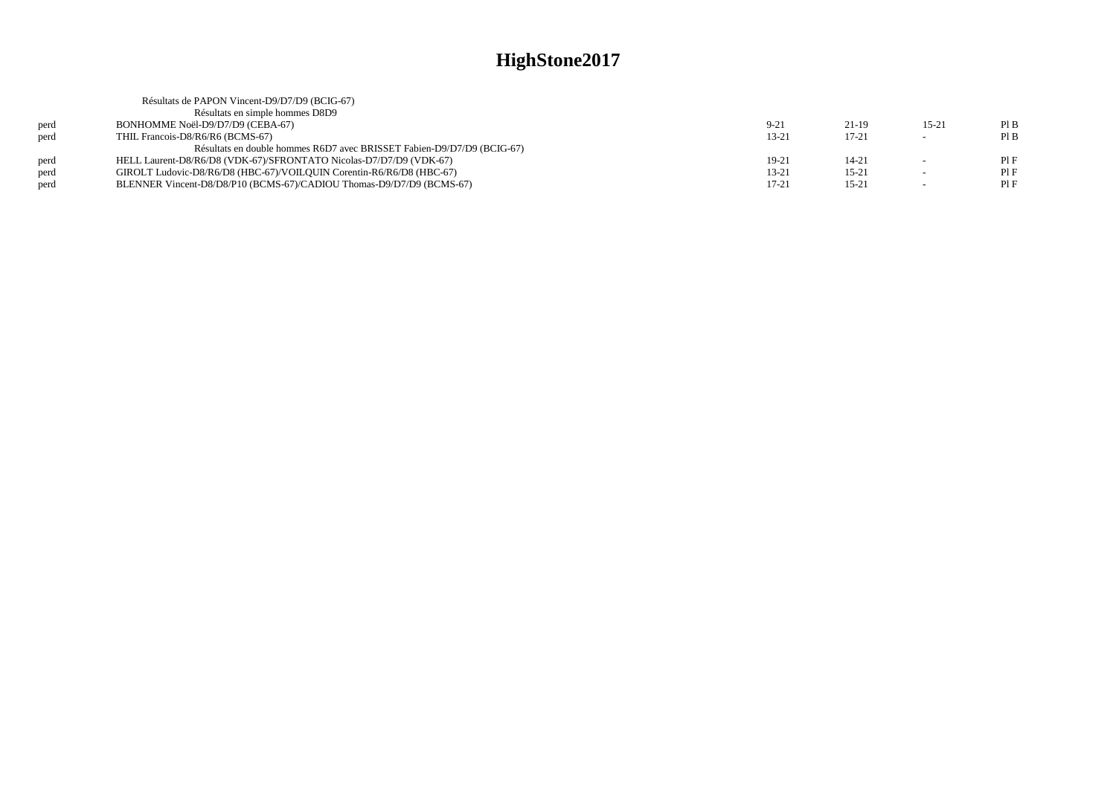|      | Résultats de PAPON Vincent-D9/D7/D9 (BCIG-67)                          |           |           |                          |      |
|------|------------------------------------------------------------------------|-----------|-----------|--------------------------|------|
|      | Résultats en simple hommes D8D9                                        |           |           |                          |      |
| perd | BONHOMME Noël-D9/D7/D9 (CEBA-67)                                       | $9 - 21$  | $21-19$   | $15 - 21$                | PIB  |
| perd | THIL Francois-D8/R6/R6 (BCMS-67)                                       | 13-21     | $17 - 21$ |                          | PIB  |
|      | Résultats en double hommes R6D7 avec BRISSET Fabien-D9/D7/D9 (BCIG-67) |           |           |                          |      |
| perd | HELL Laurent-D8/R6/D8 (VDK-67)/SFRONTATO Nicolas-D7/D7/D9 (VDK-67)     | 19-21     | $14 - 21$ |                          | PIF  |
| perd | GIROLT Ludovic-D8/R6/D8 (HBC-67)/VOILQUIN Corentin-R6/R6/D8 (HBC-67)   | $13 - 21$ | $15 - 21$ | $\overline{\phantom{a}}$ | PIF  |
| perd | BLENNER Vincent-D8/D8/P10 (BCMS-67)/CADIOU Thomas-D9/D7/D9 (BCMS-67)   | $17 - 21$ | $15 - 21$ | $\overline{\phantom{a}}$ | PI F |
|      |                                                                        |           |           |                          |      |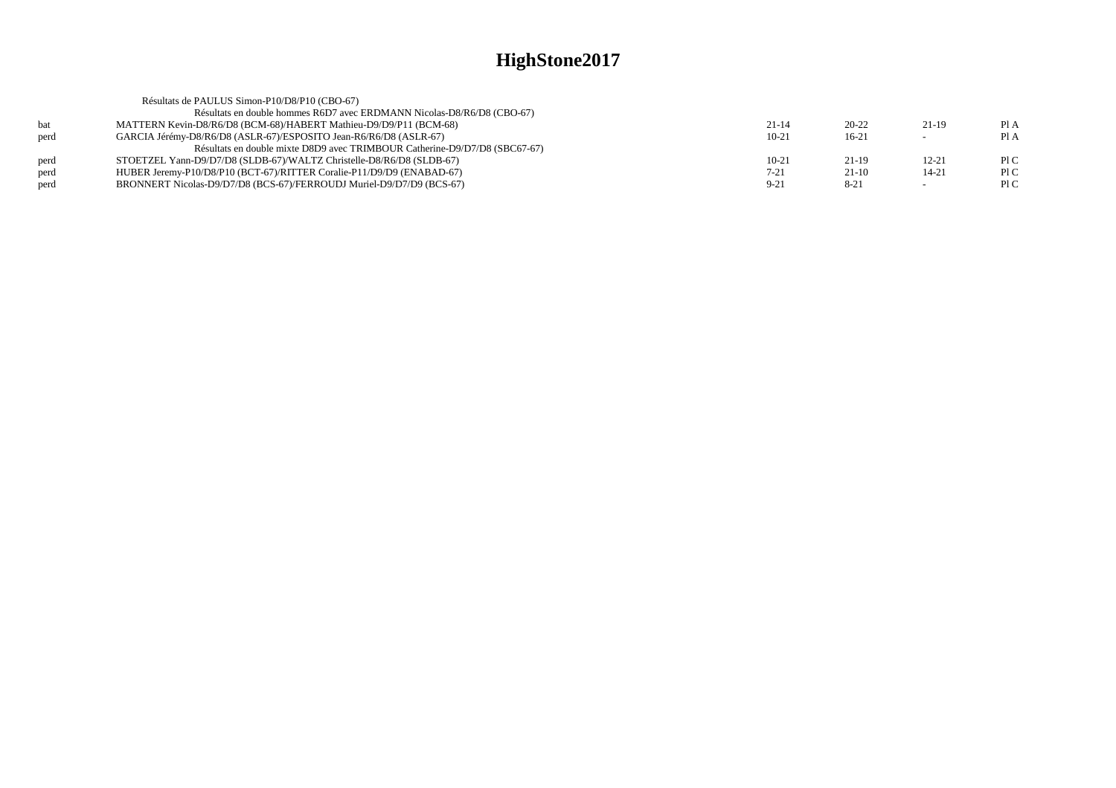|      | Résultats de PAULUS Simon-P10/D8/P10 (CBO-67)                              |           |           |           |      |
|------|----------------------------------------------------------------------------|-----------|-----------|-----------|------|
|      | Résultats en double hommes R6D7 avec ERDMANN Nicolas-D8/R6/D8 (CBO-67)     |           |           |           |      |
| bat  | MATTERN Kevin-D8/R6/D8 (BCM-68)/HABERT Mathieu-D9/D9/P11 (BCM-68)          | $21 - 14$ | $20 - 22$ | 21-19     | PI A |
| perd | GARCIA Jérémy-D8/R6/D8 (ASLR-67)/ESPOSITO Jean-R6/R6/D8 (ASLR-67)          | $10-21$   | $16-21$   |           | Pl A |
|      | Résultats en double mixte D8D9 avec TRIMBOUR Catherine-D9/D7/D8 (SBC67-67) |           |           |           |      |
| perd | STOETZEL Yann-D9/D7/D8 (SLDB-67)/WALTZ Christelle-D8/R6/D8 (SLDB-67)       | $10-21$   | $21-19$   | $12 - 21$ | P1C  |
| perd | HUBER Jeremy-P10/D8/P10 (BCT-67)/RITTER Coralie-P11/D9/D9 (ENABAD-67)      | $7 - 21$  | $21-10$   | 14-21     | P1C  |
| perd | BRONNERT Nicolas-D9/D7/D8 (BCS-67)/FERROUDJ Muriel-D9/D7/D9 (BCS-67)       | $9 - 21$  | $8 - 21$  |           | P1C  |
|      |                                                                            |           |           |           |      |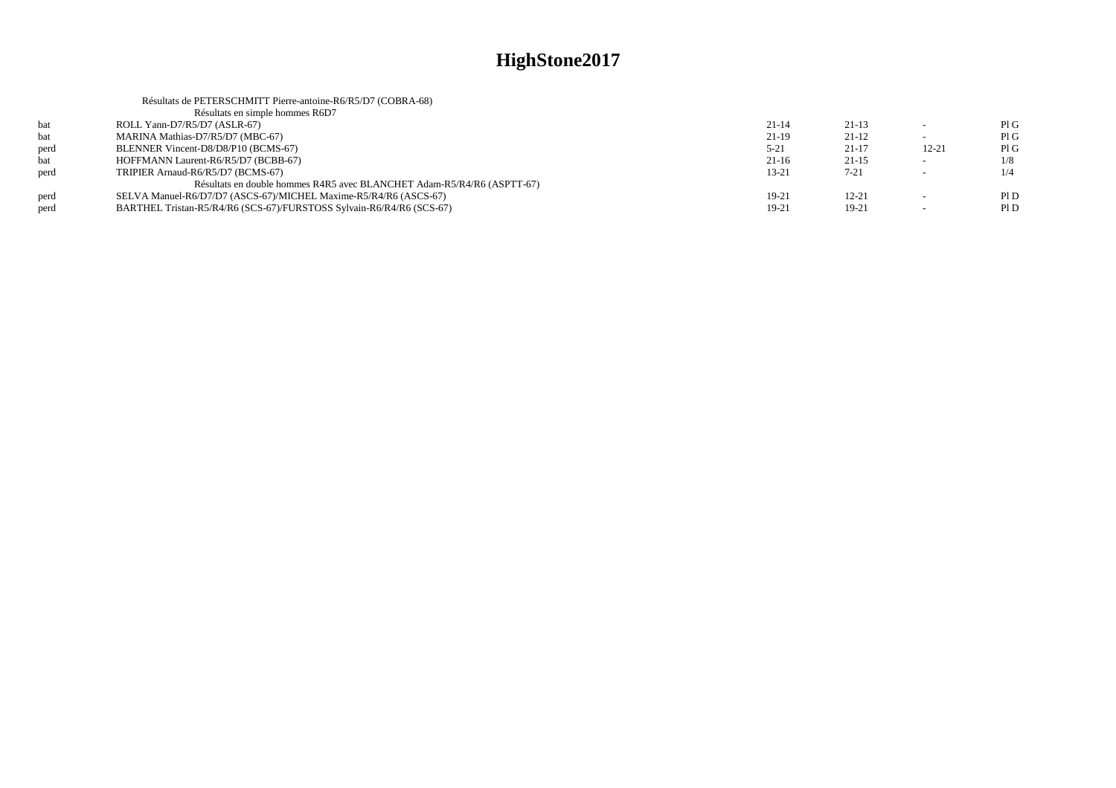|      | Résultats de PETERSCHMITT Pierre-antoine-R6/R5/D7 (COBRA-68)           |           |           |                          |     |
|------|------------------------------------------------------------------------|-----------|-----------|--------------------------|-----|
|      | Résultats en simple hommes R6D7                                        |           |           |                          |     |
| bat  | ROLL Yann-D7/R5/D7 (ASLR-67)                                           | $21 - 14$ | $21-13$   |                          | PIG |
| bat  | MARINA Mathias-D7/R5/D7 (MBC-67)                                       | $21-19$   | $21-12$   |                          | PIG |
| perd | BLENNER Vincent-D8/D8/P10 (BCMS-67)                                    | $5 - 21$  | $21 - 17$ | $12 - 21$                | PIG |
| bat  | HOFFMANN Laurent-R6/R5/D7 (BCBB-67)                                    | $21-16$   | $21 - 15$ |                          | 1/8 |
| perd | TRIPIER Arnaud-R6/R5/D7 (BCMS-67)                                      | $13 - 21$ | $7 - 21$  |                          | 1/4 |
|      | Résultats en double hommes R4R5 avec BLANCHET Adam-R5/R4/R6 (ASPTT-67) |           |           |                          |     |
| perd | SELVA Manuel-R6/D7/D7 (ASCS-67)/MICHEL Maxime-R5/R4/R6 (ASCS-67)       | 19-21     | $12 - 21$ |                          | PID |
| perd | BARTHEL Tristan-R5/R4/R6 (SCS-67)/FURSTOSS Sylvain-R6/R4/R6 (SCS-67)   | 19-21     | $19-21$   | $\overline{\phantom{a}}$ | P1D |
|      |                                                                        |           |           |                          |     |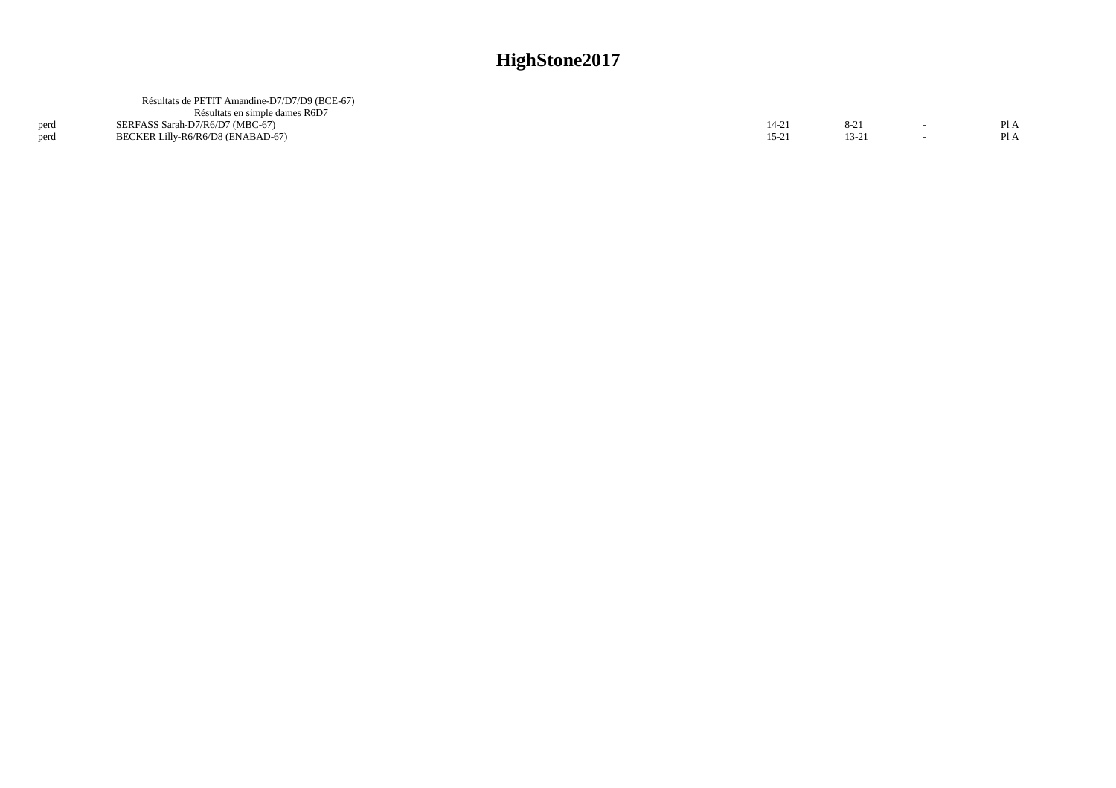|      | Résultats de PETIT Amandine-D7/D7/D9 (BCE-67) |       |  |     |
|------|-----------------------------------------------|-------|--|-----|
|      | Résultats en simple dames R6D7                |       |  |     |
| perd | SERFASS Sarah-D7/R6/D7 (MBC-67)               | 14-21 |  | P1A |
| perd | BECKER Lilly-R6/R6/D8 (ENABAD-67)             | 15-2  |  | PIA |
|      |                                               |       |  |     |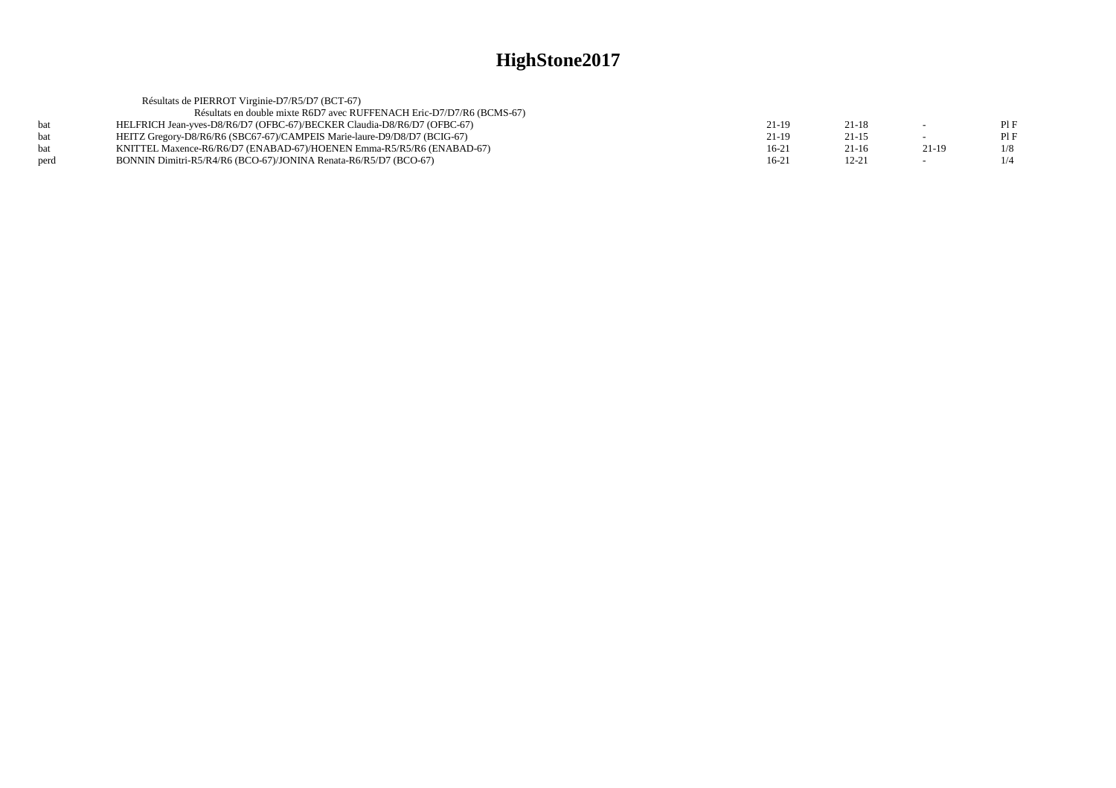| Résultats de PIERROT Virginie-D7/R5/D7 (BCT-67)                       |                                                                                                                                                                                                                                                                                                  |           |         |     |
|-----------------------------------------------------------------------|--------------------------------------------------------------------------------------------------------------------------------------------------------------------------------------------------------------------------------------------------------------------------------------------------|-----------|---------|-----|
| Résultats en double mixte R6D7 avec RUFFENACH Eric-D7/D7/R6 (BCMS-67) |                                                                                                                                                                                                                                                                                                  |           |         |     |
|                                                                       | 21-19                                                                                                                                                                                                                                                                                            | $21 - 18$ |         | PIF |
|                                                                       | $21-19$                                                                                                                                                                                                                                                                                          | $21 - 15$ |         | PIF |
|                                                                       | $16-21$                                                                                                                                                                                                                                                                                          | 21-16     | $21-19$ | 1/8 |
|                                                                       | $16-21$                                                                                                                                                                                                                                                                                          | $12 - 21$ |         |     |
|                                                                       | HELFRICH Jean-vyes-D8/R6/D7 (OFBC-67)/BECKER Claudia-D8/R6/D7 (OFBC-67)<br>HEITZ Gregory-D8/R6/R6 (SBC67-67)/CAMPEIS Marie-laure-D9/D8/D7 (BCIG-67)<br>KNITTEL Maxence-R6/R6/D7 (ENABAD-67)/HOENEN Emma-R5/R5/R6 (ENABAD-67)<br>BONNIN Dimitri-R5/R4/R6 (BCO-67)/JONINA Renata-R6/R5/D7 (BCO-67) |           |         |     |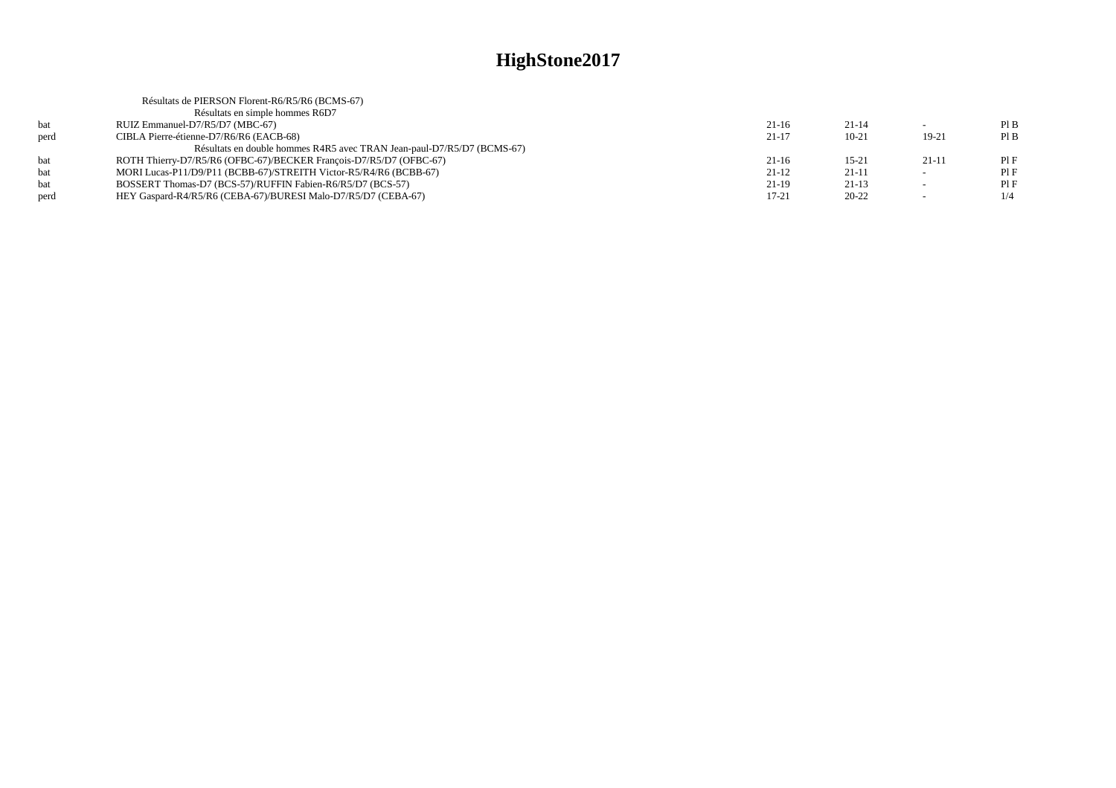|      | Résultats de PIERSON Florent-R6/R5/R6 (BCMS-67)                        |           |           |         |     |
|------|------------------------------------------------------------------------|-----------|-----------|---------|-----|
|      | Résultats en simple hommes R6D7                                        |           |           |         |     |
| bat  | RUIZ Emmanuel-D7/R5/D7 (MBC-67)                                        | $21-16$   | $21 - 14$ |         | PIB |
| perd | CIBLA Pierre-étienne-D7/R6/R6 (EACB-68)                                | $21-17$   | $10 - 21$ | 19-21   | PIB |
|      | Résultats en double hommes R4R5 avec TRAN Jean-paul-D7/R5/D7 (BCMS-67) |           |           |         |     |
| bat  | ROTH Thierry-D7/R5/R6 (OFBC-67)/BECKER François-D7/R5/D7 (OFBC-67)     | $21-16$   | $15 - 21$ | $21-11$ | PIF |
| bat  | MORI Lucas-P11/D9/P11 (BCBB-67)/STREITH Victor-R5/R4/R6 (BCBB-67)      | $21-12$   | $21-11$   | $\sim$  | PIF |
| bat  | BOSSERT Thomas-D7 (BCS-57)/RUFFIN Fabien-R6/R5/D7 (BCS-57)             | $21-19$   | $21-13$   |         | PIF |
| perd | HEY Gaspard-R4/R5/R6 (CEBA-67)/BURESI Malo-D7/R5/D7 (CEBA-67)          | $17 - 21$ | $20 - 22$ |         | 1/4 |
|      |                                                                        |           |           |         |     |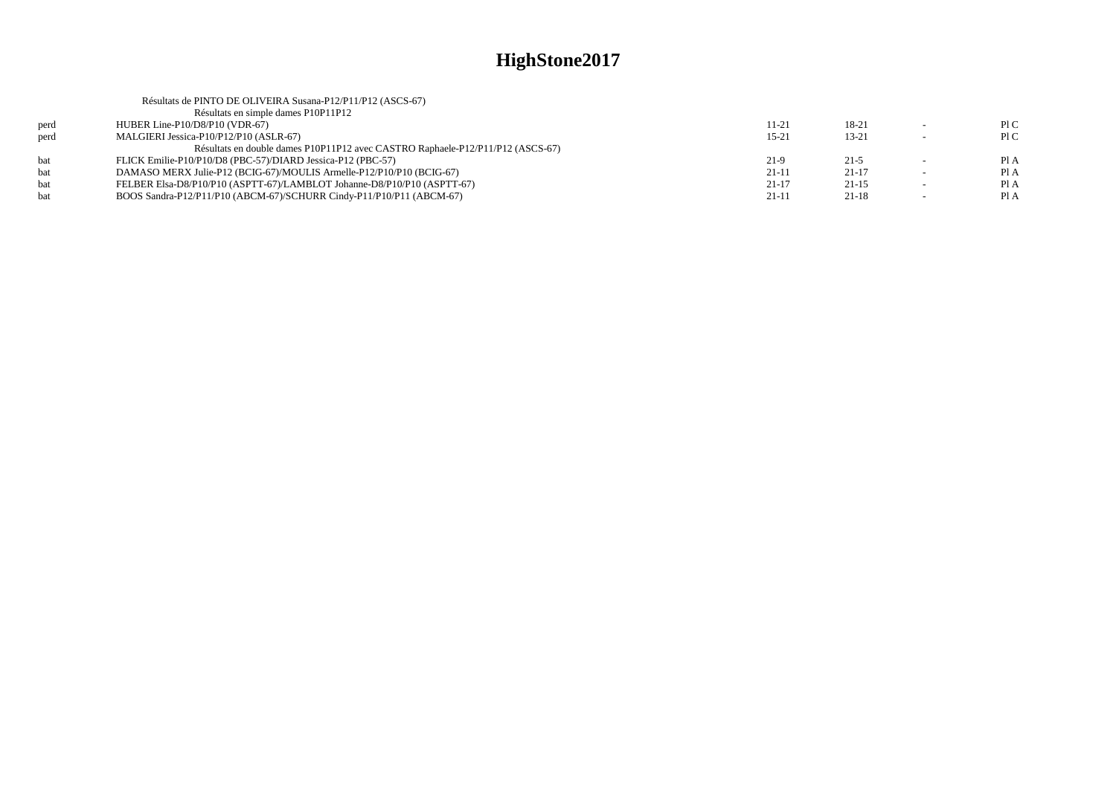|      | Résultats de PINTO DE OLIVEIRA Susana-P12/P11/P12 (ASCS-67)                    |           |           |      |
|------|--------------------------------------------------------------------------------|-----------|-----------|------|
|      | Résultats en simple dames P10P11P12                                            |           |           |      |
| perd | HUBER Line-P10/D8/P10 (VDR-67)                                                 | 11-21     | 18-21     | P1C  |
| nerd | MALGIERI Jessica-P10/P12/P10 (ASLR-67)                                         | $15 - 21$ | $13 - 21$ | P1C  |
|      | Résultats en double dames P10P11P12 avec CASTRO Raphaele-P12/P11/P12 (ASCS-67) |           |           |      |
| hat. | FLICK Emilie-P10/P10/D8 (PBC-57)/DIARD Jessica-P12 (PBC-57)                    | $21-9$    | $21 - 5$  | Pl A |
| hat. | DAMASO MERX Julie-P12 (BCIG-67)/MOULIS Armelle-P12/P10/P10 (BCIG-67)           | $21-11$   | $21-17$   | Pl A |
| bat  | FELBER Elsa-D8/P10/P10 (ASPTT-67)/LAMBLOT Johanne-D8/P10/P10 (ASPTT-67)        | $21-17$   | $21-15$   | Pl A |
| hat  | BOOS Sandra-P12/P11/P10 (ABCM-67)/SCHURR Cindy-P11/P10/P11 (ABCM-67)           | $21-11$   | $21 - 18$ | Pl A |
|      |                                                                                |           |           |      |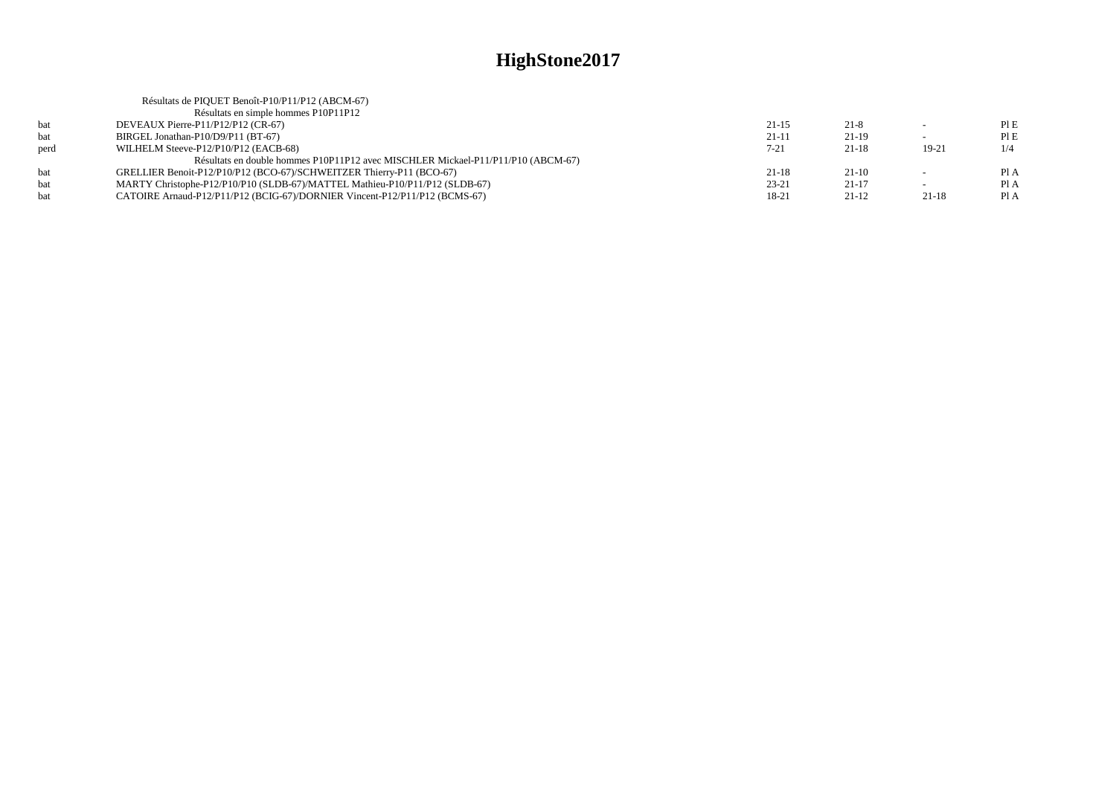|      | Résultats de PIQUET Benoît-P10/P11/P12 (ABCM-67)                                 |           |           |         |      |
|------|----------------------------------------------------------------------------------|-----------|-----------|---------|------|
|      | Résultats en simple hommes P10P11P12                                             |           |           |         |      |
| bat  | DEVEAUX Pierre-P11/P12/P12 (CR-67)                                               | $21 - 15$ | $21-8$    | $\sim$  | PIE  |
| bat  | BIRGEL Jonathan-P10/D9/P11 (BT-67)                                               | $21-11$   | $21-19$   |         | PIE  |
| perd | WILHELM Steeve-P12/P10/P12 (EACB-68)                                             | $7 - 21$  | $21 - 18$ | 19-21   | 1/4  |
|      | Résultats en double hommes P10P11P12 avec MISCHLER Mickael-P11/P11/P10 (ABCM-67) |           |           |         |      |
| hat  | GRELLIER Benoit-P12/P10/P12 (BCO-67)/SCHWEITZER Thierry-P11 (BCO-67)             | $21 - 18$ | $21-10$   |         | Pl A |
| bat  | MARTY Christophe-P12/P10/P10 (SLDB-67)/MATTEL Mathieu-P10/P11/P12 (SLDB-67)      | $23 - 21$ | $21-17$   |         | Pl A |
| hat  | CATOIRE Arnaud-P12/P11/P12 (BCIG-67)/DORNIER Vincent-P12/P11/P12 (BCMS-67)       | 18-21     | $21 - 12$ | $21-18$ | Pl A |
|      |                                                                                  |           |           |         |      |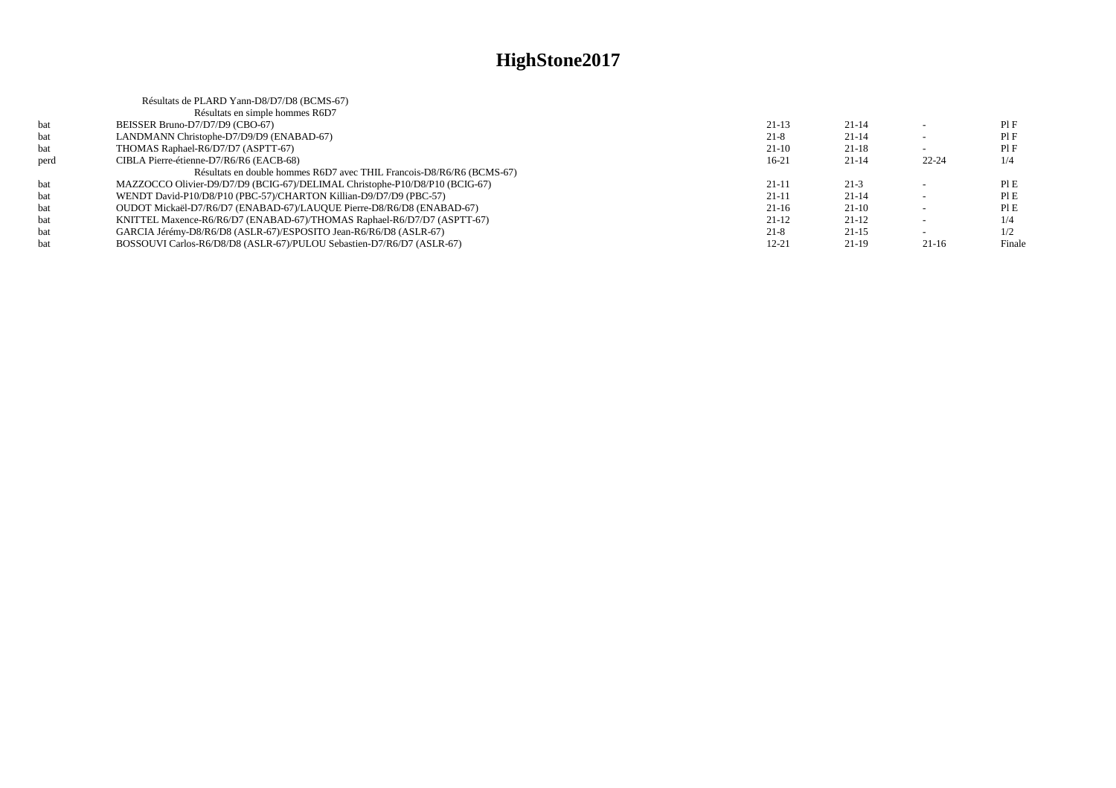|      | Résultats de PLARD Yann-D8/D7/D8 (BCMS-67)                                  |           |           |           |        |
|------|-----------------------------------------------------------------------------|-----------|-----------|-----------|--------|
|      | Résultats en simple hommes R6D7                                             |           |           |           |        |
| bat  | BEISSER Bruno-D7/D7/D9 (CBO-67)                                             | $21-13$   | $21 - 14$ |           | PIF    |
| bat  | LANDMANN Christophe-D7/D9/D9 (ENABAD-67)                                    | $21 - 8$  | $21 - 14$ |           | PIF    |
| bat  | THOMAS Raphael-R6/D7/D7 (ASPTT-67)                                          | 21-10     | $21 - 18$ |           | PIF    |
| perd | CIBLA Pierre-étienne-D7/R6/R6 (EACB-68)                                     | $16-21$   | $21 - 14$ | $22 - 24$ | 1/4    |
|      | Résultats en double hommes R6D7 avec THIL Francois-D8/R6/R6 (BCMS-67)       |           |           |           |        |
| bat  | MAZZOCCO Olivier-D9/D7/D9 (BCIG-67)/DELIMAL Christophe-P10/D8/P10 (BCIG-67) | $21 - 11$ | $21-3$    |           | PIE    |
| bat  | WENDT David-P10/D8/P10 (PBC-57)/CHARTON Killian-D9/D7/D9 (PBC-57)           | $21 - 11$ | $21 - 14$ |           | PIE    |
| bat  | OUDOT Mickaël-D7/R6/D7 (ENABAD-67)/LAUQUE Pierre-D8/R6/D8 (ENABAD-67)       | 21-16     | $21-10$   |           | PIE    |
| bat  | KNITTEL Maxence-R6/R6/D7 (ENABAD-67)/THOMAS Raphael-R6/D7/D7 (ASPTT-67)     | $21-12$   | $21-12$   |           | 1/4    |
| bat  | GARCIA Jérémy-D8/R6/D8 (ASLR-67)/ESPOSITO Jean-R6/R6/D8 (ASLR-67)           | $21-8$    | $21-15$   |           | 1/2    |
| bat  | BOSSOUVI Carlos-R6/D8/D8 (ASLR-67)/PULOU Sebastien-D7/R6/D7 (ASLR-67)       | $12 - 21$ | $21-19$   | $21-16$   | Finale |
|      |                                                                             |           |           |           |        |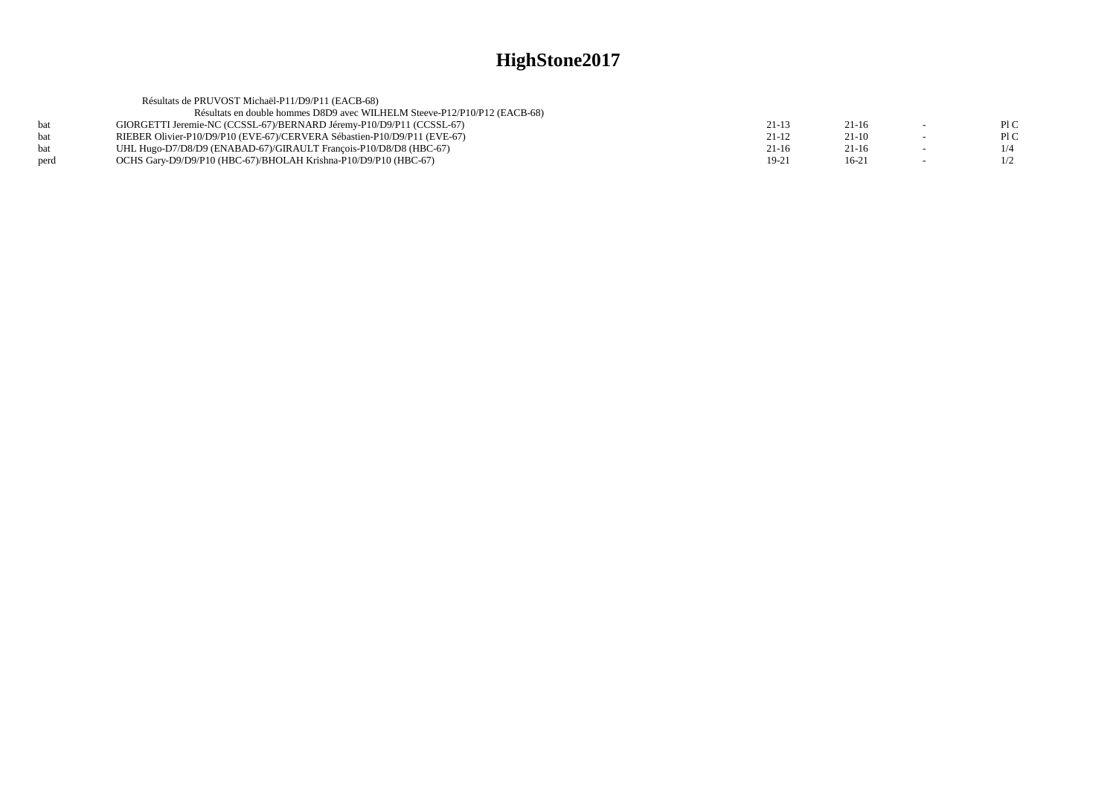|            | Résultats de PRUVOST Michaël-P11/D9/P11 (EACB-68)                         |           |           |        |     |
|------------|---------------------------------------------------------------------------|-----------|-----------|--------|-----|
|            | Résultats en double hommes D8D9 avec WILHELM Steeve-P12/P10/P12 (EACB-68) |           |           |        |     |
| <b>bat</b> | GIORGETTI Jeremie-NC (CCSSL-67)/BERNARD Jéremy-P10/D9/P11 (CCSSL-67)      | 21-13     | $21-16$   |        | PLC |
| <b>bat</b> | RIEBER Olivier-P10/D9/P10 (EVE-67)/CERVERA Sébastien-P10/D9/P11 (EVE-67)  | $21 - 12$ | $21-10$   | $\sim$ | PLC |
| <b>bat</b> | UHL Hugo-D7/D8/D9 (ENABAD-67)/GIRAULT Francois-P10/D8/D8 (HBC-67)         | $21-16$   | $21 - 16$ | $\sim$ | 1/4 |
| perd       | OCHS Gary-D9/D9/P10 (HBC-67)/BHOLAH Krishna-P10/D9/P10 (HBC-67)           | 19-21     | $16-21$   | $\sim$ | 1/2 |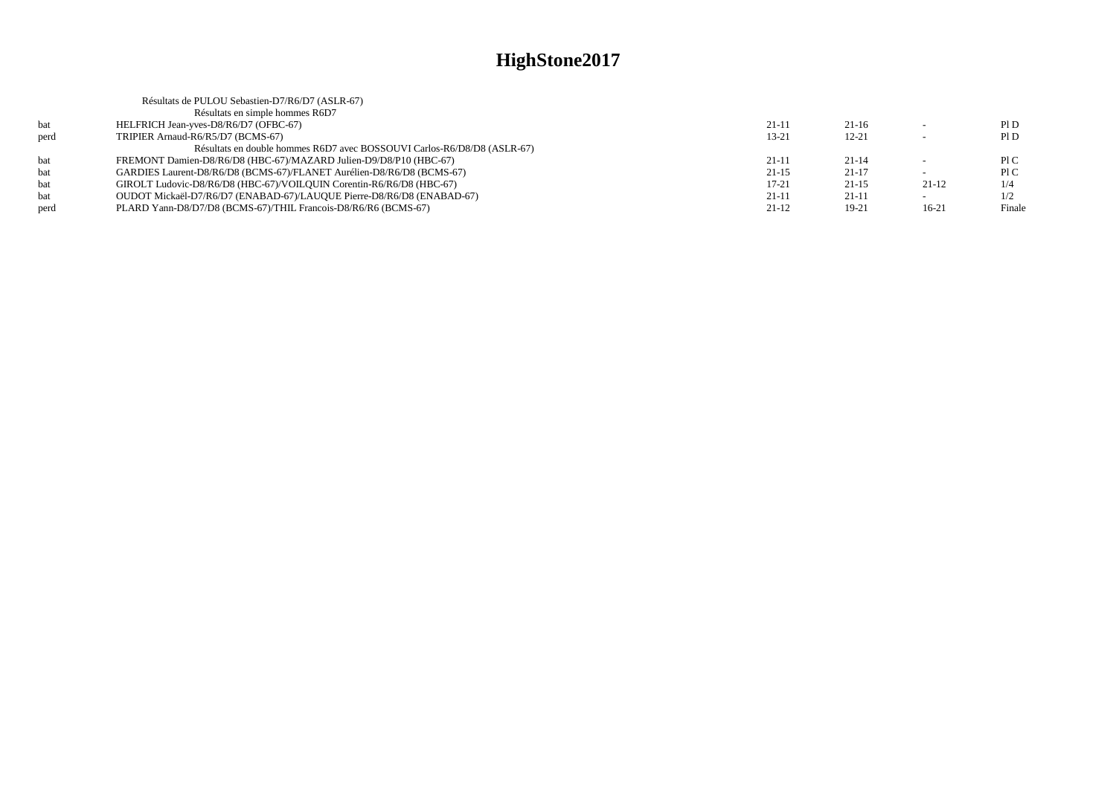| Résultats de PULOU Sebastien-D7/R6/D7 (ASLR-67)                         |           |           |         |        |
|-------------------------------------------------------------------------|-----------|-----------|---------|--------|
| Résultats en simple hommes R6D7                                         |           |           |         |        |
| HELFRICH Jean-yves-D8/R6/D7 (OFBC-67)                                   | $21 - 11$ | $21-16$   |         | P1D    |
| TRIPIER Arnaud-R6/R5/D7 (BCMS-67)                                       | $13 - 21$ | $12 - 21$ |         | P1D    |
| Résultats en double hommes R6D7 avec BOSSOUVI Carlos-R6/D8/D8 (ASLR-67) |           |           |         |        |
| FREMONT Damien-D8/R6/D8 (HBC-67)/MAZARD Julien-D9/D8/P10 (HBC-67)       | $21-11$   | $21 - 14$ |         | P1C    |
| GARDIES Laurent-D8/R6/D8 (BCMS-67)/FLANET Aurélien-D8/R6/D8 (BCMS-67)   | $21 - 15$ | $21-17$   |         | P1C    |
| GIROLT Ludovic-D8/R6/D8 (HBC-67)/VOILOUIN Corentin-R6/R6/D8 (HBC-67)    | $17 - 21$ | $21-15$   | $21-12$ | 1/4    |
| OUDOT Mickaël-D7/R6/D7 (ENABAD-67)/LAUQUE Pierre-D8/R6/D8 (ENABAD-67)   | $21 - 11$ | $21-11$   |         | 1/2    |
| PLARD Yann-D8/D7/D8 (BCMS-67)/THIL Francois-D8/R6/R6 (BCMS-67)          | $21-12$   | $19-21$   | $16-21$ | Finale |
|                                                                         |           |           |         |        |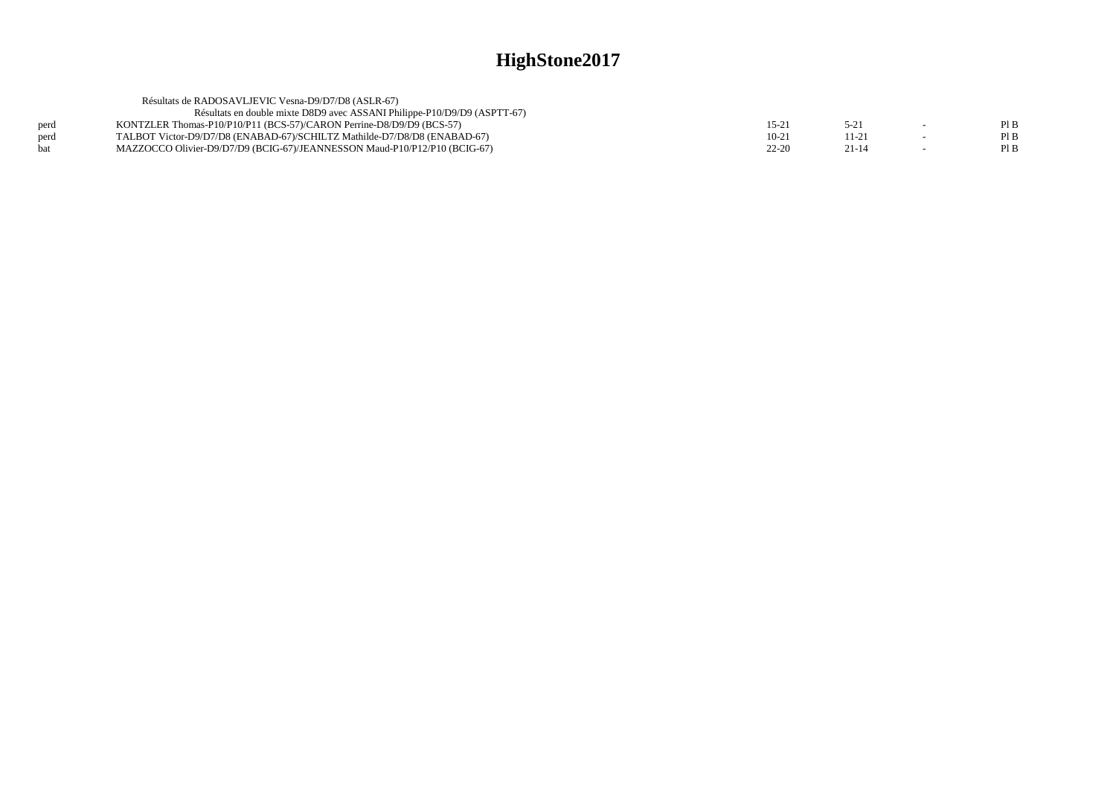|      | Résultats de RADOSAVLJEVIC Vesna-D9/D7/D8 (ASLR-67)                       |         |           |                          |      |
|------|---------------------------------------------------------------------------|---------|-----------|--------------------------|------|
|      | Résultats en double mixte D8D9 avec ASSANI Philippe-P10/D9/D9 (ASPTT-67)  |         |           |                          |      |
| perd | KONTZLER Thomas-P10/P10/P11 (BCS-57)/CARON Perrine-D8/D9/D9 (BCS-57)      | 15-21   | 5-21      | $\overline{\phantom{0}}$ | Pl B |
| perd | TALBOT Victor-D9/D7/D8 (ENABAD-67)/SCHILTZ Mathilde-D7/D8/D8 (ENABAD-67)  | $10-21$ | 11-21     | $\sim$                   | Pl B |
| hat  | MAZZOCCO Olivier-D9/D7/D9 (BCIG-67)/JEANNESSON Maud-P10/P12/P10 (BCIG-67) | 22-20   | $21 - 14$ |                          | Pl B |
|      |                                                                           |         |           |                          |      |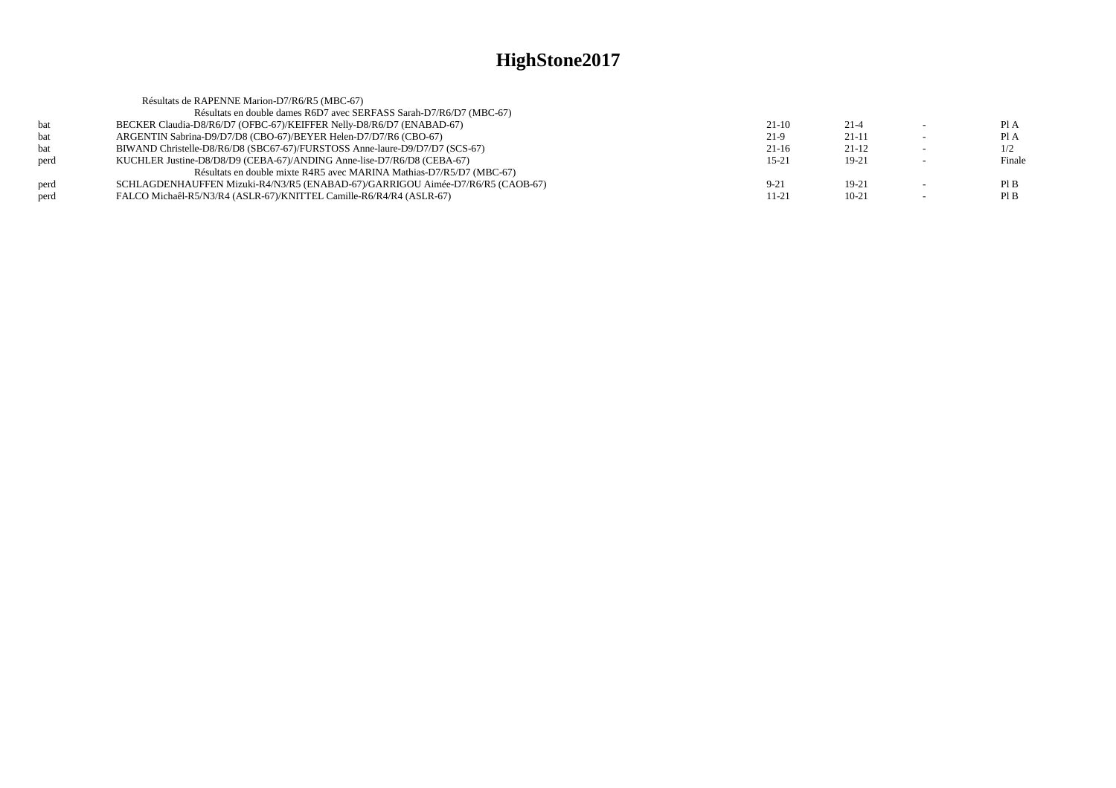|      | Résultats de RAPENNE Marion-D7/R6/R5 (MBC-67)                                  |           |          |        |
|------|--------------------------------------------------------------------------------|-----------|----------|--------|
|      | Résultats en double dames R6D7 avec SERFASS Sarah-D7/R6/D7 (MBC-67)            |           |          |        |
| bat  | BECKER Claudia-D8/R6/D7 (OFBC-67)/KEIFFER Nelly-D8/R6/D7 (ENABAD-67)           | $21-10$   | $21 - 4$ | Pl A   |
| bat  | ARGENTIN Sabrina-D9/D7/D8 (CBO-67)/BEYER Helen-D7/D7/R6 (CBO-67)               | $21-9$    | $21-11$  | Pl A   |
| bat  | BIWAND Christelle-D8/R6/D8 (SBC67-67)/FURSTOSS Anne-laure-D9/D7/D7 (SCS-67)    | $21-16$   | $21-12$  | 1/2    |
| perd | KUCHLER Justine-D8/D8/D9 (CEBA-67)/ANDING Anne-lise-D7/R6/D8 (CEBA-67)         | $15 - 21$ | $19-21$  | Finale |
|      | Résultats en double mixte R4R5 avec MARINA Mathias-D7/R5/D7 (MBC-67)           |           |          |        |
| perd | SCHLAGDENHAUFFEN Mizuki-R4/N3/R5 (ENABAD-67)/GARRIGOU Aimée-D7/R6/R5 (CAOB-67) | $9 - 21$  | $19-21$  | PIB    |
| perd | FALCO Michaêl-R5/N3/R4 (ASLR-67)/KNITTEL Camille-R6/R4/R4 (ASLR-67)            | 11-21     | $10-21$  | PIB    |
|      |                                                                                |           |          |        |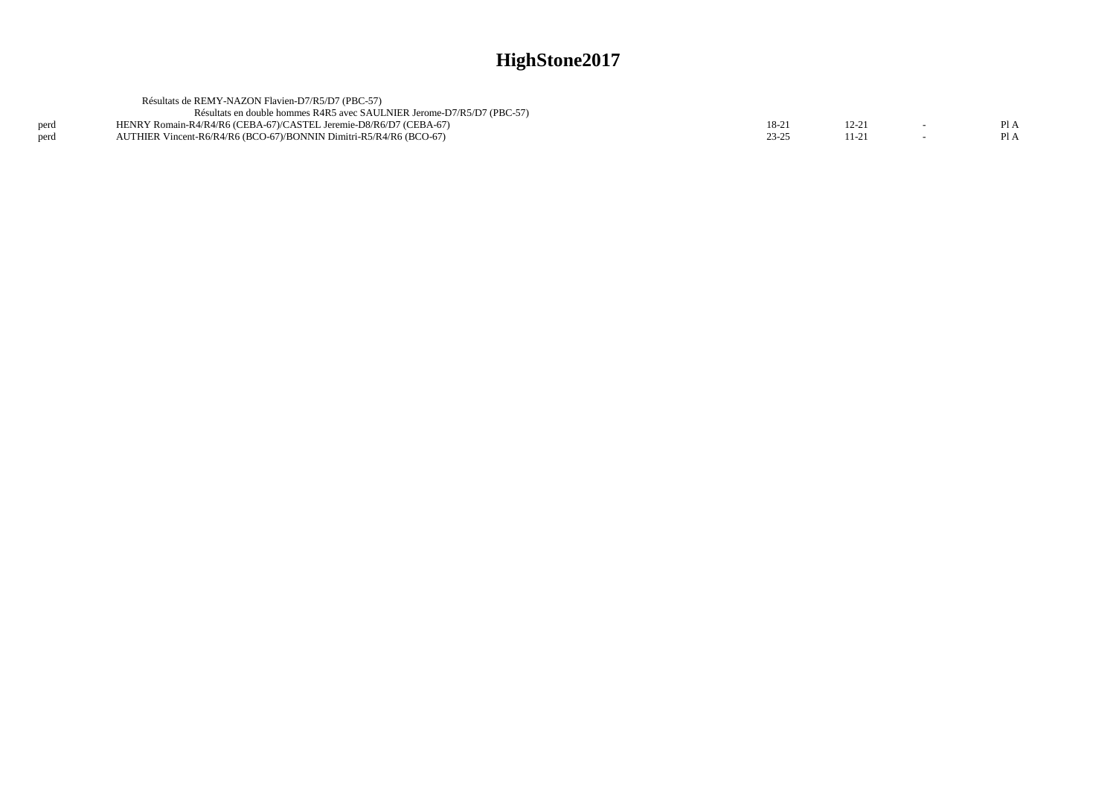|      | Résultats de REMY-NAZON Flavien-D7/R5/D7 (PBC-57)                      |       |       |         |
|------|------------------------------------------------------------------------|-------|-------|---------|
|      | Résultats en double hommes R4R5 avec SAULNIER Jerome-D7/R5/D7 (PBC-57) |       |       |         |
| perd | HENRY Romain-R4/R4/R6 (CEBA-67)/CASTEL Jeremie-D8/R6/D7 (CEBA-67)      | 18-2  | 12.21 | $P_{A}$ |
| nerd | AUTHIER Vincent-R6/R4/R6 (BCO-67)/BONNIN Dimitri-R5/R4/R6 (BCO-67)     | 23-25 |       | P1A     |
|      |                                                                        |       |       |         |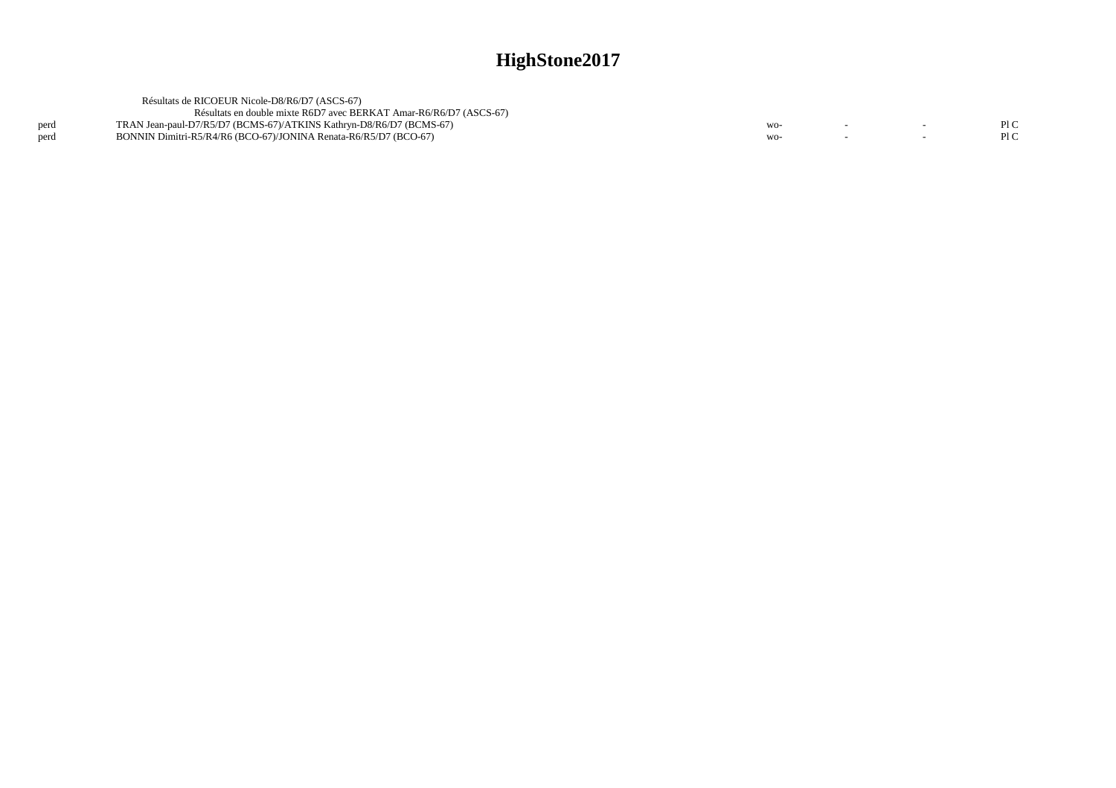|      | Résultats de RICOEUR Nicole-D8/R6/D7 (ASCS-67)                      |       |  |     |
|------|---------------------------------------------------------------------|-------|--|-----|
|      | Résultats en double mixte R6D7 avec BERKAT Amar-R6/R6/D7 (ASCS-67)  |       |  |     |
| perd | TRAN Jean-paul-D7/R5/D7 (BCMS-67)/ATKINS Kathryn-D8/R6/D7 (BCMS-67) | $WO-$ |  | P1C |
| perd | BONNIN Dimitri-R5/R4/R6 (BCO-67)/JONINA Renata-R6/R5/D7 (BCO-67)    | $WO-$ |  | PLC |
|      |                                                                     |       |  |     |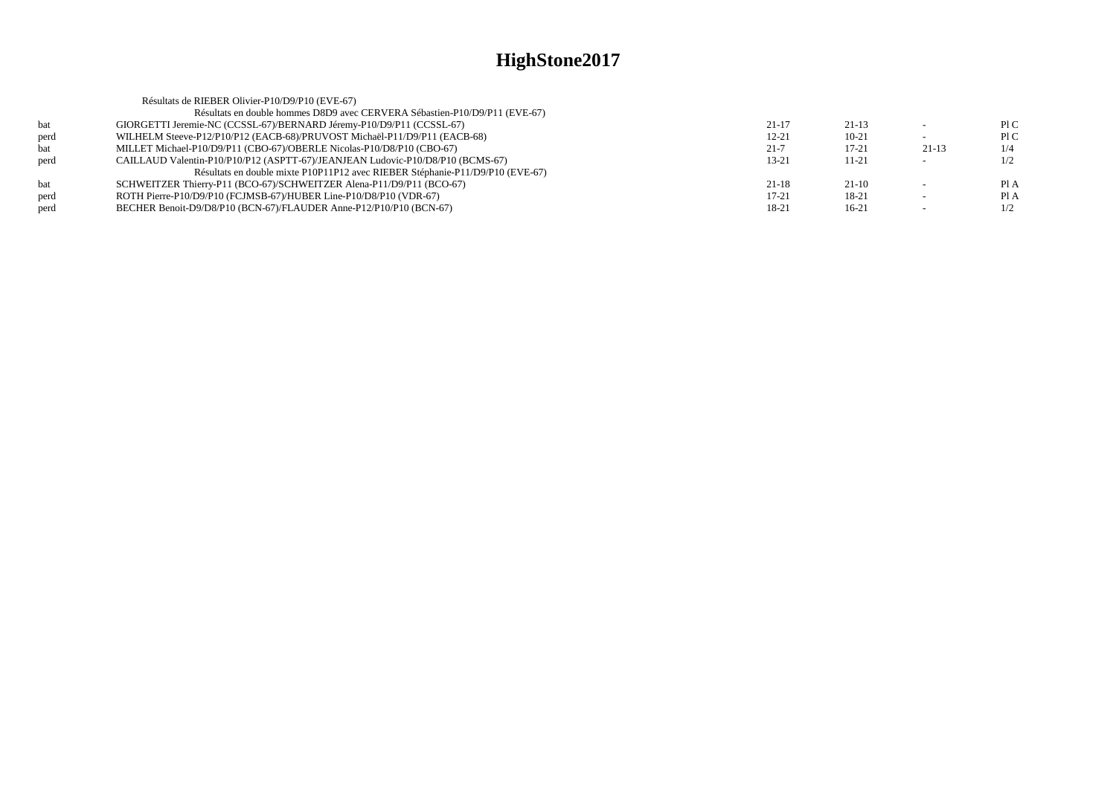|      | Résultats de RIEBER Olivier-P10/D9/P10 (EVE-67)                                |           |           |         |      |
|------|--------------------------------------------------------------------------------|-----------|-----------|---------|------|
|      | Résultats en double hommes D8D9 avec CERVERA Sébastien-P10/D9/P11 (EVE-67)     |           |           |         |      |
| bat  | GIORGETTI Jeremie-NC (CCSSL-67)/BERNARD Jéremy-P10/D9/P11 (CCSSL-67)           | $21 - 17$ | $21-13$   |         | P1C  |
| perd | WILHELM Steeve-P12/P10/P12 (EACB-68)/PRUVOST Michaël-P11/D9/P11 (EACB-68)      | $12 - 21$ | $10 - 21$ |         | P1C  |
| bat  | MILLET Michael-P10/D9/P11 (CBO-67)/OBERLE Nicolas-P10/D8/P10 (CBO-67)          | $21 - 7$  | $17 - 21$ | $21-13$ | 1/4  |
| perd | CAILLAUD Valentin-P10/P10/P12 (ASPTT-67)/JEANJEAN Ludovic-P10/D8/P10 (BCMS-67) | 13-21     | 11-21     |         | 1/2  |
|      | Résultats en double mixte P10P11P12 avec RIEBER Stéphanie-P11/D9/P10 (EVE-67)  |           |           |         |      |
| bat  | SCHWEITZER Thierry-P11 (BCO-67)/SCHWEITZER Alena-P11/D9/P11 (BCO-67)           | $21 - 18$ | $21-10$   |         | PI A |
| perd | ROTH Pierre-P10/D9/P10 (FCJMSB-67)/HUBER Line-P10/D8/P10 (VDR-67)              | $17 - 21$ | 18-21     |         | Pl A |
| perd | BECHER Benoit-D9/D8/P10 (BCN-67)/FLAUDER Anne-P12/P10/P10 (BCN-67)             | 18-21     | $16-21$   |         | 1/2  |
|      |                                                                                |           |           |         |      |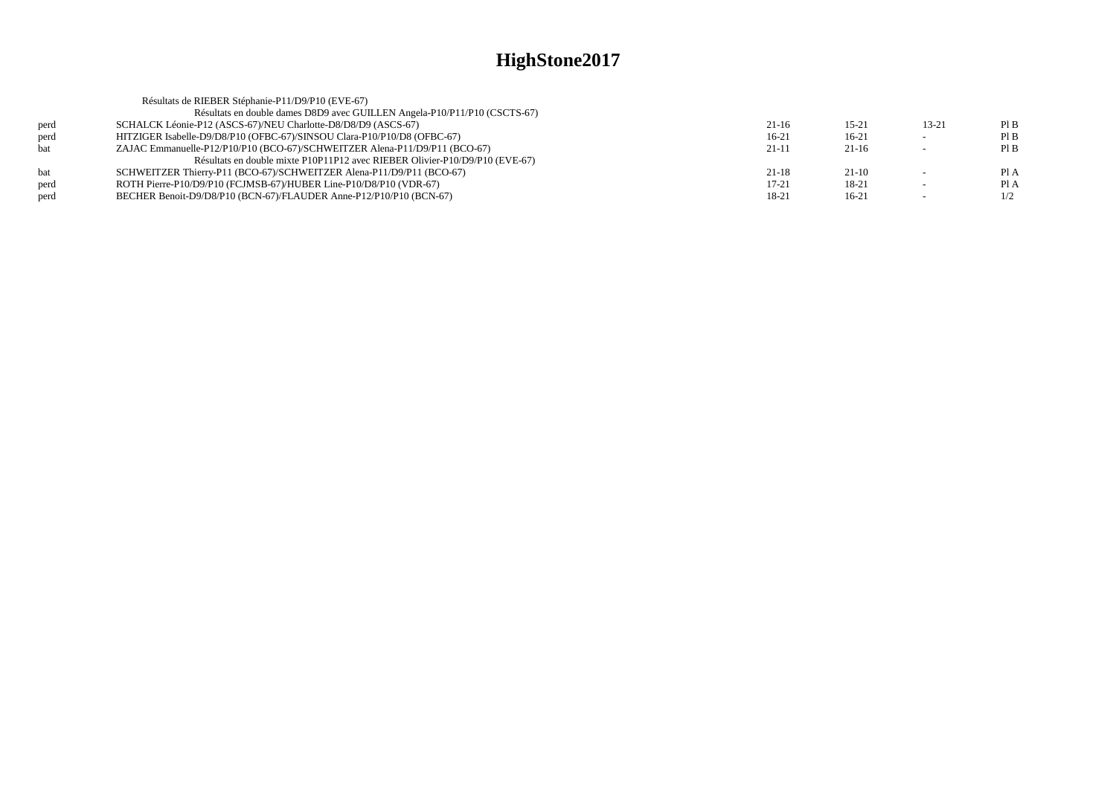|            | Résultats de RIEBER Stéphanie-P11/D9/P10 (EVE-67)                           |           |           |           |      |
|------------|-----------------------------------------------------------------------------|-----------|-----------|-----------|------|
|            | Résultats en double dames D8D9 avec GUILLEN Angela-P10/P11/P10 (CSCTS-67)   |           |           |           |      |
| perd       | SCHALCK Léonie-P12 (ASCS-67)/NEU Charlotte-D8/D8/D9 (ASCS-67)               | 21-16     | $15 - 21$ | $13 - 21$ | PIB  |
| perd       | HITZIGER Isabelle-D9/D8/P10 (OFBC-67)/SINSOU Clara-P10/P10/D8 (OFBC-67)     | $16-21$   | $16-21$   |           | PIB  |
| <b>bat</b> | ZAJAC Emmanuelle-P12/P10/P10 (BCO-67)/SCHWEITZER Alena-P11/D9/P11 (BCO-67)  | 21-11     | $21-16$   |           | PIB  |
|            | Résultats en double mixte P10P11P12 avec RIEBER Olivier-P10/D9/P10 (EVE-67) |           |           |           |      |
| bat        | SCHWEITZER Thierry-P11 (BCO-67)/SCHWEITZER Alena-P11/D9/P11 (BCO-67)        | $21 - 18$ | $21-10$   |           | PI A |
| perd       | ROTH Pierre-P10/D9/P10 (FCJMSB-67)/HUBER Line-P10/D8/P10 (VDR-67)           | $17 - 21$ | 18-21     |           | PI A |
| perd       | BECHER Benoit-D9/D8/P10 (BCN-67)/FLAUDER Anne-P12/P10/P10 (BCN-67)          | 18-21     | $16-21$   |           | 1/2  |
|            |                                                                             |           |           |           |      |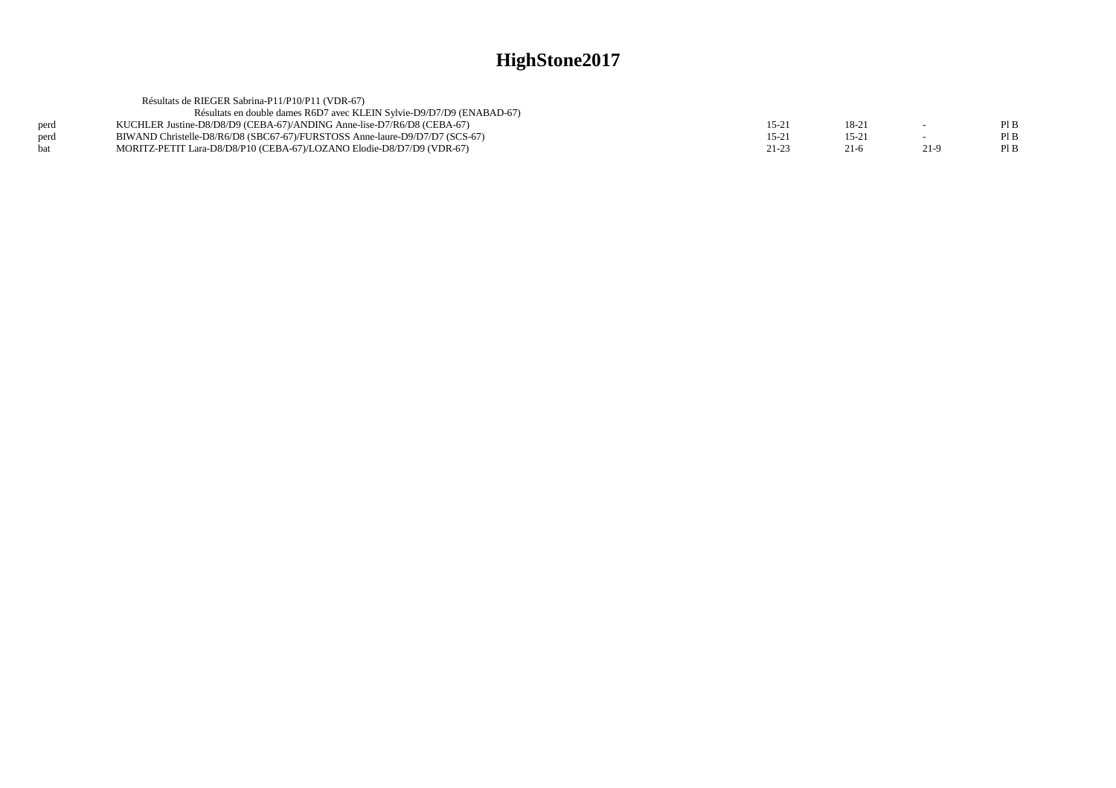|      | Résultats de RIEGER Sabrina-P11/P10/P11 (VDR-67)                            |           |          |        |      |
|------|-----------------------------------------------------------------------------|-----------|----------|--------|------|
|      | Résultats en double dames R6D7 avec KLEIN Sylvie-D9/D7/D9 (ENABAD-67)       |           |          |        |      |
| perd | KUCHLER Justine-D8/D8/D9 (CEBA-67)/ANDING Anne-lise-D7/R6/D8 (CEBA-67)      | $15-21$   | $18-2$   |        | Pl B |
| perd | BIWAND Christelle-D8/R6/D8 (SBC67-67)/FURSTOSS Anne-laure-D9/D7/D7 (SCS-67) | $15-21$   | $15 - 2$ |        | Pl B |
| hat  | MORITZ-PETIT Lara-D8/D8/P10 (CEBA-67)/LOZANO Elodie-D8/D7/D9 (VDR-67)       | $21 - 23$ | $21-6$   | $21-9$ | PI B |
|      |                                                                             |           |          |        |      |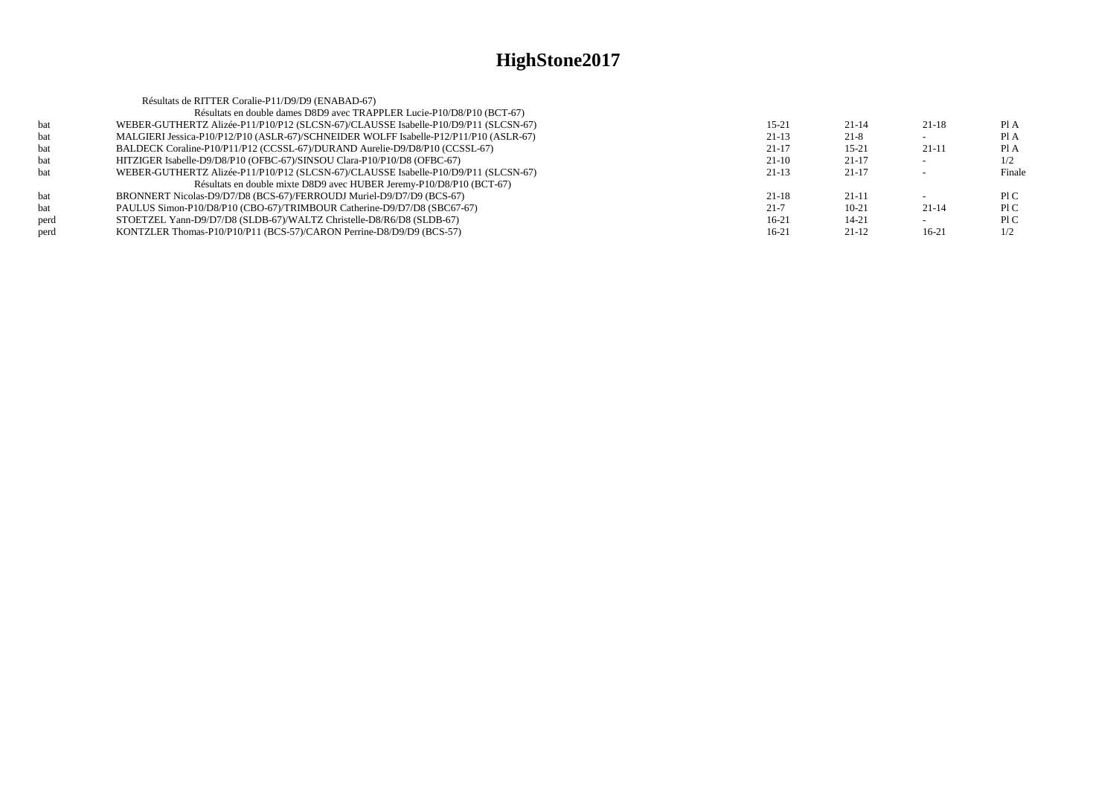|      | Résultats de RITTER Coralie-P11/D9/D9 (ENABAD-67)                                     |           |           |           |        |
|------|---------------------------------------------------------------------------------------|-----------|-----------|-----------|--------|
|      | Résultats en double dames D8D9 avec TRAPPLER Lucie-P10/D8/P10 (BCT-67)                |           |           |           |        |
| bat  | WEBER-GUTHERTZ Alizée-P11/P10/P12 (SLCSN-67)/CLAUSSE Isabelle-P10/D9/P11 (SLCSN-67)   | $15 - 21$ | $21 - 14$ | $21 - 18$ | Pl A   |
| bat  | MALGIERI Jessica-P10/P12/P10 (ASLR-67)/SCHNEIDER WOLFF Isabelle-P12/P11/P10 (ASLR-67) | $21-13$   | $21 - 8$  |           | Pl A   |
| bat  | BALDECK Coraline-P10/P11/P12 (CCSSL-67)/DURAND Aurelie-D9/D8/P10 (CCSSL-67)           | $21-17$   | $15 - 21$ | $21-11$   | PI A   |
| bat  | HITZIGER Isabelle-D9/D8/P10 (OFBC-67)/SINSOU Clara-P10/P10/D8 (OFBC-67)               | $21-10$   | $21-17$   |           | 1/2    |
| bat  | WEBER-GUTHERTZ Alizée-P11/P10/P12 (SLCSN-67)/CLAUSSE Isabelle-P10/D9/P11 (SLCSN-67)   | $21-13$   | $21-17$   |           | Finale |
|      | Résultats en double mixte D8D9 avec HUBER Jeremy-P10/D8/P10 (BCT-67)                  |           |           |           |        |
| bat  | BRONNERT Nicolas-D9/D7/D8 (BCS-67)/FERROUDJ Muriel-D9/D7/D9 (BCS-67)                  | $21 - 18$ | $21-11$   |           | P1C    |
| bat  | PAULUS Simon-P10/D8/P10 (CBO-67)/TRIMBOUR Catherine-D9/D7/D8 (SBC67-67)               | $21 - 7$  | $10-21$   | $21 - 14$ | P1C    |
| perd | STOETZEL Yann-D9/D7/D8 (SLDB-67)/WALTZ Christelle-D8/R6/D8 (SLDB-67)                  | $16-21$   | 14-21     |           | P1C    |
| perd | KONTZLER Thomas-P10/P10/P11 (BCS-57)/CARON Perrine-D8/D9/D9 (BCS-57)                  | $16-21$   | $21-12$   | $16-21$   | 1/2    |
|      |                                                                                       |           |           |           |        |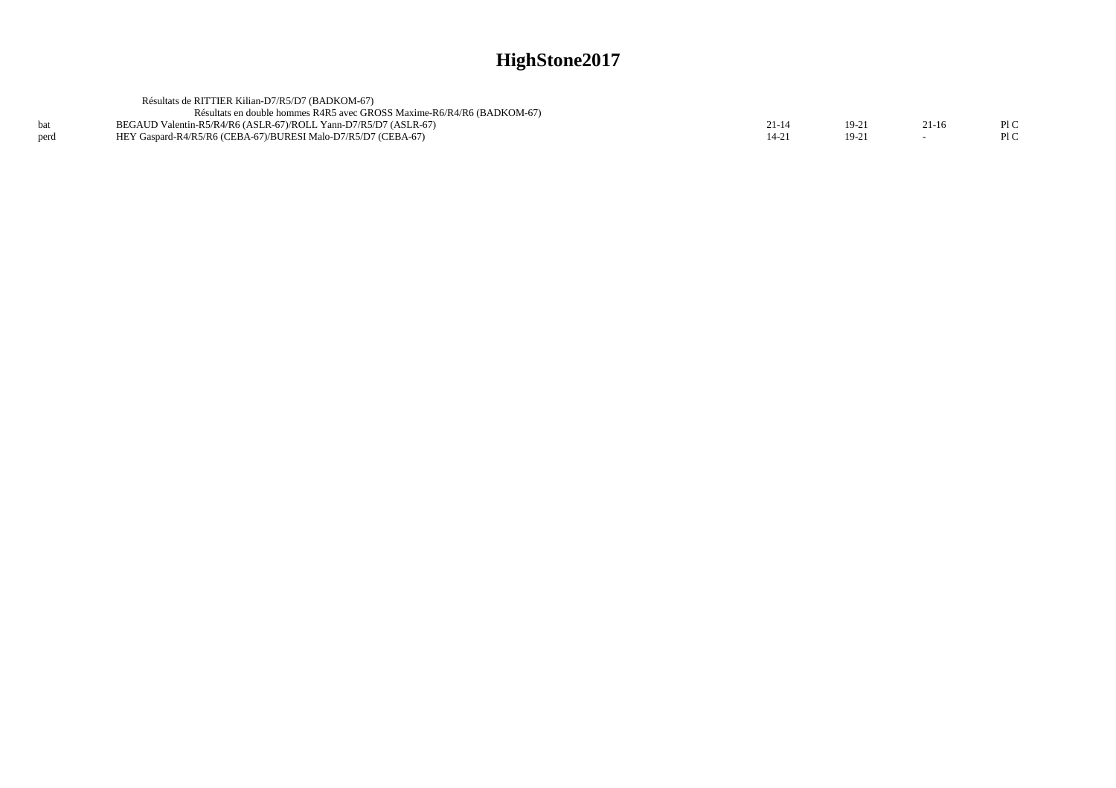|      | Résultats de RITTIER Kilian-D7/R5/D7 (BADKOM-67)                       |       |       |         |  |
|------|------------------------------------------------------------------------|-------|-------|---------|--|
|      | Résultats en double hommes R4R5 avec GROSS Maxime-R6/R4/R6 (BADKOM-67) |       |       |         |  |
|      | BEGAUD Valentin-R5/R4/R6 (ASLR-67)/ROLL Yann-D7/R5/D7 (ASLR-67)        | 21-14 | 19-21 | $21-16$ |  |
| perd | HEY Gaspard-R4/R5/R6 (CEBA-67)/BURESI Malo-D7/R5/D7 (CEBA-67)          |       | 19-21 |         |  |
|      |                                                                        |       |       |         |  |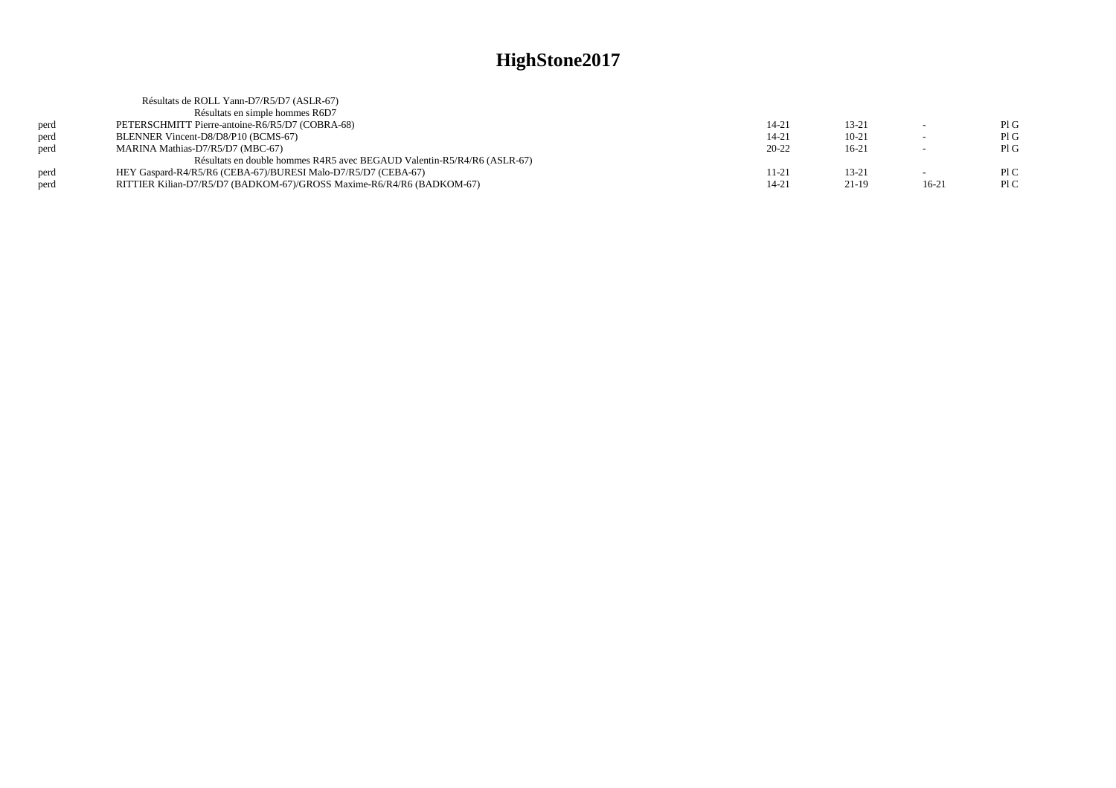|      | Résultats de ROLL Yann-D7/R5/D7 (ASLR-67)                               |           |           |         |     |
|------|-------------------------------------------------------------------------|-----------|-----------|---------|-----|
|      | Résultats en simple hommes R6D7                                         |           |           |         |     |
| perd | PETERSCHMITT Pierre-antoine-R6/R5/D7 (COBRA-68)                         | 14-21     | $13 - 21$ | $\sim$  | PIG |
| perd | BLENNER Vincent-D8/D8/P10 (BCMS-67)                                     | 14-21     | $10-21$   |         | PIG |
| perd | MARINA Mathias-D7/R5/D7 (MBC-67)                                        | $20 - 22$ | $16-21$   |         | PIG |
|      | Résultats en double hommes R4R5 avec BEGAUD Valentin-R5/R4/R6 (ASLR-67) |           |           |         |     |
| perd | HEY Gaspard-R4/R5/R6 (CEBA-67)/BURESI Malo-D7/R5/D7 (CEBA-67)           | 11-21     | $13 - 21$ |         | P1C |
| perd | RITTIER Kilian-D7/R5/D7 (BADKOM-67)/GROSS Maxime-R6/R4/R6 (BADKOM-67)   | 14-21     | $21-19$   | $16-21$ | PIC |
|      |                                                                         |           |           |         |     |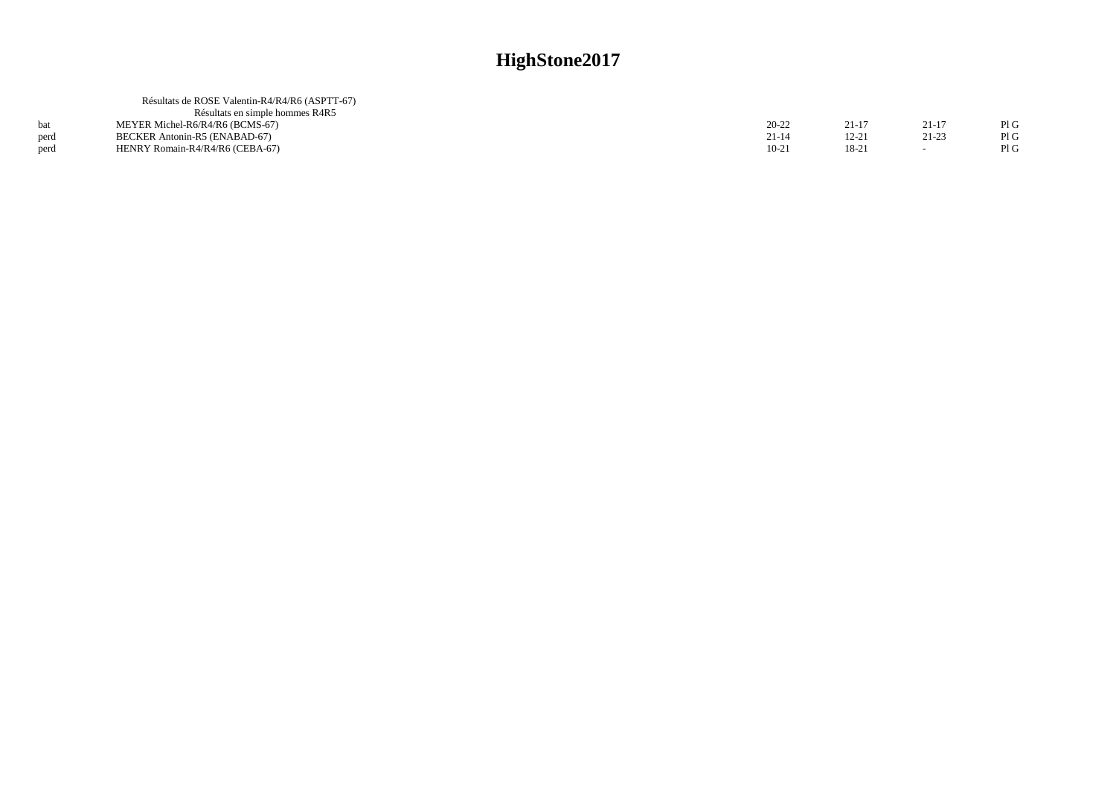|      | Résultats de ROSE Valentin-R4/R4/R6 (ASPTT-67) |           |        |           |     |
|------|------------------------------------------------|-----------|--------|-----------|-----|
|      | Résultats en simple hommes R4R5                |           |        |           |     |
|      | MEYER Michel-R6/R4/R6 (BCMS-67)                | 20-22     | 21-1   | $21 - 1'$ | PIG |
| nerd | BECKER Antonin-R5 (ENABAD-67)                  | $21 - 14$ | 12-21  | $21 - 23$ | PIG |
| perd | HENRY Romain-R4/R4/R6 (CEBA-67)                | $10-21$   | $18-2$ |           | PIG |
|      |                                                |           |        |           |     |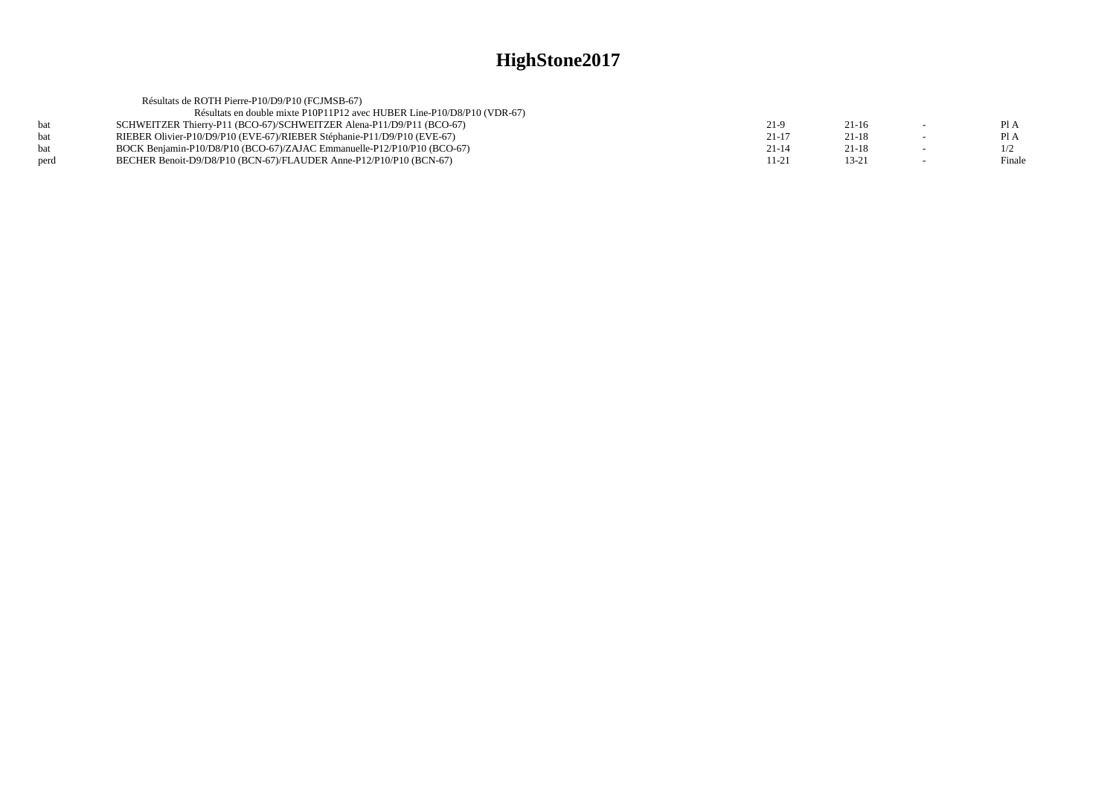|            | Résultats de ROTH Pierre-P10/D9/P10 (FCJMSB-67)                         |           |           |        |
|------------|-------------------------------------------------------------------------|-----------|-----------|--------|
|            | Résultats en double mixte P10P11P12 avec HUBER Line-P10/D8/P10 (VDR-67) |           |           |        |
| <b>bat</b> | SCHWEITZER Thierry-P11 (BCO-67)/SCHWEITZER Alena-P11/D9/P11 (BCO-67)    | $21-9$    | $21-16$   | Pl A   |
| <b>bat</b> | RIEBER Olivier-P10/D9/P10 (EVE-67)/RIEBER Stéphanie-P11/D9/P10 (EVE-67) | $21-17$   | $21-18$   | Pl A   |
| <b>bat</b> | BOCK Benjamin-P10/D8/P10 (BCO-67)/ZAJAC Emmanuelle-P12/P10/P10 (BCO-67) | $21 - 14$ | $21 - 18$ | 1/2    |
| perd       | BECHER Benoit-D9/D8/P10 (BCN-67)/FLAUDER Anne-P12/P10/P10 (BCN-67)      | $11 - 21$ | 13-21     | Finale |
|            |                                                                         |           |           |        |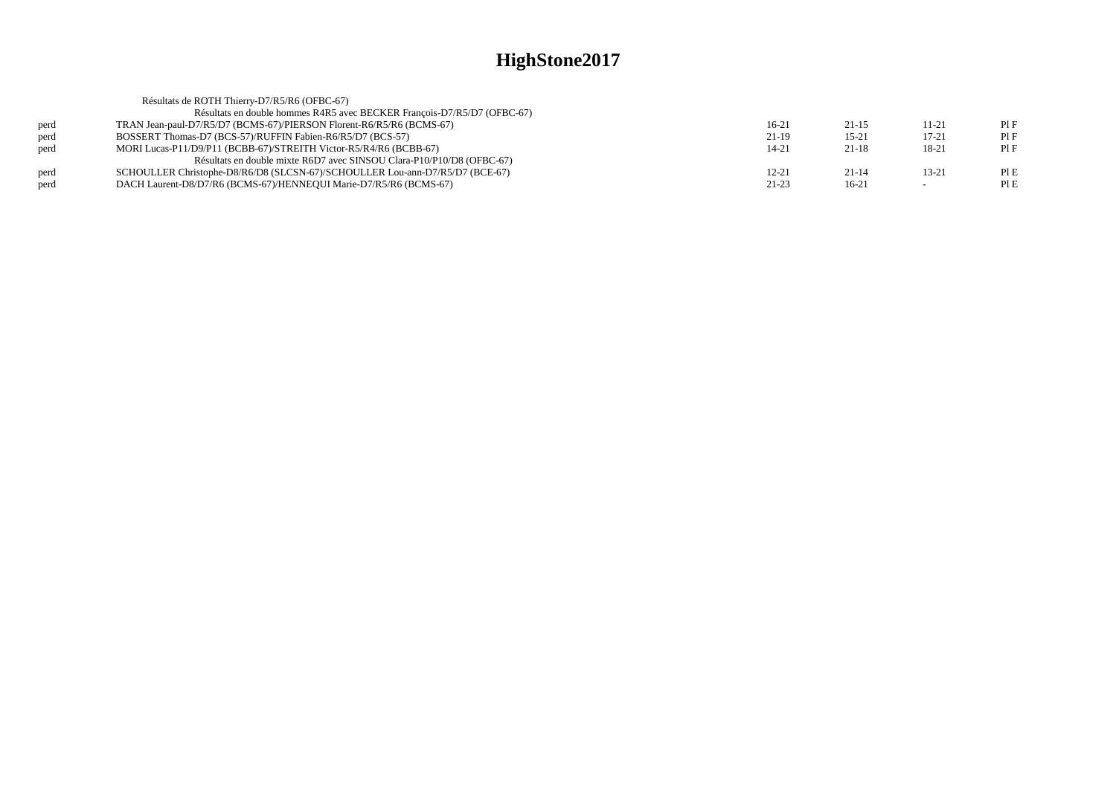|      | Résultats de ROTH Thierry-D7/R5/R6 (OFBC-67)                                 |           |           |       |     |
|------|------------------------------------------------------------------------------|-----------|-----------|-------|-----|
|      | Résultats en double hommes R4R5 avec BECKER François-D7/R5/D7 (OFBC-67)      |           |           |       |     |
| perd | TRAN Jean-paul-D7/R5/D7 (BCMS-67)/PIERSON Florent-R6/R5/R6 (BCMS-67)         | $16-21$   | $21-15$   | 11-21 | PIF |
| perd | BOSSERT Thomas-D7 (BCS-57)/RUFFIN Fabien-R6/R5/D7 (BCS-57)                   | 21-19     | $15 - 21$ | 17-21 | PIF |
| perd | MORI Lucas-P11/D9/P11 (BCBB-67)/STREITH Victor-R5/R4/R6 (BCBB-67)            | $14 - 21$ | $21-18$   | 18-21 | PIF |
|      | Résultats en double mixte R6D7 avec SINSOU Clara-P10/P10/D8 (OFBC-67)        |           |           |       |     |
| perd | SCHOULLER Christophe-D8/R6/D8 (SLCSN-67)/SCHOULLER Lou-ann-D7/R5/D7 (BCE-67) | $12 - 21$ | $21 - 14$ | 13-21 | PIE |
| perd | DACH Laurent-D8/D7/R6 (BCMS-67)/HENNEOUI Marie-D7/R5/R6 (BCMS-67)            | $21 - 23$ | $16-21$   |       | PIE |
|      |                                                                              |           |           |       |     |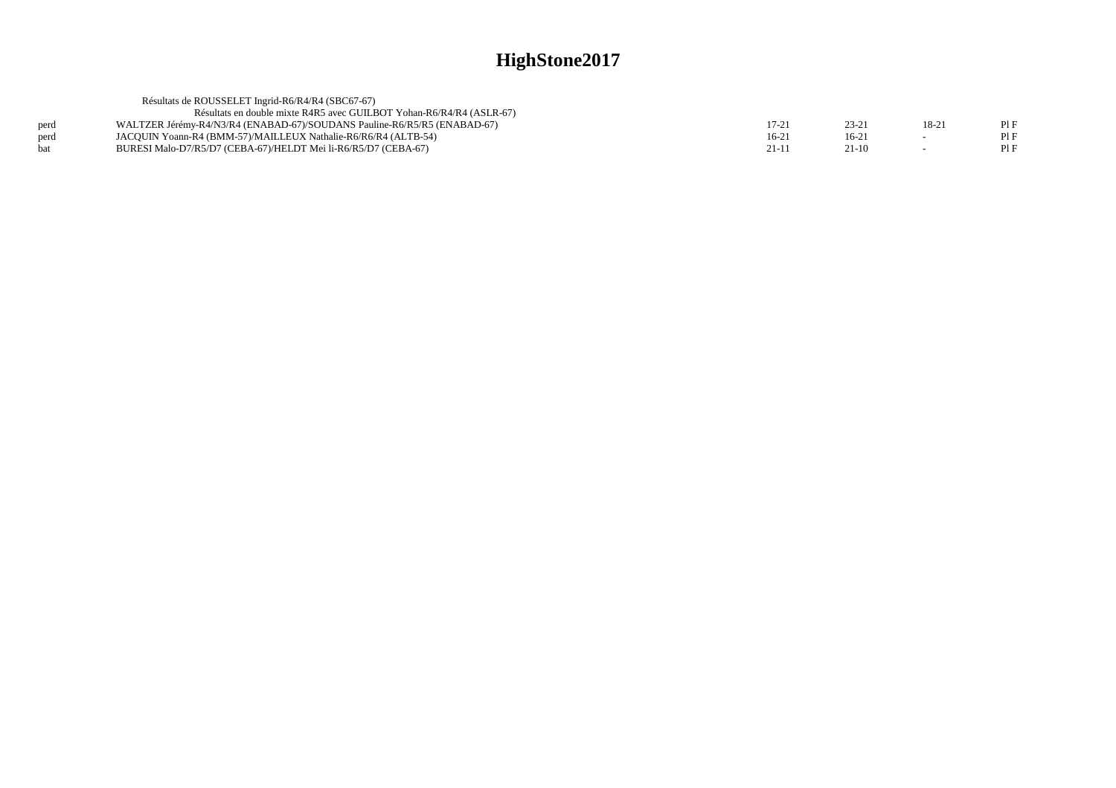|      | Résultats de ROUSSELET Ingrid-R6/R4/R4 (SBC67-67)                        |         |         |       |  |
|------|--------------------------------------------------------------------------|---------|---------|-------|--|
|      | Résultats en double mixte R4R5 avec GUILBOT Yohan-R6/R4/R4 (ASLR-67)     |         |         |       |  |
| perd | WALTZER Jérémy-R4/N3/R4 (ENABAD-67)/SOUDANS Pauline-R6/R5/R5 (ENABAD-67) | 17-2    | 23-2    | 18-21 |  |
| perd | JACOUIN Yoann-R4 (BMM-57)/MAILLEUX Nathalie-R6/R6/R4 (ALTB-54)           | $16-21$ | $16-2$  |       |  |
| hat  | BURESI Malo-D7/R5/D7 (CEBA-67)/HELDT Mei li-R6/R5/D7 (CEBA-67)           | $21-11$ | $21-10$ |       |  |
|      |                                                                          |         |         |       |  |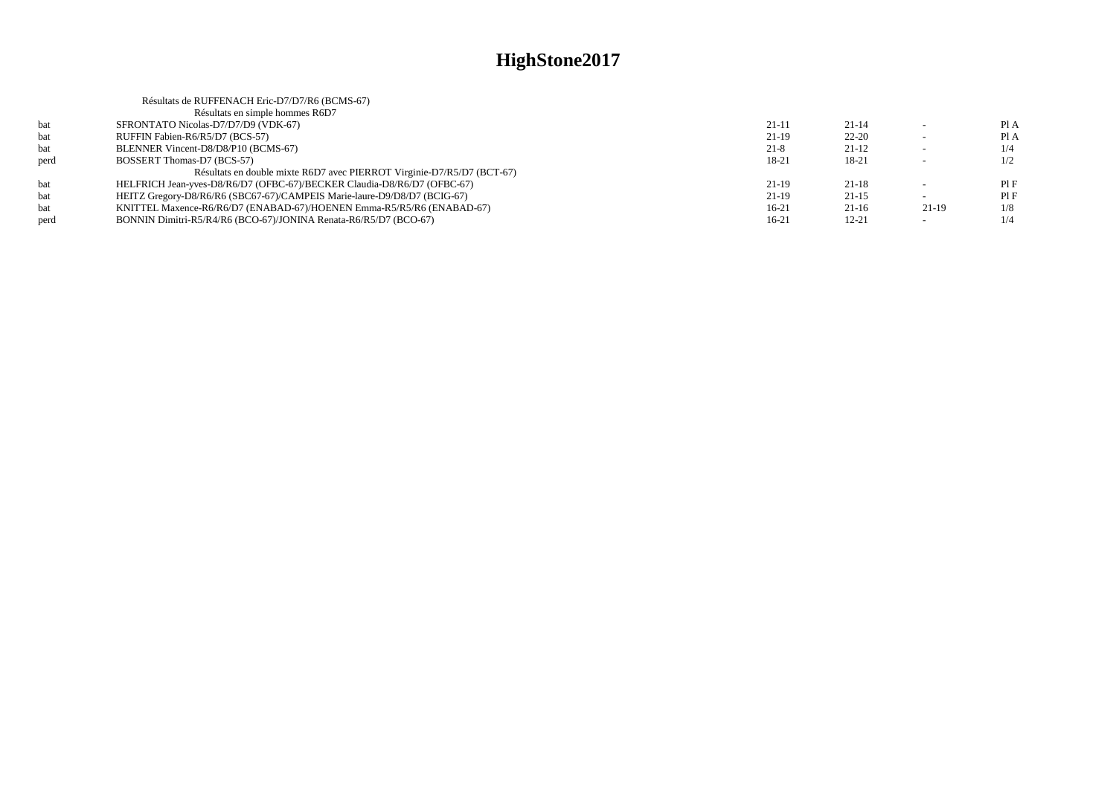|      | Résultats de RUFFENACH Eric-D7/D7/R6 (BCMS-67)                           |           |           |                          |      |
|------|--------------------------------------------------------------------------|-----------|-----------|--------------------------|------|
|      | Résultats en simple hommes R6D7                                          |           |           |                          |      |
| bat  | SFRONTATO Nicolas-D7/D7/D9 (VDK-67)                                      | $21 - 11$ | $21 - 14$ |                          | Pl A |
| bat  | RUFFIN Fabien-R6/R5/D7 (BCS-57)                                          | $21-19$   | $22 - 20$ |                          | Pl A |
| bat  | BLENNER Vincent-D8/D8/P10 (BCMS-67)                                      | $21 - 8$  | $21-12$   | $\overline{\phantom{0}}$ | 1/4  |
| perd | BOSSERT Thomas-D7 (BCS-57)                                               | $18 - 21$ | 18-21     | $\sim$                   | 1/2  |
|      | Résultats en double mixte R6D7 avec PIERROT Virginie-D7/R5/D7 (BCT-67)   |           |           |                          |      |
| bat  | HELFRICH Jean-yves-D8/R6/D7 (OFBC-67)/BECKER Claudia-D8/R6/D7 (OFBC-67)  | $21-19$   | $21 - 18$ |                          | PIF  |
| bat  | HEITZ Gregory-D8/R6/R6 (SBC67-67)/CAMPEIS Marie-laure-D9/D8/D7 (BCIG-67) | $21-19$   | $21 - 15$ | $\sim$                   | PIF  |
| bat  | KNITTEL Maxence-R6/R6/D7 (ENABAD-67)/HOENEN Emma-R5/R5/R6 (ENABAD-67)    | $16-21$   | $21-16$   | $21-19$                  | 1/8  |
| perd | BONNIN Dimitri-R5/R4/R6 (BCO-67)/JONINA Renata-R6/R5/D7 (BCO-67)         | $16-21$   | $12 - 21$ | $\overline{\phantom{0}}$ | 1/4  |
|      |                                                                          |           |           |                          |      |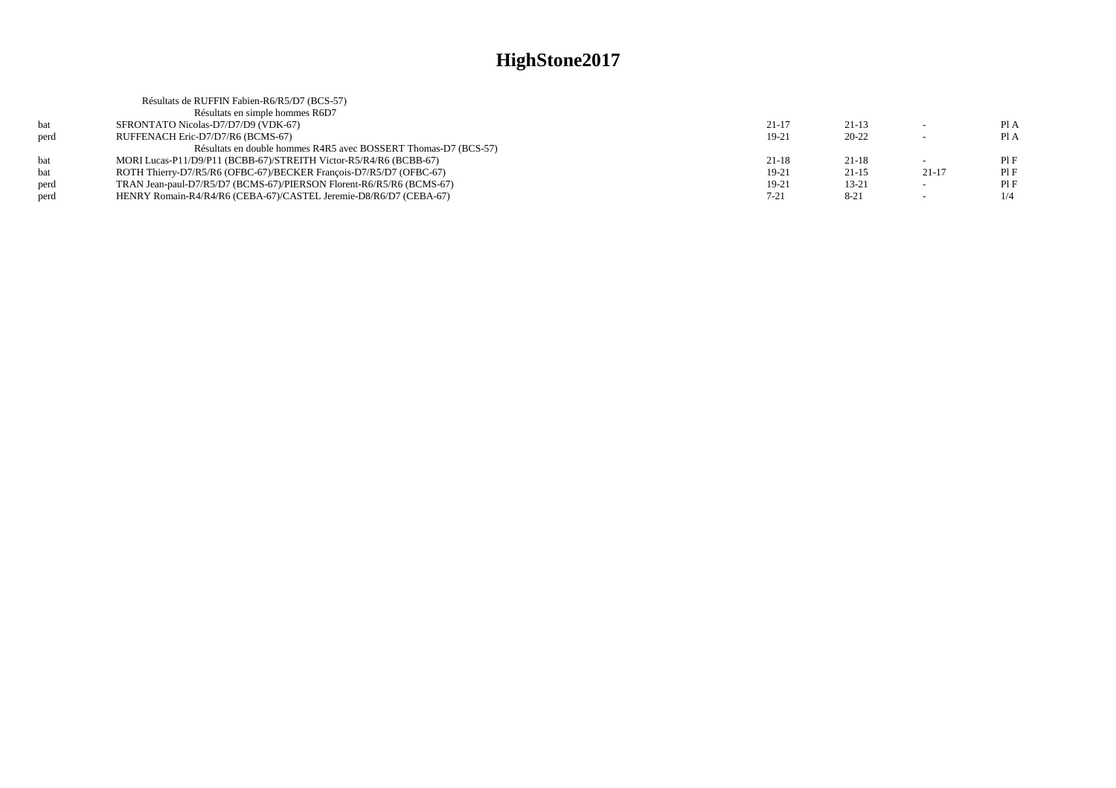|      | Résultats de RUFFIN Fabien-R6/R5/D7 (BCS-57)                         |           |           |         |     |
|------|----------------------------------------------------------------------|-----------|-----------|---------|-----|
|      | Résultats en simple hommes R6D7                                      |           |           |         |     |
| bat  | SFRONTATO Nicolas-D7/D7/D9 (VDK-67)                                  | $21 - 17$ | $21-13$   |         | PIA |
| perd | RUFFENACH Eric-D7/D7/R6 (BCMS-67)                                    | $19-21$   | $20 - 22$ |         | PIA |
|      | Résultats en double hommes R4R5 avec BOSSERT Thomas-D7 (BCS-57)      |           |           |         |     |
| bat  | MORI Lucas-P11/D9/P11 (BCBB-67)/STREITH Victor-R5/R4/R6 (BCBB-67)    | $21 - 18$ | $21 - 18$ |         | PIF |
| bat  | ROTH Thierry-D7/R5/R6 (OFBC-67)/BECKER François-D7/R5/D7 (OFBC-67)   | 19-21     | $21-15$   | $21-17$ | PIF |
| perd | TRAN Jean-paul-D7/R5/D7 (BCMS-67)/PIERSON Florent-R6/R5/R6 (BCMS-67) | 19-21     | $13 - 21$ |         | PIF |
| perd | HENRY Romain-R4/R4/R6 (CEBA-67)/CASTEL Jeremie-D8/R6/D7 (CEBA-67)    | $7 - 21$  | $8 - 21$  |         |     |
|      |                                                                      |           |           |         |     |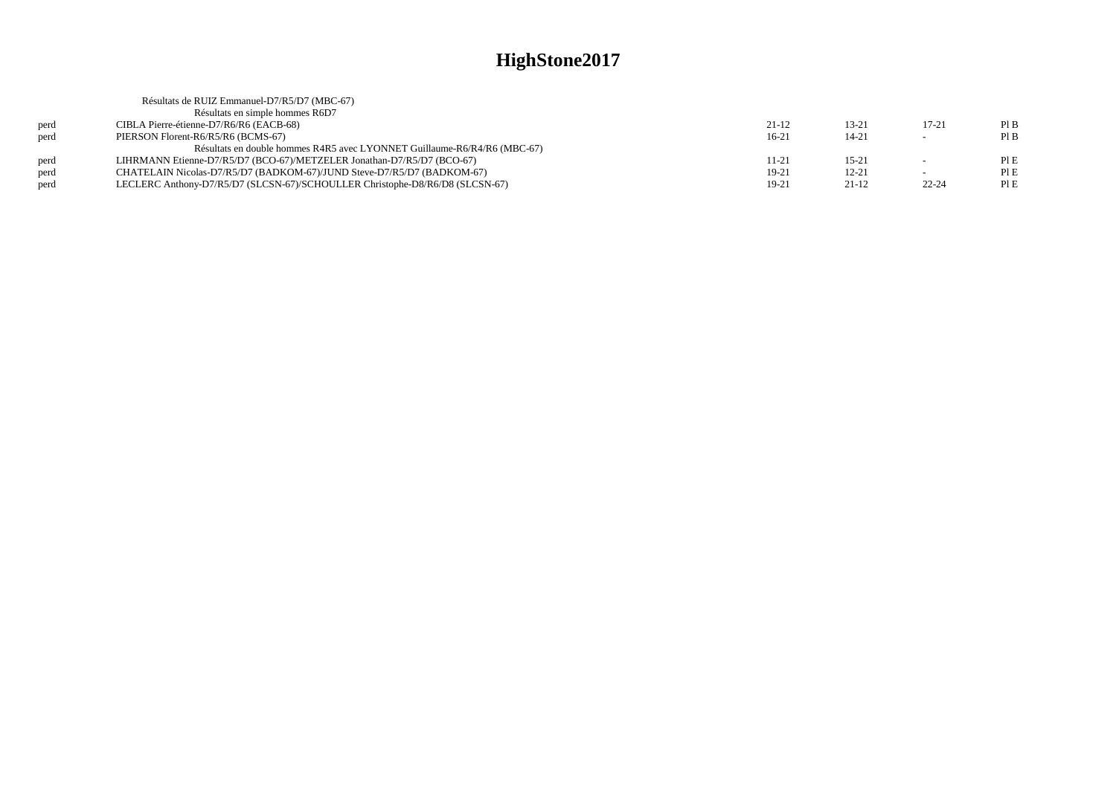|      | Résultats de RUIZ Emmanuel-D7/R5/D7 (MBC-67)                                 |         |           |           |      |
|------|------------------------------------------------------------------------------|---------|-----------|-----------|------|
|      | Résultats en simple hommes R6D7                                              |         |           |           |      |
| perd | CIBLA Pierre-étienne-D7/R6/R6 (EACB-68)                                      | $21-12$ | $13 - 21$ | $17 - 21$ | PIB  |
| perd | PIERSON Florent-R6/R5/R6 (BCMS-67)                                           | $16-21$ | $14 - 21$ |           | PIB  |
|      | Résultats en double hommes R4R5 avec LYONNET Guillaume-R6/R4/R6 (MBC-67)     |         |           |           |      |
| perd | LIHRMANN Etienne-D7/R5/D7 (BCO-67)/METZELER Jonathan-D7/R5/D7 (BCO-67)       | 11-21   | $15 - 21$ |           | PIE  |
| perd | CHATELAIN Nicolas-D7/R5/D7 (BADKOM-67)/JUND Steve-D7/R5/D7 (BADKOM-67)       | $19-21$ | $12 - 21$ |           | PIE  |
| perd | LECLERC Anthony-D7/R5/D7 (SLCSN-67)/SCHOULLER Christophe-D8/R6/D8 (SLCSN-67) | 19-21   | $21-12$   | $22 - 24$ | PI E |
|      |                                                                              |         |           |           |      |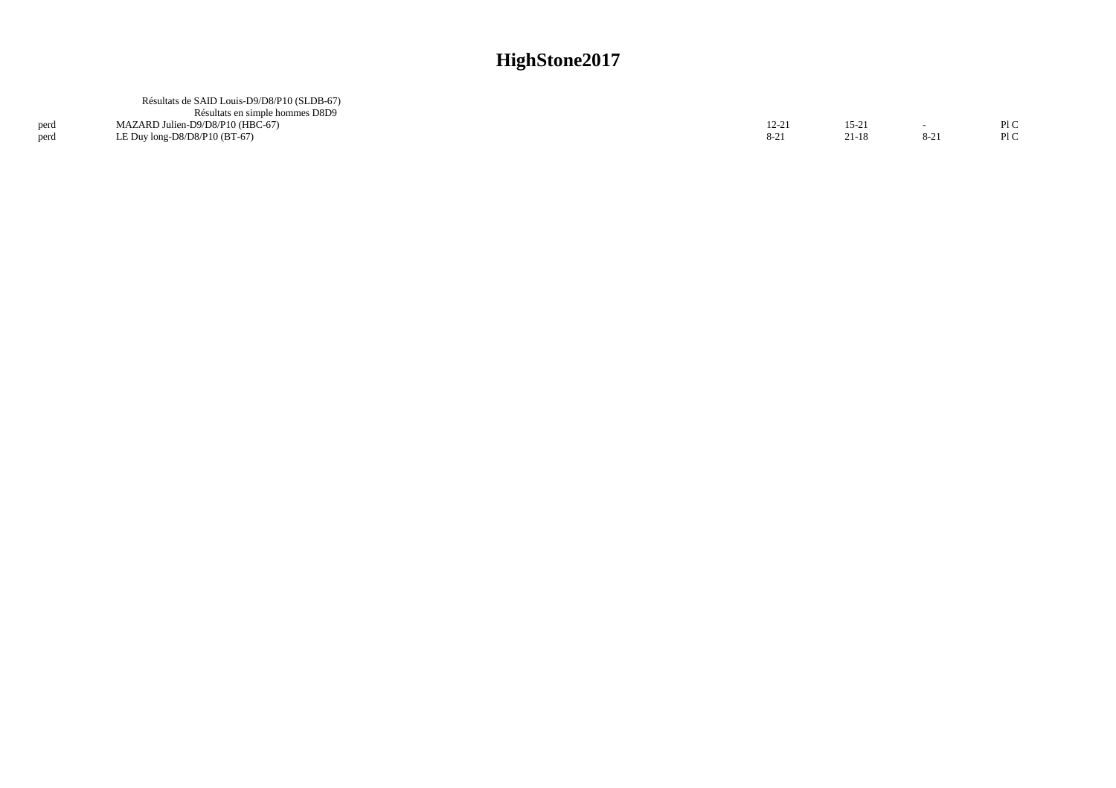|      | Résultats de SAID Louis-D9/D8/P10 (SLDB-67)<br>Résultats en simple hommes D8D9 |                 |                |                 |            |
|------|--------------------------------------------------------------------------------|-----------------|----------------|-----------------|------------|
| perd | MAZARD Julien-D9/D8/P10 (HBC-67)<br>LE Duy $long-D8/D8/P10$ (BT-67)            | 12-21<br>$8-21$ | 15-21<br>21-18 | $\sim$<br>$8-2$ | P1C<br>P1C |
| perd |                                                                                |                 |                |                 |            |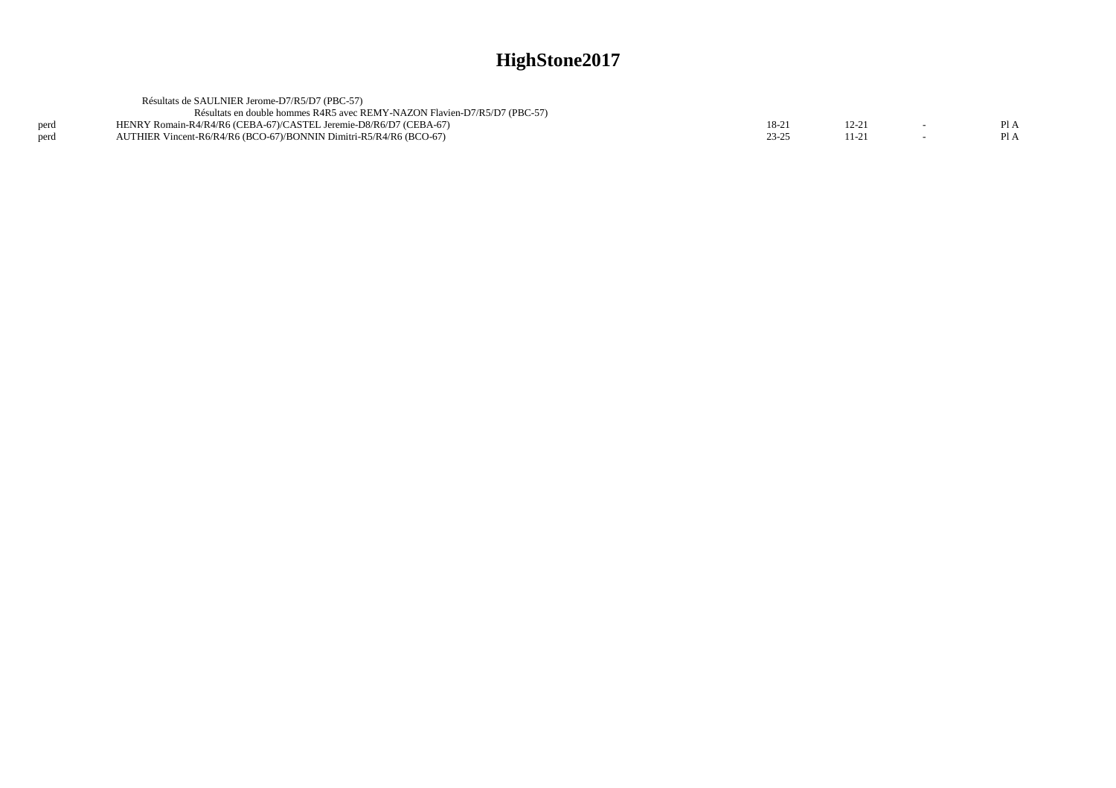|      | Résultats de SAULNIER Jerome-D7/R5/D7 (PBC-57)                            |           |       |      |
|------|---------------------------------------------------------------------------|-----------|-------|------|
|      | Résultats en double hommes R4R5 avec REMY-NAZON Flavien-D7/R5/D7 (PBC-57) |           |       |      |
| perd | HENRY Romain-R4/R4/R6 (CEBA-67)/CASTEL Jeremie-D8/R6/D7 (CEBA-67)         | 18-21     | 12-21 | PI A |
| perd | AUTHIER Vincent-R6/R4/R6 (BCO-67)/BONNIN Dimitri-R5/R4/R6 (BCO-67)        | $23 - 25$ |       | PI A |
|      |                                                                           |           |       |      |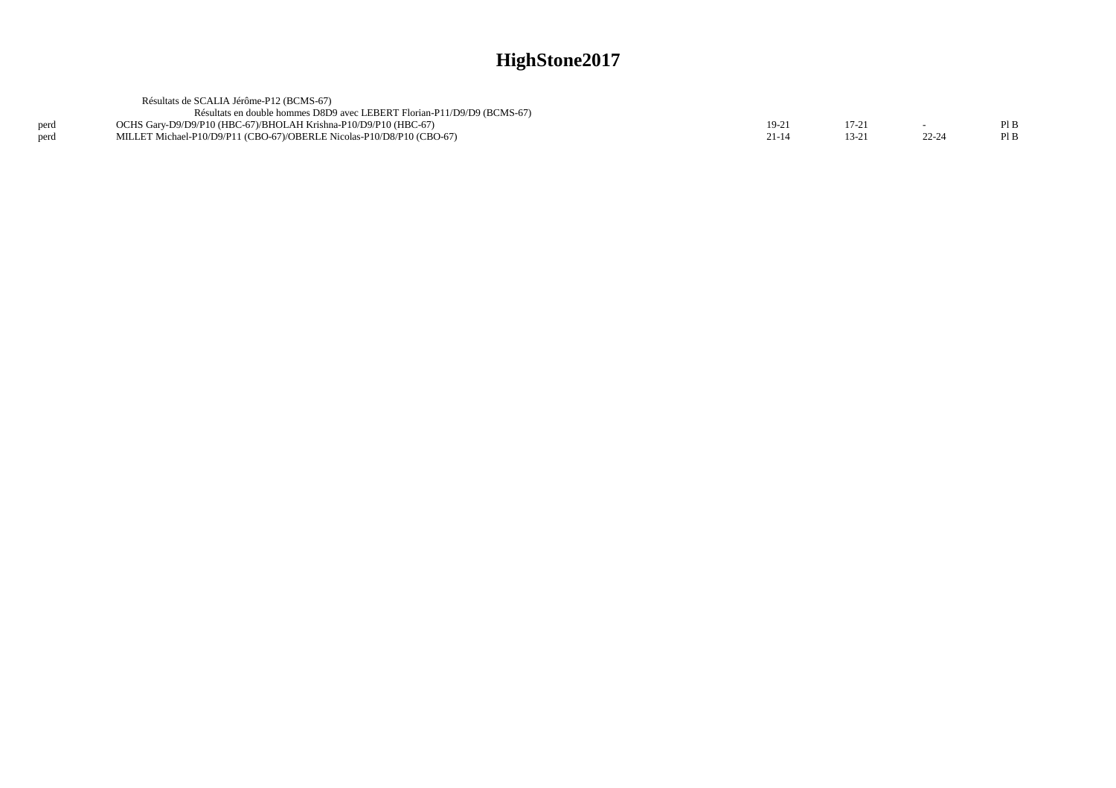|      | Résultats de SCALIA Jérôme-P12 (BCMS-67)                                |           |          |       |      |
|------|-------------------------------------------------------------------------|-----------|----------|-------|------|
|      | Résultats en double hommes D8D9 avec LEBERT Florian-P11/D9/D9 (BCMS-67) |           |          |       |      |
| perd | OCHS Garv-D9/D9/P10 (HBC-67)/BHOLAH Krishna-P10/D9/P10 (HBC-67)         | 19-21     | $17-2$ . |       | Pl B |
| perd | MILLET Michael-P10/D9/P11 (CBO-67)/OBERLE Nicolas-P10/D8/P10 (CBO-67)   | $21 - 14$ | $13-2.$  | 22-24 | PIB  |
|      |                                                                         |           |          |       |      |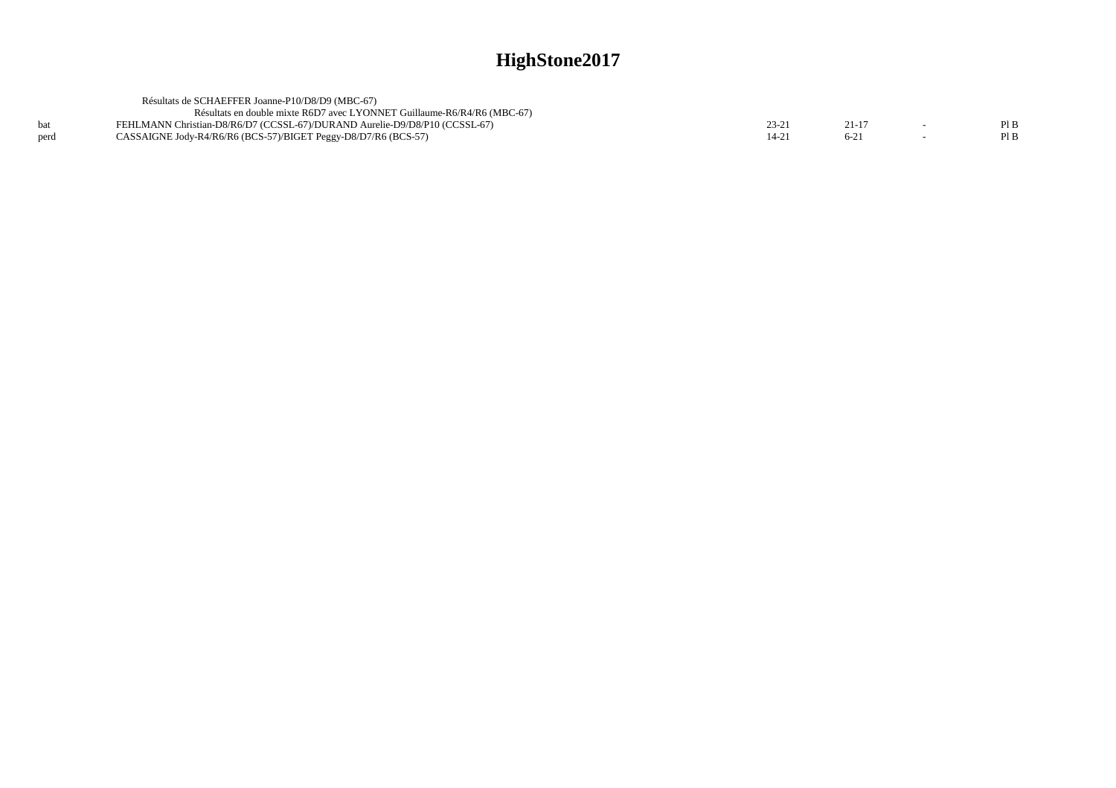|      | Résultats de SCHAEFFER Joanne-P10/D8/D9 (MBC-67)                           |           |  |      |
|------|----------------------------------------------------------------------------|-----------|--|------|
|      | Résultats en double mixte R6D7 avec LYONNET Guillaume-R6/R4/R6 (MBC-67)    |           |  |      |
|      | FEHLMANN Christian-D8/R6/D7 (CCSSL-67)/DURAND Aurelie-D9/D8/P10 (CCSSL-67) | 23-21     |  | PIB  |
| perd | CASSAIGNE Jody-R4/R6/R6 (BCS-57)/BIGET Peggy-D8/D7/R6 (BCS-57)             | $14 - 2'$ |  | Pl B |
|      |                                                                            |           |  |      |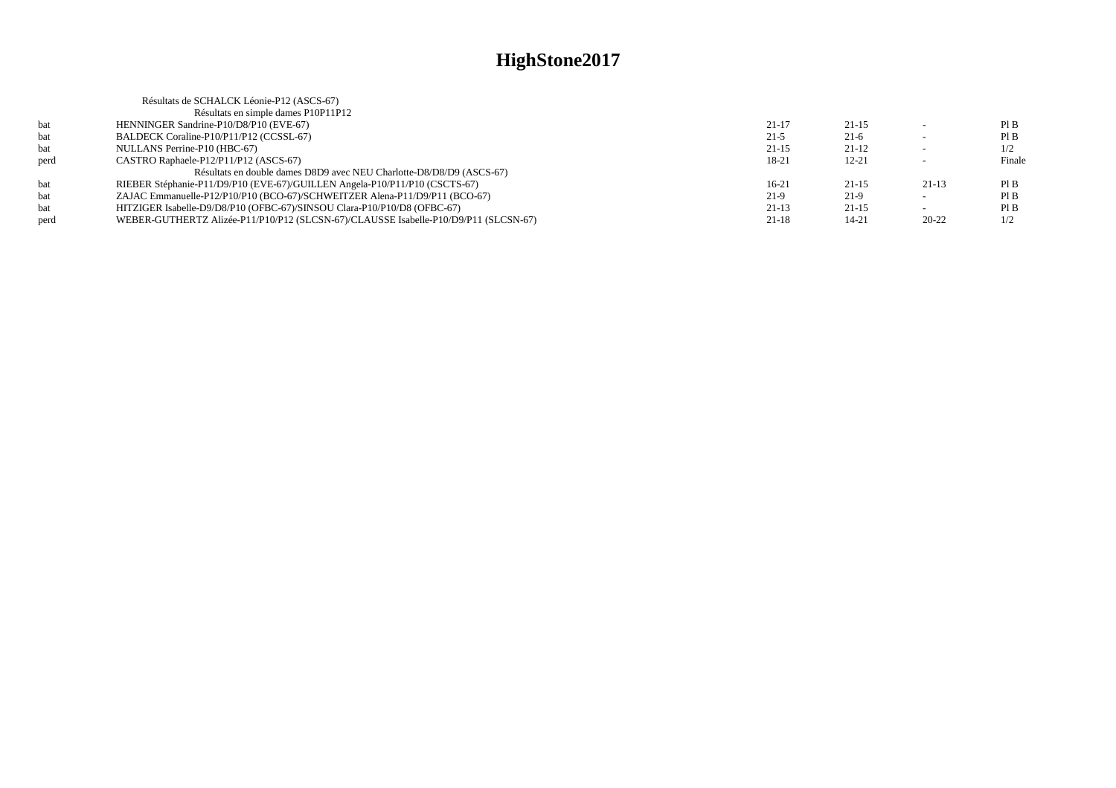|      | Résultats de SCHALCK Léonie-P12 (ASCS-67)                                           |           |           |           |        |
|------|-------------------------------------------------------------------------------------|-----------|-----------|-----------|--------|
|      | Résultats en simple dames P10P11P12                                                 |           |           |           |        |
| bat  | HENNINGER Sandrine-P10/D8/P10 (EVE-67)                                              | $21-17$   | $21 - 15$ |           | PIB    |
| bat  | BALDECK Coraline-P10/P11/P12 (CCSSL-67)                                             | $21-5$    | $21-6$    |           | PIB    |
| bat  | NULLANS Perrine-P10 (HBC-67)                                                        | $21 - 15$ | $21-12$   |           | 1/2    |
| perd | CASTRO Raphaele-P12/P11/P12 (ASCS-67)                                               | 18-21     | $12 - 21$ |           | Finale |
|      | Résultats en double dames D8D9 avec NEU Charlotte-D8/D8/D9 (ASCS-67)                |           |           |           |        |
| bat  | RIEBER Stéphanie-P11/D9/P10 (EVE-67)/GUILLEN Angela-P10/P11/P10 (CSCTS-67)          | $16-21$   | $21 - 15$ | $21-13$   | PIB    |
| bat  | ZAJAC Emmanuelle-P12/P10/P10 (BCO-67)/SCHWEITZER Alena-P11/D9/P11 (BCO-67)          | $21-9$    | 21-9      |           | PIB    |
| bat  | HITZIGER Isabelle-D9/D8/P10 (OFBC-67)/SINSOU Clara-P10/P10/D8 (OFBC-67)             | $21-13$   | $21 - 15$ |           | PIB    |
| perd | WEBER-GUTHERTZ Alizée-P11/P10/P12 (SLCSN-67)/CLAUSSE Isabelle-P10/D9/P11 (SLCSN-67) | $21 - 18$ | $14 - 21$ | $20 - 22$ | 1/2    |
|      |                                                                                     |           |           |           |        |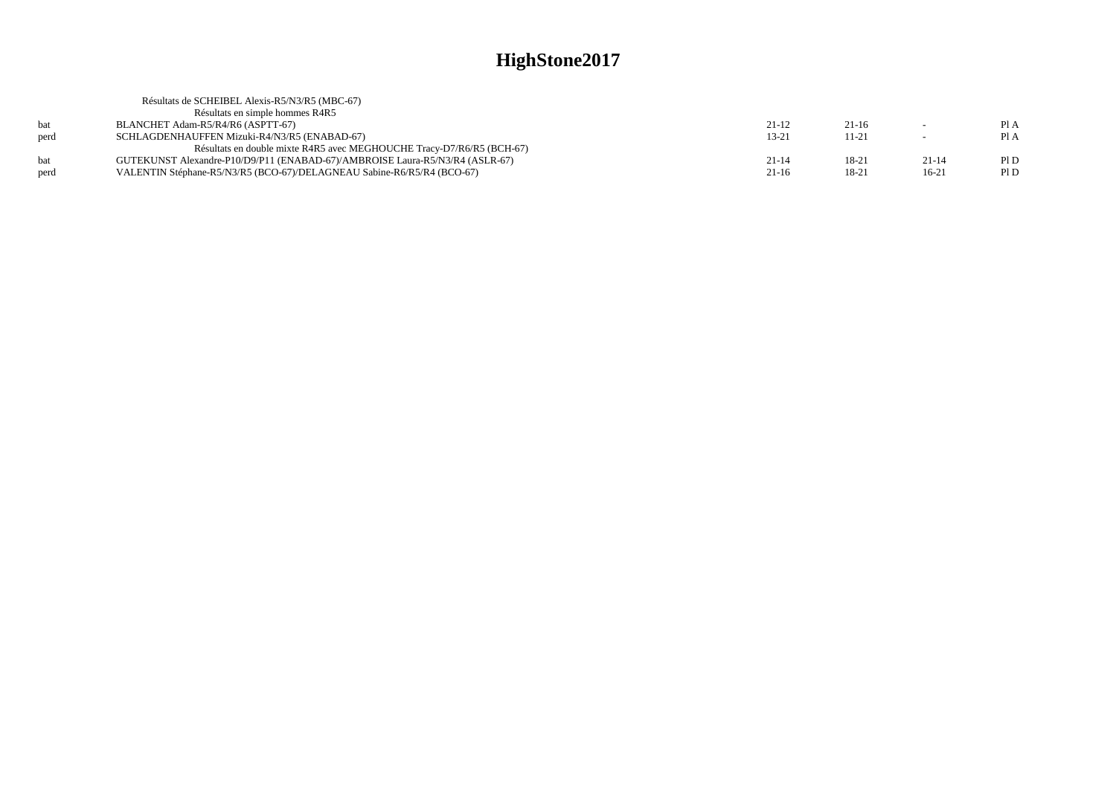| Résultats de SCHEIBEL Alexis-R5/N3/R5 (MBC-67)                               |           |         |         |      |
|------------------------------------------------------------------------------|-----------|---------|---------|------|
| Résultats en simple hommes R4R5                                              |           |         |         |      |
| BLANCHET Adam-R5/R4/R6 (ASPTT-67)                                            | $21-12$   | $21-16$ |         | PIA  |
| SCHLAGDENHAUFFEN Mizuki-R4/N3/R5 (ENABAD-67)                                 | $13 - 21$ | 11-21   |         | PIA  |
| Résultats en double mixte R4R5 avec MEGHOUCHE Tracy-D7/R6/R5 (BCH-67)        |           |         |         |      |
| GUTEKUNST Alexandre-P10/D9/P11 (ENABAD-67)/AMBROISE Laura-R5/N3/R4 (ASLR-67) | $21 - 14$ | 18-21   | $21-14$ | PID  |
| VALENTIN Stéphane-R5/N3/R5 (BCO-67)/DELAGNEAU Sabine-R6/R5/R4 (BCO-67)       | $21-16$   | 18-21   | $16-21$ | Pl D |
|                                                                              |           |         |         |      |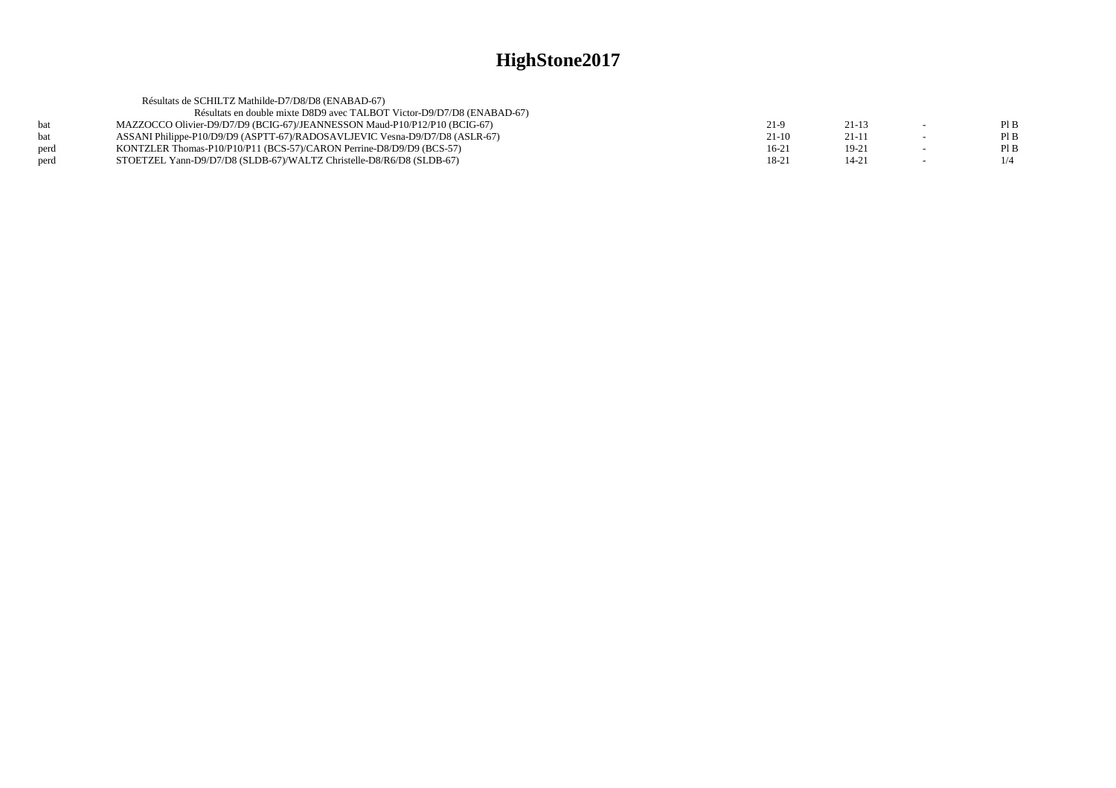|      | Résultats de SCHILTZ Mathilde-D7/D8/D8 (ENABAD-67)                          |         |           |     |
|------|-----------------------------------------------------------------------------|---------|-----------|-----|
|      | Résultats en double mixte D8D9 avec TALBOT Victor-D9/D7/D8 (ENABAD-67)      |         |           |     |
| hat  | MAZZOCCO Olivier-D9/D7/D9 (BCIG-67)/JEANNESSON Maud-P10/P12/P10 (BCIG-67)   | 21-9    | $21 - 13$ | PIB |
| hat  | ASSANI Philippe-P10/D9/D9 (ASPTT-67)/RADOSAVLJEVIC Vesna-D9/D7/D8 (ASLR-67) | 21-10   | $21 - 11$ | PIB |
| perd | KONTZLER Thomas-P10/P10/P11 (BCS-57)/CARON Perrine-D8/D9/D9 (BCS-57)        | $16-21$ | $19-21$   | PIB |
| perd | STOETZEL Yann-D9/D7/D8 (SLDB-67)/WALTZ Christelle-D8/R6/D8 (SLDB-67)        | 18-21   | $14 - 21$ | 1/4 |
|      |                                                                             |         |           |     |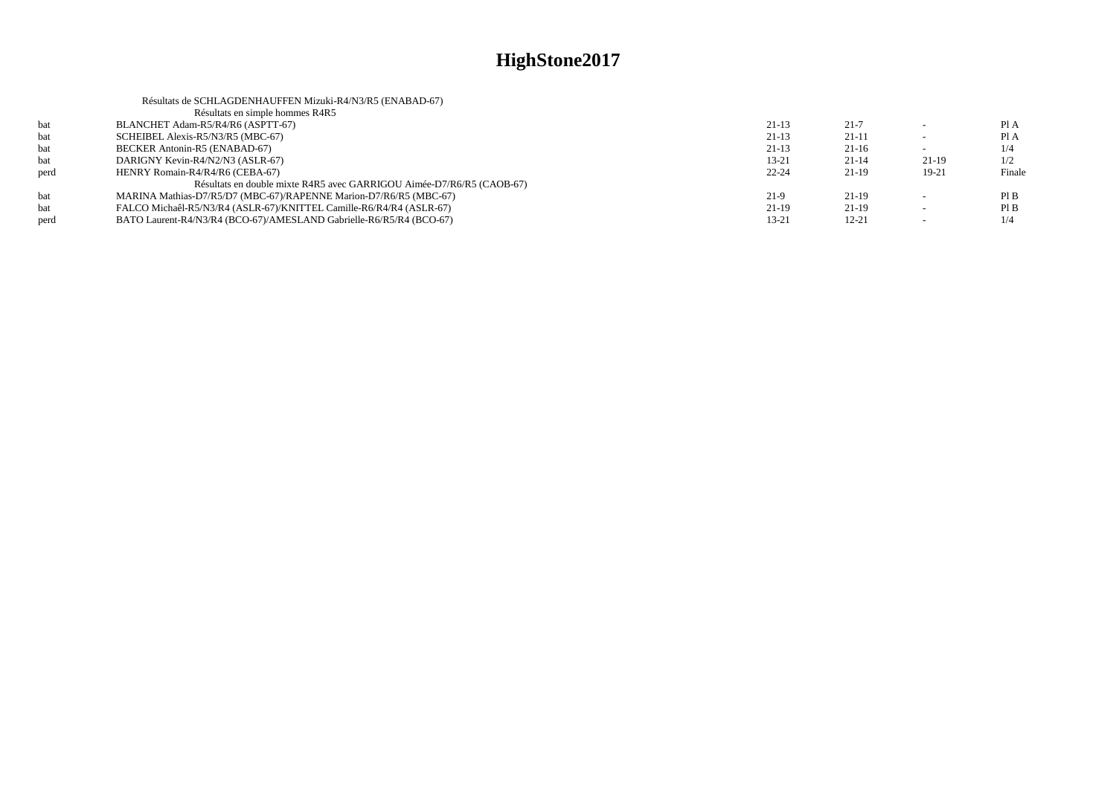|      | Résultats de SCHLAGDENHAUFFEN Mizuki-R4/N3/R5 (ENABAD-67)             |           |           |          |        |
|------|-----------------------------------------------------------------------|-----------|-----------|----------|--------|
|      | Résultats en simple hommes R4R5                                       |           |           |          |        |
| bat  | BLANCHET Adam-R5/R4/R6 (ASPTT-67)                                     | $21-13$   | $21 - 7$  |          | Pl A   |
| bat  | SCHEIBEL Alexis-R5/N3/R5 (MBC-67)                                     | $21-13$   | $21 - 11$ | <b>.</b> | Pl A   |
| bat  | BECKER Antonin-R5 (ENABAD-67)                                         | $21-13$   | $21-16$   |          | 1/4    |
| bat  | DARIGNY Kevin-R4/N2/N3 (ASLR-67)                                      | $13 - 21$ | $21-14$   | 21-19    | 1/2    |
| perd | HENRY Romain-R4/R4/R6 (CEBA-67)                                       | $22 - 24$ | $21-19$   | $19-21$  | Finale |
|      | Résultats en double mixte R4R5 avec GARRIGOU Aimée-D7/R6/R5 (CAOB-67) |           |           |          |        |
| bat  | MARINA Mathias-D7/R5/D7 (MBC-67)/RAPENNE Marion-D7/R6/R5 (MBC-67)     | $21-9$    | $21-19$   |          | PIB    |
| bat  | FALCO Michaêl-R5/N3/R4 (ASLR-67)/KNITTEL Camille-R6/R4/R4 (ASLR-67)   | $21-19$   | $21-19$   |          | PIB    |
| perd | BATO Laurent-R4/N3/R4 (BCO-67)/AMESLAND Gabrielle-R6/R5/R4 (BCO-67)   | 13-21     | $12 - 21$ |          | 1/4    |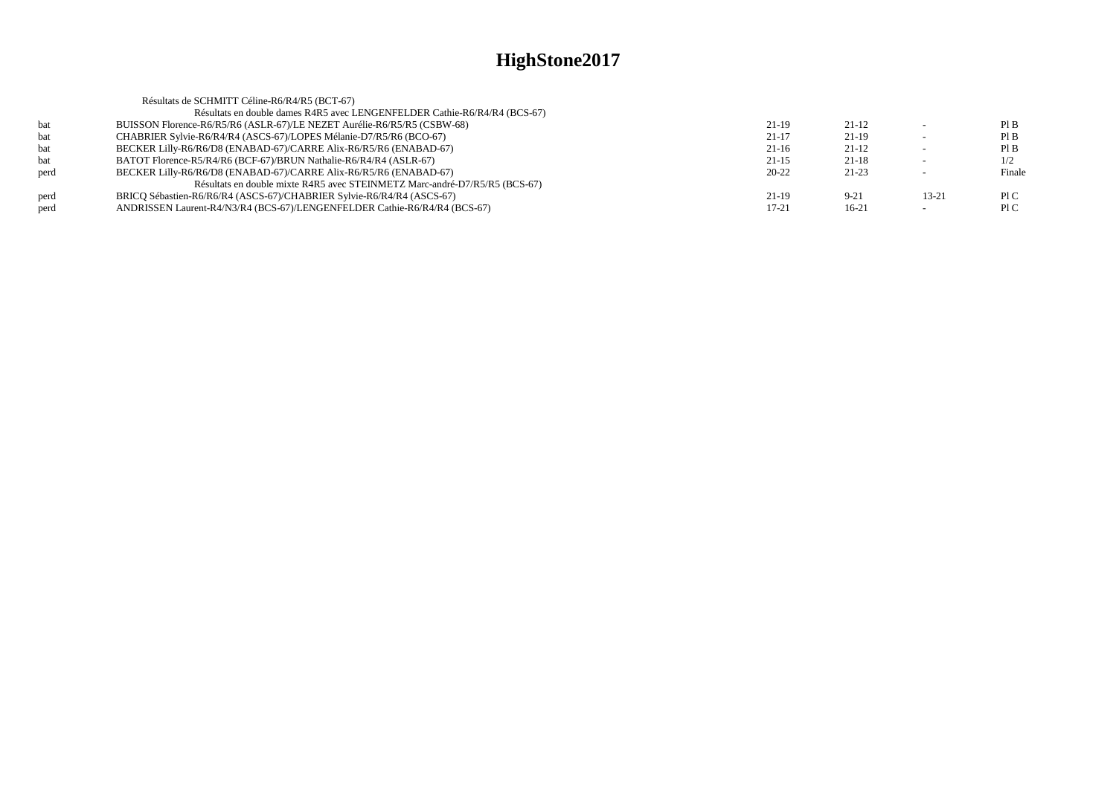| Résultats de SCHMITT Céline-R6/R4/R5 (BCT-67)                              |           |          |                          |        |
|----------------------------------------------------------------------------|-----------|----------|--------------------------|--------|
| Résultats en double dames R4R5 avec LENGENFELDER Cathie-R6/R4/R4 (BCS-67)  |           |          |                          |        |
| BUISSON Florence-R6/R5/R6 (ASLR-67)/LE NEZET Aurélie-R6/R5/R5 (CSBW-68)    | 21-19     | $21-12$  |                          | PIB    |
| CHABRIER Sylvie-R6/R4/R4 (ASCS-67)/LOPES Mélanie-D7/R5/R6 (BCO-67)         | $21 - 17$ | $21-19$  | $\overline{\phantom{0}}$ | PIB    |
| BECKER Lilly-R6/R6/D8 (ENABAD-67)/CARRE Alix-R6/R5/R6 (ENABAD-67)          | $21-16$   | $21-12$  |                          | PIB    |
| BATOT Florence-R5/R4/R6 (BCF-67)/BRUN Nathalie-R6/R4/R4 (ASLR-67)          | $21 - 15$ | $21-18$  | $\overline{\phantom{0}}$ | 1/2    |
| BECKER Lilly-R6/R6/D8 (ENABAD-67)/CARRE Alix-R6/R5/R6 (ENABAD-67)          | $20 - 22$ | 21-23    |                          | Finale |
| Résultats en double mixte R4R5 avec STEINMETZ Marc-andré-D7/R5/R5 (BCS-67) |           |          |                          |        |
| BRICO Sébastien-R6/R6/R4 (ASCS-67)/CHABRIER Sylvie-R6/R4/R4 (ASCS-67)      | $21-19$   | $9 - 21$ | $13 - 21$                | P1C    |
| ANDRISSEN Laurent-R4/N3/R4 (BCS-67)/LENGENFELDER Cathie-R6/R4/R4 (BCS-67)  | 17-21     | $16-21$  |                          | P1C    |
|                                                                            |           |          |                          |        |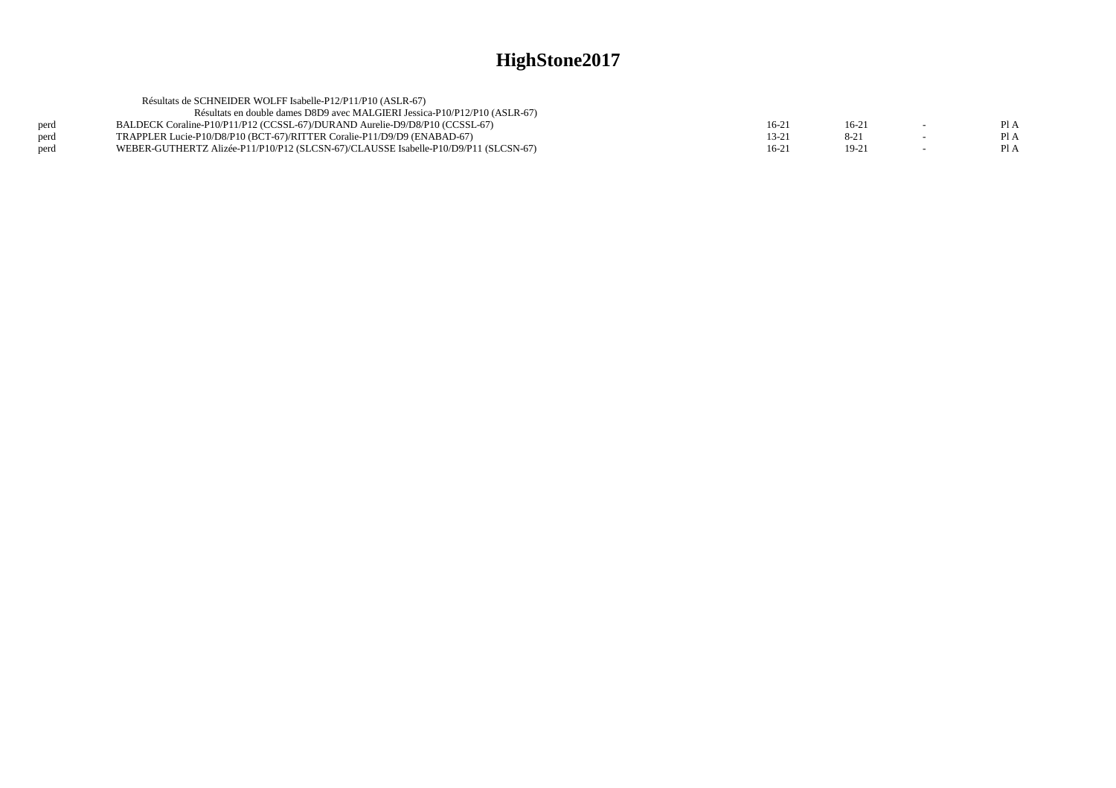| Résultats de SCHNEIDER WOLFF Isabelle-P12/P11/P10 (ASLR-67)                         |         |          |      |
|-------------------------------------------------------------------------------------|---------|----------|------|
| Résultats en double dames D8D9 avec MALGIERI Jessica-P10/P12/P10 (ASLR-67)          |         |          |      |
| BALDECK Coraline-P10/P11/P12 (CCSSL-67)/DURAND Aurelie-D9/D8/P10 (CCSSL-67)         | $16-21$ | 16-21    | PI A |
| TRAPPLER Lucie-P10/D8/P10 (BCT-67)/RITTER Coralie-P11/D9/D9 (ENABAD-67)             | 13-21   | $8 - 21$ | PI A |
| WEBER-GUTHERTZ Alizée-P11/P10/P12 (SLCSN-67)/CLAUSSE Isabelle-P10/D9/P11 (SLCSN-67) | $16-21$ | $19-21$  | Pl A |
|                                                                                     |         |          |      |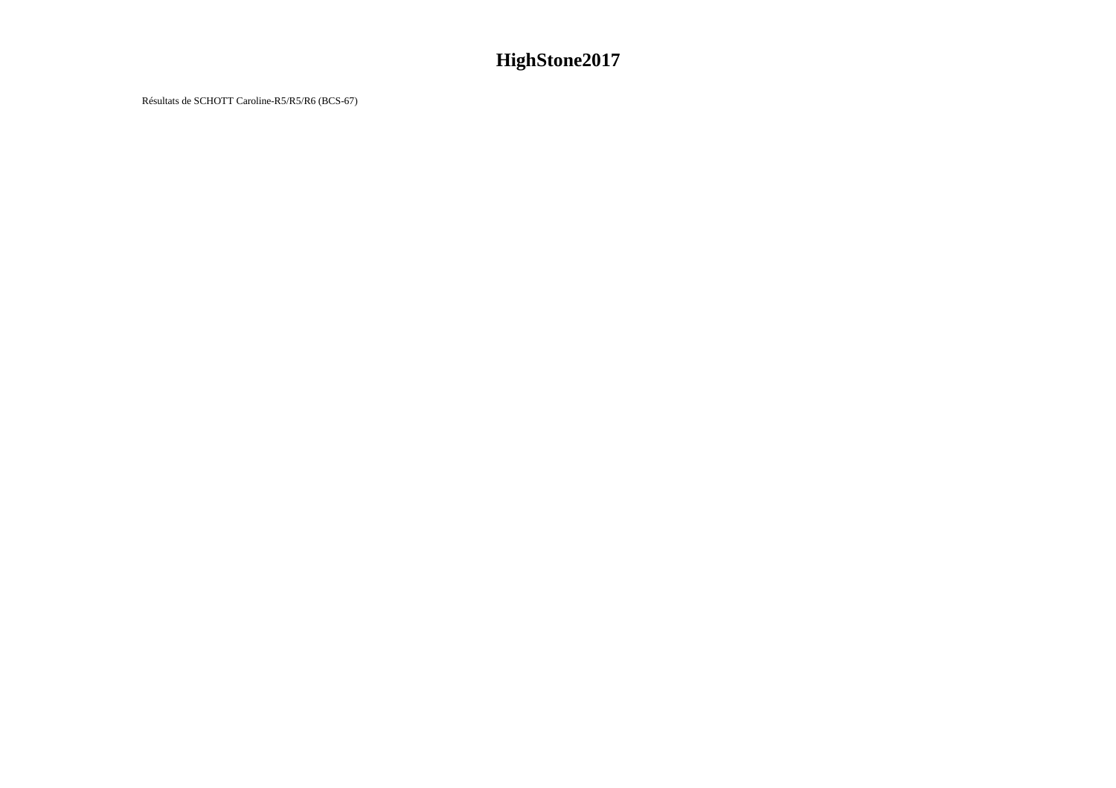Résultats de SCHOTT Caroline-R5/R5/R6 (BCS-67)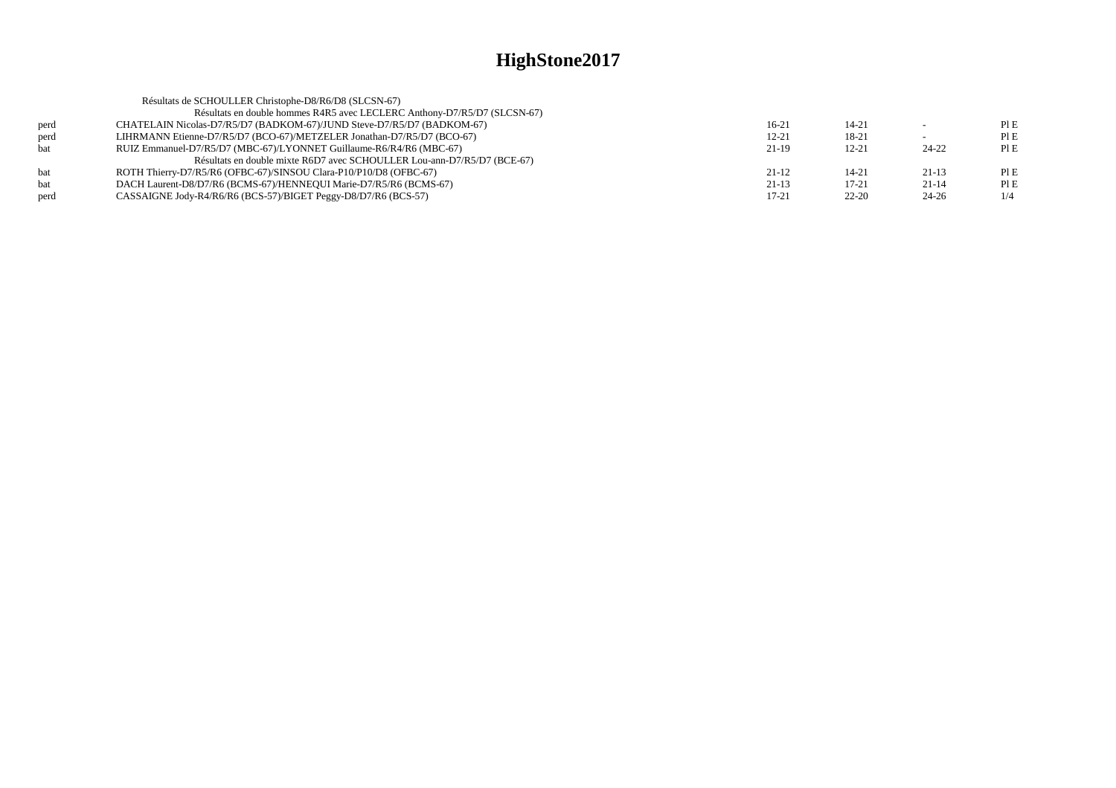|      | Résultats de SCHOULLER Christophe-D8/R6/D8 (SLCSN-67)                    |           |           |           |      |
|------|--------------------------------------------------------------------------|-----------|-----------|-----------|------|
|      | Résultats en double hommes R4R5 avec LECLERC Anthony-D7/R5/D7 (SLCSN-67) |           |           |           |      |
| perd | CHATELAIN Nicolas-D7/R5/D7 (BADKOM-67)/JUND Steve-D7/R5/D7 (BADKOM-67)   | 16-21     | 14-21     |           | PIE  |
| perd | LIHRMANN Etienne-D7/R5/D7 (BCO-67)/METZELER Jonathan-D7/R5/D7 (BCO-67)   | $12 - 21$ | 18-21     |           | PIE  |
| bat  | RUIZ Emmanuel-D7/R5/D7 (MBC-67)/LYONNET Guillaume-R6/R4/R6 (MBC-67)      | $21-19$   | $12 - 21$ | $24 - 22$ | PI E |
|      | Résultats en double mixte R6D7 avec SCHOULLER Lou-ann-D7/R5/D7 (BCE-67)  |           |           |           |      |
| bat  | ROTH Thierry-D7/R5/R6 (OFBC-67)/SINSOU Clara-P10/P10/D8 (OFBC-67)        | $21-12$   | 14-21     | $21-13$   | PIE  |
| bat  | DACH Laurent-D8/D7/R6 (BCMS-67)/HENNEOUI Marie-D7/R5/R6 (BCMS-67)        | $21-13$   | $17 - 21$ | $21 - 14$ | PIE  |
| perd | CASSAIGNE Jody-R4/R6/R6 (BCS-57)/BIGET Peggy-D8/D7/R6 (BCS-57)           | $17 - 21$ | $22 - 20$ | $24 - 26$ |      |
|      |                                                                          |           |           |           |      |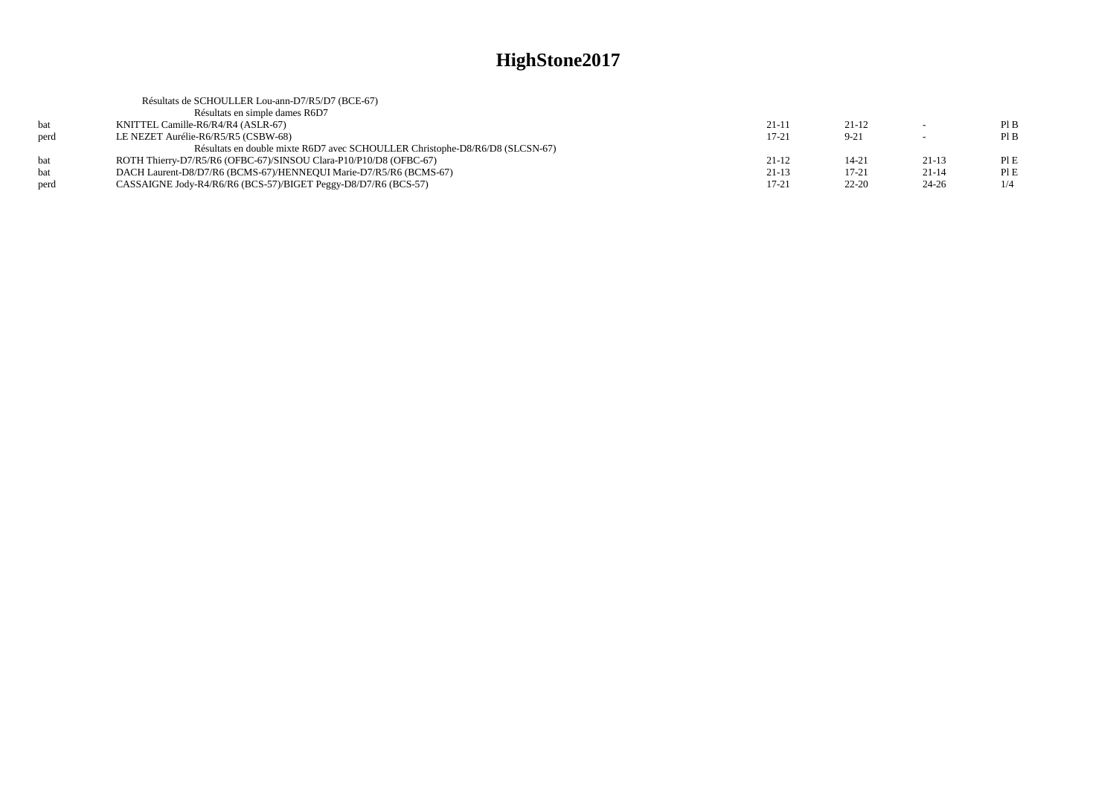|      | Résultats de SCHOULLER Lou-ann-D7/R5/D7 (BCE-67)                             |           |           |           |     |
|------|------------------------------------------------------------------------------|-----------|-----------|-----------|-----|
|      | Résultats en simple dames R6D7                                               |           |           |           |     |
| bat  | KNITTEL Camille-R6/R4/R4 (ASLR-67)                                           | 21-11     | $21-12$   |           | PIB |
| perd | LE NEZET Aurélie-R6/R5/R5 (CSBW-68)                                          | $17-21$   | $9 - 21$  |           | PIB |
|      | Résultats en double mixte R6D7 avec SCHOULLER Christophe-D8/R6/D8 (SLCSN-67) |           |           |           |     |
| hat  | ROTH Thierry-D7/R5/R6 (OFBC-67)/SINSOU Clara-P10/P10/D8 (OFBC-67)            | $21-12$   | 14-21     | $21-13$   | PIE |
|      | DACH Laurent-D8/D7/R6 (BCMS-67)/HENNEOUI Marie-D7/R5/R6 (BCMS-67)            | $21-13$   | $17 - 21$ | $21 - 14$ | PIE |
| perd | CASSAIGNE Jody-R4/R6/R6 (BCS-57)/BIGET Peggy-D8/D7/R6 (BCS-57)               | $17 - 21$ | $22 - 20$ | $24 - 26$ | 1/4 |
|      |                                                                              |           |           |           |     |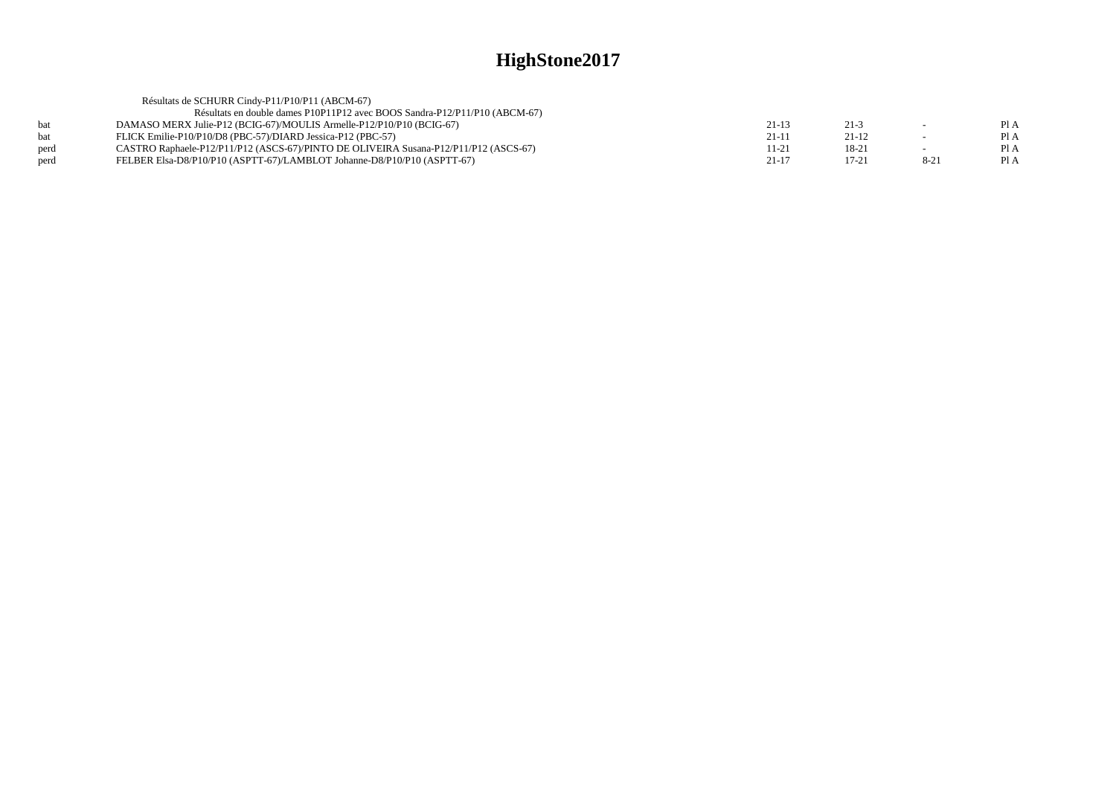|      | Résultats de SCHURR Cindy-P11/P10/P11 (ABCM-67)                                      |           |          |          |      |
|------|--------------------------------------------------------------------------------------|-----------|----------|----------|------|
|      | Résultats en double dames P10P11P12 avec BOOS Sandra-P12/P11/P10 (ABCM-67)           |           |          |          |      |
| hat  | DAMASO MERX Julie-P12 (BCIG-67)/MOULIS Armelle-P12/P10/P10 (BCIG-67)                 | $21-13$   | $21 - 3$ |          | Pl A |
| bat  | FLICK Emilie-P10/P10/D8 (PBC-57)/DIARD Jessica-P12 (PBC-57)                          | $21-11$   | $21-12$  |          | PI A |
| perd | CASTRO Raphaele-P12/P11/P12 (ASCS-67)/PINTO DE OLIVEIRA Susana-P12/P11/P12 (ASCS-67) | 11-21     | 18-21    |          | PI A |
| perd | FELBER Elsa-D8/P10/P10 (ASPTT-67)/LAMBLOT Johanne-D8/P10/P10 (ASPTT-67)              | $21 - 17$ | 17-21    | $8 - 21$ | PI A |
|      |                                                                                      |           |          |          |      |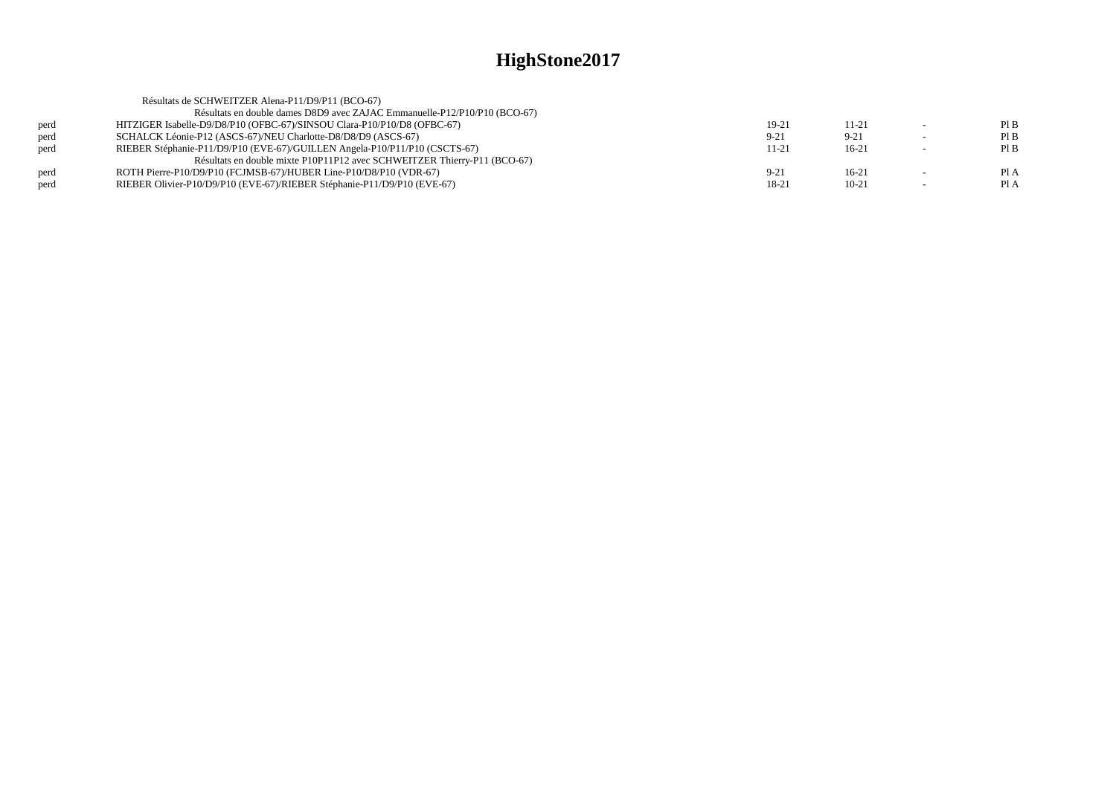|      | Résultats de SCHWEITZER Alena-P11/D9/P11 (BCO-67)                          |           |           |        |      |
|------|----------------------------------------------------------------------------|-----------|-----------|--------|------|
|      | Résultats en double dames D8D9 avec ZAJAC Emmanuelle-P12/P10/P10 (BCO-67)  |           |           |        |      |
| perd | HITZIGER Isabelle-D9/D8/P10 (OFBC-67)/SINSOU Clara-P10/P10/D8 (OFBC-67)    | $19-21$   | $11 - 21$ |        | PIB  |
| perd | SCHALCK Léonie-P12 (ASCS-67)/NEU Charlotte-D8/D8/D9 (ASCS-67)              | $9 - 21$  | $9 - 21$  |        | PIB  |
| perd | RIEBER Stéphanie-P11/D9/P10 (EVE-67)/GUILLEN Angela-P10/P11/P10 (CSCTS-67) | $11 - 21$ | $16-21$   |        | PIB  |
|      | Résultats en double mixte P10P11P12 avec SCHWEITZER Thierry-P11 (BCO-67)   |           |           |        |      |
| perd | ROTH Pierre-P10/D9/P10 (FCJMSB-67)/HUBER Line-P10/D8/P10 (VDR-67)          | $9-21$    | $16-21$   |        | Pl A |
| perd | RIEBER Olivier-P10/D9/P10 (EVE-67)/RIEBER Stéphanie-P11/D9/P10 (EVE-67)    | 18-21     | $10-21$   | $\sim$ | Pl A |
|      |                                                                            |           |           |        |      |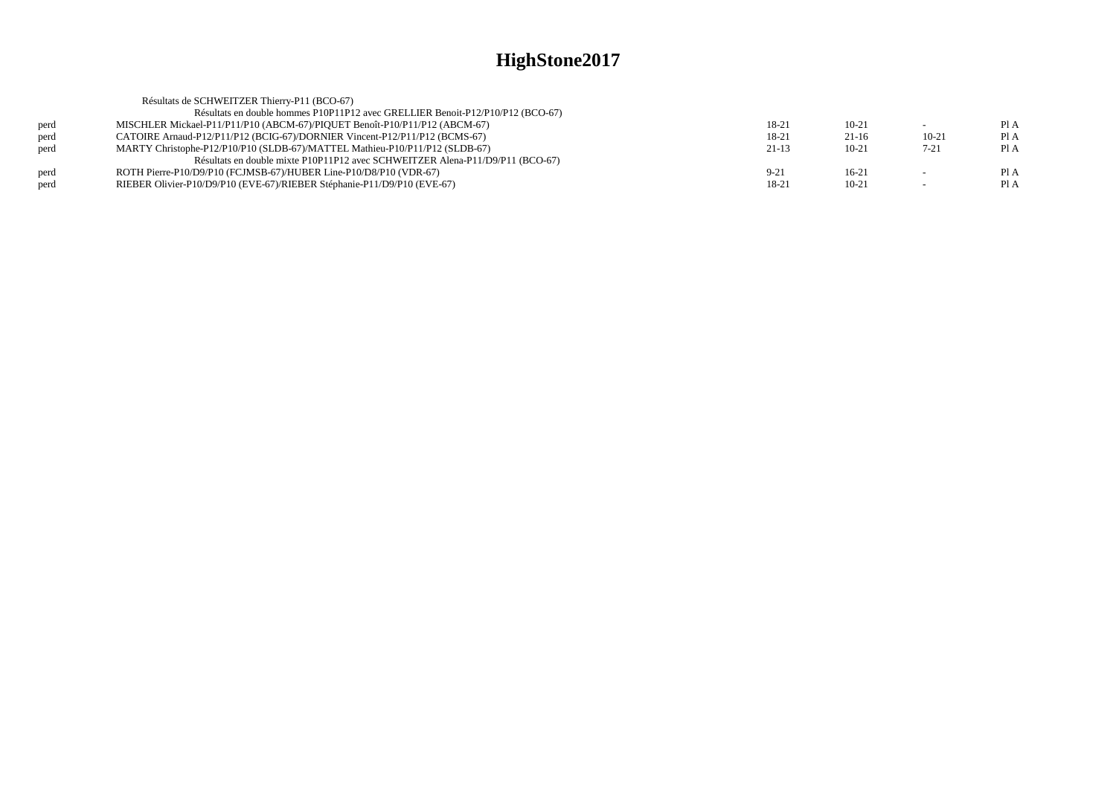|      | Résultats de SCHWEITZER Thierry-P11 (BCO-67)                                   |          |         |           |      |
|------|--------------------------------------------------------------------------------|----------|---------|-----------|------|
|      | Résultats en double hommes P10P11P12 avec GRELLIER Benoit-P12/P10/P12 (BCO-67) |          |         |           |      |
| perd | MISCHLER Mickael-P11/P11/P10 (ABCM-67)/PIQUET Benoît-P10/P11/P12 (ABCM-67)     | 18-21    | $10-21$ |           | Pl A |
| perd | CATOIRE Arnaud-P12/P11/P12 (BCIG-67)/DORNIER Vincent-P12/P11/P12 (BCMS-67)     | 18-21    | $21-16$ | $10 - 21$ | Pl A |
| perd | MARTY Christophe-P12/P10/P10 (SLDB-67)/MATTEL Mathieu-P10/P11/P12 (SLDB-67)    | $21-13$  | $10-21$ | $7 - 21$  | Pl A |
|      | Résultats en double mixte P10P11P12 avec SCHWEITZER Alena-P11/D9/P11 (BCO-67)  |          |         |           |      |
| perd | ROTH Pierre-P10/D9/P10 (FCJMSB-67)/HUBER Line-P10/D8/P10 (VDR-67)              | $9 - 21$ | $16-21$ |           | Pl A |
| perd | RIEBER Olivier-P10/D9/P10 (EVE-67)/RIEBER Stéphanie-P11/D9/P10 (EVE-67)        | 18-21    | $10-21$ |           | PI A |
|      |                                                                                |          |         |           |      |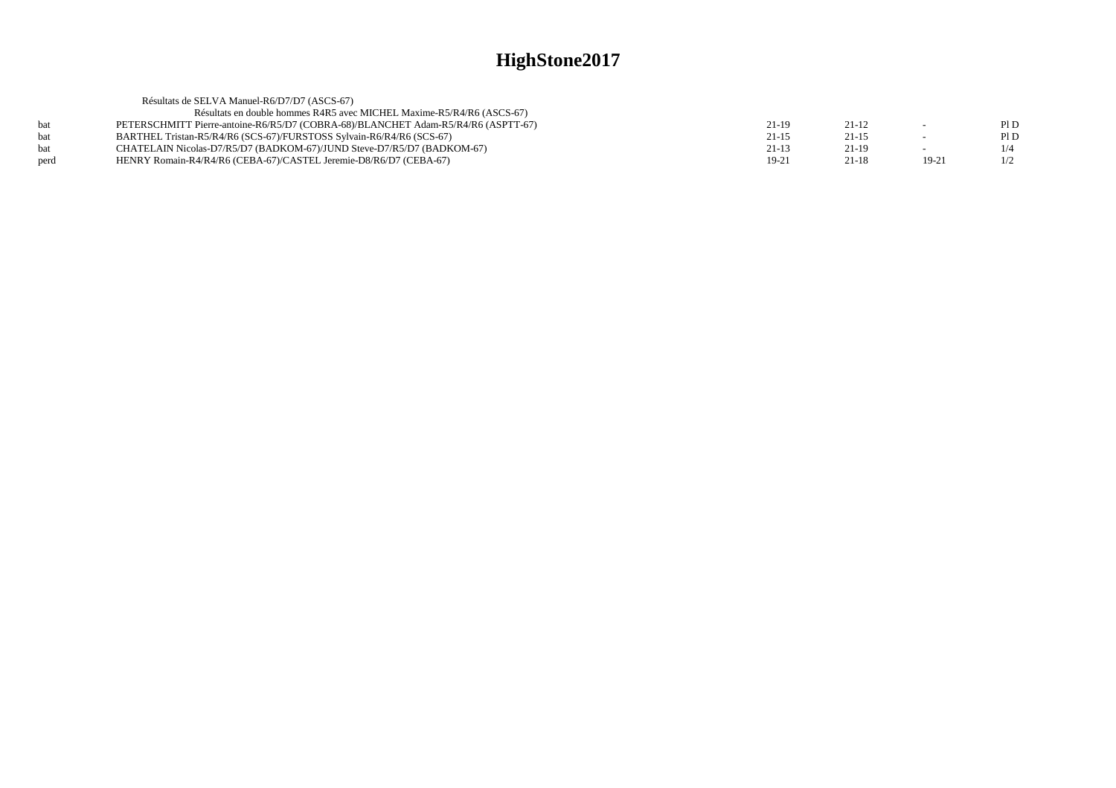| Résultats de SELVA Manuel-R6/D7/D7 (ASCS-67)                                      |           |           |         |     |
|-----------------------------------------------------------------------------------|-----------|-----------|---------|-----|
| Résultats en double hommes R4R5 avec MICHEL Maxime-R5/R4/R6 (ASCS-67)             |           |           |         |     |
| PETERSCHMITT Pierre-antoine-R6/R5/D7 (COBRA-68)/BLANCHET Adam-R5/R4/R6 (ASPTT-67) | 21-19     | $21 - 12$ | $\sim$  | P1D |
| BARTHEL Tristan-R5/R4/R6 (SCS-67)/FURSTOSS Sylvain-R6/R4/R6 (SCS-67)              | $21 - 15$ | $21 - 15$ |         | P1D |
| CHATELAIN Nicolas-D7/R5/D7 (BADKOM-67)/JUND Steve-D7/R5/D7 (BADKOM-67)            | $21-13$   | $21-19$   | $\sim$  | 1/4 |
| HENRY Romain-R4/R4/R6 (CEBA-67)/CASTEL Jeremie-D8/R6/D7 (CEBA-67)                 | 19-21     | $21 - 18$ | $19-21$ | 1/2 |
|                                                                                   |           |           |         |     |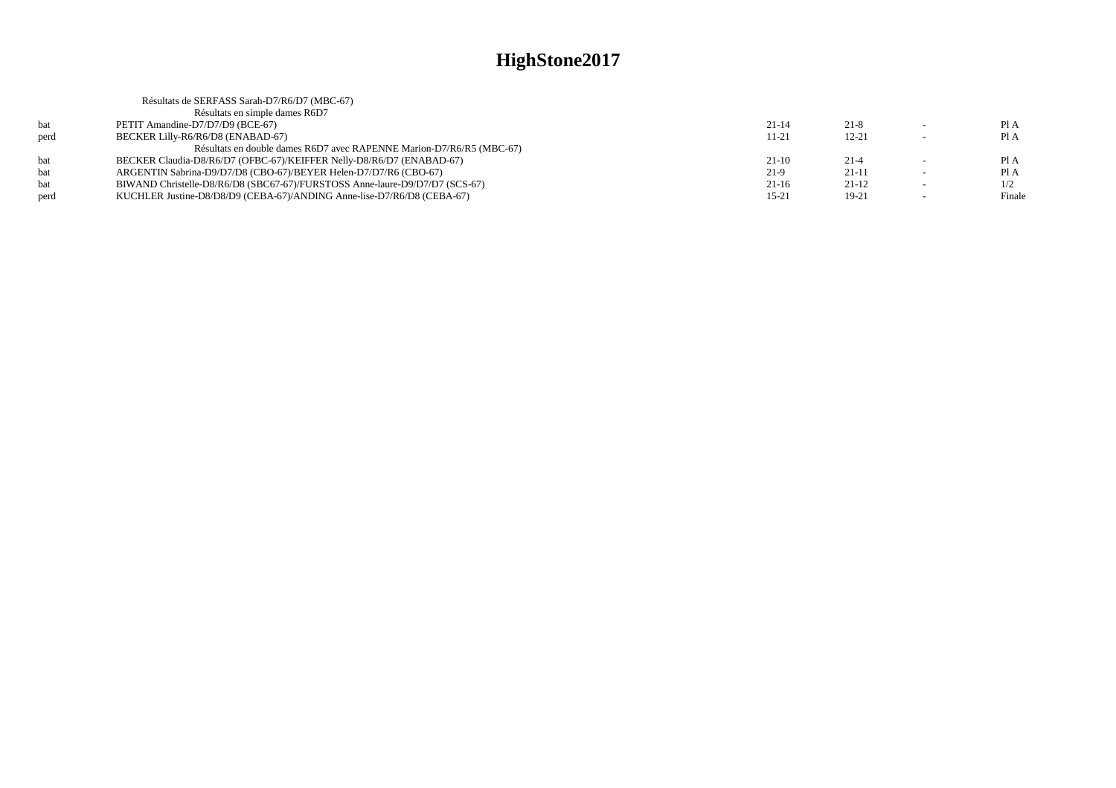|      | Résultats de SERFASS Sarah-D7/R6/D7 (MBC-67)                                |           |           |                          |        |
|------|-----------------------------------------------------------------------------|-----------|-----------|--------------------------|--------|
|      | Résultats en simple dames R6D7                                              |           |           |                          |        |
| bat  | PETIT Amandine-D7/D7/D9 (BCE-67)                                            | $21-14$   | $21 - 8$  | $\sim$                   | Pl A   |
| perd | BECKER Lilly-R6/R6/D8 (ENABAD-67)                                           | $11 - 21$ | $12 - 21$ | $\overline{\phantom{0}}$ | Pl A   |
|      | Résultats en double dames R6D7 avec RAPENNE Marion-D7/R6/R5 (MBC-67)        |           |           |                          |        |
| bat  | BECKER Claudia-D8/R6/D7 (OFBC-67)/KEIFFER Nelly-D8/R6/D7 (ENABAD-67)        | $21-10$   | $21 - 4$  | $\overline{\phantom{a}}$ | Pl A   |
| bat  | ARGENTIN Sabrina-D9/D7/D8 (CBO-67)/BEYER Helen-D7/D7/R6 (CBO-67)            | $21-9$    | $21-11$   |                          | Pl A   |
| bat  | BIWAND Christelle-D8/R6/D8 (SBC67-67)/FURSTOSS Anne-laure-D9/D7/D7 (SCS-67) | $21-16$   | $21-12$   | $\sim$                   | 1/2    |
| perd | KUCHLER Justine-D8/D8/D9 (CEBA-67)/ANDING Anne-lise-D7/R6/D8 (CEBA-67)      | $15 - 21$ | $19-21$   |                          | Finale |
|      |                                                                             |           |           |                          |        |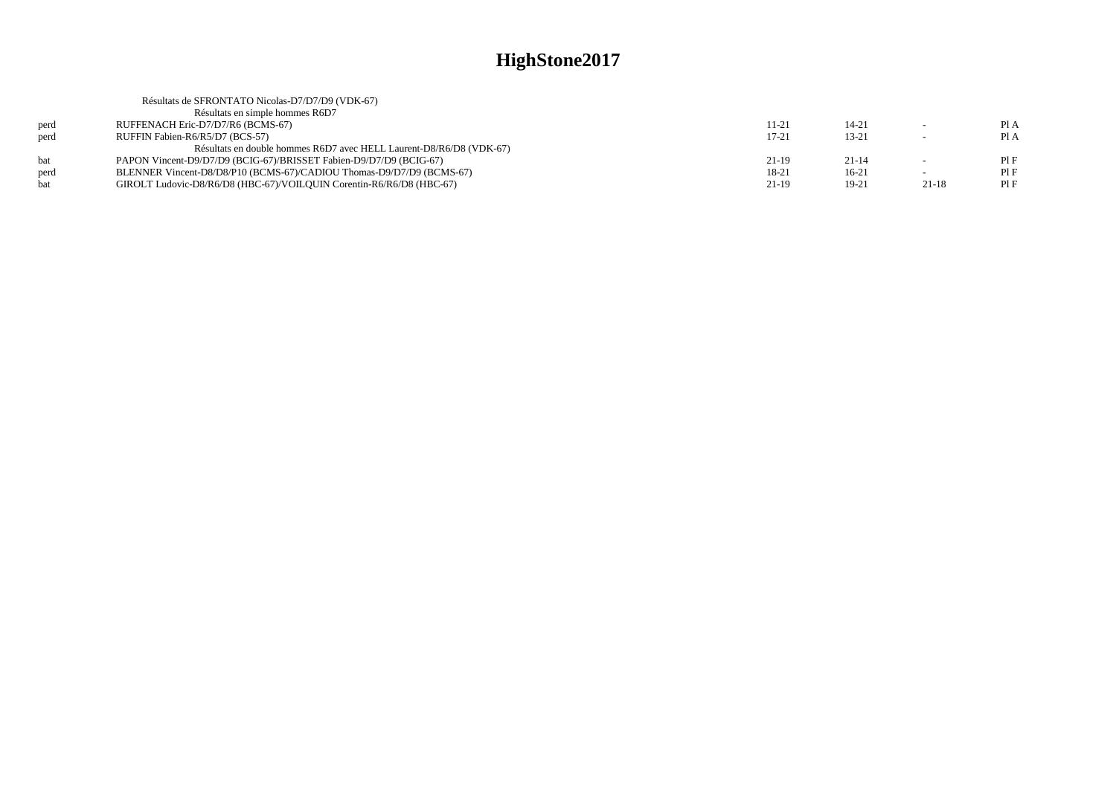|      | Résultats de SFRONTATO Nicolas-D7/D7/D9 (VDK-67)                     |           |           |           |      |
|------|----------------------------------------------------------------------|-----------|-----------|-----------|------|
|      | Résultats en simple hommes R6D7                                      |           |           |           |      |
| perd | RUFFENACH Eric-D7/D7/R6 (BCMS-67)                                    | 11-21     | $14 - 21$ |           | Pl A |
| perd | RUFFIN Fabien-R6/R5/D7 (BCS-57)                                      | $17 - 21$ | $13 - 21$ |           | Pl A |
|      | Résultats en double hommes R6D7 avec HELL Laurent-D8/R6/D8 (VDK-67)  |           |           |           |      |
| hat  | PAPON Vincent-D9/D7/D9 (BCIG-67)/BRISSET Fabien-D9/D7/D9 (BCIG-67)   | 21-19     | $21 - 14$ |           | PIF  |
| perd | BLENNER Vincent-D8/D8/P10 (BCMS-67)/CADIOU Thomas-D9/D7/D9 (BCMS-67) | 18-21     | $16-21$   |           | PIF  |
|      | GIROLT Ludovic-D8/R6/D8 (HBC-67)/VOILQUIN Corentin-R6/R6/D8 (HBC-67) | $21-19$   | $19-21$   | $21 - 18$ | PIF  |
|      |                                                                      |           |           |           |      |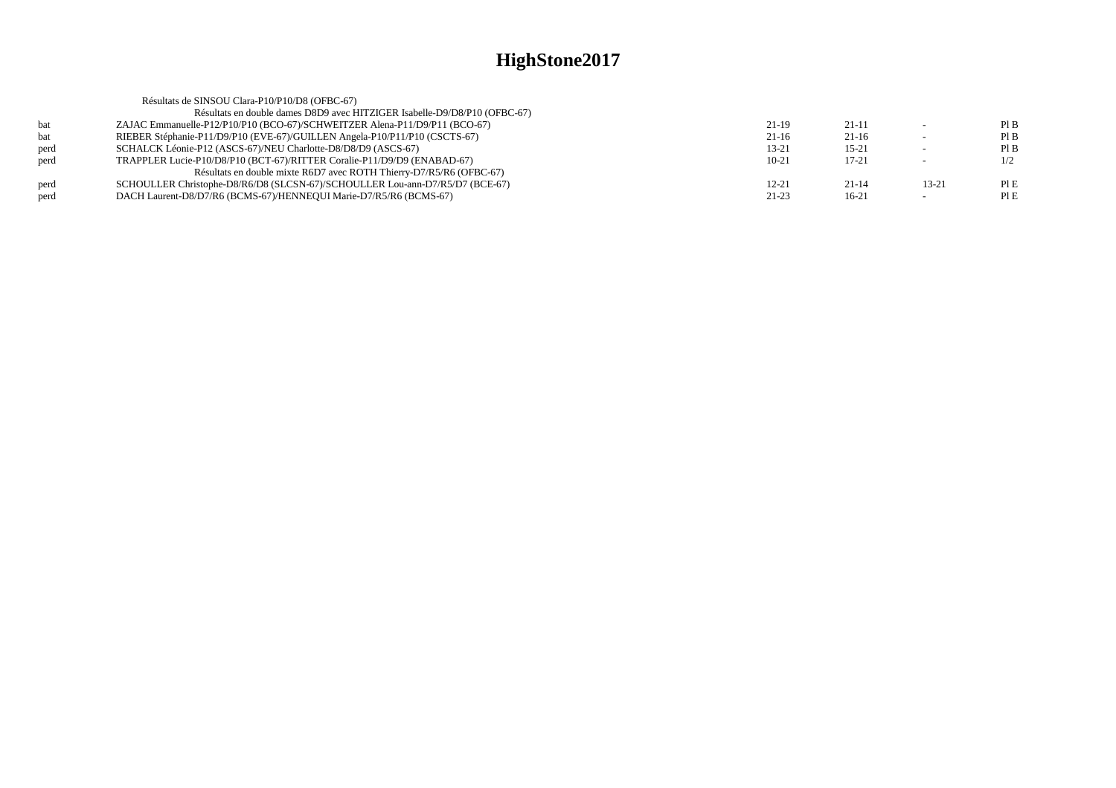| PIB |
|-----|
| PIB |
| PIB |
| 1/2 |
|     |
| PIE |
| PLE |
|     |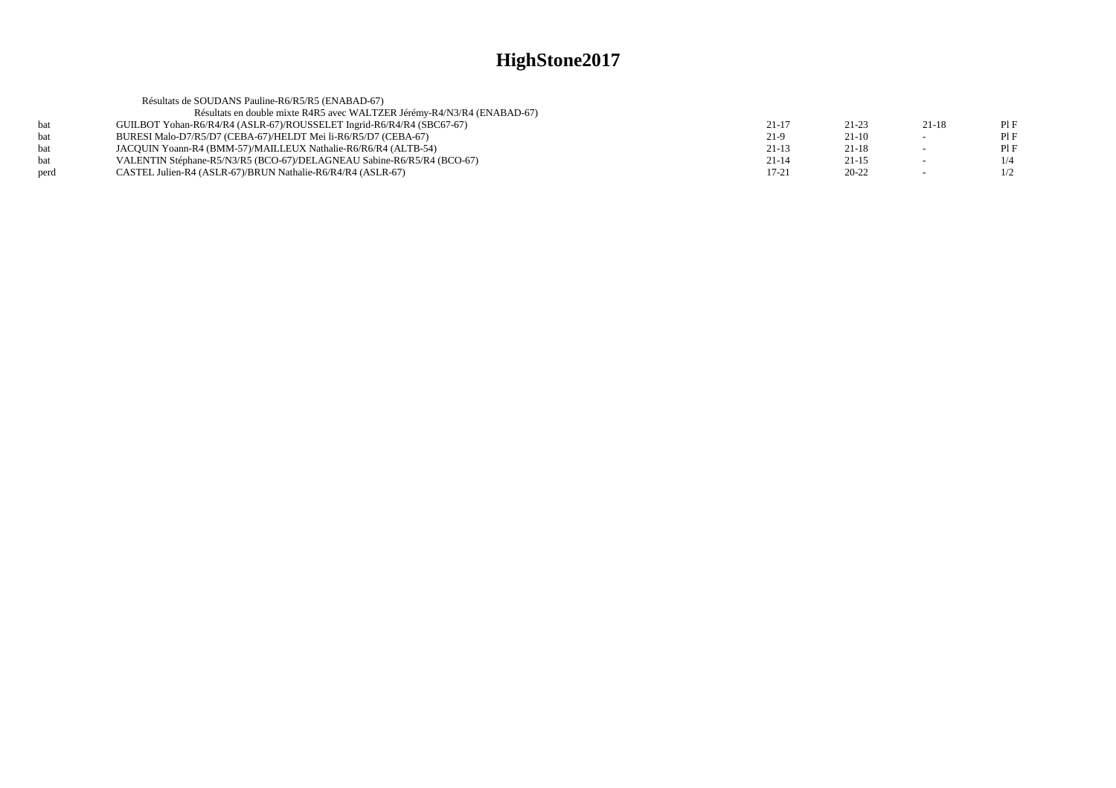|      | Résultats de SOUDANS Pauline-R6/R5/R5 (ENABAD-67)                       |           |           |        |     |
|------|-------------------------------------------------------------------------|-----------|-----------|--------|-----|
|      | Résultats en double mixte R4R5 avec WALTZER Jérémy-R4/N3/R4 (ENABAD-67) |           |           |        |     |
| hat  | GUILBOT Yohan-R6/R4/R4 (ASLR-67)/ROUSSELET Ingrid-R6/R4/R4 (SBC67-67)   | $21 - 17$ | $21 - 23$ | 21-18  | PIF |
| bat  | BURESI Malo-D7/R5/D7 (CEBA-67)/HELDT Mei li-R6/R5/D7 (CEBA-67)          | $21-9$    | $21-10$   | --     | PIF |
| hat  | JACOUIN Yoann-R4 (BMM-57)/MAILLEUX Nathalie-R6/R6/R4 (ALTB-54)          | $21-13$   | $21-18$   | $\sim$ | PIF |
| hat  | VALENTIN Stéphane-R5/N3/R5 (BCO-67)/DELAGNEAU Sabine-R6/R5/R4 (BCO-67)  | $21 - 14$ | $21 - 15$ | $\sim$ | 1/4 |
| perd | CASTEL Julien-R4 (ASLR-67)/BRUN Nathalie-R6/R4/R4 (ASLR-67)             | $17 - 21$ | $20 - 22$ | $\sim$ | 1/2 |
|      |                                                                         |           |           |        |     |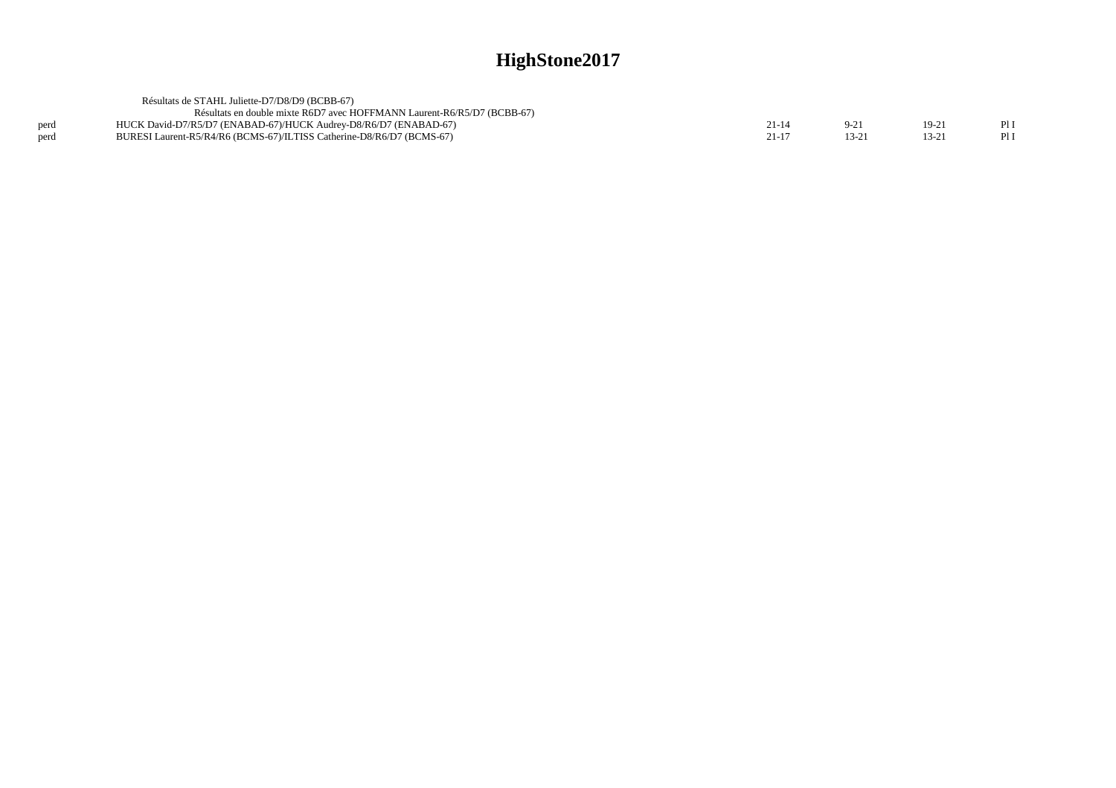|      | Résultats de STAHL Juliette-D7/D8/D9 (BCBB-67)                          |       |           |      |
|------|-------------------------------------------------------------------------|-------|-----------|------|
|      | Résultats en double mixte R6D7 avec HOFFMANN Laurent-R6/R5/D7 (BCBB-67) |       |           |      |
| perd | HUCK David-D7/R5/D7 (ENABAD-67)/HUCK Audrey-D8/R6/D7 (ENABAD-67)        | 21-14 | $19-21$   | Pl I |
| nerd | BURESI Laurent-R5/R4/R6 (BCMS-67)/ILTISS Catherine-D8/R6/D7 (BCMS-67)   |       | $13 - 21$ | PII  |
|      |                                                                         |       |           |      |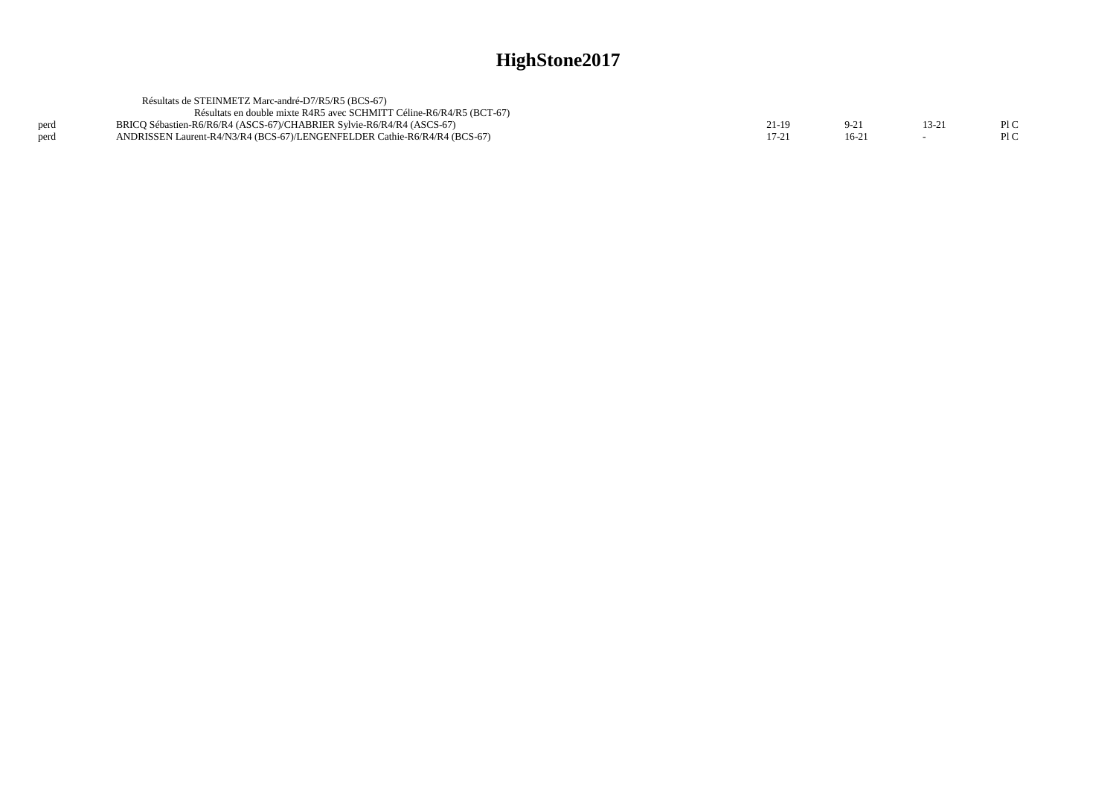|      | Résultats de STEINMETZ Marc-andré-D7/R5/R5 (BCS-67)                       |  |       |      |
|------|---------------------------------------------------------------------------|--|-------|------|
|      | Résultats en double mixte R4R5 avec SCHMITT Céline-R6/R4/R5 (BCT-67)      |  |       |      |
| perd | BRICO Sébastien-R6/R6/R4 (ASCS-67)/CHABRIER Sylvie-R6/R4/R4 (ASCS-67)     |  | 13-21 | PI C |
| perd | ANDRISSEN Laurent-R4/N3/R4 (BCS-67)/LENGENFELDER Cathie-R6/R4/R4 (BCS-67) |  |       | PLC  |
|      |                                                                           |  |       |      |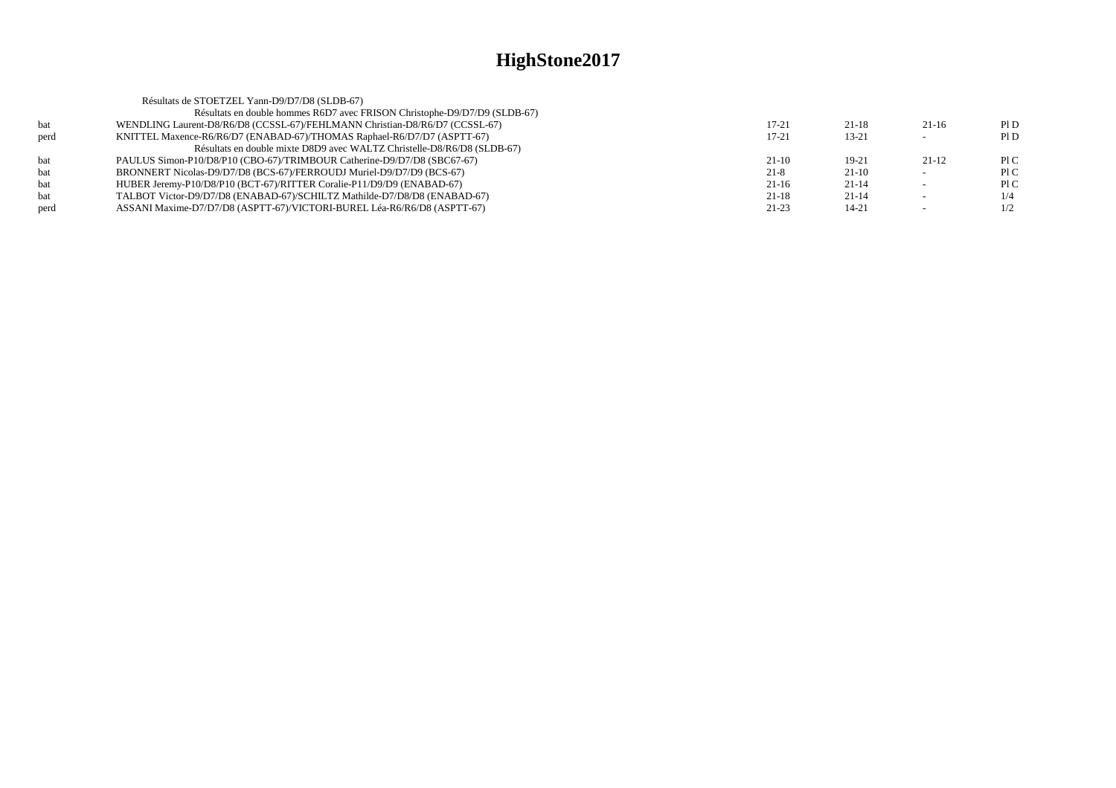|      | Résultats de STOETZEL Yann-D9/D7/D8 (SLDB-67)                               |         |           |         |     |
|------|-----------------------------------------------------------------------------|---------|-----------|---------|-----|
|      | Résultats en double hommes R6D7 avec FRISON Christophe-D9/D7/D9 (SLDB-67)   |         |           |         |     |
| bat  | WENDLING Laurent-D8/R6/D8 (CCSSL-67)/FEHLMANN Christian-D8/R6/D7 (CCSSL-67) | 17-21   | $21 - 18$ | $21-16$ | PID |
| perd | KNITTEL Maxence-R6/R6/D7 (ENABAD-67)/THOMAS Raphael-R6/D7/D7 (ASPTT-67)     | 17-21   | $13 - 21$ |         | P1D |
|      | Résultats en double mixte D8D9 avec WALTZ Christelle-D8/R6/D8 (SLDB-67)     |         |           |         |     |
| bat  | PAULUS Simon-P10/D8/P10 (CBO-67)/TRIMBOUR Catherine-D9/D7/D8 (SBC67-67)     | $21-10$ | $19-21$   | $21-12$ | P1C |
| bat  | BRONNERT Nicolas-D9/D7/D8 (BCS-67)/FERROUDJ Muriel-D9/D7/D9 (BCS-67)        | $21-8$  | $21-10$   |         | P1C |
| bat  | HUBER Jeremy-P10/D8/P10 (BCT-67)/RITTER Coralie-P11/D9/D9 (ENABAD-67)       | $21-16$ | $21-14$   |         | P1C |
| bat  | TALBOT Victor-D9/D7/D8 (ENABAD-67)/SCHILTZ Mathilde-D7/D8/D8 (ENABAD-67)    | 21-18   | $21-14$   |         | 1/4 |
| perd | ASSANI Maxime-D7/D7/D8 (ASPTT-67)/VICTORI-BUREL Léa-R6/R6/D8 (ASPTT-67)     | $21-23$ | $14 - 21$ |         | 1/2 |
|      |                                                                             |         |           |         |     |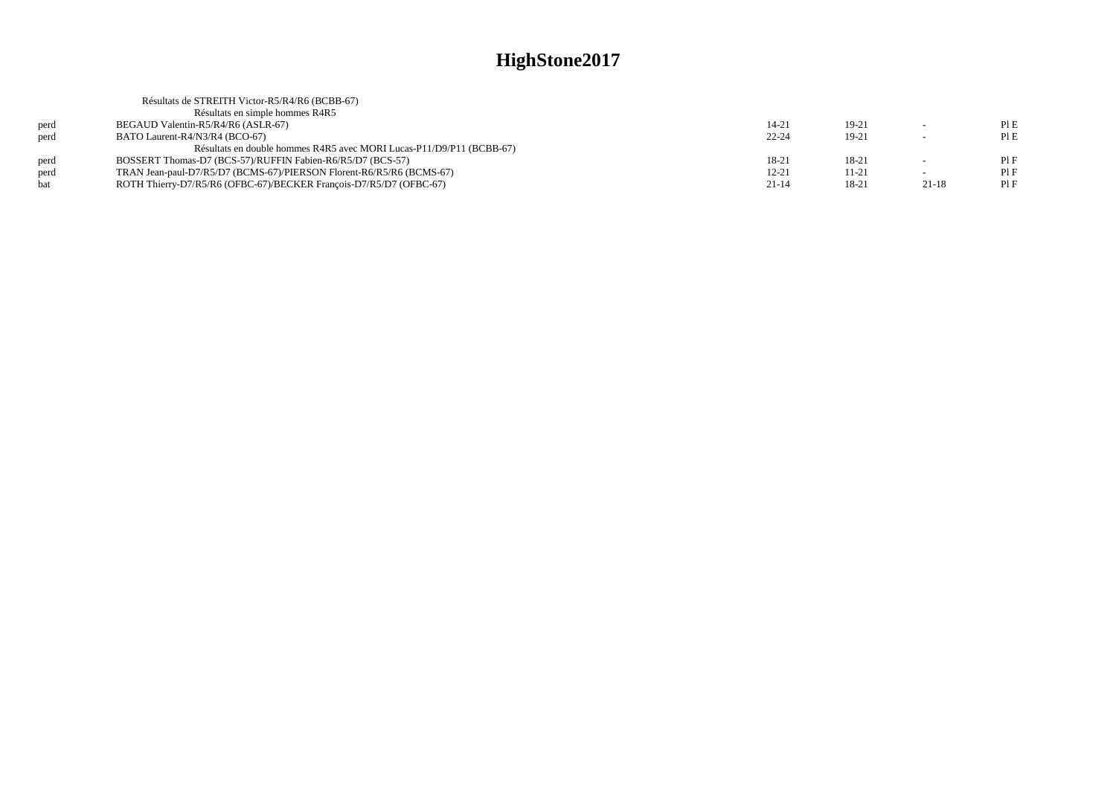|      | Résultats de STREITH Victor-R5/R4/R6 (BCBB-67)                       |           |         |           |     |
|------|----------------------------------------------------------------------|-----------|---------|-----------|-----|
|      | Résultats en simple hommes R4R5                                      |           |         |           |     |
| perd | BEGAUD Valentin-R5/R4/R6 (ASLR-67)                                   | $14 - 21$ | $19-21$ |           | PIE |
| perd | BATO Laurent-R4/N3/R4 (BCO-67)                                       | $22 - 24$ | $19-21$ |           | PIE |
|      | Résultats en double hommes R4R5 avec MORI Lucas-P11/D9/P11 (BCBB-67) |           |         |           |     |
| perd | BOSSERT Thomas-D7 (BCS-57)/RUFFIN Fabien-R6/R5/D7 (BCS-57)           | 18-21     | 18-21   |           | PIF |
| perd | TRAN Jean-paul-D7/R5/D7 (BCMS-67)/PIERSON Florent-R6/R5/R6 (BCMS-67) | $12 - 21$ | 11-21   | $\sim$    | PIF |
| bat  | ROTH Thierry-D7/R5/R6 (OFBC-67)/BECKER François-D7/R5/D7 (OFBC-67)   | $21 - 14$ | 18-21   | $21 - 18$ | PIF |
|      |                                                                      |           |         |           |     |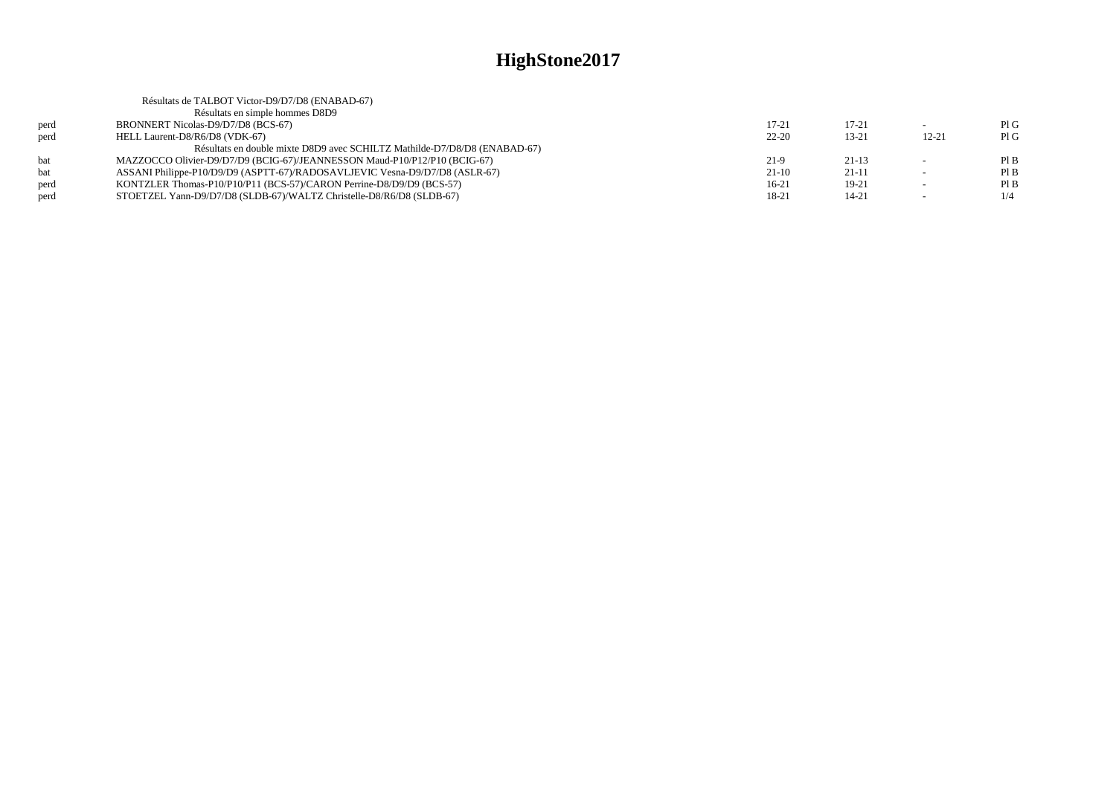|      | Résultats de TALBOT Victor-D9/D7/D8 (ENABAD-67)                             |           |           |           |     |
|------|-----------------------------------------------------------------------------|-----------|-----------|-----------|-----|
|      | Résultats en simple hommes D8D9                                             |           |           |           |     |
| perd | BRONNERT Nicolas-D9/D7/D8 (BCS-67)                                          | $17 - 21$ | $17 - 21$ |           | PIG |
| perd | HELL Laurent-D8/R6/D8 (VDK-67)                                              | $22 - 20$ | $13 - 21$ | $12 - 21$ | PIG |
|      | Résultats en double mixte D8D9 avec SCHILTZ Mathilde-D7/D8/D8 (ENABAD-67)   |           |           |           |     |
| bat  | MAZZOCCO Olivier-D9/D7/D9 (BCIG-67)/JEANNESSON Maud-P10/P12/P10 (BCIG-67)   | 21-9      | $21 - 13$ |           | PIB |
| bat  | ASSANI Philippe-P10/D9/D9 (ASPTT-67)/RADOSAVLJEVIC Vesna-D9/D7/D8 (ASLR-67) | $21-10$   | $21-11$   |           | PIB |
| perd | KONTZLER Thomas-P10/P10/P11 (BCS-57)/CARON Perrine-D8/D9/D9 (BCS-57)        | $16-21$   | $19-21$   |           | PIB |
| perd | STOETZEL Yann-D9/D7/D8 (SLDB-67)/WALTZ Christelle-D8/R6/D8 (SLDB-67)        | 18-21     | $14 - 21$ |           | 1/4 |
|      |                                                                             |           |           |           |     |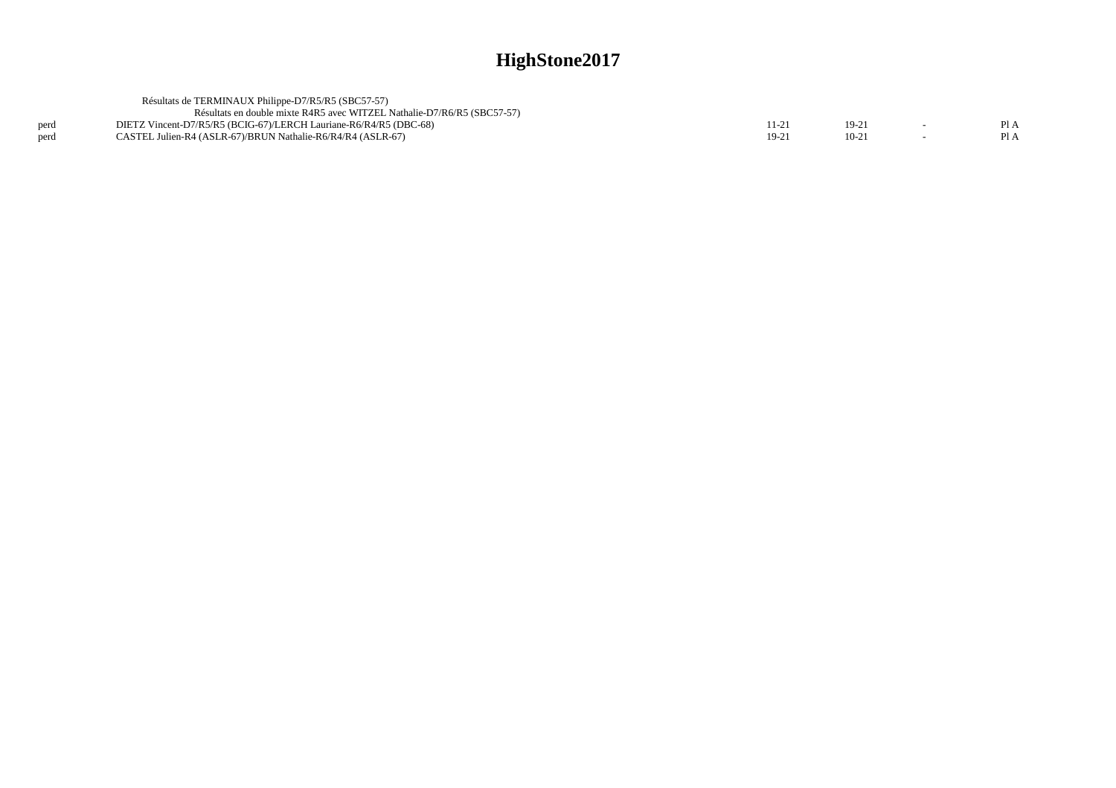|      | Résultats de TERMINAUX Philippe-D7/R5/R5 (SBC57-57)                     |         |        |                  |
|------|-------------------------------------------------------------------------|---------|--------|------------------|
|      | Résultats en double mixte R4R5 avec WITZEL Nathalie-D7/R6/R5 (SBC57-57) |         |        |                  |
| perd | DIETZ Vincent-D7/R5/R5 (BCIG-67)/LERCH Lauriane-R6/R4/R5 (DBC-68)       | 11-21   | $19-2$ | $P_{A}$          |
| perd | CASTEL Julien-R4 (ASLR-67)/BRUN Nathalie-R6/R4/R4 (ASLR-67)             | $19-2!$ | $10-2$ | P <sub>1</sub> A |
|      |                                                                         |         |        |                  |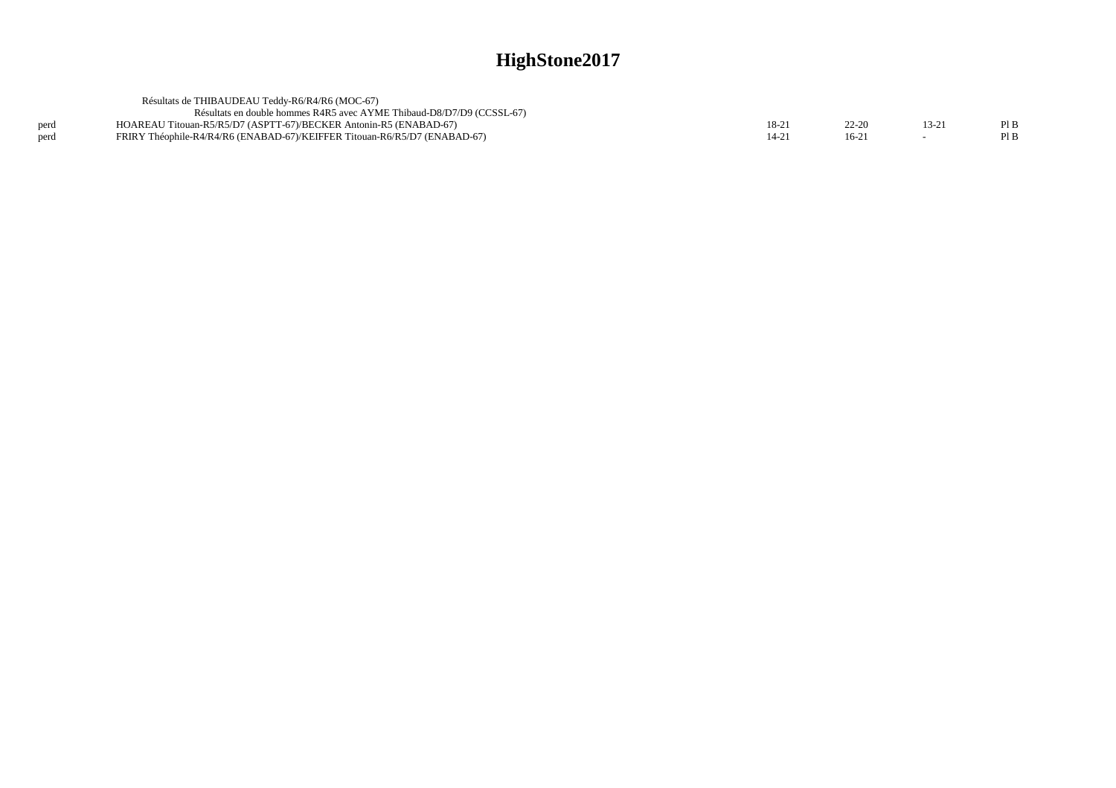|      | Résultats de THIBAUDEAU Teddy-R6/R4/R6 (MOC-67)                           |       |        |       |      |
|------|---------------------------------------------------------------------------|-------|--------|-------|------|
|      | Résultats en double hommes R4R5 avec AYME Thibaud-D8/D7/D9 (CCSSL-67)     |       |        |       |      |
| perd | HOAREAU Titouan-R5/R5/D7 (ASPTT-67)/BECKER Antonin-R5 (ENABAD-67)         | 18-21 | 22-20  | 13-21 | Pl B |
| perd | FRIRY Théophile-R4/R4/R6 (ENABAD-67)/KEIFFER Titouan-R6/R5/D7 (ENABAD-67) | 14-21 | $16-2$ |       | Pl B |
|      |                                                                           |       |        |       |      |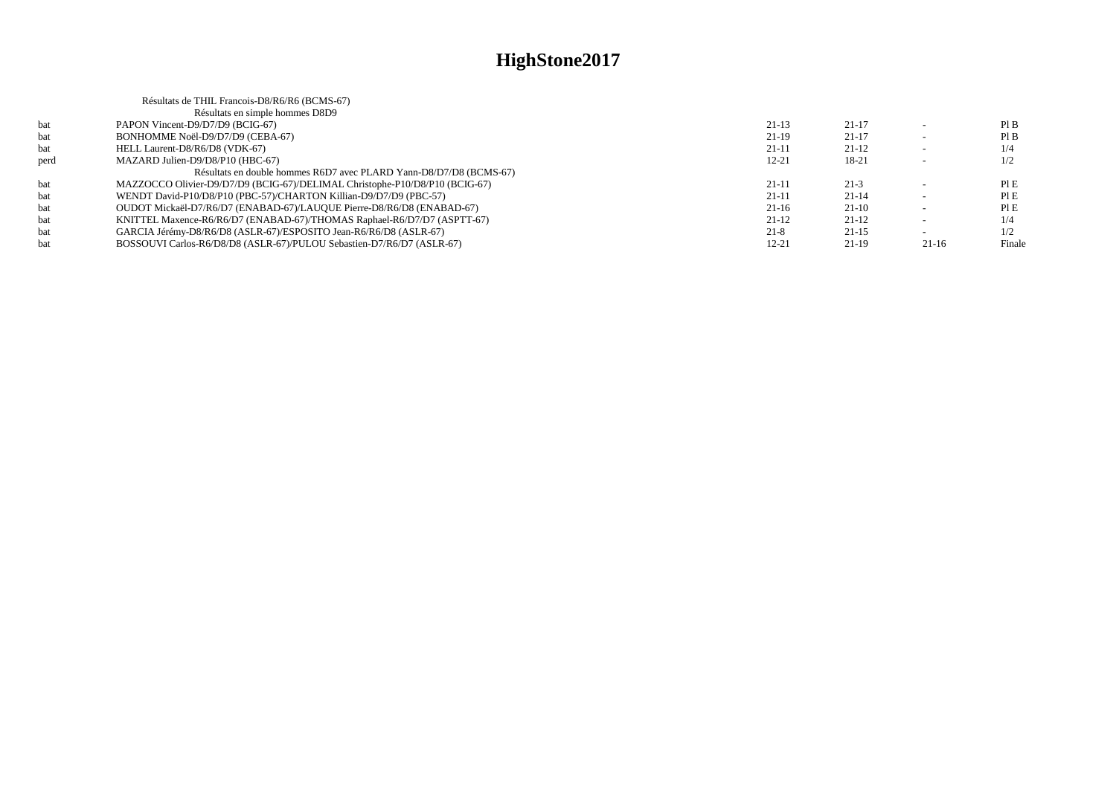|      | Résultats de THIL Francois-D8/R6/R6 (BCMS-67)                               |           |         |         |        |
|------|-----------------------------------------------------------------------------|-----------|---------|---------|--------|
|      | Résultats en simple hommes D8D9                                             |           |         |         |        |
| bat  | PAPON Vincent-D9/D7/D9 (BCIG-67)                                            | $21-13$   | $21-17$ |         | PIB    |
| bat  | BONHOMME Noël-D9/D7/D9 (CEBA-67)                                            | 21-19     | $21-17$ |         | PIB    |
| bat  | HELL Laurent-D8/R6/D8 (VDK-67)                                              | $21 - 11$ | $21-12$ |         | 1/4    |
| perd | MAZARD Julien-D9/D8/P10 (HBC-67)                                            | $12 - 21$ | 18-21   |         | 1/2    |
|      | Résultats en double hommes R6D7 avec PLARD Yann-D8/D7/D8 (BCMS-67)          |           |         |         |        |
| bat  | MAZZOCCO Olivier-D9/D7/D9 (BCIG-67)/DELIMAL Christophe-P10/D8/P10 (BCIG-67) | $21 - 11$ | $21-3$  |         | PIE    |
| bat  | WENDT David-P10/D8/P10 (PBC-57)/CHARTON Killian-D9/D7/D9 (PBC-57)           | $21 - 11$ | $21-14$ |         | PIE    |
| bat  | OUDOT Mickaël-D7/R6/D7 (ENABAD-67)/LAUQUE Pierre-D8/R6/D8 (ENABAD-67)       | $21-16$   | $21-10$ |         | PIE    |
| bat  | KNITTEL Maxence-R6/R6/D7 (ENABAD-67)/THOMAS Raphael-R6/D7/D7 (ASPTT-67)     | $21-12$   | $21-12$ |         | 1/4    |
| bat  | GARCIA Jérémy-D8/R6/D8 (ASLR-67)/ESPOSITO Jean-R6/R6/D8 (ASLR-67)           | $21-8$    | $21-15$ |         | 1/2    |
| bat  | BOSSOUVI Carlos-R6/D8/D8 (ASLR-67)/PULOU Sebastien-D7/R6/D7 (ASLR-67)       | $12 - 21$ | $21-19$ | $21-16$ | Finale |
|      |                                                                             |           |         |         |        |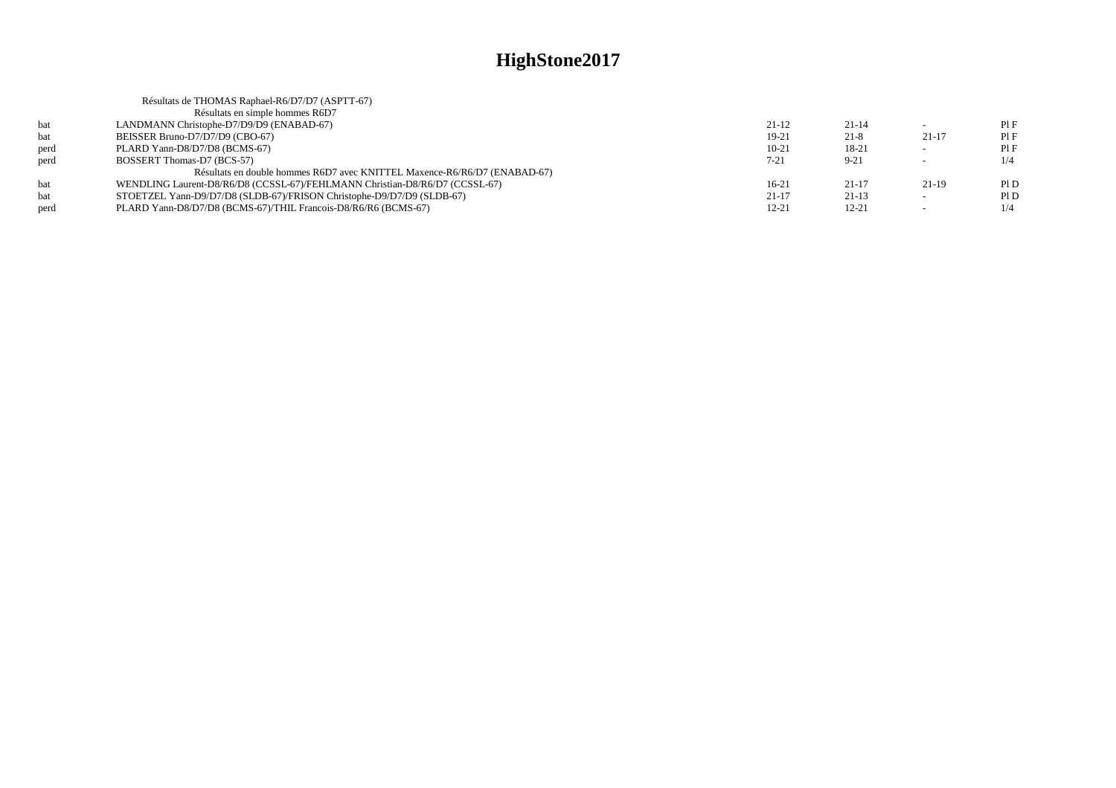|      | Résultats de THOMAS Raphael-R6/D7/D7 (ASPTT-67)                             |           |           |                          |      |
|------|-----------------------------------------------------------------------------|-----------|-----------|--------------------------|------|
|      | Résultats en simple hommes R6D7                                             |           |           |                          |      |
| bat  | LANDMANN Christophe-D7/D9/D9 (ENABAD-67)                                    | $21-12$   | $21 - 14$ |                          | Pl F |
| bat  | BEISSER Bruno-D7/D7/D9 (CBO-67)                                             | 19-21     | $21 - 8$  | $21 - 17$                | PIF  |
| perd | PLARD Yann-D8/D7/D8 (BCMS-67)                                               | $10 - 21$ | 18-21     | $\sim$                   | PIF  |
| perd | BOSSERT Thomas-D7 (BCS-57)                                                  | $7 - 21$  | $9 - 21$  | $\overline{\phantom{0}}$ | 1/4  |
|      | Résultats en double hommes R6D7 avec KNITTEL Maxence-R6/R6/D7 (ENABAD-67)   |           |           |                          |      |
| bat  | WENDLING Laurent-D8/R6/D8 (CCSSL-67)/FEHLMANN Christian-D8/R6/D7 (CCSSL-67) | $16-21$   | $21-17$   | $21-19$                  | Pl D |
| bat  | STOETZEL Yann-D9/D7/D8 (SLDB-67)/FRISON Christophe-D9/D7/D9 (SLDB-67)       | $21 - 17$ | $21-13$   | $\sim$                   | PI D |
| perd | PLARD Yann-D8/D7/D8 (BCMS-67)/THIL Francois-D8/R6/R6 (BCMS-67)              | $12 - 21$ | $12 - 21$ | $\overline{\phantom{0}}$ | 1/4  |
|      |                                                                             |           |           |                          |      |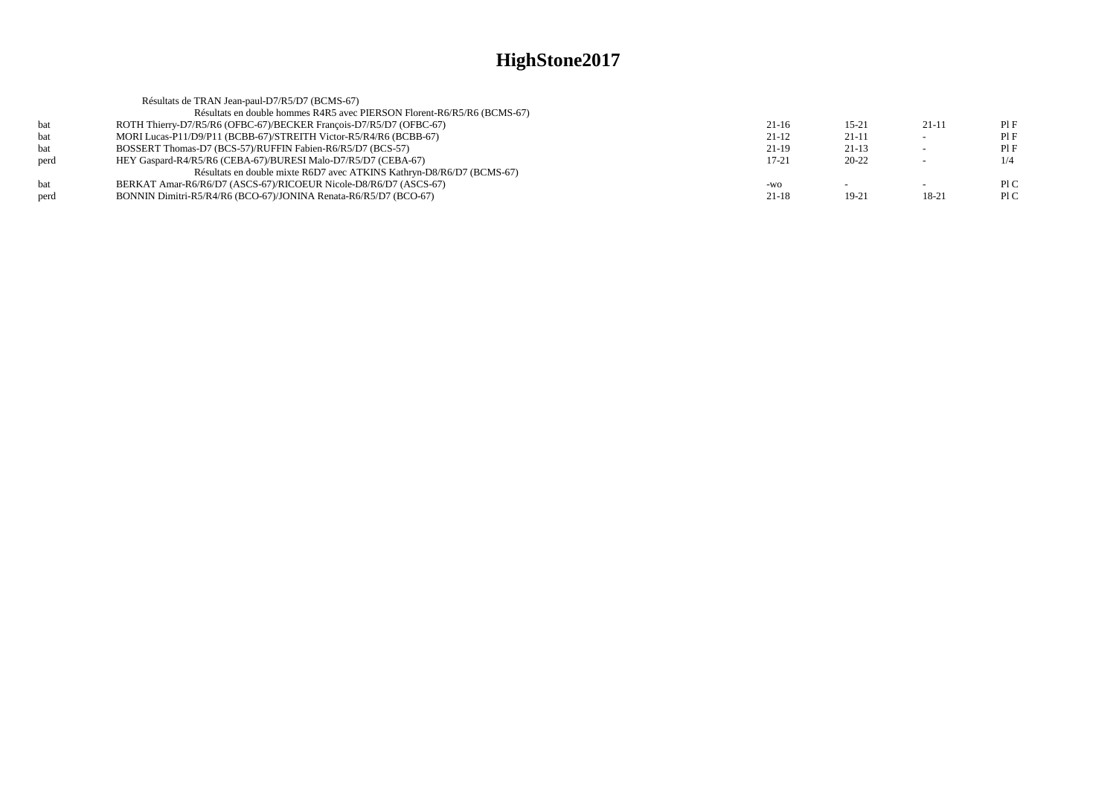|            | Résultats de TRAN Jean-paul-D7/R5/D7 (BCMS-67)                          |           |           |                          |     |
|------------|-------------------------------------------------------------------------|-----------|-----------|--------------------------|-----|
|            | Résultats en double hommes R4R5 avec PIERSON Florent-R6/R5/R6 (BCMS-67) |           |           |                          |     |
| <b>bat</b> | ROTH Thierry-D7/R5/R6 (OFBC-67)/BECKER Francois-D7/R5/D7 (OFBC-67)      | $21-16$   | $15 - 21$ | $21-11$                  | PIF |
| bat        | MORI Lucas-P11/D9/P11 (BCBB-67)/STREITH Victor-R5/R4/R6 (BCBB-67)       | $21-12$   | $21-11$   | $\sim$                   | PIF |
| bat        | BOSSERT Thomas-D7 (BCS-57)/RUFFIN Fabien-R6/R5/D7 (BCS-57)              | $21-19$   | $21-13$   | $\overline{\phantom{a}}$ | PIF |
| perd       | HEY Gaspard-R4/R5/R6 (CEBA-67)/BURESI Malo-D7/R5/D7 (CEBA-67)           | $17 - 21$ | $20 - 22$ |                          | 1/4 |
|            | Résultats en double mixte R6D7 avec ATKINS Kathryn-D8/R6/D7 (BCMS-67)   |           |           |                          |     |
| <b>bat</b> | BERKAT Amar-R6/R6/D7 (ASCS-67)/RICOEUR Nicole-D8/R6/D7 (ASCS-67)        | $-WO$     |           | $\sim$                   | PLC |
| perd       | BONNIN Dimitri-R5/R4/R6 (BCO-67)/JONINA Renata-R6/R5/D7 (BCO-67)        | $21-18$   | 19-21     | $18-21$                  | PLC |
|            |                                                                         |           |           |                          |     |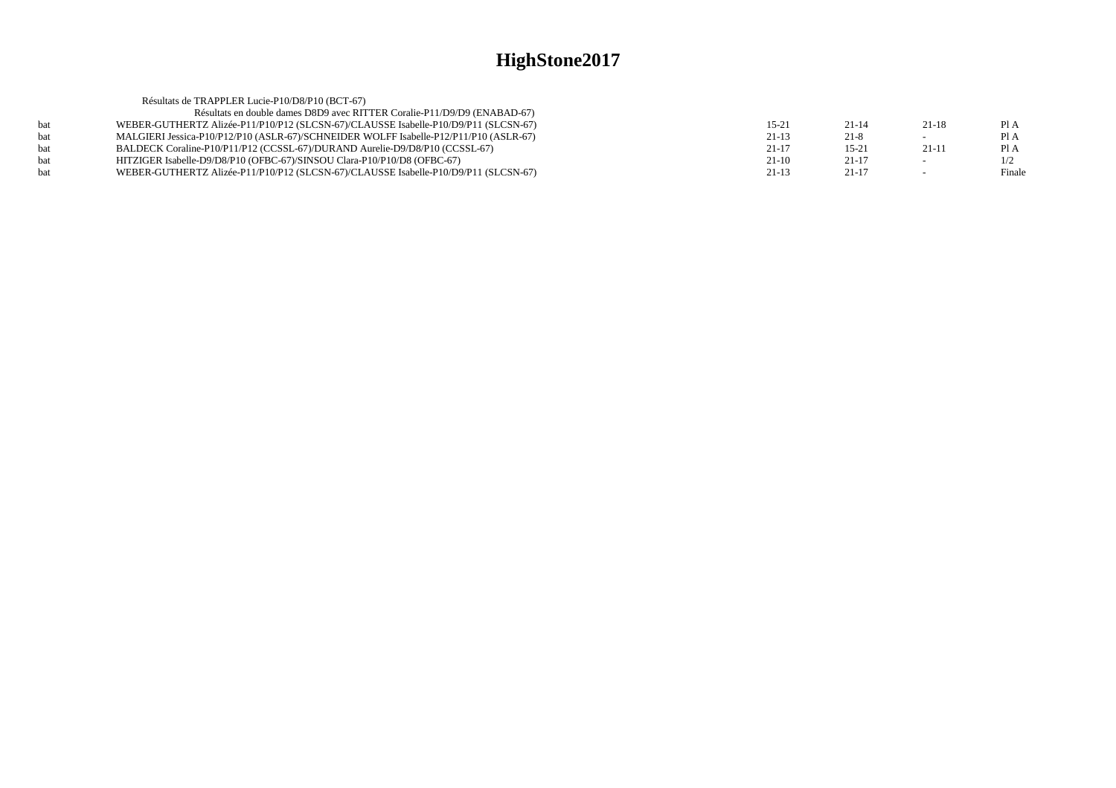|     | Résultats de TRAPPLER Lucie-P10/D8/P10 (BCT-67)                                       |           |           |                          |        |
|-----|---------------------------------------------------------------------------------------|-----------|-----------|--------------------------|--------|
|     | Résultats en double dames D8D9 avec RITTER Coralie-P11/D9/D9 (ENABAD-67)              |           |           |                          |        |
|     | WEBER-GUTHERTZ Alizée-P11/P10/P12 (SLCSN-67)/CLAUSSE Isabelle-P10/D9/P11 (SLCSN-67)   | $15 - 21$ | $21 - 14$ | $21-18$                  | Pl A   |
|     | MALGIERI Jessica-P10/P12/P10 (ASLR-67)/SCHNEIDER WOLFF Isabelle-P12/P11/P10 (ASLR-67) | $21-13$   | $21-8$    | $\overline{\phantom{0}}$ | Pl A   |
| hat | BALDECK Coraline-P10/P11/P12 (CCSSL-67)/DURAND Aurelie-D9/D8/P10 (CCSSL-67)           | $21 - 17$ | $15-21$   | $21-11$                  | Pl A   |
|     | HITZIGER Isabelle-D9/D8/P10 (OFBC-67)/SINSOU Clara-P10/P10/D8 (OFBC-67)               | $21-10$   | 21-17     | $\sim$                   | 1/2    |
|     | WEBER-GUTHERTZ Alizée-P11/P10/P12 (SLCSN-67)/CLAUSSE Isabelle-P10/D9/P11 (SLCSN-67)   | $21-13$   | $21-17$   |                          | Finale |
|     |                                                                                       |           |           |                          |        |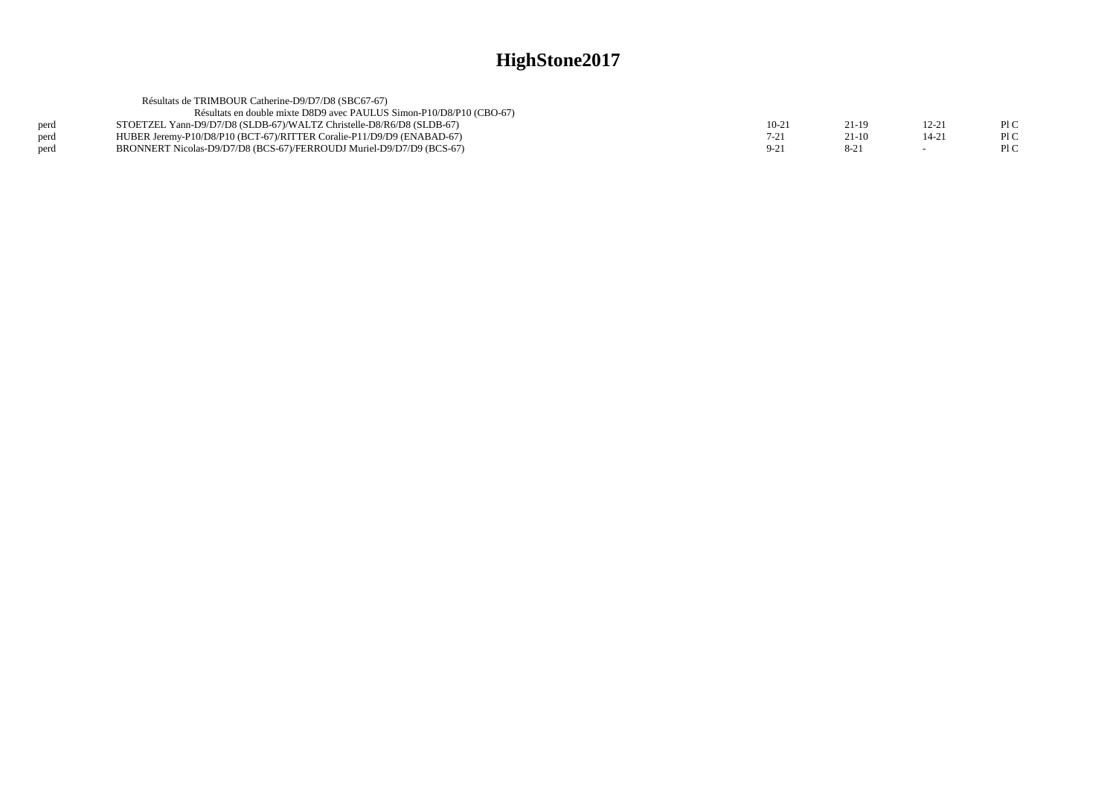|      | Résultats de TRIMBOUR Catherine-D9/D7/D8 (SBC67-67)                   |        |         |           |      |
|------|-----------------------------------------------------------------------|--------|---------|-----------|------|
|      | Résultats en double mixte D8D9 avec PAULUS Simon-P10/D8/P10 (CBO-67)  |        |         |           |      |
| perd | STOETZEL Yann-D9/D7/D8 (SLDB-67)/WALTZ Christelle-D8/R6/D8 (SLDB-67)  | $10-2$ | 21-19   | 12-21     | PIC  |
| perd | HUBER Jeremy-P10/D8/P10 (BCT-67)/RITTER Coralie-P11/D9/D9 (ENABAD-67) | $7-21$ | $21-10$ | $14 - 21$ | PIC  |
| perd | BRONNERT Nicolas-D9/D7/D8 (BCS-67)/FERROUDJ Muriel-D9/D7/D9 (BCS-67)  | $9-21$ |         |           | Pl C |
|      |                                                                       |        |         |           |      |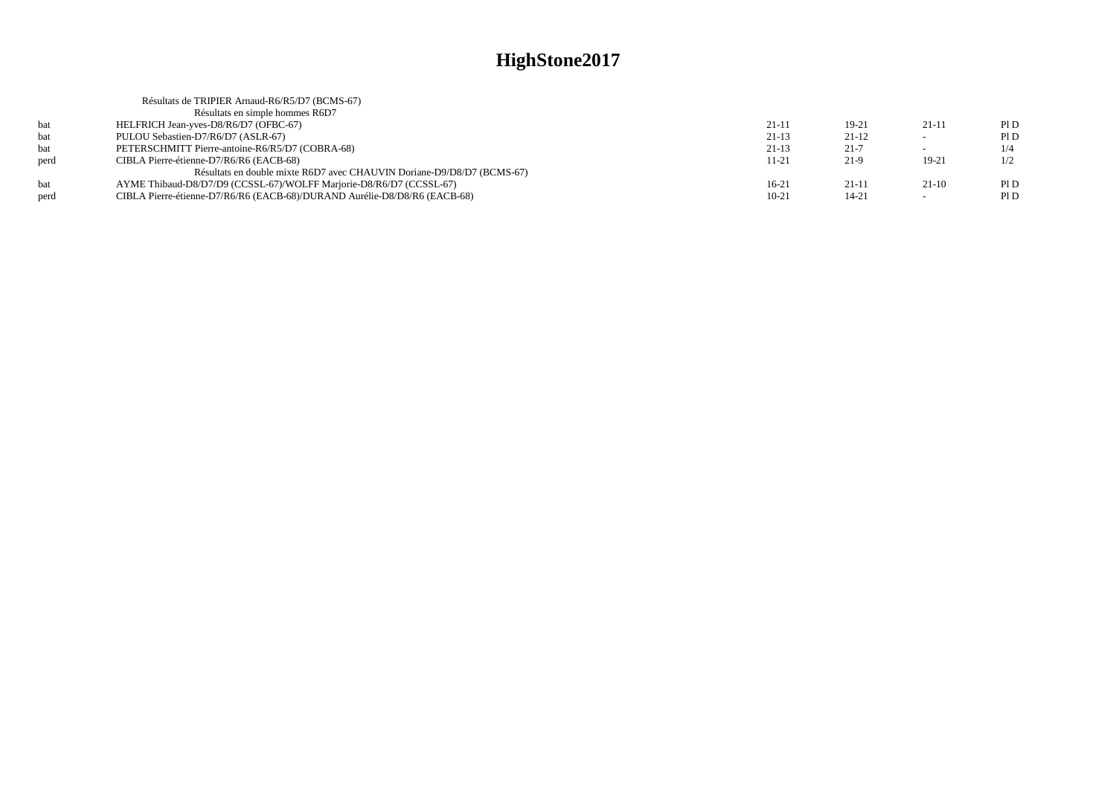| Résultats de TRIPIER Arnaud-R6/R5/D7 (BCMS-67)                            |           |           |                          |     |
|---------------------------------------------------------------------------|-----------|-----------|--------------------------|-----|
| Résultats en simple hommes R6D7                                           |           |           |                          |     |
| HELFRICH Jean-yves-D8/R6/D7 (OFBC-67)                                     | $21 - 11$ | $19-21$   | $21-11$                  | P1D |
| PULOU Sebastien-D7/R6/D7 (ASLR-67)                                        | $21-13$   | $21-12$   | $\overline{\phantom{a}}$ | P1D |
| PETERSCHMITT Pierre-antoine-R6/R5/D7 (COBRA-68)                           | $21-13$   | $21 - 7$  | $\sim$                   | 1/4 |
| CIBLA Pierre-étienne-D7/R6/R6 (EACB-68)                                   | $11 - 21$ | $21-9$    | $19-21$                  | 1/2 |
| Résultats en double mixte R6D7 avec CHAUVIN Doriane-D9/D8/D7 (BCMS-67)    |           |           |                          |     |
| AYME Thibaud-D8/D7/D9 (CCSSL-67)/WOLFF Marjorie-D8/R6/D7 (CCSSL-67)       | $16-21$   | $21-11$   | $21-10$                  | P1D |
| CIBLA Pierre-étienne-D7/R6/R6 (EACB-68)/DURAND Aurélie-D8/D8/R6 (EACB-68) | $10-21$   | $14 - 21$ | $\overline{\phantom{a}}$ | P1D |
|                                                                           |           |           |                          |     |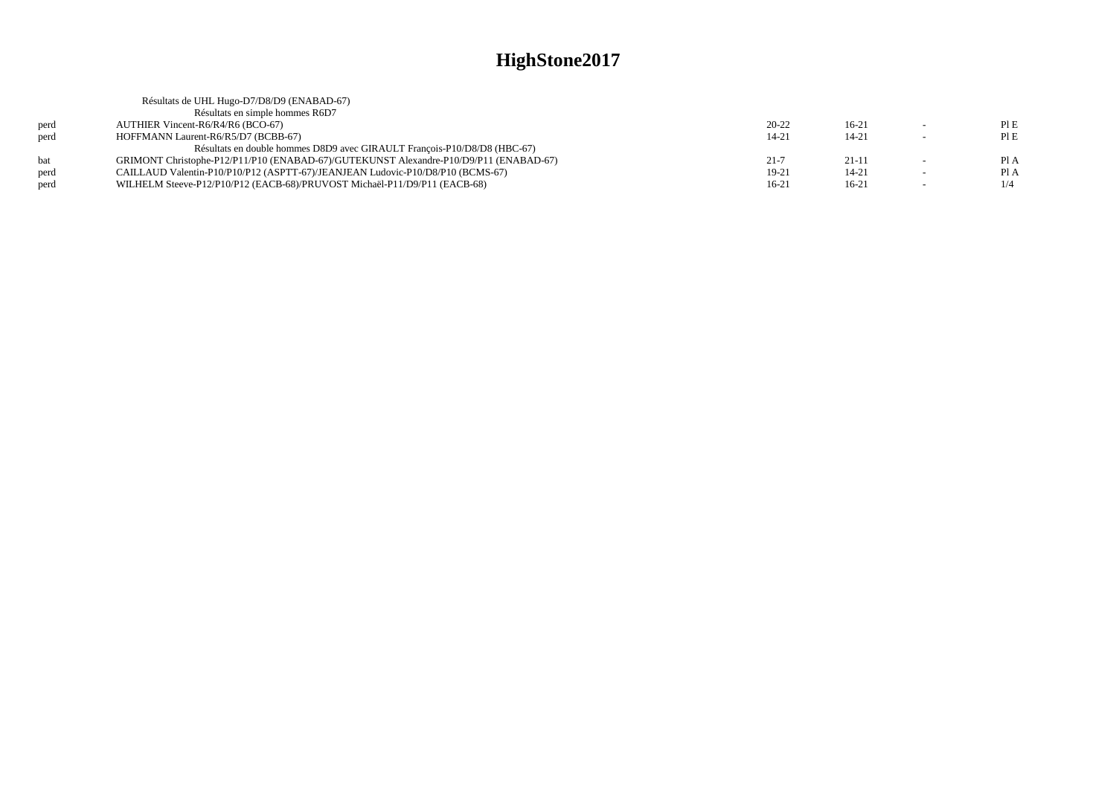|      | Résultats de UHL Hugo-D7/D8/D9 (ENABAD-67)                                            |           |           |        |      |
|------|---------------------------------------------------------------------------------------|-----------|-----------|--------|------|
|      | Résultats en simple hommes R6D7                                                       |           |           |        |      |
| perd | AUTHIER Vincent-R6/R4/R6 (BCO-67)                                                     | $20 - 22$ | $16-21$   |        | PIE  |
| perd | HOFFMANN Laurent-R6/R5/D7 (BCBB-67)                                                   | $14 - 21$ | $14 - 21$ | $\sim$ | PIE  |
|      | Résultats en double hommes D8D9 avec GIRAULT Francois-P10/D8/D8 (HBC-67)              |           |           |        |      |
| hat  | GRIMONT Christophe-P12/P11/P10 (ENABAD-67)/GUTEKUNST Alexandre-P10/D9/P11 (ENABAD-67) | $21 - 7$  | $21 - 11$ | $\sim$ | PI A |
| perd | CAILLAUD Valentin-P10/P10/P12 (ASPTT-67)/JEANJEAN Ludovic-P10/D8/P10 (BCMS-67)        | 19-21     | $14 - 21$ |        | Pl A |
| perd | WILHELM Steeve-P12/P10/P12 (EACB-68)/PRUVOST Michaël-P11/D9/P11 (EACB-68)             | $16-21$   | $16-21$   | $\sim$ | 1/4  |
|      |                                                                                       |           |           |        |      |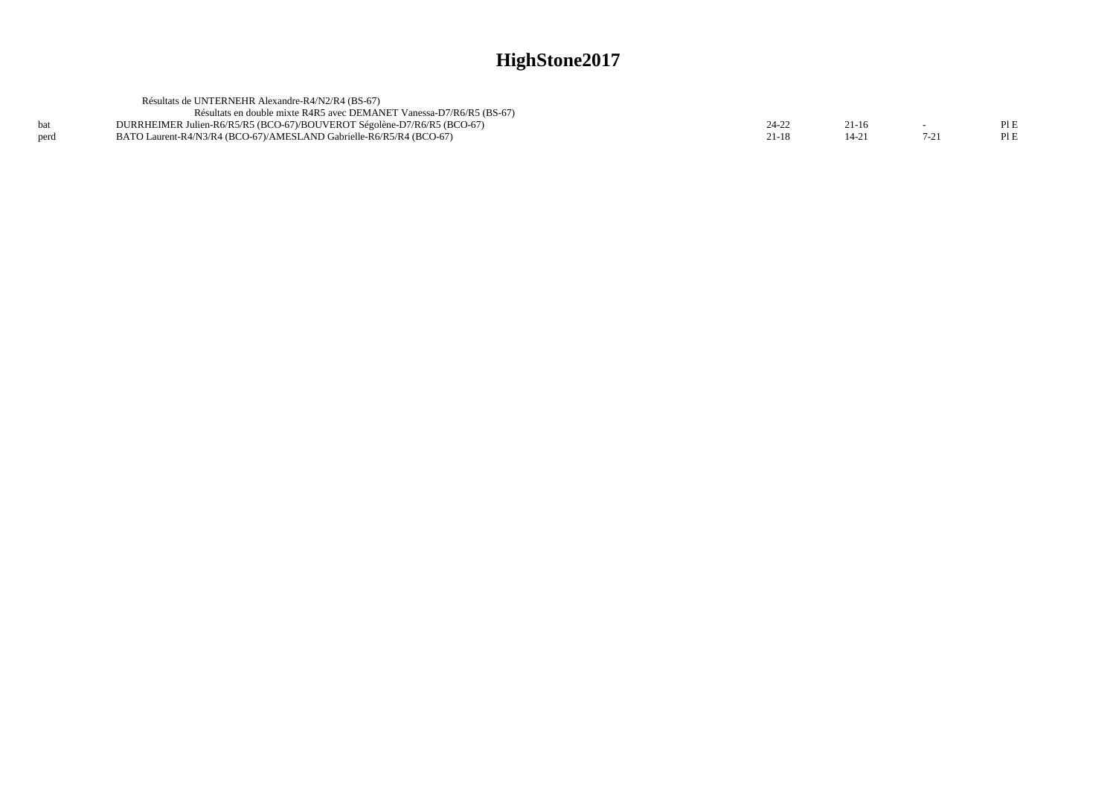|      | Résultats de UNTERNEHR Alexandre-R4/N2/R4 (BS-67)                       |       |         |          |      |
|------|-------------------------------------------------------------------------|-------|---------|----------|------|
|      | Résultats en double mixte R4R5 avec DEMANET Vanessa-D7/R6/R5 (BS-67)    |       |         |          |      |
|      | DURRHEIMER Julien-R6/R5/R5 (BCO-67)/BOUVEROT Ségolène-D7/R6/R5 (BCO-67) | 24-22 | $21-16$ |          | PLE  |
| perd | BATO Laurent-R4/N3/R4 (BCO-67)/AMESLAND Gabrielle-R6/R5/R4 (BCO-67)     | 21-18 | 14-2    | $7 - 21$ | PI E |
|      |                                                                         |       |         |          |      |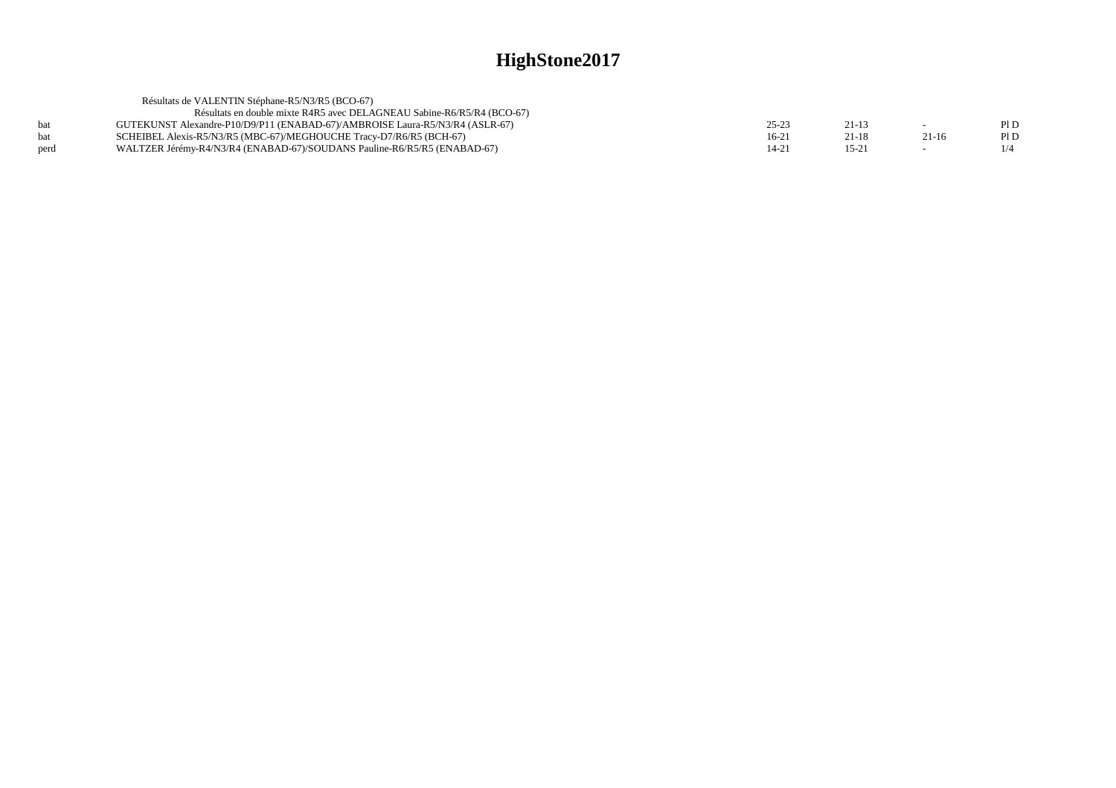|      | Résultats de VALENTIN Stéphane-R5/N3/R5 (BCO-67)                             |       |           |         |      |
|------|------------------------------------------------------------------------------|-------|-----------|---------|------|
|      | Résultats en double mixte R4R5 avec DELAGNEAU Sabine-R6/R5/R4 (BCO-67)       |       |           |         |      |
| bat  | GUTEKUNST Alexandre-P10/D9/P11 (ENABAD-67)/AMBROISE Laura-R5/N3/R4 (ASLR-67) | 25-23 | $21 - 13$ |         | PI D |
| bat  | SCHEIBEL Alexis-R5/N3/R5 (MBC-67)/MEGHOUCHE Tracy-D7/R6/R5 (BCH-67)          | 16-21 | 21-18     | $21-16$ | PI D |
| perd | WALTZER Jérémy-R4/N3/R4 (ENABAD-67)/SOUDANS Pauline-R6/R5/R5 (ENABAD-67)     | 14-21 | 15-21     |         |      |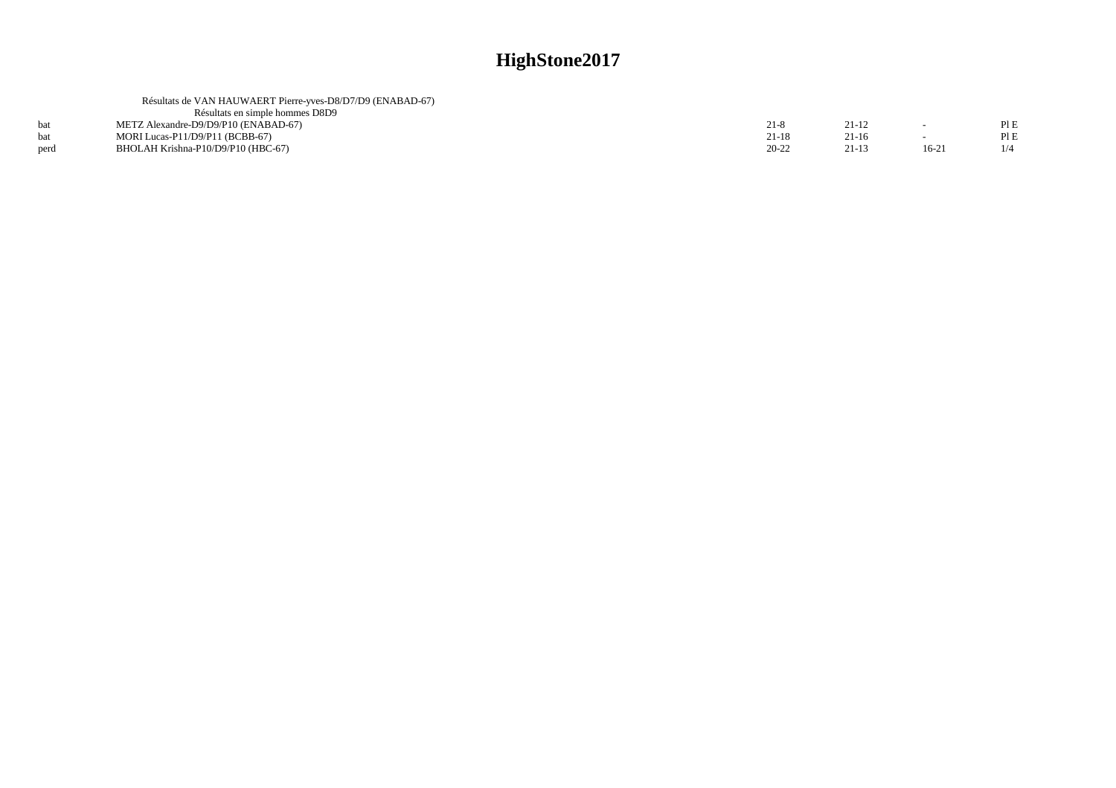|      | Résultats de VAN HAUWAERT Pierre-yves-D8/D7/D9 (ENABAD-67) |           |         |         |     |
|------|------------------------------------------------------------|-----------|---------|---------|-----|
|      | Résultats en simple hommes D8D9                            |           |         |         |     |
|      | METZ Alexandre-D9/D9/P10 (ENABAD-67)                       | $21 - 8$  | 21-12   |         | PLE |
| bat  | MORI Lucas-P11/D9/P11 (BCBB-67)                            | $21-18$   | $21-16$ |         | PIE |
| perd | BHOLAH Krishna-P10/D9/P10 (HBC-67)                         | $20 - 22$ | $21-13$ | $16-21$ |     |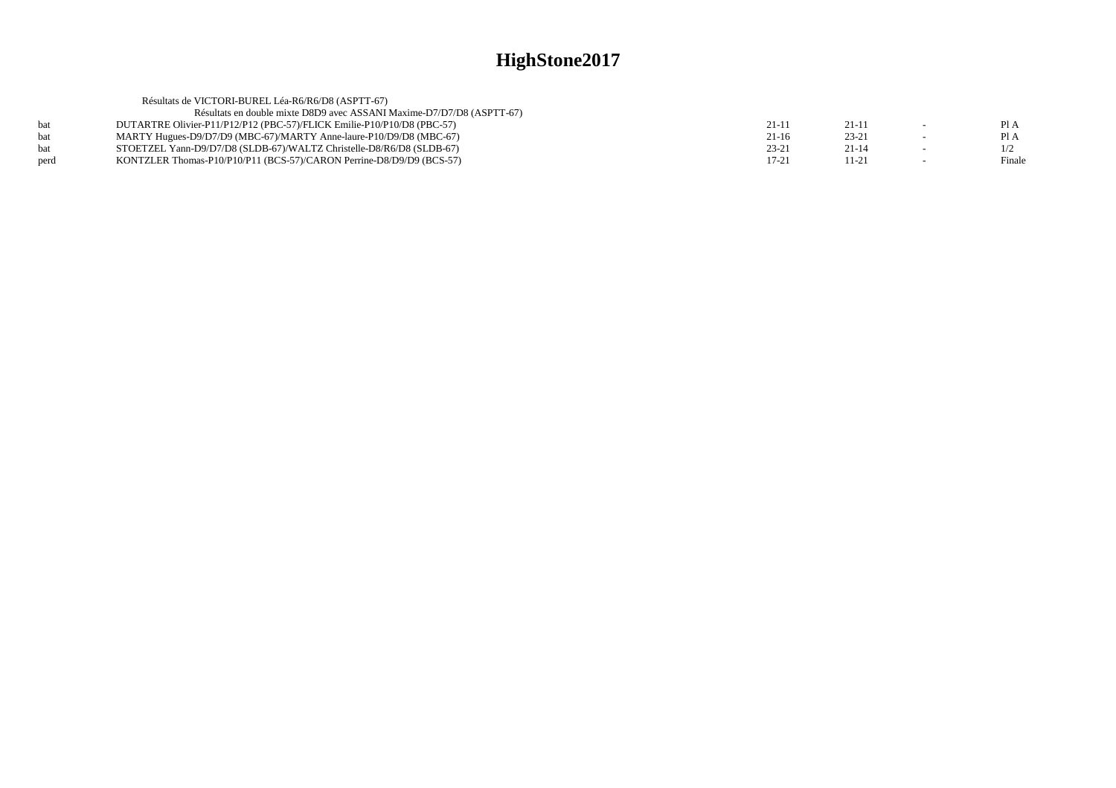|            | Résultats de VICTORI-BUREL Léa-R6/R6/D8 (ASPTT-67)                     |           |           |        |
|------------|------------------------------------------------------------------------|-----------|-----------|--------|
|            | Résultats en double mixte D8D9 avec ASSANI Maxime-D7/D7/D8 (ASPTT-67)  |           |           |        |
| hat        | DUTARTRE Olivier-P11/P12/P12 (PBC-57)/FLICK Emilie-P10/P10/D8 (PBC-57) | $21-1$    | $21-11$   | PI A   |
| <b>bat</b> | MARTY Hugues-D9/D7/D9 (MBC-67)/MARTY Anne-laure-P10/D9/D8 (MBC-67)     | $21-16$   | $23 - 21$ | Pl A   |
| <b>bat</b> | STOETZEL Yann-D9/D7/D8 (SLDB-67)/WALTZ Christelle-D8/R6/D8 (SLDB-67)   | $23 - 21$ | $21 - 14$ |        |
| perd       | KONTZLER Thomas-P10/P10/P11 (BCS-57)/CARON Perrine-D8/D9/D9 (BCS-57)   | 17-21     | $11 - 21$ | Finale |
|            |                                                                        |           |           |        |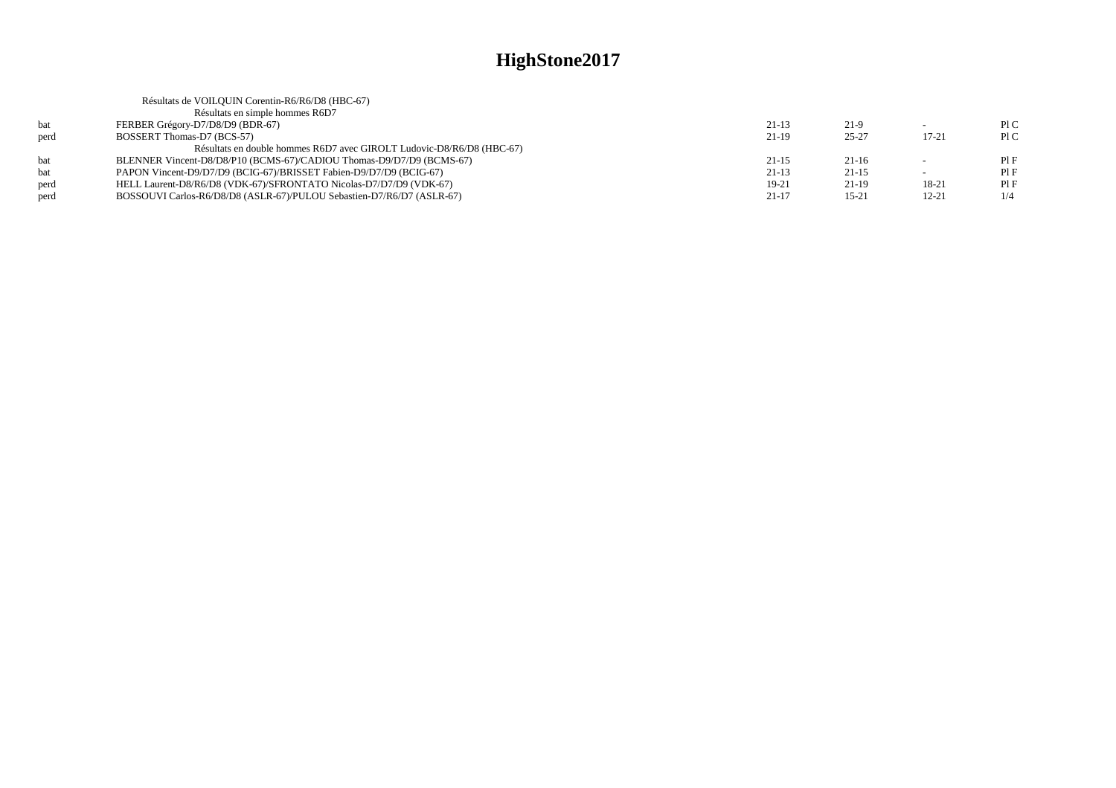|      | Résultats de VOILQUIN Corentin-R6/R6/D8 (HBC-67)                      |           |           |           |     |
|------|-----------------------------------------------------------------------|-----------|-----------|-----------|-----|
|      | Résultats en simple hommes R6D7                                       |           |           |           |     |
| bat  | FERBER Grégory-D7/D8/D9 (BDR-67)                                      | $21-13$   | $21-9$    |           | P1C |
| perd | BOSSERT Thomas-D7 (BCS-57)                                            | 21-19     | $25 - 27$ | 17-21     | P1C |
|      | Résultats en double hommes R6D7 avec GIROLT Ludovic-D8/R6/D8 (HBC-67) |           |           |           |     |
| bat  | BLENNER Vincent-D8/D8/P10 (BCMS-67)/CADIOU Thomas-D9/D7/D9 (BCMS-67)  | $21 - 15$ | $21-16$   |           | PIF |
| bat  | PAPON Vincent-D9/D7/D9 (BCIG-67)/BRISSET Fabien-D9/D7/D9 (BCIG-67)    | $21-13$   | $21 - 15$ |           | PIF |
| perd | HELL Laurent-D8/R6/D8 (VDK-67)/SFRONTATO Nicolas-D7/D7/D9 (VDK-67)    | $19-21$   | $21-19$   | 18-21     | PIF |
| perd | BOSSOUVI Carlos-R6/D8/D8 (ASLR-67)/PULOU Sebastien-D7/R6/D7 (ASLR-67) | $21 - 17$ | $15 - 21$ | $12 - 21$ | 1/4 |
|      |                                                                       |           |           |           |     |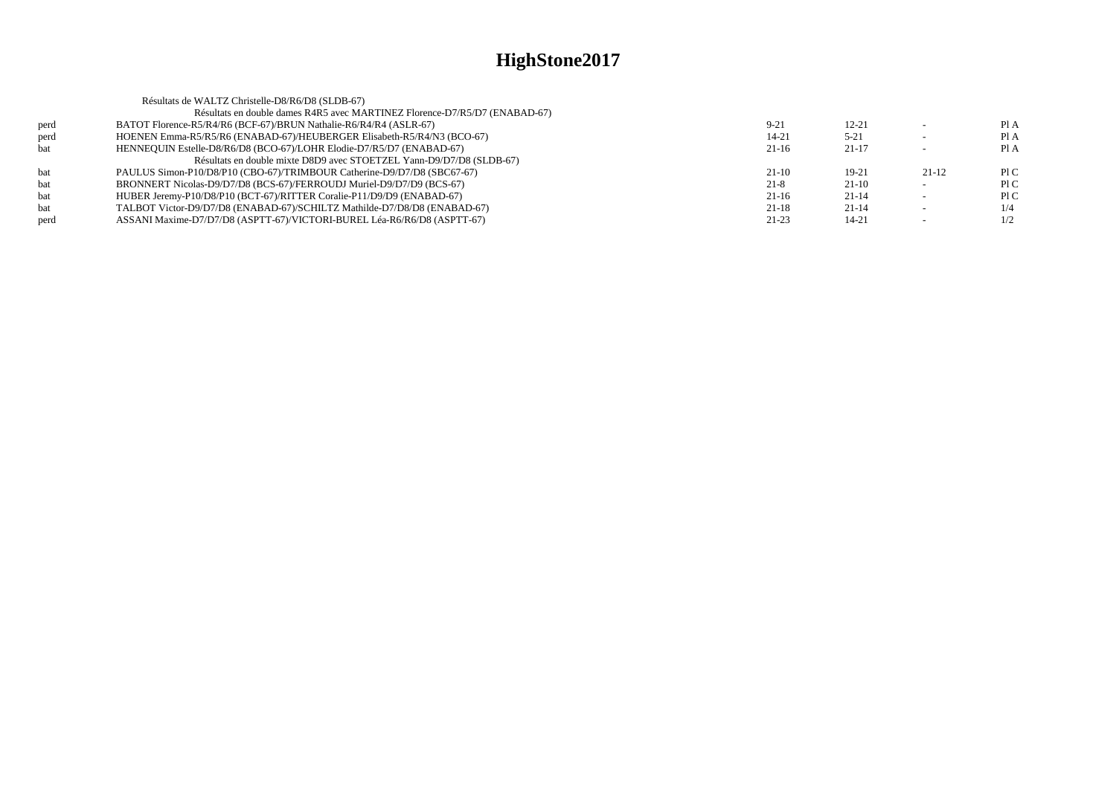|      | Résultats de WALTZ Christelle-D8/R6/D8 (SLDB-67)                           |           |           |         |      |
|------|----------------------------------------------------------------------------|-----------|-----------|---------|------|
|      | Résultats en double dames R4R5 avec MARTINEZ Florence-D7/R5/D7 (ENABAD-67) |           |           |         |      |
| perd | BATOT Florence-R5/R4/R6 (BCF-67)/BRUN Nathalie-R6/R4/R4 (ASLR-67)          | $9 - 21$  | $12 - 21$ |         | PI A |
| perd | HOENEN Emma-R5/R5/R6 (ENABAD-67)/HEUBERGER Elisabeth-R5/R4/N3 (BCO-67)     | $14 - 21$ | $5 - 21$  |         | Pl A |
| bat  | HENNEQUIN Estelle-D8/R6/D8 (BCO-67)/LOHR Elodie-D7/R5/D7 (ENABAD-67)       | $21-16$   | $21-17$   |         | Pl A |
|      | Résultats en double mixte D8D9 avec STOETZEL Yann-D9/D7/D8 (SLDB-67)       |           |           |         |      |
| bat  | PAULUS Simon-P10/D8/P10 (CBO-67)/TRIMBOUR Catherine-D9/D7/D8 (SBC67-67)    | $21-10$   | $19 - 21$ | $21-12$ | P1C  |
| bat  | BRONNERT Nicolas-D9/D7/D8 (BCS-67)/FERROUDJ Muriel-D9/D7/D9 (BCS-67)       | $21-8$    | $21-10$   |         | P1C  |
| bat  | HUBER Jeremy-P10/D8/P10 (BCT-67)/RITTER Coralie-P11/D9/D9 (ENABAD-67)      | $21-16$   | $21-14$   |         | P1C  |
| bat  | TALBOT Victor-D9/D7/D8 (ENABAD-67)/SCHILTZ Mathilde-D7/D8/D8 (ENABAD-67)   | $21 - 18$ | $21-14$   |         | 1/4  |
| perd | ASSANI Maxime-D7/D7/D8 (ASPTT-67)/VICTORI-BUREL Léa-R6/R6/D8 (ASPTT-67)    | $21 - 23$ | 14-21     |         | 1/2  |
|      |                                                                            |           |           |         |      |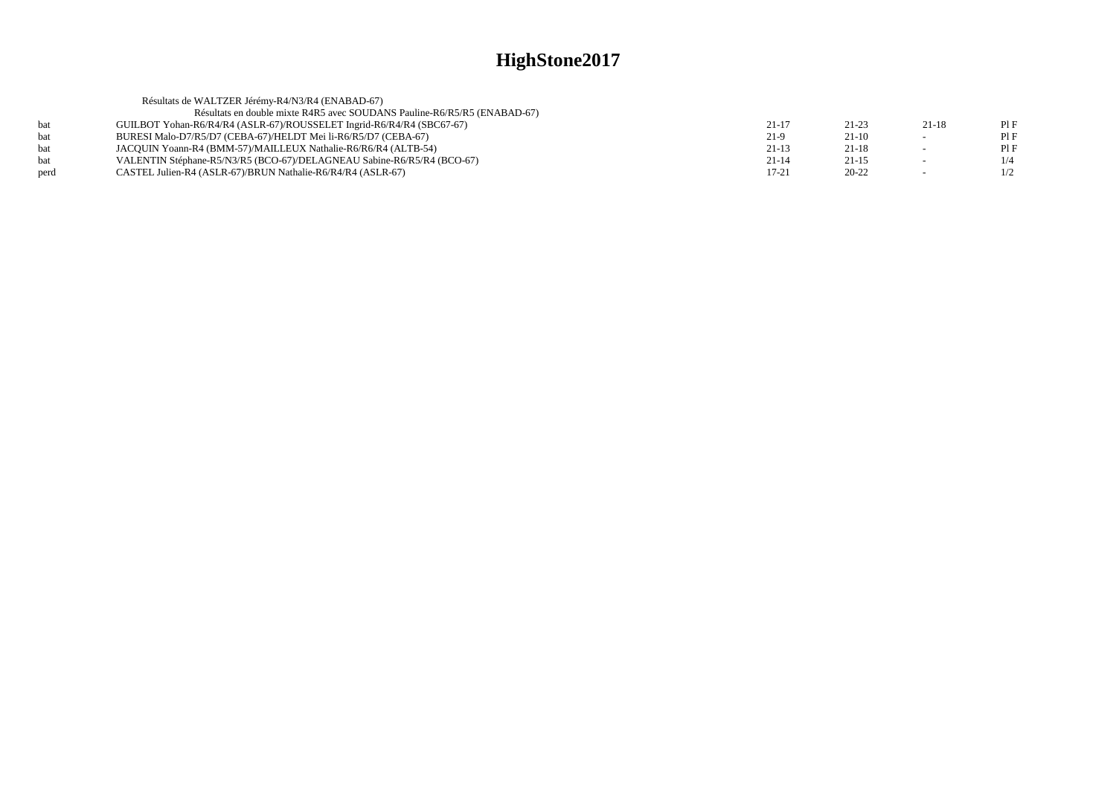|      | Résultats de WALTZER Jérémy-R4/N3/R4 (ENABAD-67)                         |           |           |                          |     |
|------|--------------------------------------------------------------------------|-----------|-----------|--------------------------|-----|
|      | Résultats en double mixte R4R5 avec SOUDANS Pauline-R6/R5/R5 (ENABAD-67) |           |           |                          |     |
| hat  | GUILBOT Yohan-R6/R4/R4 (ASLR-67)/ROUSSELET Ingrid-R6/R4/R4 (SBC67-67)    | $21-17$   | $21 - 23$ | 21-18                    | PIF |
| bat  | BURESI Malo-D7/R5/D7 (CEBA-67)/HELDT Mei li-R6/R5/D7 (CEBA-67)           | $21-9$    | $21-10$   | --                       | PIF |
| hat  | JACOUIN Yoann-R4 (BMM-57)/MAILLEUX Nathalie-R6/R6/R4 (ALTB-54)           | $21-13$   | $21-18$   |                          | PIF |
| hat  | VALENTIN Stéphane-R5/N3/R5 (BCO-67)/DELAGNEAU Sabine-R6/R5/R4 (BCO-67)   | $21 - 14$ | $21 - 15$ | $\overline{\phantom{a}}$ | 1/4 |
| perd | CASTEL Julien-R4 (ASLR-67)/BRUN Nathalie-R6/R4/R4 (ASLR-67)              | $17 - 21$ | $20 - 22$ | $\overline{\phantom{a}}$ | 1/2 |
|      |                                                                          |           |           |                          |     |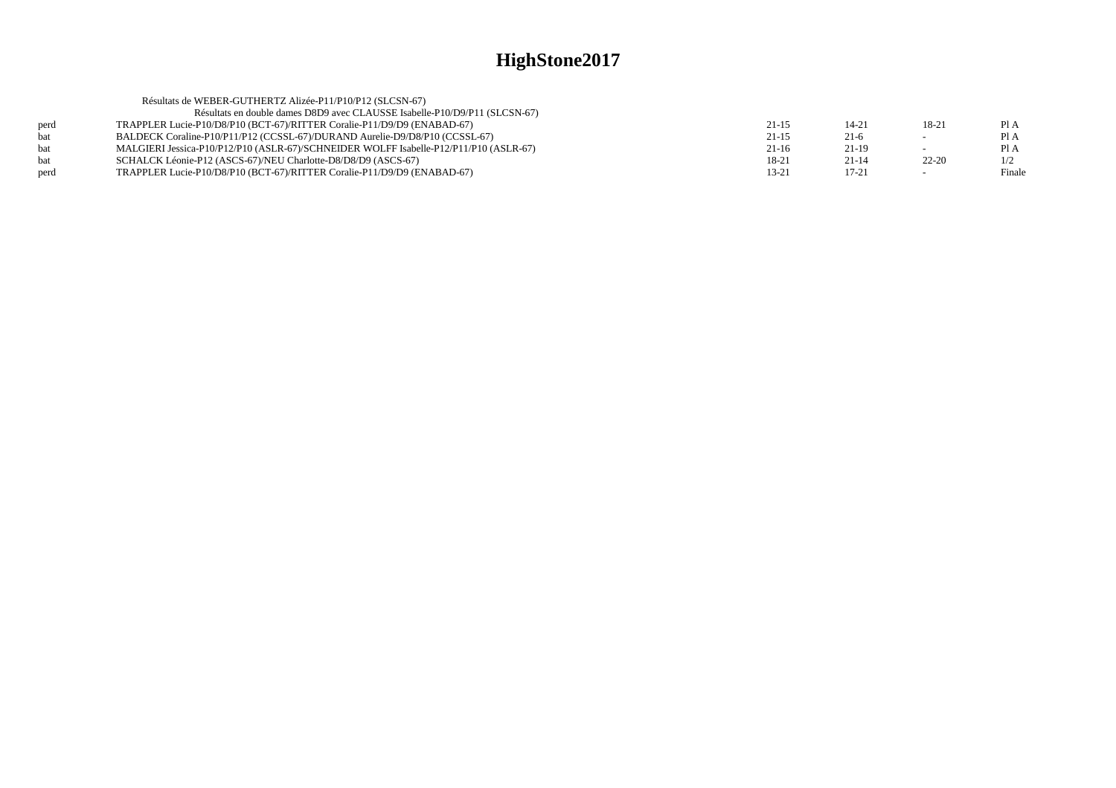|      | Résultats de WEBER-GUTHERTZ Alizée-P11/P10/P12 (SLCSN-67)                             |         |           |           |        |
|------|---------------------------------------------------------------------------------------|---------|-----------|-----------|--------|
|      | Résultats en double dames D8D9 avec CLAUSSE Isabelle-P10/D9/P11 (SLCSN-67)            |         |           |           |        |
| perd | TRAPPLER Lucie-P10/D8/P10 (BCT-67)/RITTER Coralie-P11/D9/D9 (ENABAD-67)               | $21-15$ | 14-21     | 18-21     | Pl A   |
| bat  | BALDECK Coraline-P10/P11/P12 (CCSSL-67)/DURAND Aurelie-D9/D8/P10 (CCSSL-67)           | $21-15$ | $21-6$    | $\sim$    | Pl A   |
| hat  | MALGIERI Jessica-P10/P12/P10 (ASLR-67)/SCHNEIDER WOLFF Isabelle-P12/P11/P10 (ASLR-67) | $21-16$ | $21-19$   |           | Pl A   |
| bat  | SCHALCK Léonie-P12 (ASCS-67)/NEU Charlotte-D8/D8/D9 (ASCS-67)                         | 18-21   | $21 - 14$ | $22 - 20$ | 1/2    |
| perd | TRAPPLER Lucie-P10/D8/P10 (BCT-67)/RITTER Coralie-P11/D9/D9 (ENABAD-67)               | 13-21   | $17 - 21$ |           | Finale |
|      |                                                                                       |         |           |           |        |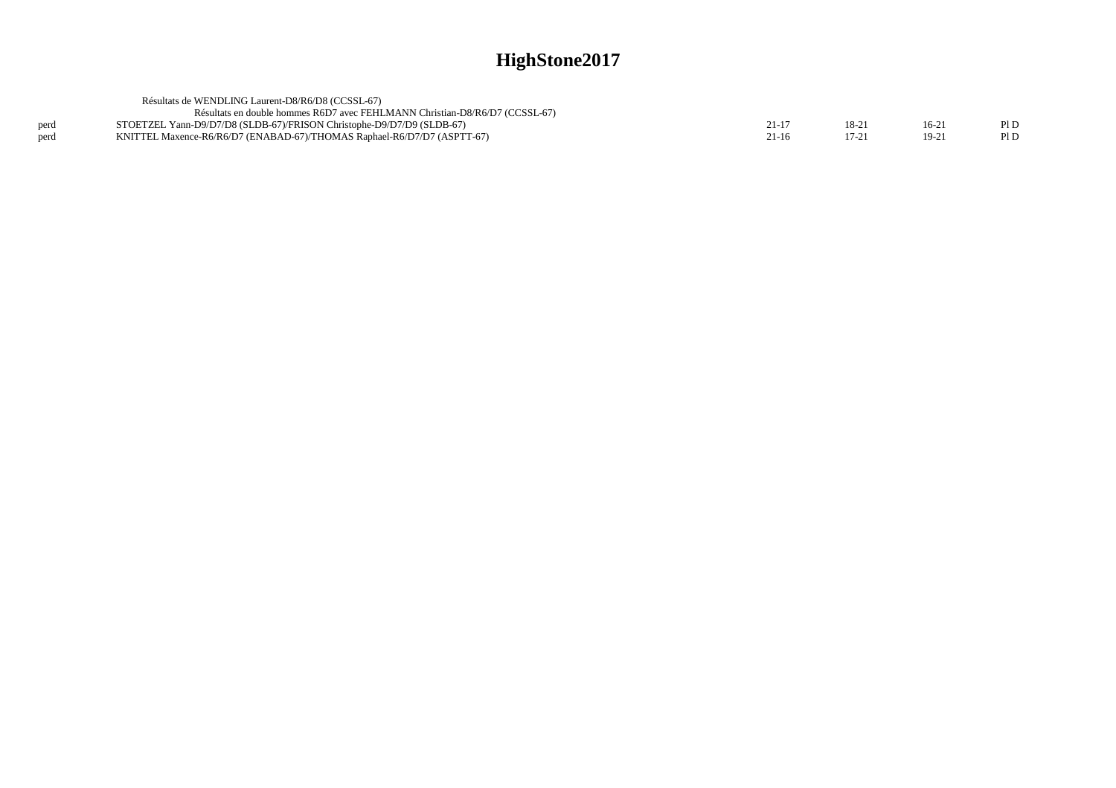|      | Résultats de WENDLING Laurent-D8/R6/D8 (CCSSL-67)                           |       |         |         |      |
|------|-----------------------------------------------------------------------------|-------|---------|---------|------|
|      | Résultats en double hommes R6D7 avec FEHLMANN Christian-D8/R6/D7 (CCSSL-67) |       |         |         |      |
| perd | STOETZEL Yann-D9/D7/D8 (SLDB-67)/FRISON Christophe-D9/D7/D9 (SLDB-67)       | 21-17 | $18-21$ | $16-2$  | Pl D |
| perd | KNITTEL Maxence-R6/R6/D7 (ENABAD-67)/THOMAS Raphael-R6/D7/D7 (ASPTT-67)     | 21-16 |         | $19-21$ | Pl D |
|      |                                                                             |       |         |         |      |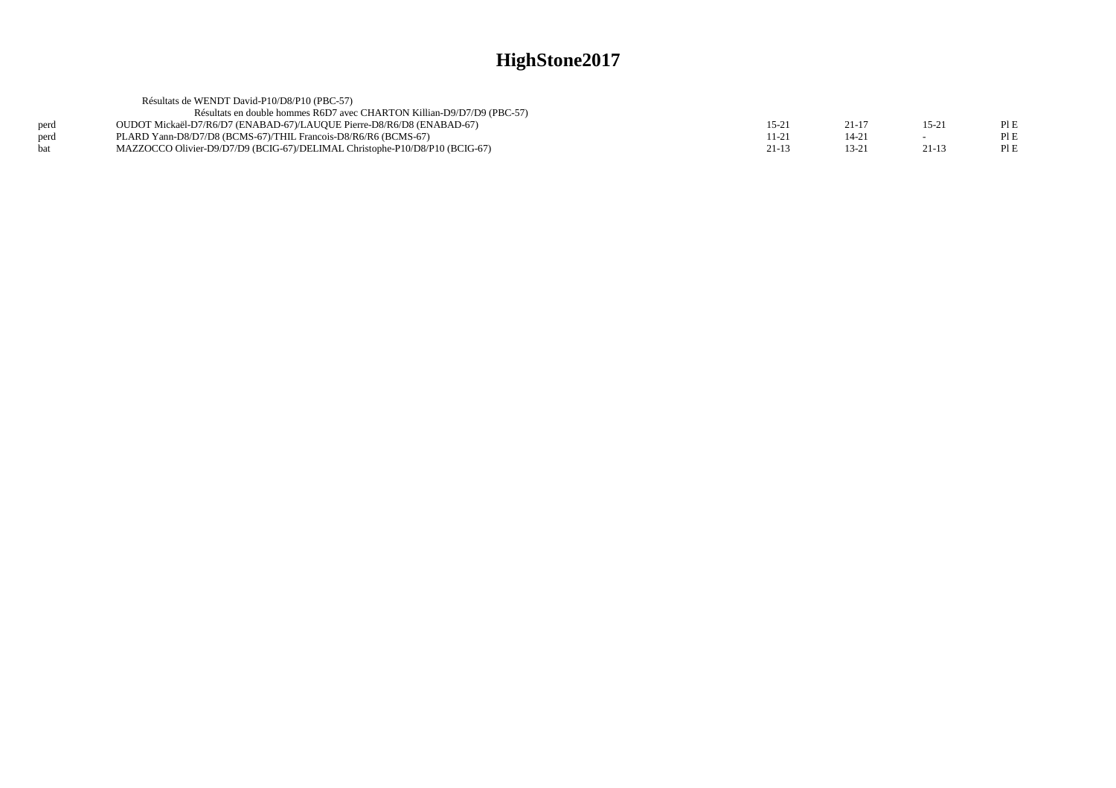|      | Résultats de WENDT David-P10/D8/P10 (PBC-57)                                |         |                |                |     |
|------|-----------------------------------------------------------------------------|---------|----------------|----------------|-----|
|      | Résultats en double hommes R6D7 avec CHARTON Killian-D9/D7/D9 (PBC-57)      |         |                |                |     |
| perd | OUDOT Mickaël-D7/R6/D7 (ENABAD-67)/LAUQUE Pierre-D8/R6/D8 (ENABAD-67)       | $15-21$ | $21 - 17$      | $15-2^{\circ}$ | PIE |
| perd | PLARD Yann-D8/D7/D8 (BCMS-67)/THIL Francois-D8/R6/R6 (BCMS-67)              | 11-21   | $14 - 2'$      |                | PIE |
| hat  | MAZZOCCO Olivier-D9/D7/D9 (BCIG-67)/DELIMAL Christophe-P10/D8/P10 (BCIG-67) | 21-13   | $13-2^{\circ}$ | $21-13$        | PIE |
|      |                                                                             |         |                |                |     |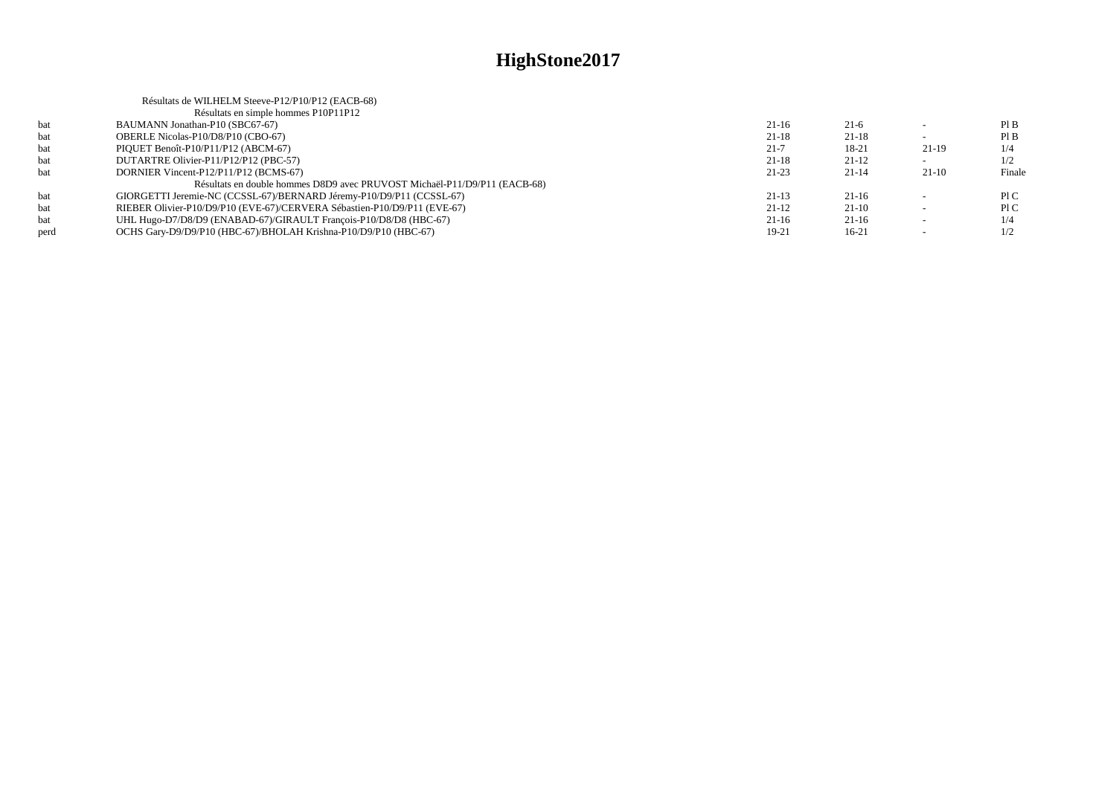|      | Résultats de WILHELM Steeve-P12/P10/P12 (EACB-68)                         |           |           |        |        |
|------|---------------------------------------------------------------------------|-----------|-----------|--------|--------|
|      | Résultats en simple hommes P10P11P12                                      |           |           |        |        |
| bat  | BAUMANN Jonathan-P10 (SBC67-67)                                           | $21-16$   | $21-6$    |        | PI B   |
| bat  | OBERLE Nicolas-P10/D8/P10 (CBO-67)                                        | 21-18     | $21-18$   |        | PIB    |
| bat  | PIQUET Benoît-P10/P11/P12 (ABCM-67)                                       | $21 - 7$  | 18-21     | 21-19  | 1/4    |
| bat  | DUTARTRE Olivier-P11/P12/P12 (PBC-57)                                     | $21 - 18$ | $21-12$   |        | 1/2    |
| bat  | DORNIER Vincent-P12/P11/P12 (BCMS-67)                                     | $21-23$   | $21 - 14$ | 21-10  | Finale |
|      | Résultats en double hommes D8D9 avec PRUVOST Michaël-P11/D9/P11 (EACB-68) |           |           |        |        |
| bat  | GIORGETTI Jeremie-NC (CCSSL-67)/BERNARD Jéremy-P10/D9/P11 (CCSSL-67)      | $21-13$   | $21-16$   |        | P1C    |
| bat  | RIEBER Olivier-P10/D9/P10 (EVE-67)/CERVERA Sébastien-P10/D9/P11 (EVE-67)  | $21-12$   | $21-10$   |        | P1C    |
| bat  | UHL Hugo-D7/D8/D9 (ENABAD-67)/GIRAULT Francois-P10/D8/D8 (HBC-67)         | $21-16$   | $21-16$   | $\sim$ | 1/4    |
| perd | OCHS Gary-D9/D9/P10 (HBC-67)/BHOLAH Krishna-P10/D9/P10 (HBC-67)           | 19-21     | $16-21$   |        | 1/2    |
|      |                                                                           |           |           |        |        |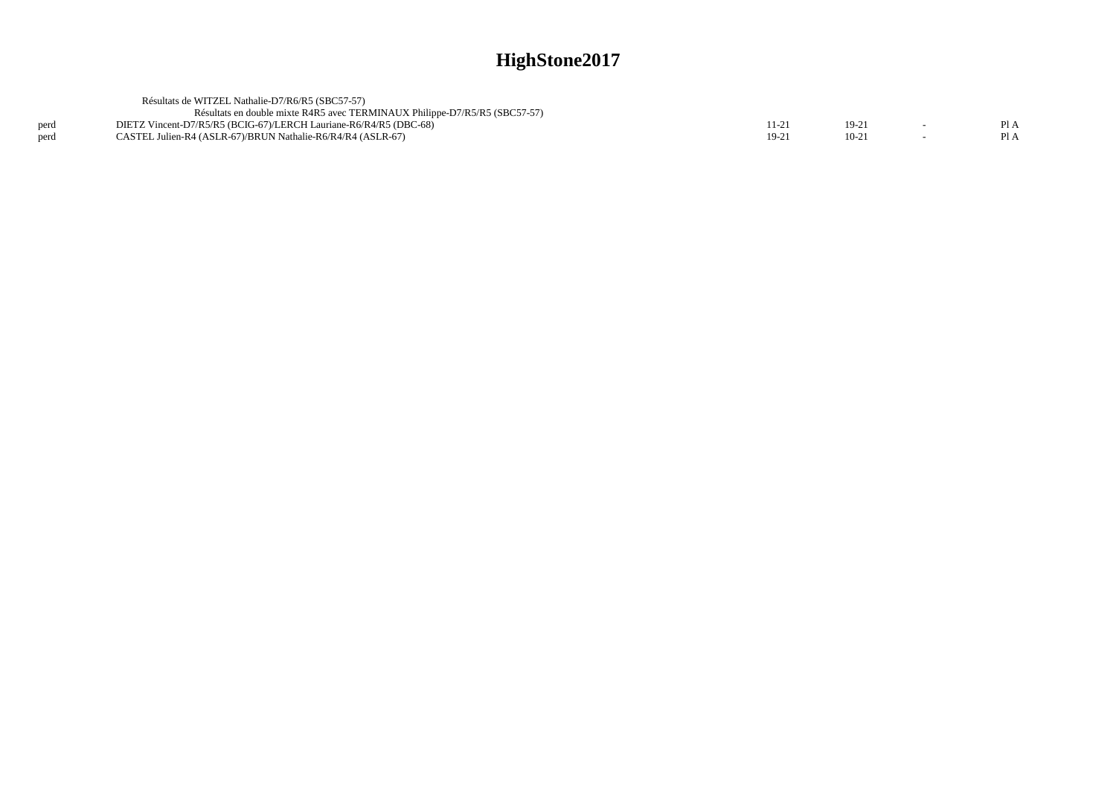|      | Résultats de WITZEL Nathalie-D7/R6/R5 (SBC57-57)                           |        |  |  |
|------|----------------------------------------------------------------------------|--------|--|--|
|      | Résultats en double mixte R4R5 avec TERMINAUX Philippe-D7/R5/R5 (SBC57-57) |        |  |  |
| perd | DIETZ Vincent-D7/R5/R5 (BCIG-67)/LERCH Lauriane-R6/R4/R5 (DBC-68)          |        |  |  |
|      | CASTEL Julien-R4 (ASLR-67)/BRUN Nathalie-R6/R4/R4 (ASLR-67)                | $19-2$ |  |  |
|      |                                                                            |        |  |  |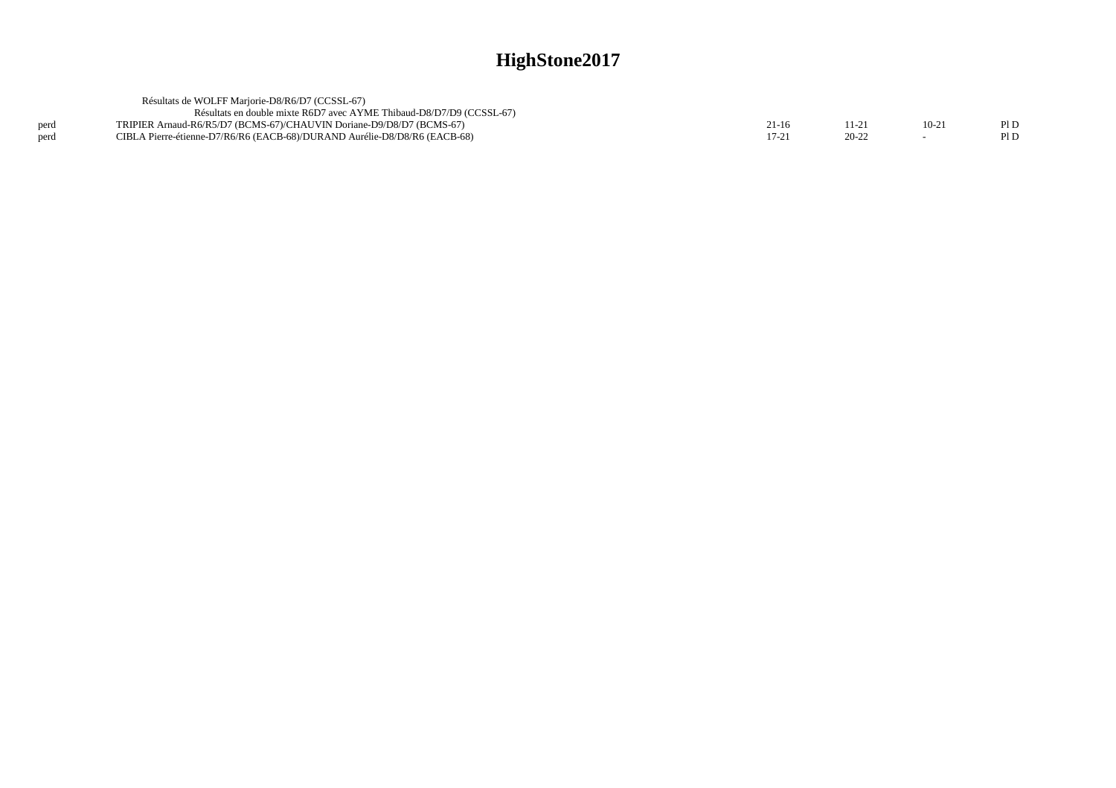|      | Résultats de WOLFF Mariorie-D8/R6/D7 (CCSSL-67)                           |       |       |      |
|------|---------------------------------------------------------------------------|-------|-------|------|
|      | Résultats en double mixte R6D7 avec AYME Thibaud-D8/D7/D9 (CCSSL-67)      |       |       |      |
| perd | TRIPIER Arnaud-R6/R5/D7 (BCMS-67)/CHAUVIN Doriane-D9/D8/D7 (BCMS-67)      | 21-16 |       | PID  |
| nerd | CIBLA Pierre-étienne-D7/R6/R6 (EACB-68)/DURAND Aurélie-D8/D8/R6 (EACB-68) |       | 20-22 | Pl D |
|      |                                                                           |       |       |      |